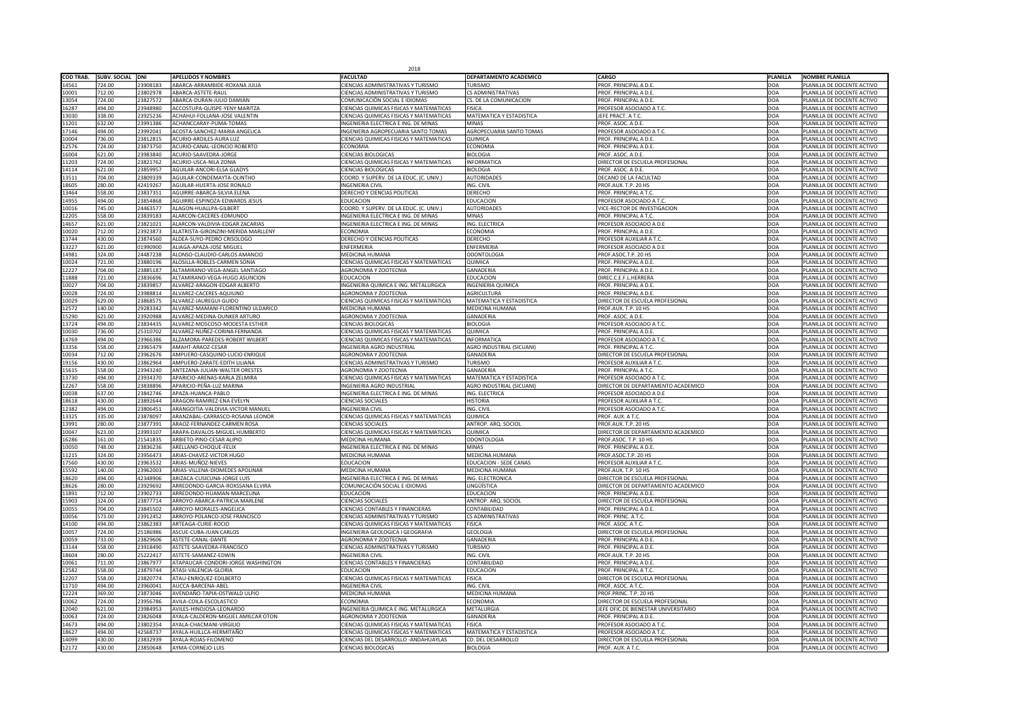|                  |                     |                      |                                                                       | 2018                                                                                      |                                         |                                                               |            |                                                          |
|------------------|---------------------|----------------------|-----------------------------------------------------------------------|-------------------------------------------------------------------------------------------|-----------------------------------------|---------------------------------------------------------------|------------|----------------------------------------------------------|
| <b>COD TRAB.</b> | <b>SUBV. SOCIAL</b> | DNI                  | <b>APELLIDOS Y NOMBRES</b>                                            | <b>FACULTAD</b>                                                                           | <b>DEPARTAMENTO ACADEMICO</b>           | <b>CARGO</b>                                                  | PLANILLA   | NOMBRE PLANILLA                                          |
| 14561            | 724.00              | 23908183             | ABARCA-ARRAMBIDE-ROXANA JULIA                                         | <b>CIENCIAS ADMINISTRATIVAS Y TURISMO</b>                                                 | <b>TURISMO</b>                          | PROF. PRINCIPAL A D.E                                         | DOA        | PLANILLA DE DOCENTE ACTIVO                               |
| 10001            | 712.00<br>724.00    | 23802978<br>23827572 | ABARCA-ASTETE-RAUL<br>ABARCA-DURAN-JULIO DAMIAN                       | CIENCIAS ADMINISTRATIVAS Y TURISMO<br>COMUNICACIÓN SOCIAL E IDIOMAS                       | <b>CS ADMINISTRATIVAS</b>               | <b>PROF. PRINCIPAL A D.E.</b><br><b>PROF. PRINCIPAL A D.E</b> | DOA<br>DOA | PLANILLA DE DOCENTE ACTIVO<br>PLANILLA DE DOCENTE ACTIVO |
| 13054<br>16287   | 494.00              | 23948980             | ACCOSTUPA-QUISPE-YENY MARITZA                                         | <b>CIENCIAS QUIMICAS FISICAS Y MATEMATICAS</b>                                            | CS. DE LA COMUNICACION<br><b>FISICA</b> | <b>PROFESOR ASOCIADO A T.C.</b>                               | DOA        | PLANILLA DE DOCENTE ACTIVO                               |
| 13030            | 338.00              | 23925236             | <b>ACHAHUI-FOLLANA-JOSE VALENTIN</b>                                  | <b>CIENCIAS QUIMICAS FISICAS Y MATEMATICAS</b>                                            | <b>MATEMATICA Y ESTADISTICA</b>         | JEFE PRACT. A T.C.                                            | DOA        | PLANILLA DE DOCENTE ACTIVO                               |
| 11201            | 632.00              | 23991386             | ACHANCCARAY-PUMA-TOMAS                                                | INGENIERIA ELECTRICA E ING. DE MINAS                                                      | <b>MINAS</b>                            | PROF. ASOC. A D.E.                                            | DOA        | PLANILLA DE DOCENTE ACTIVO                               |
| 17146            | 494.00              | 2399204              | ACOSTA-SANCHEZ-MARIA ANGELICA                                         | INGENIERIA AGROPECUARIA SANTO TOMAS                                                       | AGROPECUARIA SANTO TOMAS                | PROFESOR ASOCIADO A T.C.                                      | DOA        | PLANILLA DE DOCENTE ACTIVO                               |
| 10004            | 736.00              | 23812815             | ACURIO-ARDILES-AURA LUZ                                               | <b>CIENCIAS QUIMICAS FISICAS Y MATEMATICAS</b>                                            | <b>QUIMICA</b>                          | <b>PROF. PRINCIPAL A D.E</b>                                  | DOA        | PLANILLA DE DOCENTE ACTIVO                               |
| 12576            | 724.00              | 23873750             | ACURIO-CANAL-LEONCIO ROBERTO                                          | <b>ECONOMIA</b>                                                                           | <b>ECONOMIA</b>                         | <b>PROF. PRINCIPAL A D.E.</b>                                 | DOA        | PLANILLA DE DOCENTE ACTIVO                               |
| 16004            | 621.00              | 23983840             | ACURIO-SAAVEDRA-JORGE                                                 | <b>CIENCIAS BIOLOGICAS</b>                                                                | <b>BIOLOGIA</b>                         | PROF. ASOC. A D.E.                                            | DOA        | PLANILLA DE DOCENTE ACTIVO                               |
| 11203<br>14114   | 724.00<br>621.00    | 23821762<br>23859957 | ACURIO-USCA-NILA ZONIA<br>AGUILAR-ANCORI-ELSA GLADYS                  | <b>CIENCIAS QUIMICAS FISICAS Y MATEMATICAS</b><br><b>CIENCIAS BIOLOGICAS</b>              | <b>INFORMATICA</b><br><b>BIOLOGIA</b>   | <b>DIRECTOR DE ESCUELA PROFESIONAL</b><br>PROF. ASOC. A D.E.  | DOA<br>DOA | PLANILLA DE DOCENTE ACTIVO<br>PLANILLA DE DOCENTE ACTIVO |
| 13511            | 704.00              | 2380933              | AGUILAR-CONDEMAYTA-OLINTHO                                            | COORD. Y SUPERV. DE LA EDUC. (C. UNIV.)                                                   | <b>AUTORIDADES</b>                      | DECANO DE LA FACULTAD                                         | DOA        | PLANILLA DE DOCENTE ACTIVO                               |
| 18605            | 280.00              | 42419267             | AGUILAR-HUERTA-JOSE RONALD                                            | <b>INGENIERIA CIVIL</b>                                                                   | ING. CIVIL                              | PROF.AUX. T.P. 20 HS                                          | DOA        | PLANILLA DE DOCENTE ACTIVO                               |
| 13464            | 558.00              | 2383735              | AGUIRRE-ABARCA-SILVIA ELENA                                           | <b>DERECHO Y CIENCIAS POLITICAS</b>                                                       | <b>DERECHO</b>                          | <b>PROF. PRINCIPAL A T.C.</b>                                 | DOA        | PLANILLA DE DOCENTE ACTIVO                               |
| 14955            | 494.00              | 23854868             | AGUIRRE-ESPINOZA-EDWARDS JESUS                                        | <b>EDUCACION</b>                                                                          | <b>EDUCACION</b>                        | PROFESOR ASOCIADO A T.C.                                      | DOA        | PLANILLA DE DOCENTE ACTIVO                               |
| 10016            | 745.00              | 24463577             | ALAGON-HUALLPA-GILBERT                                                | COORD. Y SUPERV. DE LA EDUC. (C. UNIV.)                                                   | <b>AUTORIDADES</b>                      | VICE-RECTOR DE INVESTIGACION                                  | DOA        | PLANILLA DE DOCENTE ACTIVO                               |
| 12205            | 558.00              | 2383918              | ALARCON-CACERES-EDMUNDO                                               | INGENIERIA ELECTRICA E ING. DE MINAS                                                      | <b>MINAS</b>                            | <b>PROF. PRINCIPAL A T.C.</b>                                 | DOA        | PLANILLA DE DOCENTE ACTIVO                               |
| 14657            | 621.00              | 23821021             | ALARCON-VALDIVIA-EDGAR ZACARIAS                                       | INGENIERIA ELECTRICA E ING. DE MINAS                                                      | ING. ELECTRICA                          | <b>PROFESOR ASOCIADO A D.E</b>                                | DOA        | PLANILLA DE DOCENTE ACTIVO                               |
| 10020            | 712.00<br>430.00    | 2392387<br>23874560  | ALATRISTA-GIRONZINI-MERIDA MARLLENY                                   | <b>ECONOMIA</b><br><b>DERECHO Y CIENCIAS POLITICAS</b>                                    | <b>ECONOMIA</b><br><b>DERECHO</b>       | PROF. PRINCIPAL A D.E<br><b>PROFESOR AUXILIAR A T.C</b>       | DOA        | PLANILLA DE DOCENTE ACTIVO                               |
| 13744<br>13227   | 621.00              | 01990900             | ALDEA-SUYO-PEDRO CRISOLOGO<br>ALIAGA-APAZA-JOSE MIGUEL                | <b>ENFERMERIA</b>                                                                         | ENFERMERIA                              | <b>PROFESOR ASOCIADO A D.E</b>                                | DOA<br>DOA | PLANILLA DE DOCENTE ACTIVO<br>PLANILLA DE DOCENTE ACTIVO |
| 14981            | 324.00              | 24487238             | ALONSO-CLAUDIO-CARLOS AMANCIO                                         | <b>MEDICINA HUMANA</b>                                                                    | <b>ODONTOLOGIA</b>                      | PROF.ASOC.T.P. 20 HS                                          | DOA        | PLANILLA DE DOCENTE ACTIVO                               |
| 10024            | 721.00              | 23880196             | ALOSILLA-ROBLES-CARMEN SONIA                                          | <b>CIENCIAS QUIMICAS FISICAS Y MATEMATICAS</b>                                            | <b>QUIMICA</b>                          | PROF. PRINCIPAL A D.E.                                        | <b>DOA</b> | PLANILLA DE DOCENTE ACTIVO                               |
| 12227            | 704.00              | 23885187             | ALTAMIRANO-VEGA-ANGEL SANTIAGO                                        | <b>AGRONOMIA Y ZOOTECNIA</b>                                                              | <b>GANADERIA</b>                        | <b>PROF. PRINCIPAL A D.E</b>                                  | DOA        | PLANILLA DE DOCENTE ACTIVO                               |
| 11888            | 721.00              | 23836696             | ALTAMIRANO-VEGA-HUGO ASUNCION                                         | <b>EDUCACION</b>                                                                          | <b>EDUCACION</b>                        | DIREC.C.E.F.L.HERRERA                                         | DOA        | PLANILLA DE DOCENTE ACTIVO                               |
| 10027            | 704.00              | 2383985              | ALVAREZ-ARAGON-EDGAR ALBERTO                                          | INGENIERIA QUIMICA E ING. METALURGICA                                                     | INGENIERIA QUIMICA                      | PROF. PRINCIPAL A D.E.                                        | DOA        | PLANILLA DE DOCENTE ACTIVO                               |
| 10028            | 724.00              | 2398881              | ALVAREZ-CACERES-AQUILINO                                              | <b>AGRONOMIA Y ZOOTECNIA</b>                                                              | <b>AGRICULTURA</b>                      | <b>PROF. PRINCIPAL A D.E.</b>                                 | DOA        | PLANILLA DE DOCENTE ACTIVO                               |
| 10029            | 629.00              | 23868575             | ALVAREZ-JAUREGUI-GUIDO                                                | <b>CIENCIAS QUIMICAS FISICAS Y MATEMATICAS</b>                                            | <b>MATEMATICA Y ESTADISTICA</b>         | <b>DIRECTOR DE ESCUELA PROFESIONAL</b>                        | DOA        | PLANILLA DE DOCENTE ACTIVO                               |
| 12572            | 140.00              | 29283342             | ALVAREZ-MAMANI-FLORENTINO ULDARICO                                    | <b>MEDICINA HUMANA</b>                                                                    | MEDICINA HUMANA                         | PROF.AUX. T.P. 10 HS                                          | DOA        | PLANILLA DE DOCENTE ACTIVO                               |
| 15290            | 621.00              | 23920988             | ALVAREZ-MEDINA-DUNKER ARTURO                                          | <b>AGRONOMIA Y ZOOTECNIA</b>                                                              | <b>GANADERIA</b>                        | PROF. ASOC. A D.E.                                            | DOA        | PLANILLA DE DOCENTE ACTIVO                               |
| 13724            | 494.00<br>736.00    | 23834435             | ALVAREZ-MOSCOSO-MODESTA ESTHER                                        | <b>CIENCIAS BIOLOGICAS</b>                                                                | <b>BIOLOGIA</b><br><b>QUIMICA</b>       | PROFESOR ASOCIADO A T.C.<br>PROF. PRINCIPAL A D.E.            | DOA        | PLANILLA DE DOCENTE ACTIVO<br>PLANILLA DE DOCENTE ACTIVO |
| 10030<br>14769   | 494.00              | 25310702<br>23966386 | ALVAREZ-NUÑEZ-CORINA FERNANDA<br>ALZAMORA-PAREDES-ROBERT WILBERT      | CIENCIAS QUIMICAS FISICAS Y MATEMATICAS<br><b>CIENCIAS QUIMICAS FISICAS Y MATEMATICAS</b> | <b>INFORMATICA</b>                      | PROFESOR ASOCIADO A T.C.                                      | DOA<br>DOA | PLANILLA DE DOCENTE ACTIVO                               |
| 13356            | 558.00              | 23965479             | AMAHT-ARAOZ-CESAR                                                     | <b>INGENIERIA AGRO INDUSTRIAL</b>                                                         | <b>AGRO INDUSTRIAL (SICUANI)</b>        | PROF. PRINCIPAL A T.C.                                        | DOA        | PLANILLA DE DOCENTE ACTIVO                               |
| 10034            | 712.00              | 23962676             | AMPUERO-CASQUINO-LUCIO ENRIQUE                                        | <b>AGRONOMIA Y ZOOTECNIA</b>                                                              | <b>GANADERIA</b>                        | DIRECTOR DE ESCUELA PROFESIONAL                               | DOA        | PLANILLA DE DOCENTE ACTIVO                               |
| 19156            | 430.00              | 23862964             | AMPUERO-ZARATE-EDITH LILIANA                                          | <b>CIENCIAS ADMINISTRATIVAS Y TURISMO</b>                                                 | <b>TURISMO</b>                          | PROFESOR AUXILIAR A T.C.                                      | DOA        | PLANILLA DE DOCENTE ACTIVO                               |
| 15615            | 558.00              | 23943240             | ANTEZANA-JULIAN-WALTER ORESTES                                        | AGRONOMIA Y ZOOTECNIA                                                                     | <b>GANADERIA</b>                        | PROF. PRINCIPAL A T.C.                                        | DOA        | PLANILLA DE DOCENTE ACTIVO                               |
| 13730            | 494.00              | 23934370             | APARICIO-ARENAS-KARLA ZELMIRA                                         | CIENCIAS QUIMICAS FISICAS Y MATEMATICAS                                                   | <b>MATEMATICA Y ESTADISTICA</b>         | PROFESOR ASOCIADO A T.C.                                      | DOA        | PLANILLA DE DOCENTE ACTIVO                               |
| 12267            | 558.00              | 23838896             | APARICIO-PEÑA-LUZ MARINA                                              | <b>INGENIERIA AGRO INDUSTRIAL</b>                                                         | AGRO INDUSTRIAL (SICUANI)               | DIRECTOR DE DEPARTAMENTO ACADEMICO                            | DOA        | PLANILLA DE DOCENTE ACTIVO                               |
| 10038            | 637.00              | 23842746             | APAZA-HUANCA-PABLO                                                    | INGENIERIA ELECTRICA E ING. DE MINAS                                                      | ING. ELECTRICA                          | PROFESOR ASOCIADO A D.E                                       | <b>DOA</b> | PLANILLA DE DOCENTE ACTIVO                               |
| 18618            | 430.00              | 23892644             | ARAGON-RAMIREZ-ENA EVELYN                                             | <b>CIENCIAS SOCIALES</b>                                                                  | <b>HISTORIA</b>                         | PROFESOR AUXILIAR A T.C.                                      | DOA        | PLANILLA DE DOCENTE ACTIVO                               |
| 12382<br>13325   | 494.00<br>335.00    | 23806451<br>23878097 | ARANGOITIA-VALDIVIA-VICTOR MANUEL<br>ARANZABAL-CARRASCO-ROSANA LEONOR | <b>INGENIERIA CIVIL</b><br><b>CIENCIAS QUIMICAS FISICAS Y MATEMATICAS</b>                 | ING. CIVIL<br>QUIMICA                   | PROFESOR ASOCIADO A T.C.<br>PROF. AUX. A T.C.                 | DOA<br>DOA | PLANILLA DE DOCENTE ACTIVO<br>PLANILLA DE DOCENTE ACTIVO |
| 13991            | 280.00              | 23877391             | ARAOZ-FERNANDEZ-CARMEN ROSA                                           | <b>CIENCIAS SOCIALES</b>                                                                  | ANTROP. ARQ. SOCIOL                     | PROF.AUX. T.P. 20 HS                                          | DOA        | PLANILLA DE DOCENTE ACTIVO                               |
| 10047            | 623.00              | 23993107             | ARAPA-DAVALOS-MIGUEL HUMBERTO                                         | CIENCIAS QUIMICAS FISICAS Y MATEMATICAS                                                   | <b>QUIMICA</b>                          | DIRECTOR DE DEPARTAMENTO ACADEMICO                            | DOA        | PLANILLA DE DOCENTE ACTIVO                               |
| 16286            | 161.00              | 21541835             | ARBIETO-PINO-CESAR ALIPIO                                             | <b>MEDICINA HUMANA</b>                                                                    | <b>ODONTOLOGIA</b>                      | PROF.ASOC. T.P. 10 HS                                         | DOA        | PLANILLA DE DOCENTE ACTIVO                               |
| 10050            | 748.00              | 23836236             | ARELLANO-CHOQUE-FELIX                                                 | INGENIERIA ELECTRICA E ING. DE MINAS                                                      | <b>MINAS</b>                            | PROF. PRINCIPAL A D.E.                                        | DOA        | PLANILLA DE DOCENTE ACTIVO                               |
| 11215            | 324.00              | 23956473             | ARIAS-CHAVEZ-VICTOR HUGO                                              | <b>MEDICINA HUMANA</b>                                                                    | MEDICINA HUMANA                         | PROF.ASOC.T.P. 20 HS                                          | DOA        | PLANILLA DE DOCENTE ACTIVO                               |
| 17560            | 430.00              | 23963532             | ARIAS-MUÑOZ-NIEVES                                                    | <b>EDUCACION</b>                                                                          | <b>EDUCACION - SEDE CANAS</b>           | PROFESOR AUXILIAR A T.C.                                      | DOA        | PLANILLA DE DOCENTE ACTIVO                               |
| 15592            | 140.00              | 23962003             | ARIAS-VILLENA-DIOMEDES APOLINAR                                       | <b>MEDICINA HUMANA</b>                                                                    | MEDICINA HUMANA                         | PROF.AUX. T.P. 10 HS                                          | DOA        | PLANILLA DE DOCENTE ACTIVO                               |
| 18620            | 494.00              | 42348906             | ARIZACA-CUSICUNA-JORGE LUIS                                           | INGENIERIA ELECTRICA E ING. DE MINAS                                                      | ING. ELECTRONICA                        | DIRECTOR DE ESCUELA PROFESIONAL                               | <b>DOA</b> | PLANILLA DE DOCENTE ACTIVO                               |
| 18626            | 280.00              | 23929692             | ARREDONDO-GARCIA-ROXSSANA ELVIRA                                      | COMUNICACIÓN SOCIAL E IDIOMAS                                                             | LINGÜÍSTICA                             | DIRECTOR DE DEPARTAMENTO ACADEMICO                            | DOA        | PLANILLA DE DOCENTE ACTIVO                               |
| 11891            | 712.00              | 23902733             | ARREDONDO-HUAMAN-MARCELINA                                            | <b>EDUCACION</b>                                                                          | <b>EDUCACION</b>                        | <b>PROF. PRINCIPAL A D.E.</b>                                 | DOA        | PLANILLA DE DOCENTE ACTIVO                               |
| 15903<br>10055   | 324.00<br>704.00    | 23877714<br>23845502 | ARROYO-ABARCA-PATRICIA MARLENE<br>ARROYO-MORALES-ANGELICA             | <b>CIENCIAS SOCIALES</b><br><b>CIENCIAS CONTABLES Y FINANCIERAS</b>                       | ANTROP. ARQ. SOCIOL<br>CONTABILIDAD     | DIRECTOR DE ESCUELA PROFESIONAL<br>PROF. PRINCIPAL A D.E.     | DOA<br>DOA | PLANILLA DE DOCENTE ACTIVO<br>PLANILLA DE DOCENTE ACTIVO |
| 10056            | 573.00              | 23912452             | ARROYO-POLANCO-JOSE FRANCISCO                                         | <b>CIENCIAS ADMINISTRATIVAS Y TURISMO</b>                                                 | <b>CS ADMINISTRATIVAS</b>               | PROF. PRINC. A T.C.                                           | DOA        | PLANILLA DE DOCENTE ACTIVO                               |
| 14100            | 494.00              | 23862383             | ARTEAGA-CURIE-ROCIO                                                   | <b>CIENCIAS QUIMICAS FISICAS Y MATEMATICAS</b>                                            | <b>FISICA</b>                           | PROF. ASOC. A T.C.                                            | DOA        | PLANILLA DE DOCENTE ACTIVO                               |
| 10057            | 724.00              | 25186986             | ASCUE-CUBA-JUAN CARLOS                                                | INGENIERIA GEOLOGICA I GEOGRAFIA                                                          | <b>GEOLOGIA</b>                         | DIRECTOR DE ESCUELA PROFESIONAL                               | DOA        | PLANILLA DE DOCENTE ACTIVO                               |
| 10059            | 733.00              | 23829606             | ASTETE-CANAL-DANTE                                                    | AGRONOMIA Y ZOOTECNIA                                                                     | <b>GANADERIA</b>                        | PROF. PRINCIPAL A D.E.                                        | DOA        | PLANILLA DE DOCENTE ACTIVO                               |
| 13144            | 558.00              | 23918490             | ASTETE-SAAVEDRA-FRANCISCO                                             | <b>CIENCIAS ADMINISTRATIVAS Y TURISMO</b>                                                 | <b>TURISMO</b>                          | <b>PROF. PRINCIPAL A D.E.</b>                                 | DOA        | PLANILLA DE DOCENTE ACTIVO                               |
| 18604            | 280.00              | 25222417             | ASTETE-SAMANEZ-EDWIN                                                  | <b>INGENIERIA CIVIL</b>                                                                   | ING. CIVIL                              | <b>PROF.AUX. T.P. 20 HS</b>                                   | DOA        | PLANILLA DE DOCENTE ACTIVO                               |
| 10061            | 711.00              | 23867977             | ATAPAUCAR-CONDORI-JORGE WASHINGTON                                    | <b>CIENCIAS CONTABLES Y FINANCIERAS</b>                                                   | CONTABILIDAD                            | PROF. PRINCIPAL A D.E.                                        | DOA        | PLANILLA DE DOCENTE ACTIVO                               |
| 12582            | 558.00              | 23879744             | ATASI-VALENCIA-GLORIA                                                 | <b>EDUCACION</b>                                                                          | <b>EDUCACION</b>                        | <b>PROF. PRINCIPAL A T.C.</b>                                 | DOA        | PLANILLA DE DOCENTE ACTIVO                               |
| 12207            | 558.00              | 23820774             | ATAU-ENRIQUEZ-EDILBERTO                                               | <b>CIENCIAS QUIMICAS FISICAS Y MATEMATICAS</b>                                            | <b>FISICA</b>                           | DIRECTOR DE ESCUELA PROFESIONAL                               | DOA        | PLANILLA DE DOCENTE ACTIVO                               |
| 11710<br>12224   | 494.00<br>369.00    | 2396004<br>23873046  | AUCCA-BARCENA-ABEL<br>AVENDAÑO-TAPIA-OSTWALD ULPIO                    | <b>INGENIERIA CIVIL</b><br><b>MEDICINA HUMANA</b>                                         | ING. CIVIL<br>MEDICINA HUMANA           | PROF. ASOC. A T.C.<br>PROF.PRINC. T.P. 20 HS                  | DOA<br>DOA | PLANILLA DE DOCENTE ACTIVO<br>PLANILLA DE DOCENTE ACTIVO |
| 10062            | 724.00              | 23956786             | AVILA-COILA-ESCOLASTICO                                               | <b>ECONOMIA</b>                                                                           | <b>ECONOMIA</b>                         | DIRECTOR DE ESCUELA PROFESIONAL                               | DOA        | PLANILLA DE DOCENTE ACTIVO                               |
| 12040            | 621.00              | 23984953             | AVILES-HINOJOSA-LEONARDO                                              | INGENIERIA QUIMICA E ING. METALURGICA                                                     | <b>METALURGIA</b>                       | <b>IEFE OFIC.DE BIENESTAR UNIVERSITARIO</b>                   | DOA        | PLANILLA DE DOCENTE ACTIVO                               |
| 10063            | 724.00              | 23826048             | AYALA-CALDERON-MIGUEL AMILCAR OTON                                    | <b>AGRONOMIA Y ZOOTECNIA</b>                                                              | <b>GANADERIA</b>                        | PROF. PRINCIPAL A D.E.                                        | DOA        | PLANILLA DE DOCENTE ACTIVO                               |
| 14673            | 494.00              | 23802354             | AYALA-CHACMANI-VIRGILIO                                               | <b>CIENCIAS QUIMICAS FISICAS Y MATEMATICAS</b>                                            | <b>FISICA</b>                           | <b>PROFESOR ASOCIADO A T.C.</b>                               | DOA        | PLANILLA DE DOCENTE ACTIVO                               |
| 18627            | 494.00              | 42568737             | AYALA-HUILLCA-HERMITAÑO                                               | <b>CIENCIAS QUIMICAS FISICAS Y MATEMATICAS</b>                                            | <b>MATEMATICA Y ESTADISTICA</b>         | PROFESOR ASOCIADO A T.C.                                      | DOA        | PLANILLA DE DOCENTE ACTIVO                               |
| 14099            | 430.00              | 23832939             | AYALA-ROJAS-FILOMENO                                                  | CIENCIAS DEL DESARROLLO - ANDAHUAYLAS                                                     | CD. DEL DESARROLLO                      | DIRECTOR DE ESCUELA PROFESIONAL                               | DOA        | PLANILLA DE DOCENTE ACTIVO                               |
| 12172            | 430.00              | 23850648             | AYMA-CORNEJO-LUIS                                                     | <b>CIENCIAS BIOLOGICAS</b>                                                                | <b>BIOLOGIA</b>                         | PROF. AUX. A T.C.                                             | DOA        | PLANILLA DE DOCENTE ACTIVO                               |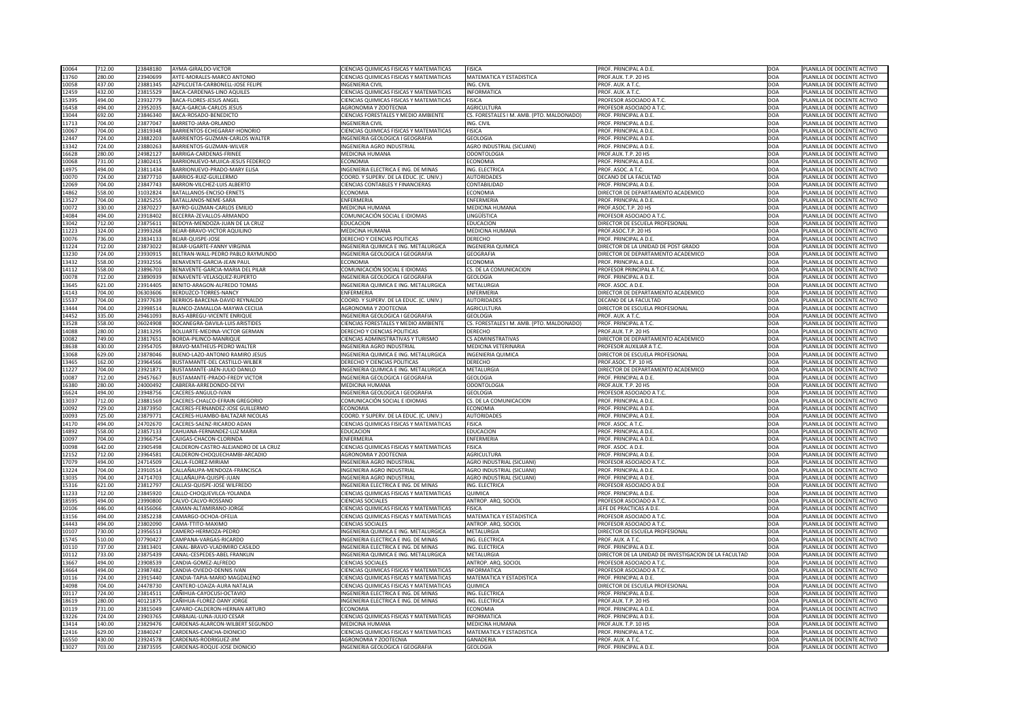| 10064          | 712.00           | 23848180             | AYMA-GIRALDO-VICTOR                                    | CIENCIAS QUIMICAS FISICAS Y MATEMATICAS                          | <b>FISICA</b>                             | PROF. PRINCIPAL A D.E                                 | DOA               | PLANILLA DE DOCENTE ACTIVO                               |
|----------------|------------------|----------------------|--------------------------------------------------------|------------------------------------------------------------------|-------------------------------------------|-------------------------------------------------------|-------------------|----------------------------------------------------------|
| 13760          | 280.00           | 23940699             | <b>AYTE-MORALES-MARCO ANTONIO</b>                      | CIENCIAS QUIMICAS FISICAS Y MATEMATICAS                          | MATEMATICA Y ESTADISTICA                  | PROF.AUX. T.P. 20 HS                                  | DOA               | PLANILLA DE DOCENTE ACTIVO                               |
|                | 437.00           | 23881345             |                                                        |                                                                  | ING. CIVIL                                |                                                       |                   |                                                          |
| 10058          |                  |                      | AZPILCUETA-CARBONELL-JOSE FELIPE                       | <b>INGENIERIA CIVIL</b>                                          |                                           | PROF. AUX. A T.C.                                     | DOA               | PLANILLA DE DOCENTE ACTIVO                               |
| 12459          | 432.00           | 23815529             | <b>BACA-CARDENAS-LINO AQUILES</b>                      | CIENCIAS QUIMICAS FISICAS Y MATEMATICAS                          | <b>INFORMATICA</b>                        | PROF. AUX. A T.C.                                     | DOA               | PLANILLA DE DOCENTE ACTIVO                               |
| 15395          | 494.00           | 23932779             | <b>BACA-FLORES-JESUS ANGEL</b>                         | CIENCIAS QUIMICAS FISICAS Y MATEMATICAS                          | <b>FISICA</b>                             | PROFESOR ASOCIADO A T.C.                              | DOA               | PLANILLA DE DOCENTE ACTIVO                               |
| 16458          | 494.00           | 23952035             | <b>BACA-GARCIA-CARLOS JESUS</b>                        | AGRONOMIA Y ZOOTECNIA                                            | <b>AGRICULTURA</b>                        | PROFESOR ASOCIADO A T.C.                              | DOA               | PLANILLA DE DOCENTE ACTIVO                               |
| 13044          | 692.00           | 23846340             | BACA-ROSADO-BENEDICTO                                  | CIENCIAS FORESTALES Y MEDIO AMBIENTE                             | CS. FORESTALES I M. AMB. (PTO. MALDONADO) | PROF. PRINCIPAL A D.E                                 | DOA               | PLANILLA DE DOCENTE ACTIVO                               |
| 11713          | 704.00           | 2387704              | BARRETO-JARA-ORLANDO                                   | <b>INGENIERIA CIVIL</b>                                          | ING. CIVIL                                | PROF. PRINCIPAL A D.E                                 | DOA               | PLANILLA DE DOCENTE ACTIVO                               |
| 10067          | 704.00           | 23819348             | BARRIENTOS-ECHEGARAY-HONORIO                           | CIENCIAS QUIMICAS FISICAS Y MATEMATICAS                          | <b>FISICA</b>                             | PROF. PRINCIPAL A D.E                                 | DOA               | PLANILLA DE DOCENTE ACTIVO                               |
| 12447          | 724.00           | 23882203             | <b>BARRIENTOS-GUZMAN-CARLOS WALTER</b>                 | INGENIERIA GEOLOGICA I GEOGRAFIA                                 | <b>GEOLOGIA</b>                           | PROF. PRINCIPAL A D.E                                 | DOA               | PLANILLA DE DOCENTE ACTIVO                               |
| 13342          | 724.00           | 23880263             | BARRIENTOS-GUZMAN-WILVER                               | <b>INGENIERIA AGRO INDUSTRIAL</b>                                | <b>AGRO INDUSTRIAL (SICUANI)</b>          | PROF. PRINCIPAL A D.E                                 | DOA               | PLANILLA DE DOCENTE ACTIVO                               |
|                |                  |                      |                                                        |                                                                  |                                           |                                                       |                   |                                                          |
| 16628          | 280.00           | 24982127             | BARRIGA-CARDENAS-FRINEE                                | MEDICINA HUMANA                                                  | <b>ODONTOLOGIA</b>                        | PROF.AUX. T.P. 20 HS                                  | DOA               | PLANILLA DE DOCENTE ACTIVO                               |
| 10068          | 731.00           | 23802415             | BARRIONUEVO-MUJICA-JESUS FEDERICO                      | ECONOMIA                                                         | <b>ECONOMIA</b>                           | PROF. PRINCIPAL A D.E                                 | DOA               | PLANILLA DE DOCENTE ACTIVO                               |
| 14975          | 494.00           | 23811434             | <b>BARRIONUEVO-PRADO-MARY ELISA</b>                    | NGENIERIA ELECTRICA E ING. DE MINAS                              | <b>ING. ELECTRICA</b>                     | PROF. ASOC. A T.C.                                    | DOA               | PLANILLA DE DOCENTE ACTIVO                               |
| 10070          | 724.00           | 23877710             | <b>BARRIOS-RUIZ-GUILLERMO</b>                          | COORD. Y SUPERV. DE LA EDUC. (C. UNIV.)                          | <b>AUTORIDADES</b>                        | <b>DECANO DE LA FACULTAD</b>                          | DOA               | PLANILLA DE DOCENTE ACTIVO                               |
| 12069          | 704.00           | 23847743             | <b>BARRON-VILCHEZ-LUIS ALBERTO</b>                     | <b>CIENCIAS CONTABLES Y FINANCIERAS</b>                          | <b>CONTABILIDAD</b>                       | PROF. PRINCIPAL A D.E.                                | DOA               | PLANILLA DE DOCENTE ACTIVO                               |
| 14862          | 558.00           | 31032824             | BATALLANOS-ENCISO-ERNETS                               | ECONOMIA                                                         | <b>ECONOMIA</b>                           | DIRECTOR DE DEPARTAMENTO ACADEMICO                    | DOA               | PLANILLA DE DOCENTE ACTIVO                               |
| 13527          | 704.00           | 23825255             | BATALLANOS-NEME-SARA                                   | ENFERMERIA                                                       | ENFERMERIA                                | PROF. PRINCIPAL A D.E                                 | DOA               | PLANILLA DE DOCENTE ACTIVO                               |
| 10072          | 330.00           | 23870227             | <b>BAYRO-GUZMAN-CARLOS EMILIO</b>                      | MEDICINA HUMANA                                                  | <b>MEDICINA HUMANA</b>                    | PROF.ASOC.T.P. 20 HS                                  | DOA               | PLANILLA DE DOCENTE ACTIVO                               |
| 14084          | 494.00           | 23918402             | BECERRA-ZEVALLOS-ARMANDO                               | COMUNICACIÓN SOCIAL E IDIOMAS                                    | LINGÜÍSTICA                               | PROFESOR ASOCIADO A T.C.                              | DOA               | PLANILLA DE DOCENTE ACTIVO                               |
|                | 712.00           | 23875611             |                                                        |                                                                  |                                           |                                                       | DOA               |                                                          |
| 13042          |                  |                      | BEDOYA-MENDOZA-JUAN DE LA CRUZ                         | <b>EDUCACION</b>                                                 | <b>EDUCACION</b>                          | DIRECTOR DE ESCUELA PROFESIONAL                       |                   | PLANILLA DE DOCENTE ACTIVO                               |
| 11223          | 324.00           | 23993268             | BEJAR-BRAVO-VICTOR AQUILINO                            | MEDICINA HUMANA                                                  | <b>MEDICINA HUMANA</b>                    | PROF.ASOC.T.P. 20 HS                                  | DOA               | PLANILLA DE DOCENTE ACTIVO                               |
| 10076          | 736.00           | 23834133             | BEJAR-QUISPE-JOSE                                      | DERECHO Y CIENCIAS POLITICAS                                     | <b>DERECHO</b>                            | PROF. PRINCIPAL A D.E.                                | DOA               | PLANILLA DE DOCENTE ACTIVO                               |
| 11224          | 712.00           | 23873022             | BEJAR-UGARTE-FANNY VIRGINIA                            | INGENIERIA QUIMICA E ING. METALURGICA                            | <b>INGENIERIA QUIMICA</b>                 | DIRECTOR DE LA UNIDAD DE POST GRADO                   | DOA               | PLANILLA DE DOCENTE ACTIVO                               |
| 13230          | 724.00           | 23930915             | BELTRAN-WALL-PEDRO PABLO RAYMUNDO                      | INGENIERIA GEOLOGICA I GEOGRAFIA                                 | <b>GEOGRAFIA</b>                          | DIRECTOR DE DEPARTAMENTO ACADEMICO                    | DOA               | PLANILLA DE DOCENTE ACTIVO                               |
| 13432          | 558.00           | 23932556             | <b>BENAVENTE-GARCIA-JEAN PAUL</b>                      | <b>ECONOMIA</b>                                                  | <b>ECONOMIA</b>                           | PROF. PRINCIPAL A D.E.                                | DOA               | PLANILLA DE DOCENTE ACTIVO                               |
| 14112          | 558.00           | 23896703             | BENAVENTE-GARCIA-MARIA DEL PILAR                       | COMUNICACIÓN SOCIAL E IDIOMAS                                    | CS. DE LA COMUNICACION                    | PROFESOR PRINCIPAL A T.C.                             | DOA               | PLANILLA DE DOCENTE ACTIVO                               |
| 10078          | 712.00           | 23890939             | BENAVENTE-VELASQUEZ-RUPERTO                            | NGENIERIA GEOLOGICA I GEOGRAFIA                                  | <b>GEOLOGIA</b>                           | PROF. PRINCIPAL A D.E.                                | DOA               | PLANILLA DE DOCENTE ACTIVO                               |
| 13645          | 621.00           | 23914405             | BENITO-ARAGON-ALFREDO TOMAS                            | INGENIERIA QUIMICA E ING. METALURGICA                            | <b>METALURGIA</b>                         | PROF. ASOC. A D.E.                                    | DOA               | PLANILLA DE DOCENTE ACTIVO                               |
|                |                  |                      |                                                        |                                                                  |                                           |                                                       |                   |                                                          |
| 14143          | 704.00           | 06303606             | BERDUZCO-TORRES-NANCY                                  | ENFERMERIA                                                       | <b>ENFERMERIA</b>                         | DIRECTOR DE DEPARTAMENTO ACADEMICO                    | DOA               | PLANILLA DE DOCENTE ACTIVO                               |
| 15537          | 704.00           | 23977639             | BERRIOS-BARCENA-DAVID REYNALDO                         | COORD. Y SUPERV. DE LA EDUC. (C. UNIV.)                          | <b>AUTORIDADES</b>                        | DECANO DE LA FACULTAD                                 | <b>DOA</b>        | PLANILLA DE DOCENTE ACTIVO                               |
| 13444          | 704.00           | 23998514             | BLANCO-ZAMALLOA-MAYWA CECILIA                          | AGRONOMIA Y ZOOTECNIA                                            | AGRICULTURA                               | DIRECTOR DE ESCUELA PROFESIONAL                       | <b>DOA</b>        | PLANILLA DE DOCENTE ACTIVO                               |
| 14452          | 335.00           | 29461093             | <b>BLAS-ABREGU-VICENTE ENRIQUE</b>                     | INGENIERIA GEOLOGICA I GEOGRAFIA                                 | <b>GEOLOGIA</b>                           | PROF. AUX. A T.C.                                     | DOA               | PLANILLA DE DOCENTE ACTIVO                               |
| 13528          | 558.00           | 06024908             | <b>BOCANEGRA-DAVILA-LUIS ARISTIDES</b>                 | <b>CIENCIAS FORESTALES Y MEDIO AMBIENTE</b>                      | CS. FORESTALES I M. AMB. (PTO. MALDONADO) | PROF. PRINCIPAL A T.C.                                | DOA               | PLANILLA DE DOCENTE ACTIVO                               |
| 14088          | 280.00           | 23813295             | <b>BOLUARTE-MEDINA-VICTOR GERMAN</b>                   | DERECHO Y CIENCIAS POLITICAS                                     | <b>DERECHO</b>                            | PROF.AUX. T.P. 20 HS                                  | DOA               | PLANILLA DE DOCENTE ACTIVO                               |
| 10082          | 749.00           | 23817651             | BORDA-PILINCO-MANRIQUE                                 | CIENCIAS ADMINISTRATIVAS Y TURISMO                               | <b>CS ADMINISTRATIVAS</b>                 | DIRECTOR DE DEPARTAMENTO ACADEMICO                    | DOA               | PLANILLA DE DOCENTE ACTIVO                               |
| 18638          | 430.00           | 23954705             | <b>BRAVO-MATHEUS-PEDRO WALTER</b>                      | INGENIERIA AGRO INDUSTRIAL                                       | <b>MEDICINA VETERINARIA</b>               | PROFESOR AUXILIAR A T.C.                              | DOA               | PLANILLA DE DOCENTE ACTIVO                               |
| 13068          | 629.00           |                      |                                                        | INGENIERIA QUIMICA E ING. METALURGICA                            | <b>INGENIERIA QUIMICA</b>                 | DIRECTOR DE ESCUELA PROFESIONAL                       | DOA               |                                                          |
|                |                  | 23878046             | BUENO-LAZO-ANTONIO RAMIRO JESUS                        |                                                                  |                                           |                                                       |                   |                                                          |
|                |                  |                      |                                                        |                                                                  |                                           |                                                       |                   | PLANILLA DE DOCENTE ACTIVO                               |
| 13465          | 162.00           | 23964566             | <b>BUSTAMANTE-DEL CASTILLO-WILBER</b>                  | DERECHO Y CIENCIAS POLITICAS                                     | <b>DERECHO</b>                            | PROF.ASOC. T.P. 10 HS                                 | DOA               | PLANILLA DE DOCENTE ACTIVO                               |
| 11227          | 704.00           | 23921871             | <b>BUSTAMANTE-JAEN-JULIO DANILO</b>                    | INGENIERIA QUIMICA E ING. METALURGICA                            | METALURGIA                                | DIRECTOR DE DEPARTAMENTO ACADEMICO                    | DOA               | PLANILLA DE DOCENTE ACTIVO                               |
| 10087          | 712.00           | 29457667             | <b>BUSTAMANTE-PRADO-FREDY VICTOR</b>                   | INGENIERIA GEOLOGICA I GEOGRAFIA                                 | <b>GEOLOGIA</b>                           | PROF. PRINCIPAL A D.E                                 | DOA               | PLANILLA DE DOCENTE ACTIVO                               |
| 16380          | 280.00           | 24000492             | CABRERA-ARREDONDO-DEYVI                                | MEDICINA HUMANA                                                  | <b>ODONTOLOGIA</b>                        | PROF.AUX. T.P. 20 HS                                  | DOA               | PLANILLA DE DOCENTE ACTIVO                               |
| 16624          | 494.00           | 23948756             | CACERES-ANGULO-IVAN                                    | INGENIERIA GEOLOGICA I GEOGRAFIA                                 | <b>GEOLOGIA</b>                           | PROFESOR ASOCIADO A T.C.                              | DOA               | PLANILLA DE DOCENTE ACTIVO                               |
|                |                  |                      |                                                        |                                                                  |                                           |                                                       |                   |                                                          |
| 13037          | 712.00           | 23881569             | CACERES-CHALCO-EFRAIN GREGORIO                         | COMUNICACIÓN SOCIAL E IDIOMAS                                    | CS. DE LA COMUNICACION                    | PROF. PRINCIPAL A D.E                                 | DOA               | PLANILLA DE DOCENTE ACTIVO                               |
| 10092          | 729.00           | 23873950             | CACERES-FERNANDEZ-JOSE GUILLERMO                       | <b>ECONOMIA</b>                                                  | <b>ECONOMIA</b>                           | PROF. PRINCIPAL A D.E.                                | DOA               | PLANILLA DE DOCENTE ACTIVO                               |
| 10093          | 725.00           | 23879771             | CACERES-HUAMBO-BALTAZAR NICOLAS                        | COORD. Y SUPERV. DE LA EDUC. (C. UNIV.)                          | <b>AUTORIDADES</b>                        | PROF. PRINCIPAL A D.E                                 | DOA               | PLANILLA DE DOCENTE ACTIVO                               |
| 14170          | 494.00           | 24702670             | CACERES-SAENZ-RICARDO ADAN                             | CIENCIAS QUIMICAS FISICAS Y MATEMATICAS                          | <b>FISICA</b>                             | PROF. ASOC. A T.C.                                    | DOA               | PLANILLA DE DOCENTE ACTIVO                               |
| 14892          | 558.00           | 23857133             | CAHUANA-FERNANDEZ-LUZ MARIA                            | <b>EDUCACION</b>                                                 | <b>EDUCACION</b>                          | PROF. PRINCIPAL A D.E                                 | DOA               | PLANILLA DE DOCENTE ACTIVO                               |
| 10097          | 704.00           | 23966754             | CAJIGAS-CHACON-CLORINDA                                | <b>ENFERMERIA</b>                                                | <b>ENFERMERIA</b>                         | PROF. PRINCIPAL A D.E                                 | DOA               | PLANILLA DE DOCENTE ACTIVO                               |
| 10098          | 642.00           | 23905498             | CALDERON-CASTRO-ALEJANDRO DE LA CRUZ                   | CIENCIAS QUIMICAS FISICAS Y MATEMATICAS                          | <b>FISICA</b>                             | PROF. ASOC. A D.E.                                    | DOA               | PLANILLA DE DOCENTE ACTIVO                               |
| 12152          | 712.00           | 23964581             | CALDERON-CHOQUECHAMBI-ARCADIO                          | AGRONOMIA Y ZOOTECNIA                                            | AGRICULTURA                               | PROF. PRINCIPAL A D.E.                                | DOA               | PLANILLA DE DOCENTE ACTIVO                               |
| 17079          | 494.00           | 24714509             | CALLA-FLOREZ-MIRIAM                                    | <b>INGENIERIA AGRO INDUSTRIAL</b>                                | AGRO INDUSTRIAL (SICUANI)                 | PROFESOR ASOCIADO A T.C.                              | DOA               | PLANILLA DE DOCENTE ACTIVO                               |
| 13224          | 704.00           | 23910514             | CALLAÑAUPA-MENDOZA-FRANCISCA                           | INGENIERIA AGRO INDUSTRIAL                                       | <b>AGRO INDUSTRIAL (SICUANI)</b>          | PROF. PRINCIPAL A D.E                                 | DOA               | PLANILLA DE DOCENTE ACTIVO                               |
|                | 704.00           |                      |                                                        |                                                                  |                                           |                                                       |                   |                                                          |
| 13035          |                  | 24714703             | CALLAÑAUPA-QUISPE-JUAN                                 | INGENIERIA AGRO INDUSTRIAL                                       | AGRO INDUSTRIAL (SICUANI)                 | PROF. PRINCIPAL A D.E.                                | DOA               | PLANILLA DE DOCENTE ACTIVO                               |
| 15316          | 621.00           | 23812797             | CALLASI-QUISPE-JOSE WILFREDO                           | INGENIERIA ELECTRICA E ING. DE MINAS                             | ING. ELECTRICA                            | PROFESOR ASOCIADO A D.E                               | DOA               | PLANILLA DE DOCENTE ACTIVO                               |
| 11233          | 712.00           | 23845920             | CALLO-CHOQUEVILCA-YOLANDA                              | CIENCIAS QUIMICAS FISICAS Y MATEMATICAS                          | <b>QUIMICA</b>                            | PROF. PRINCIPAL A D.E                                 | DOA               | PLANILLA DE DOCENTE ACTIVO                               |
| 18595          | 494.00           | 23990800             | CALVO-CALVO-ROSSANO                                    | <b>CIENCIAS SOCIALES</b>                                         | ANTROP. ARQ. SOCIOL                       | PROFESOR ASOCIADO A T.C.                              | DOA               | PLANILLA DE DOCENTE ACTIVO                               |
| 10106          | 446.00           | 44356066             | CAMAN-ALTAMIRANO-JORGE                                 | CIENCIAS QUIMICAS FISICAS Y MATEMATICAS                          | <b>FISICA</b>                             | JEFE DE PRACTICAS A D.E                               | DOA               | PLANILLA DE DOCENTE ACTIVO                               |
| 13156          | 494.00           | 23852238             | CAMARGO-OCHOA-OFELIA                                   | CIENCIAS QUIMICAS FISICAS Y MATEMATICAS                          | MATEMATICA Y ESTADISTICA                  | PROFESOR ASOCIADO A T.C.                              | DOA               | PLANILLA DE DOCENTE ACTIVO                               |
| 14443          | 494.00           | 23802090             | CAMA-TTITO-MAXIMO                                      | <b>CIENCIAS SOCIALES</b>                                         | ANTROP. ARQ. SOCIOL                       | PROFESOR ASOCIADO A T.C.                              | DOA               | PLANILLA DE DOCENTE ACTIVO                               |
| 10107          | 730.00           | 23956513             | CAMERO-HERMOZA-PEDRO                                   | INGENIERIA QUIMICA E ING. METALURGICA                            | <b>METALURGIA</b>                         | DIRECTOR DE ESCUELA PROFESIONAL                       | DOA               | PLANILLA DE DOCENTE ACTIVO                               |
| 15745          | 510.00           | 07790427             | CAMPANA-VARGAS-RICARDO                                 | INGENIERIA ELECTRICA E ING. DE MINAS                             | ING. ELECTRICA                            | PROF. AUX. A T.C.                                     | DOA               | PLANILLA DE DOCENTE ACTIVO                               |
|                |                  |                      |                                                        |                                                                  |                                           |                                                       |                   |                                                          |
| 10110          | 737.00           | 23813401             | CANAL-BRAVO-VLADIMIRO CASILDO                          | INGENIERIA ELECTRICA E ING. DE MINAS                             | ING. ELECTRICA                            | PROF. PRINCIPAL A D.E.                                | <b>DOA</b>        | PLANILLA DE DOCENTE ACTIVO                               |
|                | 733.00           |                      | 23875439 CANAL-CESPEDES-ABEL FRANKLIN                  | INGENIERIA QUIMICA E ING. METALURGICA                            | METALURGIA                                | DIRECTOR DE LA UNIDAD DE INVESTIGACION DE LA FACULTAD | <b>DOA</b>        | PLANILLA DE DOCENTE ACTIVO                               |
| 13667          | 494.00           | 23908539             | CANDIA-GOMEZ-ALFREDO                                   | <b>CIENCIAS SOCIALES</b>                                         | ANTROP. ARQ. SOCIOL                       | PROFESOR ASOCIADO A T.C.                              | DOA               | PLANILLA DE DOCENTE ACTIVO                               |
| 10112<br>14664 | 494.00           | 23987482             | CANDIA-OVIEDO-DENNIS IVAN                              | CIENCIAS QUIMICAS FISICAS Y MATEMATICAS                          | <b>INFORMATICA</b>                        | <b>PROFESOR ASOCIADO A T.C.</b>                       | DOA               | PLANILLA DE DOCENTE ACTIVO                               |
| 10116          | 724.00           | 23915440             | CANDIA-TAPIA-MARIO MAGDALENO                           | CIENCIAS QUIMICAS FISICAS Y MATEMATICAS                          | MATEMATICA Y ESTADISTICA                  | PROF. PRINCIPAL A D.E.                                | DOA               | PLANILLA DE DOCENTE ACTIVO                               |
| 14098          | 704.00           | 24478730             | CANTERO-LOAIZA-AURA NATALIA                            | CIENCIAS QUIMICAS FISICAS Y MATEMATICAS                          | <b>QUIMICA</b>                            | DIRECTOR DE ESCUELA PROFESIONAL                       | DOA               | PLANILLA DE DOCENTE ACTIVO                               |
| 10117          | 724.00           | 23814511             | CAÑIHUA-CAYOCUSI-OCTAVIO                               | INGENIERIA ELECTRICA E ING. DE MINAS                             | ING. ELECTRICA                            | PROF. PRINCIPAL A D.E.                                | DOA               | PLANILLA DE DOCENTE ACTIVO                               |
| 18619          | 280.00           | 40121875             | CAÑIHUA-FLOREZ-DANY JORGE                              | INGENIERIA ELECTRICA E ING. DE MINAS                             | ING. ELECTRICA                            | PROF.AUX. T.P. 20 HS                                  | DOA               | PLANILLA DE DOCENTE ACTIVO                               |
|                | 731.00           | 23815049             | CAPARO-CALDERON-HERNAN ARTURO                          | <b>ECONOMIA</b>                                                  | ECONOMIA                                  | PROF. PRINCIPAL A D.E.                                |                   | PLANILLA DE DOCENTE ACTIVO                               |
| 10119          |                  |                      |                                                        |                                                                  |                                           |                                                       | DOA               |                                                          |
| 13226          | 724.00           | 23903765             | CARBAJAL-LUNA-JULIO CESAR                              | CIENCIAS QUIMICAS FISICAS Y MATEMATICAS                          | <b>INFORMATICA</b>                        | PROF. PRINCIPAL A D.E.                                | DOA               | PLANILLA DE DOCENTE ACTIVO                               |
| 13414          | 140.00           | 23829476             | CARDENAS-ALARCON-WILBERT SEGUNDO                       | MEDICINA HUMANA                                                  | <b>MEDICINA HUMANA</b>                    | PROF.AUX. T.P. 10 HS                                  | DOA               | PLANILLA DE DOCENTE ACTIVO                               |
| 12416          | 629.00           | 2384024              | CARDENAS-CANCHA-DIONICIO                               | CIENCIAS QUIMICAS FISICAS Y MATEMATICAS                          | MATEMATICA Y ESTADISTICA                  | PROF. PRINCIPAL A T.C.                                | DOA               | PLANILLA DE DOCENTE ACTIVO                               |
| 16550<br>13027 | 430.00<br>703.00 | 23924578<br>23873595 | CARDENAS-RODRIGUEZ-JIM<br>CARDENAS-ROQUE-JOSE DIONICIO | <b>AGRONOMIA Y ZOOTECNIA</b><br>INGENIERIA GEOLOGICA I GEOGRAFIA | GANADERIA<br><b>GEOLOGIA</b>              | PROF. AUX. A T.C.<br>PROF. PRINCIPAL A D.E.           | DOA<br><b>DOA</b> | PLANILLA DE DOCENTE ACTIVO<br>PLANILLA DE DOCENTE ACTIVO |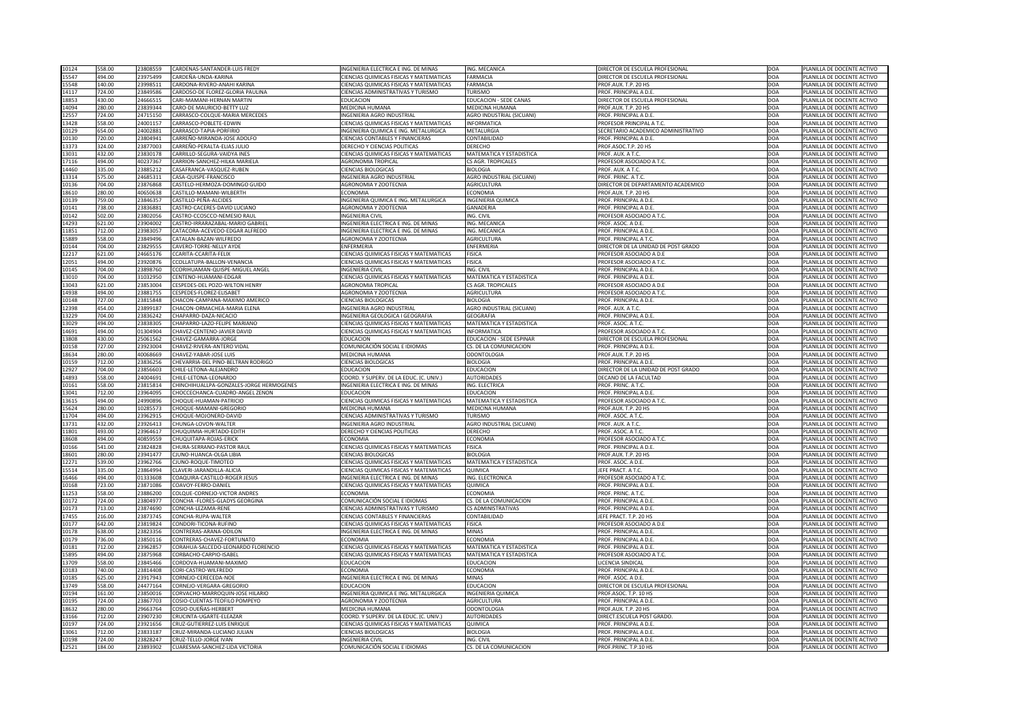| 10124          | 558.00           | 23808559             | CARDENAS-SANTANDER-LUIS FREDY                                    | INGENIERIA ELECTRICA E ING. DE MINAS                                                      | ING. MECANICA                                  | DIRECTOR DE ESCUELA PROFESIONAL                | DOA               | PLANILLA DE DOCENTE ACTIVO                               |
|----------------|------------------|----------------------|------------------------------------------------------------------|-------------------------------------------------------------------------------------------|------------------------------------------------|------------------------------------------------|-------------------|----------------------------------------------------------|
| 15547          | 494.00           | 23975499             | CARDEÑA-UNDA-KARINA                                              | <b>CIENCIAS QUIMICAS FISICAS Y MATEMATICAS</b>                                            | <b>FARMACIA</b>                                | DIRECTOR DE ESCUELA PROFESIONAL                | DOA               | PLANILLA DE DOCENTE ACTIVO                               |
| 15548          | 140.00           | 2399851              | CARDONA-RIVERO-ANAHI KARINA                                      | <b>CIENCIAS QUIMICAS FISICAS Y MATEMATICAS</b>                                            | <b>FARMACIA</b>                                | PROF.AUX. T.P. 20 HS                           | DOA               | PLANILLA DE DOCENTE ACTIVO                               |
| 14117          | 724.00           | 23849586             | CARDOSO-DE FLOREZ-GLORIA PAULINA                                 | <b>CIENCIAS ADMINISTRATIVAS Y TURISMO</b>                                                 | <b>TURISMO</b>                                 | PROF. PRINCIPAL A D.E.                         | DOA               | PLANILLA DE DOCENTE ACTIVO                               |
| 18853          | 430.00           | 24666515             | <b>CARI-MAMANI-HERNAN MARTIN</b>                                 | <b>EDUCACION</b>                                                                          | <b>EDUCACION - SEDE CANAS</b>                  | DIRECTOR DE ESCUELA PROFESIONAL                | DOA               | PLANILLA DE DOCENTE ACTIVO                               |
| 14094          | 280.00           | 23839344             | <b>CARO-DE MAURICIO-BETTY LUZ</b>                                | <b>MEDICINA HUMANA</b>                                                                    | MEDICINA HUMANA                                | PROF.AUX. T.P. 20 HS                           | DOA               | PLANILLA DE DOCENTE ACTIVO                               |
| 12557          | 724.00           | 24715150             | CARRASCO-COLQUE-MARIA MERCEDES                                   | <b>INGENIERIA AGRO INDUSTRIAL</b>                                                         | <b>AGRO INDUSTRIAL (SICUANI)</b>               | PROF. PRINCIPAL A D.E.                         | DOA               | PLANILLA DE DOCENTE ACTIVO                               |
| 13428          | 558.00           | 24001157             | CARRASCO-POBLETE-EDWIN                                           | <b>CIENCIAS QUIMICAS FISICAS Y MATEMATICAS</b>                                            | <b>INFORMATICA</b>                             | PROFESOR PRINCIPAL A T.C.                      | DOA               | PLANILLA DE DOCENTE ACTIVO                               |
| 10129          | 654.00           | 2400288              | CARRASCO-TAPIA-PORFIRIO                                          | INGENIERIA QUIMICA E ING. METALURGICA                                                     | <b>METALURGIA</b>                              | SECRETARIO ACADEMICO ADMINISTRATIVO            | DOA               | PLANILLA DE DOCENTE ACTIVO                               |
| 10130          | 720.00           | 23804941             | CARREÑO-MIRANDA-JOSE ADOLFO                                      | <b>CIENCIAS CONTABLES Y FINANCIERAS</b>                                                   | CONTABILIDAD                                   | PROF. PRINCIPAL A D.E.                         | DOA               | PLANILLA DE DOCENTE ACTIVO                               |
| 13373          | 324.00           | 23877003             | CARREÑO-PERALTA-ELIAS JULIO                                      | DERECHO Y CIENCIAS POLITICAS                                                              | <b>DERECHO</b>                                 | PROF.ASOC.T.P. 20 HS                           | DOA               | PLANILLA DE DOCENTE ACTIVO                               |
| 13031          | 432.00           | 23830178             | CARRILLO-SEGURA-VAIDYA INES                                      | <b>CIENCIAS QUIMICAS FISICAS Y MATEMATICAS</b>                                            | MATEMATICA Y ESTADISTICA                       | PROF. AUX. A T.C.                              | DOA               | PLANILLA DE DOCENTE ACTIVO                               |
| 17116          | 494.00           | 40237367             | CARRION-SANCHEZ-HILKA MARIELA                                    | <b>AGRONOMIA TROPICAL</b>                                                                 | <b>CS AGR. TROPICALES</b>                      | PROFESOR ASOCIADO A T.C.                       | DOA               | PLANILLA DE DOCENTE ACTIVO                               |
| 14460          | 335.00           | 23885212             | CASAFRANCA-VASQUEZ-RUBEN                                         | <b>CIENCIAS BIOLOGICAS</b>                                                                | <b>BIOLOGIA</b>                                | PROF. AUX. A T.C.                              | DOA               | PLANILLA DE DOCENTE ACTIVO                               |
| 13314          | 575.00           | 2468531              | CASA-QUISPE-FRANCISCO                                            | <b>INGENIERIA AGRO INDUSTRIAL</b>                                                         | <b>AGRO INDUSTRIAL (SICUANI)</b>               | PROF. PRINC. A T.C.                            | DOA               | PLANILLA DE DOCENTE ACTIVO                               |
| 10136          | 704.00           | 23876868             | CASTELO-HERMOZA-DOMINGO GUIDO                                    | AGRONOMIA Y ZOOTECNIA                                                                     | <b>AGRICULTURA</b>                             | DIRECTOR DE DEPARTAMENTO ACADEMICO             | DOA               | PLANILLA DE DOCENTE ACTIVO                               |
| 18610          | 280.00           | 40650638             | CASTILLO-MAMANI-WILBERTH                                         | <b>ECONOMIA</b>                                                                           | <b>ECONOMIA</b>                                | PROF.AUX. T.P. 20 HS                           | DOA               | PLANILLA DE DOCENTE ACTIVO                               |
| 10139          | 759.00           | 23846357             | CASTILLO-PEÑA-ALCIDES                                            | INGENIERIA QUIMICA E ING. METALURGICA                                                     | <b>INGENIERIA QUIMICA</b>                      | PROF. PRINCIPAL A D.E.                         | DOA               | PLANILLA DE DOCENTE ACTIVO                               |
| 10141          | 738.00           | 2383688              | CASTRO-CACERES-DAVID LUCIANO                                     | <b>AGRONOMIA Y ZOOTECNIA</b>                                                              | <b>GANADERIA</b>                               | PROF. PRINCIPAL A D.E.                         | DOA               | PLANILLA DE DOCENTE ACTIVO                               |
| 10142          | 502.00           | 23802056             | CASTRO-CCOSCCO-NEMESIO RAUL                                      | <b>INGENIERIA CIVIL</b>                                                                   | ING. CIVIL                                     | PROFESOR ASOCIADO A T.C.                       | DOA               | PLANILLA DE DOCENTE ACTIVO                               |
| 14293          | 621.00           | 23904002             | CASTRO-IRRARAZABAL-MARIO GABRIEL                                 | INGENIERIA ELECTRICA E ING. DE MINAS                                                      | ING. MECANICA                                  | PROF. ASOC. A D.E.                             | DOA               | PLANILLA DE DOCENTE ACTIVO                               |
| 11851          | 712.00           | 23983057             | CATACORA-ACEVEDO-EDGAR ALFREDO                                   | INGENIERIA ELECTRICA E ING. DE MINAS                                                      | ING. MECANICA                                  | PROF. PRINCIPAL A D.E.                         | DOA               | PLANILLA DE DOCENTE ACTIVO                               |
| 15889          | 558.00           | 23849496             | CATALAN-BAZAN-WILFREDO                                           | AGRONOMIA Y ZOOTECNIA                                                                     | <b>AGRICULTURA</b>                             | PROF. PRINCIPAL A T.C.                         | DOA               | PLANILLA DE DOCENTE ACTIVO                               |
| 10144          | 704.00           | 23829555             | <b>CAVERO-TORRE-NELLY AYDE</b>                                   | <b>ENFERMERIA</b>                                                                         | ENFERMERIA                                     | DIRECTOR DE LA UNIDAD DE POST GRADO            | DOA               | PLANILLA DE DOCENTE ACTIVO                               |
| 12217          | 621.00           | 24665176             | <b>CCARITA-CCARITA-FELIX</b>                                     | <b>CIENCIAS QUIMICAS FISICAS Y MATEMATICAS</b>                                            | <b>FISICA</b>                                  | PROFESOR ASOCIADO A D.E                        | DOA               | PLANILLA DE DOCENTE ACTIVO                               |
| 12051          | 494.00           | 23920876             | CCOLLATUPA-BALLON-VENANCIA                                       | CIENCIAS QUIMICAS FISICAS Y MATEMATICAS                                                   | <b>FISICA</b>                                  | PROFESOR ASOCIADO A T.C.                       | DOA               | PLANILLA DE DOCENTE ACTIVO                               |
| 10145          | 704.00           | 23898760             | CCORIHUAMAN-QUISPE-MIGUEL ANGEL                                  | <b>INGENIERIA CIVIL</b>                                                                   | ING. CIVIL                                     | PROF. PRINCIPAL A D.E.                         | DOA               | PLANILLA DE DOCENTE ACTIVO                               |
| 13010          | 704.00           | 31032950             | CENTENO-HUAMANI-EDGAR                                            | CIENCIAS QUIMICAS FISICAS Y MATEMATICAS                                                   | MATEMATICA Y ESTADISTICA                       | PROF. PRINCIPAL A D.E.                         | DOA               | PLANILLA DE DOCENTE ACTIVO                               |
| 13043          | 621.00           | 23853004             | CESPEDES-DEL POZO-WILTON HENRY                                   | <b>AGRONOMIA TROPICAL</b>                                                                 | <b>CS AGR. TROPICALES</b>                      | PROFESOR ASOCIADO A D.E                        | DOA               | PLANILLA DE DOCENTE ACTIVO                               |
| 14938          | 494.00           | 23881755             | CESPEDES-FLOREZ-ELISABET                                         | <b>AGRONOMIA Y ZOOTECNIA</b>                                                              | <b>AGRICULTURA</b>                             | PROFESOR ASOCIADO A T.C.                       | DOA               | PLANILLA DE DOCENTE ACTIVO                               |
| 10148          | 727.00           | 23815848             | CHACON-CAMPANA-MAXIMO AMERICO                                    | <b>CIENCIAS BIOLOGICAS</b>                                                                | <b>BIOLOGIA</b>                                | PROF. PRINCIPAL A D.E.                         | DOA               | PLANILLA DE DOCENTE ACTIVO                               |
| 12398          | 454.00           | 23899187             | CHACON-ORMACHEA-MARIA ELENA                                      | <b>INGENIERIA AGRO INDUSTRIAL</b>                                                         | AGRO INDUSTRIAL (SICUANI)                      | PROF. AUX. A T.C.                              | <b>DOA</b>        | PLANILLA DE DOCENTE ACTIVO                               |
| 13229          | 704.00           | 23836242             | CHAPARRO-DAZA-NICACIO                                            | INGENIERIA GEOLOGICA I GEOGRAFIA                                                          | <b>GEOGRAFIA</b>                               | PROF. PRINCIPAL A D.E.                         | DOA               | PLANILLA DE DOCENTE ACTIVO                               |
| 13029          | 494.00<br>494.00 | 23838305<br>01304904 | CHAPARRO-LAZO-FELIPE MARIANO                                     | <b>CIENCIAS QUIMICAS FISICAS Y MATEMATICAS</b><br>CIENCIAS QUIMICAS FISICAS Y MATEMATICAS | MATEMATICA Y ESTADISTICA<br><b>INFORMATICA</b> | PROF. ASOC. A T.C.<br>PROFESOR ASOCIADO A T.C. | DOA<br>DOA        | PLANILLA DE DOCENTE ACTIVO<br>PLANILLA DE DOCENTE ACTIVO |
| 14691<br>13808 | 430.00           | 25061562             | CHAVEZ-CENTENO-JAVIER DAVID<br>CHAVEZ-GAMARRA-JORGE              | <b>EDUCACION</b>                                                                          | <b>EDUCACION - SEDE ESPINAR</b>                | DIRECTOR DE ESCUELA PROFESIONAL                | DOA               | PLANILLA DE DOCENTE ACTIVO                               |
|                | 727.00           | 23923004             | CHAVEZ-RIVERA-ANTERO VIDAL                                       | COMUNICACIÓN SOCIAL E IDIOMAS                                                             | CS. DE LA COMUNICACION                         | PROF. PRINCIPAL A D.E.                         | DOA               | PLANILLA DE DOCENTE ACTIVO                               |
| 10158<br>18634 | 280.00           | 40068669             | CHAVEZ-YABAR-JOSE LUIS                                           | <b>MEDICINA HUMANA</b>                                                                    | <b>ODONTOLOGIA</b>                             | PROF.AUX. T.P. 20 HS                           | DOA               | PLANILLA DE DOCENTE ACTIVO                               |
| 10159          | 712.00           | 23836256             | CHEVARRIA-DEL PINO-BELTRAN RODRIGO                               | <b>CIENCIAS BIOLOGICAS</b>                                                                | <b>BIOLOGIA</b>                                | PROF. PRINCIPAL A D.E.                         | DOA               | PLANILLA DE DOCENTE ACTIVO                               |
| 12927          | 704.00           | 23856603             | CHILE-LETONA-ALEJANDRO                                           | <b>EDUCACION</b>                                                                          | <b>EDUCACION</b>                               | DIRECTOR DE LA UNIDAD DE POST GRADO            | DOA               | PLANILLA DE DOCENTE ACTIVO                               |
| 14893          | 558.00           | 2400469:             | CHILE-LETONA-LEONARDO                                            | COORD. Y SUPERV. DE LA EDUC. (C. UNIV.)                                                   | <b>AUTORIDADES</b>                             | DECANO DE LA FACULTAD                          | DOA               | PLANILLA DE DOCENTE ACTIVO                               |
| 10161          | 558.00           | 23815814             | CHINCHIHUALLPA-GONZALES-JORGE HERMOGENES                         | INGENIERIA ELECTRICA E ING. DE MINAS                                                      | ING. ELECTRICA                                 | PROF. PRINC. A T.C.                            | DOA               | PLANILLA DE DOCENTE ACTIVO                               |
| 13041          | 712.00           | 23964095             | CHOCCECHANCA-CUADRO-ANGEL ZENON                                  | <b>EDUCACION</b>                                                                          | <b>EDUCACION</b>                               | PROF. PRINCIPAL A D.E.                         | DOA               | PLANILLA DE DOCENTE ACTIVO                               |
| 13615          | 494.00           | 24990896             | CHOQUE-HUAMAN-PATRICIO                                           | <b>CIENCIAS QUIMICAS FISICAS Y MATEMATICAS</b>                                            | MATEMATICA Y ESTADISTICA                       | PROFESOR ASOCIADO A T.C.                       | DOA               | PLANILLA DE DOCENTE ACTIVO                               |
| 15624          | 280.00           | 10285573             | CHOQUE-MAMANI-GREGORIO                                           | <b>MEDICINA HUMANA</b>                                                                    | MEDICINA HUMANA                                | PROF.AUX. T.P. 20 HS                           | DOA               | PLANILLA DE DOCENTE ACTIVO                               |
| 11704          | 494.00           | 23962915             | CHOQUE-MOJONERO-DAVID                                            | <b>CIENCIAS ADMINISTRATIVAS Y TURISMO</b>                                                 | <b>TURISMO</b>                                 | PROF. ASOC. A T.C.                             | DOA               | PLANILLA DE DOCENTE ACTIVO                               |
| 13731          | 432.00           | 23926413             | CHUNGA-LOVON-WALTER                                              | <b>INGENIERIA AGRO INDUSTRIAL</b>                                                         | <b>AGRO INDUSTRIAL (SICUANI)</b>               | PROF. AUX. A T.C.                              | DOA               | PLANILLA DE DOCENTE ACTIVO                               |
| 11801          | 493.00           | 23964617             | CHUQUIMIA-HURTADO-EDITH                                          | DERECHO Y CIENCIAS POLITICAS                                                              | <b>DERECHO</b>                                 | PROF. ASOC. A T.C.                             | DOA               | PLANILLA DE DOCENTE ACTIVO                               |
| 18608          | 494.00           | 40859559             | <b>CHUQUITAPA-ROJAS-ERICK</b>                                    | <b>ECONOMIA</b>                                                                           | <b>ECONOMIA</b>                                | PROFESOR ASOCIADO A T.C.                       | DOA               | PLANILLA DE DOCENTE ACTIVO                               |
| 10166          | 541.00           | 23824828             | <b>CHURA-SERRANO-PASTOR RAUL</b>                                 | <b>CIENCIAS QUIMICAS FISICAS Y MATEMATICAS</b>                                            | <b>FISICA</b>                                  | PROF. PRINCIPAL A D.E.                         | DOA               | PLANILLA DE DOCENTE ACTIVO                               |
| 18601          | 280.00           | 23941477             | <b>CJUNO-HUANCA-OLGA LIBIA</b>                                   | <b>CIENCIAS BIOLOGICAS</b>                                                                | <b>BIOLOGIA</b>                                | PROF.AUX. T.P. 20 HS                           | DOA               | PLANILLA DE DOCENTE ACTIVO                               |
| 12271          | 539.00           | 23962766             | CJUNO-ROQUE-TIMOTEO                                              | CIENCIAS QUIMICAS FISICAS Y MATEMATICAS                                                   | <b>MATEMATICA Y ESTADISTICA</b>                | PROF. ASOC. A D.E.                             | DOA               | PLANILLA DE DOCENTE ACTIVO                               |
| 15514          | 335.00           | 23864994             | CLAVERI-JARANDILLA-ALICIA                                        | CIENCIAS QUIMICAS FISICAS Y MATEMATICAS                                                   | <b>QUIMICA</b>                                 | JEFE PRACT. A T.C.                             | DOA               | PLANILLA DE DOCENTE ACTIVO                               |
| 16466          | 494.00           | 01333608             | COAQUIRA-CASTILLO-ROGER JESUS                                    | INGENIERIA ELECTRICA E ING. DE MINAS                                                      | ING. ELECTRONICA                               | PROFESOR ASOCIADO A T.C.                       | DOA               | PLANILLA DE DOCENTE ACTIVO                               |
| 10168          | 723.00           | 23871086             | COAVOY-FERRO-DANIEL                                              | <b>CIENCIAS QUIMICAS FISICAS Y MATEMATICAS</b>                                            | <b>QUIMICA</b>                                 | PROF. PRINCIPAL A D.E.                         | DOA               | PLANILLA DE DOCENTE ACTIVO                               |
| 11253          | 558.00           | 23886200             | COLQUE-CORNEJO-VICTOR ANDRES                                     | <b>ECONOMIA</b>                                                                           | <b>ECONOMIA</b>                                | PROF. PRINC. A T.C.                            | DOA               | PLANILLA DE DOCENTE ACTIVO                               |
| 10172          | 724.00           | 23804977             | CONCHA - FLORES-GLADYS GEORGINA                                  | COMUNICACIÓN SOCIAL E IDIOMAS                                                             | CS. DE LA COMUNICACION                         | PROF. PRINCIPAL A D.E.                         | DOA               | PLANILLA DE DOCENTE ACTIVO                               |
| 10173          | 713.00           | 23874690             | CONCHA-LEZAMA-RENE                                               | <b>CIENCIAS ADMINISTRATIVAS Y TURISMO</b>                                                 | <b>CS ADMINISTRATIVAS</b>                      | PROF. PRINCIPAL A D.E.                         | DOA               | PLANILLA DE DOCENTE ACTIVO                               |
| 17455          | 216.00           | 23873745             | <b>CONCHA-RUPA-WALTER</b>                                        | CIENCIAS CONTABLES Y FINANCIERAS                                                          | CONTABILIDAD                                   | JEFE PRACT. T.P. 20 HS                         | DOA               | PLANILLA DE DOCENTE ACTIVO                               |
| 10177          | 642.00           | 23819824             | CONDORI-TICONA-RUFINO                                            | CIENCIAS QUIMICAS FISICAS Y MATEMATICAS                                                   | <b>FISICA</b>                                  | PROFESOR ASOCIADO A D.E                        | DOA               | PLANILLA DE DOCENTE ACTIVO                               |
| 10178          | 638.00           | 23823356             | CONTRERAS-ARANA-ODILON                                           | INGENIERIA ELECTRICA E ING. DE MINAS                                                      | <b>MINAS</b>                                   | PROF. PRINCIPAL A D.E.                         | DOA               | PLANILLA DE DOCENTE ACTIVO                               |
| 10179          | 736.00           | 23850116             | CONTRERAS-CHAVEZ-FORTUNATO                                       | <b>ECONOMIA</b>                                                                           | <b>ECONOMIA</b>                                | PROF. PRINCIPAL A D.E.                         | DOA               | PLANILLA DE DOCENTE ACTIVO                               |
| 10181          | 712.00           | 23962857             | CORAHUA-SALCEDO-LEONARDO FLORENCIO                               | CIENCIAS QUIMICAS FISICAS Y MATEMATICAS                                                   | MATEMATICA Y ESTADISTICA                       | PROF. PRINCIPAL A D.E.                         | DOA               | PLANILLA DE DOCENTE ACTIVO                               |
| 15895          | 494.00           |                      | 23875968 CORBACHO-CARPIO-ISABEL                                  | CIENCIAS QUIMICAS FISICAS Y MATEMATICAS                                                   | MATEMATICA Y ESTADISTICA                       | PROFESOR ASOCIADO A T.C.                       | <b>DOA</b>        | PLANILLA DE DOCENTE ACTIVO                               |
| 13709          | 558.00           | 23845466             | CORDOVA-HUAMANI-MAXIMO                                           | <b>EDUCACION</b>                                                                          | <b>EDUCACION</b>                               | LICENCIA SINDICAL                              | DOA               | PLANILLA DE DOCENTE ACTIVO                               |
| 10183          | 740.00           | 23814408             | CORI-CASTRO-WILFREDO                                             | <b>ECONOMIA</b>                                                                           | <b>ECONOMIA</b>                                | PROF. PRINCIPAL A D.E.                         | <b>DOA</b>        | PLANILLA DE DOCENTE ACTIVO                               |
| 10185          | 625.00           | 23917943             | CORNEJO-CERECEDA-NOE                                             | INGENIERIA ELECTRICA E ING. DE MINAS                                                      | <b>MINAS</b>                                   | PROF. ASOC. A D.E.                             | DOA               | PLANILLA DE DOCENTE ACTIVO                               |
| 13749          | 558.00           | 24477164             | CORNEJO-VERGARA-GREGORIO                                         | <b>EDUCACION</b>                                                                          | <b>EDUCACION</b>                               | DIRECTOR DE ESCUELA PROFESIONAL                | DOA               | PLANILLA DE DOCENTE ACTIVO                               |
| 10194          | 161.00           | 23850016             | CORVACHO-MARROQUIN-JOSE HILARIO<br>COSIO-CUENTAS-TEOFILO POMPEYO | INGENIERIA QUIMICA E ING. METALURGICA<br><b>AGRONOMIA Y ZOOTECNIA</b>                     | <b>INGENIERIA QUIMICA</b>                      | PROF.ASOC. T.P. 10 HS                          | DOA               | PLANILLA DE DOCENTE ACTIVO                               |
| 10195<br>18632 | 724.00<br>280.00 | 23867703<br>29663764 | COSIO-DUEÑAS-HERBERT                                             | <b>MEDICINA HUMANA</b>                                                                    | <b>AGRICULTURA</b><br><b>ODONTOLOGIA</b>       | PROF. PRINCIPAL A D.E.<br>PROF.AUX. T.P. 20 HS | DOA<br><b>DOA</b> | PLANILLA DE DOCENTE ACTIVO<br>PLANILLA DE DOCENTE ACTIVO |
| 13166          | 712.00           | 23907230             | CRUCINTA-UGARTE-ELEAZAR                                          | COORD. Y SUPERV. DE LA EDUC. (C. UNIV.)                                                   | <b>AUTORIDADES</b>                             | DIRECT.ESCUELA POST GRADO.                     | DOA               | PLANILLA DE DOCENTE ACTIVO                               |
| 10197          | 724.00           | 23921656             | <b>CRUZ-GUTIERREZ-LUIS ENRIQUE</b>                               | <b>CIENCIAS QUIMICAS FISICAS Y MATEMATICAS</b>                                            | <b>QUIMICA</b>                                 | PROF. PRINCIPAL A D.E.                         | DOA               | PLANILLA DE DOCENTE ACTIVO                               |
| 13061          | 712.00           | 23833187             | CRUZ-MIRANDA-LUCIANO JULIAN                                      | <b>CIENCIAS BIOLOGICAS</b>                                                                | <b>BIOLOGIA</b>                                | PROF. PRINCIPAL A D.E.                         | <b>DOA</b>        | PLANILLA DE DOCENTE ACTIVO                               |
| 10198          | 724.00           | 23828247             | <b>CRUZ-TELLO-JORGE IVAN</b>                                     | <b>INGENIERIA CIVIL</b>                                                                   | ING. CIVIL                                     | PROF. PRINCIPAL A D.E.                         | DOA               | PLANILLA DE DOCENTE ACTIVO                               |
| 12521          | 184.00           | 23893902             | CUARESMA-SANCHEZ-LIDA VICTORIA                                   | COMUNICACIÓN SOCIAL E IDIOMAS                                                             | CS. DE LA COMUNICACION                         | PROF.PRINC. T.P.10 HS                          | <b>DOA</b>        | PLANILLA DE DOCENTE ACTIVO                               |
|                |                  |                      |                                                                  |                                                                                           |                                                |                                                |                   |                                                          |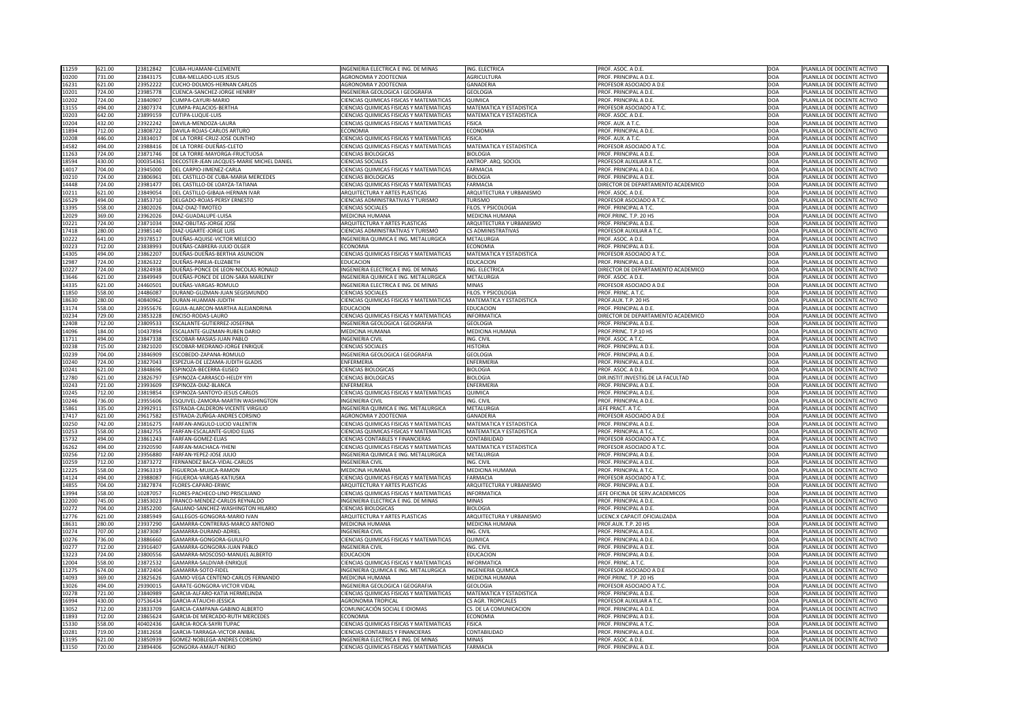| 11259          | 621.00           | 23812842             | CUBA-HUAMANI-CLEMENTE                               | INGENIERIA ELECTRICA E ING. DE MINAS                                                   | ING. ELECTRICA                  | PROF. ASOC. A D.E.                           | <b>DOA</b>        | PLANILLA DE DOCENTE ACTIVO                               |
|----------------|------------------|----------------------|-----------------------------------------------------|----------------------------------------------------------------------------------------|---------------------------------|----------------------------------------------|-------------------|----------------------------------------------------------|
| 10200          | 731.00           | 23843175             | <b>CUBA-MELLADO-LUIS JESUS</b>                      | <b>AGRONOMIA Y ZOOTECNIA</b>                                                           | <b>AGRICULTURA</b>              | PROF. PRINCIPAL A D.E                        | DOA               | PLANILLA DE DOCENTE ACTIVO                               |
| 16231          | 621.00           | 23952222             | <b>CUCHO-DOLMOS-HERNAN CARLOS</b>                   | AGRONOMIA Y ZOOTECNIA                                                                  | <b>GANADERIA</b>                | PROFESOR ASOCIADO A D.E                      | DOA               | PLANILLA DE DOCENTE ACTIVO                               |
| 10201          | 724.00           | 23985778             | <b>CUENCA-SANCHEZ-JORGE HENRRY</b>                  | INGENIERIA GEOLOGICA I GEOGRAFIA                                                       | <b>GEOLOGIA</b>                 | PROF. PRINCIPAL A D.E.                       | DOA               | PLANILLA DE DOCENTE ACTIVO                               |
|                |                  |                      |                                                     |                                                                                        |                                 |                                              |                   |                                                          |
| 10202          | 724.00           | 2384090              | CUMPA-CAYURI-MARIO                                  | CIENCIAS QUIMICAS FISICAS Y MATEMATICAS                                                | QUIMICA                         | PROF. PRINCIPAL A D.E.                       | DOA               | PLANILLA DE DOCENTE ACTIVO                               |
| 13155          | 494.00           | 23807374             | CUMPA-PALACIOS-BERTHA                               | <b>CIENCIAS QUIMICAS FISICAS Y MATEMATICAS</b>                                         | <b>MATEMATICA Y ESTADISTICA</b> | PROFESOR ASOCIADO A T.C.                     | DOA               | PLANILLA DE DOCENTE ACTIVO                               |
| 10203          | 642.00           | 23899159             | CUTIPA-LUQUE-LUIS                                   | <b>CIENCIAS QUIMICAS FISICAS Y MATEMATICAS</b>                                         | <b>MATEMATICA Y ESTADISTICA</b> | PROF. ASOC. A D.E.                           | DOA               | PLANILLA DE DOCENTE ACTIVO                               |
| 10204          | 432.00           | 23922242             | DAVILA-MENDOZA-LAURA                                | CIENCIAS QUIMICAS FISICAS Y MATEMATICAS                                                | <b>FISICA</b>                   | PROF. AUX. A T.C.                            | <b>DOA</b>        | PLANILLA DE DOCENTE ACTIVO                               |
| 11894          | 712.00           | 23808722             | DAVILA-ROJAS-CARLOS ARTURO                          | <b>ECONOMIA</b>                                                                        | <b>ECONOMIA</b>                 | PROF. PRINCIPAL A D.E.                       | DOA               | PLANILLA DE DOCENTE ACTIVO                               |
| 10208          | 446.00           | 23834017             | DE LA TORRE-CRUZ-JOSE OLINTHO                       | CIENCIAS QUIMICAS FISICAS Y MATEMATICAS                                                | <b>FISICA</b>                   | PROF. AUX. A T.C.                            | DOA               | PLANILLA DE DOCENTE ACTIVO                               |
| 14582          | 494.00           | 23988416             | DE LA TORRE-DUEÑAS-CLETO                            | CIENCIAS QUIMICAS FISICAS Y MATEMATICAS                                                | <b>MATEMATICA Y ESTADISTICA</b> | PROFESOR ASOCIADO A T.C.                     | DOA               | PLANILLA DE DOCENTE ACTIVO                               |
| 11263          | 724.00           | 23871746             | DE LA TORRE-MAYORGA-FRUCTUOSA                       | <b>CIENCIAS BIOLOGICAS</b>                                                             | <b>BIOLOGIA</b>                 | PROF. PRINCIPAL A D.E                        | DOA               | PLANILLA DE DOCENTE ACTIVO                               |
| 18594          | 430.00           | 000354361            | DECOSTER-JEAN JACQUES-MARIE MICHEL DANIEI           | <b>CIENCIAS SOCIALES</b>                                                               | ANTROP. ARQ. SOCIOL             | <b>PROFESOR AUXILIAR A T.C</b>               | DOA               | PLANILLA DE DOCENTE ACTIVO                               |
| 14017          | 704.00           | 23945000             | <b>DEL CARPIO-JIMENEZ-CARLA</b>                     | <b>CIENCIAS QUIMICAS FISICAS Y MATEMATICAS</b>                                         | <b>FARMACIA</b>                 | PROF. PRINCIPAL A D.E.                       | DOA               | PLANILLA DE DOCENTE ACTIVO                               |
| 10210          | 724.00           | 2380696              | DEL CASTILLO-DE CUBA-MARIA MERCEDES                 | <b>CIENCIAS BIOLOGICAS</b>                                                             | <b>BIOLOGIA</b>                 | PROF. PRINCIPAL A D.E.                       | DOA               | PLANILLA DE DOCENTE ACTIVO                               |
| 14448          | 724.00           | 23981477             | DEL CASTILLO-DE LOAYZA-TATIANA                      | <b>CIENCIAS QUIMICAS FISICAS Y MATEMATICAS</b>                                         | <b>FARMACIA</b>                 | DIRECTOR DE DEPARTAMENTO ACADEMICO           | DOA               | PLANILLA DE DOCENTE ACTIVO                               |
| 10211          | 621.00           | 23849054             | DEL CASTILLO-GIBAJA-HERNAN IVAR                     | ARQUITECTURA Y ARTES PLASTICAS                                                         | ARQUITECTURA Y URBANISMO        | PROF. ASOC. A D.E.                           | DOA               | PLANILLA DE DOCENTE ACTIVO                               |
|                | 494.00           |                      |                                                     | <b>CIENCIAS ADMINISTRATIVAS Y TURISMO</b>                                              |                                 |                                              | DOA               |                                                          |
| 16529          |                  | 23853710             | DELGADO-ROJAS-PERSY ERNESTO                         |                                                                                        | <b>TURISMO</b>                  | PROFESOR ASOCIADO A T.C.                     |                   | PLANILLA DE DOCENTE ACTIVO                               |
| 13395          | 558.00           | 23802026             | DIAZ-DIAZ-TIMOTEO                                   | <b>CIENCIAS SOCIALES</b>                                                               | FILOS. Y PSICOLOGIA             | PROF. PRINCIPAL A T.C                        | DOA               | PLANILLA DE DOCENTE ACTIVO                               |
| 12029          | 369.00           | 23962026             | DIAZ-GUADALUPE-LUISA                                | <b>MEDICINA HUMANA</b>                                                                 | MEDICINA HUMANA                 | PROF.PRINC. T.P. 20 HS                       | DOA               | PLANILLA DE DOCENTE ACTIVO                               |
| 10221          | 724.00           | 23871034             | <b>DIAZ-OBLITAS-JORGE JOSE</b>                      | ARQUITECTURA Y ARTES PLASTICAS                                                         | ARQUITECTURA Y URBANISMO        | PROF. PRINCIPAL A D.E.                       | DOA               | PLANILLA DE DOCENTE ACTIVO                               |
| 17418          | 280.00           | 23985140             | DIAZ-UGARTE-JORGE LUIS                              | CIENCIAS ADMINISTRATIVAS Y TURISMO                                                     | <b>CS ADMINISTRATIVAS</b>       | PROFESOR AUXILIAR A T.C                      | DOA               | PLANILLA DE DOCENTE ACTIVO                               |
| 10222          | 641.00           | 29378517             | DUEÑAS-AQUISE-VICTOR MELECIO                        | INGENIERIA QUIMICA E ING. METALURGICA                                                  | METALURGIA                      | PROF. ASOC. A D.E.                           | DOA               | PLANILLA DE DOCENTE ACTIVO                               |
| 10223          | 712.00           | 23838993             | DUEÑAS-CABRERA-JULIO OLGER                          | <b>ECONOMIA</b>                                                                        | ECONOMIA                        | PROF. PRINCIPAL A D.E.                       | DOA               | PLANILLA DE DOCENTE ACTIVO                               |
| 14305          | 494.00           | 23862207             | DUEÑAS-DUEÑAS-BERTHA ASUNCION                       | CIENCIAS QUIMICAS FISICAS Y MATEMATICAS                                                | <b>MATEMATICA Y ESTADISTICA</b> | PROFESOR ASOCIADO A T.C.                     | DOA               | PLANILLA DE DOCENTE ACTIVO                               |
| 12987          | 724.00           | 23826322             | DUEÑAS-PAREJA-ELIZABETH                             | <b>EDUCACION</b>                                                                       | <b>EDUCACION</b>                | PROF. PRINCIPAL A D.E.                       | DOA               | PLANILLA DE DOCENTE ACTIVO                               |
| 10227          | 724.00           | 23824938             | DUEÑAS-PONCE DE LEON-NICOLAS RONALD                 | INGENIERIA ELECTRICA E ING. DE MINAS                                                   | ING. ELECTRICA                  | DIRECTOR DE DEPARTAMENTO ACADEMICO           | DOA               | PLANILLA DE DOCENTE ACTIVO                               |
| 13646          | 621.00           | 23849949             | DUEÑAS-PONCE DE LEON-SARA MARLENY                   | INGENIERIA QUIMICA E ING. METALURGICA                                                  | <b>METALURGIA</b>               | PROF. ASOC. A D.E.                           | DOA               | PLANILLA DE DOCENTE ACTIVO                               |
| 14335          | 621.00           | 2446050              | DUEÑAS-VARGAS-ROMULO                                | INGENIERIA ELECTRICA E ING. DE MINAS                                                   | <b>MINAS</b>                    | PROFESOR ASOCIADO A D.E                      | DOA               | PLANILLA DE DOCENTE ACTIVO                               |
| 11850          | 558.00           | 2448608              | DURAND-GUZMAN-JUAN SEGISMUNDO                       | <b>CIENCIAS SOCIALES</b>                                                               | <b>FILOS. Y PSICOLOGIA</b>      | PROF. PRINC. A T.C.                          | DOA               | PLANILLA DE DOCENTE ACTIVO                               |
| 18630          | 280.00           | 40840962             | DURAN-HUAMAN-JUDITH                                 | <b>CIENCIAS QUIMICAS FISICAS Y MATEMATICAS</b>                                         | MATEMATICA Y ESTADISTICA        | PROF.AUX. T.P. 20 HS                         | <b>DOA</b>        | PLANILLA DE DOCENTE ACTIVO                               |
|                |                  |                      |                                                     |                                                                                        |                                 |                                              |                   |                                                          |
| 13174          | 558.00           | 23955676             | EGUIA-ALARCON-MARTHA ALEJANDRINA                    | <b>EDUCACION</b>                                                                       | <b>EDUCACION</b>                | PROF. PRINCIPAL A D.E.                       | <b>DOA</b>        | PLANILLA DE DOCENTE ACTIVO                               |
| 10234          | 729.00           | 23853228             | ENCISO-RODAS-LAURO                                  | <b>CIENCIAS QUIMICAS FISICAS Y MATEMATICAS</b>                                         | <b>INFORMATICA</b>              | DIRECTOR DE DEPARTAMENTO ACADEMICO           | <b>DOA</b>        | PLANILLA DE DOCENTE ACTIVO                               |
| 12408          | 712.00           | 23809533             | ESCALANTE-GUTIERREZ-JOSEFINA                        | INGENIERIA GEOLOGICA I GEOGRAFIA                                                       | <b>GEOLOGIA</b>                 | PROF. PRINCIPAL A D.E.                       | DOA               | PLANILLA DE DOCENTE ACTIVO                               |
| 14096          | 184.00           | 10437894             | ESCALANTE-GUZMAN-RUBEN DARIO                        | <b>MEDICINA HUMANA</b>                                                                 | <b>MEDICINA HUMANA</b>          | PROF.PRINC. T.P.10 HS                        | DOA               | PLANILLA DE DOCENTE ACTIVO                               |
| 11711          | 494.00           | 23847338             | ESCOBAR-MASIAS-JUAN PABLO                           | <b>INGENIERIA CIVIL</b>                                                                | ING. CIVIL                      | PROF. ASOC. A T.C.                           | DOA               | PLANILLA DE DOCENTE ACTIVO                               |
| 10238          | 715.00           | 23821020             | ESCOBAR-MEDRANO-JORGE ENRIQUE                       | <b>CIENCIAS SOCIALES</b>                                                               | <b>HISTORIA</b>                 | PROF. PRINCIPAL A D.E                        | DOA               | PLANILLA DE DOCENTE ACTIVO                               |
| 10239          | 704.00           | 23846909             | ESCOBEDO-ZAPANA-ROMULO                              | INGENIERIA GEOLOGICA I GEOGRAFIA                                                       | <b>GEOLOGIA</b>                 | <b>PROF. PRINCIPAL A D.E</b>                 | DOA               | PLANILLA DE DOCENTE ACTIVO                               |
|                |                  |                      |                                                     |                                                                                        |                                 |                                              |                   |                                                          |
| 10240          | 724.00           | 23827043             | ESPEZUA-DE LEZAMA-JUDITH GLADIS                     | <b>ENFERMERIA</b>                                                                      | <b>ENFERMERIA</b>               | PROF. PRINCIPAL A D.E.                       | DOA               | PLANILLA DE DOCENTE ACTIVO                               |
|                |                  |                      | ESPINOZA-BECERRA-ELISEO                             |                                                                                        |                                 |                                              |                   |                                                          |
| 10241          | 621.00           | 23848696             |                                                     | <b>CIENCIAS BIOLOGICAS</b>                                                             | <b>BIOLOGIA</b>                 | PROF. ASOC. A D.E.                           | DOA               | PLANILLA DE DOCENTE ACTIVO                               |
| 12780          | 621.00           | 23826797             | <b>ESPINOZA-CARRASCO-HELDY YIYI</b>                 | <b>CIENCIAS BIOLOGICAS</b>                                                             | <b>BIOLOGIA</b>                 | DIR.INSTIT.INVESTIG.DE LA FACULTAD           | DOA               | PLANILLA DE DOCENTE ACTIVO                               |
| 10243          | 721.00           | 23993609             | ESPINOZA-DIAZ-BLANCA                                | <b>ENFERMERIA</b>                                                                      | <b>ENFERMERIA</b>               | PROF. PRINCIPAL A D.E.                       | DOA               | PLANILLA DE DOCENTE ACTIVO                               |
| 10245          | 712.00           | 23819854             | <b>ESPINOZA-SANTOYO-JESUS CARLOS</b>                | CIENCIAS QUIMICAS FISICAS Y MATEMATICAS                                                | QUIMICA                         | PROF. PRINCIPAL A D.E.                       | DOA               | PLANILLA DE DOCENTE ACTIVO                               |
| 10246          | 736.00           | 23955606             | ESQUIVEL-ZAMORA-MARTIN WASHINGTON                   | <b>INGENIERIA CIVIL</b>                                                                | ING. CIVIL                      | PROF. PRINCIPAL A D.E                        | DOA               | PLANILLA DE DOCENTE ACTIVO                               |
| 15861          | 335.00           | 2399291              | ESTRADA-CALDERON-VICENTE VIRGILIO                   | INGENIERIA QUIMICA E ING. METALURGICA                                                  | <b>METALURGIA</b>               | <b>IEFE PRACT. A T.C.</b>                    | DOA               | PLANILLA DE DOCENTE ACTIVO                               |
| 17417          | 621.00           | 29617582             | ESTRADA-ZUÑIGA-ANDRES CORSINO                       | <b>AGRONOMIA Y ZOOTECNIA</b>                                                           | <b>GANADERIA</b>                | PROFESOR ASOCIADO A D.E                      | DOA               | PLANILLA DE DOCENTE ACTIVO                               |
| 10250          | 742.00           | 23816275             | FARFAN-ANGULO-LUCIO VALENTIN                        | CIENCIAS QUIMICAS FISICAS Y MATEMATICAS                                                | MATEMATICA Y ESTADISTICA        | PROF. PRINCIPAL A D.E                        | DOA               | PLANILLA DE DOCENTE ACTIVO                               |
| 10253          | 558.00           | 23842755             | FARFAN-ESCALANTE-GUIDO ELIAS                        | <b>CIENCIAS QUIMICAS FISICAS Y MATEMATICAS</b>                                         | MATEMATICA Y ESTADISTICA        | PROF. PRINCIPAL A T.C.                       | DOA               | PLANILLA DE DOCENTE ACTIVO                               |
| 15732          | 494.00           | 23861243             | FARFAN-GOMEZ-ELIAS                                  | <b>CIENCIAS CONTABLES Y FINANCIERAS</b>                                                | CONTABILIDAD                    | PROFESOR ASOCIADO A T.C.                     | DOA               | PLANILLA DE DOCENTE ACTIVO                               |
| 16262          | 494.00           | 23920590             | FARFAN-MACHACA-YHENI                                | CIENCIAS QUIMICAS FISICAS Y MATEMATICAS                                                | <b>MATEMATICA Y ESTADISTICA</b> | PROFESOR ASOCIADO A T.C.                     | <b>DOA</b>        | PLANILLA DE DOCENTE ACTIVO                               |
| 10256          | 712.00           | 23956880             | FARFAN-YEPEZ-JOSE JULIO                             | INGENIERIA QUIMICA E ING. METALURGICA                                                  | <b>METALURGIA</b>               | PROF. PRINCIPAL A D.E.                       | DOA               | PLANILLA DE DOCENTE ACTIVO                               |
| 10259          | 712.00           | 23873272             | FERNANDEZ BACA-VIDAL-CARLOS                         | <b>INGENIERIA CIVIL</b>                                                                | ING. CIVIL                      | PROF. PRINCIPAL A D.E.                       | DOA               | PLANILLA DE DOCENTE ACTIVO                               |
| 12225          | 558.00           | 23963319             | FIGUEROA-MUJICA-RAMON                               | <b>MEDICINA HUMANA</b>                                                                 | MEDICINA HUMANA                 | PROF. PRINCIPAL A T.C.                       | DOA               | PLANILLA DE DOCENTE ACTIVO                               |
| 14124          | 494.00           | 23988087             | FIGUEROA-VARGAS-KATIUSKA                            | CIENCIAS QUIMICAS FISICAS Y MATEMATICAS                                                | <b>FARMACIA</b>                 | PROFESOR ASOCIADO A T.C.                     | DOA               | PLANILLA DE DOCENTE ACTIVO                               |
| 14855          | 704.00           | 23827874             | FLORES-CAPARO-ERWIC                                 | <b>ARQUITECTURA Y ARTES PLASTICAS</b>                                                  | ARQUITECTURA Y URBANISMO        | PROF. PRINCIPAL A D.E.                       | DOA               | PLANILLA DE DOCENTE ACTIVO                               |
|                | 558.00           | 1028705 <sup>-</sup> | FLORES-PACHECO-LINO PRISCILIANO                     | <b>CIENCIAS QUIMICAS FISICAS Y MATEMATICAS</b>                                         | <b>INFORMATICA</b>              | EFE OFICINA DE SERV.ACADEMICOS               | DOA               | PLANILLA DE DOCENTE ACTIVO                               |
| 13994          |                  |                      |                                                     |                                                                                        |                                 |                                              |                   |                                                          |
| 12200          | 745.00           | 23853023             | FRANCO-MENDEZ-CARLOS REYNALDO                       | INGENIERIA ELECTRICA E ING. DE MINAS                                                   | <b>MINAS</b>                    | PROF. PRINCIPAL A D.E.                       | DOA               | PLANILLA DE DOCENTE ACTIVO                               |
| 10272          | 704.00           | 23852200             | GALIANO-SANCHEZ-WASHINGTON HILARIO                  | <b>CIENCIAS BIOLOGICAS</b>                                                             | <b>BIOLOGIA</b>                 | PROF. PRINCIPAL A D.E.                       | DOA               | PLANILLA DE DOCENTE ACTIVO                               |
| 12776          | 621.00           | 23885949             | GALLEGOS-GONGORA-MARIO IVAN                         | ARQUITECTURA Y ARTES PLASTICAS                                                         | ARQUITECTURA Y URBANISMO        | LICENC.X CAPACIT.OFICIALIZADA                | DOA               | PLANILLA DE DOCENTE ACTIVO                               |
| 18631          | 280.00           | 23937290             | GAMARRA-CONTRERAS-MARCO ANTONIO                     | <b>MEDICINA HUMANA</b>                                                                 | MEDICINA HUMANA                 | PROF.AUX. T.P. 20 HS                         | DOA               | PLANILLA DE DOCENTE ACTIVO                               |
| 10274          | 707.00           | 23873087             | GAMARRA-DURAND-ADRIEL                               | <b>INGENIERIA CIVIL</b>                                                                | ING. CIVIL                      | PROF. PRINCIPAL A D.E.                       | DOA               | PLANILLA DE DOCENTE ACTIVO                               |
| 10276          | 736.00           | 2388666              | GAMARRA-GONGORA-GUIULFO                             | <b>CIENCIAS QUIMICAS FISICAS Y MATEMATICAS</b>                                         | QUIMICA                         | PROF. PRINCIPAL A D.E.                       | DOA               | PLANILLA DE DOCENTE ACTIVO                               |
| 10277          | 712.00           | 23916407             | GAMARRA-GONGORA-JUAN PABLO                          | <b>INGENIERIA CIVIL</b>                                                                | ING. CIVIL                      | PROF. PRINCIPAL A D.E.                       | <b>DOA</b>        | PLANILLA DE DOCENTE ACTIVO                               |
| 13223          | 724.00           | 23800556             | GAMARRA-MOSCOSO-MANUEL ALBERTO                      | <b>EDUCACION</b>                                                                       | <b>EDUCACION</b>                | PROF. PRINCIPAL A D.E.                       | <b>DOA</b>        | PLANILLA DE DOCENTE ACTIVO                               |
| 12004          | 558.00           | 23872532             | GAMARRA-SALDIVAR-ENRIQUE                            | <b>CIENCIAS QUIMICAS FISICAS Y MATEMATICAS</b>                                         | <b>INFORMATICA</b>              | PROF. PRINC. A T.C.                          | DOA               | PLANILLA DE DOCENTE ACTIVO                               |
| 11275          | 674.00           | 23872404             | GAMARRA-SOTO-FIDEL                                  | INGENIERIA QUIMICA E ING. METALURGICA                                                  | <b>INGENIERIA QUIMICA</b>       | <b>PROFESOR ASOCIADO A D.E</b>               | DOA               | PLANILLA DE DOCENTE ACTIVO                               |
| 14093          | 369.00           | 23825626             | GAMIO-VEGA CENTENO-CARLOS FERNANDO                  | MEDICINA HUMANA                                                                        | MEDICINA HUMANA                 | PROF.PRINC. T.P. 20 HS                       | DOA               | PLANILLA DE DOCENTE ACTIVO                               |
| 13026          | 494.00           | 29390015             | <b>GARATE-GONGORA-VICTOR VIDAL</b>                  | INGENIERIA GEOLOGICA I GEOGRAFIA                                                       | <b>GEOLOGIA</b>                 | PROFESOR ASOCIADO A T.C.                     | DOA               | PLANILLA DE DOCENTE ACTIVO                               |
| 10278          | 721.00           | 23840989             | GARCIA-ALFARO-KATIA HERMELINDA                      | <b>CIENCIAS QUIMICAS FISICAS Y MATEMATICAS</b>                                         | MATEMATICA Y ESTADISTICA        | PROF. PRINCIPAL A D.E.                       | DOA               | PLANILLA DE DOCENTE ACTIVO                               |
|                |                  |                      | GARCIA-ATAUCHI-JESSICA                              | <b>AGRONOMIA TROPICAL</b>                                                              | <b>CS AGR. TROPICALES</b>       | <b>PROFESOR AUXILIAR A T.C.</b>              |                   | PLANILLA DE DOCENTE ACTIVO                               |
| 16994          | 430.00           | 07536434             |                                                     |                                                                                        |                                 |                                              | DOA               |                                                          |
| 13052          | 712.00           | 23833709             | GARCIA-CAMPANA-GABINO ALBERTO                       | COMUNICACIÓN SOCIAL E IDIOMAS                                                          | CS. DE LA COMUNICACION          | PROF. PRINCIPAL A D.E.                       | DOA               | PLANILLA DE DOCENTE ACTIVO                               |
| 11893          | 712.00           | 23865624             | <b>GARCIA-DE MERCADO-RUTH MERCEDES</b>              | <b>ECONOMIA</b>                                                                        | <b>ECONOMIA</b>                 | PROF. PRINCIPAL A D.E.                       | DOA               | PLANILLA DE DOCENTE ACTIVO                               |
| 15330          | 558.00           | 40402436             | GARCIA-ROCA-SAYRI TUPAC                             | <b>CIENCIAS QUIMICAS FISICAS Y MATEMATICAS</b>                                         | <b>FISICA</b>                   | <b>PROF. PRINCIPAL A T.C.</b>                | DOA               | PLANILLA DE DOCENTE ACTIVO                               |
| 10281          | 719.00           | 23812658             | GARCIA-TARRAGA-VICTOR ANIBAL                        | <b>CIENCIAS CONTABLES Y FINANCIERAS</b>                                                | <b>CONTABILIDAD</b>             | PROF. PRINCIPAL A D.E.                       | DOA               | PLANILLA DE DOCENTE ACTIVO                               |
| 13195<br>13150 | 621.00<br>720.00 | 23850939<br>23894406 | GOMEZ-NOBLEGA-ANDRES CORSINO<br>GONGORA-AMAUT-NERIO | INGENIERIA ELECTRICA E ING. DE MINAS<br><b>CIENCIAS QUIMICAS FISICAS Y MATEMATICAS</b> | <b>MINAS</b><br><b>FARMACIA</b> | PROF. ASOC. A D.E.<br>PROF. PRINCIPAL A D.E. | DOA<br><b>DOA</b> | PLANILLA DE DOCENTE ACTIVO<br>PLANILLA DE DOCENTE ACTIVO |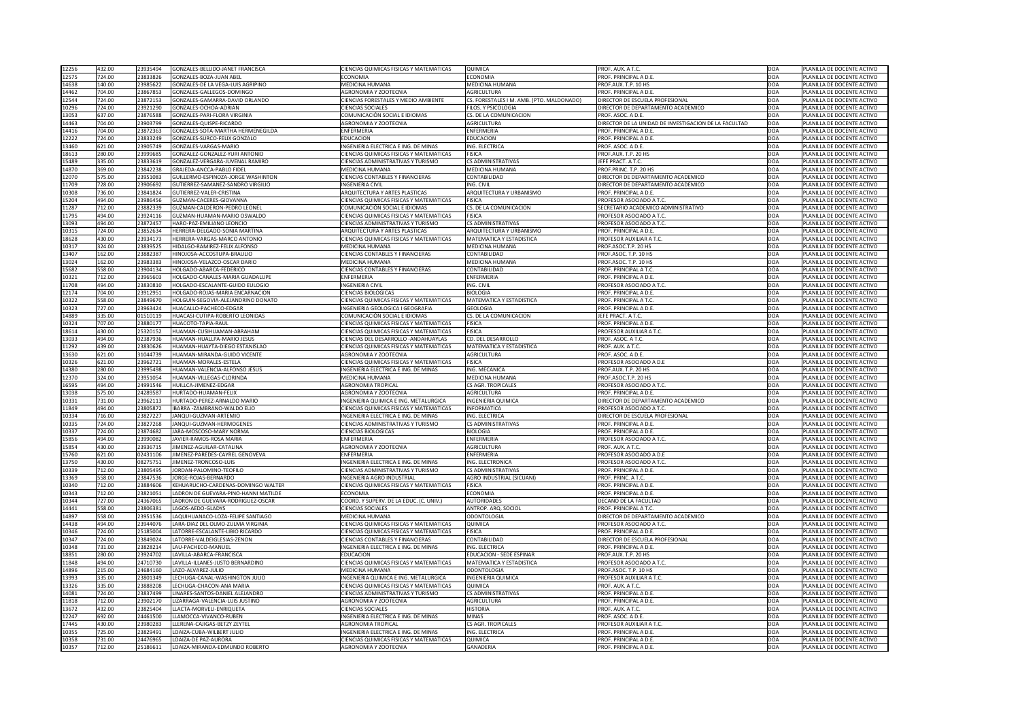| 12256 | 432.00 | 23935494 | GONZALES-BELLIDO-JANET FRANCISCA     | CIENCIAS QUIMICAS FISICAS Y MATEMATICAS        | QUIMICA                                   | PROF. AUX. A T.C.                                     | <b>DOA</b> | PLANILLA DE DOCENTE ACTIVO |
|-------|--------|----------|--------------------------------------|------------------------------------------------|-------------------------------------------|-------------------------------------------------------|------------|----------------------------|
| 12575 | 724.00 | 23833826 | GONZALES-BOZA-JUAN ABEL              | <b>ECONOMIA</b>                                | <b>ECONOMIA</b>                           | PROF. PRINCIPAL A D.E                                 | DOA        | PLANILLA DE DOCENTE ACTIVO |
| 14638 | 140.00 | 23985622 | GONZALES-DE LA VEGA-LUIS AGRIPINO    | <b>MEDICINA HUMANA</b>                         | MEDICINA HUMANA                           | PROF.AUX. T.P. 10 HS                                  | DOA        | PLANILLA DE DOCENTE ACTIVO |
| 14462 | 704.00 | 23867853 | GONZALES-GALLEGOS-DOMINGO            | AGRONOMIA Y ZOOTECNIA                          | <b>AGRICULTURA</b>                        | PROF. PRINCIPAL A D.E.                                | DOA        | PLANILLA DE DOCENTE ACTIVO |
|       |        |          |                                      |                                                |                                           |                                                       |            |                            |
| 12544 | 724.00 | 23872153 | GONZALES-GAMARRA-DAVID ORLANDO       | <b>CIENCIAS FORESTALES Y MEDIO AMBIENTE</b>    | CS. FORESTALES I M. AMB. (PTO. MALDONADO) | DIRECTOR DE ESCUELA PROFESIONAL                       | DOA        | PLANILLA DE DOCENTE ACTIVO |
| 10296 | 724.00 | 23921290 | GONZALES-OCHOA-ADRIAN                | <b>CIENCIAS SOCIALES</b>                       | FILOS. Y PSICOLOGIA                       | DIRECTOR DE DEPARTAMENTO ACADEMICO                    | DOA        | PLANILLA DE DOCENTE ACTIVO |
| 13053 | 637.00 | 23876588 | GONZALES-PARI-FLORA VIRGINIA         | COMUNICACIÓN SOCIAL E IDIOMAS                  | CS. DE LA COMUNICACION                    | PROF. ASOC. A D.E.                                    | DOA        | PLANILLA DE DOCENTE ACTIVO |
| 14463 | 704.00 | 23903799 | GONZALES-QUISPE-RICARDO              | <b>AGRONOMIA Y ZOOTECNIA</b>                   | <b>AGRICULTURA</b>                        | DIRECTOR DE LA UNIDAD DE INVESTIGACION DE LA FACULTAD | DOA        | PLANILLA DE DOCENTE ACTIVO |
| 14416 | 704.00 | 23872363 | GONZALES-SOTA-MARTHA HERMENEGILDA    | <b>ENFERMERIA</b>                              | <b>ENFERMERIA</b>                         | PROF. PRINCIPAL A D.E.                                | DOA        | PLANILLA DE DOCENTE ACTIVO |
| 12222 | 724.00 | 23833249 | GONZALES-SURCO-FELIX GONZALO         | <b>EDUCACION</b>                               | <b>EDUCACION</b>                          | PROF. PRINCIPAL A D.E.                                | DOA        | PLANILLA DE DOCENTE ACTIVO |
| 13460 | 621.00 | 23905749 | GONZALES-VARGAS-MARIO                | INGENIERIA ELECTRICA E ING. DE MINAS           | ING. ELECTRICA                            | PROF. ASOC. A D.E.                                    | <b>DOA</b> | PLANILLA DE DOCENTE ACTIVO |
| 18613 | 280.00 | 23999685 | GONZALEZ-GONZALEZ-YURI ANTONIO       | CIENCIAS QUIMICAS FISICAS Y MATEMATICAS        | <b>FISICA</b>                             | PROF.AUX. T.P. 20 HS                                  | DOA        | PLANILLA DE DOCENTE ACTIVO |
| 15489 | 335.00 | 23833619 | GONZALEZ-VERGARA-JUVENAL RAMIRO      | <b>CIENCIAS ADMINISTRATIVAS Y TURISMO</b>      | <b>CS ADMINISTRATIVAS</b>                 | <b>IEFE PRACT. A T.C.</b>                             | DOA        | PLANILLA DE DOCENTE ACTIVO |
| 14870 | 369.00 | 23842238 | GRAJEDA-ANCCA-PABLO FIDEL            | <b>MEDICINA HUMANA</b>                         | MEDICINA HUMANA                           | PROF.PRINC. T.P. 20 HS                                | DOA        | PLANILLA DE DOCENTE ACTIVO |
| 12070 | 575.00 | 23951083 | GUILLERMO-ESPINOZA-JORGE WASHINTON   | <b>CIENCIAS CONTABLES Y FINANCIERAS</b>        | CONTABILIDAD                              | DIRECTOR DE DEPARTAMENTO ACADEMICO                    |            | PLANILLA DE DOCENTE ACTIVO |
|       |        |          |                                      |                                                |                                           |                                                       | DOA        |                            |
| 11709 | 728.00 | 23906692 | GUTIERREZ-SAMANEZ-SANDRO VIRGILIO    | <b>INGENIERIA CIVIL</b>                        | ING. CIVIL                                | DIRECTOR DE DEPARTAMENTO ACADEMICO                    | DOA        | PLANILLA DE DOCENTE ACTIVO |
| 10308 | 736.00 | 23841824 | GUTIERREZ-VALER-CRISTINA             | ARQUITECTURA Y ARTES PLASTICAS                 | ARQUITECTURA Y URBANISMO                  | PROF. PRINCIPAL A D.E.                                | DOA        | PLANILLA DE DOCENTE ACTIVO |
| 15204 | 494.00 | 23986456 | GUZMAN-CACERES-GIOVANNA              | CIENCIAS QUIMICAS FISICAS Y MATEMATICAS        | <b>FISICA</b>                             | PROFESOR ASOCIADO A T.C.                              | DOA        | PLANILLA DE DOCENTE ACTIVO |
| 11287 | 712.00 | 23882339 | <b>GUZMAN-CALDERON-PEDRO LEONEI</b>  | COMUNICACIÓN SOCIAL E IDIOMAS                  | CS. DE LA COMUNICACION                    | SECRETARIO ACADEMICO ADMINISTRATIVO                   | DOA        | PLANILLA DE DOCENTE ACTIVO |
| 11795 | 494.00 | 23924116 | GUZMAN-HUAMAN-MARIO OSWALDO          | CIENCIAS QUIMICAS FISICAS Y MATEMATICAS        | <b>FISICA</b>                             | PROFESOR ASOCIADO A T.C.                              | DOA        | PLANILLA DE DOCENTE ACTIVO |
| 13093 | 494.00 | 23872457 | HARO-PAZ-EMILIANO LEONCIO            | <b>CIENCIAS ADMINISTRATIVAS Y TURISMO</b>      | <b>CS ADMINISTRATIVAS</b>                 | PROFESOR ASOCIADO A T.C.                              | DOA        | PLANILLA DE DOCENTE ACTIVO |
| 10315 | 724.00 | 23852634 | HERRERA-DELGADO-SONIA MARTINA        | ARQUITECTURA Y ARTES PLASTICAS                 | ARQUITECTURA Y URBANISMO                  | PROF. PRINCIPAL A D.E                                 | DOA        | PLANILLA DE DOCENTE ACTIVO |
| 18628 | 430.00 | 23934173 | HERRERA-VARGAS-MARCO ANTONIO         | <b>CIENCIAS QUIMICAS FISICAS Y MATEMATICAS</b> | <b>MATEMATICA Y ESTADISTICA</b>           | PROFESOR AUXILIAR A T.C.                              | DOA        | PLANILLA DE DOCENTE ACTIVO |
| 10317 | 324.00 | 23839525 | HIDALGO-RAMIREZ-FELIX ALFONSO        | MEDICINA HUMANA                                | MEDICINA HUMANA                           | PROF.ASOC.T.P. 20 HS                                  | DOA        | PLANILLA DE DOCENTE ACTIVO |
|       |        |          |                                      |                                                |                                           |                                                       |            |                            |
| 13407 | 162.00 | 23882387 | HINOJOSA-ACCOSTUPA-BRAULIO           | <b>CIENCIAS CONTABLES Y FINANCIERAS</b>        | CONTABILIDAD                              | PROF.ASOC. T.P. 10 HS                                 | DOA        | PLANILLA DE DOCENTE ACTIVO |
| 13024 | 162.00 | 23983383 | HINOJOSA-VELAZCO-OSCAR DARIO         | <b>MEDICINA HUMANA</b>                         | MEDICINA HUMANA                           | PROF.ASOC. T.P. 10 HS                                 | DOA        | PLANILLA DE DOCENTE ACTIVO |
| 15682 | 558.00 | 23904134 | HOLGADO-ABARCA-FEDERICO              | <b>CIENCIAS CONTABLES Y FINANCIERAS</b>        | CONTABILIDAD                              | PROF. PRINCIPAL A T.C.                                | DOA        | PLANILLA DE DOCENTE ACTIVO |
| 10321 | 712.00 | 2396560  | HOLGADO-CANALES-MARIA GUADALUPE      | ENFERMERIA                                     | ENFERMERIA                                | PROF. PRINCIPAL A D.E.                                | <b>DOA</b> | PLANILLA DE DOCENTE ACTIVO |
| 11708 | 494.00 | 23830810 | HOLGADO-ESCALANTE-GUIDO EULOGIO      | <b>INGENIERIA CIVIL</b>                        | ING. CIVIL                                | PROFESOR ASOCIADO A T.C.                              | DOA        | PLANILLA DE DOCENTE ACTIVO |
| 12174 | 704.00 | 2391295  | HOLGADO-ROJAS-MARIA ENCARNACION      | <b>CIENCIAS BIOLOGICAS</b>                     | <b>BIOLOGIA</b>                           | PROF. PRINCIPAL A D.E                                 | DOA        | PLANILLA DE DOCENTE ACTIVO |
| 10322 | 558.00 | 23849670 | HOLGUIN-SEGOVIA-ALEJANDRINO DONATO   | <b>CIENCIAS QUIMICAS FISICAS Y MATEMATICAS</b> | MATEMATICA Y ESTADISTICA                  | PROF. PRINCIPAL A T.C.                                | <b>DOA</b> | PLANILLA DE DOCENTE ACTIVO |
| 10323 | 727.00 | 23963424 | HUACALLO-PACHECO-EDGAR               | INGENIERIA GEOLOGICA I GEOGRAFIA               | <b>GEOLOGIA</b>                           | PROF. PRINCIPAL A D.E.                                | DOA        | PLANILLA DE DOCENTE ACTIVO |
| 14889 | 335.00 | 01510119 | HUACASI-CUTIPA-ROBERTO LEONIDAS      | COMUNICACIÓN SOCIAL E IDIOMAS                  | CS. DE LA COMUNICACION                    | <b>IEFE PRACT. A T.C.</b>                             | DOA        | PLANILLA DE DOCENTE ACTIVO |
|       |        |          |                                      |                                                |                                           |                                                       |            |                            |
| 10324 | 707.00 | 23880177 | HUACOTO-TAPIA-RAUL                   | <b>CIENCIAS QUIMICAS FISICAS Y MATEMATICAS</b> | <b>FISICA</b>                             | PROF. PRINCIPAL A D.E.                                | DOA        | PLANILLA DE DOCENTE ACTIVO |
| 18614 | 430.00 | 25320152 | HUAMAN-CUSIHUAMAN-ABRAHAM            | CIENCIAS QUIMICAS FISICAS Y MATEMATICAS        | <b>FISICA</b>                             | PROFESOR AUXILIAR A T.C.                              | DOA        | PLANILLA DE DOCENTE ACTIVO |
| 13033 | 494.00 | 02387936 | HUAMAN-HUALLPA-MARIO JESUS           | CIENCIAS DEL DESARROLLO - ANDAHUAYLAS          | CD. DEL DESARROLLO                        | PROF. ASOC. A T.C.                                    | DOA        | PLANILLA DE DOCENTE ACTIVO |
| 11292 | 439.00 | 23830626 | HUAMAN-HUAYTA-DIEGO ESTANISLAO       | <b>CIENCIAS QUIMICAS FISICAS Y MATEMATICAS</b> | <b>MATEMATICA Y ESTADISTICA</b>           | PROF. AUX. A T.C.                                     | DOA        | PLANILLA DE DOCENTE ACTIVO |
| 13630 | 621.00 | 31044739 | HUAMAN-MIRANDA-GUIDO VICENTE         | AGRONOMIA Y ZOOTECNIA                          | <b>AGRICULTURA</b>                        | PROF. ASOC. A D.E.                                    | DOA        | PLANILLA DE DOCENTE ACTIVO |
|       |        |          |                                      |                                                |                                           |                                                       |            |                            |
|       | 621.00 | 2396272  | HUAMAN-MORALES-ESTELA                | CIENCIAS QUIMICAS FISICAS Y MATEMATICAS        | <b>FISICA</b>                             | PROFESOR ASOCIADO A D.E                               | DOA        | PLANILLA DE DOCENTE ACTIVO |
| 10326 |        |          |                                      |                                                |                                           |                                                       |            |                            |
| 14380 | 280.00 | 23995498 | HUAMAN-VALENCIA-ALFONSO JESUS        | INGENIERIA ELECTRICA E ING. DE MINAS           | ING. MECANICA                             | PROF.AUX. T.P. 20 HS                                  | DOA        | PLANILLA DE DOCENTE ACTIVO |
| 12370 | 324.00 | 23951054 | HUAMAN-VILLEGAS-CLORINDA             | <b>MEDICINA HUMANA</b>                         | <b>MEDICINA HUMANA</b>                    | PROF.ASOC.T.P. 20 HS                                  | DOA        | PLANILLA DE DOCENTE ACTIVO |
| 16595 | 494.00 | 24991546 | HUILLCA-JIMENEZ-EDGAR                | <b>AGRONOMIA TROPICAL</b>                      | <b>CS AGR. TROPICALES</b>                 | PROFESOR ASOCIADO A T.C.                              | DOA        | PLANILLA DE DOCENTE ACTIVO |
| 13038 | 575.00 | 24289587 | HURTADO-HUAMAN-FELIX                 | AGRONOMIA Y ZOOTECNIA                          | <b>AGRICULTURA</b>                        | PROF. PRINCIPAL A D.E.                                | DOA        | PLANILLA DE DOCENTE ACTIVO |
| 10331 | 731.00 | 23962113 | HURTADO-PEREZ-ARNALDO MARIO          | INGENIERIA QUIMICA E ING. METALURGICA          | <b>INGENIERIA QUIMICA</b>                 | DIRECTOR DE DEPARTAMENTO ACADEMICO                    | DOA        | PLANILLA DE DOCENTE ACTIVO |
| 11849 | 494.00 | 23805872 | IBARRA - ZAMBRANO-WALDO ELIO         | <b>CIENCIAS QUIMICAS FISICAS Y MATEMATICAS</b> | <b>INFORMATICA</b>                        | PROFESOR ASOCIADO A T.C.                              | DOA        | PLANILLA DE DOCENTE ACTIVO |
| 10334 | 716.00 | 23827227 | JANQUI-GUZMAN-ARTEMIO                | INGENIERIA ELECTRICA E ING. DE MINAS           | ING. ELECTRICA                            | DIRECTOR DE ESCUELA PROFESIONAL                       | DOA        | PLANILLA DE DOCENTE ACTIVO |
| 10335 | 724.00 | 23827268 | JANQUI-GUZMAN-HERMOGENES             | <b>CIENCIAS ADMINISTRATIVAS Y TURISMO</b>      | <b>CS ADMINISTRATIVAS</b>                 | PROF. PRINCIPAL A D.E                                 | DOA        | PLANILLA DE DOCENTE ACTIVO |
|       |        |          |                                      |                                                |                                           |                                                       |            |                            |
| 10337 | 724.00 | 23874682 | JARA-MOSCOSO-MARY NORMA              | <b>CIENCIAS BIOLOGICAS</b>                     | <b>BIOLOGIA</b>                           | PROF. PRINCIPAL A D.E.                                | DOA        | PLANILLA DE DOCENTE ACTIVO |
| 15856 | 494.00 | 23990082 | JAVIER-RAMOS-ROSA MARIA              | <b>ENFERMERIA</b>                              | ENFERMERIA                                | PROFESOR ASOCIADO A T.C.                              | DOA        | PLANILLA DE DOCENTE ACTIVO |
| 15854 | 430.00 | 23936715 | JIMENEZ-AGUILAR-CATALINA             | AGRONOMIA Y ZOOTECNIA                          | <b>AGRICULTURA</b>                        | PROF. AUX. A T.C.                                     | DOA        | PLANILLA DE DOCENTE ACTIVO |
| 15760 | 621.00 | 02431106 | JIMENEZ-PAREDES-CAYREL GENOVEVA      | <b>ENFERMERIA</b>                              | <b>ENFERMERIA</b>                         | PROFESOR ASOCIADO A D.E                               | DOA        | PLANILLA DE DOCENTE ACTIVO |
| 13750 | 430.00 | 08275752 | JIMENEZ-TRONCOSO-LUIS                | INGENIERIA ELECTRICA E ING. DE MINAS           | ING. ELECTRONICA                          | PROFESOR ASOCIADO A T.C.                              | DOA        | PLANILLA DE DOCENTE ACTIVO |
| 10339 | 712.00 | 23805495 | JORDAN-PALOMINO-TEOFILO              | CIENCIAS ADMINISTRATIVAS Y TURISMO             | CS ADMINISTRATIVAS                        | PROF. PRINCIPAL A D.E.                                | <b>DOA</b> | PLANILLA DE DOCENTE ACTIVO |
| 13369 | 558.00 | 23847536 | JORGE-ROJAS-BERNARDO                 | <b>INGENIERIA AGRO INDUSTRIAL</b>              | AGRO INDUSTRIAL (SICUANI)                 | PROF. PRINC. A T.C.                                   | DOA        | PLANILLA DE DOCENTE ACTIVO |
| 10340 | 712.00 | 23884606 | KEHUARUCHO-CARDENAS-DOMINGO WALTER   | <b>CIENCIAS QUIMICAS FISICAS Y MATEMATICAS</b> | <b>FISICA</b>                             | PROF. PRINCIPAL A D.E.                                | DOA        | PLANILLA DE DOCENTE ACTIVO |
| 10343 | 712.00 | 2382105  | LADRON DE GUEVARA-PINO-HANNI MATILDE | <b>ECONOMIA</b>                                | <b>ECONOMIA</b>                           | PROF. PRINCIPAL A D.E.                                | DOA        | PLANILLA DE DOCENTE ACTIVO |
| 10344 | 727.00 | 24367065 | LADRON DE GUEVARA-RODRIGUEZ-OSCAR    | COORD. Y SUPERV. DE LA EDUC. (C. UNIV.)        | <b>AUTORIDADES</b>                        | DECANO DE LA FACULTAD                                 | DOA        | PLANILLA DE DOCENTE ACTIVO |
| 14441 | 558.00 | 2380638  | LAGOS-AEDO-GLADYS                    | <b>CIENCIAS SOCIALES</b>                       | ANTROP. ARQ. SOCIOL                       | PROF. PRINCIPAL A T.C.                                | DOA        | PLANILLA DE DOCENTE ACTIVO |
|       |        |          |                                      |                                                |                                           |                                                       |            |                            |
| 14897 | 558.00 | 23951536 | LAQUIHUANACO-LOZA-FELIPE SANTIAGO    | MEDICINA HUMANA                                | <b>ODONTOLOGIA</b>                        | DIRECTOR DE DEPARTAMENTO ACADEMICO                    | <b>DOA</b> | PLANILLA DE DOCENTE ACTIVO |
| 14438 | 494.00 | 23944076 | LARA-DIAZ DEL OLMO-ZULMA VIRGINIA    | CIENCIAS QUIMICAS FISICAS Y MATEMATICAS        | QUIMICA                                   | PROFESOR ASOCIADO A T.C.                              | <b>DOA</b> | PLANILLA DE DOCENTE ACTIVO |
| 10346 | 724.00 | 25185004 | LATORRE-ESCALANTE-LIBIO RICARDO      | CIENCIAS QUIMICAS FISICAS Y MATEMATICAS        | <b>FISICA</b>                             | PROF. PRINCIPAL A D.E.                                | DOA        | PLANILLA DE DOCENTE ACTIVO |
| 10347 | 724.00 | 23849024 | LATORRE-VALDEIGLESIAS-ZENON          | <b>CIENCIAS CONTABLES Y FINANCIERAS</b>        | CONTABILIDAD                              | DIRECTOR DE ESCUELA PROFESIONAL                       | DOA        | PLANILLA DE DOCENTE ACTIVO |
| 10348 | 731.00 | 23828214 | LAU-PACHECO-MANUEL                   | INGENIERIA ELECTRICA E ING. DE MINAS           | ING. ELECTRICA                            | PROF. PRINCIPAL A D.E.                                | DOA        | PLANILLA DE DOCENTE ACTIVO |
| 18851 | 280.00 |          | 23924702  LAVILLA-ABARCA-FRANCISCA   | <b>EDUCACION</b>                               | <b>EDUCACION - SEDE ESPINAR</b>           | PROF.AUX. T.P. 20 HS                                  | <b>DOA</b> | PLANILLA DE DOCENTE ACTIVO |
| 11848 | 494.00 | 24710730 | LAVILLA-ILLANES-JUSTO BERNARDINO     | <b>CIENCIAS QUIMICAS FISICAS Y MATEMATICAS</b> | <b>MATEMATICA Y ESTADISTICA</b>           | <b>PROFESOR ASOCIADO A T.C.</b>                       | DOA        | PLANILLA DE DOCENTE ACTIVO |
| 14896 | 215.00 | 24684160 | LAZO-ALVAREZ-JULIO                   | <b>MEDICINA HUMANA</b>                         | <b>ODONTOLOGIA</b>                        | PROF.ASOC. T.P. 10 HS                                 | DOA        | PLANILLA DE DOCENTE ACTIVO |
|       |        |          |                                      |                                                |                                           |                                                       |            |                            |
| 13993 | 335.00 | 23801349 | LECHUGA-CANAL-WASHINGTON JULIO       | INGENIERIA QUIMICA E ING. METALURGICA          | <b>INGENIERIA QUIMICA</b>                 | <b>PROFESOR AUXILIAR A T.C.</b>                       | DOA        | PLANILLA DE DOCENTE ACTIVO |
| 13326 | 335.00 | 23888208 | LECHUGA-CHACON-ANA MARIA             | <b>CIENCIAS QUIMICAS FISICAS Y MATEMATICAS</b> | QUIMICA                                   | PROF. AUX. A T.C.                                     | DOA        | PLANILLA DE DOCENTE ACTIVO |
| 14081 | 724.00 | 23837499 | LINARES-SANTOS-DANIEL ALEJANDRO      | CIENCIAS ADMINISTRATIVAS Y TURISMO             | <b>CS ADMINISTRATIVAS</b>                 | <b>PROF. PRINCIPAL A D.E.</b>                         | DOA        | PLANILLA DE DOCENTE ACTIVO |
| 11818 | 712.00 | 23902170 | LIZARRAGA-VALENCIA-LUIS JUSTINO      | AGRONOMIA Y ZOOTECNIA                          | <b>AGRICULTURA</b>                        | PROF. PRINCIPAL A D.E.                                | DOA        | PLANILLA DE DOCENTE ACTIVO |
| 13672 | 432.00 | 23825404 | LLACTA-MORVELI-ENRIQUETA             | <b>CIENCIAS SOCIALES</b>                       | <b>HISTORIA</b>                           | PROF. AUX. A T.C.                                     | DOA        | PLANILLA DE DOCENTE ACTIVO |
| 12247 | 692.00 | 24461500 | LLAMOCCA-VIVANCO-RUBEN               | INGENIERIA ELECTRICA E ING. DE MINAS           | <b>MINAS</b>                              | PROF. ASOC. A D.E.                                    | DOA        | PLANILLA DE DOCENTE ACTIVO |
| 17445 | 430.00 | 23980283 | LLERENA-CAJIGAS-BETZY ZEYTEL         | <b>AGRONOMIA TROPICAL</b>                      | <b>CS AGR. TROPICALES</b>                 | PROFESOR AUXILIAR A T.C.                              | DOA        | PLANILLA DE DOCENTE ACTIVO |
| 10355 | 725.00 | 23829491 | LOAIZA-CUBA-WILBERT JULIO            | INGENIERIA ELECTRICA E ING. DE MINAS           | ING. ELECTRICA                            | PROF. PRINCIPAL A D.E.                                | DOA        | PLANILLA DE DOCENTE ACTIVO |
| 10358 | 731.00 | 24476965 | LOAIZA-DE PAZ-AURORA                 | <b>CIENCIAS QUIMICAS FISICAS Y MATEMATICAS</b> | <b>QUIMICA</b>                            | PROF. PRINCIPAL A D.E.                                | DOA        | PLANILLA DE DOCENTE ACTIVO |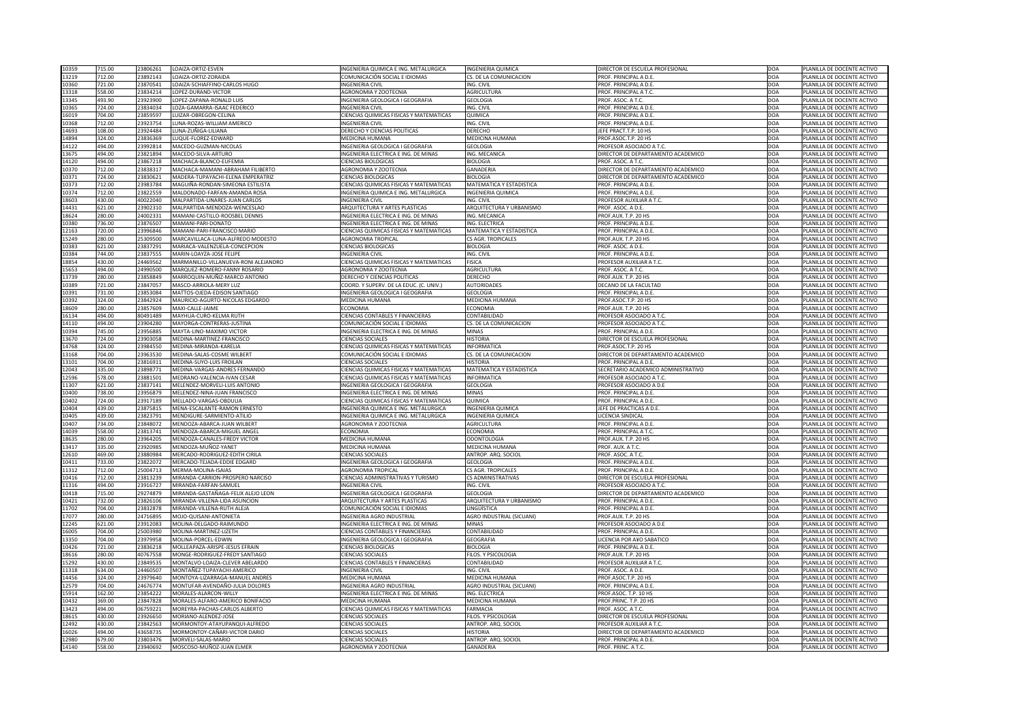| 10359 | 715.00 | 23806261 | LOAIZA-ORTIZ-ESVEN                        | INGENIERIA QUIMICA E ING. METALURGICA          | <b>INGENIERIA QUIMICA</b>        | <b>DIRECTOR DE ESCUELA PROFESIONAL</b> | DOA        | PLANILLA DE DOCENTE ACTIVO |
|-------|--------|----------|-------------------------------------------|------------------------------------------------|----------------------------------|----------------------------------------|------------|----------------------------|
| 13219 | 712.00 | 23892143 | LOAIZA-ORTIZ-ZORAIDA                      | COMUNICACIÓN SOCIAL E IDIOMAS                  | CS. DE LA COMUNICACION           | PROF. PRINCIPAL A D.E.                 | DOA        | PLANILLA DE DOCENTE ACTIVO |
|       |        |          | LOAIZA-SCHIAFFINO-CARLOS HUGO             |                                                | ING. CIVIL                       |                                        |            |                            |
| 10360 | 721.00 | 2387054  |                                           | <b>INGENIERIA CIVIL</b>                        |                                  | PROF. PRINCIPAL A D.E.                 | DOA        | PLANILLA DE DOCENTE ACTIVO |
| 13318 | 558.00 | 23834214 | LOPEZ-DURAND-VICTOR                       | <b>AGRONOMIA Y ZOOTECNIA</b>                   | <b>AGRICULTURA</b>               | PROF. PRINCIPAL A T.C.                 | DOA        | PLANILLA DE DOCENTE ACTIVO |
| 13345 | 493.90 | 23923900 | LOPEZ-ZAPANA-RONALD LUIS                  | INGENIERIA GEOLOGICA I GEOGRAFIA               | <b>GEOLOGIA</b>                  | PROF. ASOC. A T.C.                     | DOA        | PLANILLA DE DOCENTE ACTIVO |
| 10365 | 724.00 | 23834034 | LOZA-GAMARRA-ISAAC FEDERICO               | <b>INGENIERIA CIVIL</b>                        | ING. CIVIL                       | PROF. PRINCIPAL A D.E.                 | DOA        | PLANILLA DE DOCENTE ACTIVO |
| 16019 | 704.00 | 23859597 | LUIZAR-OBREGON-CELINA                     | CIENCIAS QUIMICAS FISICAS Y MATEMATICAS        | QUIMICA                          | PROF. PRINCIPAL A D.E.                 | DOA        | PLANILLA DE DOCENTE ACTIVO |
| 10368 | 712.00 | 23923754 | LUNA-ROZAS-WILLIAM AMERICO                | <b>INGENIERIA CIVIL</b>                        | ING. CIVIL                       | PROF. PRINCIPAL A D.E.                 | DOA        | PLANILLA DE DOCENTE ACTIVO |
| 14693 | 108.00 | 23924484 | LUNA-ZUÑIGA-LILIANA                       | <b>DERECHO Y CIENCIAS POLITICAS</b>            | <b>DERECHO</b>                   | JEFE PRACT.T.P. 10 HS                  | DOA        | PLANILLA DE DOCENTE ACTIVO |
|       |        | 23836369 |                                           |                                                |                                  | PROF.ASOC.T.P. 20 HS                   |            |                            |
| 14894 | 324.00 |          | LUQUE-FLOREZ-EDWARD                       | <b>MEDICINA HUMANA</b>                         | MEDICINA HUMANA                  |                                        | DOA        | PLANILLA DE DOCENTE ACTIVO |
| 14122 | 494.00 | 23992814 | MACEDO-GUZMAN-NICOLAS                     | INGENIERIA GEOLOGICA I GEOGRAFIA               | <b>GEOLOGIA</b>                  | PROFESOR ASOCIADO A T.C.               | DOA        | PLANILLA DE DOCENTE ACTIVO |
| 13675 | 494.00 | 23821894 | MACEDO-SILVA-ARTURO                       | INGENIERIA ELECTRICA E ING. DE MINAS           | ING. MECANICA                    | DIRECTOR DE DEPARTAMENTO ACADEMICO     | DOA        | PLANILLA DE DOCENTE ACTIVO |
| 14120 | 494.00 | 23867218 | MACHACA-BLANCO-EUFEMIA                    | <b>CIENCIAS BIOLOGICAS</b>                     | <b>BIOLOGIA</b>                  | PROF. ASOC. A T.C.                     | DOA        | PLANILLA DE DOCENTE ACTIVO |
| 10370 | 712.00 | 2383831. | MACHACA-MAMANI-ABRAHAM FILIBERTO          | AGRONOMIA Y ZOOTECNIA                          | <b>GANADERIA</b>                 | DIRECTOR DE DEPARTAMENTO ACADEMICO     | <b>DOA</b> | PLANILLA DE DOCENTE ACTIVO |
| 10371 | 724.00 | 2383062  | MADERA-TUPAYACHI-ELENA EMPERATRIZ         | <b>CIENCIAS BIOLOGICAS</b>                     | <b>BIOLOGIA</b>                  | DIRECTOR DE DEPARTAMENTO ACADEMICO     | DOA        | PLANILLA DE DOCENTE ACTIVO |
| 10373 | 712.00 | 23983784 | MAGUIÑA-RONDAN-SIMEONA ESTILISTA          | <b>CIENCIAS QUIMICAS FISICAS Y MATEMATICAS</b> | <b>MATEMATICA Y ESTADISTICA</b>  | PROF. PRINCIPAL A D.E.                 | DOA        | PLANILLA DE DOCENTE ACTIVO |
| 10374 | 712.00 | 23822559 | MALDONADO-FARFAN-AMANDA ROSA              | INGENIERIA QUIMICA E ING. METALURGICA          | <b>INGENIERIA QUIMICA</b>        | PROF. PRINCIPAL A D.E.                 | DOA        | PLANILLA DE DOCENTE ACTIVO |
| 18603 | 430.00 | 40022040 | MALPARTIDA-LINARES-JUAN CARLOS            | <b>INGENIERIA CIVIL</b>                        | ING. CIVIL                       | PROFESOR AUXILIAR A T.C.               | DOA        | PLANILLA DE DOCENTE ACTIVO |
|       |        |          |                                           |                                                |                                  |                                        |            |                            |
| 14431 | 621.00 | 23902310 | MALPARTIDA-MENDOZA-WENCESLAO              | ARQUITECTURA Y ARTES PLASTICAS                 | ARQUITECTURA Y URBANISMO         | PROF. ASOC. A D.E.                     | DOA        | PLANILLA DE DOCENTE ACTIVO |
| 18624 | 280.00 | 2400233: | MAMANI-CASTILLO-ROOSBEL DENNIS            | INGENIERIA ELECTRICA E ING. DE MINAS           | ING. MECANICA                    | PROF.AUX. T.P. 20 HS                   | DOA        | PLANILLA DE DOCENTE ACTIVO |
| 10380 | 736.00 | 23876507 | MAMANI-PARI-DONATO                        | INGENIERIA ELECTRICA E ING. DE MINAS           | ING. ELECTRICA                   | PROF. PRINCIPAL A D.E.                 | DOA        | PLANILLA DE DOCENTE ACTIVO |
| 12163 | 720.00 | 23996846 | MAMANI-PARI-FRANCISCO MARIO               | <b>CIENCIAS QUIMICAS FISICAS Y MATEMATICAS</b> | <b>MATEMATICA Y ESTADISTICA</b>  | PROF. PRINCIPAL A D.E.                 | DOA        | PLANILLA DE DOCENTE ACTIVO |
| 15249 | 280.00 | 25309500 | MARCAVILLACA-LUNA-ALFREDO MODESTO         | <b>AGRONOMIA TROPICAL</b>                      | <b>CS AGR. TROPICALES</b>        | PROF.AUX. T.P. 20 HS                   | DOA        | PLANILLA DE DOCENTE ACTIVO |
| 10383 | 621.00 | 2383729  | MARIACA-VALENZUELA-CONCEPCION             | <b>CIENCIAS BIOLOGICAS</b>                     | <b>BIOLOGIA</b>                  | PROF. ASOC. A D.E.                     | DOA        | PLANILLA DE DOCENTE ACTIVO |
| 10384 | 744.00 | 23837555 | MARIN-LOAYZA-JOSE FELIPE                  | <b>INGENIERIA CIVIL</b>                        | ING. CIVIL                       | PROF. PRINCIPAL A D.E.                 | DOA        | PLANILLA DE DOCENTE ACTIVO |
| 18854 | 430.00 | 24469562 | MARMANILLO-VILLANUEVA-RONI ALEJANDRO      | CIENCIAS QUIMICAS FISICAS Y MATEMATICAS        | <b>FISICA</b>                    | PROFESOR AUXILIAR A T.C.               | DOA        | PLANILLA DE DOCENTE ACTIVO |
|       |        |          |                                           |                                                |                                  |                                        |            |                            |
| 15653 | 494.00 | 24990500 | MARQUEZ-ROMERO-FANNY ROSARIO              | AGRONOMIA Y ZOOTECNIA                          | <b>AGRICULTURA</b>               | PROF. ASOC. A T.C.                     | DOA        | PLANILLA DE DOCENTE ACTIVO |
| 13739 | 280.00 | 23858849 | MARROQUIN-MUÑIZ-MARCO ANTONIO             | DERECHO Y CIENCIAS POLITICAS                   | <b>DERECHO</b>                   | PROF.AUX. T.P. 20 HS                   | DOA        | PLANILLA DE DOCENTE ACTIVO |
| 10389 | 721.00 | 23847057 | MASCO-ARRIOLA-MERY LUZ                    | COORD. Y SUPERV. DE LA EDUC. (C. UNIV.)        | <b>AUTORIDADES</b>               | DECANO DE LA FACULTAD                  | DOA        | PLANILLA DE DOCENTE ACTIVO |
| 10391 | 731.00 | 23853084 | MATTOS-OJEDA-EDISON SANTIAGO              | INGENIERIA GEOLOGICA I GEOGRAFIA               | <b>GEOLOGIA</b>                  | PROF. PRINCIPAL A D.E.                 | DOA        | PLANILLA DE DOCENTE ACTIVO |
| 10392 | 324.00 | 23842924 | MAURICIO-AGURTO-NICOLAS EDGARDO           | MEDICINA HUMANA                                | MEDICINA HUMANA                  | PROF.ASOC.T.P. 20 HS                   | <b>DOA</b> | PLANILLA DE DOCENTE ACTIVO |
| 18609 | 280.00 | 23857609 | MAXI-CALLE-JAIME                          | ECONOMIA                                       | <b>ECONOMIA</b>                  | PROF.AUX. T.P. 20 HS                   | DOA        | PLANILLA DE DOCENTE ACTIVO |
| 16134 | 494.00 | 80491489 | MAYHUA-CURO-KELMA RUTH                    | <b>CIENCIAS CONTABLES Y FINANCIERAS</b>        | CONTABILIDAD                     | PROFESOR ASOCIADO A T.C.               | DOA        | PLANILLA DE DOCENTE ACTIVO |
| 14110 | 494.00 | 23904280 | MAYORGA-CONTRERAS-JUSTINA                 | COMUNICACIÓN SOCIAL E IDIOMAS                  | CS. DE LA COMUNICACION           | <b>PROFESOR ASOCIADO A T.C.</b>        | DOA        | PLANILLA DE DOCENTE ACTIVO |
| 10394 | 745.00 | 23956885 | MAYTA-LINO-MAXIMO VICTOR                  | INGENIERIA ELECTRICA E ING. DE MINAS           | <b>MINAS</b>                     | <b>PROF. PRINCIPAL A D.E.</b>          | DOA        | PLANILLA DE DOCENTE ACTIVO |
| 13670 | 724.00 | 23903058 | MEDINA-MARTINEZ-FRANCISCO                 | <b>CIENCIAS SOCIALES</b>                       | <b>HISTORIA</b>                  | DIRECTOR DE ESCUELA PROFESIONAL        | DOA        | PLANILLA DE DOCENTE ACTIVO |
|       |        |          |                                           |                                                |                                  |                                        |            |                            |
| 14768 | 324.00 | 23984550 | MEDINA-MIRANDA-KARELIA                    | CIENCIAS QUIMICAS FISICAS Y MATEMATICAS        | <b>INFORMATICA</b>               | PROF.ASOC.T.P. 20 HS                   | DOA        | PLANILLA DE DOCENTE ACTIVO |
| 13168 | 704.00 | 23963530 | MEDINA-SALAS-COSME WILBERT                | COMUNICACIÓN SOCIAL E IDIOMAS                  | CS. DE LA COMUNICACION           | DIRECTOR DE DEPARTAMENTO ACADEMICO     | DOA        | PLANILLA DE DOCENTE ACTIVO |
|       |        |          |                                           |                                                |                                  |                                        |            |                            |
| 13101 | 704.00 | 2381691: | MEDINA-SUYO-LUIS FROILAN                  | <b>CIENCIAS SOCIALES</b>                       | <b>HISTORIA</b>                  | PROF. PRINCIPAL A D.E.                 | DOA        | PLANILLA DE DOCENTE ACTIVO |
| 12043 | 335.00 | 2389877  | MEDINA-VARGAS-ANDRES FERNANDO             | CIENCIAS QUIMICAS FISICAS Y MATEMATICAS        | MATEMATICA Y ESTADISTICA         | SECRETARIO ACADEMICO ADMINISTRATIVO    | DOA        | PLANILLA DE DOCENTE ACTIVO |
| 12596 | 578.00 | 2388150  | MEDRANO-VALENCIA-IVAN CESAR               | <b>CIENCIAS QUIMICAS FISICAS Y MATEMATICAS</b> | <b>INFORMATICA</b>               | PROFESOR ASOCIADO A T.C.               | DOA        | PLANILLA DE DOCENTE ACTIVO |
| 11307 | 621.00 | 2383714  | MELENDEZ-MORVELI-LUIS ANTONIO             | INGENIERIA GEOLOGICA I GEOGRAFIA               | <b>GEOLOGIA</b>                  | PROFESOR ASOCIADO A D.E                | DOA        | PLANILLA DE DOCENTE ACTIVO |
| 10400 | 738.00 | 23956879 | MELENDEZ-NINA-JUAN FRANCISCO              | INGENIERIA ELECTRICA E ING. DE MINAS           | <b>MINAS</b>                     | PROF. PRINCIPAL A D.E.                 | DOA        | PLANILLA DE DOCENTE ACTIVO |
| 10402 | 724.00 | 23917189 | MELLADO-VARGAS-OBDULIA                    | <b>CIENCIAS QUIMICAS FISICAS Y MATEMATICAS</b> | <b>QUIMICA</b>                   | <b>PROF. PRINCIPAL A D.E.</b>          | DOA        | PLANILLA DE DOCENTE ACTIVO |
|       |        |          |                                           |                                                |                                  |                                        |            |                            |
| 10404 | 439.00 | 23875815 | MENA-ESCALANTE-RAMON ERNESTO              | INGENIERIA QUIMICA E ING. METALURGICA          | <b>INGENIERIA QUIMICA</b>        | EFE DE PRACTICAS A D.E.                | DOA        | PLANILLA DE DOCENTE ACTIVO |
| 10405 | 439.00 | 2382379  | MENDIGURE-SARMIENTO-ATILIO                | INGENIERIA QUIMICA E ING. METALURGICA          | <b>INGENIERIA QUIMICA</b>        | LICENCIA SINDICAL                      | DOA        | PLANILLA DE DOCENTE ACTIVO |
| 10407 | 734.00 | 23848072 | MENDOZA-ABARCA-JUAN WILBERT               | AGRONOMIA Y ZOOTECNIA                          | AGRICULTURA                      | PROF. PRINCIPAL A D.E.                 | DOA        | PLANILLA DE DOCENTE ACTIVO |
| 14039 | 558.00 | 2381374  | MENDOZA-ABARCA-MIGUEL ANGEL               | <b>ECONOMIA</b>                                | <b>ECONOMIA</b>                  | PROF. PRINCIPAL A T.C.                 | DOA        | PLANILLA DE DOCENTE ACTIVO |
| 18635 | 280.00 | 23964205 | MENDOZA-CANALES-FREDY VICTOR              | <b>MEDICINA HUMANA</b>                         | <b>ODONTOLOGIA</b>               | PROF.AUX. T.P. 20 HS                   | DOA        | PLANILLA DE DOCENTE ACTIVO |
| 13417 | 335.00 | 23920985 | MENDOZA-MUÑOZ-YANET                       | MEDICINA HUMANA                                | MEDICINA HUMANA                  | PROF. AUX. A T.C.                      | DOA        | PLANILLA DE DOCENTE ACTIVO |
| 12610 | 469.00 | 23880984 | MERCADO-RODRIGUEZ-EDITH CIRILA            | <b>CIENCIAS SOCIALES</b>                       | ANTROP. ARQ. SOCIOL              | PROF. ASOC. A T.C.                     | DOA        | PLANILLA DE DOCENTE ACTIVO |
| 10411 | 733.00 | 23822072 | MERCADO-TEJADA-EDDIE EDGARD               | INGENIERIA GEOLOGICA I GEOGRAFIA               | <b>GEOLOGIA</b>                  | PROF. PRINCIPAL A D.E.                 | DOA        | PLANILLA DE DOCENTE ACTIVO |
|       | 712.00 | 25004713 | MERMA-MOLINA-ISAIAS                       | <b>AGRONOMIA TROPICAL</b>                      | <b>CS AGR. TROPICALES</b>        | PROF. PRINCIPAL A D.E.                 | DOA        | PLANILLA DE DOCENTE ACTIVO |
| 11312 | 712.00 | 23813239 | MIRANDA-CARRION-PROSPERO NARCISO          | <b>CIENCIAS ADMINISTRATIVAS Y TURISMO</b>      | <b>CS ADMINISTRATIVAS</b>        | DIRECTOR DE ESCUELA PROFESIONAL        | DOA        | PLANILLA DE DOCENTE ACTIVO |
| 10416 |        |          |                                           |                                                |                                  |                                        |            |                            |
| 11316 | 494.00 | 23916727 | MIRANDA-FARFAN-SAMUEL                     | <b>INGENIERIA CIVIL</b>                        | ING. CIVIL                       | PROFESOR ASOCIADO A T.C.               | DOA        | PLANILLA DE DOCENTE ACTIVO |
| 10418 | 715.00 | 29274879 | MIRANDA-GASTAÑAGA-FELIX ALEJO LEON        | INGENIERIA GEOLOGICA I GEOGRAFIA               | <b>GEOLOGIA</b>                  | DIRECTOR DE DEPARTAMENTO ACADEMICO     | <b>DOA</b> | PLANILLA DE DOCENTE ACTIVO |
| 10421 | 732.00 | 23826106 | MIRANDA-VILLENA-LIDA ASUNCION             | ARQUITECTURA Y ARTES PLASTICAS                 | ARQUITECTURA Y URBANISMO         | PROF. PRINCIPAL A D.E.                 | DOA        | PLANILLA DE DOCENTE ACTIVO |
| 11702 | 704.00 | 23832878 | MIRANDA-VILLENA-RUTH ALEJA                | COMUNICACIÓN SOCIAL E IDIOMAS                  | <b>LINGÜÍSTICA</b>               | PROF. PRINCIPAL A D.E.                 | DOA        | PLANILLA DE DOCENTE ACTIVO |
| 17077 | 280.00 | 24716895 | MOJO-QUISANI-ANTONIETA                    | INGENIERIA AGRO INDUSTRIAL                     | AGRO INDUSTRIAL (SICUANI)        | PROF.AUX. T.P. 20 HS                   | DOA        | PLANILLA DE DOCENTE ACTIVO |
| 12245 | 621.00 | 23912083 | MOLINA-DELGADO-RAIMUNDO                   | INGENIERIA ELECTRICA E ING. DE MINAS           | <b>MINAS</b>                     | PROFESOR ASOCIADO A D.E                | DOA        | PLANILLA DE DOCENTE ACTIVO |
| 16005 | 704.00 | 25003980 | MOLINA-MARTINEZ-LIZETH                    | <b>CIENCIAS CONTABLES Y FINANCIERAS</b>        | CONTABILIDAD                     | <b>PROF. PRINCIPAL A D.E.</b>          | DOA        | PLANILLA DE DOCENTE ACTIVO |
| 13350 | 704.00 | 23979958 | MOLINA-PORCEL-EDWIN                       | <b>INGENIERIA GEOLOGICA I GEOGRAFIA</b>        | <b>GEOGRAFIA</b>                 | LICENCIA POR A¥O SABATICO              | DOA        | PLANILLA DE DOCENTE ACTIVO |
| 10426 | 721.00 | 23836218 | MOLLEAPAZA-ARISPE-JESUS EFRAIN            | <b>CIENCIAS BIOLOGICAS</b>                     | <b>BIOLOGIA</b>                  | PROF. PRINCIPAL A D.E.                 | <b>DOA</b> | PLANILLA DE DOCENTE ACTIVO |
|       |        |          |                                           |                                                |                                  |                                        |            |                            |
| 18616 | 280.00 |          | 40767558   MONGE-RODRIGUEZ-FREDY SANTIAGO | <b>CIENCIAS SOCIALES</b>                       | FILOS. Y PSICOLOGIA              | PROF.AUX. T.P. 20 HS                   | <b>DOA</b> | PLANILLA DE DOCENTE ACTIVO |
| 15292 | 430.00 | 23849535 | MONTALVO-LOAIZA-CLEVER ABELARDO           | <b>CIENCIAS CONTABLES Y FINANCIERAS</b>        | CONTABILIDAD                     | <b>PROFESOR AUXILIAR A T.C.</b>        | DOA        | PLANILLA DE DOCENTE ACTIVO |
| 11318 | 634.00 | 24460507 | MONTAÑEZ-TUPAYACHI-AMERICO                | <b>INGENIERIA CIVIL</b>                        | ING. CIVIL                       | PROF. ASOC. A D.E.                     | DOA        | PLANILLA DE DOCENTE ACTIVO |
| 14456 | 324.00 | 23979640 | MONTOYA-LIZARRAGA-MANUEL ANDRES           | <b>MEDICINA HUMANA</b>                         | MEDICINA HUMANA                  | PROF.ASOC.T.P. 20 HS                   | DOA        | PLANILLA DE DOCENTE ACTIVO |
| 12579 | 704.00 | 24676774 | MONTUFAR-AVENDAÑO-JULIA DOLORES           | <b>INGENIERIA AGRO INDUSTRIAL</b>              | <b>AGRO INDUSTRIAL (SICUANI)</b> | PROF. PRINCIPAL A D.E.                 | DOA        | PLANILLA DE DOCENTE ACTIVO |
| 15914 | 162.00 | 23854222 | MORALES-ALARCON-WILLY                     | <b>INGENIERIA ELECTRICA E ING. DE MINAS</b>    | ING. ELECTRICA                   | PROF.ASOC. T.P. 10 HS                  | DOA        | PLANILLA DE DOCENTE ACTIVO |
| 10432 | 369.00 | 23847828 | MORALES-ALFARO-AMERICO BONIFACIO          | <b>MEDICINA HUMANA</b>                         | MEDICINA HUMANA                  | PROF.PRINC. T.P. 20 HS                 | DOA        | PLANILLA DE DOCENTE ACTIVO |
| 13423 | 494.00 | 06759221 | MOREYRA-PACHAS-CARLOS ALBERTO             | <b>CIENCIAS QUIMICAS FISICAS Y MATEMATICAS</b> | <b>FARMACIA</b>                  | PROF. ASOC. A T.C.                     | DOA        | PLANILLA DE DOCENTE ACTIVO |
| 18615 | 430.00 | 23926650 | MORIANO-ALENDEZ-JOSE                      | <b>CIENCIAS SOCIALES</b>                       | FILOS. Y PSICOLOGIA              | <b>DIRECTOR DE ESCUELA PROFESIONAL</b> | DOA        | PLANILLA DE DOCENTE ACTIVO |
| 12492 | 430.00 | 23842563 | MORMONTOY-ATAYUPANQUI-ALFREDO             | <b>CIENCIAS SOCIALES</b>                       | ANTROP. ARQ. SOCIOL              | PROFESOR AUXILIAR A T.C.               | DOA        | PLANILLA DE DOCENTE ACTIVO |
| 16026 | 494.00 | 43658735 | MORMONTOY-CAÑARI-VICTOR DARIO             | <b>CIENCIAS SOCIALES</b>                       | <b>HISTORIA</b>                  | DIRECTOR DE DEPARTAMENTO ACADEMICO     | DOA        | PLANILLA DE DOCENTE ACTIVO |
| 12980 | 679.00 | 23803476 | MORVELI-SALAS-MARIO                       | <b>CIENCIAS SOCIALES</b>                       | ANTROP. ARQ. SOCIOL              | PROF. PRINCIPAL A D.E.                 | DOA        | PLANILLA DE DOCENTE ACTIVO |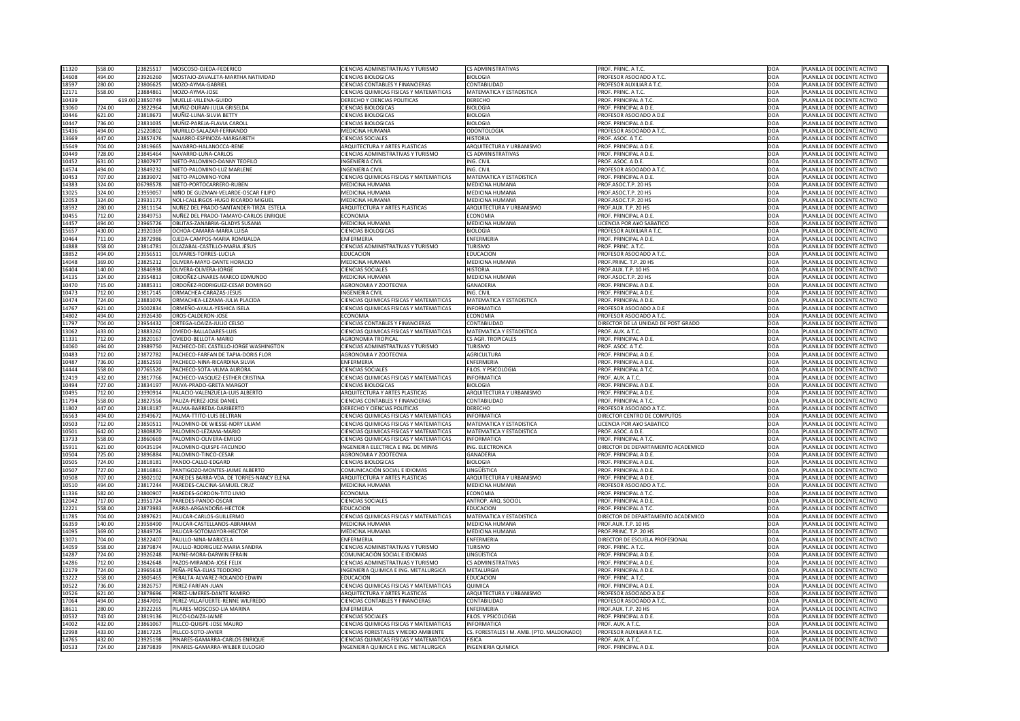|                | 558.00 | 23825517        | MOSCOSO-OJEDA-FEDERICO                   | <b>CIENCIAS ADMINISTRATIVAS Y TURISMO</b>      | <b>CS ADMINISTRATIVAS</b>                 | PROF. PRINC. A T.C.                 | DOA        | PLANILLA DE DOCENTE ACTIVO |
|----------------|--------|-----------------|------------------------------------------|------------------------------------------------|-------------------------------------------|-------------------------------------|------------|----------------------------|
| 11320<br>14608 | 494.00 | 23926260        | MOSTAJO-ZAVALETA-MARTHA NATIVIDAD        | <b>CIENCIAS BIOLOGICAS</b>                     | <b>BIOLOGIA</b>                           | PROFESOR ASOCIADO A T.C.            | DOA        | PLANILLA DE DOCENTE ACTIVO |
|                | 280.00 | 23806625        |                                          |                                                | CONTABILIDAD                              |                                     | DOA        |                            |
| 18597          |        |                 | MOZO-AYMA-GABRIEL                        | <b>CIENCIAS CONTABLES Y FINANCIERAS</b>        |                                           | PROFESOR AUXILIAR A T.C.            |            | PLANILLA DE DOCENTE ACTIVO |
| 12171          | 558.00 | 23884861        | MOZO-AYMA-JOSE                           | CIENCIAS QUIMICAS FISICAS Y MATEMATICAS        | MATEMATICA Y ESTADISTICA                  | PROF. PRINC. A T.C.                 | DOA        | PLANILLA DE DOCENTE ACTIVO |
| 10439          |        | 619.00 23850749 | MUELLE-VILLENA-GUIDO                     | DERECHO Y CIENCIAS POLITICAS                   | <b>DERECHO</b>                            | PROF. PRINCIPAL A T.C.              | DOA        | PLANILLA DE DOCENTE ACTIVO |
| 13060          | 724.00 | 23822964        | MUÑIZ-DURAN-JULIA GRISELDA               | <b>CIENCIAS BIOLOGICAS</b>                     | <b>BIOLOGIA</b>                           | PROF. PRINCIPAL A D.E.              | DOA        | PLANILLA DE DOCENTE ACTIVO |
| 10446          | 621.00 | 23818673        | MUÑIZ-LUNA-SILVIA BETTY                  | <b>CIENCIAS BIOLOGICAS</b>                     | <b>BIOLOGIA</b>                           | PROFESOR ASOCIADO A D.E             | DOA        | PLANILLA DE DOCENTE ACTIVO |
| 10447          | 736.00 | 23831035        | MUÑIZ-PAREJA-FLAVIA CAROLI               | <b>CIENCIAS BIOLOGICAS</b>                     | <b>BIOLOGIA</b>                           | PROF. PRINCIPAL A D.E               | DOA        | PLANILLA DE DOCENTE ACTIVO |
| 15436          | 494.00 | 25220802        | MURILLO-SALAZAR-FERNANDO                 | MEDICINA HUMANA                                | <b>ODONTOLOGIA</b>                        | PROFESOR ASOCIADO A T.C.            | DOA        | PLANILLA DE DOCENTE ACTIVO |
| 13669          | 447.00 | 23857476        | NAJARRO-ESPINOZA-MARGARETH               | <b>CIENCIAS SOCIALES</b>                       | <b>HISTORIA</b>                           | PROF. ASOC. A T.C.                  | DOA        | PLANILLA DE DOCENTE ACTIVO |
|                |        |                 |                                          |                                                |                                           |                                     |            |                            |
| 15649          | 704.00 | 23819665        | NAVARRO-HALANOCCA-RENE                   | <b>ARQUITECTURA Y ARTES PLASTICAS</b>          | ARQUITECTURA Y URBANISMO                  | PROF. PRINCIPAL A D.E.              | DOA        | PLANILLA DE DOCENTE ACTIVO |
| 10449          | 728.00 | 23845464        | NAVARRO-LUNA-CARLOS                      | <b>CIENCIAS ADMINISTRATIVAS Y TURISMO</b>      | <b>CS ADMINISTRATIVAS</b>                 | PROF. PRINCIPAL A D.E.              | DOA        | PLANILLA DE DOCENTE ACTIVO |
| 10452          | 631.00 | 2380797         | NIETO-PALOMINO-DANNY TEOFILO             | <b>INGENIERIA CIVIL</b>                        | ING. CIVIL                                | PROF. ASOC. A D.E.                  | DOA        | PLANILLA DE DOCENTE ACTIVO |
| 14574          | 494.00 | 23849232        | NIETO-PALOMINO-LUZ MARLENE               | <b>INGENIERIA CIVIL</b>                        | ING. CIVIL                                | PROFESOR ASOCIADO A T.C.            | DOA        | PLANILLA DE DOCENTE ACTIVO |
| 10453          | 707.00 | 23839072        | NIETO-PALOMINO-YONI                      | CIENCIAS QUIMICAS FISICAS Y MATEMATICAS        | <b>MATEMATICA Y ESTADISTICA</b>           | PROF. PRINCIPAL A D.E               | DOA        | PLANILLA DE DOCENTE ACTIVO |
| 14383          | 324.00 | 06798578        | <b>INIETO-PORTOCARRERO-RUBEN</b>         | MEDICINA HUMANA                                | MEDICINA HUMANA                           | PROF.ASOC.T.P. 20 HS                | DOA        | PLANILLA DE DOCENTE ACTIVO |
| 13025          | 324.00 | 2395905         | NIÑO DE GUZMAN-VELARDE-OSCAR FILIPO      | MEDICINA HUMANA                                | MEDICINA HUMANA                           | PROF.ASOC.T.P. 20 HS                | DOA        | PLANILLA DE DOCENTE ACTIVO |
|                |        |                 |                                          |                                                |                                           |                                     |            |                            |
| 12053          | 324.00 | 23931173        | NOLI-CALLIRGOS-HUGO RICARDO MIGUEL       | <b>MEDICINA HUMANA</b>                         | MEDICINA HUMANA                           | PROF.ASOC.T.P. 20 HS                | DOA        | PLANILLA DE DOCENTE ACTIVO |
| 18592          | 280.00 | 23811154        | NUÑEZ DEL PRADO-SANTANDER-TIRZA ESTELA   | <b>ARQUITECTURA Y ARTES PLASTICAS</b>          | ARQUITECTURA Y URBANISMO                  | PROF.AUX. T.P. 20 HS                | DOA        | PLANILLA DE DOCENTE ACTIVO |
| 10455          | 712.00 | 23849753        | NUÑEZ DEL PRADO-TAMAYO-CARLOS ENRIQUE    | <b>ECONOMIA</b>                                | <b>ECONOMIA</b>                           | PROF. PRINCIPAL A D.E.              | DOA        | PLANILLA DE DOCENTE ACTIVO |
| 14457          | 494.00 | 23965726        | OBLITAS-ZANABRIA-GLADYS SUSANA           | <b>MEDICINA HUMANA</b>                         | MEDICINA HUMANA                           | <b>LICENCIA POR A¥O SABATICO</b>    | DOA        | PLANILLA DE DOCENTE ACTIVO |
| 15657          | 430.00 | 23920369        | OCHOA-CAMARA-MARIA LUISA                 | <b>CIENCIAS BIOLOGICAS</b>                     | <b>BIOLOGIA</b>                           | PROFESOR AUXILIAR A T.C.            | DOA        | PLANILLA DE DOCENTE ACTIVO |
| 10464          | 711.00 | 23872986        | OJEDA-CAMPOS-MARIA ROMUALDA              | <b>ENFERMERIA</b>                              | ENFERMERIA                                | PROF. PRINCIPAL A D.E.              | DOA        | PLANILLA DE DOCENTE ACTIVO |
|                |        |                 |                                          |                                                |                                           |                                     |            |                            |
| 14888          | 558.00 | 2381478         | OLAZABAL-CASTILLO-MARIA JESUS            | <b>CIENCIAS ADMINISTRATIVAS Y TURISMO</b>      | TURISMO                                   | PROF. PRINC. A T.C.                 | DOA        | PLANILLA DE DOCENTE ACTIVO |
| 18852          | 494.00 | 23956513        | OLIVARES-TORRES-LUCILA                   | <b>EDUCACION</b>                               | <b>EDUCACION</b>                          | PROFESOR ASOCIADO A T.C.            | DOA        | PLANILLA DE DOCENTE ACTIVO |
| 14048          | 369.00 | 23825212        | <b>OLIVERA-MAYO-DANTE HORACIO</b>        | MEDICINA HUMANA                                | MEDICINA HUMANA                           | PROF.PRINC. T.P. 20 HS              | DOA        | PLANILLA DE DOCENTE ACTIVO |
| 16404          | 140.00 | 23846938        | OLIVERA-OLIVERA-JORGE                    | <b>CIENCIAS SOCIALES</b>                       | <b>HISTORIA</b>                           | PROF.AUX. T.P. 10 HS                | DOA        | PLANILLA DE DOCENTE ACTIVO |
| 14135          | 324.00 | 23954813        | ORDOÑEZ-LINARES-MARCO EDMUNDO            | MEDICINA HUMANA                                | MEDICINA HUMANA                           | PROF.ASOC.T.P. 20 HS                | DOA        | PLANILLA DE DOCENTE ACTIVO |
| 10470          | 715.00 | 2388531         | ORDOÑEZ-RODRIGUEZ-CESAR DOMINGO          | <b>AGRONOMIA Y ZOOTECNIA</b>                   | <b>GANADERIA</b>                          | PROF. PRINCIPAL A D.E               | DOA        | PLANILLA DE DOCENTE ACTIVO |
|                |        |                 | ORMACHEA-CARAZAS-JESUS                   |                                                | ING. CIVIL                                | PROF. PRINCIPAL A D.E.              | DOA        |                            |
| 10473          | 712.00 | 23817145        |                                          | <b>INGENIERIA CIVIL</b>                        |                                           |                                     |            | PLANILLA DE DOCENTE ACTIVO |
| 10474          | 724.00 | 23881076        | ORMACHEA-LEZAMA-JULIA PLACIDA            | CIENCIAS QUIMICAS FISICAS Y MATEMATICAS        | <b>MATEMATICA Y ESTADISTICA</b>           | PROF. PRINCIPAL A D.E.              | <b>DOA</b> | PLANILLA DE DOCENTE ACTIVO |
| 14767          | 621.00 | 25002834        | ORMEÑO-AYALA-YESHICA ISELA               | CIENCIAS QUIMICAS FISICAS Y MATEMATICAS        | INFORMATICA                               | PROFESOR ASOCIADO A D.E             | DOA        | PLANILLA DE DOCENTE ACTIVO |
| 14802          | 494.00 | 23926430        | OROS-CALDERON-JOSE                       | <b>ECONOMIA</b>                                | <b>ECONOMIA</b>                           | PROFESOR ASOCIADO A T.C.            | DOA        | PLANILLA DE DOCENTE ACTIVO |
| 11797          | 704.00 | 23954432        | ORTEGA-LOAIZA-JULIO CELSO                | <b>CIENCIAS CONTABLES Y FINANCIERAS</b>        | CONTABILIDAD                              | DIRECTOR DE LA UNIDAD DE POST GRADO | DOA        | PLANILLA DE DOCENTE ACTIVO |
| 13062          | 433.00 | 23883262        | OVIEDO-BALLADARES-LUIS                   | <b>CIENCIAS QUIMICAS FISICAS Y MATEMATICAS</b> | MATEMATICA Y ESTADISTICA                  | PROF. AUX. A T.C.                   | DOA        | PLANILLA DE DOCENTE ACTIVO |
| 11331          | 712.00 | 23820167        | OVIEDO-BELLOTA-MARIO                     | <b>AGRONOMIA TROPICAL</b>                      | <b>CS AGR. TROPICALES</b>                 | PROF. PRINCIPAL A D.E               | DOA        | PLANILLA DE DOCENTE ACTIVO |
|                |        |                 |                                          |                                                |                                           |                                     |            |                            |
| 14060          | 494.00 | 23989750        | PACHECO-DEL CASTILLO-JORGE WASHINGTON    | <b>CIENCIAS ADMINISTRATIVAS Y TURISMO</b>      | <b>TURISMO</b>                            | PROF. ASOC. A T.C.                  | DOA        | PLANILLA DE DOCENTE ACTIVO |
| 10483          | 712.00 | 23872782        | PACHECO-FARFAN DE TAPIA-DORIS FLOR       | AGRONOMIA Y ZOOTECNIA                          | <b>AGRICULTURA</b>                        | PROF. PRINCIPAL A D.E.              | DOA        | PLANILLA DE DOCENTE ACTIVO |
| 10487          | 736.00 | 23852593        | PACHECO-NINA-RICARDINA SILVIA            | <b>ENFERMERIA</b>                              | ENFERMERIA                                | PROF. PRINCIPAL A D.E.              | DOA        | PLANILLA DE DOCENTE ACTIVO |
| 14444          | 558.00 | 07765520        | PACHECO-SOTA-VILMA AURORA                | <b>CIENCIAS SOCIALES</b>                       | FILOS. Y PSICOLOGIA                       | PROF. PRINCIPAL A T.C.              | DOA        | PLANILLA DE DOCENTE ACTIVO |
| 12419          | 432.00 | 23817766        | PACHECO-VASQUEZ-ESTHER CRISTINA          | <b>CIENCIAS QUIMICAS FISICAS Y MATEMATICAS</b> | <b>INFORMATICA</b>                        | PROF. AUX. A T.C.                   | DOA        | PLANILLA DE DOCENTE ACTIVO |
| 10494          | 727.00 | 23834197        | PAIVA-PRADO-GRETA MARGOT                 | <b>CIENCIAS BIOLOGICAS</b>                     | <b>BIOLOGIA</b>                           | PROF. PRINCIPAL A D.E.              | DOA        | PLANILLA DE DOCENTE ACTIVO |
|                |        |                 |                                          |                                                |                                           |                                     |            |                            |
|                |        |                 |                                          |                                                |                                           |                                     |            |                            |
| 10495          | 712.00 | 23990914        | PALACIO-VALENZUELA-LUIS ALBERTO          | <b>ARQUITECTURA Y ARTES PLASTICAS</b>          | <b>ARQUITECTURA Y URBANISMO</b>           | PROF. PRINCIPAL A D.E               | DOA        | PLANILLA DE DOCENTE ACTIVO |
| 11794          | 558.00 | 23827556        | PALIZA-PEREZ-JOSE DANIEL                 | <b>CIENCIAS CONTABLES Y FINANCIERAS</b>        | <b>CONTABILIDAD</b>                       | <b>PROF. PRINCIPAL A T.C.</b>       | DOA        | PLANILLA DE DOCENTE ACTIVO |
| 11802          | 447.00 | 23818187        | PALMA-BARREDA-DARIBERTO                  | DERECHO Y CIENCIAS POLITICAS                   | <b>DERECHO</b>                            | PROFESOR ASOCIADO A T.C.            | DOA        | PLANILLA DE DOCENTE ACTIVO |
| 16563          | 494.00 | 23949672        | PALMA-TTITO-LUIS BELTRAN                 | <b>CIENCIAS QUIMICAS FISICAS Y MATEMATICAS</b> | <b>INFORMATICA</b>                        | DIRECTOR CENTRO DE COMPUTOS         | DOA        | PLANILLA DE DOCENTE ACTIVO |
|                |        |                 |                                          |                                                | MATEMATICA Y ESTADISTICA                  |                                     |            |                            |
| 10503          | 712.00 | 2385051         | PALOMINO-DE WIESSE-NORY LILIAM           | CIENCIAS QUIMICAS FISICAS Y MATEMATICAS        |                                           | <b>LICENCIA POR A¥O SABATICO</b>    | DOA        | PLANILLA DE DOCENTE ACTIVO |
| 10501          | 642.00 | 23808870        | PALOMINO-LEZAMA-MARIO                    | <b>CIENCIAS QUIMICAS FISICAS Y MATEMATICAS</b> | <b>MATEMATICA Y ESTADISTICA</b>           | PROF. ASOC. A D.E.                  | DOA        | PLANILLA DE DOCENTE ACTIVO |
| 13733          | 558.00 | 23860669        | PALOMINO-OLIVERA-EMILIO                  | CIENCIAS QUIMICAS FISICAS Y MATEMATICAS        | <b>INFORMATICA</b>                        | PROF. PRINCIPAL A T.C.              | DOA        | PLANILLA DE DOCENTE ACTIVO |
| 15911          | 621.00 | 00435194        | PALOMINO-QUISPE-FACUNDO                  | INGENIERIA ELECTRICA E ING. DE MINAS           | ING. ELECTRONICA                          | DIRECTOR DE DEPARTAMENTO ACADEMICO  | DOA        | PLANILLA DE DOCENTE ACTIVO |
| 10504          | 725.00 | 23896884        | PALOMINO-TINCO-CESAR                     | AGRONOMIA Y ZOOTECNIA                          | <b>GANADERIA</b>                          | PROF. PRINCIPAL A D.E.              | DOA        | PLANILLA DE DOCENTE ACTIVO |
| 10505          | 724.00 | 23818181        | PANDO-CALLO-EDGARD                       | <b>CIENCIAS BIOLOGICAS</b>                     | <b>BIOLOGIA</b>                           | PROF. PRINCIPAL A D.E.              | DOA        | PLANILLA DE DOCENTE ACTIVO |
| 10507          | 727.00 | 2381686         | PANTIGOZO-MONTES-JAIME ALBERTO           | COMUNICACIÓN SOCIAL E IDIOMAS                  | LINGÜÍSTICA                               | PROF. PRINCIPAL A D.E.              | DOA        | PLANILLA DE DOCENTE ACTIVO |
| 10508          | 707.00 | 23802102        | PAREDES BARRA-VDA. DE TORRES-NANCY ELENA | ARQUITECTURA Y ARTES PLASTICAS                 | ARQUITECTURA Y URBANISMO                  | PROF. PRINCIPAL A D.E.              | DOA        | PLANILLA DE DOCENTE ACTIVO |
|                |        |                 |                                          |                                                |                                           |                                     |            |                            |
| 10510          | 494.00 | 23817244        | PAREDES-CALCINA-SAMUEL CRUZ              | <b>MEDICINA HUMANA</b>                         | MEDICINA HUMANA                           | PROFESOR ASOCIADO A T.C.            | DOA        | PLANILLA DE DOCENTE ACTIVO |
| 11336          | 582.00 | 2380090         | PAREDES-GORDON-TITO LIVIO                | <b>ECONOMIA</b>                                | <b>ECONOMIA</b>                           | PROF. PRINCIPAL A T.C.              | <b>DOA</b> | PLANILLA DE DOCENTE ACTIVO |
| 12042          | 717.00 | 23951724        | PAREDES-PANDO-OSCAR                      | <b>CIENCIAS SOCIALES</b>                       | ANTROP. ARQ. SOCIOL                       | PROF. PRINCIPAL A D.E.              | DOA        | PLANILLA DE DOCENTE ACTIVO |
| 12221          | 558.00 | 23873983        | PARRA-ARGANDOÑA-HECTOR                   | <b>EDUCACION</b>                               | <b>EDUCACION</b>                          | PROF. PRINCIPAL A T.C.              | DOA        | PLANILLA DE DOCENTE ACTIVO |
| 11785          | 704.00 | 2389762         | PAUCAR-CARLOS-GUILLERMO                  | CIENCIAS QUIMICAS FISICAS Y MATEMATICAS        | MATEMATICA Y ESTADISTICA                  | DIRECTOR DE DEPARTAMENTO ACADEMICO  | DOA        | PLANILLA DE DOCENTE ACTIVO |
| 16359          | 140.00 | 23958490        | PAUCAR-CASTELLANOS-ABRAHAM               | MEDICINA HUMANA                                | MEDICINA HUMANA                           | PROF.AUX. T.P. 10 HS                | DOA        | PLANILLA DE DOCENTE ACTIVO |
|                | 369.00 | 23849726        | PAUCAR-SOTOMAYOR-HECTOR                  | MEDICINA HUMANA                                | MEDICINA HUMANA                           | PROF.PRINC. T.P. 20 HS              | DOA        | PLANILLA DE DOCENTE ACTIVO |
| 14095          |        |                 |                                          |                                                |                                           |                                     |            |                            |
| 13071          | 704.00 | 2382240.        | PAULLO-NINA-MARICELA                     | <b>ENFERMERIA</b>                              | ENFERMERIA                                | DIRECTOR DE ESCUELA PROFESIONAL     | <b>DOA</b> | PLANILLA DE DOCENTE ACTIVO |
| 14059          | 558.00 | 23879874        | PAULLO-RODRIGUEZ-MARIA SANDRA            | <b>CIENCIAS ADMINISTRATIVAS Y TURISMO</b>      | <b>TURISMO</b>                            | PROF. PRINC. A T.C.                 | <b>DOA</b> | PLANILLA DE DOCENTE ACTIVO |
| 14287          | 724.00 |                 | 23926248 PAYNE-MORA-DARWIN EFRAIN        | COMUNICACIÓN SOCIAL E IDIOMAS                  | <b>LINGÜÍSTICA</b>                        | PROF. PRINCIPAL A D.E.              | <b>DOA</b> | PLANILLA DE DOCENTE ACTIVO |
| 14286          | 712.00 | 23842648        | PAZOS-MIRANDA-JOSE FELIX                 | CIENCIAS ADMINISTRATIVAS Y TURISMO             | <b>CS ADMINISTRATIVAS</b>                 | PROF. PRINCIPAL A D.E.              | DOA        | PLANILLA DE DOCENTE ACTIVO |
| 12179          | 724.00 | 23965618        | PEÑA-PEÑA-ELIAS TEODORO                  | INGENIERIA QUIMICA E ING. METALURGICA          | METALURGIA                                | PROF. PRINCIPAL A D.E.              | DOA        | PLANILLA DE DOCENTE ACTIVO |
| 13222          | 558.00 | 23805465        | PERALTA-ALVAREZ-ROLANDO EDWIN            | <b>EDUCACION</b>                               | <b>EDUCACION</b>                          | PROF. PRINC. A T.C.                 | DOA        | PLANILLA DE DOCENTE ACTIVO |
|                |        |                 |                                          | CIENCIAS QUIMICAS FISICAS Y MATEMATICAS        | <b>QUIMICA</b>                            | PROF. PRINCIPAL A D.E.              |            |                            |
| 10522          | 736.00 | 23826757        | PEREZ-FARFAN-JUAN                        |                                                |                                           |                                     | DOA        | PLANILLA DE DOCENTE ACTIVO |
| 10526          | 621.00 | 23878696        | PEREZ-UMERES-DANTE RAMIRO                | <b>ARQUITECTURA Y ARTES PLASTICAS</b>          | ARQUITECTURA Y URBANISMO                  | <b>PROFESOR ASOCIADO A D.E</b>      | DOA        | PLANILLA DE DOCENTE ACTIVO |
| 17064          | 494.00 | 23847092        | PEREZ-VILLAFUERTE-RENNE WILFREDO         | <b>CIENCIAS CONTABLES Y FINANCIERAS</b>        | CONTABILIDAD                              | PROFESOR ASOCIADO A T.C.            | DOA        | PLANILLA DE DOCENTE ACTIVO |
| 18611          | 280.00 | 23922265        | PILARES-MOSCOSO-LIA MARINA               | ENFERMERIA                                     | ENFERMERIA                                | PROF.AUX. T.P. 20 HS                | DOA        | PLANILLA DE DOCENTE ACTIVO |
| 10532          | 743.00 | 23819136        | PILCO-LOAIZA-JAIME                       | <b>CIENCIAS SOCIALES</b>                       | FILOS. Y PSICOLOGIA                       | PROF. PRINCIPAL A D.E.              | DOA        | PLANILLA DE DOCENTE ACTIVO |
| 14002          | 432.00 | 23861067        | PILLCO-QUISPE-JOSE MAURO                 | <b>CIENCIAS QUIMICAS FISICAS Y MATEMATICAS</b> | <b>INFORMATICA</b>                        | PROF. AUX. A T.C.                   | DOA        | PLANILLA DE DOCENTE ACTIVO |
| 12998          | 433.00 | 23817225        | PILLCO-SOTO-JAVIER                       | <b>CIENCIAS FORESTALES Y MEDIO AMBIENTE</b>    | CS. FORESTALES I M. AMB. (PTO. MALDONADO) | <b>PROFESOR AUXILIAR A T.C.</b>     | DOA        | PLANILLA DE DOCENTE ACTIVO |
| 14765          | 432.00 | 23925198        | PINARES-GAMARRA-CARLOS ENRIQUE           | <b>CIENCIAS QUIMICAS FISICAS Y MATEMATICAS</b> | <b>FISICA</b>                             | PROF. AUX. A T.C.                   | DOA        | PLANILLA DE DOCENTE ACTIVO |
| 10533          | 724.00 | 23879839        | PINARES-GAMARRA-WILBER EULOGIO           | INGENIERIA QUIMICA E ING. METALURGICA          | <b>INGENIERIA QUIMICA</b>                 | PROF. PRINCIPAL A D.E.              | <b>DOA</b> | PLANILLA DE DOCENTE ACTIVO |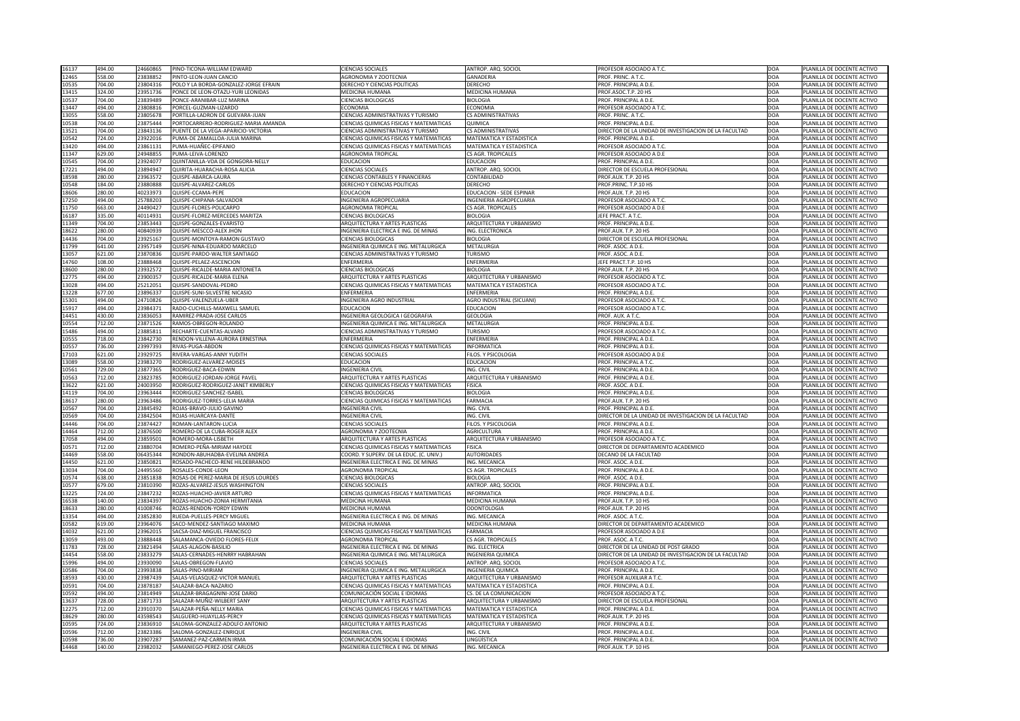| 16137          | 494.00           | 24660865             | PINO-TICONA-WILLIAM EDWARD                             | <b>CIENCIAS SOCIALES</b>                                              | ANTROP. ARQ. SOCIOL             | PROFESOR ASOCIADO A T.C.                              | <b>DOA</b>        | PLANILLA DE DOCENTE ACTIVO                               |
|----------------|------------------|----------------------|--------------------------------------------------------|-----------------------------------------------------------------------|---------------------------------|-------------------------------------------------------|-------------------|----------------------------------------------------------|
| 12465          | 558.00           | 23838852             | PINTO-LEON-JUAN CANCIO                                 | <b>AGRONOMIA Y ZOOTECNIA</b>                                          | <b>GANADERIA</b>                | PROF. PRINC. A T.C.                                   | DOA               | PLANILLA DE DOCENTE ACTIVO                               |
| 10535          | 704.00           | 23804316             | POLO Y LA BORDA-GONZALEZ-JORGE EFRAIN                  | DERECHO Y CIENCIAS POLITICAS                                          | <b>DERECHO</b>                  | PROF. PRINCIPAL A D.E.                                | DOA               | PLANILLA DE DOCENTE ACTIVO                               |
|                |                  |                      |                                                        |                                                                       |                                 |                                                       |                   |                                                          |
| 13415          | 324.00           | 23951736             | PONCE DE LEON-OTAZU-YURI LEONIDAS                      | MEDICINA HUMANA                                                       | MEDICINA HUMANA                 | PROF.ASOC.T.P. 20 HS                                  | DOA               | PLANILLA DE DOCENTE ACTIVO                               |
| 10537          | 704.00           | 23839489             | PONCE-ARANIBAR-LUZ MARINA                              | <b>CIENCIAS BIOLOGICAS</b>                                            | <b>BIOLOGIA</b>                 | PROF. PRINCIPAL A D.E.                                | DOA               | PLANILLA DE DOCENTE ACTIVO                               |
| 13447          | 494.00           | 23808816             | PORCEL-GUZMAN-LIZARDO                                  | <b>ECONOMIA</b>                                                       | <b>ECONOMIA</b>                 | PROFESOR ASOCIADO A T.C.                              | DOA               | PLANILLA DE DOCENTE ACTIVO                               |
| 13055          | 558.00           | 23805678             | PORTILLA-LADRON DE GUEVARA-JUAN                        | CIENCIAS ADMINISTRATIVAS Y TURISMO                                    | <b>CS ADMINISTRATIVAS</b>       | PROF. PRINC. A T.C.                                   | DOA               | PLANILLA DE DOCENTE ACTIVO                               |
| 10538          | 704.00           | 23875444             | PORTOCARRERO-RODRIGUEZ-MARIA AMANDA                    | CIENCIAS QUIMICAS FISICAS Y MATEMATICAS                               | <b>QUIMICA</b>                  | PROF. PRINCIPAL A D.E.                                | <b>DOA</b>        | PLANILLA DE DOCENTE ACTIVO                               |
| 13521          | 704.00           | 23843136             | PUENTE DE LA VEGA-APARICIO-VICTORIA                    | <b>CIENCIAS ADMINISTRATIVAS Y TURISMO</b>                             | <b>CS ADMINISTRATIVAS</b>       | DIRECTOR DE LA UNIDAD DE INVESTIGACION DE LA FACULTAD | DOA               | PLANILLA DE DOCENTE ACTIVO                               |
| 10542          | 724.00           | 23922016             | PUMA-DE ZAMALLOA-JULIA MARINA                          | <b>CIENCIAS QUIMICAS FISICAS Y MATEMATICAS</b>                        | <b>MATEMATICA Y ESTADISTICA</b> | PROF. PRINCIPAL A D.E.                                | DOA               | PLANILLA DE DOCENTE ACTIVO                               |
| 13420          | 494.00           | 2386113:             | PUMA-HUAÑEC-EPIFANIO                                   | CIENCIAS QUIMICAS FISICAS Y MATEMATICAS                               | MATEMATICA Y ESTADISTICA        |                                                       | DOA               |                                                          |
|                |                  |                      |                                                        |                                                                       |                                 | PROFESOR ASOCIADO A T.C.                              |                   | PLANILLA DE DOCENTE ACTIVO                               |
| 11347          | 629.00           | 24948855             | PUMA-LEIVA-LORENZO                                     | <b>AGRONOMIA TROPICAL</b>                                             | <b>CS AGR. TROPICALES</b>       | PROFESOR ASOCIADO A D.E                               | DOA               | PLANILLA DE DOCENTE ACTIVO                               |
| 10545          | 704.00           | 23924077             | QUINTANILLA-VDA DE GONGORA-NELLY                       | <b>EDUCACION</b>                                                      | <b>EDUCACION</b>                | PROF. PRINCIPAL A D.E.                                | DOA               | PLANILLA DE DOCENTE ACTIVO                               |
| 17221          | 494.00           | 23894947             | QUIRITA-HUARACHA-ROSA ALICIA                           | <b>CIENCIAS SOCIALES</b>                                              | ANTROP. ARQ. SOCIOL             | DIRECTOR DE ESCUELA PROFESIONAL                       | DOA               | PLANILLA DE DOCENTE ACTIVO                               |
| 18598          | 280.00           | 23963572             | QUISPE-ABARCA-LAURA                                    | <b>CIENCIAS CONTABLES Y FINANCIERAS</b>                               | CONTABILIDAD                    | PROF.AUX. T.P. 20 HS                                  | DOA               | PLANILLA DE DOCENTE ACTIVO                               |
| 10548          | 184.00           | 23880888             | QUISPE-ALVAREZ-CARLOS                                  | DERECHO Y CIENCIAS POLITICAS                                          | <b>DERECHO</b>                  | PROF.PRINC. T.P.10 HS                                 | DOA               | PLANILLA DE DOCENTE ACTIVO                               |
| 18606          | 280.00           | 40233973             | QUISPE-CCAMA-PEPE                                      | <b>EDUCACION</b>                                                      | <b>EDUCACION - SEDE ESPINAR</b> | PROF.AUX. T.P. 20 HS                                  | DOA               | PLANILLA DE DOCENTE ACTIVO                               |
|                |                  |                      |                                                        |                                                                       |                                 |                                                       |                   |                                                          |
| 17250          | 494.00           | 25788203             | QUISPE-CHIPANA-SALVADOR                                | INGENIERIA AGROPECUARIA                                               | INGENIERIA AGROPECUARIA         | PROFESOR ASOCIADO A T.C.                              | DOA               | PLANILLA DE DOCENTE ACTIVO                               |
| 11750          | 663.00           | 24490427             | QUISPE-FLORES-POLICARPO                                | <b>AGRONOMIA TROPICAL</b>                                             | <b>CS AGR. TROPICALES</b>       | PROFESOR ASOCIADO A D.E                               | DOA               | PLANILLA DE DOCENTE ACTIVO                               |
| 16187          | 335.00           | 40114931             | QUISPE-FLOREZ-MERCEDES MARITZA                         | <b>CIENCIAS BIOLOGICAS</b>                                            | <b>BIOLOGIA</b>                 | <b>IEFE PRACT. A T.C.</b>                             | DOA               | PLANILLA DE DOCENTE ACTIVO                               |
| 11349          | 704.00           | 23853443             | QUISPE-GONZALES-EVARISTO                               | ARQUITECTURA Y ARTES PLASTICAS                                        | ARQUITECTURA Y URBANISMO        | PROF. PRINCIPAL A D.E                                 | DOA               | PLANILLA DE DOCENTE ACTIVO                               |
| 18622          | 280.00           | 40840939             | QUISPE-MESCCO-ALEX JHON                                | INGENIERIA ELECTRICA E ING. DE MINAS                                  | ING. ELECTRONICA                | PROF.AUX. T.P. 20 HS                                  | DOA               | PLANILLA DE DOCENTE ACTIVO                               |
| 14436          | 704.00           | 23925167             | QUISPE-MONTOYA-RAMON GUSTAVO                           | <b>CIENCIAS BIOLOGICAS</b>                                            | <b>BIOLOGIA</b>                 | DIRECTOR DE ESCUELA PROFESIONAL                       | DOA               | PLANILLA DE DOCENTE ACTIVO                               |
| 11799          | 641.00           | 23957149             | QUISPE-NINA-EDUARDO MARCELO                            | INGENIERIA QUIMICA E ING. METALURGICA                                 | METALURGIA                      | PROF. ASOC. A D.E.                                    | DOA               | PLANILLA DE DOCENTE ACTIVO                               |
|                |                  |                      |                                                        |                                                                       |                                 |                                                       |                   |                                                          |
| 13057          | 621.00           | 23870836             | QUISPE-PARDO-WALTER SANTIAGO                           | CIENCIAS ADMINISTRATIVAS Y TURISMO                                    | <b>TURISMO</b>                  | PROF. ASOC. A D.E.                                    | DOA               | PLANILLA DE DOCENTE ACTIVO                               |
| 14760          | 108.00           | 23888468             | QUISPE-PELAEZ-ASCENCION                                | <b>ENFERMERIA</b>                                                     | <b>ENFERMERIA</b>               | <b>IEFE PRACT.T.P. 10 HS</b>                          | DOA               | PLANILLA DE DOCENTE ACTIVO                               |
| 18600          | 280.00           | 23932572             | QUISPE-RICALDE-MARIA ANTONIETA                         | <b>CIENCIAS BIOLOGICAS</b>                                            | <b>BIOLOGIA</b>                 | PROF.AUX. T.P. 20 HS                                  | DOA               | PLANILLA DE DOCENTE ACTIVO                               |
| 12775          | 494.00           | 23900357             | QUISPE-RICALDE-MARIA ELENA                             | ARQUITECTURA Y ARTES PLASTICAS                                        | ARQUITECTURA Y URBANISMO        | PROFESOR ASOCIADO A T.C.                              | DOA               | PLANILLA DE DOCENTE ACTIVO                               |
| 13028          | 494.00           | 25212051             | QUISPE-SANDOVAL-PEDRO                                  | CIENCIAS QUIMICAS FISICAS Y MATEMATICAS                               | <b>MATEMATICA Y ESTADISTICA</b> | PROFESOR ASOCIADO A T.C.                              | DOA               | PLANILLA DE DOCENTE ACTIVO                               |
| 13228          | 677.00           | 23896337             | QUISPE-SUNI-SILVESTRE NICASIO                          | <b>ENFERMERIA</b>                                                     | <b>ENFERMERIA</b>               | PROF. PRINCIPAL A D.E                                 | DOA               | PLANILLA DE DOCENTE ACTIVO                               |
|                | 494.00           | 24710826             |                                                        | <b>INGENIERIA AGRO INDUSTRIAL</b>                                     |                                 |                                                       |                   |                                                          |
| 15301          |                  |                      | QUISPE-VALENZUELA-UBER                                 |                                                                       | AGRO INDUSTRIAL (SICUANI)       | PROFESOR ASOCIADO A T.C.                              | DOA               | PLANILLA DE DOCENTE ACTIVO                               |
| 15917          | 494.00           | 23984371             | RADO-CUCHILLS-MAXWELL SAMUEL                           | <b>EDUCACION</b>                                                      | <b>EDUCACION</b>                | PROFESOR ASOCIADO A T.C.                              | <b>DOA</b>        | PLANILLA DE DOCENTE ACTIVO                               |
| 14451          | 430.00           | 23836053             | RAMIREZ-PRADA-JOSE CARLOS                              | INGENIERIA GEOLOGICA I GEOGRAFIA                                      | <b>GEOLOGIA</b>                 | PROF. AUX. A T.C.                                     | DOA               | PLANILLA DE DOCENTE ACTIVO                               |
| 10554          | 712.00           | 23871526             | RAMOS-OBREGON-ROLANDO                                  | INGENIERIA QUIMICA E ING. METALURGICA                                 | METALURGIA                      | PROF. PRINCIPAL A D.E.                                | DOA               | PLANILLA DE DOCENTE ACTIVO                               |
| 15486          | 494.00           | 2388581              | RECHARTE-CUENTAS-ALVARO                                | <b>CIENCIAS ADMINISTRATIVAS Y TURISMO</b>                             | <b>TURISMO</b>                  | PROFESOR ASOCIADO A T.C.                              | DOA               | PLANILLA DE DOCENTE ACTIVO                               |
| 10555          | 718.00           | 23842730             | RENDON-VILLENA-AURORA ERNESTINA                        | <b>ENFERMERIA</b>                                                     | ENFERMERIA                      | PROF. PRINCIPAL A D.E.                                | <b>DOA</b>        | PLANILLA DE DOCENTE ACTIVO                               |
| 10557          | 736.00           | 23997393             | RIVAS-PUGA-ABDON                                       | CIENCIAS QUIMICAS FISICAS Y MATEMATICAS                               | <b>INFORMATICA</b>              | PROF. PRINCIPAL A D.E                                 | DOA               | PLANILLA DE DOCENTE ACTIVO                               |
|                |                  |                      |                                                        |                                                                       |                                 |                                                       |                   |                                                          |
| 17103          | 621.00           | 23929725             | <b>RIVERA-VARGAS-ANNY YUDITH</b>                       | <b>CIENCIAS SOCIALES</b>                                              | FILOS. Y PSICOLOGIA             | <b>PROFESOR ASOCIADO A D.E</b>                        | DOA               | PLANILLA DE DOCENTE ACTIVO                               |
| 13089          | 558.00           | 23983270             | RODRIGUEZ-ALVAREZ-MOISES                               | <b>EDUCACION</b>                                                      | <b>EDUCACION</b>                | PROF. PRINCIPAL A T.C.                                | DOA               | PLANILLA DE DOCENTE ACTIVO                               |
| 10561          | 729.00           | 23877365             | RODRIGUEZ-BACA-EDWIN                                   | <b>INGENIERIA CIVIL</b>                                               | ING. CIVIL                      | PROF. PRINCIPAL A D.E.                                |                   |                                                          |
|                |                  |                      |                                                        |                                                                       |                                 |                                                       | DOA               | PLANILLA DE DOCENTE ACTIVO                               |
| 10563          | 712.00           | 23823785             | RODRIGUEZ-JORDAN-JORGE PAVEL                           | ARQUITECTURA Y ARTES PLASTICAS                                        | ARQUITECTURA Y URBANISMO        | PROF. PRINCIPAL A D.E.                                | DOA               | PLANILLA DE DOCENTE ACTIVO                               |
|                |                  |                      |                                                        |                                                                       |                                 |                                                       |                   |                                                          |
| 13622          | 621.00           | 24003950             | RODRIGUEZ-RODRIGUEZ-JANET KIMBERLY                     | <b>CIENCIAS QUIMICAS FISICAS Y MATEMATICAS</b>                        | <b>FISICA</b>                   | PROF. ASOC. A D.E.                                    | DOA               | PLANILLA DE DOCENTE ACTIVO                               |
| 14119          | 704.00           | 23963444             | RODRIGUEZ-SANCHEZ-ISABEL                               | <b>CIENCIAS BIOLOGICAS</b>                                            | <b>BIOLOGIA</b>                 | PROF. PRINCIPAL A D.E                                 | DOA               | PLANILLA DE DOCENTE ACTIVO                               |
| 18617          | 280.00           | 23963486             | RODRIGUEZ-TORRES-LELIA MARIA                           | <b>CIENCIAS QUIMICAS FISICAS Y MATEMATICAS</b>                        | <b>FARMACIA</b>                 | PROF.AUX. T.P. 20 HS                                  | DOA               | PLANILLA DE DOCENTE ACTIVO                               |
| 10567          | 704.00           | 23845492             | ROJAS-BRAVO-JULIO GAVINO                               | <b>INGENIERIA CIVIL</b>                                               | ING. CIVIL                      | PROF. PRINCIPAL A D.E.                                | DOA               | PLANILLA DE DOCENTE ACTIVO                               |
| 10569          | 704.00           | 23842504             | ROJAS-HUARCAYA-DANTE                                   | <b>INGENIERIA CIVIL</b>                                               | ING. CIVIL                      | DIRECTOR DE LA UNIDAD DE INVESTIGACION DE LA FACULTAD | DOA               | PLANILLA DE DOCENTE ACTIVO                               |
| 14446          | 704.00           | 23874427             | ROMAN-LANTARON-LUCIA                                   | <b>CIENCIAS SOCIALES</b>                                              | FILOS. Y PSICOLOGIA             | PROF. PRINCIPAL A D.E.                                | DOA               | PLANILLA DE DOCENTE ACTIVO                               |
| 14464          | 712.00           | 23876500             | ROMERO-DE LA CUBA-ROGER ALEX                           | <b>AGRONOMIA Y ZOOTECNIA</b>                                          | <b>AGRICULTURA</b>              | PROF. PRINCIPAL A D.E.                                | DOA               | PLANILLA DE DOCENTE ACTIVO                               |
|                |                  |                      |                                                        |                                                                       |                                 |                                                       |                   |                                                          |
| 17058          | 494.00           | 2385950              | ROMERO-MORA-LISBETH                                    | ARQUITECTURA Y ARTES PLASTICAS                                        | ARQUITECTURA Y URBANISMO        | PROFESOR ASOCIADO A T.C.                              | DOA               | PLANILLA DE DOCENTE ACTIVO                               |
| 10571          | 712.00           | 23880704             | ROMERO-PEÑA-MIRIAM HAYDEE                              | CIENCIAS QUIMICAS FISICAS Y MATEMATICAS                               | <b>FISICA</b>                   | DIRECTOR DE DEPARTAMENTO ACADEMICO                    | <b>DOA</b>        | PLANILLA DE DOCENTE ACTIVO                               |
| 14469          | 558.00           | 06435344             | RONDON-ABUHADBA-EVELINA ANDREA                         | COORD. Y SUPERV. DE LA EDUC. (C. UNIV.)                               | <b>AUTORIDADES</b>              | DECANO DE LA FACULTAD                                 | DOA               | PLANILLA DE DOCENTE ACTIVO                               |
| 14450          | 621.00           | 2385082              | ROSADO-PACHECO-RENE HILDEBRANDO                        | INGENIERIA ELECTRICA E ING. DE MINAS                                  | ING. MECANICA                   | PROF. ASOC. A D.E.                                    | DOA               | PLANILLA DE DOCENTE ACTIVO                               |
| 13034          | 704.00           | 24495560             | ROSALES-CONDE-LEON                                     | <b>AGRONOMIA TROPICAL</b>                                             | CS AGR. TROPICALES              | PROF. PRINCIPAL A D.E.                                | DOA               | PLANILLA DE DOCENTE ACTIVO                               |
| 10574          | 638.00           | 23851838             | ROSAS-DE PEREZ-MARIA DE JESUS LOURDES                  | <b>CIENCIAS BIOLOGICAS</b>                                            | <b>BIOLOGIA</b>                 | PROF. ASOC. A D.E.                                    | DOA               | PLANILLA DE DOCENTE ACTIVO                               |
| 10577          | 679.00           | 23810390             | ROZAS-ALVAREZ-JESUS WASHINGTON                         | <b>CIENCIAS SOCIALES</b>                                              | ANTROP. ARQ. SOCIOL             | PROF. PRINCIPAL A D.E                                 | DOA               | PLANILLA DE DOCENTE ACTIVO                               |
| 13225          | 724.00           | 23847232             | ROZAS-HUACHO-JAVIER ARTURO                             | <b>CIENCIAS QUIMICAS FISICAS Y MATEMATICAS</b>                        | <b>INFORMATICA</b>              | PROF. PRINCIPAL A D.E.                                | DOA               | PLANILLA DE DOCENTE ACTIVO                               |
|                |                  |                      |                                                        |                                                                       |                                 |                                                       |                   |                                                          |
| 16538          | 140.00           | 23834397             | ROZAS-HUACHO-ZONIA HERMITANIA                          | <b>MEDICINA HUMANA</b>                                                | MEDICINA HUMANA                 | PROF.AUX. T.P. 10 HS                                  | DOA               | PLANILLA DE DOCENTE ACTIVO                               |
| 18633          | 280.00           | 41008746             | <b>ROZAS-RENDON-YORDY EDWIN</b>                        | <b>MEDICINA HUMANA</b>                                                | <b>ODONTOLOGIA</b>              | PROF.AUX. T.P. 20 HS                                  | DOA               | PLANILLA DE DOCENTE ACTIVO                               |
| 13354          | 494.00           | 23852830             | <b>RUEDA-PUELLES-PERCY MIGUEL</b>                      | INGENIERIA ELECTRICA E ING. DE MINAS                                  | ING. MECANICA                   | PROF. ASOC. A T.C.                                    | DOA               | PLANILLA DE DOCENTE ACTIVO                               |
| 10582          | 619.00           | 23964076             | SACO-MENDEZ-SANTIAGO MAXIMO                            | <b>MEDICINA HUMANA</b>                                                | MEDICINA HUMANA                 | DIRECTOR DE DEPARTAMENTO ACADEMICO                    | DOA               | PLANILLA DE DOCENTE ACTIVO                               |
| 14032          | 621.00           | 23962015             | SACSA-DIAZ-MIGUEL FRANCISCO                            | <b>CIENCIAS QUIMICAS FISICAS Y MATEMATICAS</b>                        | <b>FARMACIA</b>                 | PROFESOR ASOCIADO A D.E                               | DOA               | PLANILLA DE DOCENTE ACTIVO                               |
| 13059          | 493.00           | 23888448             | SALAMANCA-OVIEDO FLORES-FELIX                          | <b>AGRONOMIA TROPICAL</b>                                             | <b>CS AGR. TROPICALES</b>       | PROF. ASOC. A T.C.                                    | DOA               | PLANILLA DE DOCENTE ACTIVO                               |
| 11783          | 728.00           | 23821494             | SALAS-ALAGON-BASILIO                                   | INGENIERIA ELECTRICA E ING. DE MINAS                                  | ING. ELECTRICA                  | DIRECTOR DE LA UNIDAD DE POST GRADO                   | <b>DOA</b>        | PLANILLA DE DOCENTE ACTIVO                               |
|                |                  |                      |                                                        |                                                                       |                                 |                                                       |                   |                                                          |
| 14454          | 558.00           | 23833279             | SALAS-CERNADES-HENRRY HABRAHAN                         | INGENIERIA QUIMICA E ING. METALURGICA                                 | <b>INGENIERIA QUIMICA</b>       | DIRECTOR DE LA UNIDAD DE INVESTIGACION DE LA FACULTAD | <b>DOA</b>        | PLANILLA DE DOCENTE ACTIVO                               |
| 15996          | 494.00           | 23930090             | SALAS-OBREGON-FLAVIO                                   | <b>CIENCIAS SOCIALES</b>                                              | ANTROP. ARQ. SOCIOL             | PROFESOR ASOCIADO A T.C.                              | <b>DOA</b>        | PLANILLA DE DOCENTE ACTIVO                               |
| 10586          | 704.00           | 23993838             | SALAS-PINO-MIRIAM                                      | INGENIERIA QUIMICA E ING. METALURGICA                                 | <b>INGENIERIA QUIMICA</b>       | PROF. PRINCIPAL A D.E.                                | DOA               | PLANILLA DE DOCENTE ACTIVO                               |
| 18593          | 430.00           | 23987439             | SALAS-VELASQUEZ-VICTOR MANUEL                          | ARQUITECTURA Y ARTES PLASTICAS                                        | ARQUITECTURA Y URBANISMO        | PROFESOR AUXILIAR A T.C.                              | DOA               | PLANILLA DE DOCENTE ACTIVO                               |
| 10591          | 704.00           | 23878187             | SALAZAR-BACA-NAZARIO                                   | <b>CIENCIAS QUIMICAS FISICAS Y MATEMATICAS</b>                        | MATEMATICA Y ESTADISTICA        | PROF. PRINCIPAL A D.E.                                | DOA               | PLANILLA DE DOCENTE ACTIVO                               |
| 10592          | 494.00           | 23814949             | SALAZAR-BRAGAGNINI-JOSE DARIO                          | COMUNICACIÓN SOCIAL E IDIOMAS                                         | CS. DE LA COMUNICACION          | <b>PROFESOR ASOCIADO A T.C.</b>                       | DOA               | PLANILLA DE DOCENTE ACTIVO                               |
| 13637          | 728.00           | 23871733             | SALAZAR-MUÑIZ-WILBERT SANY                             | <b>ARQUITECTURA Y ARTES PLASTICAS</b>                                 | ARQUITECTURA Y URBANISMO        | DIRECTOR DE ESCUELA PROFESIONAL                       | DOA               | PLANILLA DE DOCENTE ACTIVO                               |
|                | 712.00           | 23910370             | SALAZAR-PEÑA-NELLY MARIA                               | CIENCIAS QUIMICAS FISICAS Y MATEMATICAS                               | MATEMATICA Y ESTADISTICA        | PROF. PRINCIPAL A D.E.                                | DOA               | PLANILLA DE DOCENTE ACTIVO                               |
| 12275          |                  |                      |                                                        |                                                                       |                                 |                                                       |                   |                                                          |
| 18629          | 280.00           | 43598543             | SALGUERO-HUAYLLAS-PERCY                                | <b>CIENCIAS QUIMICAS FISICAS Y MATEMATICAS</b>                        | MATEMATICA Y ESTADISTICA        | PROF.AUX. T.P. 20 HS                                  | DOA               | PLANILLA DE DOCENTE ACTIVO                               |
| 10595          | 724.00           | 23836910             | SALOMA-GONZALEZ-ADOLFO ANTONIO                         | ARQUITECTURA Y ARTES PLASTICAS                                        | ARQUITECTURA Y URBANISMO        | PROF. PRINCIPAL A D.E.                                | DOA               | PLANILLA DE DOCENTE ACTIVO                               |
| 10596          | 712.00           | 23823386             | SALOMA-GONZALEZ-ENRIQUE                                | <b>INGENIERIA CIVIL</b>                                               | ING. CIVIL                      | PROF. PRINCIPAL A D.E.                                | DOA               | PLANILLA DE DOCENTE ACTIVO                               |
| 10598<br>14468 | 736.00<br>140.00 | 23907287<br>23982032 | SAMANEZ-PAZ-CARMEN IRMA<br>SAMANIEGO-PEREZ-JOSE CARLOS | COMUNICACIÓN SOCIAL E IDIOMAS<br>INGENIERIA ELECTRICA E ING. DE MINAS | LINGÜÍSTICA<br>ING. MECANICA    | PROF. PRINCIPAL A D.E.<br>PROF.AUX. T.P. 10 HS        | DOA<br><b>DOA</b> | PLANILLA DE DOCENTE ACTIVO<br>PLANILLA DE DOCENTE ACTIVO |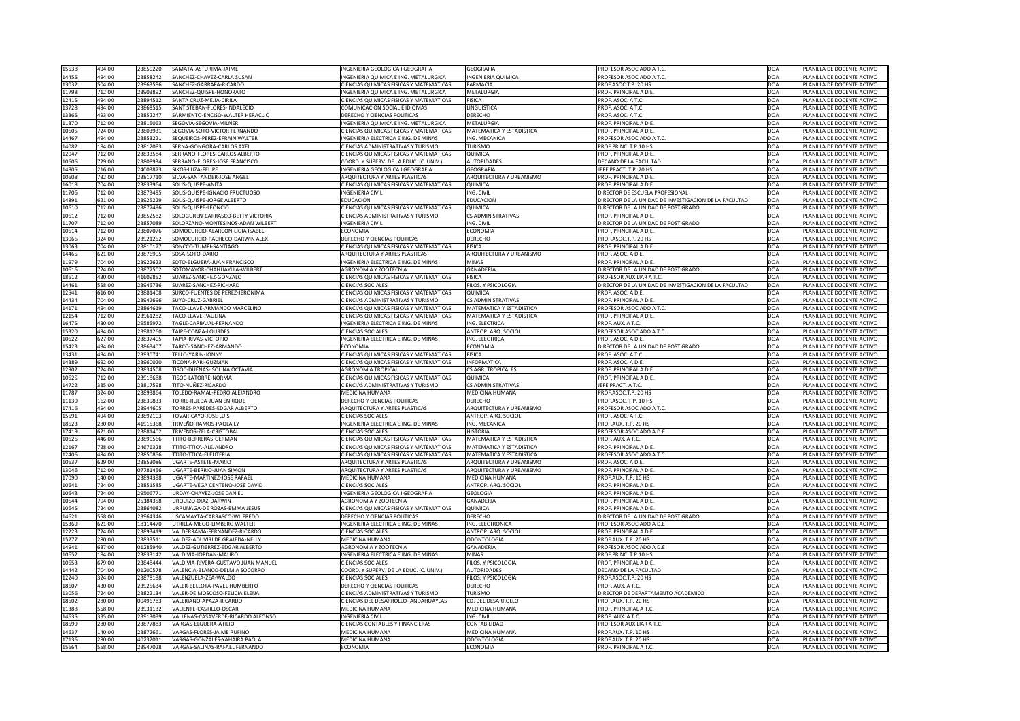| 15538          | 494.00           | 23850220            | SAMATA-ASTURIMA-JAIME                                           | INGENIERIA GEOLOGICA I GEOGRAFIA               | <b>GEOGRAFIA</b>                      | PROFESOR ASOCIADO A T.C.                              | <b>DOA</b>        | PLANILLA DE DOCENTE ACTIVO                               |
|----------------|------------------|---------------------|-----------------------------------------------------------------|------------------------------------------------|---------------------------------------|-------------------------------------------------------|-------------------|----------------------------------------------------------|
| 14455          | 494.00           | 23858242            | SANCHEZ-CHAVEZ-CARLA SUSAN                                      | INGENIERIA QUIMICA E ING. METALURGICA          | <b>INGENIERIA QUIMICA</b>             | PROFESOR ASOCIADO A T.C.                              | DOA               | PLANILLA DE DOCENTE ACTIVO                               |
|                |                  |                     |                                                                 |                                                |                                       |                                                       |                   |                                                          |
| 13032          | 504.00           | 23963586            | SANCHEZ-GARRAFA-RICARDO                                         | <b>CIENCIAS QUIMICAS FISICAS Y MATEMATICAS</b> | <b>FARMACIA</b>                       | PROF.ASOC.T.P. 20 HS                                  | DOA               | PLANILLA DE DOCENTE ACTIVO                               |
| 11798          | 712.00           | 23903892            | SANCHEZ-QUISPE-HONORATO                                         | INGENIERIA QUIMICA E ING. METALURGICA          | METALURGIA                            | PROF. PRINCIPAL A D.E.                                | DOA               | PLANILLA DE DOCENTE ACTIVO                               |
| 12415          | 494.00           | 23894512            | <b>SANTA CRUZ-MEJIA-CIRILA</b>                                  | CIENCIAS QUIMICAS FISICAS Y MATEMATICAS        | <b>FISICA</b>                         | PROF. ASOC. A T.C.                                    | DOA               | PLANILLA DE DOCENTE ACTIVO                               |
| 13728          | 494.00           | 23869515            | SANTISTEBAN-FLORES-INDALECIO                                    | COMUNICACIÓN SOCIAL E IDIOMAS                  | LINGÜÍSTICA                           | PROF. ASOC. A T.C.                                    | DOA               | PLANILLA DE DOCENTE ACTIVO                               |
| 13365          | 493.00           | 23852247            | SARMIENTO-ENCISO-WALTER HERACLIO                                | DERECHO Y CIENCIAS POLITICAS                   | <b>DERECHO</b>                        | PROF. ASOC. A T.C.                                    | DOA               | PLANILLA DE DOCENTE ACTIVO                               |
| 11370          | 712.00           | 23815063            | SEGOVIA-SEGOVIA-MILNER                                          | INGENIERIA QUIMICA E ING. METALURGICA          | METALURGIA                            | PROF. PRINCIPAL A D.E.                                | <b>DOA</b>        | PLANILLA DE DOCENTE ACTIVO                               |
| 10605          | 724.00           | 23803931            | SEGOVIA-SOTO-VICTOR FERNANDO                                    | <b>CIENCIAS QUIMICAS FISICAS Y MATEMATICAS</b> | <b>MATEMATICA Y ESTADISTICA</b>       | PROF. PRINCIPAL A D.E.                                | DOA               | PLANILLA DE DOCENTE ACTIVO                               |
| 14467          | 494.00           | 23853221            | SEQUEIROS-PEREZ-EFRAIN WALTER                                   | INGENIERIA ELECTRICA E ING. DE MINAS           | ING. MECANICA                         | <b>PROFESOR ASOCIADO A T.C.</b>                       | DOA               | PLANILLA DE DOCENTE ACTIVO                               |
| 14082          | 184.00           | 23812083            |                                                                 | CIENCIAS ADMINISTRATIVAS Y TURISMO             | TURISMO                               |                                                       | DOA               |                                                          |
|                |                  |                     | SERNA-GONGORA-CARLOS AXEL                                       |                                                |                                       | PROF.PRINC. T.P.10 HS                                 |                   | PLANILLA DE DOCENTE ACTIVO                               |
| 12047          | 712.00           | 23833584            | SERRANO-FLORES-CARLOS ALBERTO                                   | <b>CIENCIAS QUIMICAS FISICAS Y MATEMATICAS</b> | QUIMICA                               | PROF. PRINCIPAL A D.E.                                | DOA               | PLANILLA DE DOCENTE ACTIVO                               |
| 10606          | 729.00           | 23808934            | SERRANO-FLORES-JOSE FRANCISCO                                   | COORD. Y SUPERV. DE LA EDUC. (C. UNIV.)        | <b>AUTORIDADES</b>                    | DECANO DE LA FACULTAD                                 | DOA               | PLANILLA DE DOCENTE ACTIVO                               |
| 14805          | 216.00           | 24003873            | SIKOS-LUZA-FELIPE                                               | <b>INGENIERIA GEOLOGICA I GEOGRAFIA</b>        | <b>GEOGRAFIA</b>                      | EFE PRACT. T.P. 20 HS                                 | DOA               | PLANILLA DE DOCENTE ACTIVO                               |
| 10608          | 732.00           | 23817710            | SILVA-SANTANDER-JOSE ANGEL                                      | ARQUITECTURA Y ARTES PLASTICAS                 | ARQUITECTURA Y URBANISMO              | PROF. PRINCIPAL A D.E.                                | DOA               | PLANILLA DE DOCENTE ACTIVO                               |
| 16018          | 704.00           | 23833964            | SOLIS-QUISPE-ANITA                                              | <b>CIENCIAS QUIMICAS FISICAS Y MATEMATICAS</b> | <b>QUIMICA</b>                        | PROF. PRINCIPAL A D.E.                                | DOA               | PLANILLA DE DOCENTE ACTIVO                               |
| 11706          | 712.00           | 23873495            | SOLIS-QUISPE-IGNACIO FRUCTUOSO                                  | <b>INGENIERIA CIVIL</b>                        | ING. CIVIL                            | DIRECTOR DE ESCUELA PROFESIONAL                       | <b>DOA</b>        | PLANILLA DE DOCENTE ACTIVO                               |
| 14891          | 621.00           | 23925229            | SOLIS-QUISPE-JORGE ALBERTO                                      | <b>EDUCACION</b>                               | <b>EDUCACION</b>                      | DIRECTOR DE LA UNIDAD DE INVESTIGACION DE LA FACULTAD | DOA               | PLANILLA DE DOCENTE ACTIVO                               |
| 10610          | 712.00           | 23877496            | SOLIS-QUISPE-LEONCIO                                            | CIENCIAS QUIMICAS FISICAS Y MATEMATICAS        | <b>QUIMICA</b>                        | DIRECTOR DE LA UNIDAD DE POST GRADO                   | DOA               | PLANILLA DE DOCENTE ACTIVO                               |
| 10612          | 712.00           | 23852582            | SOLOGUREN-CARRASCO-BETTY VICTORIA                               | <b>CIENCIAS ADMINISTRATIVAS Y TURISMO</b>      | <b>CS ADMINISTRATIVAS</b>             | PROF. PRINCIPAL A D.E.                                | DOA               | PLANILLA DE DOCENTE ACTIVO                               |
|                | 712.00           | 23857089            | SOLORZANO-MONTESINOS-ADAN WILBERT                               | <b>INGENIERIA CIVIL</b>                        | ING. CIVIL                            | DIRECTOR DE LA UNIDAD DE POST GRADO                   | DOA               | PLANILLA DE DOCENTE ACTIVO                               |
| 11707          |                  |                     |                                                                 |                                                |                                       |                                                       |                   |                                                          |
| 10614          | 712.00           | 23807076            | SOMOCURCIO-ALARCON-LIGIA ISABEL                                 | <b>ECONOMIA</b>                                | ECONOMIA                              | PROF. PRINCIPAL A D.E.                                | <b>DOA</b>        | PLANILLA DE DOCENTE ACTIVO                               |
| 13066          | 324.00           | 23921252            | SOMOCURCIO-PACHECO-DARWIN ALEX                                  | DERECHO Y CIENCIAS POLITICAS                   | <b>DERECHO</b>                        | PROF.ASOC.T.P. 20 HS                                  | DOA               | PLANILLA DE DOCENTE ACTIVO                               |
| 13063          | 704.00           | 23810177            | SONCCO-TUMPI-SANTIAGO                                           | <b>CIENCIAS QUIMICAS FISICAS Y MATEMATICAS</b> | <b>FISICA</b>                         | PROF. PRINCIPAL A D.E.                                | DOA               | PLANILLA DE DOCENTE ACTIVO                               |
| 14465          | 621.00           | 23876905            | SOSA-SOTO-DARIO                                                 | ARQUITECTURA Y ARTES PLASTICAS                 | ARQUITECTURA Y URBANISMO              | PROF. ASOC. A D.E.                                    | DOA               | PLANILLA DE DOCENTE ACTIVO                               |
| 11979          | 704.00           | 23922623            | SOTO-ELGUERA-JUAN FRANCISCO                                     | INGENIERIA ELECTRICA E ING. DE MINAS           | <b>MINAS</b>                          | PROF. PRINCIPAL A D.E.                                | DOA               | PLANILLA DE DOCENTE ACTIVO                               |
| 10616          | 724.00           | 23877502            | SOTOMAYOR-CHAHUAYLLA-WILBERT                                    | <b>AGRONOMIA Y ZOOTECNIA</b>                   | <b>GANADERIA</b>                      | DIRECTOR DE LA UNIDAD DE POST GRADO                   | DOA               | PLANILLA DE DOCENTE ACTIVO                               |
| 18612          | 430.00           | 41609852            | SUAREZ-SANCHEZ-GONZALO                                          | <b>CIENCIAS QUIMICAS FISICAS Y MATEMATICAS</b> | <b>FISICA</b>                         | PROFESOR AUXILIAR A T.C.                              | DOA               | PLANILLA DE DOCENTE ACTIVO                               |
| 14461          | 558.00           | 23945736            | SUAREZ-SANCHEZ-RICHARD                                          | <b>CIENCIAS SOCIALES</b>                       | FILOS. Y PSICOLOGIA                   | DIRECTOR DE LA UNIDAD DE INVESTIGACION DE LA FACULTAD | DOA               | PLANILLA DE DOCENTE ACTIVO                               |
|                |                  |                     | SURCO-FUENTES DE PEREZ-JERONIMA                                 | <b>CIENCIAS QUIMICAS FISICAS Y MATEMATICAS</b> |                                       |                                                       |                   |                                                          |
| 12541          | 616.00           | 23881408            |                                                                 |                                                | <b>QUIMICA</b>                        | PROF. ASOC. A D.E.                                    | DOA               | PLANILLA DE DOCENTE ACTIVO                               |
| 14434          | 704.00           | 23942696            | SUYO-CRUZ-GABRIEL                                               | <b>CIENCIAS ADMINISTRATIVAS Y TURISMO</b>      | <b>CS ADMINISTRATIVAS</b>             | PROF. PRINCIPAL A D.E.                                | DOA               | PLANILLA DE DOCENTE ACTIVO                               |
| 14171          | 494.00           | 23864619            | TACO-LLAVE-ARMANDO MARCELINO                                    | CIENCIAS QUIMICAS FISICAS Y MATEMATICAS        | MATEMATICA Y ESTADISTICA              | PROFESOR ASOCIADO A T.C.                              | <b>DOA</b>        | PLANILLA DE DOCENTE ACTIVO                               |
| 12154          | 712.00           | 23961282            | TACO-LLAVE-PAULINA                                              | <b>CIENCIAS QUIMICAS FISICAS Y MATEMATICAS</b> | MATEMATICA Y ESTADISTICA              | PROF. PRINCIPAL A D.E.                                | <b>DOA</b>        | PLANILLA DE DOCENTE ACTIVO                               |
| 16475          | 430.00           | 29585972            | TAGLE-CARBAJAL-FERNANDO                                         | INGENIERIA ELECTRICA E ING. DE MINAS           | ING. ELECTRICA                        | PROF. AUX. A T.C.                                     | DOA               | PLANILLA DE DOCENTE ACTIVO                               |
| 15320          | 494.00           | 23981260            | TAIPE-CONZA-LOURDES                                             | <b>CIENCIAS SOCIALES</b>                       | ANTROP. ARQ. SOCIOL                   | PROFESOR ASOCIADO A T.C.                              | <b>DOA</b>        | PLANILLA DE DOCENTE ACTIVO                               |
| 10622          | 627.00           | 23837405            | TAPIA-RIVAS-VICTORIO                                            | INGENIERIA ELECTRICA E ING. DE MINAS           | ING. ELECTRICA                        | PROF. ASOC. A D.E.                                    | DOA               | PLANILLA DE DOCENTE ACTIVO                               |
| 15423          | 494.00           | 23863407            | TARCO-SANCHEZ-ARMANDO                                           | <b>ECONOMIA</b>                                | <b>ECONOMIA</b>                       | DIRECTOR DE LA UNIDAD DE POST GRADO                   | DOA               | PLANILLA DE DOCENTE ACTIVO                               |
| 13431          | 494.00           | 23930741            | TELLO-YARIN-JONNY                                               | <b>CIENCIAS QUIMICAS FISICAS Y MATEMATICAS</b> | <b>FISICA</b>                         | PROF. ASOC. A T.C.                                    | DOA               | PLANILLA DE DOCENTE ACTIVO                               |
|                | 692.00           | 23960020            | TICONA-PARI-GUZMAN                                              | <b>CIENCIAS QUIMICAS FISICAS Y MATEMATICAS</b> | <b>INFORMATICA</b>                    |                                                       |                   |                                                          |
|                |                  |                     |                                                                 |                                                |                                       |                                                       |                   |                                                          |
| 14389          |                  |                     |                                                                 |                                                |                                       | PROF. ASOC. A D.E.                                    | DOA               | PLANILLA DE DOCENTE ACTIVO                               |
| 12902          | 724.00           | 23834508            | TISOC-DUEÑAS-ISOLINA OCTAVIA                                    | <b>AGRONOMIA TROPICAL</b>                      | CS AGR. TROPICALES                    | PROF. PRINCIPAL A D.E.                                | DOA               | PLANILLA DE DOCENTE ACTIVO                               |
| 10625          | 712.00           | 23918688            | TISOC-LATORRE-NORMA                                             | CIENCIAS QUIMICAS FISICAS Y MATEMATICAS        | <b>QUIMICA</b>                        | PROF. PRINCIPAL A D.E.                                | DOA               | PLANILLA DE DOCENTE ACTIVO                               |
| 14722          | 335.00           | 23817598            | TITO-NUÑEZ-RICARDO                                              | <b>CIENCIAS ADMINISTRATIVAS Y TURISMO</b>      | <b>CS ADMINISTRATIVAS</b>             | <b>IEFE PRACT. A T.C.</b>                             | DOA               | PLANILLA DE DOCENTE ACTIVO                               |
| 11787          | 324.00           | 23893864            | TOLEDO-RAMAL-PEDRO ALEJANDRO                                    | <b>MEDICINA HUMANA</b>                         | <b>MEDICINA HUMANA</b>                | PROF.ASOC.T.P. 20 HS                                  | DOA               | PLANILLA DE DOCENTE ACTIVO                               |
|                | 162.00           | 23839833            | TORRE-RUEDA-JUAN ENRIQUE                                        | DERECHO Y CIENCIAS POLITICAS                   | <b>DERECHO</b>                        | PROF.ASOC. T.P. 10 HS                                 | DOA               | PLANILLA DE DOCENTE ACTIVO                               |
| 11130          |                  |                     |                                                                 |                                                |                                       |                                                       |                   |                                                          |
| 17416          | 494.00           | 2394460             | TORRES-PAREDES-EDGAR ALBERTO                                    | ARQUITECTURA Y ARTES PLASTICAS                 | ARQUITECTURA Y URBANISMO              | PROFESOR ASOCIADO A T.C.                              | DOA               | PLANILLA DE DOCENTE ACTIVO                               |
| 15591          | 494.00           | 23892103            | TOVAR-CAYO-JOSE LUIS                                            | <b>CIENCIAS SOCIALES</b>                       | ANTROP. ARQ. SOCIOL                   | PROF. ASOC. A T.C.                                    | DOA               | PLANILLA DE DOCENTE ACTIVO                               |
| 18623          | 280.00           | 41915368            | TRIVEÑO-RAMOS-PAOLA LY                                          | INGENIERIA ELECTRICA E ING. DE MINAS           | ING. MECANICA                         | PROF.AUX. T.P. 20 HS                                  | DOA               | PLANILLA DE DOCENTE ACTIVO                               |
| 17419          | 621.00           | 23881402            | TRIVEÑOS-ZELA-CRISTOBAL                                         | <b>CIENCIAS SOCIALES</b>                       | <b>HISTORIA</b>                       | PROFESOR ASOCIADO A D.E                               | DOA               | PLANILLA DE DOCENTE ACTIVO                               |
| 10626          | 446.00           | 23890566            | <b>TTITO-BERRERAS-GERMAN</b>                                    | <b>CIENCIAS QUIMICAS FISICAS Y MATEMATICAS</b> | <b>MATEMATICA Y ESTADISTICA</b>       | PROF. AUX. A T.C.                                     | DOA               | PLANILLA DE DOCENTE ACTIVO                               |
| 12167          | 728.00           | 24676328            | <b>TTITO-TTICA-ALEJANDRO</b>                                    | CIENCIAS QUIMICAS FISICAS Y MATEMATICAS        | MATEMATICA Y ESTADISTICA              | PROF. PRINCIPAL A D.E.                                | <b>DOA</b>        | PLANILLA DE DOCENTE ACTIVO                               |
| 12406          | 494.00           | 23850856            | <b>TTITO-TTICA-ELEUTERIA</b>                                    | CIENCIAS QUIMICAS FISICAS Y MATEMATICAS        | <b>MATEMATICA Y ESTADISTICA</b>       | PROFESOR ASOCIADO A T.C.                              | DOA               | PLANILLA DE DOCENTE ACTIVO                               |
| 10637          | 629.00           | 23853086            | UGARTE-ASTETE-MARIO                                             | ARQUITECTURA Y ARTES PLASTICAS                 | ARQUITECTURA Y URBANISMO              | PROF. ASOC. A D.E.                                    | DOA               | PLANILLA DE DOCENTE ACTIVO                               |
| 13046          | 712.00           | 07781456            | UGARTE-BERRIO-JUAN SIMON                                        | ARQUITECTURA Y ARTES PLASTICAS                 | ARQUITECTURA Y URBANISMO              | PROF. PRINCIPAL A D.E.                                | DOA               | PLANILLA DE DOCENTE ACTIVO                               |
|                | 140.00           |                     |                                                                 | <b>MEDICINA HUMANA</b>                         |                                       | PROF.AUX. T.P. 10 HS                                  |                   |                                                          |
| 17090          |                  | 23894398            | UGARTE-MARTINEZ-JOSE RAFAEL                                     |                                                | MEDICINA HUMANA                       |                                                       | DOA               | PLANILLA DE DOCENTE ACTIVO                               |
| 10641          | 724.00           | 23851585            | UGARTE-VEGA CENTENO-JOSE DAVID                                  | <b>CIENCIAS SOCIALES</b>                       | ANTROP. ARQ. SOCIOL                   | PROF. PRINCIPAL A D.E.                                | DOA               | PLANILLA DE DOCENTE ACTIVO                               |
| 10643          | 724.00           | 2950677             | URDAY-CHAVEZ-JOSE DANIEL                                        | <b>INGENIERIA GEOLOGICA I GEOGRAFIA</b>        | <b>GEOLOGIA</b>                       | PROF. PRINCIPAL A D.E.                                | DOA               | PLANILLA DE DOCENTE ACTIVO                               |
| 10644          | 704.00           | 25184358            | URQUIZO-DIAZ-DARWIN                                             | <b>AGRONOMIA Y ZOOTECNIA</b>                   | <b>GANADERIA</b>                      | PROF. PRINCIPAL A D.E.                                | DOA               | PLANILLA DE DOCENTE ACTIVO                               |
| 10645          | 724.00           | 23864082            | URRUNAGA-DE ROZAS-EMMA JESUS                                    | <b>CIENCIAS QUIMICAS FISICAS Y MATEMATICAS</b> | <b>QUIMICA</b>                        | PROF. PRINCIPAL A D.E.                                | DOA               | PLANILLA DE DOCENTE ACTIVO                               |
| 14621          | 558.00           | 23964346            | USCAMAYTA-CARRASCO-WILFREDO                                     | DERECHO Y CIENCIAS POLITICAS                   | <b>DERECHO</b>                        | DIRECTOR DE LA UNIDAD DE POST GRADO                   | DOA               | PLANILLA DE DOCENTE ACTIVO                               |
| 15369          | 621.00           | 18114470            | UTRILLA-MEGO-LIMBERG WALTER                                     | INGENIERIA ELECTRICA E ING. DE MINAS           | ING. ELECTRONICA                      | PROFESOR ASOCIADO A D.E                               | DOA               | PLANILLA DE DOCENTE ACTIVO                               |
| 12223          | 724.00           | 23893419            | VALDERRAMA-FERNANDEZ-RICARDO                                    | <b>CIENCIAS SOCIALES</b>                       | ANTROP. ARQ. SOCIOL                   | PROF. PRINCIPAL A D.E.                                | DOA               | PLANILLA DE DOCENTE ACTIVO                               |
| 15277          | 280.00           | 2383351             | VALDEZ-ADUVIRI DE GRAJEDA-NELLY                                 | <b>MEDICINA HUMANA</b>                         | <b>ODONTOLOGIA</b>                    | PROF.AUX. T.P. 20 HS                                  | DOA               | PLANILLA DE DOCENTE ACTIVO                               |
| 14941          | 637.00           | 01285940            | VALDEZ-GUTIERREZ-EDGAR ALBERTO                                  | <b>AGRONOMIA Y ZOOTECNIA</b>                   | <b>GANADERIA</b>                      | PROFESOR ASOCIADO A D.E                               | <b>DOA</b>        | PLANILLA DE DOCENTE ACTIVO                               |
|                |                  |                     |                                                                 |                                                |                                       |                                                       |                   |                                                          |
| 10652          | 184.00           | 23833142            | VALDIVIA-JORDAN-MAURO                                           | INGENIERIA ELECTRICA E ING. DE MINAS           | <b>MINAS</b>                          | PROF.PRINC. T.P.10 HS                                 | <b>DOA</b>        | PLANILLA DE DOCENTE ACTIVO                               |
| 10653          | 679.00           | 23848444            | VALDIVIA-RIVERA-GUSTAVO JUAN MANUEL                             | <b>CIENCIAS SOCIALES</b>                       | FILOS. Y PSICOLOGIA                   | <b>PROF. PRINCIPAL A D.E.</b>                         | DOA               | PLANILLA DE DOCENTE ACTIVO                               |
| 14442          | 704.00           | 01200578            | VALENCIA-BLANCO-DELMIA SOCORRO                                  | COORD. Y SUPERV. DE LA EDUC. (C. UNIV.)        | <b>AUTORIDADES</b>                    | <b>DECANO DE LA FACULTAD</b>                          | DOA               | PLANILLA DE DOCENTE ACTIVO                               |
| 12240          | 324.00           | 23878198            | VALENZUELA-ZEA-WALDO                                            | <b>CIENCIAS SOCIALES</b>                       | FILOS. Y PSICOLOGIA                   | PROF.ASOC.T.P. 20 HS                                  | DOA               | PLANILLA DE DOCENTE ACTIVO                               |
| 18607          | 430.00           | 23925634            | VALER-BELLOTA-PAVEL HUMBERTO                                    | <b>DERECHO Y CIENCIAS POLITICAS</b>            | <b>DERECHO</b>                        | PROF. AUX. A T.C.                                     | DOA               | PLANILLA DE DOCENTE ACTIVO                               |
| 13056          | 724.00           | 23822134            | VALER-DE MOSCOSO-FELICIA ELENA                                  | <b>CIENCIAS ADMINISTRATIVAS Y TURISMO</b>      | <b>TURISMO</b>                        | <b>DIRECTOR DE DEPARTAMENTO ACADEMICO</b>             | DOA               | PLANILLA DE DOCENTE ACTIVO                               |
| 18602          | 280.00           | 00496783            | VALERIANO-APAZA-RICARDO                                         | <b>CIENCIAS DEL DESARROLLO - ANDAHUAYLAS</b>   | <b>CD. DEL DESARROLLO</b>             | PROF.AUX. T.P. 20 HS                                  | DOA               | PLANILLA DE DOCENTE ACTIVO                               |
| 11388          | 558.00           | 23931132            | VALIENTE-CASTILLO-OSCAR                                         | <b>MEDICINA HUMANA</b>                         | MEDICINA HUMANA                       | <b>PROF. PRINCIPAL A T.C.</b>                         | DOA               | PLANILLA DE DOCENTE ACTIVO                               |
|                | 335.00           | 23913099            | VALLENAS-CASAVERDE-RICARDO ALFONSO                              | <b>INGENIERIA CIVIL</b>                        | ING. CIVIL                            | PROF. AUX. A T.C.                                     | DOA               | PLANILLA DE DOCENTE ACTIVO                               |
| 14635          |                  |                     |                                                                 |                                                |                                       |                                                       |                   |                                                          |
| 18599          | 280.00           | 23877883            | VARGAS-ELGUERA-ATILIO                                           | <b>CIENCIAS CONTABLES Y FINANCIERAS</b>        | CONTABILIDAD                          | <b>PROFESOR AUXILIAR A T.C.</b>                       | DOA               | PLANILLA DE DOCENTE ACTIVO                               |
| 14637          | 140.00           | 23872661            | VARGAS-FLORES-JAIME RUFINO                                      | <b>MEDICINA HUMANA</b>                         | MEDICINA HUMANA                       | PROF.AUX. T.P. 10 HS                                  | DOA               | PLANILLA DE DOCENTE ACTIVO                               |
| 17136<br>15664 | 280.00<br>558.00 | 4023201<br>23947028 | VARGAS-GONZALES-YAHAIRA PAOLA<br>VARGAS-SALINAS-RAFAEL FERNANDO | <b>MEDICINA HUMANA</b><br><b>ECONOMIA</b>      | <b>ODONTOLOGIA</b><br><b>ECONOMIA</b> | PROF.AUX. T.P. 20 HS<br>PROF. PRINCIPAL A T.C.        | DOA<br><b>DOA</b> | PLANILLA DE DOCENTE ACTIVO<br>PLANILLA DE DOCENTE ACTIVO |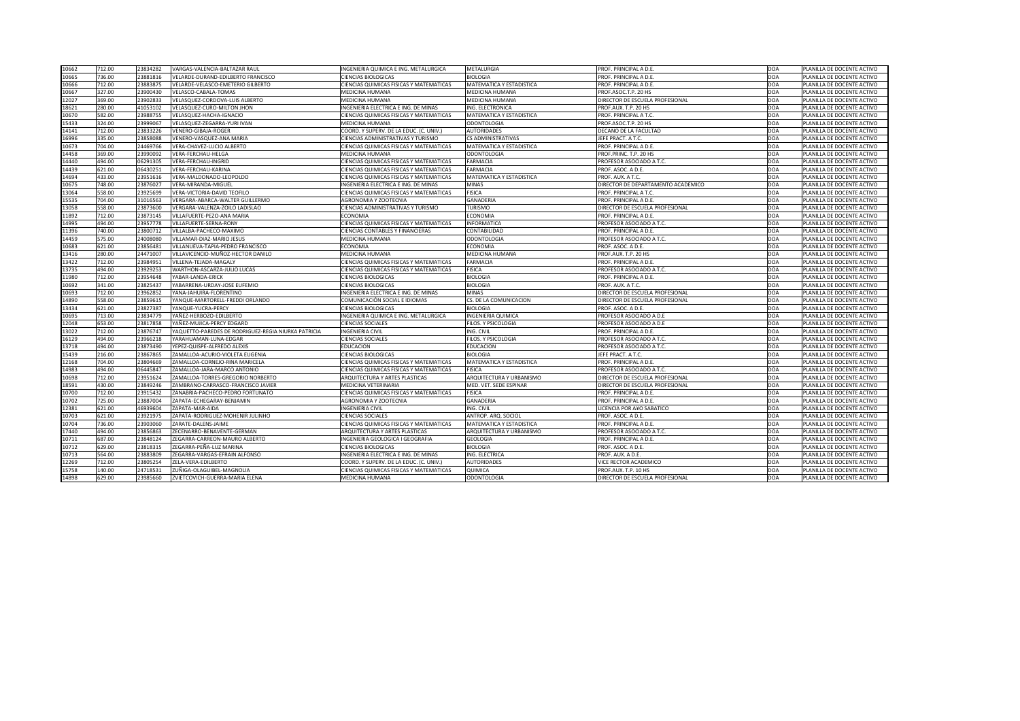| 10662 | 712.00 | 23834282 | VARGAS-VALENCIA-BALTAZAR RAUL                       | INGENIERIA QUIMICA E ING. METALURGICA          | METALURGIA                | PROF. PRINCIPAL A D.E.             | DOA        | PLANILLA DE DOCENTE ACTIVO |
|-------|--------|----------|-----------------------------------------------------|------------------------------------------------|---------------------------|------------------------------------|------------|----------------------------|
| 10665 | 736.00 | 23881816 | VELARDE-DURAND-EDILBERTO FRANCISCO                  | <b>CIENCIAS BIOLOGICAS</b>                     | <b>BIOLOGIA</b>           | PROF. PRINCIPAL A D.E.             | DOA        | PLANILLA DE DOCENTE ACTIVO |
| 10666 | 712.00 | 23883875 | VELARDE-VELASCO-EMETERIO GILBERTO                   | <b>CIENCIAS QUIMICAS FISICAS Y MATEMATICAS</b> | MATEMATICA Y ESTADISTICA  | PROF. PRINCIPAL A D.E.             | DOA        | PLANILLA DE DOCENTE ACTIVO |
| 10667 | 327.00 | 23900430 | VELASCO-CABALA-TOMAS                                | MEDICINA HUMANA                                | MEDICINA HUMANA           | PROF.ASOC.T.P. 20 HS               | DOA        | PLANILLA DE DOCENTE ACTIVO |
| 12027 | 369.00 | 23902833 | VELASQUEZ-CORDOVA-LUIS ALBERTO                      | <b>MEDICINA HUMANA</b>                         | <b>MEDICINA HUMANA</b>    | DIRECTOR DE ESCUELA PROFESIONAL    | DOA        | PLANILLA DE DOCENTE ACTIVO |
| 18621 | 280.00 | 41053102 | VELASQUEZ-CURO-MILTON JHON                          | INGENIERIA ELECTRICA E ING. DE MINAS           | ING. ELECTRONICA          | PROF.AUX. T.P. 20 HS               | DOA        | PLANILLA DE DOCENTE ACTIVO |
| 10670 | 582.00 | 23988755 | VELASQUEZ-HACHA-IGNACIO                             | <b>CIENCIAS QUIMICAS FISICAS Y MATEMATICAS</b> | MATEMATICA Y ESTADISTICA  | PROF. PRINCIPAL A T.C.             | DOA        | PLANILLA DE DOCENTE ACTIVO |
| 15433 | 324.00 | 23999067 | VELASQUEZ-ZEGARRA-YURI IVAN                         | <b>MEDICINA HUMANA</b>                         | <b>ODONTOLOGIA</b>        | PROF.ASOC.T.P. 20 HS               | DOA        | PLANILLA DE DOCENTE ACTIVO |
| 14141 | 712.00 | 23833226 | <b>VENERO-GIBAJA-ROGER</b>                          | COORD. Y SUPERV. DE LA EDUC. (C. UNIV.)        | <b>AUTORIDADES</b>        | DECANO DE LA FACULTAD              | DOA        | PLANILLA DE DOCENTE ACTIVO |
| 16996 | 335.00 | 23858088 | <b>VENERO-VASQUEZ-ANA MARIA</b>                     | <b>CIENCIAS ADMINISTRATIVAS Y TURISMO</b>      | <b>CS ADMINISTRATIVAS</b> | <b>IEFE PRACT. A T.C.</b>          | DOA        | PLANILLA DE DOCENTE ACTIVO |
| 10673 | 704.00 | 24469766 | <b>VERA-CHAVEZ-LUCIO ALBERTO</b>                    | <b>CIENCIAS QUIMICAS FISICAS Y MATEMATICAS</b> | MATEMATICA Y ESTADISTICA  | PROF. PRINCIPAL A D.E.             | DOA        | PLANILLA DE DOCENTE ACTIVO |
| 14458 | 369.00 | 23990092 | <b>VERA-FERCHAU-HELGA</b>                           | MEDICINA HUMANA                                | <b>ODONTOLOGIA</b>        | PROF.PRINC. T.P. 20 HS             | DOA        | PLANILLA DE DOCENTE ACTIVO |
| 14440 | 494.00 | 06291305 | VERA-FERCHAU-INGRID                                 | <b>CIENCIAS QUIMICAS FISICAS Y MATEMATICAS</b> | <b>FARMACIA</b>           | PROFESOR ASOCIADO A T.C.           | DOA        | PLANILLA DE DOCENTE ACTIVO |
| 14439 | 621.00 | 06430251 | VERA-FERCHAU-KARINA                                 | <b>CIENCIAS QUIMICAS FISICAS Y MATEMATICAS</b> | FARMACIA                  | PROF. ASOC. A D.E.                 | DOA        | PLANILLA DE DOCENTE ACTIVO |
| 14694 | 433.00 | 23951616 | VERA-MALDONADO-LEOPOLDO                             | CIENCIAS QUIMICAS FISICAS Y MATEMATICAS        | MATEMATICA Y ESTADISTICA  | PROF. AUX. A T.C.                  | DOA        | PLANILLA DE DOCENTE ACTIVO |
| 10675 | 748.00 | 23876027 | <b>VERA-MIRANDA-MIGUEL</b>                          | INGENIERIA ELECTRICA E ING. DE MINAS           | <b>MINAS</b>              | DIRECTOR DE DEPARTAMENTO ACADEMICO | DOA        | PLANILLA DE DOCENTE ACTIVO |
| 13064 | 558.00 | 23925699 | <b>VERA-VICTORIA-DAVID TEOFILO</b>                  | <b>CIENCIAS QUIMICAS FISICAS Y MATEMATICAS</b> | <b>FISICA</b>             | PROF. PRINCIPAL A T.C.             | DOA        | PLANILLA DE DOCENTE ACTIVO |
| 15535 | 704.00 | 31016563 | VERGARA-ABARCA-WALTER GUILLERMO                     | AGRONOMIA Y ZOOTECNIA                          | <b>GANADERIA</b>          | PROF. PRINCIPAL A D.E.             | DOA        | PLANILLA DE DOCENTE ACTIVO |
| 13058 | 558.00 | 23873600 | VERGARA-VALENZA-ZOILO LADISLAO                      | <b>CIENCIAS ADMINISTRATIVAS Y TURISMO</b>      | <b>TURISMO</b>            | DIRECTOR DE ESCUELA PROFESIONAL    | DOA        | PLANILLA DE DOCENTE ACTIVO |
| 11892 | 712.00 | 23873145 | VILLAFUERTE-PEZO-ANA MARIA                          | <b>ECONOMIA</b>                                | <b>ECONOMIA</b>           | PROF. PRINCIPAL A D.E.             | DOA        | PLANILLA DE DOCENTE ACTIVO |
| 14995 | 494.00 | 23957778 | VILLAFUERTE-SERNA-RONY                              | CIENCIAS QUIMICAS FISICAS Y MATEMATICAS        | <b>INFORMATICA</b>        | PROFESOR ASOCIADO A T.C.           | DOA        | PLANILLA DE DOCENTE ACTIVO |
| 11396 | 740.00 | 23800712 | VILLALBA-PACHECO-MAXIMO                             | <b>CIENCIAS CONTABLES Y FINANCIERAS</b>        | CONTABILIDAD              | PROF. PRINCIPAL A D.E.             | DOA        | PLANILLA DE DOCENTE ACTIVO |
| 14459 | 575.00 | 24008080 | VILLAMAR-DIAZ-MARIO JESUS                           | MEDICINA HUMANA                                | <b>ODONTOLOGIA</b>        | PROFESOR ASOCIADO A T.C.           | DOA        | PLANILLA DE DOCENTE ACTIVO |
| 10683 | 621.00 | 2385648  | VILLANUEVA-TAPIA-PEDRO FRANCISCO                    | <b>ECONOMIA</b>                                | ECONOMIA                  | PROF. ASOC. A D.E.                 | DOA        | PLANILLA DE DOCENTE ACTIVO |
| 13416 | 280.00 | 24471007 | VILLAVICENCIO-MUÑOZ-HECTOR DANILO                   | <b>MEDICINA HUMANA</b>                         | <b>MEDICINA HUMANA</b>    | PROF.AUX. T.P. 20 HS               | DOA        | PLANILLA DE DOCENTE ACTIVO |
| 13422 | 712.00 | 2398495  | VILLENA-TEJADA-MAGALY                               | CIENCIAS QUIMICAS FISICAS Y MATEMATICAS        | <b>FARMACIA</b>           | PROF. PRINCIPAL A D.E.             | <b>DOA</b> | PLANILLA DE DOCENTE ACTIVO |
| 13735 | 494.00 | 23929253 | WARTHON-ASCARZA-JULIO LUCAS                         | CIENCIAS QUIMICAS FISICAS Y MATEMATICAS        | <b>FISICA</b>             | PROFESOR ASOCIADO A T.C.           | DOA        | PLANILLA DE DOCENTE ACTIVO |
| 11980 | 712.00 | 23954648 | YABAR-LANDA-ERICK                                   | <b>CIENCIAS BIOLOGICAS</b>                     | <b>BIOLOGIA</b>           | PROF. PRINCIPAL A D.E              | DOA        | PLANILLA DE DOCENTE ACTIVO |
| 10692 | 341.00 | 23825437 | YABARRENA-URDAY-JOSE EUFEMIO                        | <b>CIENCIAS BIOLOGICAS</b>                     | <b>BIOLOGIA</b>           | PROF. AUX. A T.C.                  | DOA        | PLANILLA DE DOCENTE ACTIVO |
| 10693 | 712.00 | 23962852 | YANA-JAHUIRA-FLORENTINO                             | INGENIERIA ELECTRICA E ING. DE MINAS           | <b>MINAS</b>              | DIRECTOR DE ESCUELA PROFESIONAL    | DOA        | PLANILLA DE DOCENTE ACTIVO |
| 14890 | 558.00 | 23859615 | YANQUE-MARTORELL-FREDDI ORLANDO                     | COMUNICACIÓN SOCIAL E IDIOMAS                  | CS. DE LA COMUNICACION    | DIRECTOR DE ESCUELA PROFESIONAL    | DOA        | PLANILLA DE DOCENTE ACTIVO |
| 13434 | 621.00 | 23827387 | YANQUE-YUCRA-PERCY                                  | <b>CIENCIAS BIOLOGICAS</b>                     | <b>BIOLOGIA</b>           | PROF. ASOC. A D.E.                 | DOA        | PLANILLA DE DOCENTE ACTIVO |
| 10695 | 713.00 | 23834779 | YAÑEZ-HERBOZO-EDILBERTO                             | INGENIERIA QUIMICA E ING. METALURGICA          | <b>INGENIERIA QUIMICA</b> | PROFESOR ASOCIADO A D.E            | DOA        | PLANILLA DE DOCENTE ACTIVO |
| 12048 | 653.00 | 23817858 | YAÑEZ-MUJICA-PERCY EDGARD                           | <b>CIENCIAS SOCIALES</b>                       | FILOS. Y PSICOLOGIA       | PROFESOR ASOCIADO A D.E            | DOA        | PLANILLA DE DOCENTE ACTIVO |
| 13022 | 712.00 | 23876747 | YAQUETTO-PAREDES DE RODRIGUEZ-REGIA NIURKA PATRICIA | <b>INGENIERIA CIVIL</b>                        | ING. CIVIL                | PROF. PRINCIPAL A D.E.             | DOA        | PLANILLA DE DOCENTE ACTIVO |
| 16129 | 494.00 | 23966218 | YARAHUAMAN-LUNA-EDGAR                               | <b>CIENCIAS SOCIALES</b>                       | FILOS. Y PSICOLOGIA       | PROFESOR ASOCIADO A T.C.           | DOA        | PLANILLA DE DOCENTE ACTIVO |
| 13718 | 494.00 | 23873490 | YEPEZ-QUISPE-ALFREDO ALEXIS                         | <b>EDUCACION</b>                               | <b>EDUCACION</b>          | PROFESOR ASOCIADO A T.C.           | DOA        | PLANILLA DE DOCENTE ACTIVO |
| 15439 | 216.00 | 23867865 | ZAMALLOA-ACURIO-VIOLETA EUGENIA                     | <b>CIENCIAS BIOLOGICAS</b>                     | <b>BIOLOGIA</b>           | <b>IEFE PRACT. A T.C.</b>          | DOA        | PLANILLA DE DOCENTE ACTIVO |
| 12168 | 704.00 | 23804669 | ZAMALLOA-CORNEJO-RINA MARICELA                      | <b>CIENCIAS QUIMICAS FISICAS Y MATEMATICAS</b> | MATEMATICA Y ESTADISTICA  | <b>PROF. PRINCIPAL A D.E.</b>      | DOA        | PLANILLA DE DOCENTE ACTIVO |
| 14983 | 494.00 | 06445847 | ZAMALLOA-JARA-MARCO ANTONIO                         | <b>CIENCIAS QUIMICAS FISICAS Y MATEMATICAS</b> | <b>FISICA</b>             | PROFESOR ASOCIADO A T.C.           | DOA        | PLANILLA DE DOCENTE ACTIVO |
| 10698 | 712.00 | 23951624 | ZAMALLOA-TORRES-GREGORIO NORBERTO                   | ARQUITECTURA Y ARTES PLASTICAS                 | ARQUITECTURA Y URBANISMO  | DIRECTOR DE ESCUELA PROFESIONAL    | DOA        | PLANILLA DE DOCENTE ACTIVO |
| 18591 | 430.00 | 23849246 | ZAMBRANO-CARRASCO-FRANCISCO JAVIER                  | <b>MEDICINA VETERINARIA</b>                    | MED. VET. SEDE ESPINAR    | DIRECTOR DE ESCUELA PROFESIONAL    | DOA        | PLANILLA DE DOCENTE ACTIVO |
| 10700 | 712.00 | 23915432 | ZANABRIA-PACHECO-PEDRO FORTUNATO                    | <b>CIENCIAS QUIMICAS FISICAS Y MATEMATICAS</b> | <b>FISICA</b>             | PROF. PRINCIPAL A D.E.             | DOA        | PLANILLA DE DOCENTE ACTIVO |
| 10702 | 725.00 | 23887004 | ZAPATA-ECHEGARAY-BENJAMIN                           | AGRONOMIA Y ZOOTECNIA                          | <b>GANADERIA</b>          | PROF. PRINCIPAL A D.E.             | DOA        | PLANILLA DE DOCENTE ACTIVO |
| 12381 | 621.00 | 46939604 | ZAPATA-MAR-AIDA                                     | <b>INGENIERIA CIVIL</b>                        | ING. CIVIL                | LICENCIA POR A¥O SABATICO          | DOA        | PLANILLA DE DOCENTE ACTIVO |
| 10703 | 621.00 | 23921975 | ZAPATA-RODRIGUEZ-MOHENIR JULINHO                    | <b>CIENCIAS SOCIALES</b>                       | ANTROP. ARQ. SOCIOL       | PROF. ASOC. A D.E.                 | DOA        | PLANILLA DE DOCENTE ACTIVO |
| 10704 | 736.00 | 23903060 | ZARATE-DALENS-JAIME                                 | CIENCIAS QUIMICAS FISICAS Y MATEMATICAS        | MATEMATICA Y ESTADISTICA  | PROF. PRINCIPAL A D.E.             | DOA        | PLANILLA DE DOCENTE ACTIVO |
| 17440 | 494.00 | 23856863 | ZECENARRO-BENAVENTE-GERMAN                          | <b>ARQUITECTURA Y ARTES PLASTICAS</b>          | ARQUITECTURA Y URBANISMO  | <b>PROFESOR ASOCIADO A T.C.</b>    | DOA        | PLANILLA DE DOCENTE ACTIVO |
| 10711 | 687.00 | 23848124 | ZEGARRA-CARREON-MAURO ALBERTO                       | <b>INGENIERIA GEOLOGICA I GEOGRAFIA</b>        | <b>GEOLOGIA</b>           | PROF. PRINCIPAL A D.E.             | DOA        | PLANILLA DE DOCENTE ACTIVO |
| 10712 | 629.00 | 23818315 | ZEGARRA-PEÑA-LUZ MARINA                             | <b>CIENCIAS BIOLOGICAS</b>                     | <b>BIOLOGIA</b>           | PROF. ASOC. A D.E.                 | DOA        | PLANILLA DE DOCENTE ACTIVO |
| 10713 | 564.00 | 23883809 | ZEGARRA-VARGAS-EFRAIN ALFONSO                       | INGENIERIA ELECTRICA E ING. DE MINAS           | <b>ING. ELECTRICA</b>     | PROF. AUX. A D.E.                  | DOA        | PLANILLA DE DOCENTE ACTIVO |
| 12269 | 712.00 | 23805254 | ZELA-VERA-EDILBERTO                                 | COORD. Y SUPERV. DE LA EDUC. (C. UNIV.)        | <b>AUTORIDADES</b>        | <b>VICE RECTOR ACADEMICO</b>       | DOA        | PLANILLA DE DOCENTE ACTIVO |
| 15758 | 140.00 | 2471853  | ZUÑIGA-OLAGUIBEL-MAGNOLIA                           | <b>CIENCIAS QUIMICAS FISICAS Y MATEMATICAS</b> | <b>QUIMICA</b>            | PROF.AUX. T.P. 10 HS               | DOA        | PLANILLA DE DOCENTE ACTIVO |
| 14898 | 629.00 | 23985660 | <b>ZVIETCOVICH-GUERRA-MARIA ELENA</b>               | <b>MEDICINA HUMANA</b>                         | <b>ODONTOLOGIA</b>        | DIRECTOR DE ESCUELA PROFESIONAL    | DOA        | PLANILLA DE DOCENTE ACTIVO |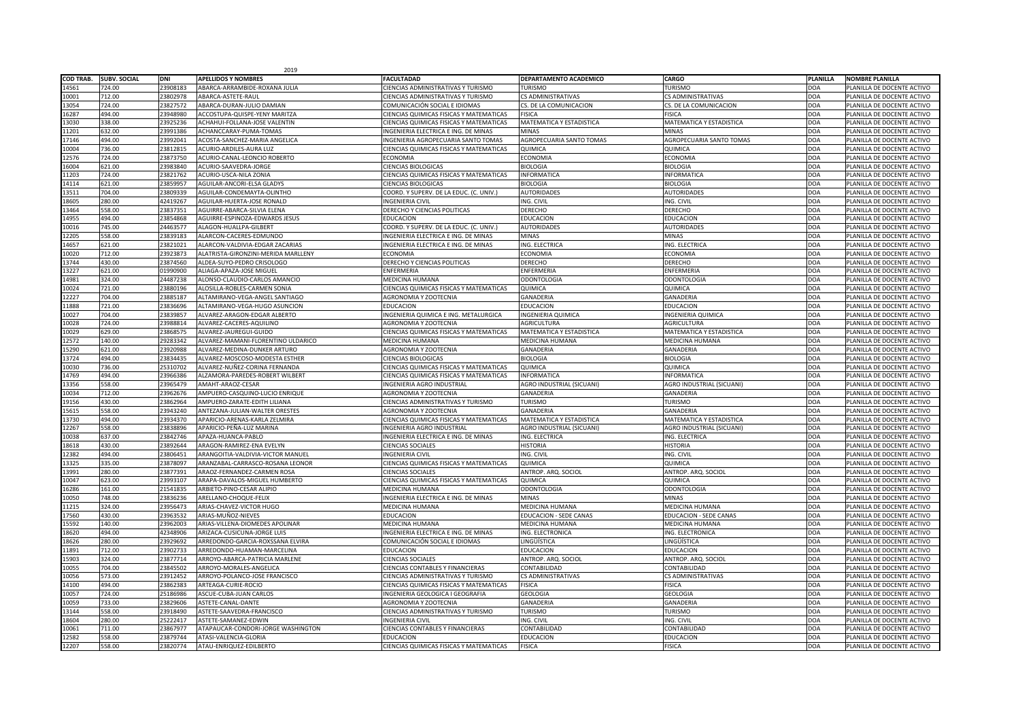|                  |                     |          | 2019                                |                                                |                                  |                                  |                 |                            |
|------------------|---------------------|----------|-------------------------------------|------------------------------------------------|----------------------------------|----------------------------------|-----------------|----------------------------|
| <b>COD TRAB.</b> | <b>SUBV. SOCIAL</b> | DNI      | <b>APELLIDOS Y NOMBRES</b>          | <b>FACULTADAD</b>                              | <b>DEPARTAMENTO ACADEMICO</b>    | <b>CARGO</b>                     | <b>PLANILLA</b> | <b>NOMBRE PLANILLA</b>     |
| 14561            | 724.00              | 23908183 | ABARCA-ARRAMBIDE-ROXANA JULIA       | CIENCIAS ADMINISTRATIVAS Y TURISMO             | TURISMO                          | <b>TURISMO</b>                   | OOA             | PLANILLA DE DOCENTE ACTIVO |
| 10001            | 712.00              | 23802978 | ABARCA-ASTETE-RAUL                  | <b>CIENCIAS ADMINISTRATIVAS Y TURISMO</b>      | <b>CS ADMINISTRATIVAS</b>        | <b>CS ADMINISTRATIVAS</b>        | AOC             | PLANILLA DE DOCENTE ACTIVO |
| 13054            | 724.00              | 23827572 | ABARCA-DURAN-JULIO DAMIAN           | COMUNICACIÓN SOCIAL E IDIOMAS                  | CS. DE LA COMUNICACION           | CS. DE LA COMUNICACION           | AOC             | PLANILLA DE DOCENTE ACTIVO |
| 16287            | 494.00              | 23948980 | ACCOSTUPA-QUISPE-YENY MARITZA       | <b>CIENCIAS QUIMICAS FISICAS Y MATEMATICAS</b> | <b>FISICA</b>                    | <b>FISICA</b>                    | DOA             | PLANILLA DE DOCENTE ACTIVO |
| 13030            | 338.00              | 23925236 | ACHAHUI-FOLLANA-JOSE VALENTIN       | <b>CIENCIAS QUIMICAS FISICAS Y MATEMATICAS</b> | <b>MATEMATICA Y ESTADISTICA</b>  | <b>MATEMATICA Y ESTADISTICA</b>  | DOA             | PLANILLA DE DOCENTE ACTIVO |
| 11201            | 632.00              | 23991386 | ACHANCCARAY-PUMA-TOMAS              | INGENIERIA ELECTRICA E ING. DE MINAS           | <b>MINAS</b>                     | <b>MINAS</b>                     | DOA             | PLANILLA DE DOCENTE ACTIVO |
| 17146            | 494.00              | 23992041 | ACOSTA-SANCHEZ-MARIA ANGELICA       | <b>INGENIERIA AGROPECUARIA SANTO TOMAS</b>     | <b>AGROPECUARIA SANTO TOMAS</b>  | <b>AGROPECUARIA SANTO TOMAS</b>  | AOC             | PLANILLA DE DOCENTE ACTIVO |
| 10004            | 736.00              | 23812815 | <b>ACURIO-ARDILES-AURA LUZ</b>      | <b>CIENCIAS QUIMICAS FISICAS Y MATEMATICAS</b> | <b>QUIMICA</b>                   | QUIMICA                          | DOA             | PLANILLA DE DOCENTE ACTIVO |
| 12576            | 724.00              | 23873750 | ACURIO-CANAL-LEONCIO ROBERTO        | <b>ECONOMIA</b>                                | <b>ECONOMIA</b>                  | <b>ECONOMIA</b>                  | DOA             | PLANILLA DE DOCENTE ACTIVO |
| 16004            | 621.00              | 23983840 | ACURIO-SAAVEDRA-JORGE               | <b>CIENCIAS BIOLOGICAS</b>                     | <b>BIOLOGIA</b>                  | <b>BIOLOGIA</b>                  | DOA             | PLANILLA DE DOCENTE ACTIVO |
| 11203            | 724.00              | 23821762 | ACURIO-USCA-NILA ZONIA              | <b>CIENCIAS QUIMICAS FISICAS Y MATEMATICAS</b> | <b>INFORMATICA</b>               | <b>INFORMATICA</b>               | DOA             | PLANILLA DE DOCENTE ACTIVO |
| 14114            | 621.00              | 23859957 | AGUILAR-ANCORI-ELSA GLADYS          | <b>CIENCIAS BIOLOGICAS</b>                     | <b>BIOLOGIA</b>                  | <b>BIOLOGIA</b>                  | AOC             | PLANILLA DE DOCENTE ACTIVO |
| 13511            | 704.00              | 23809339 | AGUILAR-CONDEMAYTA-OLINTHO          | COORD. Y SUPERV. DE LA EDUC. (C. UNIV.)        | <b>AUTORIDADES</b>               | <b>AUTORIDADES</b>               | DOA             | PLANILLA DE DOCENTE ACTIVO |
| 18605            | 280.00              | 42419267 | AGUILAR-HUERTA-JOSE RONALD          | <b>INGENIERIA CIVIL</b>                        | ING. CIVIL                       | ING. CIVIL                       | DOA             | PLANILLA DE DOCENTE ACTIVO |
| 13464            | 558.00              | 23837351 | AGUIRRE-ABARCA-SILVIA ELENA         | <b>DERECHO Y CIENCIAS POLITICAS</b>            | <b>DERECHO</b>                   | <b>DERECHO</b>                   | DOA             | PLANILLA DE DOCENTE ACTIVO |
| 14955            | 494.00              | 23854868 | AGUIRRE-ESPINOZA-EDWARDS JESUS      | <b>EDUCACION</b>                               | <b>EDUCACION</b>                 | <b>EDUCACION</b>                 | DOA             | PLANILLA DE DOCENTE ACTIVO |
| 10016            | 745.00              | 24463577 | ALAGON-HUALLPA-GILBERT              | COORD. Y SUPERV. DE LA EDUC. (C. UNIV.)        | <b>AUTORIDADES</b>               | <b>AUTORIDADES</b>               | AOC             | PLANILLA DE DOCENTE ACTIVO |
| 12205            | 558.00              | 23839183 | ALARCON-CACERES-EDMUNDO             | INGENIERIA ELECTRICA E ING. DE MINAS           | <b>MINAS</b>                     | <b>MINAS</b>                     | OOA             | PLANILLA DE DOCENTE ACTIVO |
| 14657            | 621.00              | 23821021 | ALARCON-VALDIVIA-EDGAR ZACARIAS     | INGENIERIA ELECTRICA E ING. DE MINAS           | ING. ELECTRICA                   | <b>ING. ELECTRICA</b>            | DOA             | PLANILLA DE DOCENTE ACTIVO |
| 10020            | 712.00              | 23923873 | ALATRISTA-GIRONZINI-MERIDA MARLLENY | <b>ECONOMIA</b>                                | <b>ECONOMIA</b>                  | <b>ECONOMIA</b>                  | <b>DOA</b>      | PLANILLA DE DOCENTE ACTIVO |
| 13744            | 430.00              | 23874560 | ALDEA-SUYO-PEDRO CRISOLOGO          | DERECHO Y CIENCIAS POLITICAS                   | <b>DERECHO</b>                   | <b>DERECHO</b>                   | DOA             | PLANILLA DE DOCENTE ACTIVO |
| 13227            | 621.00              | 01990900 | ALIAGA-APAZA-JOSE MIGUEL            | <b>ENFERMERIA</b>                              | <b>ENFERMERIA</b>                | <b>ENFERMERIA</b>                | AOC             | PLANILLA DE DOCENTE ACTIVO |
| 14981            | 324.00              | 24487238 | ALONSO-CLAUDIO-CARLOS AMANCIO       | <b>MEDICINA HUMANA</b>                         | <b>ODONTOLOGIA</b>               | <b>ODONTOLOGIA</b>               | AOC             | PLANILLA DE DOCENTE ACTIVO |
| 10024            | 721.00              | 23880196 | ALOSILLA-ROBLES-CARMEN SONIA        | <b>CIENCIAS QUIMICAS FISICAS Y MATEMATICAS</b> | <b>QUIMICA</b>                   | <b>QUIMICA</b>                   | DOA             | PLANILLA DE DOCENTE ACTIVO |
| 12227            | 704.00              | 23885187 | ALTAMIRANO-VEGA-ANGEL SANTIAGO      | <b>AGRONOMIA Y ZOOTECNIA</b>                   | <b>GANADERIA</b>                 | <b>GANADERIA</b>                 | DOA             | PLANILLA DE DOCENTE ACTIVO |
| 11888            | 721.00              | 23836696 | ALTAMIRANO-VEGA-HUGO ASUNCION       | <b>EDUCACION</b>                               | <b>EDUCACION</b>                 | <b>EDUCACION</b>                 | DOA             | PLANILLA DE DOCENTE ACTIVO |
| 10027            | 704.00              | 23839857 | ALVAREZ-ARAGON-EDGAR ALBERTO        | INGENIERIA QUIMICA E ING. METALURGICA          | <b>INGENIERIA QUIMICA</b>        | <b>INGENIERIA QUIMICA</b>        | AOC             | PLANILLA DE DOCENTE ACTIVO |
| 10028            | 724.00              | 23988814 | ALVAREZ-CACERES-AQUILINO            | <b>AGRONOMIA Y ZOOTECNIA</b>                   | <b>AGRICULTURA</b>               | AGRICULTURA                      | OOA             | PLANILLA DE DOCENTE ACTIVO |
| 10029<br>ᇅᇰᇰ     | 629.00              | 23868575 | ALVAREZ-JAUREGUI-GUIDO              | <b>CIENCIAS QUIMICAS FISICAS Y MATEMATICAS</b> | MATEMATICA Y ESTADISTICA         | <b>MATEMATICA Y ESTADISTICA</b>  | DOA             | PLANILLA DE DOCENTE ACTIVO |
| 12572            | 140.00              | 29283342 | ALVAREZ-MAMANI-FLORENTINO ULDARICO  | <b>MEDICINA HUMANA</b>                         | MEDICINA HUMANA                  | <b>MEDICINA HUMANA</b>           | AOC             | PLANILLA DE DOCENTE ACTIVO |
| 15290            | 621.00              | 23920988 | ALVAREZ-MEDINA-DUNKER ARTURO        | <b>AGRONOMIA Y ZOOTECNIA</b>                   | <b>GANADERIA</b>                 | <b>GANADERIA</b>                 | DOA             | PLANILLA DE DOCENTE ACTIVO |
| 13724            | 494.00              | 23834435 | ALVAREZ-MOSCOSO-MODESTA ESTHER      | <b>CIENCIAS BIOLOGICAS</b>                     | <b>BIOLOGIA</b>                  | <b>BIOLOGIA</b>                  | AOC             | PLANILLA DE DOCENTE ACTIVO |
| 10030            | 736.00              | 25310702 | ALVAREZ-NUÑEZ-CORINA FERNANDA       | <b>CIENCIAS QUIMICAS FISICAS Y MATEMATICAS</b> | <b>QUIMICA</b>                   | QUIMICA                          | AOC             | PLANILLA DE DOCENTE ACTIVO |
| 14769            | 494.00              | 23966386 | ALZAMORA-PAREDES-ROBERT WILBERT     | <b>CIENCIAS QUIMICAS FISICAS Y MATEMATICAS</b> | <b>INFORMATICA</b>               | <b>INFORMATICA</b>               | DOA             | PLANILLA DE DOCENTE ACTIVO |
| 13356            | 558.00              | 23965479 | AMAHT-ARAOZ-CESAR                   | <b>INGENIERIA AGRO INDUSTRIAL</b>              | <b>AGRO INDUSTRIAL (SICUANI)</b> | <b>AGRO INDUSTRIAL (SICUANI)</b> | DOA             | PLANILLA DE DOCENTE ACTIVO |
| 10034            | 712.00              | 23962676 | AMPUERO-CASQUINO-LUCIO ENRIQUE      | <b>AGRONOMIA Y ZOOTECNIA</b>                   | <b>GANADERIA</b>                 | <b>GANADERIA</b>                 | DOA             | PLANILLA DE DOCENTE ACTIVO |
| 19156            | 430.00              | 23862964 | AMPUERO-ZARATE-EDITH LILIANA        | <b>CIENCIAS ADMINISTRATIVAS Y TURISMO</b>      | <b>TURISMO</b>                   | <b>TURISMO</b>                   | AOC             | PLANILLA DE DOCENTE ACTIVO |
| 15615            | 558.00              | 23943240 | ANTEZANA-JULIAN-WALTER ORESTES      | <b>AGRONOMIA Y ZOOTECNIA</b>                   | <b>GANADERIA</b>                 | <b>GANADERIA</b>                 | AOC             | PLANILLA DE DOCENTE ACTIVO |
| 13730            | 494.00              | 23934370 | APARICIO-ARENAS-KARLA ZELMIRA       | <b>CIENCIAS QUIMICAS FISICAS Y MATEMATICAS</b> | <b>MATEMATICA Y ESTADISTICA</b>  | <b>MATEMATICA Y ESTADISTICA</b>  | DOA             | PLANILLA DE DOCENTE ACTIVO |
| 12267            | 558.00              | 23838896 | APARICIO-PEÑA-LUZ MARINA            | <b>INGENIERIA AGRO INDUSTRIAL</b>              | AGRO INDUSTRIAL (SICUANI)        | AGRO INDUSTRIAL (SICUANI)        | DOA             | PLANILLA DE DOCENTE ACTIVO |
| 10038            | 637.00              | 23842746 | APAZA-HUANCA-PABLO                  | INGENIERIA ELECTRICA E ING. DE MINAS           | ING. ELECTRICA                   | ING. ELECTRICA                   | DOA             | PLANILLA DE DOCENTE ACTIVO |
| 18618            | 430.00              | 23892644 | ARAGON-RAMIREZ-ENA EVELYN           | <b>CIENCIAS SOCIALES</b>                       | <b>HISTORIA</b>                  | <b>HISTORIA</b>                  | AOC             | PLANILLA DE DOCENTE ACTIVO |
| 12382            | 494.00              | 23806451 | ARANGOITIA-VALDIVIA-VICTOR MANUEL   | <b>INGENIERIA CIVIL</b>                        | ING. CIVIL                       | ING. CIVIL                       | AOC             | PLANILLA DE DOCENTE ACTIVO |
| 13325            | 335.00              | 23878097 | ARANZABAL-CARRASCO-ROSANA LEONOR    | <b>CIENCIAS QUIMICAS FISICAS Y MATEMATICAS</b> | <b>QUIMICA</b>                   | QUIMICA                          | DOA             | PLANILLA DE DOCENTE ACTIVO |
| 13991            | 280.00              | 23877391 | ARAOZ-FERNANDEZ-CARMEN ROSA         | <b>CIENCIAS SOCIALES</b>                       | ANTROP. ARQ. SOCIOL              | ANTROP. ARQ. SOCIOL              | DOA             | PLANILLA DE DOCENTE ACTIVO |
| 10047            | 623.00              | 23993107 | ARAPA-DAVALOS-MIGUEL HUMBERTO       | CIENCIAS QUIMICAS FISICAS Y MATEMATICAS        | <b>QUIMICA</b>                   | QUIMICA                          | DOA             | PLANILLA DE DOCENTE ACTIVO |
| 16286            | 161.00              | 21541835 | ARBIETO-PINO-CESAR ALIPIO           | <b>MEDICINA HUMANA</b>                         | <b>ODONTOLOGIA</b>               | <b>ODONTOLOGIA</b>               | AOC             | PLANILLA DE DOCENTE ACTIVO |
| 10050            | 748.00              | 23836236 | ARELLANO-CHOQUE-FELIX               | INGENIERIA ELECTRICA E ING. DE MINAS           | <b>MINAS</b>                     | <b>MINAS</b>                     | AOC             | PLANILLA DE DOCENTE ACTIVO |
| 11215            | 324.00              | 23956473 | ARIAS-CHAVEZ-VICTOR HUGO            | <b>MEDICINA HUMANA</b>                         | <b>MEDICINA HUMANA</b>           | <b>MEDICINA HUMANA</b>           | DOA             | PLANILLA DE DOCENTE ACTIVO |
| 17560            | 430.00              | 23963532 | ARIAS-MUÑOZ-NIEVES                  | <b>EDUCACION</b>                               | <b>EDUCACION - SEDE CANAS</b>    | <b>EDUCACION - SEDE CANAS</b>    | AOC             | PLANILLA DE DOCENTE ACTIVO |
| 15592            | 140.00              | 23962003 | ARIAS-VILLENA-DIOMEDES APOLINAR     | MEDICINA HUMANA                                | <b>MEDICINA HUMANA</b>           | <b>MEDICINA HUMANA</b>           | DOA             | PLANILLA DE DOCENTE ACTIVO |
| 18620            | 494.00              | 42348906 | ARIZACA-CUSICUNA-JORGE LUIS         | INGENIERIA ELECTRICA E ING. DE MINAS           | ING. ELECTRONICA                 | ING. ELECTRONICA                 | AOC             | PLANILLA DE DOCENTE ACTIVO |
| 18626            | 280.00              | 23929692 | ARREDONDO-GARCIA-ROXSSANA ELVIRA    | COMUNICACIÓN SOCIAL E IDIOMAS                  | <b>LINGÜÍSTICA</b>               | LINGÜÍSTICA                      | AOC             | PLANILLA DE DOCENTE ACTIVO |
| 11891            | 712.00              | 23902733 | ARREDONDO-HUAMAN-MARCELINA          | <b>EDUCACION</b>                               | <b>EDUCACION</b>                 | <b>EDUCACION</b>                 | DOA             | PLANILLA DE DOCENTE ACTIVO |
| 15903            | 324.00              | 23877714 | ARROYO-ABARCA-PATRICIA MARLENE      | <b>CIENCIAS SOCIALES</b>                       | ANTROP. ARQ. SOCIOL              | ANTROP. ARQ. SOCIOL              | AOC             | PLANILLA DE DOCENTE ACTIVO |
| 10055            | 704.00              | 23845502 | ARROYO-MORALES-ANGELICA             | <b>CIENCIAS CONTABLES Y FINANCIERAS</b>        | <b>CONTABILIDAD</b>              | CONTABILIDAD                     | AOC             | PLANILLA DE DOCENTE ACTIVO |
| 10056            | 573.00              | 23912452 | ARROYO-POLANCO-JOSE FRANCISCO       | <b>CIENCIAS ADMINISTRATIVAS Y TURISMO</b>      | <b>CS ADMINISTRATIVAS</b>        | <b>CS ADMINISTRATIVAS</b>        | DOA             | PLANILLA DE DOCENTE ACTIVO |
| 14100            | 494.00              | 23862383 | ARTEAGA-CURIE-ROCIO                 | <b>CIENCIAS QUIMICAS FISICAS Y MATEMATICAS</b> | <b>FISICA</b>                    | <b>FISICA</b>                    | AOC             | PLANILLA DE DOCENTE ACTIVO |
| 10057            | 724.00              | 25186986 | <b>ASCUE-CUBA-JUAN CARLOS</b>       | INGENIERIA GEOLOGICA I GEOGRAFIA               | <b>GEOLOGIA</b>                  | <b>GEOLOGIA</b>                  | DOA             | PLANILLA DE DOCENTE ACTIVO |
| 10059            | 733.00              | 23829606 | ASTETE-CANAL-DANTE                  | AGRONOMIA Y ZOOTECNIA                          | <b>GANADERIA</b>                 | <b>GANADERIA</b>                 | <b>DOA</b>      | PLANILLA DE DOCENTE ACTIVO |
| 13144            | 558.00              | 23918490 | ASTETE-SAAVEDRA-FRANCISCO           | <b>CIENCIAS ADMINISTRATIVAS Y TURISMO</b>      | <b>TURISMO</b>                   | <b>TURISMO</b>                   | <b>DOA</b>      | PLANILLA DE DOCENTE ACTIVO |
| 18604            | 280.00              | 25222417 | ASTETE-SAMANEZ-EDWIN                | <b>INGENIERIA CIVIL</b>                        | ING. CIVIL                       | ING. CIVIL                       | DOA             | PLANILLA DE DOCENTE ACTIVO |
| 10061            | 711.00              | 23867977 | ATAPAUCAR-CONDORI-JORGE WASHINGTON  | <b>CIENCIAS CONTABLES Y FINANCIERAS</b>        | CONTABILIDAD                     | <b>CONTABILIDAD</b>              | <b>DOA</b>      | PLANILLA DE DOCENTE ACTIVO |
| 12582            | 558.00              | 23879744 | ATASI-VALENCIA-GLORIA               | <b>EDUCACION</b>                               | <b>EDUCACION</b>                 | <b>EDUCACION</b>                 | <b>DOA</b>      | PLANILLA DE DOCENTE ACTIVO |
|                  |                     |          |                                     |                                                |                                  |                                  |                 |                            |
| 12207            | 558.00              | 23820774 | ATAU-ENRIQUEZ-EDILBERTO             | <b>CIENCIAS QUIMICAS FISICAS Y MATEMATICAS</b> | FISICA                           | <b>FISICA</b>                    | <b>DOA</b>      | PLANILLA DE DOCENTE ACTIVO |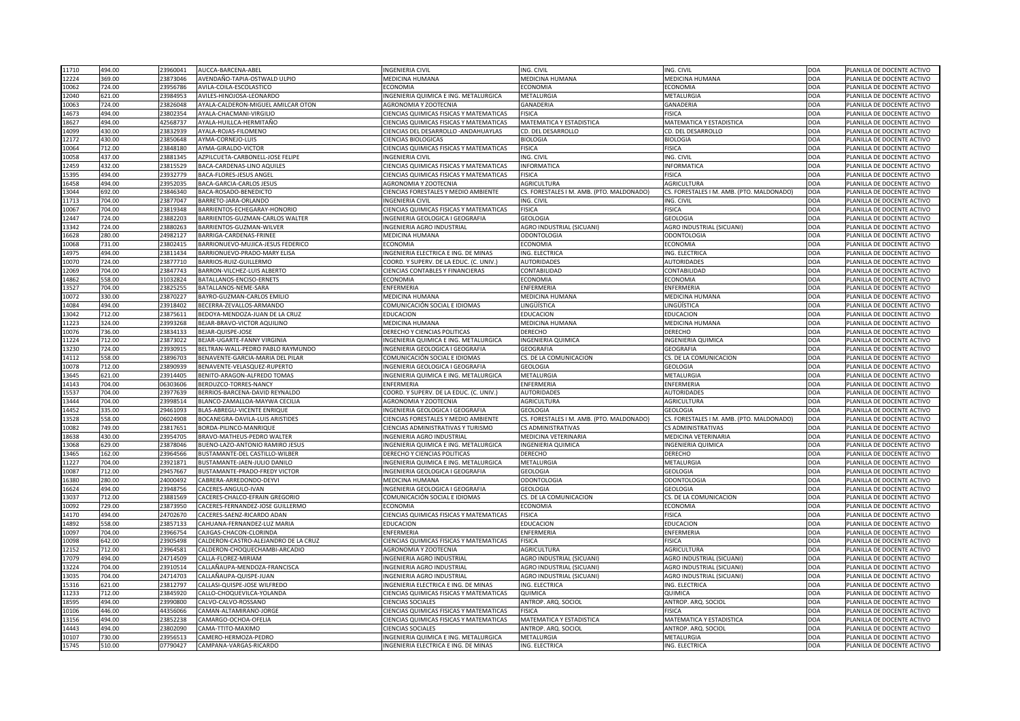| 494.00<br>11710          | 23960041 | AUCCA-BARCENA-ABEL                   | <b>INGENIERIA CIVIL</b>                        | ING. CIVIL                                | ING. CIVIL                                | <b>DOA</b> | PLANILLA DE DOCENTE ACTIVO |
|--------------------------|----------|--------------------------------------|------------------------------------------------|-------------------------------------------|-------------------------------------------|------------|----------------------------|
| 369.00<br>12224          | 23873046 | AVENDAÑO-TAPIA-OSTWALD ULPIO         | <b>MEDICINA HUMANA</b>                         | MEDICINA HUMANA                           | MEDICINA HUMANA                           | <b>DOA</b> | PLANILLA DE DOCENTE ACTIVO |
| 724.00<br>10062          | 23956786 | AVILA-COILA-ESCOLASTICO              | <b>ECONOMIA</b>                                | <b>ECONOMIA</b>                           | <b>ECONOMIA</b>                           | <b>DOA</b> | PLANILLA DE DOCENTE ACTIVO |
| 12040<br>621.00          | 23984953 | AVILES-HINOJOSA-LEONARDO             | INGENIERIA QUIMICA E ING. METALURGICA          | <b>METALURGIA</b>                         | METALURGIA                                | <b>DOA</b> | PLANILLA DE DOCENTE ACTIVO |
| 724.00<br>10063          | 23826048 | AYALA-CALDERON-MIGUEL AMILCAR OTON   | <b>AGRONOMIA Y ZOOTECNIA</b>                   | <b>GANADERIA</b>                          | <b>GANADERIA</b>                          | <b>DOA</b> | PLANILLA DE DOCENTE ACTIVO |
| 494.00<br>14673          | 23802354 | AYALA-CHACMANI-VIRGILIO              | <b>CIENCIAS QUIMICAS FISICAS Y MATEMATICAS</b> | <b>FISICA</b>                             | <b>FISICA</b>                             | <b>DOA</b> | PLANILLA DE DOCENTE ACTIVO |
| 494.00<br>18627          | 42568737 | AYALA-HUILLCA-HERMITAÑO              | <b>CIENCIAS QUIMICAS FISICAS Y MATEMATICAS</b> | <b>MATEMATICA Y ESTADISTICA</b>           | MATEMATICA Y ESTADISTICA                  | <b>DOA</b> | PLANILLA DE DOCENTE ACTIVO |
| 430.00<br>14099          | 23832939 | AYALA-ROJAS-FILOMENO                 | CIENCIAS DEL DESARROLLO - ANDAHUAYLAS          | <b>CD. DEL DESARROLLO</b>                 | CD. DEL DESARROLLO                        | <b>DOA</b> | PLANILLA DE DOCENTE ACTIVO |
| 430.00<br>12172          | 23850648 | AYMA-CORNEJO-LUIS                    | <b>CIENCIAS BIOLOGICAS</b>                     | <b>BIOLOGIA</b>                           | <b>BIOLOGIA</b>                           | <b>DOA</b> | PLANILLA DE DOCENTE ACTIVO |
| 712.00<br>10064          | 23848180 | AYMA-GIRALDO-VICTOR                  | <b>CIENCIAS QUIMICAS FISICAS Y MATEMATICAS</b> | <b>FISICA</b>                             | <b>FISICA</b>                             | <b>DOA</b> | PLANILLA DE DOCENTE ACTIVO |
| 437.00<br>10058          | 23881345 | AZPILCUETA-CARBONELL-JOSE FELIPE     | <b>INGENIERIA CIVIL</b>                        | ING. CIVIL                                | ING. CIVIL                                | <b>DOA</b> | PLANILLA DE DOCENTE ACTIVO |
| 432.00<br>12459          | 23815529 | BACA-CARDENAS-LINO AQUILES           | <b>CIENCIAS QUIMICAS FISICAS Y MATEMATICAS</b> | <b>INFORMATICA</b>                        | <b>INFORMATICA</b>                        | <b>DOA</b> | PLANILLA DE DOCENTE ACTIVO |
| 494.00<br>15395          | 23932779 | <b>BACA-FLORES-JESUS ANGEL</b>       | CIENCIAS QUIMICAS FISICAS Y MATEMATICAS        | <b>FISICA</b>                             | <b>FISICA</b>                             | <b>DOA</b> | PLANILLA DE DOCENTE ACTIVO |
| 494.00<br>16458          | 23952035 | <b>BACA-GARCIA-CARLOS JESUS</b>      | <b>AGRONOMIA Y ZOOTECNIA</b>                   | <b>AGRICULTURA</b>                        | <b>AGRICULTURA</b>                        | <b>DOA</b> | PLANILLA DE DOCENTE ACTIVO |
| 692.00<br>13044          | 23846340 | BACA-ROSADO-BENEDICTO                | <b>CIENCIAS FORESTALES Y MEDIO AMBIENTE</b>    | CS. FORESTALES I M. AMB. (PTO. MALDONADO) | CS. FORESTALES I M. AMB. (PTO. MALDONADO) | <b>DOA</b> | PLANILLA DE DOCENTE ACTIVO |
| 704.00<br>11713          | 23877047 | BARRETO-JARA-ORLANDO                 | <b>INGENIERIA CIVIL</b>                        | ING. CIVIL                                | ING. CIVIL                                | <b>DOA</b> | PLANILLA DE DOCENTE ACTIVO |
| 704.00<br>10067          | 23819348 | BARRIENTOS-ECHEGARAY-HONORIO         | CIENCIAS QUIMICAS FISICAS Y MATEMATICAS        | <b>FISICA</b>                             | <b>FISICA</b>                             | DOA        | PLANILLA DE DOCENTE ACTIVO |
| 724.00<br>12447          | 23882203 | BARRIENTOS-GUZMAN-CARLOS WALTER      | INGENIERIA GEOLOGICA I GEOGRAFIA               | <b>GEOLOGIA</b>                           | <b>GEOLOGIA</b>                           | <b>DOA</b> | PLANILLA DE DOCENTE ACTIVO |
| 724.00<br>13342          | 23880263 | BARRIENTOS-GUZMAN-WILVER             | <b>INGENIERIA AGRO INDUSTRIAL</b>              | <b>AGRO INDUSTRIAL (SICUANI)</b>          | <b>AGRO INDUSTRIAL (SICUANI)</b>          | <b>DOA</b> | PLANILLA DE DOCENTE ACTIVO |
| 280.00<br>16628          | 24982127 | BARRIGA-CARDENAS-FRINEE              | <b>MEDICINA HUMANA</b>                         | <b>ODONTOLOGIA</b>                        | <b>ODONTOLOGIA</b>                        | <b>DOA</b> | PLANILLA DE DOCENTE ACTIVO |
| 10068<br>731.00          | 23802415 | BARRIONUEVO-MUJICA-JESUS FEDERICO    | <b>ECONOMIA</b>                                | <b>ECONOMIA</b>                           | <b>ECONOMIA</b>                           | <b>DOA</b> | PLANILLA DE DOCENTE ACTIVO |
| 494.00                   | 23811434 | BARRIONUEVO-PRADO-MARY ELISA         | INGENIERIA ELECTRICA E ING. DE MINAS           | <b>ING. ELECTRICA</b>                     | ING. ELECTRICA                            | DOA        | PLANILLA DE DOCENTE ACTIVO |
| 14975<br>724.00<br>10070 | 23877710 | BARRIOS-RUIZ-GUILLERMO               | COORD. Y SUPERV. DE LA EDUC. (C. UNIV.)        | <b>AUTORIDADES</b>                        | <b>AUTORIDADES</b>                        | <b>DOA</b> | PLANILLA DE DOCENTE ACTIVO |
| 704.00                   |          | BARRON-VILCHEZ-LUIS ALBERTO          |                                                | <b>CONTABILIDAD</b>                       | CONTABILIDAD                              |            | PLANILLA DE DOCENTE ACTIVO |
| 12069                    | 23847743 |                                      | <b>CIENCIAS CONTABLES Y FINANCIERAS</b>        |                                           |                                           | <b>DOA</b> |                            |
| 558.00<br>14862          | 31032824 | BATALLANOS-ENCISO-ERNETS             | <b>ECONOMIA</b>                                | <b>ECONOMIA</b>                           | <b>ECONOMIA</b>                           | <b>DOA</b> | PLANILLA DE DOCENTE ACTIVO |
| 13527<br>704.00          | 23825255 | BATALLANOS-NEME-SARA                 | <b>ENFERMERIA</b>                              | <b>ENFERMERIA</b>                         | ENFERMERIA                                | <b>DOA</b> | PLANILLA DE DOCENTE ACTIVO |
| 330.00<br>10072          | 23870227 | BAYRO-GUZMAN-CARLOS EMILIO           | MEDICINA HUMANA                                | <b>MEDICINA HUMANA</b>                    | MEDICINA HUMANA                           | DOA        | PLANILLA DE DOCENTE ACTIVO |
| 494.00<br>14084          | 23918402 | BECERRA-ZEVALLOS-ARMANDO             | COMUNICACIÓN SOCIAL E IDIOMAS                  | LINGÜÍSTICA                               | INGÜÍSTICA.                               | <b>DOA</b> | PLANILLA DE DOCENTE ACTIVO |
| 13042<br>712.00          | 23875611 | BEDOYA-MENDOZA-JUAN DE LA CRUZ       | <b>EDUCACION</b>                               | <b>EDUCACION</b>                          | <b>EDUCACION</b>                          | <b>DOA</b> | PLANILLA DE DOCENTE ACTIVO |
| 324.00<br>11223          | 23993268 | BEJAR-BRAVO-VICTOR AQUILINO          | <b>MEDICINA HUMANA</b>                         | MEDICINA HUMANA                           | <b>MEDICINA HUMANA</b>                    | <b>DOA</b> | PLANILLA DE DOCENTE ACTIVO |
| 10076<br>736.00          | 23834133 | BEJAR-QUISPE-JOSE                    | <b>DERECHO Y CIENCIAS POLITICAS</b>            | <b>DERECHO</b>                            | <b>DERECHO</b>                            | <b>DOA</b> | PLANILLA DE DOCENTE ACTIVO |
| 712.00<br>11224          | 23873022 | BEJAR-UGARTE-FANNY VIRGINIA          | INGENIERIA QUIMICA E ING. METALURGICA          | <b>INGENIERIA QUIMICA</b>                 | <b>INGENIERIA QUIMICA</b>                 | DOA        | PLANILLA DE DOCENTE ACTIVO |
| 13230<br>724.00          | 23930915 | BELTRAN-WALL-PEDRO PABLO RAYMUNDO    | <b>INGENIERIA GEOLOGICA I GEOGRAFIA</b>        | <b>GEOGRAFIA</b>                          | <b>GEOGRAFIA</b>                          | <b>DOA</b> | PLANILLA DE DOCENTE ACTIVO |
| 558.00<br>14112          | 23896703 | BENAVENTE-GARCIA-MARIA DEL PILAR     | COMUNICACIÓN SOCIAL E IDIOMAS                  | CS. DE LA COMUNICACION                    | CS. DE LA COMUNICACION                    | <b>DOA</b> | PLANILLA DE DOCENTE ACTIVO |
| 10078<br>712.00          | 23890939 | BENAVENTE-VELASQUEZ-RUPERTO          | INGENIERIA GEOLOGICA I GEOGRAFIA               | <b>GEOLOGIA</b>                           | <b>GEOLOGIA</b>                           | <b>DOA</b> | PLANILLA DE DOCENTE ACTIVO |
| 13645<br>621.00          | 23914405 | BENITO-ARAGON-ALFREDO TOMAS          | INGENIERIA QUIMICA E ING. METALURGICA          | <b>METALURGIA</b>                         | METALURGIA                                | <b>DOA</b> | PLANILLA DE DOCENTE ACTIVO |
| 704.00<br>14143          | 06303606 | BERDUZCO-TORRES-NANCY                | <b>ENFERMERIA</b>                              | <b>ENFERMERIA</b>                         | ENFERMERIA                                | <b>DOA</b> | PLANILLA DE DOCENTE ACTIVO |
| 15537<br>704.00          | 23977639 | BERRIOS-BARCENA-DAVID REYNALDO       | COORD. Y SUPERV. DE LA EDUC. (C. UNIV.)        | <b>AUTORIDADES</b>                        | <b>AUTORIDADES</b>                        | <b>DOA</b> | PLANILLA DE DOCENTE ACTIVO |
| 13444<br>704.00          | 23998514 | BLANCO-ZAMALLOA-MAYWA CECILIA        | <b>AGRONOMIA Y ZOOTECNIA</b>                   | AGRICULTURA                               | <b>AGRICULTURA</b>                        | <b>DOA</b> | PLANILLA DE DOCENTE ACTIVO |
| 335.00<br>14452          | 29461093 | BLAS-ABREGU-VICENTE ENRIQUE          | INGENIERIA GEOLOGICA I GEOGRAFIA               | <b>GEOLOGIA</b>                           | <b>GEOLOGIA</b>                           | <b>DOA</b> | PLANILLA DE DOCENTE ACTIVO |
| 13528<br>558.00          | 06024908 | BOCANEGRA-DAVILA-LUIS ARISTIDES      | <b>CIENCIAS FORESTALES Y MEDIO AMBIENTE</b>    | CS. FORESTALES I M. AMB. (PTO. MALDONADO) | CS. FORESTALES I M. AMB. (PTO. MALDONADO) | DOA        | PLANILLA DE DOCENTE ACTIVO |
| 10082<br>749.00          | 23817651 | BORDA-PILINCO-MANRIQUE               | <b>CIENCIAS ADMINISTRATIVAS Y TURISMO</b>      | <b>CS ADMINISTRATIVAS</b>                 | <b>CS ADMINISTRATIVAS</b>                 | DOA        | PLANILLA DE DOCENTE ACTIVO |
| 430.00<br>18638          | 23954705 | BRAVO-MATHEUS-PEDRO WALTER           | INGENIERIA AGRO INDUSTRIAL                     | MEDICINA VETERINARIA                      | MEDICINA VETERINARIA                      | <b>DOA</b> | PLANILLA DE DOCENTE ACTIVO |
| 13068<br>629.00          | 23878046 | BUENO-LAZO-ANTONIO RAMIRO JESUS      | INGENIERIA QUIMICA E ING. METALURGICA          | <b>INGENIERIA QUIMICA</b>                 | <b>INGENIERIA QUIMICA</b>                 | <b>DOA</b> | PLANILLA DE DOCENTE ACTIVO |
| 162.00<br>13465          | 23964566 | BUSTAMANTE-DEL CASTILLO-WILBER       | <b>DERECHO Y CIENCIAS POLITICAS</b>            | <b>DERECHO</b>                            | <b>DERECHO</b>                            | <b>DOA</b> | PLANILLA DE DOCENTE ACTIVO |
| 704.00<br>11227          | 23921871 | BUSTAMANTE-JAEN-JULIO DANILO         | INGENIERIA QUIMICA E ING. METALURGICA          | <b>METALURGIA</b>                         | <b>METALURGIA</b>                         | <b>DOA</b> | PLANILLA DE DOCENTE ACTIVO |
| 712.00<br>10087          | 29457667 | BUSTAMANTE-PRADO-FREDY VICTOR        | INGENIERIA GEOLOGICA I GEOGRAFIA               | <b>GEOLOGIA</b>                           | <b>GEOLOGIA</b>                           | <b>DOA</b> | PLANILLA DE DOCENTE ACTIVO |
| 280.00<br>16380          | 24000492 | CABRERA-ARREDONDO-DEYVI              | <b>MEDICINA HUMANA</b>                         | <b>ODONTOLOGIA</b>                        | <b>ODONTOLOGIA</b>                        | <b>DOA</b> | PLANILLA DE DOCENTE ACTIVO |
| 494.00<br>16624          | 23948756 | CACERES-ANGULO-IVAN                  | INGENIERIA GEOLOGICA I GEOGRAFIA               | <b>GEOLOGIA</b>                           | <b>GEOLOGIA</b>                           | <b>DOA</b> | PLANILLA DE DOCENTE ACTIVO |
| 13037<br>712.00          | 23881569 | CACERES-CHALCO-EFRAIN GREGORIO       | COMUNICACIÓN SOCIAL E IDIOMAS                  | CS. DE LA COMUNICACION                    | CS. DE LA COMUNICACION                    | <b>DOA</b> | PLANILLA DE DOCENTE ACTIVO |
| 10092<br>729.00          | 23873950 | CACERES-FERNANDEZ-JOSE GUILLERMO     | <b>ECONOMIA</b>                                | <b>ECONOMIA</b>                           | <b>ECONOMIA</b>                           | <b>DOA</b> | PLANILLA DE DOCENTE ACTIVO |
| 494.00<br>14170          | 24702670 | CACERES-SAENZ-RICARDO ADAN           | <b>CIENCIAS QUIMICAS FISICAS Y MATEMATICAS</b> | <b>FISICA</b>                             | <b>FISICA</b>                             | <b>DOA</b> | PLANILLA DE DOCENTE ACTIVO |
| 14892<br>558.00          | 23857133 | CAHUANA-FERNANDEZ-LUZ MARIA          | <b>EDUCACION</b>                               | <b>EDUCACION</b>                          | <b>EDUCACION</b>                          | <b>DOA</b> | PLANILLA DE DOCENTE ACTIVO |
| 10097<br>704.00          | 23966754 | CAJIGAS-CHACON-CLORINDA              | <b>ENFERMERIA</b>                              | ENFERMERIA                                | ENFERMERIA                                | <b>DOA</b> | PLANILLA DE DOCENTE ACTIVO |
| 642.00<br>10098          | 23905498 | CALDERON-CASTRO-ALEJANDRO DE LA CRUZ | CIENCIAS QUIMICAS FISICAS Y MATEMATICAS        | <b>FISICA</b>                             | <b>FISICA</b>                             | <b>DOA</b> | PLANILLA DE DOCENTE ACTIVO |
| 712.00<br>12152          | 23964581 | CALDERON-CHOQUECHAMBI-ARCADIO        | <b>AGRONOMIA Y ZOOTECNIA</b>                   | <b>AGRICULTURA</b>                        | <b>AGRICULTURA</b>                        | <b>DOA</b> | PLANILLA DE DOCENTE ACTIVO |
| 494.00<br>17079          | 24714509 | CALLA-FLOREZ-MIRIAM                  | <b>INGENIERIA AGRO INDUSTRIAL</b>              | <b>AGRO INDUSTRIAL (SICUANI)</b>          | AGRO INDUSTRIAL (SICUANI)                 | <b>DOA</b> | PLANILLA DE DOCENTE ACTIVO |
| 13224<br>704.00          | 23910514 | CALLAÑAUPA-MENDOZA-FRANCISCA         | INGENIERIA AGRO INDUSTRIAL                     | AGRO INDUSTRIAL (SICUANI)                 | AGRO INDUSTRIAL (SICUANI)                 | DOA        | PLANILLA DE DOCENTE ACTIVO |
| 13035<br>704.00          | 24714703 | CALLAÑAUPA-QUISPE-JUAN               | <b>INGENIERIA AGRO INDUSTRIAL</b>              | AGRO INDUSTRIAL (SICUANI)                 | AGRO INDUSTRIAL (SICUANI)                 | <b>DOA</b> | PLANILLA DE DOCENTE ACTIVO |
| 621.00<br>15316          | 23812797 | CALLASI-QUISPE-JOSE WILFREDO         | INGENIERIA ELECTRICA E ING. DE MINAS           | ING. ELECTRICA                            | ING. ELECTRICA                            | <b>DOA</b> | PLANILLA DE DOCENTE ACTIVO |
| 11233<br>712.00          | 23845920 | CALLO-CHOQUEVILCA-YOLANDA            | <b>CIENCIAS QUIMICAS FISICAS Y MATEMATICAS</b> | <b>QUIMICA</b>                            | <b>QUIMICA</b>                            | <b>DOA</b> | PLANILLA DE DOCENTE ACTIVO |
| 494.00<br>18595          | 23990800 | CALVO-CALVO-ROSSANO                  | <b>CIENCIAS SOCIALES</b>                       | ANTROP. ARQ. SOCIOL                       | ANTROP. ARQ. SOCIOL                       | <b>DOA</b> | PLANILLA DE DOCENTE ACTIVO |
| 446.00<br>10106          | 44356066 | CAMAN-ALTAMIRANO-JORGE               | <b>CIENCIAS QUIMICAS FISICAS Y MATEMATICAS</b> | <b>FISICA</b>                             | FISICA                                    | DOA        | PLANILLA DE DOCENTE ACTIVO |
| 494.00<br>13156          | 23852238 | CAMARGO-OCHOA-OFELIA                 | <b>CIENCIAS QUIMICAS FISICAS Y MATEMATICAS</b> | MATEMATICA Y ESTADISTICA                  | <b>MATEMATICA Y ESTADISTICA</b>           | <b>DOA</b> | PLANILLA DE DOCENTE ACTIVO |
| 494.00<br>14443          | 23802090 | CAMA-TTITO-MAXIMO                    | <b>CIENCIAS SOCIALES</b>                       | ANTROP. ARQ. SOCIOL                       | ANTROP. ARQ. SOCIOL                       | DOA        | PLANILLA DE DOCENTE ACTIVO |
| 730.00<br>10107          | 23956513 | CAMERO-HERMOZA-PEDRO                 | INGENIERIA QUIMICA E ING. METALURGICA          | METALURGIA                                | METALURGIA                                | <b>DOA</b> | PLANILLA DE DOCENTE ACTIVO |
| 510.00<br>15745          | 07790427 | CAMPANA-VARGAS-RICARDO               | INGENIERIA ELECTRICA E ING. DE MINAS           | ING. ELECTRICA                            | ING. ELECTRICA                            | DOA        | PLANILLA DE DOCENTE ACTIVO |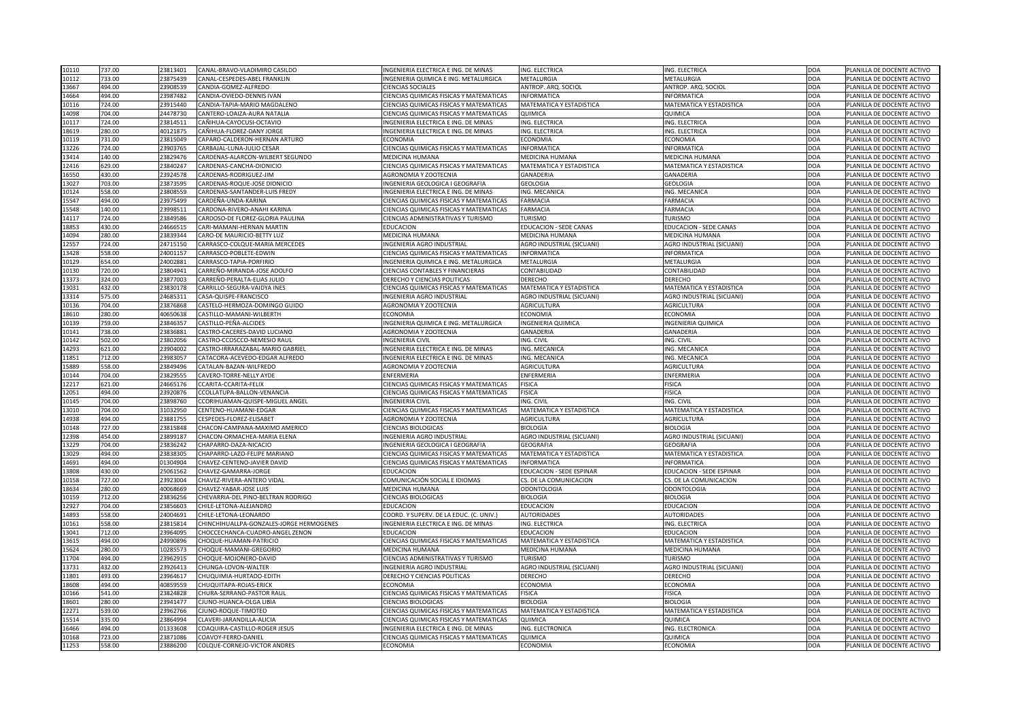| 737.00<br>10110 |        | 23813401 | CANAL-BRAVO-VLADIMIRO CASILDO            | INGENIERIA ELECTRICA E ING. DE MINAS           | ING. ELECTRICA                   | ING. ELECTRICA                  | DOA        | PLANILLA DE DOCENTE ACTIVO |
|-----------------|--------|----------|------------------------------------------|------------------------------------------------|----------------------------------|---------------------------------|------------|----------------------------|
| 10112<br>733.00 |        | 23875439 | CANAL-CESPEDES-ABEL FRANKLIN             | INGENIERIA QUIMICA E ING. METALURGICA          | <b>METALURGIA</b>                | <b>METALURGIA</b>               | <b>DOA</b> | PLANILLA DE DOCENTE ACTIVO |
| 13667<br>494.00 |        | 23908539 | CANDIA-GOMEZ-ALFREDO                     | <b>CIENCIAS SOCIALES</b>                       | ANTROP. ARQ. SOCIOL              | ANTROP. ARQ. SOCIOL             | <b>DOA</b> | PLANILLA DE DOCENTE ACTIVO |
| 14664<br>494.00 |        | 23987482 | CANDIA-OVIEDO-DENNIS IVAN                | <b>CIENCIAS QUIMICAS FISICAS Y MATEMATICAS</b> | <b>INFORMATICA</b>               | <b>INFORMATICA</b>              | <b>DOA</b> | PLANILLA DE DOCENTE ACTIVO |
| 724.00<br>10116 |        | 23915440 | CANDIA-TAPIA-MARIO MAGDALENO             | <b>CIENCIAS QUIMICAS FISICAS Y MATEMATICAS</b> | MATEMATICA Y ESTADISTICA         | <b>MATEMATICA Y ESTADISTICA</b> | DOA        | PLANILLA DE DOCENTE ACTIVO |
| 704.00<br>14098 |        | 24478730 | CANTERO-LOAIZA-AURA NATALIA              | CIENCIAS QUIMICAS FISICAS Y MATEMATICAS        | <b>QUIMICA</b>                   | <b>QUIMICA</b>                  | <b>DOA</b> | PLANILLA DE DOCENTE ACTIVO |
| 724.00<br>10117 |        | 23814511 | CAÑIHUA-CAYOCUSI-OCTAVIO                 | INGENIERIA ELECTRICA E ING. DE MINAS           | ING. ELECTRICA                   | ING. ELECTRICA                  | <b>DOA</b> | PLANILLA DE DOCENTE ACTIVO |
| 18619<br>280.00 |        | 40121875 | CAÑIHUA-FLOREZ-DANY JORGE                | INGENIERIA ELECTRICA E ING. DE MINAS           | ING. ELECTRICA                   | ING. ELECTRICA                  | DOA        | PLANILLA DE DOCENTE ACTIVO |
| 10119<br>731.00 |        | 23815049 | CAPARO-CALDERON-HERNAN ARTURO            | <b>ECONOMIA</b>                                | <b>ECONOMIA</b>                  | <b>ECONOMIA</b>                 | <b>DOA</b> | PLANILLA DE DOCENTE ACTIVO |
| 724.00<br>13226 |        | 23903765 | <b>CARBAJAL-LUNA-JULIO CESAR</b>         | <b>CIENCIAS QUIMICAS FISICAS Y MATEMATICAS</b> | <b>INFORMATICA</b>               | <b>INFORMATICA</b>              | DOA        | PLANILLA DE DOCENTE ACTIVO |
| 13414<br>140.00 |        | 23829476 | CARDENAS-ALARCON-WILBERT SEGUNDO         | <b>MEDICINA HUMANA</b>                         | <b>MEDICINA HUMANA</b>           | MEDICINA HUMANA                 | DOA        | PLANILLA DE DOCENTE ACTIVO |
| 629.00<br>12416 |        | 23840247 | CARDENAS-CANCHA-DIONICIO                 | <b>CIENCIAS QUIMICAS FISICAS Y MATEMATICAS</b> | <b>MATEMATICA Y ESTADISTICA</b>  | <b>MATEMATICA Y ESTADISTICA</b> | DOA        | PLANILLA DE DOCENTE ACTIVO |
| 16550<br>430.00 |        | 23924578 | CARDENAS-RODRIGUEZ-JIM                   | AGRONOMIA Y ZOOTECNIA                          | <b>GANADERIA</b>                 | <b>GANADERIA</b>                | <b>DOA</b> | PLANILLA DE DOCENTE ACTIVO |
| 13027<br>703.00 |        | 23873595 | CARDENAS-ROQUE-JOSE DIONICIO             | INGENIERIA GEOLOGICA I GEOGRAFIA               | <b>GEOLOGIA</b>                  | <b>GEOLOGIA</b>                 | <b>DOA</b> | PLANILLA DE DOCENTE ACTIVO |
| 558.00<br>10124 |        | 23808559 | CARDENAS-SANTANDER-LUIS FREDY            | INGENIERIA ELECTRICA E ING. DE MINAS           | ING. MECANICA                    | ING. MECANICA                   | DOA        | PLANILLA DE DOCENTE ACTIVO |
| 15547<br>494.00 |        | 23975499 | CARDEÑA-UNDA-KARINA                      | CIENCIAS QUIMICAS FISICAS Y MATEMATICAS        | <b>FARMACIA</b>                  | <b>FARMACIA</b>                 | DOA        | PLANILLA DE DOCENTE ACTIVO |
| 15548<br>140.00 |        | 23998511 | CARDONA-RIVERO-ANAHI KARINA              | CIENCIAS QUIMICAS FISICAS Y MATEMATICAS        | <b>FARMACIA</b>                  | <b>FARMACIA</b>                 | <b>DOA</b> | PLANILLA DE DOCENTE ACTIVO |
| 724.00<br>14117 |        | 23849586 | CARDOSO-DE FLOREZ-GLORIA PAULINA         | CIENCIAS ADMINISTRATIVAS Y TURISMO             | <b>TURISMO</b>                   | <b>TURISMO</b>                  | <b>DOA</b> | PLANILLA DE DOCENTE ACTIVO |
| 18853<br>430.00 |        | 24666515 | CARI-MAMANI-HERNAN MARTIN                | <b>EDUCACION</b>                               | <b>EDUCACION - SEDE CANAS</b>    | <b>EDUCACION - SEDE CANAS</b>   | <b>DOA</b> | PLANILLA DE DOCENTE ACTIVO |
| 280.00<br>14094 |        | 23839344 | <b>CARO-DE MAURICIO-BETTY LUZ</b>        | <b>MEDICINA HUMANA</b>                         | <b>MEDICINA HUMANA</b>           | <b>MEDICINA HUMANA</b>          | DOA        | PLANILLA DE DOCENTE ACTIVO |
| 724.00<br>12557 |        | 24715150 | CARRASCO-COLQUE-MARIA MERCEDES           | INGENIERIA AGRO INDUSTRIAL                     | AGRO INDUSTRIAL (SICUANI)        | AGRO INDUSTRIAL (SICUANI)       | <b>DOA</b> | PLANILLA DE DOCENTE ACTIVO |
| 13428<br>558.00 |        | 24001157 | CARRASCO-POBLETE-EDWIN                   | <b>CIENCIAS QUIMICAS FISICAS Y MATEMATICAS</b> | <b>INFORMATICA</b>               | <b>INFORMATICA</b>              | DOA        | PLANILLA DE DOCENTE ACTIVO |
| 654.00<br>10129 |        | 24002881 | CARRASCO-TAPIA-PORFIRIO                  | INGENIERIA QUIMICA E ING. METALURGICA          | <b>METALURGIA</b>                | <b>METALURGIA</b>               | DOA        | PLANILLA DE DOCENTE ACTIVO |
| 720.00<br>10130 |        | 23804941 | CARREÑO-MIRANDA-JOSE ADOLFO              | <b>CIENCIAS CONTABLES Y FINANCIERAS</b>        | <b>CONTABILIDAD</b>              | <b>CONTABILIDAD</b>             | DOA        | PLANILLA DE DOCENTE ACTIVO |
| 324.00<br>13373 |        | 23877003 | CARREÑO-PERALTA-ELIAS JULIO              | <b>DERECHO Y CIENCIAS POLITICAS</b>            | <b>DERECHO</b>                   | <b>DERECHO</b>                  | DOA        | PLANILLA DE DOCENTE ACTIVO |
| 432.00<br>13031 |        | 23830178 | CARRILLO-SEGURA-VAIDYA INES              | CIENCIAS QUIMICAS FISICAS Y MATEMATICAS        | <b>MATEMATICA Y ESTADISTICA</b>  | <b>MATEMATICA Y ESTADISTICA</b> | <b>DOA</b> | PLANILLA DE DOCENTE ACTIVO |
| 575.00<br>13314 |        | 24685311 | CASA-QUISPE-FRANCISCO                    | <b>INGENIERIA AGRO INDUSTRIAL</b>              | <b>AGRO INDUSTRIAL (SICUANI)</b> | AGRO INDUSTRIAL (SICUANI)       | DOA        | PLANILLA DE DOCENTE ACTIVO |
| 704.00<br>10136 |        | 23876868 | CASTELO-HERMOZA-DOMINGO GUIDO            | AGRONOMIA Y ZOOTECNIA                          | <b>AGRICULTURA</b>               | <b>AGRICULTURA</b>              | <b>DOA</b> | PLANILLA DE DOCENTE ACTIVO |
| 18610<br>280.00 |        | 40650638 | CASTILLO-MAMANI-WILBERTH                 | <b>ECONOMIA</b>                                | <b>ECONOMIA</b>                  | <b>ECONOMIA</b>                 | <b>DOA</b> | PLANILLA DE DOCENTE ACTIVO |
| 759.00<br>10139 |        | 23846357 | CASTILLO-PEÑA-ALCIDES                    | INGENIERIA QUIMICA E ING. METALURGICA          | <b>INGENIERIA QUIMICA</b>        | <b>INGENIERIA QUIMICA</b>       | DOA        | PLANILLA DE DOCENTE ACTIVO |
| 738.00<br>10141 |        | 23836881 | CASTRO-CACERES-DAVID LUCIANO             | <b>AGRONOMIA Y ZOOTECNIA</b>                   | <b>GANADERIA</b>                 | <b>GANADERIA</b>                | <b>DOA</b> | PLANILLA DE DOCENTE ACTIVO |
| 502.00<br>10142 |        | 23802056 | CASTRO-CCOSCCO-NEMESIO RAUL              | <b>INGENIERIA CIVIL</b>                        | ING. CIVIL                       | ING. CIVIL                      | DOA        | PLANILLA DE DOCENTE ACTIVO |
| 621.00<br>14293 |        | 23904002 | CASTRO-IRRARAZABAL-MARIO GABRIEL         | INGENIERIA ELECTRICA E ING. DE MINAS           | ING. MECANICA                    | ING. MECANICA                   | <b>DOA</b> | PLANILLA DE DOCENTE ACTIVO |
| 11851<br>712.00 |        | 23983057 | CATACORA-ACEVEDO-EDGAR ALFREDO           | INGENIERIA ELECTRICA E ING. DE MINAS           | ING. MECANICA                    | ING. MECANICA                   | DOA        | PLANILLA DE DOCENTE ACTIVO |
| 558.00<br>15889 |        | 23849496 | CATALAN-BAZAN-WILFREDO                   | <b>AGRONOMIA Y ZOOTECNIA</b>                   | AGRICULTURA                      | <b>AGRICULTURA</b>              | DOA        | PLANILLA DE DOCENTE ACTIVO |
| 704.00<br>10144 |        | 23829555 | CAVERO-TORRE-NELLY AYDE                  | ENFERMERIA                                     | <b>ENFERMERIA</b>                | ENFERMERIA                      | DOA        | PLANILLA DE DOCENTE ACTIVO |
| 12217<br>621.00 |        | 24665176 | CCARITA-CCARITA-FELIX                    | <b>CIENCIAS QUIMICAS FISICAS Y MATEMATICAS</b> | <b>FISICA</b>                    | <b>FISICA</b>                   | DOA        | PLANILLA DE DOCENTE ACTIVO |
| 12051<br>494.00 |        | 23920876 | CCOLLATUPA-BALLON-VENANCIA               | CIENCIAS QUIMICAS FISICAS Y MATEMATICAS        | FISICA                           | <b>FISICA</b>                   | <b>DOA</b> | PLANILLA DE DOCENTE ACTIVO |
| 704.00<br>10145 |        | 23898760 | CCORIHUAMAN-QUISPE-MIGUEL ANGEL          | <b>INGENIERIA CIVIL</b>                        | ING. CIVIL                       | ING. CIVIL                      | <b>DOA</b> | PLANILLA DE DOCENTE ACTIVO |
| 704.00<br>13010 |        | 31032950 | CENTENO-HUAMANI-EDGAR                    | <b>CIENCIAS QUIMICAS FISICAS Y MATEMATICAS</b> | MATEMATICA Y ESTADISTICA         | <b>MATEMATICA Y ESTADISTICA</b> | DOA        | PLANILLA DE DOCENTE ACTIVO |
| 494.00<br>14938 |        | 23881755 | CESPEDES-FLOREZ-ELISABET                 | <b>AGRONOMIA Y ZOOTECNIA</b>                   | <b>AGRICULTURA</b>               | <b>AGRICULTURA</b>              | DOA        | PLANILLA DE DOCENTE ACTIVO |
| 727.00<br>10148 |        | 23815848 | CHACON-CAMPANA-MAXIMO AMERICO            | <b>CIENCIAS BIOLOGICAS</b>                     | <b>BIOLOGIA</b>                  | <b>BIOLOGIA</b>                 | <b>DOA</b> | PLANILLA DE DOCENTE ACTIVO |
| 12398           | 454.00 | 23899187 | CHACON-ORMACHEA-MARIA ELENA              | <b>INGENIERIA AGRO INDUSTRIAL</b>              | AGRO INDUSTRIAL (SICUANI)        | AGRO INDUSTRIAL (SICUANI)       | <b>DOA</b> | PLANILLA DE DOCENTE ACTIVO |
| 13229<br>704.00 |        | 23836242 | CHAPARRO-DAZA-NICACIO                    | INGENIERIA GEOLOGICA I GEOGRAFIA               | <b>GEOGRAFIA</b>                 | <b>GEOGRAFIA</b>                | <b>DOA</b> | PLANILLA DE DOCENTE ACTIVO |
| 494.00<br>13029 |        | 23838305 | CHAPARRO-LAZO-FELIPE MARIANO             | <b>CIENCIAS QUIMICAS FISICAS Y MATEMATICAS</b> | MATEMATICA Y ESTADISTICA         | <b>MATEMATICA Y ESTADISTICA</b> | DOA        | PLANILLA DE DOCENTE ACTIVO |
| 494.00<br>14691 |        | 01304904 | CHAVEZ-CENTENO-JAVIER DAVID              | CIENCIAS QUIMICAS FISICAS Y MATEMATICAS        | <b>INFORMATICA</b>               | <b>INFORMATICA</b>              | DOA        | PLANILLA DE DOCENTE ACTIVO |
| 13808<br>430.00 |        | 25061562 | CHAVEZ-GAMARRA-JORGE                     | <b>EDUCACION</b>                               | <b>EDUCACION - SEDE ESPINAR</b>  | <b>EDUCACION - SEDE ESPINAR</b> | <b>DOA</b> | PLANILLA DE DOCENTE ACTIVO |
| 727.00<br>10158 |        | 23923004 | CHAVEZ-RIVERA-ANTERO VIDAL               | COMUNICACIÓN SOCIAL E IDIOMAS                  | CS. DE LA COMUNICACION           | CS. DE LA COMUNICACION          | DOA        | PLANILLA DE DOCENTE ACTIVO |
| 280.00<br>18634 |        | 40068669 | <b>CHAVEZ-YABAR-JOSE LUIS</b>            | <b>MEDICINA HUMANA</b>                         | <b>ODONTOLOGIA</b>               | <b>ODONTOLOGIA</b>              | DOA        | PLANILLA DE DOCENTE ACTIVO |
| 712.00<br>10159 |        | 23836256 | CHEVARRIA-DEL PINO-BELTRAN RODRIGO       | <b>CIENCIAS BIOLOGICAS</b>                     | <b>BIOLOGIA</b>                  | <b>BIOLOGIA</b>                 | DOA        | PLANILLA DE DOCENTE ACTIVO |
| 704.00<br>12927 |        | 23856603 | CHILE-LETONA-ALEJANDRO                   | <b>EDUCACION</b>                               | <b>EDUCACION</b>                 | <b>EDUCACION</b>                | <b>DOA</b> | PLANILLA DE DOCENTE ACTIVO |
| 14893<br>558.00 |        | 24004691 | CHILE-LETONA-LEONARDO                    | COORD. Y SUPERV. DE LA EDUC. (C. UNIV.)        | <b>AUTORIDADES</b>               | <b>AUTORIDADES</b>              | DOA        | PLANILLA DE DOCENTE ACTIVO |
| 558.00<br>10161 |        | 23815814 | CHINCHIHUALLPA-GONZALES-JORGE HERMOGENES | INGENIERIA ELECTRICA E ING. DE MINAS           | ING. ELECTRICA                   | ING. ELECTRICA                  | <b>DOA</b> | PLANILLA DE DOCENTE ACTIVO |
| 13041<br>712.00 |        | 23964095 | CHOCCECHANCA-CUADRO-ANGEL ZENON          | <b>EDUCACION</b>                               | <b>EDUCACION</b>                 | <b>EDUCACION</b>                | <b>DOA</b> | PLANILLA DE DOCENTE ACTIVO |
| 494.00<br>13615 |        | 24990896 | CHOQUE-HUAMAN-PATRICIO                   | <b>CIENCIAS QUIMICAS FISICAS Y MATEMATICAS</b> | MATEMATICA Y ESTADISTICA         | <b>MATEMATICA Y ESTADISTICA</b> | DOA        | PLANILLA DE DOCENTE ACTIVO |
| 280.00<br>15624 |        | 10285573 | CHOQUE-MAMANI-GREGORIO                   | <b>MEDICINA HUMANA</b>                         | <b>MEDICINA HUMANA</b>           | MEDICINA HUMANA                 | DOA        | PLANILLA DE DOCENTE ACTIVO |
| 494.00<br>11704 |        | 23962915 | CHOQUE-MOJONERO-DAVID                    | CIENCIAS ADMINISTRATIVAS Y TURISMO             | <b>TURISMO</b>                   | <b>TURISMO</b>                  | <b>DOA</b> | PLANILLA DE DOCENTE ACTIVO |
| 432.00<br>13731 |        | 23926413 | CHUNGA-LOVON-WALTER                      | <b>INGENIERIA AGRO INDUSTRIAL</b>              | AGRO INDUSTRIAL (SICUANI)        | AGRO INDUSTRIAL (SICUANI)       | <b>DOA</b> | PLANILLA DE DOCENTE ACTIVO |
| 493.00<br>11801 |        | 23964617 | CHUQUIMIA-HURTADO-EDITH                  | DERECHO Y CIENCIAS POLITICAS                   | <b>DERECHO</b>                   | <b>DERECHO</b>                  | <b>DOA</b> | PLANILLA DE DOCENTE ACTIVO |
| 494.00<br>18608 |        | 40859559 | CHUQUITAPA-ROJAS-ERICK                   | <b>ECONOMIA</b>                                | <b>ECONOMIA</b>                  | <b>ECONOMIA</b>                 | DOA        | PLANILLA DE DOCENTE ACTIVO |
| 541.00<br>10166 |        | 23824828 | CHURA-SERRANO-PASTOR RAUL                | CIENCIAS QUIMICAS FISICAS Y MATEMATICAS        | <b>FISICA</b>                    | <b>FISICA</b>                   | DOA        | PLANILLA DE DOCENTE ACTIVO |
| 18601<br>280.00 |        | 23941477 | CJUNO-HUANCA-OLGA LIBIA                  | <b>CIENCIAS BIOLOGICAS</b>                     | <b>BIOLOGIA</b>                  | <b>BIOLOGIA</b>                 | <b>DOA</b> | PLANILLA DE DOCENTE ACTIVO |
| 12271<br>539.00 |        | 23962766 | CJUNO-ROQUE-TIMOTEO                      | CIENCIAS QUIMICAS FISICAS Y MATEMATICAS        | <b>MATEMATICA Y ESTADISTICA</b>  | <b>MATEMATICA Y ESTADISTICA</b> | DOA        | PLANILLA DE DOCENTE ACTIVO |
| 15514<br>335.00 |        | 23864994 | CLAVERI-JARANDILLA-ALICIA                | <b>CIENCIAS QUIMICAS FISICAS Y MATEMATICAS</b> | <b>QUIMICA</b>                   | <b>QUIMICA</b>                  | DOA        | PLANILLA DE DOCENTE ACTIVO |
| 494.00<br>16466 |        | 01333608 | COAQUIRA-CASTILLO-ROGER JESUS            | INGENIERIA ELECTRICA E ING. DE MINAS           | ING. ELECTRONICA                 | ING. ELECTRONICA                | DOA        | PLANILLA DE DOCENTE ACTIVO |
| 723.00<br>10168 |        | 23871086 | COAVOY-FERRO-DANIEL                      | <b>CIENCIAS QUIMICAS FISICAS Y MATEMATICAS</b> | <b>QUIMICA</b>                   | <b>QUIMICA</b>                  | DOA        | PLANILLA DE DOCENTE ACTIVO |
| 558.00<br>11253 |        | 23886200 | COLQUE-CORNEJO-VICTOR ANDRES             | <b>ECONOMIA</b>                                | ECONOMIA                         | <b>ECONOMIA</b>                 | DOA        | PLANILLA DE DOCENTE ACTIVO |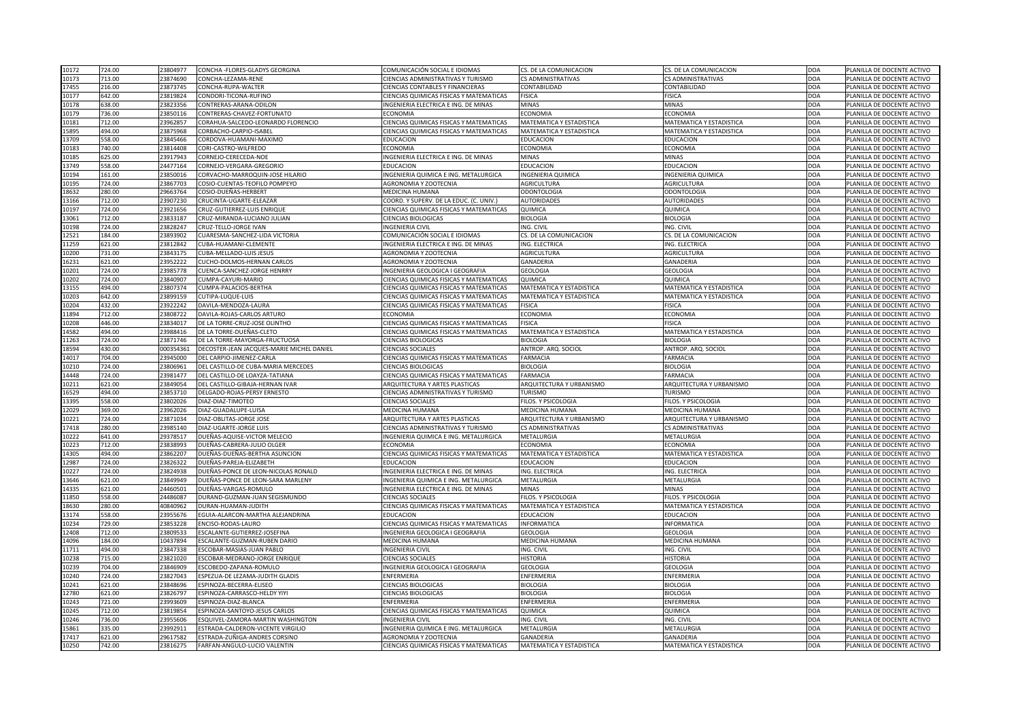| 10172          | 724.00           | 23804977             | CONCHA -FLORES-GLADYS GEORGINA                     | COMUNICACIÓN SOCIAL E IDIOMAS                                               | CS. DE LA COMUNICACION                | CS. DE LA COMUNICACION                | DOA                      | PLANILLA DE DOCENTE ACTIVO                               |
|----------------|------------------|----------------------|----------------------------------------------------|-----------------------------------------------------------------------------|---------------------------------------|---------------------------------------|--------------------------|----------------------------------------------------------|
| 10173          | 713.00           | 23874690             | CONCHA-LEZAMA-RENE                                 | CIENCIAS ADMINISTRATIVAS Y TURISMO                                          | <b>CS ADMINISTRATIVAS</b>             | <b>CS ADMINISTRATIVAS</b>             | <b>DOA</b>               | PLANILLA DE DOCENTE ACTIVO                               |
| 17455          | 216.00           | 23873745             | CONCHA-RUPA-WALTER                                 | CIENCIAS CONTABLES Y FINANCIERAS                                            | CONTABILIDAD                          | <b>CONTABILIDAD</b>                   | <b>DOA</b>               | PLANILLA DE DOCENTE ACTIVO                               |
| 10177          | 642.00           | 23819824             | CONDORI-TICONA-RUFINO                              | CIENCIAS QUIMICAS FISICAS Y MATEMATICAS                                     | <b>FISICA</b>                         | <b>FISICA</b>                         | <b>DOA</b>               | PLANILLA DE DOCENTE ACTIVO                               |
| 10178          | 638.00           | 23823356             | CONTRERAS-ARANA-ODILON                             | INGENIERIA ELECTRICA E ING. DE MINAS                                        | <b>MINAS</b>                          | <b>MINAS</b>                          | <b>DOA</b>               | PLANILLA DE DOCENTE ACTIVO                               |
| 10179          | 736.00           | 23850116             | CONTRERAS-CHAVEZ-FORTUNATO                         | <b>ECONOMIA</b>                                                             | <b>ECONOMIA</b>                       | <b>ECONOMIA</b>                       | <b>DOA</b>               | PLANILLA DE DOCENTE ACTIVO                               |
| 10181          | 712.00           | 23962857             | CORAHUA-SALCEDO-LEONARDO FLORENCIO                 | CIENCIAS QUIMICAS FISICAS Y MATEMATICAS                                     | <b>MATEMATICA Y ESTADISTICA</b>       | MATEMATICA Y ESTADISTICA              | <b>DOA</b>               | PLANILLA DE DOCENTE ACTIVO                               |
| 15895          | 494.00           | 23875968             | CORBACHO-CARPIO-ISABEL                             | CIENCIAS QUIMICAS FISICAS Y MATEMATICAS                                     | <b>MATEMATICA Y ESTADISTICA</b>       | MATEMATICA Y ESTADISTICA              | <b>DOA</b>               | PLANILLA DE DOCENTE ACTIVO                               |
| 13709          | 558.00           | 23845466             | CORDOVA-HUAMANI-MAXIMO                             | <b>EDUCACION</b>                                                            | <b>EDUCACION</b>                      | <b>EDUCACION</b>                      | <b>DOA</b>               | PLANILLA DE DOCENTE ACTIVO                               |
| 10183          | 740.00           | 23814408             | CORI-CASTRO-WILFREDO                               | <b>ECONOMIA</b>                                                             | <b>ECONOMIA</b>                       | <b>ECONOMIA</b>                       | <b>DOA</b>               | PLANILLA DE DOCENTE ACTIVO                               |
| 10185          | 625.00           | 23917943             | CORNEJO-CERECEDA-NOE                               | INGENIERIA ELECTRICA E ING. DE MINAS                                        | <b>MINAS</b>                          | <b>MINAS</b>                          | <b>DOA</b>               | PLANILLA DE DOCENTE ACTIVO                               |
| 13749          | 558.00           | 24477164             | CORNEJO-VERGARA-GREGORIO                           | <b>EDUCACION</b>                                                            | <b>EDUCACION</b>                      | <b>EDUCACION</b>                      | <b>DOA</b>               | PLANILLA DE DOCENTE ACTIVO                               |
| 10194          | 161.00           | 23850016             | CORVACHO-MARROQUIN-JOSE HILARIO                    | INGENIERIA QUIMICA E ING. METALURGICA                                       | <b>INGENIERIA QUIMICA</b>             | INGENIERIA QUIMICA                    | <b>DOA</b>               | PLANILLA DE DOCENTE ACTIVO                               |
| 10195          | 724.00           | 23867703             | COSIO-CUENTAS-TEOFILO POMPEYO                      | AGRONOMIA Y ZOOTECNIA                                                       | <b>AGRICULTURA</b>                    | <b>AGRICULTURA</b>                    | <b>DOA</b>               | PLANILLA DE DOCENTE ACTIVO                               |
| 18632          | 280.00           | 29663764             | COSIO-DUEÑAS-HERBERT                               | <b>MEDICINA HUMANA</b>                                                      | <b>ODONTOLOGIA</b>                    | ODONTOLOGIA                           | <b>DOA</b>               | PLANILLA DE DOCENTE ACTIVO                               |
| 13166          | 712.00           | 23907230             | CRUCINTA-UGARTE-ELEAZAR                            | COORD. Y SUPERV. DE LA EDUC. (C. UNIV.)                                     | <b>AUTORIDADES</b>                    | <b>AUTORIDADES</b>                    | <b>DOA</b>               | PLANILLA DE DOCENTE ACTIVO                               |
| 10197          | 724.00           | 23921656             | CRUZ-GUTIERREZ-LUIS ENRIQUE                        | CIENCIAS QUIMICAS FISICAS Y MATEMATICAS                                     | <b>QUIMICA</b>                        | QUIMICA                               | <b>DOA</b>               | PLANILLA DE DOCENTE ACTIVO                               |
| 13061          | 712.00           | 23833187             | CRUZ-MIRANDA-LUCIANO JULIAN                        | CIENCIAS BIOLOGICAS                                                         | <b>BIOLOGIA</b>                       | <b>BIOLOGIA</b>                       | <b>DOA</b>               | PLANILLA DE DOCENTE ACTIVO                               |
| 10198          | 724.00           | 23828247             | <b>CRUZ-TELLO-JORGE IVAN</b>                       | <b>INGENIERIA CIVIL</b>                                                     | ING. CIVIL                            | ING. CIVIL                            | <b>DOA</b>               | PLANILLA DE DOCENTE ACTIVO                               |
| 12521          | 184.00           | 23893902             | CUARESMA-SANCHEZ-LIDA VICTORIA                     | COMUNICACIÓN SOCIAL E IDIOMAS                                               | CS. DE LA COMUNICACION                | CS. DE LA COMUNICACION                | <b>DOA</b>               | PLANILLA DE DOCENTE ACTIVO                               |
| 11259          | 621.00           | 23812842             | CUBA-HUAMANI-CLEMENTE                              | INGENIERIA ELECTRICA E ING. DE MINAS                                        | ING. ELECTRICA                        | ING. ELECTRICA                        | <b>DOA</b>               | PLANILLA DE DOCENTE ACTIVO                               |
| 10200          | 731.00           | 23843175             | <b>CUBA-MELLADO-LUIS JESUS</b>                     | AGRONOMIA Y ZOOTECNIA                                                       | <b>AGRICULTURA</b>                    | <b>AGRICULTURA</b>                    | <b>DOA</b>               | PLANILLA DE DOCENTE ACTIVO                               |
| 16231          | 621.00           | 23952222             | <b>CUCHO-DOLMOS-HERNAN CARLOS</b>                  | <b>AGRONOMIA Y ZOOTECNIA</b>                                                | <b>GANADERIA</b>                      | <b>GANADERIA</b>                      | <b>DOA</b>               | PLANILLA DE DOCENTE ACTIVO                               |
| 10201          | 724.00           | 23985778             | <b>CUENCA-SANCHEZ-JORGE HENRRY</b>                 | INGENIERIA GEOLOGICA I GEOGRAFIA                                            | <b>GEOLOGIA</b>                       | <b>GEOLOGIA</b>                       | <b>DOA</b>               | PLANILLA DE DOCENTE ACTIVO                               |
|                |                  |                      |                                                    |                                                                             |                                       |                                       |                          |                                                          |
| 10202          | 724.00           | 23840907             | CUMPA-CAYURI-MARIO                                 | CIENCIAS QUIMICAS FISICAS Y MATEMATICAS                                     | <b>QUIMICA</b>                        | <b>QUIMICA</b>                        | <b>DOA</b>               | PLANILLA DE DOCENTE ACTIVO                               |
| 13155          | 494.00           | 23807374             | CUMPA-PALACIOS-BERTHA                              | CIENCIAS QUIMICAS FISICAS Y MATEMATICAS                                     | MATEMATICA Y ESTADISTICA              | <b>MATEMATICA Y ESTADISTICA</b>       | <b>DOA</b>               | PLANILLA DE DOCENTE ACTIVO                               |
| 10203          | 642.00           | 23899159             | CUTIPA-LUQUE-LUIS                                  | CIENCIAS QUIMICAS FISICAS Y MATEMATICAS                                     | <b>MATEMATICA Y ESTADISTICA</b>       | <b>MATEMATICA Y ESTADISTICA</b>       | <b>DOA</b>               | PLANILLA DE DOCENTE ACTIVO                               |
| 10204          | 432.00           | 23922242             | DAVILA-MENDOZA-LAURA                               | CIENCIAS QUIMICAS FISICAS Y MATEMATICAS                                     | <b>FISICA</b>                         | <b>FISICA</b>                         | <b>DOA</b>               | PLANILLA DE DOCENTE ACTIVO                               |
| 11894          | 712.00           | 23808722             | DAVILA-ROJAS-CARLOS ARTURO                         | <b>ECONOMIA</b>                                                             | <b>ECONOMIA</b>                       | <b>ECONOMIA</b>                       | <b>DOA</b>               | PLANILLA DE DOCENTE ACTIVO                               |
| 10208          | 446.00           | 23834017             | DE LA TORRE-CRUZ-JOSE OLINTHO                      | CIENCIAS QUIMICAS FISICAS Y MATEMATICAS                                     | <b>FISICA</b>                         | <b>FISICA</b>                         | <b>DOA</b>               | PLANILLA DE DOCENTE ACTIVO                               |
| 14582          | 494.00           | 23988416             | DE LA TORRE-DUEÑAS-CLETO                           | CIENCIAS QUIMICAS FISICAS Y MATEMATICAS                                     | <b>MATEMATICA Y ESTADISTICA</b>       | <b>MATEMATICA Y ESTADISTICA</b>       | <b>DOA</b>               | PLANILLA DE DOCENTE ACTIVO                               |
| 11263          | 724.00           | 23871746             | <b>DE LA TORRE-MAYORGA-FRUCTUOSA</b>               | <b>CIENCIAS BIOLOGICAS</b>                                                  | <b>BIOLOGIA</b>                       | <b>BIOLOGIA</b>                       | DOA                      | PLANILLA DE DOCENTE ACTIVO                               |
| 18594          | 430.00           | 000354361            | DECOSTER-JEAN JACQUES-MARIE MICHEL DANIEL          | <b>CIENCIAS SOCIALES</b>                                                    | <b>ANTROP. ARQ. SOCIOL</b>            | ANTROP. ARQ. SOCIOL                   | <b>DOA</b>               | PLANILLA DE DOCENTE ACTIVO                               |
| 14017          | 704.00           | 23945000             | DEL CARPIO-JIMENEZ-CARLA                           | CIENCIAS QUIMICAS FISICAS Y MATEMATICAS                                     | <b>FARMACIA</b>                       | <b>FARMACIA</b>                       | <b>DOA</b>               | PLANILLA DE DOCENTE ACTIVO                               |
| 10210          | 724.00           | 23806961             | DEL CASTILLO-DE CUBA-MARIA MERCEDES                | <b>CIENCIAS BIOLOGICAS</b>                                                  | <b>BIOLOGIA</b>                       | <b>BIOLOGIA</b>                       | <b>DOA</b>               | PLANILLA DE DOCENTE ACTIVO                               |
| 14448          | 724.00           | 23981477             | DEL CASTILLO-DE LOAYZA-TATIANA                     | <b>CIENCIAS QUIMICAS FISICAS Y MATEMATICAS</b>                              | <b>FARMACIA</b>                       | <b>FARMACIA</b>                       | DOA                      | PLANILLA DE DOCENTE ACTIVO                               |
| 10211          | 621.00           | 23849054             | DEL CASTILLO-GIBAJA-HERNAN IVAR                    | <b>ARQUITECTURA Y ARTES PLASTICAS</b>                                       | ARQUITECTURA Y URBANISMO              | ARQUITECTURA Y URBANISMO              | <b>DOA</b>               | PLANILLA DE DOCENTE ACTIVO                               |
| 16529          | 494.00           | 23853710             | DELGADO-ROJAS-PERSY ERNESTO                        | CIENCIAS ADMINISTRATIVAS Y TURISMO                                          | <b>TURISMO</b>                        | TURISMO                               | <b>DOA</b>               | PLANILLA DE DOCENTE ACTIVO                               |
| 13395          | 558.00           | 23802026             | DIAZ-DIAZ-TIMOTEO                                  | <b>CIENCIAS SOCIALES</b>                                                    | FILOS. Y PSICOLOGIA                   | FILOS. Y PSICOLOGIA                   | <b>DOA</b>               | PLANILLA DE DOCENTE ACTIVO                               |
| 12029          | 369.00           | 23962026             | DIAZ-GUADALUPE-LUISA                               | MEDICINA HUMANA                                                             | <b>MEDICINA HUMANA</b>                | <b>MEDICINA HUMANA</b>                | <b>DOA</b>               | PLANILLA DE DOCENTE ACTIVO                               |
| 10221          | 724.00           | 23871034             | DIAZ-OBLITAS-JORGE JOSE                            | ARQUITECTURA Y ARTES PLASTICAS                                              | ARQUITECTURA Y URBANISMO              | ARQUITECTURA Y URBANISMO              | <b>DOA</b>               | PLANILLA DE DOCENTE ACTIVO                               |
| 17418          | 280.00           | 23985140             | DIAZ-UGARTE-JORGE LUIS                             | CIENCIAS ADMINISTRATIVAS Y TURISMO                                          | <b>CS ADMINISTRATIVAS</b>             | <b>CS ADMINISTRATIVAS</b>             | <b>DOA</b>               | PLANILLA DE DOCENTE ACTIVO                               |
| 10222          | 641.00           | 29378517             | DUEÑAS-AQUISE-VICTOR MELECIO                       | INGENIERIA QUIMICA E ING. METALURGICA                                       | <b>METALURGIA</b>                     | METALURGIA                            | <b>DOA</b>               | PLANILLA DE DOCENTE ACTIVO                               |
| 10223          | 712.00           | 23838993             | DUEÑAS-CABRERA-JULIO OLGER                         | <b>ECONOMIA</b>                                                             | <b>ECONOMIA</b>                       | <b>ECONOMIA</b>                       | <b>DOA</b>               | PLANILLA DE DOCENTE ACTIVO                               |
| 14305          | 494.00           | 23862207             | DUEÑAS-DUEÑAS-BERTHA ASUNCION                      | CIENCIAS QUIMICAS FISICAS Y MATEMATICAS                                     | <b>MATEMATICA Y ESTADISTICA</b>       | <b>MATEMATICA Y ESTADISTICA</b>       | <b>DOA</b>               | PLANILLA DE DOCENTE ACTIVO                               |
| 12987          | 724.00           | 23826322             | DUEÑAS-PAREJA-ELIZABETH                            | <b>EDUCACION</b>                                                            | <b>EDUCACION</b>                      | <b>EDUCACION</b>                      | DOA                      | PLANILLA DE DOCENTE ACTIVO                               |
| 10227          | 724.00           | 23824938             | DUEÑAS-PONCE DE LEON-NICOLAS RONALD                | INGENIERIA ELECTRICA E ING. DE MINAS                                        | ING. ELECTRICA                        | ING. ELECTRICA                        | <b>DOA</b>               | PLANILLA DE DOCENTE ACTIVO                               |
| 13646          | 621.00           | 23849949             | DUEÑAS-PONCE DE LEON-SARA MARLENY                  | INGENIERIA QUIMICA E ING. METALURGICA                                       | <b>METALURGIA</b>                     | METALURGIA                            | <b>DOA</b>               | PLANILLA DE DOCENTE ACTIVO                               |
| 14335          | 621.00           | 24460501             | DUEÑAS-VARGAS-ROMULO                               | INGENIERIA ELECTRICA E ING. DE MINAS                                        | <b>MINAS</b>                          | <b>MINAS</b>                          | <b>DOA</b>               | PLANILLA DE DOCENTE ACTIVO                               |
| 11850          | 558.00           | 24486087             | DURAND-GUZMAN-JUAN SEGISMUNDO                      | <b>CIENCIAS SOCIALES</b>                                                    | FILOS. Y PSICOLOGIA                   | FILOS. Y PSICOLOGIA                   | <b>DOA</b>               | PLANILLA DE DOCENTE ACTIVO                               |
| 18630          | 280.00           | 40840962             | DURAN-HUAMAN-JUDITH                                | CIENCIAS QUIMICAS FISICAS Y MATEMATICAS                                     | <b>MATEMATICA Y ESTADISTICA</b>       | <b>MATEMATICA Y ESTADISTICA</b>       | <b>DOA</b>               | PLANILLA DE DOCENTE ACTIVO                               |
| 13174          | 558.00           | 23955676             | EGUIA-ALARCON-MARTHA ALEJANDRINA                   | <b>EDUCACION</b>                                                            | <b>EDUCACION</b>                      | <b>EDUCACION</b>                      | DOA                      | PLANILLA DE DOCENTE ACTIVO                               |
|                |                  |                      |                                                    |                                                                             |                                       |                                       |                          |                                                          |
| 10234<br>12408 | 729.00<br>712.00 | 23853228<br>23809533 | ENCISO-RODAS-LAURO<br>ESCALANTE-GUTIERREZ-JOSEFINA | CIENCIAS QUIMICAS FISICAS Y MATEMATICAS<br>INGENIERIA GEOLOGICA I GEOGRAFIA | <b>INFORMATICA</b><br><b>GEOLOGIA</b> | <b>INFORMATICA</b><br><b>GEOLOGIA</b> | <b>DOA</b><br><b>DOA</b> | PLANILLA DE DOCENTE ACTIVO<br>PLANILLA DE DOCENTE ACTIVO |
|                |                  |                      |                                                    |                                                                             |                                       |                                       |                          |                                                          |
| 14096          | 184.00           | 10437894             | ESCALANTE-GUZMAN-RUBEN DARIO                       | <b>MEDICINA HUMANA</b>                                                      | <b>MEDICINA HUMANA</b>                | <b>MEDICINA HUMANA</b>                | <b>DOA</b>               | PLANILLA DE DOCENTE ACTIVO                               |
| 11711          | 494.00           | 23847338             | ESCOBAR-MASIAS-JUAN PABLO                          | <b>INGENIERIA CIVIL</b>                                                     | ING. CIVIL                            | ING. CIVIL                            | <b>DOA</b>               | PLANILLA DE DOCENTE ACTIVO                               |
| 10238          | 715.00           | 23821020             | ESCOBAR-MEDRANO-JORGE ENRIQUE                      | <b>CIENCIAS SOCIALES</b>                                                    | <b>HISTORIA</b>                       | <b>HISTORIA</b>                       | <b>DOA</b>               | PLANILLA DE DOCENTE ACTIVO                               |
| 10239          | 704.00           | 23846909             | ESCOBEDO-ZAPANA-ROMULO                             | INGENIERIA GEOLOGICA I GEOGRAFIA                                            | <b>GEOLOGIA</b>                       | <b>GEOLOGIA</b>                       | <b>DOA</b>               | PLANILLA DE DOCENTE ACTIVO                               |
| 10240          | 724.00           | 23827043             | ESPEZUA-DE LEZAMA-JUDITH GLADIS                    | <b>ENFERMERIA</b>                                                           | <b>ENFERMERIA</b>                     | <b>ENFERMERIA</b>                     | <b>DOA</b>               | PLANILLA DE DOCENTE ACTIVO                               |
| 10241          | 621.00           | 23848696             | ESPINOZA-BECERRA-ELISEO                            | <b>CIENCIAS BIOLOGICAS</b>                                                  | <b>BIOLOGIA</b>                       | <b>BIOLOGIA</b>                       | DOA                      | PLANILLA DE DOCENTE ACTIVO                               |
| 12780          | 621.00           | 23826797             | ESPINOZA-CARRASCO-HELDY YIYI                       | <b>CIENCIAS BIOLOGICAS</b>                                                  | <b>BIOLOGIA</b>                       | <b>BIOLOGIA</b>                       | DOA                      | PLANILLA DE DOCENTE ACTIVO                               |
| 10243          | 721.00           | 23993609             | ESPINOZA-DIAZ-BLANCA                               | <b>ENFERMERIA</b>                                                           | <b>ENFERMERIA</b>                     | <b>ENFERMERIA</b>                     | <b>DOA</b>               | PLANILLA DE DOCENTE ACTIVO                               |
| 10245          | 712.00           | 23819854             | <b>ESPINOZA-SANTOYO-JESUS CARLOS</b>               | CIENCIAS QUIMICAS FISICAS Y MATEMATICAS                                     | <b>QUIMICA</b>                        | <b>QUIMICA</b>                        | <b>DOA</b>               | PLANILLA DE DOCENTE ACTIVO                               |
| 10246          | 736.00           | 23955606             | ESQUIVEL-ZAMORA-MARTIN WASHINGTON                  | <b>INGENIERIA CIVIL</b>                                                     | ING. CIVIL                            | ING. CIVIL                            | <b>DOA</b>               | PLANILLA DE DOCENTE ACTIVO                               |
| 15861          | 335.00           | 23992911             | ESTRADA-CALDERON-VICENTE VIRGILIO                  | INGENIERIA QUIMICA E ING. METALURGICA                                       | <b>METALURGIA</b>                     | <b>METALURGIA</b>                     | <b>DOA</b>               | PLANILLA DE DOCENTE ACTIVO                               |
| 17417          | 621.00           | 29617582             | ESTRADA-ZUÑIGA-ANDRES CORSINO                      | AGRONOMIA Y ZOOTECNIA                                                       | GANADERIA                             | GANADERIA                             | DOA                      | PLANILLA DE DOCENTE ACTIVO                               |
| 10250          | 742.00           | 23816275             | FARFAN-ANGULO-LUCIO VALENTIN                       | <b>CIENCIAS QUIMICAS FISICAS Y MATEMATICAS</b>                              | MATEMATICA Y ESTADISTICA              | MATEMATICA Y ESTADISTICA              | DOA                      | PLANILLA DE DOCENTE ACTIVO                               |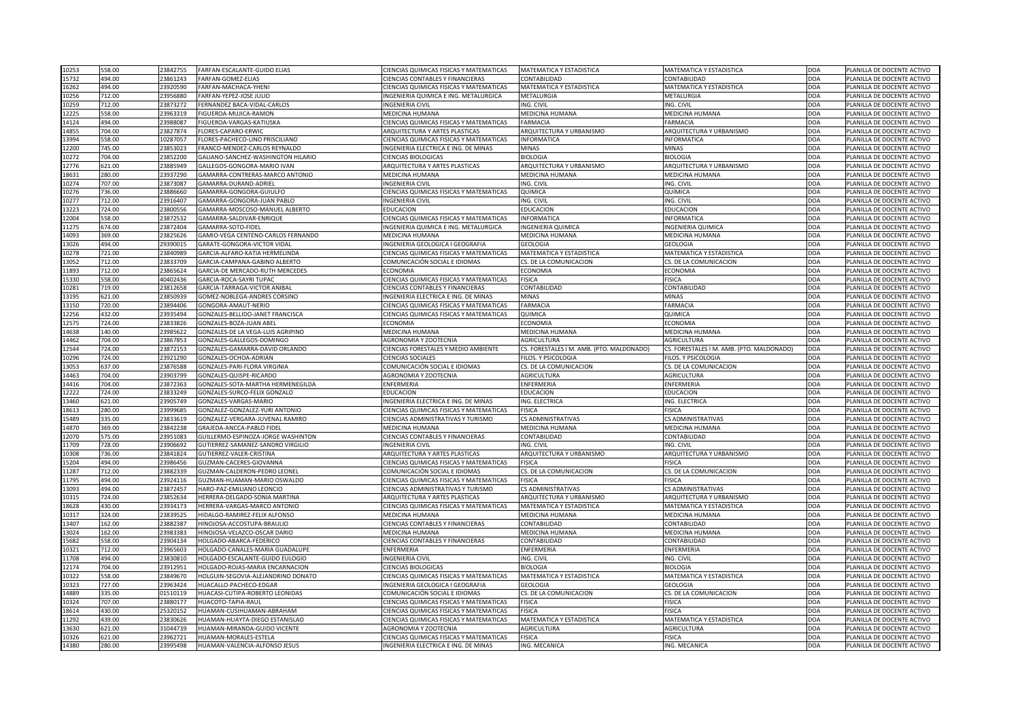| 10253<br>558.00                    | 23842755             | <b>FARFAN-ESCALANTE-GUIDO ELIAS</b>                    | <b>CIENCIAS QUIMICAS FISICAS Y MATEMATICAS</b>                                         | MATEMATICA Y ESTADISTICA                 | <b>MATEMATICA Y ESTADISTICA</b>           | DOA               | PLANILLA DE DOCENTE ACTIVO                               |
|------------------------------------|----------------------|--------------------------------------------------------|----------------------------------------------------------------------------------------|------------------------------------------|-------------------------------------------|-------------------|----------------------------------------------------------|
| 15732<br>494.00                    | 23861243             | FARFAN-GOMEZ-ELIAS                                     | <b>CIENCIAS CONTABLES Y FINANCIERAS</b>                                                | <b>CONTABILIDAD</b>                      | CONTABILIDAD                              | <b>DOA</b>        | PLANILLA DE DOCENTE ACTIVO                               |
| 16262<br>494.00                    | 23920590             | FARFAN-MACHACA-YHENI                                   | CIENCIAS QUIMICAS FISICAS Y MATEMATICAS                                                | MATEMATICA Y ESTADISTICA                 | <b>MATEMATICA Y ESTADISTICA</b>           | <b>DOA</b>        | PLANILLA DE DOCENTE ACTIVO                               |
| 10256<br>712.00                    | 23956880             | FARFAN-YEPEZ-JOSE JULIO                                | INGENIERIA QUIMICA E ING. METALURGICA                                                  | <b>METALURGIA</b>                        | <b>METALURGIA</b>                         | <b>DOA</b>        | PLANILLA DE DOCENTE ACTIVO                               |
| 10259<br>712.00                    | 23873272             | FERNANDEZ BACA-VIDAL-CARLOS                            | <b>INGENIERIA CIVIL</b>                                                                | ING. CIVIL                               | ING. CIVIL                                | DOA               | PLANILLA DE DOCENTE ACTIVO                               |
| 558.00<br>12225                    | 23963319             | FIGUEROA-MUJICA-RAMON                                  | MEDICINA HUMANA                                                                        | <b>MEDICINA HUMANA</b>                   | <b>MEDICINA HUMANA</b>                    | <b>DOA</b>        | PLANILLA DE DOCENTE ACTIVO                               |
| 494.00<br>14124                    | 23988087             | FIGUEROA-VARGAS-KATIUSKA                               | CIENCIAS QUIMICAS FISICAS Y MATEMATICAS                                                | <b>FARMACIA</b>                          | <b>FARMACIA</b>                           | <b>DOA</b>        | PLANILLA DE DOCENTE ACTIVO                               |
| 704.00<br>14855                    | 23827874             | FLORES-CAPARO-ERWIC                                    | <b>ARQUITECTURA Y ARTES PLASTICAS</b>                                                  | ARQUITECTURA Y URBANISMO                 | ARQUITECTURA Y URBANISMO                  | <b>DOA</b>        | PLANILLA DE DOCENTE ACTIVO                               |
| 13994<br>558.00                    | 10287057             | FLORES-PACHECO-LINO PRISCILIANO                        | <b>CIENCIAS QUIMICAS FISICAS Y MATEMATICAS</b>                                         | INFORMATICA                              | <b>NFORMATICA</b>                         | <b>DOA</b>        | PLANILLA DE DOCENTE ACTIVO                               |
| 12200<br>745.00                    | 23853023             | FRANCO-MENDEZ-CARLOS REYNALDO                          | INGENIERIA ELECTRICA E ING. DE MINAS                                                   | <b>MINAS</b>                             | <b>MINAS</b>                              | <b>DOA</b>        | PLANILLA DE DOCENTE ACTIVO                               |
| 704.00<br>10272                    | 23852200             | GALIANO-SANCHEZ-WASHINGTON HILARIO                     | <b>CIENCIAS BIOLOGICAS</b>                                                             | <b>BIOLOGIA</b>                          | <b>BIOLOGIA</b>                           | DOA               | PLANILLA DE DOCENTE ACTIVO                               |
| 12776<br>621.00                    | 23885949             | GALLEGOS-GONGORA-MARIO IVAN                            | <b>ARQUITECTURA Y ARTES PLASTICAS</b>                                                  | ARQUITECTURA Y URBANISMO                 | ARQUITECTURA Y URBANISMO                  | <b>DOA</b>        | PLANILLA DE DOCENTE ACTIVO                               |
| 18631<br>280.00                    | 23937290             | GAMARRA-CONTRERAS-MARCO ANTONIO                        | <b>MEDICINA HUMANA</b>                                                                 | <b>MEDICINA HUMANA</b>                   | MEDICINA HUMANA                           | DOA               | PLANILLA DE DOCENTE ACTIVO                               |
| 10274<br>707.00                    | 23873087             | GAMARRA-DURAND-ADRIEL                                  | <b>INGENIERIA CIVIL</b>                                                                | ING. CIVIL                               | ING. CIVIL                                | <b>DOA</b>        | PLANILLA DE DOCENTE ACTIVO                               |
| 736.00<br>10276                    | 23886660             | GAMARRA-GONGORA-GUIULFO                                | <b>CIENCIAS QUIMICAS FISICAS Y MATEMATICAS</b>                                         | <b>QUIMICA</b>                           | QUIMICA                                   | DOA               | PLANILLA DE DOCENTE ACTIVO                               |
| 712.00<br>10277                    | 23916407             | GAMARRA-GONGORA-JUAN PABLO                             | <b>INGENIERIA CIVIL</b>                                                                | ING. CIVIL                               | ING. CIVIL                                | DOA               | PLANILLA DE DOCENTE ACTIVO                               |
| 724.00<br>13223                    | 23800556             | GAMARRA-MOSCOSO-MANUEL ALBERTO                         | <b>EDUCACION</b>                                                                       | <b>EDUCACION</b>                         | <b>EDUCACION</b>                          | DOA               | PLANILLA DE DOCENTE ACTIVO                               |
| 558.00<br>12004                    | 23872532             | GAMARRA-SALDIVAR-ENRIQUE                               | CIENCIAS QUIMICAS FISICAS Y MATEMATICAS                                                | <b>INFORMATICA</b>                       | <b>INFORMATICA</b>                        | DOA               | PLANILLA DE DOCENTE ACTIVO                               |
| 674.00<br>11275                    | 23872404             | GAMARRA-SOTO-FIDEL                                     | INGENIERIA QUIMICA E ING. METALURGICA                                                  | <b>INGENIERIA QUIMICA</b>                | <b>INGENIERIA QUIMICA</b>                 | <b>DOA</b>        | PLANILLA DE DOCENTE ACTIVO                               |
| 369.00<br>14093                    | 23825626             | GAMIO-VEGA CENTENO-CARLOS FERNANDO                     | <b>MEDICINA HUMANA</b>                                                                 | <b>MEDICINA HUMANA</b>                   | <b>MEDICINA HUMANA</b>                    | <b>DOA</b>        | PLANILLA DE DOCENTE ACTIVO                               |
| 494.00<br>13026                    | 29390015             | GARATE-GONGORA-VICTOR VIDAL                            | INGENIERIA GEOLOGICA I GEOGRAFIA                                                       | <b>GEOLOGIA</b>                          | <b>GEOLOGIA</b>                           | <b>DOA</b>        | PLANILLA DE DOCENTE ACTIVO                               |
| 721.00<br>10278                    | 23840989             | GARCIA-ALFARO-KATIA HERMELINDA                         | CIENCIAS QUIMICAS FISICAS Y MATEMATICAS                                                | MATEMATICA Y ESTADISTICA                 | <b>MATEMATICA Y ESTADISTICA</b>           | <b>DOA</b>        | PLANILLA DE DOCENTE ACTIVO                               |
| 13052<br>712.00                    | 23833709             | GARCIA-CAMPANA-GABINO ALBERTO                          | COMUNICACIÓN SOCIAL E IDIOMAS                                                          | CS. DE LA COMUNICACION                   | CS. DE LA COMUNICACION                    | DOA               | PLANILLA DE DOCENTE ACTIVO                               |
| 11893<br>712.00                    | 23865624             | GARCIA-DE MERCADO-RUTH MERCEDES                        | <b>ECONOMIA</b>                                                                        | <b>ECONOMIA</b>                          | <b>ECONOMIA</b>                           | <b>DOA</b>        | PLANILLA DE DOCENTE ACTIVO                               |
| 15330<br>558.00                    | 40402436             | GARCIA-ROCA-SAYRI TUPAC                                | CIENCIAS QUIMICAS FISICAS Y MATEMATICAS                                                | <b>FISICA</b>                            | <b>FISICA</b>                             | <b>DOA</b>        | PLANILLA DE DOCENTE ACTIVO                               |
| 719.00<br>10281                    | 23812658             | GARCIA-TARRAGA-VICTOR ANIBAL                           | <b>CIENCIAS CONTABLES Y FINANCIERAS</b>                                                | <b>CONTABILIDAD</b>                      | <b>CONTABILIDAD</b>                       | DOA               | PLANILLA DE DOCENTE ACTIVO                               |
| 621.00                             | 23850939             | GOMEZ-NOBLEGA-ANDRES CORSINO                           | INGENIERIA ELECTRICA E ING. DE MINAS                                                   | MINAS                                    | <b>MINAS</b>                              | <b>DOA</b>        | PLANILLA DE DOCENTE ACTIVO                               |
| 13195                              |                      | GONGORA-AMAUT-NERIO                                    |                                                                                        |                                          |                                           | DOA               |                                                          |
| 720.00<br>13150                    | 23894406             | GONZALES-BELLIDO-JANET FRANCISCA                       | CIENCIAS QUIMICAS FISICAS Y MATEMATICAS                                                | <b>FARMACIA</b>                          | <b>FARMACIA</b>                           |                   | PLANILLA DE DOCENTE ACTIVO                               |
| 12256<br>432.00                    | 23935494             |                                                        | CIENCIAS QUIMICAS FISICAS Y MATEMATICAS                                                | QUIMICA                                  | QUIMICA                                   | <b>DOA</b>        | PLANILLA DE DOCENTE ACTIVO                               |
| 724.00<br>12575                    | 23833826             | <b>GONZALES-BOZA-JUAN ABEL</b>                         | <b>ECONOMIA</b>                                                                        | <b>ECONOMIA</b>                          | <b>ECONOMIA</b>                           | DOA               | PLANILLA DE DOCENTE ACTIVO                               |
| 14638<br>140.00                    | 23985622             | GONZALES-DE LA VEGA-LUIS AGRIPINO                      | MEDICINA HUMANA                                                                        | <b>MEDICINA HUMANA</b>                   | <b>MEDICINA HUMANA</b>                    | <b>DOA</b>        | PLANILLA DE DOCENTE ACTIVO                               |
| 704.00<br>14462                    | 23867853             | GONZALES-GALLEGOS-DOMINGO                              | <b>AGRONOMIA Y ZOOTECNIA</b>                                                           | <b>AGRICULTURA</b>                       | AGRICULTURA                               | DOA               | PLANILLA DE DOCENTE ACTIVO                               |
| 12544<br>724.00                    | 23872153             | GONZALES-GAMARRA-DAVID ORLANDO                         | <b>CIENCIAS FORESTALES Y MEDIO AMBIENTE</b>                                            | CS. FORESTALES I M. AMB. (PTO. MALDONADO | CS. FORESTALES I M. AMB. (PTO. MALDONADO) | DOA               | PLANILLA DE DOCENTE ACTIVO                               |
| 10296<br>724.00                    | 23921290             | GONZALES-OCHOA-ADRIAN                                  | <b>CIENCIAS SOCIALES</b>                                                               | FILOS. Y PSICOLOGIA                      | FILOS. Y PSICOLOGIA                       | <b>DOA</b>        | PLANILLA DE DOCENTE ACTIVO                               |
| 637.00<br>13053                    | 23876588             | GONZALES-PARI-FLORA VIRGINIA                           | COMUNICACIÓN SOCIAL E IDIOMAS                                                          | CS. DE LA COMUNICACION                   | CS. DE LA COMUNICACION                    | <b>DOA</b>        | PLANILLA DE DOCENTE ACTIVO                               |
| 704.00<br>14463                    | 23903799             | GONZALES-QUISPE-RICARDO                                | <b>AGRONOMIA Y ZOOTECNIA</b>                                                           | <b>AGRICULTURA</b>                       | <b>AGRICULTURA</b>                        | DOA               | PLANILLA DE DOCENTE ACTIVO                               |
| 14416<br>704.00                    | 23872363             | GONZALES-SOTA-MARTHA HERMENEGILDA                      | <b>ENFERMERIA</b>                                                                      | <b>ENFERMERIA</b>                        | ENFERMERIA                                | DOA               | PLANILLA DE DOCENTE ACTIVO                               |
| 12222<br>724.00                    | 23833249             | GONZALES-SURCO-FELIX GONZALO                           | <b>EDUCACION</b>                                                                       | <b>EDUCACION</b>                         | <b>EDUCACION</b>                          | <b>DOA</b>        | PLANILLA DE DOCENTE ACTIVO                               |
| 13460<br>621.00                    | 23905749             | GONZALES-VARGAS-MARIO                                  | INGENIERIA ELECTRICA E ING. DE MINAS                                                   | ING. ELECTRICA                           | ING. ELECTRICA                            | <b>DOA</b>        | PLANILLA DE DOCENTE ACTIVO                               |
| 280.00<br>18613                    | 23999685             | GONZALEZ-GONZALEZ-YURI ANTONIO                         | <b>CIENCIAS QUIMICAS FISICAS Y MATEMATICAS</b>                                         | <b>FISICA</b>                            | <b>FISICA</b>                             | <b>DOA</b>        | PLANILLA DE DOCENTE ACTIVO                               |
| 15489<br>335.00                    | 23833619             | GONZALEZ-VERGARA-JUVENAL RAMIRO                        | <b>CIENCIAS ADMINISTRATIVAS Y TURISMO</b>                                              | <b>CS ADMINISTRATIVAS</b>                | <b>CS ADMINISTRATIVAS</b>                 | DOA               | PLANILLA DE DOCENTE ACTIVO                               |
| 369.00<br>14870                    | 23842238             | GRAJEDA-ANCCA-PABLO FIDEL                              | MEDICINA HUMANA                                                                        | <b>MEDICINA HUMANA</b>                   | <b>MEDICINA HUMANA</b>                    | <b>DOA</b>        | PLANILLA DE DOCENTE ACTIVO                               |
| 575.00<br>12070                    | 23951083             | GUILLERMO-ESPINOZA-JORGE WASHINTON                     | <b>CIENCIAS CONTABLES Y FINANCIERAS</b>                                                | CONTABILIDAD                             | CONTABILIDAD                              | <b>DOA</b>        | PLANILLA DE DOCENTE ACTIVO                               |
| 11709<br>728.00                    | 23906692             | GUTIERREZ-SAMANEZ-SANDRO VIRGILIO                      | <b>INGENIERIA CIVIL</b>                                                                | ING. CIVIL                               | ING. CIVIL                                | <b>DOA</b>        | PLANILLA DE DOCENTE ACTIVO                               |
| 736.00<br>10308                    | 23841824             | GUTIERREZ-VALER-CRISTINA                               | ARQUITECTURA Y ARTES PLASTICAS                                                         | ARQUITECTURA Y URBANISMO                 | ARQUITECTURA Y URBANISMO                  |                   |                                                          |
| 15204<br>494.00                    | 23986456             |                                                        |                                                                                        |                                          |                                           | <b>DOA</b>        | PLANILLA DE DOCENTE ACTIVO                               |
| 712.00<br>11287                    |                      | GUZMAN-CACERES-GIOVANNA                                | <b>CIENCIAS QUIMICAS FISICAS Y MATEMATICAS</b>                                         | <b>FISICA</b>                            | <b>FISICA</b>                             | DOA               | PLANILLA DE DOCENTE ACTIVO                               |
| 494.00<br>11795                    | 23882339             | GUZMAN-CALDERON-PEDRO LEONEL                           | COMUNICACIÓN SOCIAL E IDIOMAS                                                          | CS. DE LA COMUNICACION                   | CS. DE LA COMUNICACION                    | <b>DOA</b>        | PLANILLA DE DOCENTE ACTIVO                               |
|                                    | 23924116             | GUZMAN-HUAMAN-MARIO OSWALDO                            | CIENCIAS QUIMICAS FISICAS Y MATEMATICAS                                                | <b>FISICA</b>                            | <b>FISICA</b>                             | DOA               | PLANILLA DE DOCENTE ACTIVO                               |
| 494.00<br>13093                    | 23872457             | HARO-PAZ-EMILIANO LEONCIO                              | <b>CIENCIAS ADMINISTRATIVAS Y TURISMO</b>                                              | <b>CS ADMINISTRATIVAS</b>                | <b>CS ADMINISTRATIVAS</b>                 | <b>DOA</b>        | PLANILLA DE DOCENTE ACTIVO                               |
| 724.00<br>10315                    | 23852634             | HERRERA-DELGADO-SONIA MARTINA                          | <b>ARQUITECTURA Y ARTES PLASTICAS</b>                                                  | ARQUITECTURA Y URBANISMO                 | ARQUITECTURA Y URBANISMO                  | <b>DOA</b>        | PLANILLA DE DOCENTE ACTIVO                               |
| 18628<br>430.00                    | 23934173             | HERRERA-VARGAS-MARCO ANTONIO                           | <b>CIENCIAS QUIMICAS FISICAS Y MATEMATICAS</b>                                         | <b>MATEMATICA Y ESTADISTICA</b>          | <b>MATEMATICA Y ESTADISTICA</b>           | DOA               | PLANILLA DE DOCENTE ACTIVO                               |
|                                    |                      | HIDALGO-RAMIREZ-FELIX ALFONSO                          | MEDICINA HUMANA                                                                        | <b>MEDICINA HUMANA</b>                   | <b>MEDICINA HUMANA</b>                    |                   | PLANILLA DE DOCENTE ACTIVO                               |
| 324.00<br>10317                    | 23839525<br>23882387 |                                                        |                                                                                        |                                          | CONTABILIDAD                              | DOA               |                                                          |
| 13407<br>162.00                    |                      | HINOJOSA-ACCOSTUPA-BRAULIO                             | CIENCIAS CONTABLES Y FINANCIERAS                                                       | CONTABILIDAD                             |                                           | <b>DOA</b>        | PLANILLA DE DOCENTE ACTIVO                               |
| 13024<br>162.00                    | 23983383             | HINOJOSA-VELAZCO-OSCAR DARIO                           | <b>MEDICINA HUMANA</b>                                                                 | <b>MEDICINA HUMANA</b>                   | <b>MEDICINA HUMANA</b>                    | <b>DOA</b>        | PLANILLA DE DOCENTE ACTIVO                               |
| 558.00<br>15682                    | 23904134             | HOLGADO-ABARCA-FEDERICO                                | <b>CIENCIAS CONTABLES Y FINANCIERAS</b>                                                | CONTABILIDAD                             | <b>CONTABILIDAD</b>                       | <b>DOA</b>        | PLANILLA DE DOCENTE ACTIVO                               |
| 10321<br>712.00                    | 23965603             | HOLGADO-CANALES-MARIA GUADALUPE                        | <b>ENFERMERIA</b>                                                                      | <b>ENFERMERIA</b>                        | <b>ENFERMERIA</b>                         | DOA               | PLANILLA DE DOCENTE ACTIVO                               |
| 494.00<br>11708                    | 23830810             | HOLGADO-ESCALANTE-GUIDO EULOGIO                        | <b>INGENIERIA CIVIL</b>                                                                | ING. CIVIL                               | ING. CIVIL                                | <b>DOA</b>        | PLANILLA DE DOCENTE ACTIVO                               |
| 704.00<br>12174                    | 23912951             | HOLGADO-ROJAS-MARIA ENCARNACION                        | <b>CIENCIAS BIOLOGICAS</b>                                                             | <b>BIOLOGIA</b>                          | <b>BIOLOGIA</b>                           | <b>DOA</b>        | PLANILLA DE DOCENTE ACTIVO                               |
| 10322<br>558.00                    | 23849670             | HOLGUIN-SEGOVIA-ALEJANDRINO DONATO                     | <b>CIENCIAS QUIMICAS FISICAS Y MATEMATICAS</b>                                         | <b>MATEMATICA Y ESTADISTICA</b>          | MATEMATICA Y ESTADISTICA                  | <b>DOA</b>        | PLANILLA DE DOCENTE ACTIVO                               |
| 727.00<br>10323                    | 23963424             | HUACALLO-PACHECO-EDGAR                                 | INGENIERIA GEOLOGICA I GEOGRAFIA                                                       | <b>GEOLOGIA</b>                          | <b>GEOLOGIA</b>                           | DOA               | PLANILLA DE DOCENTE ACTIVO                               |
| 14889<br>335.00                    | 01510119             | HUACASI-CUTIPA-ROBERTO LEONIDAS                        | COMUNICACIÓN SOCIAL E IDIOMAS                                                          | CS. DE LA COMUNICACION                   | CS. DE LA COMUNICACION                    | <b>DOA</b>        | PLANILLA DE DOCENTE ACTIVO                               |
| 707.00<br>10324                    | 23880177             | HUACOTO-TAPIA-RAUL                                     | <b>CIENCIAS QUIMICAS FISICAS Y MATEMATICAS</b>                                         | <b>FISICA</b>                            | <b>FISICA</b>                             | <b>DOA</b>        | PLANILLA DE DOCENTE ACTIVO                               |
| 430.00<br>18614                    | 25320152             | HUAMAN-CUSIHUAMAN-ABRAHAM                              | <b>CIENCIAS QUIMICAS FISICAS Y MATEMATICAS</b>                                         | <b>FISICA</b>                            | FISICA                                    | $\overline{)$ DOA | PLANILLA DE DOCENTE ACTIVO                               |
| 439.00<br>11292                    | 23830626             | HUAMAN-HUAYTA-DIEGO ESTANISLAO                         | <b>CIENCIAS QUIMICAS FISICAS Y MATEMATICAS</b>                                         | MATEMATICA Y ESTADISTICA                 | <b>MATEMATICA Y ESTADISTICA</b>           | DOA               | PLANILLA DE DOCENTE ACTIVO                               |
| 13630<br>621.00                    | 31044739             | HUAMAN-MIRANDA-GUIDO VICENTE                           | <b>AGRONOMIA Y ZOOTECNIA</b>                                                           | AGRICULTURA                              | <b>AGRICULTURA</b>                        | <b>DOA</b>        | PLANILLA DE DOCENTE ACTIVO                               |
| 10326<br>621.00<br>280.00<br>14380 | 23962721<br>23995498 | HUAMAN-MORALES-ESTELA<br>HUAMAN-VALENCIA-ALFONSO JESUS | <b>CIENCIAS QUIMICAS FISICAS Y MATEMATICAS</b><br>INGENIERIA ELECTRICA E ING. DE MINAS | FISICA<br>ING. MECANICA                  | <b>FISICA</b><br>ING. MECANICA            | <b>DOA</b><br>DOA | PLANILLA DE DOCENTE ACTIVO<br>PLANILLA DE DOCENTE ACTIVO |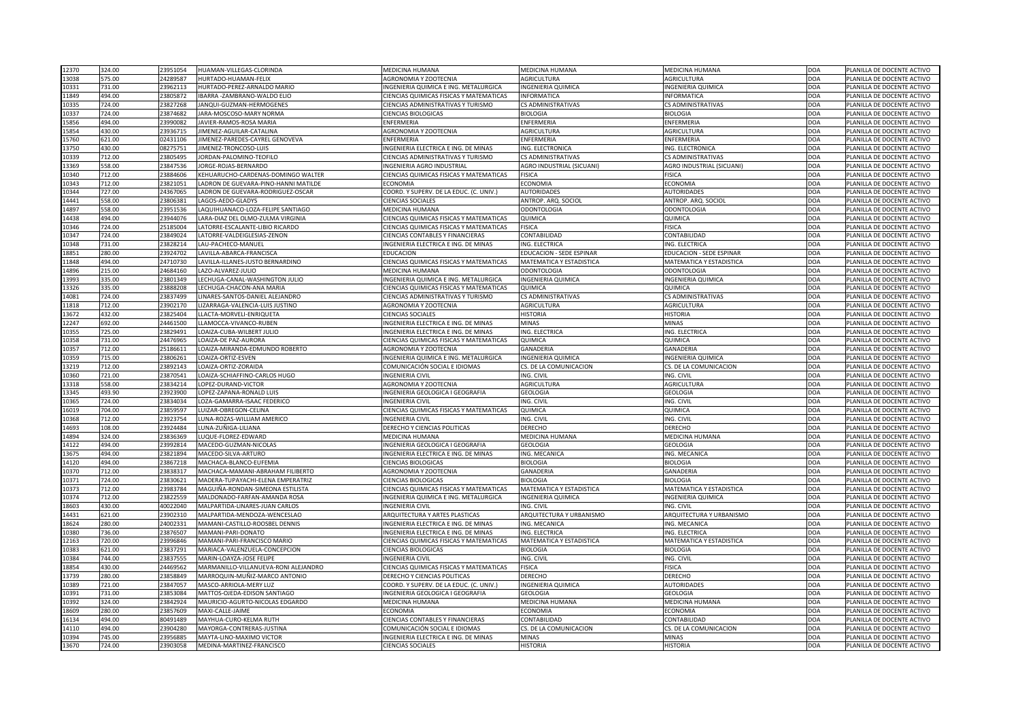| 12370<br>324.00           | 23951054<br>HUAMAN-VILLEGAS-CLORINDA                                         | <b>MEDICINA HUMANA</b>                                         | <b>MEDICINA HUMANA</b>                              | <b>MEDICINA HUMANA</b>           | DOA                      | PLANILLA DE DOCENTE ACTIVO                               |
|---------------------------|------------------------------------------------------------------------------|----------------------------------------------------------------|-----------------------------------------------------|----------------------------------|--------------------------|----------------------------------------------------------|
| 13038<br>575.00           | 24289587<br>HURTADO-HUAMAN-FELIX                                             | AGRONOMIA Y ZOOTECNIA                                          | <b>AGRICULTURA</b>                                  | <b>AGRICULTURA</b>               | <b>DOA</b>               | PLANILLA DE DOCENTE ACTIVO                               |
| 10331<br>731.00           | 23962113<br>HURTADO-PEREZ-ARNALDO MARIO                                      | INGENIERIA QUIMICA E ING. METALURGICA                          | <b>INGENIERIA QUIMICA</b>                           | <b>INGENIERIA QUIMICA</b>        | <b>DOA</b>               | PLANILLA DE DOCENTE ACTIVO                               |
| 11849<br>494.00           | 23805872<br>IBARRA - ZAMBRANO-WALDO ELIO                                     | CIENCIAS QUIMICAS FISICAS Y MATEMATICAS                        | <b>INFORMATICA</b>                                  | <b>INFORMATICA</b>               | <b>DOA</b>               | PLANILLA DE DOCENTE ACTIVO                               |
| 10335<br>724.00           | 23827268<br>JANQUI-GUZMAN-HERMOGENES                                         | CIENCIAS ADMINISTRATIVAS Y TURISMO                             | <b>CS ADMINISTRATIVAS</b>                           | <b>CS ADMINISTRATIVAS</b>        | DOA                      | PLANILLA DE DOCENTE ACTIVO                               |
| 724.00<br>10337           | 23874682<br>JARA-MOSCOSO-MARY NORMA                                          | <b>CIENCIAS BIOLOGICAS</b>                                     | <b>BIOLOGIA</b>                                     | <b>BIOLOGIA</b>                  | <b>DOA</b>               | PLANILLA DE DOCENTE ACTIVO                               |
| 15856<br>494.00           | 23990082<br>JAVIER-RAMOS-ROSA MARIA                                          | ENFERMERIA                                                     | <b>ENFERMERIA</b>                                   | ENFERMERIA                       | <b>DOA</b>               | PLANILLA DE DOCENTE ACTIVO                               |
| 15854<br>430.00           | 23936715<br>JIMENEZ-AGUILAR-CATALINA                                         | <b>AGRONOMIA Y ZOOTECNIA</b>                                   | AGRICULTURA                                         | <b>AGRICULTURA</b>               | <b>DOA</b>               | PLANILLA DE DOCENTE ACTIVO                               |
| 15760<br>621.00           | 02431106<br>JIMENEZ-PAREDES-CAYREL GENOVEVA                                  | <b>ENFERMERIA</b>                                              | <b>ENFERMERIA</b>                                   | <b>ENFERMERIA</b>                | <b>DOA</b>               | PLANILLA DE DOCENTE ACTIVO                               |
| 13750<br>430.00           | 08275751<br>JIMENEZ-TRONCOSO-LUIS                                            | INGENIERIA ELECTRICA E ING. DE MINAS                           | ING. ELECTRONICA                                    | ING. ELECTRONICA                 | <b>DOA</b>               | PLANILLA DE DOCENTE ACTIVO                               |
| 10339<br>712.00           | 23805495<br>JORDAN-PALOMINO-TEOFILO                                          | CIENCIAS ADMINISTRATIVAS Y TURISMO                             | <b>CS ADMINISTRATIVAS</b>                           | <b>CS ADMINISTRATIVAS</b>        | <b>DOA</b>               | PLANILLA DE DOCENTE ACTIVO                               |
| 13369<br>558.00           | 23847536<br>JORGE-ROJAS-BERNARDO                                             | INGENIERIA AGRO INDUSTRIAL                                     | <b>AGRO INDUSTRIAL (SICUANI)</b>                    | AGRO INDUSTRIAL (SICUANI)        | <b>DOA</b>               | PLANILLA DE DOCENTE ACTIVO                               |
| 10340<br>712.00           | 23884606<br>KEHUARUCHO-CARDENAS-DOMINGO WALTER                               | CIENCIAS QUIMICAS FISICAS Y MATEMATICAS                        | <b>FISICA</b>                                       | <b>FISICA</b>                    | <b>DOA</b>               | PLANILLA DE DOCENTE ACTIVO                               |
| 10343<br>712.00           | 23821051<br>LADRON DE GUEVARA-PINO-HANNI MATILDE                             | <b>ECONOMIA</b>                                                | <b>ECONOMIA</b>                                     | <b>ECONOMIA</b>                  | <b>DOA</b>               | PLANILLA DE DOCENTE ACTIVO                               |
| 10344<br>727.00           | 24367065<br>LADRON DE GUEVARA-RODRIGUEZ-OSCAR                                | COORD. Y SUPERV. DE LA EDUC. (C. UNIV.)                        | <b>AUTORIDADES</b>                                  | <b>AUTORIDADES</b>               | <b>DOA</b>               | PLANILLA DE DOCENTE ACTIVO                               |
| 14441<br>558.00           | 23806381<br>LAGOS-AEDO-GLADYS                                                | <b>CIENCIAS SOCIALES</b>                                       | ANTROP. ARQ. SOCIOL                                 | ANTROP. ARQ. SOCIOL              | <b>DOA</b>               | PLANILLA DE DOCENTE ACTIVO                               |
| 14897<br>558.00           | 23951536<br>LAQUIHUANACO-LOZA-FELIPE SANTIAGO                                | <b>MEDICINA HUMANA</b>                                         | <b>ODONTOLOGIA</b>                                  | <b>ODONTOLOGIA</b>               | <b>DOA</b>               | PLANILLA DE DOCENTE ACTIVO                               |
| 14438<br>494.00           | 23944076<br>LARA-DIAZ DEL OLMO-ZULMA VIRGINIA                                | CIENCIAS QUIMICAS FISICAS Y MATEMATICAS                        | QUIMICA                                             | QUIMICA                          | <b>DOA</b>               | PLANILLA DE DOCENTE ACTIVO                               |
| 10346<br>724.00           | 25185004<br>LATORRE-ESCALANTE-LIBIO RICARDO                                  | CIENCIAS QUIMICAS FISICAS Y MATEMATICAS                        | <b>FISICA</b>                                       | <b>FISICA</b>                    | <b>DOA</b>               | PLANILLA DE DOCENTE ACTIVO                               |
| 10347<br>724.00           | 23849024<br>LATORRE-VALDEIGLESIAS-ZENON                                      | <b>CIENCIAS CONTABLES Y FINANCIERAS</b>                        | CONTABILIDAD                                        | <b>CONTABILIDAD</b>              | <b>DOA</b>               | PLANILLA DE DOCENTE ACTIVO                               |
| 10348<br>731.00           | 23828214<br>LAU-PACHECO-MANUEL                                               | INGENIERIA ELECTRICA E ING. DE MINAS                           | ING. ELECTRICA                                      | ING. ELECTRICA                   | <b>DOA</b>               | PLANILLA DE DOCENTE ACTIVO                               |
| 280.00<br>18851           | 23924702<br>LAVILLA-ABARCA-FRANCISCA                                         | <b>EDUCACION</b>                                               | <b>EDUCACION - SEDE ESPINAR</b>                     | <b>EDUCACION - SEDE ESPINAR</b>  | <b>DOA</b>               | PLANILLA DE DOCENTE ACTIVO                               |
| 11848<br>494.00           | 24710730<br>LAVILLA-ILLANES-JUSTO BERNARDINO                                 | CIENCIAS QUIMICAS FISICAS Y MATEMATICAS                        | <b>MATEMATICA Y ESTADISTICA</b>                     | MATEMATICA Y ESTADISTICA         | <b>DOA</b>               | PLANILLA DE DOCENTE ACTIVO                               |
| 14896<br>215.00           | 24684160<br>LAZO-ALVAREZ-JULIO                                               | <b>MEDICINA HUMANA</b>                                         | <b>ODONTOLOGIA</b>                                  | <b>ODONTOLOGIA</b>               | <b>DOA</b>               | PLANILLA DE DOCENTE ACTIVO                               |
| 13993<br>335.00           | 23801349<br>LECHUGA-CANAL-WASHINGTON JULIO                                   | INGENIERIA QUIMICA E ING. METALURGICA                          | <b>INGENIERIA QUIMICA</b>                           | <b>INGENIERIA QUIMICA</b>        | <b>DOA</b>               | PLANILLA DE DOCENTE ACTIVO                               |
| 13326<br>335.00           | 23888208<br>LECHUGA-CHACON-ANA MARIA                                         | <b>CIENCIAS QUIMICAS FISICAS Y MATEMATICAS</b>                 | <b>QUIMICA</b>                                      | <b>QUIMICA</b>                   | DOA                      | PLANILLA DE DOCENTE ACTIVO                               |
| 724.00<br>14081           | 23837499<br>LINARES-SANTOS-DANIEL ALEJANDRO                                  | CIENCIAS ADMINISTRATIVAS Y TURISMO                             | <b>CS ADMINISTRATIVAS</b>                           | <b>CS ADMINISTRATIVAS</b>        | <b>DOA</b>               | PLANILLA DE DOCENTE ACTIVO                               |
| 11818<br>712.00           | 23902170                                                                     | AGRONOMIA Y ZOOTECNIA                                          | AGRICULTURA                                         | <b>AGRICULTURA</b>               | <b>DOA</b>               | PLANILLA DE DOCENTE ACTIVO                               |
| 13672<br>432.00           | LIZARRAGA-VALENCIA-LUIS JUSTINO<br>23825404<br>LLACTA-MORVELI-ENRIQUETA      | <b>CIENCIAS SOCIALES</b>                                       | <b>HISTORIA</b>                                     | <b>HISTORIA</b>                  | <b>DOA</b>               | PLANILLA DE DOCENTE ACTIVO                               |
| 12247<br>692.00           | 24461500<br>LLAMOCCA-VIVANCO-RUBEN                                           | INGENIERIA ELECTRICA E ING. DE MINAS                           | <b>MINAS</b>                                        | <b>MINAS</b>                     | <b>DOA</b>               | PLANILLA DE DOCENTE ACTIVO                               |
| 10355<br>725.00           | 23829491<br>LOAIZA-CUBA-WILBERT JULIO                                        | INGENIERIA ELECTRICA E ING. DE MINAS                           | ING. ELECTRICA                                      | ING. ELECTRICA                   | <b>DOA</b>               | PLANILLA DE DOCENTE ACTIVO                               |
| 731.00                    | LOAIZA-DE PAZ-AURORA                                                         | <b>CIENCIAS QUIMICAS FISICAS Y MATEMATICAS</b>                 | <b>QUIMICA</b>                                      | <b>QUIMICA</b>                   |                          | PLANILLA DE DOCENTE ACTIVO                               |
| 10358                     | 24476965                                                                     |                                                                |                                                     |                                  | DOA                      |                                                          |
| 10357<br>712.00           | 25186611<br>LOAIZA-MIRANDA-EDMUNDO ROBERTO                                   | AGRONOMIA Y ZOOTECNIA<br>INGENIERIA QUIMICA E ING. METALURGICA | <b>GANADERIA</b>                                    | GANADERIA                        | <b>DOA</b>               | PLANILLA DE DOCENTE ACTIVO                               |
| 10359<br>715.00           | 23806261<br>LOAIZA-ORTIZ-ESVEN<br>23892143<br>LOAIZA-ORTIZ-ZORAIDA           |                                                                | <b>INGENIERIA QUIMICA</b><br>CS. DE LA COMUNICACION | <b>INGENIERIA QUIMICA</b>        | <b>DOA</b>               | PLANILLA DE DOCENTE ACTIVO<br>PLANILLA DE DOCENTE ACTIVO |
| 13219<br>712.00           |                                                                              | COMUNICACIÓN SOCIAL E IDIOMAS                                  |                                                     | CS. DE LA COMUNICACION           | <b>DOA</b>               |                                                          |
| 10360<br>721.00<br>558.00 | 23870541<br>LOAIZA-SCHIAFFINO-CARLOS HUGO<br>23834214<br>LOPEZ-DURAND-VICTOR | <b>INGENIERIA CIVIL</b><br>AGRONOMIA Y ZOOTECNIA               | ING. CIVIL<br><b>AGRICULTURA</b>                    | ING. CIVIL<br><b>AGRICULTURA</b> | DOA<br><b>DOA</b>        | PLANILLA DE DOCENTE ACTIVO                               |
| 13318                     | LOPEZ-ZAPANA-RONALD LUIS                                                     |                                                                |                                                     |                                  |                          | PLANILLA DE DOCENTE ACTIVO                               |
| 13345<br>493.90<br>724.00 | 23923900<br>23834034<br>LOZA-GAMARRA-ISAAC FEDERICO                          | INGENIERIA GEOLOGICA I GEOGRAFIA<br><b>INGENIERIA CIVIL</b>    | <b>GEOLOGIA</b><br>ING. CIVIL                       | <b>GEOLOGIA</b><br>ING. CIVIL    | <b>DOA</b><br><b>DOA</b> | PLANILLA DE DOCENTE ACTIVO<br>PLANILLA DE DOCENTE ACTIVO |
| 10365                     | LUIZAR-OBREGON-CELINA                                                        |                                                                |                                                     |                                  |                          |                                                          |
| 16019<br>704.00           | 23859597<br>23923754                                                         | CIENCIAS QUIMICAS FISICAS Y MATEMATICAS                        | <b>QUIMICA</b>                                      | QUIMICA                          | <b>DOA</b>               | PLANILLA DE DOCENTE ACTIVO                               |
| 10368<br>712.00           | LUNA-ROZAS-WILLIAM AMERICO                                                   | <b>INGENIERIA CIVIL</b>                                        | ING. CIVIL                                          | ING. CIVIL                       | DOA                      | PLANILLA DE DOCENTE ACTIVO                               |
| 14693<br>108.00           | 23924484<br>LUNA-ZUÑIGA-LILIANA                                              | <b>DERECHO Y CIENCIAS POLITICAS</b>                            | <b>DERECHO</b>                                      | <b>DERECHO</b>                   | <b>DOA</b>               | PLANILLA DE DOCENTE ACTIVO                               |
| 14894<br>324.00           | 23836369<br>LUQUE-FLOREZ-EDWARD                                              | MEDICINA HUMANA                                                | <b>MEDICINA HUMANA</b>                              | MEDICINA HUMANA                  | <b>DOA</b>               | PLANILLA DE DOCENTE ACTIVO                               |
| 14122<br>494.00           | 23992814<br>MACEDO-GUZMAN-NICOLAS                                            | INGENIERIA GEOLOGICA I GEOGRAFIA                               | <b>GEOLOGIA</b>                                     | <b>GEOLOGIA</b>                  | <b>DOA</b>               | PLANILLA DE DOCENTE ACTIVO                               |
| 13675<br>494.00           | 23821894<br>MACEDO-SILVA-ARTURO                                              | INGENIERIA ELECTRICA E ING. DE MINAS                           | ING. MECANICA                                       | ING. MECANICA                    | <b>DOA</b>               | PLANILLA DE DOCENTE ACTIVO                               |
| 14120<br>494.00           | 23867218<br>MACHACA-BLANCO-EUFEMIA                                           | <b>CIENCIAS BIOLOGICAS</b>                                     | <b>BIOLOGIA</b>                                     | <b>BIOLOGIA</b>                  | <b>DOA</b>               | PLANILLA DE DOCENTE ACTIVO                               |
| 10370<br>712.00           | 23838317<br>MACHACA-MAMANI-ABRAHAM FILIBERTO                                 | AGRONOMIA Y ZOOTECNIA                                          | <b>GANADERIA</b>                                    | <b>GANADERIA</b>                 | <b>DOA</b>               | PLANILLA DE DOCENTE ACTIVO                               |
| 10371<br>724.00           | 23830621<br>MADERA-TUPAYACHI-ELENA EMPERATRIZ                                | <b>CIENCIAS BIOLOGICAS</b>                                     | <b>BIOLOGIA</b>                                     | <b>BIOLOGIA</b>                  | <b>DOA</b>               | PLANILLA DE DOCENTE ACTIVO                               |
| 10373<br>712.00           | 23983784<br>MAGUIÑA-RONDAN-SIMEONA ESTILISTA                                 | CIENCIAS QUIMICAS FISICAS Y MATEMATICAS                        | MATEMATICA Y ESTADISTICA                            | <b>MATEMATICA Y ESTADISTICA</b>  | <b>DOA</b>               | PLANILLA DE DOCENTE ACTIVO                               |
| 10374<br>712.00           | 23822559<br>MALDONADO-FARFAN-AMANDA ROSA                                     | INGENIERIA QUIMICA E ING. METALURGICA                          | <b>INGENIERIA QUIMICA</b>                           | <b>INGENIERIA QUIMICA</b>        | <b>DOA</b>               | PLANILLA DE DOCENTE ACTIVO                               |
| 18603<br>430.00           | 40022040<br>MALPARTIDA-LINARES-JUAN CARLOS                                   | <b>INGENIERIA CIVIL</b>                                        | ING. CIVIL                                          | ING. CIVIL                       | DOA                      | PLANILLA DE DOCENTE ACTIVO                               |
| 621.00<br>14431           | 23902310<br>MALPARTIDA-MENDOZA-WENCESLAO                                     | <b>ARQUITECTURA Y ARTES PLASTICAS</b>                          | ARQUITECTURA Y URBANISMO                            | ARQUITECTURA Y URBANISMO         | <b>DOA</b>               | PLANILLA DE DOCENTE ACTIVO                               |
| 18624<br>280.00           | 24002331<br>MAMANI-CASTILLO-ROOSBEL DENNIS                                   | INGENIERIA ELECTRICA E ING. DE MINAS                           | <b>NG. MECANICA</b>                                 | ING. MECANICA                    | <b>DOA</b>               | PLANILLA DE DOCENTE ACTIVO                               |
| 10380<br>736.00           | 23876507<br>MAMANI-PARI-DONATO                                               | INGENIERIA ELECTRICA E ING. DE MINAS                           | ING. ELECTRICA                                      | ING. ELECTRICA                   | <b>DOA</b>               | PLANILLA DE DOCENTE ACTIVO                               |
| 720.00<br>12163           | 23996846<br>MAMANI-PARI-FRANCISCO MARIO                                      | CIENCIAS QUIMICAS FISICAS Y MATEMATICAS                        | <b>MATEMATICA Y ESTADISTICA</b>                     | <b>MATEMATICA Y ESTADISTICA</b>  | <b>DOA</b>               | PLANILLA DE DOCENTE ACTIVO                               |
| 10383<br>621.00           | 23837291<br>MARIACA-VALENZUELA-CONCEPCION                                    | <b>CIENCIAS BIOLOGICAS</b>                                     | <b>BIOLOGIA</b>                                     | <b>BIOLOGIA</b>                  | <b>DOA</b>               | PLANILLA DE DOCENTE ACTIVO                               |
| 744.00<br>10384           | 23837555<br>MARIN-LOAYZA-JOSE FELIPE                                         | <b>INGENIERIA CIVIL</b>                                        | ING. CIVIL                                          | ING. CIVIL                       | <b>DOA</b>               | PLANILLA DE DOCENTE ACTIVO                               |
| 18854<br>430.00           | 24469562<br>MARMANILLO-VILLANUEVA-RONI ALEJANDRO                             | CIENCIAS QUIMICAS FISICAS Y MATEMATICAS                        | <b>FISICA</b>                                       | <b>FISICA</b>                    | <b>DOA</b>               | PLANILLA DE DOCENTE ACTIVO                               |
| 13739<br>280.00           | 23858849<br>MARROQUIN-MUÑIZ-MARCO ANTONIO                                    | DERECHO Y CIENCIAS POLITICAS                                   | <b>DERECHO</b>                                      | <b>DERECHO</b>                   | <b>DOA</b>               | PLANILLA DE DOCENTE ACTIVO                               |
| 10389<br>721.00           | 23847057<br>MASCO-ARRIOLA-MERY LUZ                                           | COORD. Y SUPERV. DE LA EDUC. (C. UNIV.)                        | <b>INGENIERIA QUIMICA</b>                           | <b>AUTORIDADES</b>               | DOA                      | PLANILLA DE DOCENTE ACTIVO                               |
| 10391<br>731.00           | 23853084<br>MATTOS-OJEDA-EDISON SANTIAGO                                     | INGENIERIA GEOLOGICA I GEOGRAFIA                               | <b>GEOLOGIA</b>                                     | <b>GEOLOGIA</b>                  | <b>DOA</b>               | PLANILLA DE DOCENTE ACTIVO                               |
| 10392<br>324.00           | 23842924<br>MAURICIO-AGURTO-NICOLAS EDGARDO                                  | <b>MEDICINA HUMANA</b>                                         | <b>MEDICINA HUMANA</b>                              | <b>MEDICINA HUMANA</b>           | <b>DOA</b>               | PLANILLA DE DOCENTE ACTIVO                               |
| 280.00<br>18609           | MAXI-CALLE-JAIME<br>23857609                                                 | <b>ECONOMIA</b>                                                | <b>ECONOMIA</b>                                     | <b>ECONOMIA</b>                  | <b>DOA</b>               | PLANILLA DE DOCENTE ACTIVO                               |
| 16134<br>494.00           | 80491489<br>MAYHUA-CURO-KELMA RUTH                                           | <b>CIENCIAS CONTABLES Y FINANCIERAS</b>                        | <b>CONTABILIDAD</b>                                 | CONTABILIDAD                     | <b>DOA</b>               | PLANILLA DE DOCENTE ACTIVO                               |
| 494.00<br>14110           | 23904280<br>MAYORGA-CONTRERAS-JUSTINA                                        | COMUNICACIÓN SOCIAL E IDIOMAS                                  | CS. DE LA COMUNICACION                              | CS. DE LA COMUNICACION           | DOA                      | PLANILLA DE DOCENTE ACTIVO                               |
| 10394<br>745.00           | 23956885<br>MAYTA-LINO-MAXIMO VICTOR                                         | INGENIERIA ELECTRICA E ING. DE MINAS                           | <b>MINAS</b>                                        | <b>MINAS</b>                     | DOA                      | PLANILLA DE DOCENTE ACTIVO                               |
| 13670<br>724.00           | 23903058<br>MEDINA-MARTINEZ-FRANCISCO                                        | <b>CIENCIAS SOCIALES</b>                                       | <b>HISTORIA</b>                                     | <b>HISTORIA</b>                  | DOA                      | PLANILLA DE DOCENTE ACTIVO                               |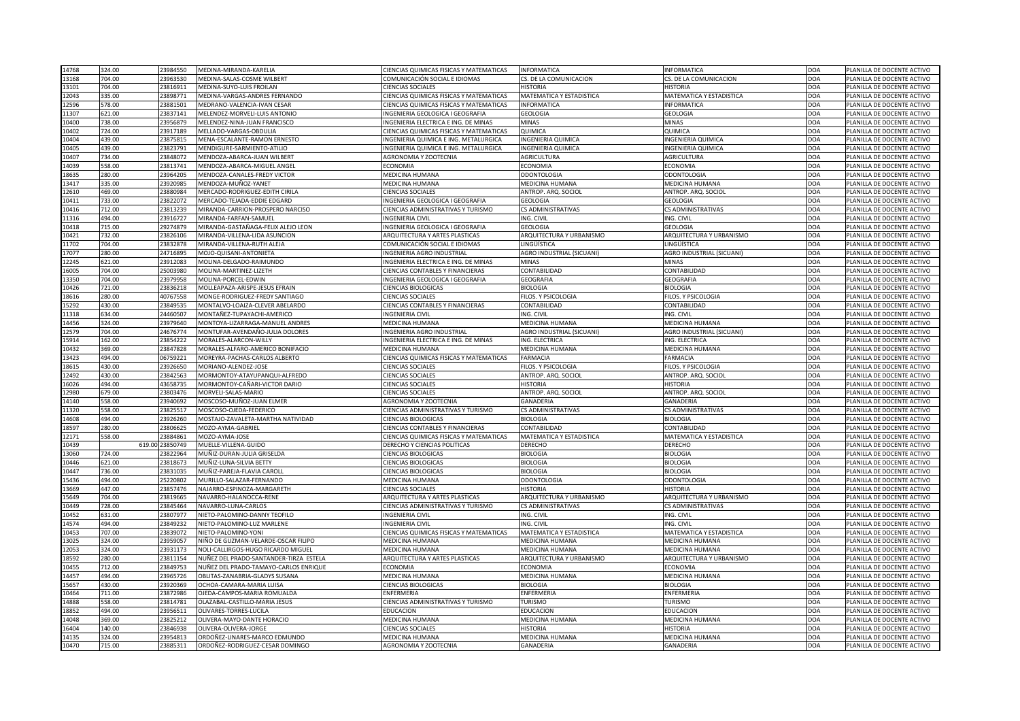| 14768 | 324.00 | 23984550        | MEDINA-MIRANDA-KARELIA                 | <b>CIENCIAS QUIMICAS FISICAS Y MATEMATICAS</b> | INFORMATICA                      | <b>INFORMATICA</b>               | DOA        | PLANILLA DE DOCENTE ACTIVO |
|-------|--------|-----------------|----------------------------------------|------------------------------------------------|----------------------------------|----------------------------------|------------|----------------------------|
| 13168 | 704.00 | 23963530        | MEDINA-SALAS-COSME WILBERT             | COMUNICACIÓN SOCIAL E IDIOMAS                  | CS. DE LA COMUNICACION           | CS. DE LA COMUNICACION           | <b>DOA</b> | PLANILLA DE DOCENTE ACTIVO |
| 13101 | 704.00 | 23816911        | MEDINA-SUYO-LUIS FROILAN               | <b>CIENCIAS SOCIALES</b>                       | <b>HISTORIA</b>                  | HISTORIA                         | DOA        | PLANILLA DE DOCENTE ACTIVO |
| 12043 | 335.00 | 23898771        | MEDINA-VARGAS-ANDRES FERNANDO          | CIENCIAS QUIMICAS FISICAS Y MATEMATICAS        | <b>MATEMATICA Y ESTADISTICA</b>  | MATEMATICA Y ESTADISTICA         | <b>DOA</b> | PLANILLA DE DOCENTE ACTIVO |
| 12596 | 578.00 | 23881501        | MEDRANO-VALENCIA-IVAN CESAR            | <b>CIENCIAS QUIMICAS FISICAS Y MATEMATICAS</b> | INFORMATICA                      | <b>INFORMATICA</b>               | <b>DOA</b> | PLANILLA DE DOCENTE ACTIVO |
| 11307 | 621.00 | 23837141        | MELENDEZ-MORVELI-LUIS ANTONIO          | INGENIERIA GEOLOGICA I GEOGRAFIA               | <b>GEOLOGIA</b>                  | <b>GEOLOGIA</b>                  | DOA        | PLANILLA DE DOCENTE ACTIVO |
| 10400 | 738.00 | 23956879        | MELENDEZ-NINA-JUAN FRANCISCO           | INGENIERIA ELECTRICA E ING. DE MINAS           | <b>MINAS</b>                     | <b>MINAS</b>                     | <b>DOA</b> | PLANILLA DE DOCENTE ACTIVO |
| 10402 | 724.00 | 23917189        | MELLADO-VARGAS-OBDULIA                 | CIENCIAS QUIMICAS FISICAS Y MATEMATICAS        | <b>QUIMICA</b>                   | QUIMICA                          | DOA        | PLANILLA DE DOCENTE ACTIVO |
| 10404 | 439.00 | 23875815        | MENA-ESCALANTE-RAMON ERNESTO           | INGENIERIA QUIMICA E ING. METALURGICA          | <b>INGENIERIA QUIMICA</b>        | <b>INGENIERIA QUIMICA</b>        | <b>DOA</b> | PLANILLA DE DOCENTE ACTIVO |
| 10405 | 439.00 | 23823791        | MENDIGURE-SARMIENTO-ATILIO             | INGENIERIA QUIMICA E ING. METALURGICA          | <b>INGENIERIA QUIMICA</b>        | INGENIERIA QUIMICA               | <b>DOA</b> | PLANILLA DE DOCENTE ACTIVO |
| 10407 | 734.00 | 23848072        | MENDOZA-ABARCA-JUAN WILBERT            | <b>AGRONOMIA Y ZOOTECNIA</b>                   | <b>AGRICULTURA</b>               | <b>AGRICULTURA</b>               | <b>DOA</b> | PLANILLA DE DOCENTE ACTIVO |
| 14039 | 558.00 | 23813741        | MENDOZA-ABARCA-MIGUEL ANGEI            | <b>ECONOMIA</b>                                | <b>ECONOMIA</b>                  | <b>ECONOMIA</b>                  | DOA        | PLANILLA DE DOCENTE ACTIVO |
| 18635 | 280.00 | 23964205        | MENDOZA-CANALES-FREDY VICTOR           | <b>MEDICINA HUMANA</b>                         | <b>ODONTOLOGIA</b>               | <b>ODONTOLOGIA</b>               | <b>DOA</b> | PLANILLA DE DOCENTE ACTIVO |
| 13417 | 335.00 | 23920985        | MENDOZA-MUÑOZ-YANET                    | <b>MEDICINA HUMANA</b>                         | <b>MEDICINA HUMANA</b>           | MEDICINA HUMANA                  | <b>DOA</b> | PLANILLA DE DOCENTE ACTIVO |
| 12610 | 469.00 | 23880984        | MERCADO-RODRIGUEZ-EDITH CIRILA         | <b>CIENCIAS SOCIALES</b>                       | ANTROP. ARQ. SOCIOL              | ANTROP. ARQ. SOCIOL              | DOA        | PLANILLA DE DOCENTE ACTIVO |
| 10411 | 733.00 | 23822072        | MERCADO-TEJADA-EDDIE EDGARD            | INGENIERIA GEOLOGICA I GEOGRAFIA               | <b>GEOLOGIA</b>                  | <b>GEOLOGIA</b>                  | <b>DOA</b> | PLANILLA DE DOCENTE ACTIVO |
| 10416 | 712.00 | 23813239        | MIRANDA-CARRION-PROSPERO NARCISO       | <b>CIENCIAS ADMINISTRATIVAS Y TURISMO</b>      | <b>CS ADMINISTRATIVAS</b>        | <b>CS ADMINISTRATIVAS</b>        | DOA        | PLANILLA DE DOCENTE ACTIVO |
| 11316 | 494.00 | 23916727        | MIRANDA-FARFAN-SAMUEL                  | <b>INGENIERIA CIVIL</b>                        | ING. CIVIL                       | ING. CIVIL                       | <b>DOA</b> | PLANILLA DE DOCENTE ACTIVO |
| 10418 | 715.00 | 29274879        | MIRANDA-GASTAÑAGA-FELIX ALEJO LEON     | INGENIERIA GEOLOGICA I GEOGRAFIA               | <b>GEOLOGIA</b>                  | <b>GEOLOGIA</b>                  | <b>DOA</b> | PLANILLA DE DOCENTE ACTIVO |
| 10421 | 732.00 | 23826106        | MIRANDA-VILLENA-LIDA ASUNCION          | ARQUITECTURA Y ARTES PLASTICAS                 | ARQUITECTURA Y URBANISMO         | ARQUITECTURA Y URBANISMO         | <b>DOA</b> | PLANILLA DE DOCENTE ACTIVO |
| 11702 | 704.00 | 23832878        | MIRANDA-VILLENA-RUTH ALEJA             | COMUNICACIÓN SOCIAL E IDIOMAS                  | <b>LINGÜÍSTICA</b>               | INGÜÍSTICA                       | <b>DOA</b> | PLANILLA DE DOCENTE ACTIVO |
| 17077 | 280.00 | 24716895        | MOJO-QUISANI-ANTONIETA                 | <b>INGENIERIA AGRO INDUSTRIAL</b>              | <b>AGRO INDUSTRIAL (SICUANI)</b> | <b>AGRO INDUSTRIAL (SICUANI)</b> | <b>DOA</b> | PLANILLA DE DOCENTE ACTIVO |
| 12245 | 621.00 | 23912083        | MOLINA-DELGADO-RAIMUNDO                | INGENIERIA ELECTRICA E ING. DE MINAS           | <b>MINAS</b>                     | <b>MINAS</b>                     | DOA        | PLANILLA DE DOCENTE ACTIVO |
| 16005 | 704.00 | 25003980        | MOLINA-MARTINEZ-LIZETH                 | <b>CIENCIAS CONTABLES Y FINANCIERAS</b>        | <b>CONTABILIDAD</b>              | <b>CONTABILIDAD</b>              | <b>DOA</b> | PLANILLA DE DOCENTE ACTIVO |
| 13350 | 704.00 | 23979958        | MOLINA-PORCEL-EDWIN                    | INGENIERIA GEOLOGICA I GEOGRAFIA               | <b>GEOGRAFIA</b>                 | <b>GEOGRAFIA</b>                 | <b>DOA</b> | PLANILLA DE DOCENTE ACTIVO |
|       |        |                 |                                        |                                                |                                  |                                  |            |                            |
| 10426 | 721.00 | 23836218        | MOLLEAPAZA-ARISPE-JESUS EFRAIN         | <b>CIENCIAS BIOLOGICAS</b>                     | <b>BIOLOGIA</b>                  | <b>BIOLOGIA</b>                  | DOA        | PLANILLA DE DOCENTE ACTIVO |
| 18616 | 280.00 | 40767558        | MONGE-RODRIGUEZ-FREDY SANTIAGO         | <b>CIENCIAS SOCIALES</b>                       | FILOS. Y PSICOLOGIA              | FILOS. Y PSICOLOGIA              | DOA        | PLANILLA DE DOCENTE ACTIVO |
| 15292 | 430.00 | 23849535        | MONTALVO-LOAIZA-CLEVER ABELARDO        | <b>CIENCIAS CONTABLES Y FINANCIERAS</b>        | CONTABILIDAD                     | CONTABILIDAD                     | <b>DOA</b> | PLANILLA DE DOCENTE ACTIVO |
| 11318 | 634.00 | 24460507        | MONTAÑEZ-TUPAYACHI-AMERICO             | <b>INGENIERIA CIVIL</b>                        | ING. CIVIL                       | ING. CIVIL                       | DOA        | PLANILLA DE DOCENTE ACTIVO |
| 14456 | 324.00 | 23979640        | MONTOYA-LIZARRAGA-MANUEL ANDRES        | <b>MEDICINA HUMANA</b>                         | <b>MEDICINA HUMANA</b>           | MEDICINA HUMANA                  | <b>DOA</b> | PLANILLA DE DOCENTE ACTIVO |
| 12579 | 704.00 | 24676774        | MONTUFAR-AVENDAÑO-JULIA DOLORES        | <b>INGENIERIA AGRO INDUSTRIAL</b>              | <b>AGRO INDUSTRIAL (SICUANI)</b> | AGRO INDUSTRIAL (SICUANI)        | <b>DOA</b> | PLANILLA DE DOCENTE ACTIVO |
| 15914 | 162.00 | 23854222        | MORALES-ALARCON-WILLY                  | INGENIERIA ELECTRICA E ING. DE MINAS           | ING. ELECTRICA                   | ING. ELECTRICA                   | DOA        | PLANILLA DE DOCENTE ACTIVO |
| 10432 | 369.00 | 23847828        | MORALES-ALFARO-AMERICO BONIFACIO       | <b>MEDICINA HUMANA</b>                         | <b>MEDICINA HUMANA</b>           | MEDICINA HUMANA                  | <b>DOA</b> | PLANILLA DE DOCENTE ACTIVO |
| 13423 | 494.00 | 06759221        | MOREYRA-PACHAS-CARLOS ALBERTO          | <b>CIENCIAS QUIMICAS FISICAS Y MATEMATICAS</b> | <b>FARMACIA</b>                  | <b>FARMACIA</b>                  | <b>DOA</b> | PLANILLA DE DOCENTE ACTIVO |
| 18615 | 430.00 | 23926650        | MORIANO-ALENDEZ-JOSE                   | <b>CIENCIAS SOCIALES</b>                       | FILOS. Y PSICOLOGIA              | FILOS. Y PSICOLOGIA              | <b>DOA</b> | PLANILLA DE DOCENTE ACTIVO |
| 12492 | 430.00 | 23842563        | MORMONTOY-ATAYUPANQUI-ALFREDO          | <b>CIENCIAS SOCIALES</b>                       | ANTROP. ARQ. SOCIOL              | ANTROP. ARQ. SOCIOL              | <b>DOA</b> | PLANILLA DE DOCENTE ACTIVO |
| 16026 | 494.00 | 43658735        | MORMONTOY-CAÑARI-VICTOR DARIO          | <b>CIENCIAS SOCIALES</b>                       | <b>HISTORIA</b>                  | <b>HISTORIA</b>                  | DOA        | PLANILLA DE DOCENTE ACTIVO |
| 12980 | 679.00 | 23803476        | MORVELI-SALAS-MARIO                    | <b>CIENCIAS SOCIALES</b>                       | ANTROP. ARQ. SOCIOL              | ANTROP. ARQ. SOCIOL              | <b>DOA</b> | PLANILLA DE DOCENTE ACTIVO |
| 14140 | 558.00 | 23940692        | MOSCOSO-MUÑOZ-JUAN ELMER               | AGRONOMIA Y ZOOTECNIA                          | <b>GANADERIA</b>                 | <b>GANADERIA</b>                 | <b>DOA</b> | PLANILLA DE DOCENTE ACTIVO |
| 11320 | 558.00 | 23825517        | MOSCOSO-OJEDA-FEDERICO                 | <b>CIENCIAS ADMINISTRATIVAS Y TURISMO</b>      | <b>CS ADMINISTRATIVAS</b>        | <b>CS ADMINISTRATIVAS</b>        | <b>DOA</b> | PLANILLA DE DOCENTE ACTIVO |
| 14608 | 494.00 | 23926260        | MOSTAJO-ZAVALETA-MARTHA NATIVIDAD      | <b>CIENCIAS BIOLOGICAS</b>                     | <b>BIOLOGIA</b>                  | <b>BIOLOGIA</b>                  | DOA        | PLANILLA DE DOCENTE ACTIVO |
| 18597 | 280.00 | 23806625        | MOZO-AYMA-GABRIEL                      | <b>CIENCIAS CONTABLES Y FINANCIERAS</b>        | <b>CONTABILIDAD</b>              | <b>CONTABILIDAD</b>              | <b>DOA</b> | PLANILLA DE DOCENTE ACTIVO |
| 12171 | 558.00 | 23884861        | MOZO-AYMA-JOSE                         | CIENCIAS QUIMICAS FISICAS Y MATEMATICAS        | <b>MATEMATICA Y ESTADISTICA</b>  | <b>MATEMATICA Y ESTADISTICA</b>  | <b>DOA</b> | PLANILLA DE DOCENTE ACTIVO |
| 10439 |        | 619.00 23850749 | MUELLE-VILLENA-GUIDO                   | DERECHO Y CIENCIAS POLITICAS                   | <b>DERECHO</b>                   | <b>DERECHO</b>                   | DOA        | PLANILLA DE DOCENTE ACTIVO |
| 13060 | 724.00 | 23822964        | MUÑIZ-DURAN-JULIA GRISELDA             | <b>CIENCIAS BIOLOGICAS</b>                     | <b>BIOLOGIA</b>                  | <b>BIOLOGIA</b>                  | <b>DOA</b> | PLANILLA DE DOCENTE ACTIVO |
| 10446 | 621.00 | 23818673        | MUÑIZ-LUNA-SILVIA BETTY                | <b>CIENCIAS BIOLOGICAS</b>                     | <b>BIOLOGIA</b>                  | <b>BIOLOGIA</b>                  | <b>DOA</b> | PLANILLA DE DOCENTE ACTIVO |
| 10447 | 736.00 | 23831035        | MUÑIZ-PAREJA-FLAVIA CAROLI             | <b>CIENCIAS BIOLOGICAS</b>                     | <b>BIOLOGIA</b>                  | <b>BIOLOGIA</b>                  | DOA        | PLANILLA DE DOCENTE ACTIVO |
| 15436 | 494.00 | 25220802        | MURILLO-SALAZAR-FERNANDO               | <b>MEDICINA HUMANA</b>                         | <b>ODONTOLOGIA</b>               | <b>ODONTOLOGIA</b>               | DOA        | PLANILLA DE DOCENTE ACTIVO |
| 13669 | 447.00 | 23857476        | NAJARRO-ESPINOZA-MARGARETH             | <b>CIENCIAS SOCIALES</b>                       | <b>HISTORIA</b>                  | <b>HISTORIA</b>                  | <b>DOA</b> | PLANILLA DE DOCENTE ACTIVO |
| 15649 | 704.00 | 23819665        | NAVARRO-HALANOCCA-RENE                 | ARQUITECTURA Y ARTES PLASTICAS                 | ARQUITECTURA Y URBANISMO         | <b>ARQUITECTURA Y URBANISMO</b>  | <b>DOA</b> | PLANILLA DE DOCENTE ACTIVO |
| 10449 | 728.00 | 23845464        | NAVARRO-LUNA-CARLOS                    | <b>CIENCIAS ADMINISTRATIVAS Y TURISMO</b>      | <b>CS ADMINISTRATIVAS</b>        | <b>CS ADMINISTRATIVAS</b>        | <b>DOA</b> | PLANILLA DE DOCENTE ACTIVO |
| 10452 | 631.00 | 23807977        | NIETO-PALOMINO-DANNY TEOFILO           | <b>INGENIERIA CIVIL</b>                        | ING. CIVIL                       | ING. CIVIL                       | DOA        | PLANILLA DE DOCENTE ACTIVO |
| 14574 | 494.00 | 23849232        | NIETO-PALOMINO-LUZ MARLENE             | <b>INGENIERIA CIVIL</b>                        | ING. CIVIL                       | ING. CIVIL                       | DOA        | PLANILLA DE DOCENTE ACTIVO |
| 10453 | 707.00 | 23839072        | NIETO-PALOMINO-YONI                    | CIENCIAS QUIMICAS FISICAS Y MATEMATICAS        | <b>MATEMATICA Y ESTADISTICA</b>  | MATEMATICA Y ESTADISTICA         | DOA        | PLANILLA DE DOCENTE ACTIVO |
| 13025 | 324.00 | 23959057        | NIÑO DE GUZMAN-VELARDE-OSCAR FILIPO    | <b>MEDICINA HUMANA</b>                         | <b>MEDICINA HUMANA</b>           | <b>MEDICINA HUMANA</b>           | <b>DOA</b> | PLANILLA DE DOCENTE ACTIVO |
| 12053 | 324.00 | 23931173        | NOLI-CALLIRGOS-HUGO RICARDO MIGUEL     | MEDICINA HUMANA                                | <b>MEDICINA HUMANA</b>           | <b>MEDICINA HUMANA</b>           | <b>DOA</b> | PLANILLA DE DOCENTE ACTIVO |
| 18592 | 280.00 | 23811154        | NUÑEZ DEL PRADO-SANTANDER-TIRZA ESTELA | <b>ARQUITECTURA Y ARTES PLASTICAS</b>          | ARQUITECTURA Y URBANISMO         | <b>ARQUITECTURA Y URBANISMO</b>  | DOA        | PLANILLA DE DOCENTE ACTIVO |
|       |        | 23849753        | NUÑEZ DEL PRADO-TAMAYO-CARLOS ENRIQUE  |                                                | <b>ECONOMIA</b>                  | <b>ECONOMIA</b>                  | <b>DOA</b> | PLANILLA DE DOCENTE ACTIVO |
| 10455 | 712.00 |                 |                                        | <b>ECONOMIA</b>                                |                                  |                                  |            |                            |
| 14457 | 494.00 | 23965726        | OBLITAS-ZANABRIA-GLADYS SUSANA         | MEDICINA HUMANA                                | <b>MEDICINA HUMANA</b>           | <b>MEDICINA HUMANA</b>           | <b>DOA</b> | PLANILLA DE DOCENTE ACTIVO |
| 15657 | 430.00 | 23920369        | OCHOA-CAMARA-MARIA LUISA               | <b>CIENCIAS BIOLOGICAS</b>                     | <b>BIOLOGIA</b>                  | <b>BIOLOGIA</b>                  | <b>DOA</b> | PLANILLA DE DOCENTE ACTIVO |
| 10464 | 711.00 | 23872986        | OJEDA-CAMPOS-MARIA ROMUALDA            | <b>ENFERMERIA</b>                              | <b>ENFERMERIA</b>                | ENFERMERIA                       | <b>DOA</b> | PLANILLA DE DOCENTE ACTIVO |
| 14888 | 558.00 | 23814781        | OLAZABAL-CASTILLO-MARIA JESUS          | <b>CIENCIAS ADMINISTRATIVAS Y TURISMO</b>      | <b>TURISMO</b>                   | <b>TURISMO</b>                   | DOA        | PLANILLA DE DOCENTE ACTIVO |
| 18852 | 494.00 | 23956511        | <b>OLIVARES-TORRES-LUCILA</b>          | <b>EDUCACION</b>                               | <b>EDUCACION</b>                 | EDUCACION                        | <b>DOA</b> | PLANILLA DE DOCENTE ACTIVO |
| 14048 | 369.00 | 23825212        | OLIVERA-MAYO-DANTE HORACIO             | <b>MEDICINA HUMANA</b>                         | <b>MEDICINA HUMANA</b>           | <b>MEDICINA HUMANA</b>           | <b>DOA</b> | PLANILLA DE DOCENTE ACTIVO |
| 16404 | 140.00 | 23846938        | OLIVERA-OLIVERA-JORGE                  | <b>CIENCIAS SOCIALES</b>                       | <b>HISTORIA</b>                  | <b>HISTORIA</b>                  | DOA        | PLANILLA DE DOCENTE ACTIVO |
| 14135 | 324.00 | 23954813        | ORDOÑEZ-LINARES-MARCO EDMUNDO          | MEDICINA HUMANA                                | <b>MEDICINA HUMANA</b>           | <b>MEDICINA HUMANA</b>           | <b>DOA</b> | PLANILLA DE DOCENTE ACTIVO |
| 10470 | 715.00 | 23885311        | ORDOÑEZ-RODRIGUEZ-CESAR DOMINGO        | AGRONOMIA Y ZOOTECNIA                          | GANADERIA                        | GANADERIA                        | DOA        | PLANILLA DE DOCENTE ACTIVO |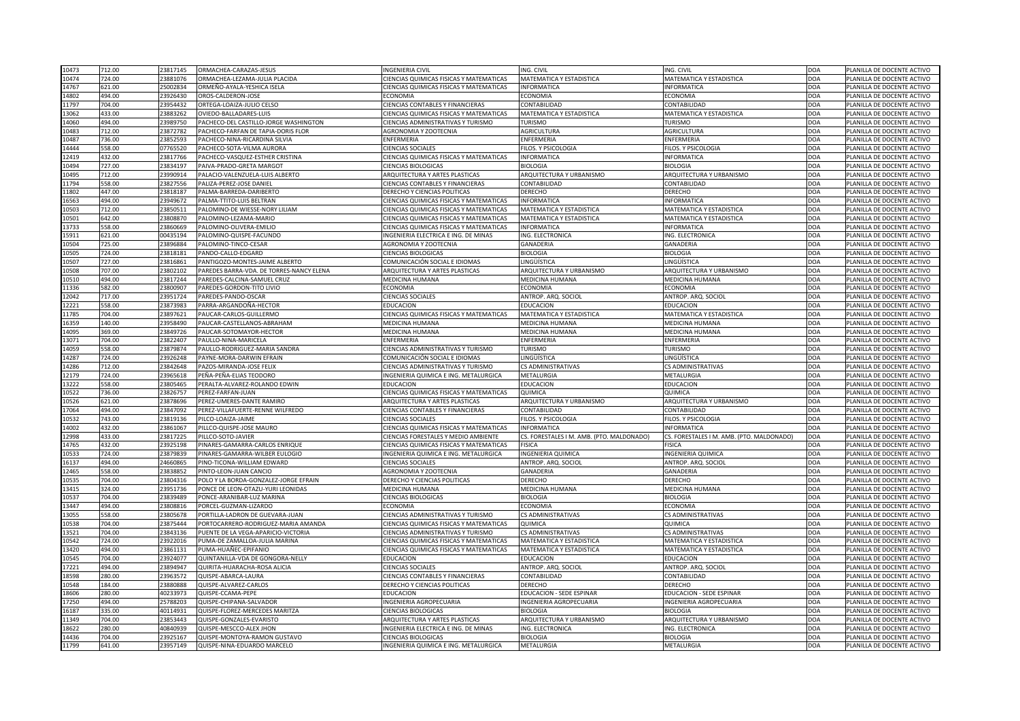| 10473<br>712.00          | 23817145 | ORMACHEA-CARAZAS-JESUS                               | <b>INGENIERIA CIVIL</b>                                     | ING. CIVIL                               | ING. CIVIL                                | DOA         | PLANILLA DE DOCENTE ACTIVO                               |
|--------------------------|----------|------------------------------------------------------|-------------------------------------------------------------|------------------------------------------|-------------------------------------------|-------------|----------------------------------------------------------|
| 724.00<br>10474          | 23881076 | ORMACHEA-LEZAMA-JULIA PLACIDA                        | CIENCIAS QUIMICAS FISICAS Y MATEMATICAS                     | <b>MATEMATICA Y ESTADISTICA</b>          | MATEMATICA Y ESTADISTICA                  | <b>DOA</b>  | PLANILLA DE DOCENTE ACTIVO                               |
| 621.00<br>14767          | 25002834 | ORMEÑO-AYALA-YESHICA ISELA                           | CIENCIAS QUIMICAS FISICAS Y MATEMATICAS                     | <b>INFORMATICA</b>                       | <b>INFORMATICA</b>                        | <b>DOA</b>  | PLANILLA DE DOCENTE ACTIVO                               |
| 14802<br>494.00          | 23926430 | OROS-CALDERON-JOSE                                   | <b>ECONOMIA</b>                                             | <b>ECONOMIA</b>                          | <b>ECONOMIA</b>                           | <b>DOA</b>  | PLANILLA DE DOCENTE ACTIVO                               |
| 704.00<br>11797          | 23954432 | ORTEGA-LOAIZA-JULIO CELSO                            | <b>CIENCIAS CONTABLES Y FINANCIERAS</b>                     | <b>CONTABILIDAD</b>                      | <b>CONTABILIDAD</b>                       | DOA         | PLANILLA DE DOCENTE ACTIVO                               |
| 433.00<br>13062          | 23883262 | OVIEDO-BALLADARES-LUIS                               | CIENCIAS QUIMICAS FISICAS Y MATEMATICAS                     | <b>MATEMATICA Y ESTADISTICA</b>          | <b>MATEMATICA Y ESTADISTICA</b>           | <b>DOA</b>  | PLANILLA DE DOCENTE ACTIVO                               |
| 494.00<br>14060          | 23989750 | PACHECO-DEL CASTILLO-JORGE WASHINGTON                | CIENCIAS ADMINISTRATIVAS Y TURISMO                          | <b>TURISMO</b>                           | <b>TURISMO</b>                            | <b>DOA</b>  | PLANILLA DE DOCENTE ACTIVO                               |
| 10483<br>712.00          | 23872782 | PACHECO-FARFAN DE TAPIA-DORIS FLOR                   | AGRONOMIA Y ZOOTECNIA                                       | <b>AGRICULTURA</b>                       | <b>AGRICULTURA</b>                        | <b>DOA</b>  | PLANILLA DE DOCENTE ACTIVO                               |
| 10487<br>736.00          | 23852593 | PACHECO-NINA-RICARDINA SILVIA                        | ENFERMERIA                                                  | ENFERMERIA                               | ENFERMERIA                                | <b>DOA</b>  | PLANILLA DE DOCENTE ACTIVO                               |
| 558.00<br>14444          | 07765520 | PACHECO-SOTA-VILMA AURORA                            | <b>CIENCIAS SOCIALES</b>                                    | FILOS. Y PSICOLOGIA                      | FILOS. Y PSICOLOGIA                       | DOA         | PLANILLA DE DOCENTE ACTIVO                               |
| 432.00<br>12419          | 23817766 | PACHECO-VASQUEZ-ESTHER CRISTINA                      | CIENCIAS QUIMICAS FISICAS Y MATEMATICAS                     | <b>INFORMATICA</b>                       | <b>INFORMATICA</b>                        | <b>DOA</b>  | PLANILLA DE DOCENTE ACTIVO                               |
| 10494<br>727.00          | 23834197 | PAIVA-PRADO-GRETA MARGOT                             | <b>CIENCIAS BIOLOGICAS</b>                                  | <b>BIOLOGIA</b>                          | <b>BIOLOGIA</b>                           | DOA         | PLANILLA DE DOCENTE ACTIVO                               |
| 712.00<br>10495          | 23990914 | PALACIO-VALENZUELA-LUIS ALBERTO                      | <b>ARQUITECTURA Y ARTES PLASTICAS</b>                       | ARQUITECTURA Y URBANISMO                 | ARQUITECTURA Y URBANISMO                  | <b>DOA</b>  | PLANILLA DE DOCENTE ACTIVO                               |
| 11794<br>558.00          | 23827556 | PALIZA-PEREZ-JOSE DANIEL                             | <b>CIENCIAS CONTABLES Y FINANCIERAS</b>                     | <b>CONTABILIDAD</b>                      | <b>CONTABILIDAD</b>                       | <b>DOA</b>  | PLANILLA DE DOCENTE ACTIVO                               |
| 447.00<br>11802          | 23818187 | PALMA-BARREDA-DARIBERTO                              | <b>DERECHO Y CIENCIAS POLITICAS</b>                         | <b>DERECHO</b>                           | <b>DERECHO</b>                            | DOA         | PLANILLA DE DOCENTE ACTIVO                               |
| 494.00<br>16563          | 23949672 | PALMA-TTITO-LUIS BELTRAN                             | CIENCIAS QUIMICAS FISICAS Y MATEMATICAS                     | <b>INFORMATICA</b>                       | <b>INFORMATICA</b>                        | DOA         | PLANILLA DE DOCENTE ACTIVO                               |
| 10503<br>712.00          | 23850511 | PALOMINO-DE WIESSE-NORY LILIAM                       | CIENCIAS QUIMICAS FISICAS Y MATEMATICAS                     | MATEMATICA Y ESTADISTICA                 | MATEMATICA Y ESTADISTICA                  | <b>DOA</b>  | PLANILLA DE DOCENTE ACTIVO                               |
| 642.00<br>10501          | 23808870 | PALOMINO-LEZAMA-MARIO                                | <b>CIENCIAS QUIMICAS FISICAS Y MATEMATICAS</b>              | <b>MATEMATICA Y ESTADISTICA</b>          | MATEMATICA Y ESTADISTICA                  | DOA         | PLANILLA DE DOCENTE ACTIVO                               |
| 13733<br>558.00          | 23860669 | PALOMINO-OLIVERA-EMILIO                              | CIENCIAS QUIMICAS FISICAS Y MATEMATICAS                     | INFORMATICA                              | <b>INFORMATICA</b>                        | <b>DOA</b>  | PLANILLA DE DOCENTE ACTIVO                               |
| 621.00<br>15911          | 00435194 | PALOMINO-QUISPE-FACUNDO                              | INGENIERIA ELECTRICA E ING. DE MINAS                        | <b>ING. ELECTRONICA</b>                  | ING. ELECTRONICA                          | DOA         | PLANILLA DE DOCENTE ACTIVO                               |
| 725.00<br>10504          | 23896884 | PALOMINO-TINCO-CESAR                                 | <b>AGRONOMIA Y ZOOTECNIA</b>                                | <b>GANADERIA</b>                         | <b>GANADERIA</b>                          | <b>DOA</b>  | PLANILLA DE DOCENTE ACTIVO                               |
| 724.00                   | 23818181 |                                                      |                                                             | <b>BIOLOGIA</b>                          |                                           | DOA         |                                                          |
| 10505<br>10507<br>727.00 | 23816861 | PANDO-CALLO-EDGARD<br>PANTIGOZO-MONTES-JAIME ALBERTO | <b>CIENCIAS BIOLOGICAS</b><br>COMUNICACIÓN SOCIAL E IDIOMAS | LINGÜÍSTICA                              | <b>BIOLOGIA</b><br>INGÜÍSTICA             | DOA         | PLANILLA DE DOCENTE ACTIVO<br>PLANILLA DE DOCENTE ACTIVO |
|                          | 23802102 | PAREDES BARRA-VDA. DE TORRES-NANCY ELENA             | <b>ARQUITECTURA Y ARTES PLASTICAS</b>                       |                                          |                                           |             |                                                          |
| 10508<br>707.00          |          |                                                      |                                                             | ARQUITECTURA Y URBANISMO                 | ARQUITECTURA Y URBANISMO                  | <b>DOA</b>  | PLANILLA DE DOCENTE ACTIVO                               |
| 494.00<br>10510          | 23817244 | PAREDES-CALCINA-SAMUEL CRUZ                          | <b>MEDICINA HUMANA</b>                                      | <b>MEDICINA HUMANA</b>                   | <b>MEDICINA HUMANA</b>                    | DOA         | PLANILLA DE DOCENTE ACTIVO                               |
| 582.00<br>11336          | 23800907 | PAREDES-GORDON-TITO LIVIO                            | <b>ECONOMIA</b>                                             | <b>ECONOMIA</b>                          | <b>ECONOMIA</b>                           | DOA         | PLANILLA DE DOCENTE ACTIVO                               |
| 12042<br>717.00          | 23951724 | PAREDES-PANDO-OSCAR                                  | <b>CIENCIAS SOCIALES</b>                                    | ANTROP. ARQ. SOCIOL                      | ANTROP. ARQ. SOCIOL                       | <b>DOA</b>  | PLANILLA DE DOCENTE ACTIVO                               |
| 12221<br>558.00          | 23873983 | PARRA-ARGANDOÑA-HECTOR                               | <b>EDUCACION</b>                                            | <b>EDUCACION</b>                         | <b>EDUCACION</b>                          | <b>DOA</b>  | PLANILLA DE DOCENTE ACTIVO                               |
| 704.00<br>11785          | 23897621 | PAUCAR-CARLOS-GUILLERMO                              | CIENCIAS QUIMICAS FISICAS Y MATEMATICAS                     | <b>MATEMATICA Y ESTADISTICA</b>          | MATEMATICA Y ESTADISTICA                  | <b>DOA</b>  | PLANILLA DE DOCENTE ACTIVO                               |
| 16359<br>140.00          | 23958490 | PAUCAR-CASTELLANOS-ABRAHAM                           | <b>MEDICINA HUMANA</b>                                      | <b>MEDICINA HUMANA</b>                   | <b>MEDICINA HUMANA</b>                    | DOA         | PLANILLA DE DOCENTE ACTIVO                               |
| 369.00<br>14095          | 23849726 | PAUCAR-SOTOMAYOR-HECTOR                              | MEDICINA HUMANA                                             | <b>MEDICINA HUMANA</b>                   | <b>MEDICINA HUMANA</b>                    | <b>DOA</b>  | PLANILLA DE DOCENTE ACTIVO                               |
| 13071<br>704.00          | 23822407 | PAULLO-NINA-MARICELA                                 | <b>ENFERMERIA</b>                                           | ENFERMERIA                               | <b>ENFERMERIA</b>                         | DOA         | PLANILLA DE DOCENTE ACTIVO                               |
| 558.00<br>14059          | 23879874 | PAULLO-RODRIGUEZ-MARIA SANDRA                        | CIENCIAS ADMINISTRATIVAS Y TURISMO                          | TURISMO                                  | <b>TURISMO</b>                            | <b>DOA</b>  | PLANILLA DE DOCENTE ACTIVO                               |
| 14287<br>724.00          | 23926248 | PAYNE-MORA-DARWIN EFRAIN                             | COMUNICACIÓN SOCIAL E IDIOMAS                               | <b>LINGÜÍSTICA</b>                       | <b>INGÜÍSTICA</b>                         | <b>DOA</b>  | PLANILLA DE DOCENTE ACTIVO                               |
| 712.00<br>14286          | 23842648 | PAZOS-MIRANDA-JOSE FELIX                             | CIENCIAS ADMINISTRATIVAS Y TURISMO                          | <b>CS ADMINISTRATIVAS</b>                | <b>CS ADMINISTRATIVAS</b>                 | DOA         | PLANILLA DE DOCENTE ACTIVO                               |
| 724.00<br>12179          | 23965618 | PEÑA-PEÑA-ELIAS TEODORO                              | INGENIERIA QUIMICA E ING. METALURGICA                       | <b>METALURGIA</b>                        | <b>METALURGIA</b>                         | DOA         | PLANILLA DE DOCENTE ACTIVO                               |
| 13222<br>558.00          | 23805465 | PERALTA-ALVAREZ-ROLANDO EDWIN                        | <b>EDUCACION</b>                                            | <b>EDUCACION</b>                         | <b>EDUCACION</b>                          | DOA         | PLANILLA DE DOCENTE ACTIVO                               |
| 736.00<br>10522          | 23826757 | PEREZ-FARFAN-JUAN                                    | CIENCIAS QUIMICAS FISICAS Y MATEMATICAS                     | <b>QUIMICA</b>                           | <b>QUIMICA</b>                            | <b>DOA</b>  | PLANILLA DE DOCENTE ACTIVO                               |
| 10526<br>621.00          | 23878696 | PEREZ-UMERES-DANTE RAMIRO                            | <b>ARQUITECTURA Y ARTES PLASTICAS</b>                       | ARQUITECTURA Y URBANISMO                 | ARQUITECTURA Y URBANISMO                  | <b>DOA</b>  | PLANILLA DE DOCENTE ACTIVO                               |
| 494.00<br>17064          | 23847092 | PEREZ-VILLAFUERTE-RENNE WILFREDO                     | <b>CIENCIAS CONTABLES Y FINANCIERAS</b>                     | <b>CONTABILIDAD</b>                      | <b>CONTABILIDAD</b>                       | <b>DOA</b>  | PLANILLA DE DOCENTE ACTIVO                               |
| 10532<br>743.00          | 23819136 | PILCO-LOAIZA-JAIME                                   | <b>CIENCIAS SOCIALES</b>                                    | FILOS. Y PSICOLOGIA                      | FILOS. Y PSICOLOGIA                       | DOA         | PLANILLA DE DOCENTE ACTIVO                               |
| 14002<br>432.00          | 23861067 | PILLCO-QUISPE-JOSE MAURO                             | CIENCIAS QUIMICAS FISICAS Y MATEMATICAS                     | INFORMATICA                              | <b>INFORMATICA</b>                        | DOA         | PLANILLA DE DOCENTE ACTIVO                               |
| 433.00<br>12998          | 23817225 | PILLCO-SOTO-JAVIER                                   | CIENCIAS FORESTALES Y MEDIO AMBIENTE                        | CS. FORESTALES I M. AMB. (PTO. MALDONADO | CS. FORESTALES I M. AMB. (PTO. MALDONADO) | <b>DOA</b>  | PLANILLA DE DOCENTE ACTIVO                               |
| 14765<br>432.00          | 23925198 | PINARES-GAMARRA-CARLOS ENRIQUE                       | <b>CIENCIAS QUIMICAS FISICAS Y MATEMATICAS</b>              | <b>FISICA</b>                            | <b>FISICA</b>                             | DOA         | PLANILLA DE DOCENTE ACTIVO                               |
| 724.00<br>10533          | 23879839 | PINARES-GAMARRA-WILBER EULOGIO                       | INGENIERIA QUIMICA E ING. METALURGICA                       | <b>INGENIERIA QUIMICA</b>                | <b>INGENIERIA QUIMICA</b>                 | DOA         | PLANILLA DE DOCENTE ACTIVO                               |
| 494.00<br>16137          | 24660865 | PINO-TICONA-WILLIAM EDWARD                           | <b>CIENCIAS SOCIALES</b>                                    | ANTROP. ARQ. SOCIOL                      | ANTROP. ARQ. SOCIOL                       | <b>DOA</b>  | PLANILLA DE DOCENTE ACTIVO                               |
| 558.00<br>12465          | 23838852 | PINTO-LEON-JUAN CANCIO                               | AGRONOMIA Y ZOOTECNIA                                       | <b>GANADERIA</b>                         | <b>GANADERIA</b>                          | DOA         | PLANILLA DE DOCENTE ACTIVO                               |
| 10535<br>704.00          | 23804316 | POLO Y LA BORDA-GONZALEZ-JORGE EFRAIN                | DERECHO Y CIENCIAS POLITICAS                                | <b>DERECHO</b>                           | <b>DERECHO</b>                            | DOA         | PLANILLA DE DOCENTE ACTIVO                               |
| 13415<br>324.00          | 23951736 | PONCE DE LEON-OTAZU-YURI LEONIDAS                    | <b>MEDICINA HUMANA</b>                                      | <b>MEDICINA HUMANA</b>                   | <b>MEDICINA HUMANA</b>                    | <b>DOA</b>  | PLANILLA DE DOCENTE ACTIVO                               |
| 10537<br>704.00          | 23839489 | PONCE-ARANIBAR-LUZ MARINA                            | <b>CIENCIAS BIOLOGICAS</b>                                  | <b>BIOLOGIA</b>                          | <b>BIOLOGIA</b>                           | <b>DOA</b>  | PLANILLA DE DOCENTE ACTIVO                               |
| 494.00<br>13447          | 23808816 | PORCEL-GUZMAN-LIZARDO                                | <b>ECONOMIA</b>                                             | <b>ECONOMIA</b>                          | <b>ECONOMIA</b>                           | DOA         | PLANILLA DE DOCENTE ACTIVO                               |
| 558.00<br>13055          | 23805678 | PORTILLA-LADRON DE GUEVARA-JUAN                      | CIENCIAS ADMINISTRATIVAS Y TURISMO                          | <b>CS ADMINISTRATIVAS</b>                | <b>CS ADMINISTRATIVAS</b>                 | <b>DOA</b>  | PLANILLA DE DOCENTE ACTIVO                               |
| 704.00<br>10538          | 23875444 | PORTOCARRERO-RODRIGUEZ-MARIA AMANDA                  | CIENCIAS QUIMICAS FISICAS Y MATEMATICAS                     | <b>QUIMICA</b>                           | QUIMICA                                   | <b>DOA</b>  | PLANILLA DE DOCENTE ACTIVO                               |
| 704.00<br>13521          | 23843136 | PUENTE DE LA VEGA-APARICIO-VICTORIA                  | <b>CIENCIAS ADMINISTRATIVAS Y TURISMO</b>                   | <b>CS ADMINISTRATIVAS</b>                | <b>CS ADMINISTRATIVAS</b>                 | <b>DOA</b>  | PLANILLA DE DOCENTE ACTIVO                               |
| 724.00<br>10542          | 23922016 | PUMA-DE ZAMALLOA-JULIA MARINA                        | <b>CIENCIAS QUIMICAS FISICAS Y MATEMATICAS</b>              | <b>MATEMATICA Y ESTADISTICA</b>          | <b>MATEMATICA Y ESTADISTICA</b>           | DOA         | PLANILLA DE DOCENTE ACTIVO                               |
| 494.00<br>13420          | 23861131 | PUMA-HUAÑEC-EPIFANIO                                 | CIENCIAS QUIMICAS FISICAS Y MATEMATICAS                     | <b>MATEMATICA Y ESTADISTICA</b>          | <b>MATEMATICA Y ESTADISTICA</b>           | DOA         | PLANILLA DE DOCENTE ACTIVO                               |
| 704.00<br>10545          | 23924077 | QUINTANILLA-VDA DE GONGORA-NELLY                     | <b>EDUCACION</b>                                            | <b>EDUCACION</b>                         | <b>EDUCACION</b>                          | <b>DOA</b>  | PLANILLA DE DOCENTE ACTIVO                               |
| 17221<br>494.00          | 23894947 | QUIRITA-HUARACHA-ROSA ALICIA                         | <b>CIENCIAS SOCIALES</b>                                    | ANTROP. ARQ. SOCIOL                      | ANTROP. ARQ. SOCIOL                       | DOA         | PLANILLA DE DOCENTE ACTIVO                               |
| 18598<br>280.00          | 23963572 | QUISPE-ABARCA-LAURA                                  | <b>CIENCIAS CONTABLES Y FINANCIERAS</b>                     | <b>CONTABILIDAD</b>                      | <b>CONTABILIDAD</b>                       | <b>DOA</b>  | PLANILLA DE DOCENTE ACTIVO                               |
| 184.00<br>10548          | 23880888 | QUISPE-ALVAREZ-CARLOS                                | DERECHO Y CIENCIAS POLITICAS                                | <b>DERECHO</b>                           | <b>DERECHO</b>                            | DOA         | PLANILLA DE DOCENTE ACTIVO                               |
| 280.00<br>18606          | 40233973 | QUISPE-CCAMA-PEPE                                    | <b>EDUCACION</b>                                            | <b>EDUCACION - SEDE ESPINAR</b>          | <b>EDUCACION - SEDE ESPINAR</b>           | <b>DOA</b>  | PLANILLA DE DOCENTE ACTIVO                               |
| 494.00<br>17250          | 25788203 | QUISPE-CHIPANA-SALVADOR                              | <b>INGENIERIA AGROPECUARIA</b>                              | <b>INGENIERIA AGROPECUARIA</b>           | <b>INGENIERIA AGROPECUARIA</b>            | <b>DOA</b>  | PLANILLA DE DOCENTE ACTIVO                               |
| 335.00<br>16187          | 40114931 | QUISPE-FLOREZ-MERCEDES MARITZA                       | <b>CIENCIAS BIOLOGICAS</b>                                  | <b>BIOLOGIA</b>                          | <b>BIOLOGIA</b>                           | <b>JDOA</b> | PLANILLA DE DOCENTE ACTIVO                               |
| 704.00<br>11349          | 23853443 | QUISPE-GONZALES-EVARISTO                             | <b>ARQUITECTURA Y ARTES PLASTICAS</b>                       | ARQUITECTURA Y URBANISMO                 | ARQUITECTURA Y URBANISMO                  | <b>DOA</b>  | PLANILLA DE DOCENTE ACTIVO                               |
| 280.00<br>18622          | 40840939 | QUISPE-MESCCO-ALEX JHON                              | INGENIERIA ELECTRICA E ING. DE MINAS                        | ING. ELECTRONICA                         | ING. ELECTRONICA                          | <b>DOA</b>  | PLANILLA DE DOCENTE ACTIVO                               |
| 704.00<br>14436          | 23925167 | QUISPE-MONTOYA-RAMON GUSTAVO                         | <b>CIENCIAS BIOLOGICAS</b>                                  | <b>BIOLOGIA</b>                          | <b>BIOLOGIA</b>                           | DOA         | PLANILLA DE DOCENTE ACTIVO                               |
| 11799<br>641.00          | 23957149 | QUISPE-NINA-EDUARDO MARCELO                          | INGENIERIA QUIMICA E ING. METALURGICA                       | METALURGIA                               | METALURGIA                                | DOA         | PLANILLA DE DOCENTE ACTIVO                               |
|                          |          |                                                      |                                                             |                                          |                                           |             |                                                          |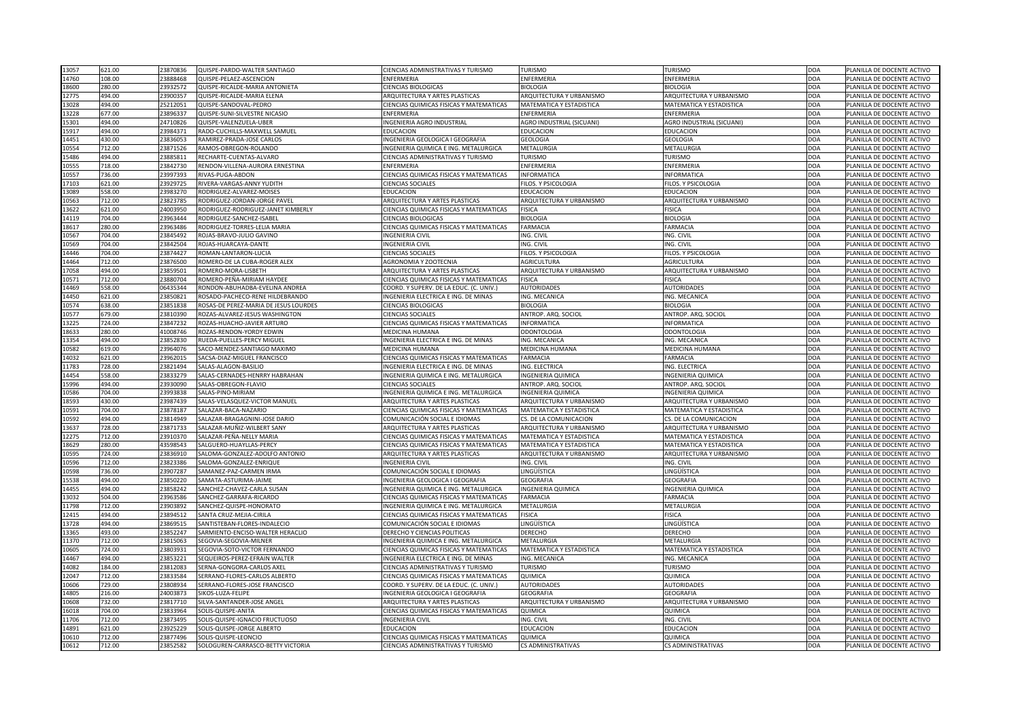| 13057<br>621.00 | 23870836 | QUISPE-PARDO-WALTER SANTIAGO          | <b>CIENCIAS ADMINISTRATIVAS Y TURISMO</b>                                  | <b>TURISMO</b>                   | <b>TURISMO</b>                   | DOA         | PLANILLA DE DOCENTE ACTIVO |
|-----------------|----------|---------------------------------------|----------------------------------------------------------------------------|----------------------------------|----------------------------------|-------------|----------------------------|
| 108.00<br>14760 | 23888468 | QUISPE-PELAEZ-ASCENCION               | <b>ENFERMERIA</b>                                                          | <b>ENFERMERIA</b>                | ENFERMERIA                       | <b>DOA</b>  | PLANILLA DE DOCENTE ACTIVO |
| 18600<br>280.00 | 23932572 | QUISPE-RICALDE-MARIA ANTONIETA        | <b>CIENCIAS BIOLOGICAS</b>                                                 | <b>BIOLOGIA</b>                  | <b>BIOLOGIA</b>                  | <b>DOA</b>  | PLANILLA DE DOCENTE ACTIVO |
| 12775<br>494.00 | 23900357 | QUISPE-RICALDE-MARIA ELENA            | <b>ARQUITECTURA Y ARTES PLASTICAS</b>                                      | ARQUITECTURA Y URBANISMO         | <b>ARQUITECTURA Y URBANISMO</b>  | <b>DOA</b>  | PLANILLA DE DOCENTE ACTIVO |
| 494.00<br>13028 | 25212051 | QUISPE-SANDOVAL-PEDRO                 | <b>CIENCIAS QUIMICAS FISICAS Y MATEMATICAS</b>                             | MATEMATICA Y ESTADISTICA         | <b>MATEMATICA Y ESTADISTICA</b>  | DOA         | PLANILLA DE DOCENTE ACTIVO |
| 677.00<br>13228 | 23896337 | QUISPE-SUNI-SILVESTRE NICASIO         | <b>ENFERMERIA</b>                                                          | <b>ENFERMERIA</b>                | ENFERMERIA                       | <b>DOA</b>  | PLANILLA DE DOCENTE ACTIVO |
| 494.00<br>15301 | 24710826 | QUISPE-VALENZUELA-UBER                | INGENIERIA AGRO INDUSTRIAL                                                 | <b>AGRO INDUSTRIAL (SICUANI)</b> | <b>AGRO INDUSTRIAL (SICUANI)</b> | <b>DOA</b>  | PLANILLA DE DOCENTE ACTIVO |
| 15917<br>494.00 | 23984371 | RADO-CUCHILLS-MAXWELL SAMUEL          | <b>EDUCACION</b>                                                           | <b>EDUCACION</b>                 | <b>EDUCACION</b>                 | <b>DOA</b>  | PLANILLA DE DOCENTE ACTIVO |
| 430.00<br>14451 | 23836053 | RAMIREZ-PRADA-JOSE CARLOS             | INGENIERIA GEOLOGICA I GEOGRAFIA                                           | <b>GEOLOGIA</b>                  | <b>GEOLOGIA</b>                  | <b>DOA</b>  | PLANILLA DE DOCENTE ACTIVO |
| 10554<br>712.00 | 23871526 | RAMOS-OBREGON-ROLANDO                 | INGENIERIA QUIMICA E ING. METALURGICA                                      | <b>METALURGIA</b>                | <b>METALURGIA</b>                | DOA         | PLANILLA DE DOCENTE ACTIVO |
| 494.00<br>15486 | 23885811 | RECHARTE-CUENTAS-ALVARO               | CIENCIAS ADMINISTRATIVAS Y TURISMO                                         | <b>TURISMO</b>                   | <b>TURISMO</b>                   | DOA         | PLANILLA DE DOCENTE ACTIVO |
| 10555<br>718.00 | 23842730 | RENDON-VILLENA-AURORA ERNESTINA       | <b>ENFERMERIA</b>                                                          | <b>ENFERMERIA</b>                | ENFERMERIA                       | DOA         | PLANILLA DE DOCENTE ACTIVO |
| 736.00<br>10557 | 23997393 | RIVAS-PUGA-ABDON                      | CIENCIAS QUIMICAS FISICAS Y MATEMATICAS                                    | <b>INFORMATICA</b>               | NFORMATICA                       | <b>DOA</b>  | PLANILLA DE DOCENTE ACTIVO |
| 621.00<br>17103 | 23929725 | RIVERA-VARGAS-ANNY YUDITH             | <b>CIENCIAS SOCIALES</b>                                                   | FILOS. Y PSICOLOGIA              | FILOS. Y PSICOLOGIA              | <b>DOA</b>  | PLANILLA DE DOCENTE ACTIVO |
| 13089<br>558.00 | 23983270 | RODRIGUEZ-ALVAREZ-MOISES              | <b>EDUCACION</b>                                                           | <b>EDUCACION</b>                 | <b>EDUCACION</b>                 | DOA         | PLANILLA DE DOCENTE ACTIVO |
| 10563<br>712.00 | 23823785 | RODRIGUEZ-JORDAN-JORGE PAVEL          | ARQUITECTURA Y ARTES PLASTICAS                                             | ARQUITECTURA Y URBANISMO         | ARQUITECTURA Y URBANISMO         | <b>DOA</b>  | PLANILLA DE DOCENTE ACTIVO |
| 13622<br>621.00 | 24003950 | RODRIGUEZ-RODRIGUEZ-JANET KIMBERLY    | CIENCIAS QUIMICAS FISICAS Y MATEMATICAS                                    | <b>FISICA</b>                    | <b>FISICA</b>                    | <b>DOA</b>  | PLANILLA DE DOCENTE ACTIVO |
| 704.00<br>14119 | 23963444 | RODRIGUEZ-SANCHEZ-ISABEL              | <b>CIENCIAS BIOLOGICAS</b>                                                 | <b>BIOLOGIA</b>                  | <b>BIOLOGIA</b>                  | DOA         | PLANILLA DE DOCENTE ACTIVO |
| 18617<br>280.00 | 23963486 | RODRIGUEZ-TORRES-LELIA MARIA          | <b>CIENCIAS QUIMICAS FISICAS Y MATEMATICAS</b>                             | <b>FARMACIA</b>                  | <b>FARMACIA</b>                  | <b>DOA</b>  | PLANILLA DE DOCENTE ACTIVO |
| 704.00<br>10567 | 23845492 | ROJAS-BRAVO-JULIO GAVINO              | <b>INGENIERIA CIVIL</b>                                                    | ING. CIVIL                       | ING. CIVIL                       | DOA         | PLANILLA DE DOCENTE ACTIVO |
| 704.00<br>10569 | 23842504 | ROJAS-HUARCAYA-DANTE                  | <b>INGENIERIA CIVIL</b>                                                    | ING. CIVIL                       | ING. CIVIL                       | <b>DOA</b>  | PLANILLA DE DOCENTE ACTIVO |
| 704.00<br>14446 | 23874427 | ROMAN-LANTARON-LUCIA                  | <b>CIENCIAS SOCIALES</b>                                                   | FILOS. Y PSICOLOGIA              | FILOS. Y PSICOLOGIA              | <b>DOA</b>  | PLANILLA DE DOCENTE ACTIVO |
| 712.00<br>14464 | 23876500 | ROMERO-DE LA CUBA-ROGER ALEX          | AGRONOMIA Y ZOOTECNIA                                                      | <b>AGRICULTURA</b>               | <b>AGRICULTURA</b>               | DOA         | PLANILLA DE DOCENTE ACTIVO |
| L7058<br>494.00 | 23859501 | ROMERO-MORA-LISBETH                   | <b>ARQUITECTURA Y ARTES PLASTICAS</b>                                      | ARQUITECTURA Y URBANISMO         | ARQUITECTURA Y URBANISMO         | <b>DOA</b>  | PLANILLA DE DOCENTE ACTIVO |
| 10571<br>712.00 | 23880704 | ROMERO-PEÑA-MIRIAM HAYDEE             | <b>CIENCIAS QUIMICAS FISICAS Y MATEMATICAS</b>                             | FISICA                           | <b>FISICA</b>                    | DOA         | PLANILLA DE DOCENTE ACTIVO |
| 558.00<br>14469 | 06435344 | RONDON-ABUHADBA-EVELINA ANDREA        | COORD. Y SUPERV. DE LA EDUC. (C. UNIV.)                                    | <b>AUTORIDADES</b>               | <b>AUTORIDADES</b>               | <b>DOA</b>  | PLANILLA DE DOCENTE ACTIVO |
| 621.00          | 23850821 | ROSADO-PACHECO-RENE HILDEBRANDO       | INGENIERIA ELECTRICA E ING. DE MINAS                                       | ING. MECANICA                    |                                  | <b>DOA</b>  |                            |
| 14450           |          |                                       |                                                                            |                                  | ING. MECANICA                    |             | PLANILLA DE DOCENTE ACTIVO |
| 638.00<br>10574 | 23851838 | ROSAS-DE PEREZ-MARIA DE JESUS LOURDES | <b>CIENCIAS BIOLOGICAS</b>                                                 | <b>BIOLOGIA</b>                  | <b>BIOLOGIA</b>                  | <b>DOA</b>  | PLANILLA DE DOCENTE ACTIVO |
| 10577<br>679.00 | 23810390 | ROZAS-ALVAREZ-JESUS WASHINGTON        | <b>CIENCIAS SOCIALES</b><br><b>CIENCIAS QUIMICAS FISICAS Y MATEMATICAS</b> | ANTROP. ARQ. SOCIOL              | ANTROP. ARQ. SOCIOL              | <b>DOA</b>  | PLANILLA DE DOCENTE ACTIVO |
| 724.00<br>13225 | 23847232 | ROZAS-HUACHO-JAVIER ARTURO            |                                                                            | <b>INFORMATICA</b>               | <b>INFORMATICA</b>               | DOA         | PLANILLA DE DOCENTE ACTIVO |
| 18633<br>280.00 | 11008746 | ROZAS-RENDON-YORDY EDWIN              | MEDICINA HUMANA                                                            | <b>ODONTOLOGIA</b>               | <b>ODONTOLOGIA</b>               | <b>DOA</b>  | PLANILLA DE DOCENTE ACTIVO |
| 13354<br>494.00 | 23852830 | <b>RUEDA-PUELLES-PERCY MIGUEL</b>     | INGENIERIA ELECTRICA E ING. DE MINAS                                       | ING. MECANICA                    | ING. MECANICA                    | DOA         | PLANILLA DE DOCENTE ACTIVO |
| 619.00<br>10582 | 23964076 | SACO-MENDEZ-SANTIAGO MAXIMO           | <b>MEDICINA HUMANA</b>                                                     | MEDICINA HUMANA                  | MEDICINA HUMANA                  | <b>DOA</b>  | PLANILLA DE DOCENTE ACTIVO |
| 14032<br>621.00 | 23962015 | SACSA-DIAZ-MIGUEL FRANCISCO           | <b>CIENCIAS QUIMICAS FISICAS Y MATEMATICAS</b>                             | FARMACIA                         | <b>FARMACIA</b>                  | <b>DOA</b>  | PLANILLA DE DOCENTE ACTIVO |
| 728.00<br>11783 | 23821494 | SALAS-ALAGON-BASILIO                  | INGENIERIA ELECTRICA E ING. DE MINAS                                       | ING. ELECTRICA                   | ING. ELECTRICA                   | DOA         | PLANILLA DE DOCENTE ACTIVO |
| 558.00<br>14454 | 23833279 | SALAS-CERNADES-HENRRY HABRAHAN        | INGENIERIA QUIMICA E ING. METALURGICA                                      | <b>INGENIERIA QUIMICA</b>        | <b>INGENIERIA QUIMICA</b>        | DOA         | PLANILLA DE DOCENTE ACTIVO |
| 15996<br>494.00 | 23930090 | SALAS-OBREGON-FLAVIO                  | <b>CIENCIAS SOCIALES</b>                                                   | <b>ANTROP. ARQ. SOCIOL</b>       | ANTROP. ARQ. SOCIOL              | DOA         | PLANILLA DE DOCENTE ACTIVO |
| 704.00<br>10586 | 23993838 | SALAS-PINO-MIRIAM                     | INGENIERIA QUIMICA E ING. METALURGICA                                      | <b>INGENIERIA QUIMICA</b>        | INGENIERIA QUIMICA               | <b>DOA</b>  | PLANILLA DE DOCENTE ACTIVO |
| 18593<br>430.00 | 23987439 | SALAS-VELASQUEZ-VICTOR MANUEL         | <b>ARQUITECTURA Y ARTES PLASTICAS</b>                                      | ARQUITECTURA Y URBANISMO         | ARQUITECTURA Y URBANISMO         | <b>DOA</b>  | PLANILLA DE DOCENTE ACTIVO |
| 704.00<br>10591 | 23878187 | SALAZAR-BACA-NAZARIO                  | <b>CIENCIAS QUIMICAS FISICAS Y MATEMATICAS</b>                             | MATEMATICA Y ESTADISTICA         | <b>MATEMATICA Y ESTADISTICA</b>  | DOA         | PLANILLA DE DOCENTE ACTIVO |
| 10592<br>494.00 | 23814949 | SALAZAR-BRAGAGNINI-JOSE DARIO         | COMUNICACIÓN SOCIAL E IDIOMAS                                              | CS. DE LA COMUNICACION           | CS. DE LA COMUNICACION           | DOA         | PLANILLA DE DOCENTE ACTIVO |
| 13637<br>728.00 | 23871733 | SALAZAR-MUÑIZ-WILBERT SANY            | <b>ARQUITECTURA Y ARTES PLASTICAS</b>                                      | ARQUITECTURA Y URBANISMO         | ARQUITECTURA Y URBANISMO         | DOA         | PLANILLA DE DOCENTE ACTIVO |
| 12275<br>712.00 | 23910370 | SALAZAR-PEÑA-NELLY MARIA              | CIENCIAS QUIMICAS FISICAS Y MATEMATICAS                                    | <b>MATEMATICA Y ESTADISTICA</b>  | MATEMATICA Y ESTADISTICA         | <b>DOA</b>  | PLANILLA DE DOCENTE ACTIVO |
| 18629<br>280.00 | 43598543 | SALGUERO-HUAYLLAS-PERCY               | <b>CIENCIAS QUIMICAS FISICAS Y MATEMATICAS</b>                             | MATEMATICA Y ESTADISTICA         | <b>MATEMATICA Y ESTADISTICA</b>  | <b>DOA</b>  | PLANILLA DE DOCENTE ACTIVO |
| 10595<br>724.00 | 23836910 | SALOMA-GONZALEZ-ADOLFO ANTONIO        | <b>ARQUITECTURA Y ARTES PLASTICAS</b>                                      | ARQUITECTURA Y URBANISMO         | <b>ARQUITECTURA Y URBANISMO</b>  | DOA         | PLANILLA DE DOCENTE ACTIVO |
| 10596<br>712.00 | 23823386 | SALOMA-GONZALEZ-ENRIQUE               | <b>INGENIERIA CIVIL</b>                                                    | ING. CIVIL                       | ING. CIVIL                       | DOA         | PLANILLA DE DOCENTE ACTIVO |
| 10598<br>736.00 | 23907287 | SAMANEZ-PAZ-CARMEN IRMA               | COMUNICACIÓN SOCIAL E IDIOMAS                                              | LINGÜÍSTICA                      | INGÜÍSTICA.                      | <b>DOA</b>  | PLANILLA DE DOCENTE ACTIVO |
| 494.00<br>15538 | 23850220 | SAMATA-ASTURIMA-JAIME                 | INGENIERIA GEOLOGICA I GEOGRAFIA                                           | <b>GEOGRAFIA</b>                 | GEOGRAFIA                        | DOA         | PLANILLA DE DOCENTE ACTIVO |
| 494.00<br>14455 | 23858242 | SANCHEZ-CHAVEZ-CARLA SUSAN            | INGENIERIA QUIMICA E ING. METALURGICA                                      | <b>INGENIERIA QUIMICA</b>        | <b>INGENIERIA QUIMICA</b>        | <b>DOA</b>  | PLANILLA DE DOCENTE ACTIVO |
| 504.00<br>13032 | 23963586 | SANCHEZ-GARRAFA-RICARDO               | <b>CIENCIAS QUIMICAS FISICAS Y MATEMATICAS</b>                             | FARMACIA                         | <b>FARMACIA</b>                  | <b>DOA</b>  | PLANILLA DE DOCENTE ACTIVO |
| 11798<br>712.00 | 23903892 | SANCHEZ-QUISPE-HONORATO               | INGENIERIA QUIMICA E ING. METALURGICA                                      | <b>METALURGIA</b>                | <b>METALURGIA</b>                | DOA         | PLANILLA DE DOCENTE ACTIVO |
| 12415<br>494.00 | 23894512 | SANTA CRUZ-MEJIA-CIRILA               | CIENCIAS QUIMICAS FISICAS Y MATEMATICAS                                    | <b>FISICA</b>                    | <b>FISICA</b>                    | DOA         | PLANILLA DE DOCENTE ACTIVO |
| 494.00<br>13728 | 23869515 | SANTISTEBAN-FLORES-INDALECIO          | COMUNICACIÓN SOCIAL E IDIOMAS                                              | LINGÜÍSTICA                      | INGÜÍSTICA.                      | <b>DOA</b>  | PLANILLA DE DOCENTE ACTIVO |
| 13365<br>493.00 | 23852247 | SARMIENTO-ENCISO-WALTER HERACLIO      | <b>DERECHO Y CIENCIAS POLITICAS</b>                                        | <b>DERECHO</b>                   | <b>DERECHO</b>                   | <b>DOA</b>  | PLANILLA DE DOCENTE ACTIVO |
| 712.00<br>11370 | 23815063 | SEGOVIA-SEGOVIA-MILNER                | INGENIERIA QUIMICA E ING. METALURGICA                                      | METALURGIA                       | <b>METALURGIA</b>                | DOA         | PLANILLA DE DOCENTE ACTIVO |
| 10605<br>724.00 | 23803931 | SEGOVIA-SOTO-VICTOR FERNANDO          | <b>CIENCIAS QUIMICAS FISICAS Y MATEMATICAS</b>                             | MATEMATICA Y ESTADISTICA         | <b>MATEMATICA Y ESTADISTICA</b>  | <b>DOA</b>  | PLANILLA DE DOCENTE ACTIVO |
| 494.00<br>14467 | 23853221 | SEQUEIROS-PEREZ-EFRAIN WALTER         | INGENIERIA ELECTRICA E ING. DE MINAS                                       | ING. MECANICA                    | ING. MECANICA                    | <b>DOA</b>  | PLANILLA DE DOCENTE ACTIVO |
| 184.00<br>14082 | 23812083 | SERNA-GONGORA-CARLOS AXEL             | CIENCIAS ADMINISTRATIVAS Y TURISMO                                         | <b>TURISMO</b>                   | TURISMO                          | <b>DOA</b>  | PLANILLA DE DOCENTE ACTIVO |
| 12047<br>712.00 | 23833584 | SERRANO-FLORES-CARLOS ALBERTO         | <b>CIENCIAS QUIMICAS FISICAS Y MATEMATICAS</b>                             | <b>QUIMICA</b>                   | QUIMICA                          | <b>DOA</b>  | PLANILLA DE DOCENTE ACTIVO |
| 729.00<br>10606 | 23808934 | SERRANO-FLORES-JOSE FRANCISCO         | COORD. Y SUPERV. DE LA EDUC. (C. UNIV.)                                    | <b>AUTORIDADES</b>               | <b>AUTORIDADES</b>               | DOA         | PLANILLA DE DOCENTE ACTIVO |
| 14805<br>216.00 | 24003873 | SIKOS-LUZA-FELIPE                     | INGENIERIA GEOLOGICA I GEOGRAFIA                                           | <b>GEOGRAFIA</b>                 | <b>GEOGRAFIA</b>                 | DOA         | PLANILLA DE DOCENTE ACTIVO |
| 10608<br>732.00 | 23817710 | SILVA-SANTANDER-JOSE ANGEL            | <b>ARQUITECTURA Y ARTES PLASTICAS</b>                                      | <b>ARQUITECTURA Y URBANISMO</b>  | <b>ARQUITECTURA Y URBANISMO</b>  | <b>DOA</b>  | PLANILLA DE DOCENTE ACTIVO |
| 704.00<br>16018 | 23833964 | SOLIS-QUISPE-ANITA                    | <b>CIENCIAS QUIMICAS FISICAS Y MATEMATICAS</b>                             | <b>J</b> QUIMICA                 | <b>QUIMICA</b>                   | <b>JDOA</b> | PLANILLA DE DOCENTE ACTIVO |
| 11706<br>712.00 | 23873495 | SOLIS-QUISPE-IGNACIO FRUCTUOSO        | <b>INGENIERIA CIVIL</b>                                                    | ING. CIVIL                       | ING. CIVIL                       | <b>DOA</b>  | PLANILLA DE DOCENTE ACTIVO |
| 621.00<br>14891 | 23925229 | SOLIS-QUISPE-JORGE ALBERTO            | <b>EDUCACION</b>                                                           | <b>EDUCACION</b>                 | <b>EDUCACION</b>                 | <b>DOA</b>  | PLANILLA DE DOCENTE ACTIVO |
| 712.00<br>10610 | 23877496 | SOLIS-QUISPE-LEONCIO                  | <b>CIENCIAS QUIMICAS FISICAS Y MATEMATICAS</b>                             | <b>QUIMICA</b>                   | <b>QUIMICA</b>                   | DOA         | PLANILLA DE DOCENTE ACTIVO |
|                 |          | SOLOGUREN-CARRASCO-BETTY VICTORIA     |                                                                            |                                  |                                  |             |                            |
| 712.00<br>10612 | 23852582 |                                       | <b>CIENCIAS ADMINISTRATIVAS Y TURISMO</b>                                  | <b>CS ADMINISTRATIVAS</b>        | <b>CS ADMINISTRATIVAS</b>        | <b>DOA</b>  | PLANILLA DE DOCENTE ACTIVO |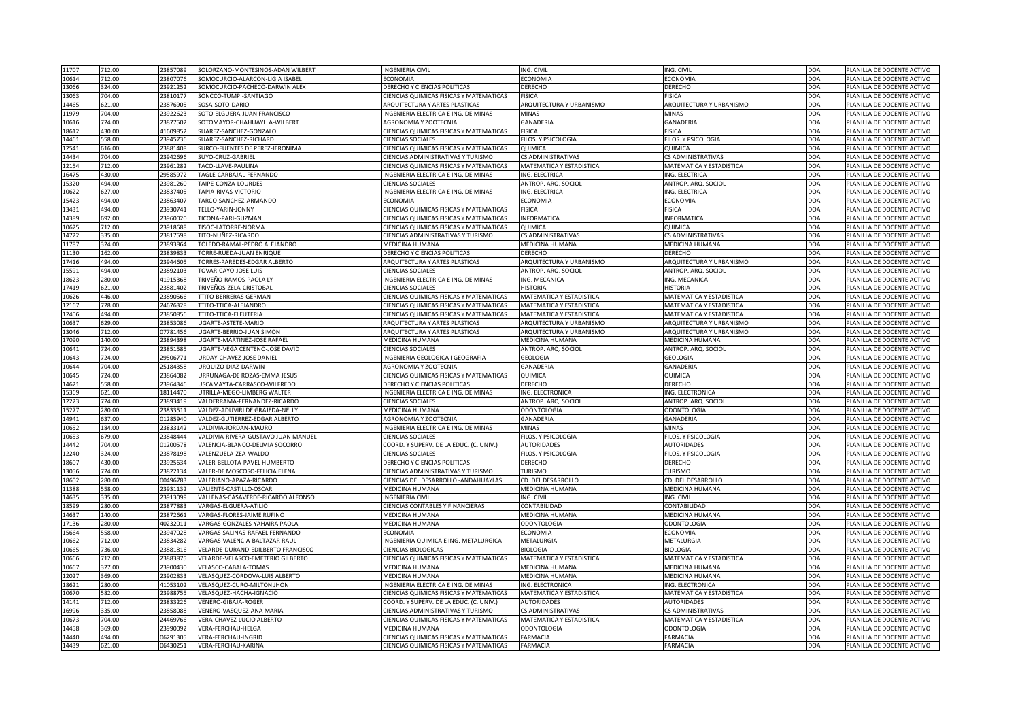| 11707 | 712.00           | 23857089             | SOLORZANO-MONTESINOS-ADAN WILBERT                          | <b>INGENIERIA CIVIL</b>                                      | ING. CIVIL                          | ING. CIVIL                          | <b>DOA</b>               | PLANILLA DE DOCENTE ACTIVO                               |
|-------|------------------|----------------------|------------------------------------------------------------|--------------------------------------------------------------|-------------------------------------|-------------------------------------|--------------------------|----------------------------------------------------------|
| 10614 | 712.00           | 23807076             | SOMOCURCIO-ALARCON-LIGIA ISABEL                            | <b>ECONOMIA</b>                                              | <b>ECONOMIA</b>                     | <b>ECONOMIA</b>                     | <b>DOA</b>               | PLANILLA DE DOCENTE ACTIVO                               |
| 13066 | 324.00           | 23921252             | SOMOCURCIO-PACHECO-DARWIN ALEX                             | <b>DERECHO Y CIENCIAS POLITICAS</b>                          | <b>DERECHO</b>                      | <b>DERECHO</b>                      | <b>DOA</b>               | PLANILLA DE DOCENTE ACTIVO                               |
| 13063 | 704.00           | 23810177             | SONCCO-TUMPI-SANTIAGO                                      | <b>CIENCIAS QUIMICAS FISICAS Y MATEMATICAS</b>               | <b>FISICA</b>                       | <b>FISICA</b>                       | <b>DOA</b>               | PLANILLA DE DOCENTE ACTIVO                               |
| 14465 | 621.00           | 23876905             | SOSA-SOTO-DARIO                                            | <b>ARQUITECTURA Y ARTES PLASTICAS</b>                        | ARQUITECTURA Y URBANISMO            | ARQUITECTURA Y URBANISMO            | <b>DOA</b>               | PLANILLA DE DOCENTE ACTIVO                               |
| 11979 | 704.00           | 23922623             | SOTO-ELGUERA-JUAN FRANCISCO                                | INGENIERIA ELECTRICA E ING. DE MINAS                         | <b>MINAS</b>                        | <b>MINAS</b>                        | <b>DOA</b>               | PLANILLA DE DOCENTE ACTIVO                               |
| 10616 | 724.00           | 23877502             | SOTOMAYOR-CHAHUAYLLA-WILBERT                               | AGRONOMIA Y ZOOTECNIA                                        | <b>GANADERIA</b>                    | <b>GANADERIA</b>                    | <b>DOA</b>               | PLANILLA DE DOCENTE ACTIVO                               |
| 18612 | 430.00           | 41609852             | SUAREZ-SANCHEZ-GONZALO                                     | <b>CIENCIAS QUIMICAS FISICAS Y MATEMATICAS</b>               | <b>FISICA</b>                       | <b>FISICA</b>                       | <b>DOA</b>               | PLANILLA DE DOCENTE ACTIVO                               |
| 14461 | 558.00           | 23945736             | SUAREZ-SANCHEZ-RICHARD                                     | <b>CIENCIAS SOCIALES</b>                                     | FILOS. Y PSICOLOGIA                 | FILOS. Y PSICOLOGIA                 | <b>DOA</b>               | PLANILLA DE DOCENTE ACTIVO                               |
| 12541 | 616.00           | 23881408             | SURCO-FUENTES DE PEREZ-JERONIMA                            | <b>CIENCIAS QUIMICAS FISICAS Y MATEMATICAS</b>               | <b>QUIMICA</b>                      | <b>QUIMICA</b>                      | <b>DOA</b>               | PLANILLA DE DOCENTE ACTIVO                               |
| 14434 | 704.00           | 23942696             | SUYO-CRUZ-GABRIEL                                          | <b>CIENCIAS ADMINISTRATIVAS Y TURISMO</b>                    | <b>CS ADMINISTRATIVAS</b>           | <b>CS ADMINISTRATIVAS</b>           | <b>DOA</b>               | PLANILLA DE DOCENTE ACTIVO                               |
| 12154 | 712.00           | 23961282             | TACO-LLAVE-PAULINA                                         | CIENCIAS QUIMICAS FISICAS Y MATEMATICAS                      | MATEMATICA Y ESTADISTICA            | <b>MATEMATICA Y ESTADISTICA</b>     | <b>DOA</b>               | PLANILLA DE DOCENTE ACTIVO                               |
| 16475 | 430.00           | 29585972             | TAGLE-CARBAJAL-FERNANDO                                    | INGENIERIA ELECTRICA E ING. DE MINAS                         | ING. ELECTRICA                      | ING. ELECTRICA                      | <b>DOA</b>               | PLANILLA DE DOCENTE ACTIVO                               |
| 15320 | 494.00           | 23981260             | TAIPE-CONZA-LOURDES                                        | <b>CIENCIAS SOCIALES</b>                                     | ANTROP. ARQ. SOCIOL                 | ANTROP. ARQ. SOCIOL                 | <b>DOA</b>               | PLANILLA DE DOCENTE ACTIVO                               |
| 10622 | 627.00           | 23837405             | TAPIA-RIVAS-VICTORIO                                       | INGENIERIA ELECTRICA E ING. DE MINAS                         | ING. ELECTRICA                      | ING. ELECTRICA                      | <b>DOA</b>               | PLANILLA DE DOCENTE ACTIVO                               |
| 15423 | 494.00           | 23863407             | TARCO-SANCHEZ-ARMANDO                                      | <b>ECONOMIA</b>                                              | <b>ECONOMIA</b>                     | <b>ECONOMIA</b>                     | <b>DOA</b>               | PLANILLA DE DOCENTE ACTIVO                               |
| 13431 | 494.00           | 23930741             | TELLO-YARIN-JONNY                                          | CIENCIAS QUIMICAS FISICAS Y MATEMATICAS                      | <b>FISICA</b>                       | <b>FISICA</b>                       | <b>DOA</b>               | PLANILLA DE DOCENTE ACTIVO                               |
| 14389 | 692.00           | 23960020             | TICONA-PARI-GUZMAN                                         | <b>CIENCIAS QUIMICAS FISICAS Y MATEMATICAS</b>               | <b>INFORMATICA</b>                  | <b>INFORMATICA</b>                  | <b>DOA</b>               | PLANILLA DE DOCENTE ACTIVO                               |
| 10625 | 712.00           | 23918688             | TISOC-LATORRE-NORMA                                        | CIENCIAS QUIMICAS FISICAS Y MATEMATICAS                      | <b>QUIMICA</b>                      | <b>QUIMICA</b>                      | <b>DOA</b>               | PLANILLA DE DOCENTE ACTIVO                               |
| 14722 | 335.00           | 23817598             | TITO-NUÑEZ-RICARDO                                         | <b>CIENCIAS ADMINISTRATIVAS Y TURISMO</b>                    | <b>CS ADMINISTRATIVAS</b>           | <b>CS ADMINISTRATIVAS</b>           | <b>DOA</b>               | PLANILLA DE DOCENTE ACTIVO                               |
| 11787 | 324.00           | 23893864             | TOLEDO-RAMAL-PEDRO ALEJANDRO                               | MEDICINA HUMANA                                              | <b>MEDICINA HUMANA</b>              | MEDICINA HUMANA                     | <b>DOA</b>               | PLANILLA DE DOCENTE ACTIVO                               |
| 11130 | 162.00           | 23839833             | TORRE-RUEDA-JUAN ENRIQUE                                   | DERECHO Y CIENCIAS POLITICAS                                 | <b>DERECHO</b>                      | <b>DERECHO</b>                      | <b>DOA</b>               | PLANILLA DE DOCENTE ACTIVO                               |
| 17416 | 494.00           | 23944605             | TORRES-PAREDES-EDGAR ALBERTO                               | <b>ARQUITECTURA Y ARTES PLASTICAS</b>                        | ARQUITECTURA Y URBANISMO            | ARQUITECTURA Y URBANISMO            | <b>DOA</b>               | PLANILLA DE DOCENTE ACTIVO                               |
| 15591 | 494.00           | 23892103             | TOVAR-CAYO-JOSE LUIS                                       | <b>CIENCIAS SOCIALES</b>                                     | ANTROP. ARQ. SOCIOL                 | ANTROP. ARQ. SOCIOL                 | <b>DOA</b>               | PLANILLA DE DOCENTE ACTIVO                               |
| 18623 | 280.00           | 41915368             | TRIVEÑO-RAMOS-PAOLA LY                                     | INGENIERIA ELECTRICA E ING. DE MINAS                         | ING. MECANICA                       | ING. MECANICA                       | <b>DOA</b>               | PLANILLA DE DOCENTE ACTIVO                               |
| 17419 | 621.00           | 23881402             | TRIVEÑOS-ZELA-CRISTOBAL                                    | <b>CIENCIAS SOCIALES</b>                                     | <b>HISTORIA</b>                     | <b>HISTORIA</b>                     | <b>DOA</b>               | PLANILLA DE DOCENTE ACTIVO                               |
| 10626 | 446.00           | 23890566             | <b>TTITO-BERRERAS-GERMAN</b>                               | CIENCIAS QUIMICAS FISICAS Y MATEMATICAS                      | <b>MATEMATICA Y ESTADISTICA</b>     | <b>MATEMATICA Y ESTADISTICA</b>     | <b>DOA</b>               | PLANILLA DE DOCENTE ACTIVO                               |
| 12167 | 728.00           | 24676328             | TTITO-TTICA-ALEJANDRO                                      | CIENCIAS QUIMICAS FISICAS Y MATEMATICAS                      | <b>MATEMATICA Y ESTADISTICA</b>     | MATEMATICA Y ESTADISTICA            | <b>DOA</b>               | PLANILLA DE DOCENTE ACTIVO                               |
| 12406 | 494.00           | 23850856             | TTITO-TTICA-ELEUTERIA                                      | <b>CIENCIAS QUIMICAS FISICAS Y MATEMATICAS</b>               | MATEMATICA Y ESTADISTICA            | <b>MATEMATICA Y ESTADISTICA</b>     | <b>DOA</b>               | PLANILLA DE DOCENTE ACTIVO                               |
| 10637 | 629.00           | 23853086             | UGARTE-ASTETE-MARIO                                        | <b>ARQUITECTURA Y ARTES PLASTICAS</b>                        | ARQUITECTURA Y URBANISMO            | ARQUITECTURA Y URBANISMO            | <b>DOA</b>               | PLANILLA DE DOCENTE ACTIVO                               |
|       | 712.00           | 07781456             | UGARTE-BERRIO-JUAN SIMON                                   | <b>ARQUITECTURA Y ARTES PLASTICAS</b>                        | ARQUITECTURA Y URBANISMO            | <b>ARQUITECTURA Y URBANISMO</b>     | <b>DOA</b>               | PLANILLA DE DOCENTE ACTIVO                               |
| 13046 | 140.00           | 23894398             |                                                            | <b>MEDICINA HUMANA</b>                                       | MEDICINA HUMANA                     | <b>MEDICINA HUMANA</b>              | <b>DOA</b>               |                                                          |
| 17090 |                  |                      | UGARTE-MARTINEZ-JOSE RAFAEL                                |                                                              |                                     | ANTROP. ARQ. SOCIOL                 |                          | PLANILLA DE DOCENTE ACTIVO<br>PLANILLA DE DOCENTE ACTIVO |
| 10641 | 724.00<br>724.00 | 23851585<br>29506771 | UGARTE-VEGA CENTENO-JOSE DAVID<br>URDAY-CHAVEZ-JOSE DANIEL | <b>CIENCIAS SOCIALES</b><br>INGENIERIA GEOLOGICA I GEOGRAFIA | ANTROP. ARQ. SOCIOL                 |                                     | <b>DOA</b><br><b>DOA</b> |                                                          |
| 10643 | 704.00           | 25184358             | URQUIZO-DIAZ-DARWIN                                        | <b>AGRONOMIA Y ZOOTECNIA</b>                                 | <b>GEOLOGIA</b><br><b>GANADERIA</b> | <b>GEOLOGIA</b><br><b>GANADERIA</b> | <b>DOA</b>               | PLANILLA DE DOCENTE ACTIVO<br>PLANILLA DE DOCENTE ACTIVO |
| 10644 | 724.00           | 23864082             | URRUNAGA-DE ROZAS-EMMA JESUS                               |                                                              | <b>QUIMICA</b>                      |                                     | <b>DOA</b>               | PLANILLA DE DOCENTE ACTIVO                               |
| 10645 |                  | 23964346             | USCAMAYTA-CARRASCO-WILFREDO                                | <b>CIENCIAS QUIMICAS FISICAS Y MATEMATICAS</b>               | <b>DERECHO</b>                      | QUIMICA<br><b>DERECHO</b>           |                          |                                                          |
| 14621 | 558.00           |                      |                                                            | DERECHO Y CIENCIAS POLITICAS                                 |                                     |                                     | <b>DOA</b>               | PLANILLA DE DOCENTE ACTIVO                               |
| 15369 | 621.00           | 18114470             | UTRILLA-MEGO-LIMBERG WALTER                                | INGENIERIA ELECTRICA E ING. DE MINAS                         | ING. ELECTRONICA                    | ING. ELECTRONICA                    | <b>DOA</b>               | PLANILLA DE DOCENTE ACTIVO                               |
| 12223 | 724.00           | 23893419             | VALDERRAMA-FERNANDEZ-RICARDO                               | <b>CIENCIAS SOCIALES</b>                                     | ANTROP. ARQ. SOCIOL                 | ANTROP. ARQ. SOCIOL                 | <b>DOA</b>               | PLANILLA DE DOCENTE ACTIVO                               |
| 15277 | 280.00           | 23833511             | VALDEZ-ADUVIRI DE GRAJEDA-NELLY                            | <b>MEDICINA HUMANA</b>                                       | <b>ODONTOLOGIA</b>                  | <b>ODONTOLOGIA</b>                  | <b>DOA</b><br><b>DOA</b> | PLANILLA DE DOCENTE ACTIVO                               |
| 14941 | 637.00           | 01285940             | VALDEZ-GUTIERREZ-EDGAR ALBERTO                             | AGRONOMIA Y ZOOTECNIA                                        | <b>GANADERIA</b>                    | <b>GANADERIA</b><br><b>MINAS</b>    | <b>DOA</b>               | PLANILLA DE DOCENTE ACTIVO                               |
| 10652 | 184.00           | 23833142             | VALDIVIA-JORDAN-MAURO                                      | INGENIERIA ELECTRICA E ING. DE MINAS                         | <b>MINAS</b>                        |                                     |                          | PLANILLA DE DOCENTE ACTIVO                               |
| 10653 | 679.00           | 23848444             | VALDIVIA-RIVERA-GUSTAVO JUAN MANUEL                        | <b>CIENCIAS SOCIALES</b>                                     | FILOS. Y PSICOLOGIA                 | FILOS. Y PSICOLOGIA                 | <b>DOA</b>               | PLANILLA DE DOCENTE ACTIVO                               |
| 14442 | 704.00           | 01200578             | VALENCIA-BLANCO-DELMIA SOCORRO                             | COORD. Y SUPERV. DE LA EDUC. (C. UNIV.)                      | <b>AUTORIDADES</b>                  | <b>AUTORIDADES</b>                  | <b>DOA</b>               | PLANILLA DE DOCENTE ACTIVO                               |
| 12240 | 324.00           | 23878198             | VALENZUELA-ZEA-WALDO                                       | <b>CIENCIAS SOCIALES</b>                                     | FILOS. Y PSICOLOGIA                 | FILOS. Y PSICOLOGIA                 | <b>DOA</b>               | PLANILLA DE DOCENTE ACTIVO                               |
| 18607 | 430.00           | 23925634             | VALER-BELLOTA-PAVEL HUMBERTO                               | DERECHO Y CIENCIAS POLITICAS                                 | <b>DERECHO</b>                      | <b>DERECHO</b>                      | <b>DOA</b>               | PLANILLA DE DOCENTE ACTIVO                               |
| 13056 | 724.00           | 23822134             | VALER-DE MOSCOSO-FELICIA ELENA                             | CIENCIAS ADMINISTRATIVAS Y TURISMO                           | <b>TURISMO</b>                      | <b>TURISMO</b>                      | <b>DOA</b>               | PLANILLA DE DOCENTE ACTIVO                               |
| 18602 | 280.00           | 00496783             | VALERIANO-APAZA-RICARDO                                    | CIENCIAS DEL DESARROLLO -ANDAHUAYLAS                         | <b>CD. DEL DESARROLLO</b>           | <b>CD. DEL DESARROLLO</b>           | <b>DOA</b>               | PLANILLA DE DOCENTE ACTIVO                               |
| 11388 | 558.00           | 23931132             | VALIENTE-CASTILLO-OSCAR                                    | <b>MEDICINA HUMANA</b>                                       | <b>MEDICINA HUMANA</b>              | <b>MEDICINA HUMANA</b>              | <b>DOA</b>               | PLANILLA DE DOCENTE ACTIVO                               |
| 14635 | 335.00           | 23913099             | VALLENAS-CASAVERDE-RICARDO ALFONSO                         | <b>INGENIERIA CIVIL</b>                                      | ING. CIVIL                          | ING. CIVIL                          | <b>DOA</b>               | PLANILLA DE DOCENTE ACTIVO                               |
| 18599 | 280.00           | 23877883             | VARGAS-ELGUERA-ATILIO                                      | <b>CIENCIAS CONTABLES Y FINANCIERAS</b>                      | CONTABILIDAD                        | <b>CONTABILIDAD</b>                 | <b>DOA</b>               | PLANILLA DE DOCENTE ACTIVO                               |
| 14637 | 140.00           | 23872661             | VARGAS-FLORES-JAIME RUFINO                                 | <b>MEDICINA HUMANA</b>                                       | <b>MEDICINA HUMANA</b>              | MEDICINA HUMANA                     | <b>DOA</b>               | PLANILLA DE DOCENTE ACTIVO                               |
| 17136 | 280.00           | 40232011             | VARGAS-GONZALES-YAHAIRA PAOLA                              | <b>MEDICINA HUMANA</b>                                       | <b>ODONTOLOGIA</b>                  | <b>ODONTOLOGIA</b>                  | <b>DOA</b>               | PLANILLA DE DOCENTE ACTIVO                               |
| 15664 | 558.00           | 23947028             | VARGAS-SALINAS-RAFAEL FERNANDO                             | <b>ECONOMIA</b>                                              | <b>ECONOMIA</b>                     | <b>ECONOMIA</b>                     | <b>DOA</b>               | PLANILLA DE DOCENTE ACTIVO                               |
| 10662 | 712.00           | 23834282             | VARGAS-VALENCIA-BALTAZAR RAUL                              | INGENIERIA QUIMICA E ING. METALURGICA                        | <b>METALURGIA</b>                   | <b>METALURGIA</b>                   | <b>DOA</b>               | PLANILLA DE DOCENTE ACTIVO                               |
| 10665 | 736.00           | 23881816             | VELARDE-DURAND-EDILBERTO FRANCISCO                         | <b>CIENCIAS BIOLOGICAS</b>                                   | <b>BIOLOGIA</b>                     | <b>BIOLOGIA</b>                     | <b>DOA</b>               | PLANILLA DE DOCENTE ACTIVO                               |
| 10666 | 712.00           | 23883875             | VELARDE-VELASCO-EMETERIO GILBERTO                          | CIENCIAS QUIMICAS FISICAS Y MATEMATICAS                      | <b>MATEMATICA Y ESTADISTICA</b>     | MATEMATICA Y ESTADISTICA            | <b>DOA</b>               | PLANILLA DE DOCENTE ACTIVO                               |
| 10667 | 327.00           | 23900430             | VELASCO-CABALA-TOMAS                                       | <b>MEDICINA HUMANA</b>                                       | MEDICINA HUMANA                     | MEDICINA HUMANA                     | <b>DOA</b>               | PLANILLA DE DOCENTE ACTIVO                               |
| 12027 | 369.00           | 23902833             | VELASQUEZ-CORDOVA-LUIS ALBERTO                             | <b>MEDICINA HUMANA</b>                                       | <b>MEDICINA HUMANA</b>              | <b>MEDICINA HUMANA</b>              | <b>DOA</b>               | PLANILLA DE DOCENTE ACTIVO                               |
| 18621 | 280.00           | 41053102             | VELASQUEZ-CURO-MILTON JHON                                 | INGENIERIA ELECTRICA E ING. DE MINAS                         | ING. ELECTRONICA                    | ING. ELECTRONICA                    | <b>DOA</b>               | PLANILLA DE DOCENTE ACTIVO                               |
| 10670 | 582.00           | 23988755             | VELASQUEZ-HACHA-IGNACIO                                    | <b>CIENCIAS QUIMICAS FISICAS Y MATEMATICAS</b>               | <b>MATEMATICA Y ESTADISTICA</b>     | <b>MATEMATICA Y ESTADISTICA</b>     | <b>DOA</b>               | PLANILLA DE DOCENTE ACTIVO                               |
| 14141 | 712.00           | 23833226             | <b>VENERO-GIBAJA-ROGER</b>                                 | COORD. Y SUPERV. DE LA EDUC. (C. UNIV.)                      | <b>AUTORIDADES</b>                  | <b>AUTORIDADES</b>                  | <b>DOA</b>               | PLANILLA DE DOCENTE ACTIVO                               |
| 16996 | 335.00           | 23858088             | VENERO-VASQUEZ-ANA MARIA                                   | <b>CIENCIAS ADMINISTRATIVAS Y TURISMO</b>                    | CS ADMINISTRATIVAS                  | <b>CS ADMINISTRATIVAS</b>           | <b>IDOA</b>              | PLANILLA DE DOCENTE ACTIVO                               |
| 10673 | 704.00           | 24469766             | VERA-CHAVEZ-LUCIO ALBERTO                                  | <b>CIENCIAS QUIMICAS FISICAS Y MATEMATICAS</b>               | MATEMATICA Y ESTADISTICA            | MATEMATICA Y ESTADISTICA            | <b>DOA</b>               | PLANILLA DE DOCENTE ACTIVO                               |
| 14458 | 369.00           | 23990092             | VERA-FERCHAU-HELGA                                         | MEDICINA HUMANA                                              | <b>ODONTOLOGIA</b>                  | <b>ODONTOLOGIA</b>                  | <b>DOA</b>               | PLANILLA DE DOCENTE ACTIVO                               |
| 14440 | 494.00           | 06291305             | VERA-FERCHAU-INGRID                                        | <b>CIENCIAS QUIMICAS FISICAS Y MATEMATICAS</b>               | FARMACIA                            | FARMACIA                            | <b>DOA</b>               | PLANILLA DE DOCENTE ACTIVO                               |
| 14439 | 621.00           | 06430251             | VERA-FERCHAU-KARINA                                        | <b>CIENCIAS QUIMICAS FISICAS Y MATEMATICAS</b>               | FARMACIA                            | FARMACIA                            | <b>DOA</b>               | PLANILLA DE DOCENTE ACTIVO                               |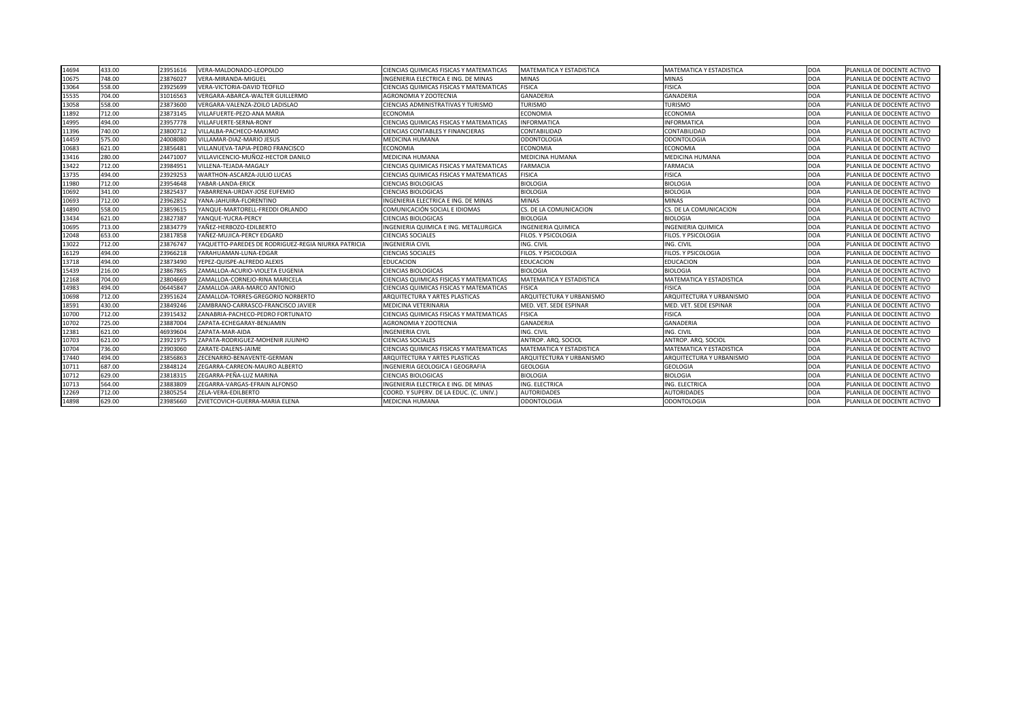| 14694 | 433.00 | 23951616 | VERA-MALDONADO-LEOPOLDO                             | CIENCIAS QUIMICAS FISICAS Y MATEMATICAS | MATEMATICA Y ESTADISTICA        | <b>MATEMATICA Y ESTADISTICA</b> | DOA        | PLANILLA DE DOCENTE ACTIVO |
|-------|--------|----------|-----------------------------------------------------|-----------------------------------------|---------------------------------|---------------------------------|------------|----------------------------|
| 10675 | 748.00 | 23876027 | VERA-MIRANDA-MIGUEL                                 | INGENIERIA ELECTRICA E ING. DE MINAS    | <b>MINAS</b>                    | <b>MINAS</b>                    | <b>DOA</b> | PLANILLA DE DOCENTE ACTIVO |
| 13064 | 558.00 | 23925699 | VERA-VICTORIA-DAVID TEOFILO                         | CIENCIAS QUIMICAS FISICAS Y MATEMATICAS | <b>FISICA</b>                   | <b>FISICA</b>                   | <b>DOA</b> | PLANILLA DE DOCENTE ACTIVO |
| 15535 | 704.00 | 31016563 | VERGARA-ABARCA-WALTER GUILLERMO                     | AGRONOMIA Y ZOOTECNIA                   | GANADERIA                       | <b>GANADERIA</b>                | DOA        | PLANILLA DE DOCENTE ACTIVO |
| 13058 | 558.00 | 23873600 | VERGARA-VALENZA-ZOILO LADISLAO                      | CIENCIAS ADMINISTRATIVAS Y TURISMO      | <b>TURISMO</b>                  | <b>TURISMO</b>                  | DOA        | PLANILLA DE DOCENTE ACTIVO |
| 11892 | 712.00 | 23873145 | VILLAFUERTE-PEZO-ANA MARIA                          | <b>ECONOMIA</b>                         | <b>ECONOMIA</b>                 | <b>ECONOMIA</b>                 | DOA        | PLANILLA DE DOCENTE ACTIVO |
| 14995 | 494.00 | 23957778 | VILLAFUERTE-SERNA-RONY                              | CIENCIAS QUIMICAS FISICAS Y MATEMATICAS | <b>INFORMATICA</b>              | <b>INFORMATICA</b>              | DOA        | PLANILLA DE DOCENTE ACTIVO |
| 11396 | 740.00 | 23800712 | VILLALBA-PACHECO-MAXIMO                             | <b>CIENCIAS CONTABLES Y FINANCIERAS</b> | CONTABILIDAD                    | CONTABILIDAD                    | DOA        | PLANILLA DE DOCENTE ACTIVO |
| 14459 | 575.00 | 24008080 | VILLAMAR-DIAZ-MARIO JESUS                           | MEDICINA HUMANA                         | ODONTOLOGIA                     | <b>ODONTOLOGIA</b>              | DOA        | PLANILLA DE DOCENTE ACTIVO |
| 10683 | 621.00 | 23856481 | VILLANUEVA-TAPIA-PEDRO FRANCISCO                    | <b>ECONOMIA</b>                         | <b>ECONOMIA</b>                 | ECONOMIA                        | DOA        | PLANILLA DE DOCENTE ACTIVO |
| 13416 | 280.00 | 24471007 | VILLAVICENCIO-MUÑOZ-HECTOR DANILO                   | <b>MEDICINA HUMANA</b>                  | <b>MEDICINA HUMANA</b>          | MEDICINA HUMANA                 | DOA        | PLANILLA DE DOCENTE ACTIVO |
| 13422 | 712.00 | 23984951 | VILLENA-TEJADA-MAGALY                               | CIENCIAS QUIMICAS FISICAS Y MATEMATICAS | FARMACIA                        | <b>FARMACIA</b>                 | DOA        | PLANILLA DE DOCENTE ACTIVO |
| 13735 | 494.00 | 23929253 | WARTHON-ASCARZA-JULIO LUCAS                         | CIENCIAS QUIMICAS FISICAS Y MATEMATICAS | <b>FISICA</b>                   | <b>FISICA</b>                   | DOA        | PLANILLA DE DOCENTE ACTIVO |
| 11980 | 712.00 | 23954648 | YABAR-LANDA-ERICK                                   | <b>CIENCIAS BIOLOGICAS</b>              | <b>BIOLOGIA</b>                 | <b>BIOLOGIA</b>                 | DOA        | PLANILLA DE DOCENTE ACTIVO |
| 10692 | 341.00 | 23825437 | YABARRENA-URDAY-JOSE EUFEMIO                        | <b>CIENCIAS BIOLOGICAS</b>              | <b>BIOLOGIA</b>                 | <b>BIOLOGIA</b>                 | <b>DOA</b> | PLANILLA DE DOCENTE ACTIVO |
| 10693 | 712.00 | 23962852 | YANA-JAHUIRA-FLORENTINO                             | INGENIERIA ELECTRICA E ING. DE MINAS    | <b>MINAS</b>                    | <b>MINAS</b>                    | <b>DOA</b> | PLANILLA DE DOCENTE ACTIVO |
| 14890 | 558.00 | 23859615 | YANQUE-MARTORELL-FREDDI ORLANDO                     | COMUNICACIÓN SOCIAL E IDIOMAS           | CS. DE LA COMUNICACION          | CS. DE LA COMUNICACION          | DOA        | PLANILLA DE DOCENTE ACTIVO |
| 13434 | 621.00 | 23827387 | YANQUE-YUCRA-PERCY                                  | <b>CIENCIAS BIOLOGICAS</b>              | BIOLOGIA                        | <b>BIOLOGIA</b>                 | DOA        | PLANILLA DE DOCENTE ACTIVO |
| 10695 | 713.00 | 23834779 | YAÑEZ-HERBOZO-EDILBERTO                             | NGENIERIA QUIMICA E ING. METALURGICA    | <b>INGENIERIA QUIMICA</b>       | INGENIERIA QUIMICA              | <b>DOA</b> | PLANILLA DE DOCENTE ACTIVO |
| 12048 | 653.00 | 23817858 | YAÑEZ-MUJICA-PERCY EDGARD                           | <b>CIENCIAS SOCIALES</b>                | ILOS. Y PSICOLOGIA              | FILOS. Y PSICOLOGIA             | <b>DOA</b> | PLANILLA DE DOCENTE ACTIVO |
| 13022 | 712.00 | 23876747 | YAQUETTO-PAREDES DE RODRIGUEZ-REGIA NIURKA PATRICIA | <b>INGENIERIA CIVIL</b>                 | ING. CIVIL                      | ING. CIVIL                      | <b>DOA</b> | PLANILLA DE DOCENTE ACTIVO |
| 16129 | 494.00 | 23966218 | YARAHUAMAN-LUNA-EDGAR                               | <b>CIENCIAS SOCIALES</b>                | ILOS. Y PSICOLOGIA              | FILOS. Y PSICOLOGIA             | DOA        | PLANILLA DE DOCENTE ACTIVO |
| 13718 | 494.00 | 23873490 | YEPEZ-QUISPE-ALFREDO ALEXIS                         | <b>EDUCACION</b>                        | <b>EDUCACION</b>                | EDUCACION                       | DOA        | PLANILLA DE DOCENTE ACTIVO |
| 15439 | 216.00 | 23867865 | ZAMALLOA-ACURIO-VIOLETA EUGENIA                     | <b>CIENCIAS BIOLOGICAS</b>              | <b>BIOLOGIA</b>                 | <b>BIOLOGIA</b>                 | <b>DOA</b> | PLANILLA DE DOCENTE ACTIVO |
| 12168 | 704.00 | 23804669 | ZAMALLOA-CORNEJO-RINA MARICELA                      | CIENCIAS QUIMICAS FISICAS Y MATEMATICAS | MATEMATICA Y ESTADISTICA        | MATEMATICA Y ESTADISTICA        | <b>DOA</b> | PLANILLA DE DOCENTE ACTIVO |
| 14983 | 494.00 | 06445847 | ZAMALLOA-JARA-MARCO ANTONIO                         | CIENCIAS QUIMICAS FISICAS Y MATEMATICAS | <b>FISICA</b>                   | <b>FISICA</b>                   | <b>DOA</b> | PLANILLA DE DOCENTE ACTIVO |
| 10698 | 712.00 | 23951624 | ZAMALLOA-TORRES-GREGORIO NORBERTO                   | ARQUITECTURA Y ARTES PLASTICAS          | <b>ARQUITECTURA Y URBANISMO</b> | ARQUITECTURA Y URBANISMO        | <b>DOA</b> | PLANILLA DE DOCENTE ACTIVO |
| 18591 | 430.00 | 23849246 | ZAMBRANO-CARRASCO-FRANCISCO JAVIER                  | MEDICINA VETERINARIA                    | MED. VET. SEDE ESPINAR          | MED. VET. SEDE ESPINAR          | DOA        | PLANILLA DE DOCENTE ACTIVO |
| 10700 | 712.00 | 23915432 | ZANABRIA-PACHECO-PEDRO FORTUNATO                    | CIENCIAS QUIMICAS FISICAS Y MATEMATICAS | <b>FISICA</b>                   | <b>FISICA</b>                   | DOA        | PLANILLA DE DOCENTE ACTIVO |
| 10702 | 725.00 | 23887004 | ZAPATA-ECHEGARAY-BENJAMIN                           | AGRONOMIA Y ZOOTECNIA                   | GANADERIA                       | <b>GANADERIA</b>                | <b>DOA</b> | PLANILLA DE DOCENTE ACTIVO |
| 12381 | 621.00 | 46939604 | ZAPATA-MAR-AIDA                                     | <b>INGENIERIA CIVIL</b>                 | ING. CIVIL                      | ING. CIVIL                      | <b>DOA</b> | PLANILLA DE DOCENTE ACTIVO |
| 10703 | 621.00 | 23921975 | ZAPATA-RODRIGUEZ-MOHENIR JULINHO                    | <b>CIENCIAS SOCIALES</b>                | ANTROP. ARQ. SOCIOL             | <b>ANTROP. ARQ. SOCIOL</b>      | <b>DOA</b> | PLANILLA DE DOCENTE ACTIVO |
| 10704 | 736.00 | 23903060 | ZARATE-DALENS-JAIME                                 | CIENCIAS QUIMICAS FISICAS Y MATEMATICAS | MATEMATICA Y ESTADISTICA        | <b>MATEMATICA Y ESTADISTICA</b> | DOA        | PLANILLA DE DOCENTE ACTIVO |
| 17440 | 494.00 | 23856863 | ZECENARRO-BENAVENTE-GERMAN                          | ARQUITECTURA Y ARTES PLASTICAS          | ARQUITECTURA Y URBANISMO        | <b>ARQUITECTURA Y URBANISMO</b> | DOA        | PLANILLA DE DOCENTE ACTIVO |
| 10711 | 687.00 | 23848124 | ZEGARRA-CARREON-MAURO ALBERTO                       | INGENIERIA GEOLOGICA I GEOGRAFIA        | GEOLOGIA                        | <b>GEOLOGIA</b>                 | DOA        | PLANILLA DE DOCENTE ACTIVO |
| 10712 | 629.00 | 23818315 | ZEGARRA-PEÑA-LUZ MARINA                             | <b>CIENCIAS BIOLOGICAS</b>              | BIOLOGIA                        | <b>BIOLOGIA</b>                 | DOA        | PLANILLA DE DOCENTE ACTIVO |
| 10713 | 564.00 | 23883809 | ZEGARRA-VARGAS-EFRAIN ALFONSO                       | INGENIERIA ELECTRICA E ING. DE MINAS    | ING. ELECTRICA                  | ING. ELECTRICA                  | DOA        | PLANILLA DE DOCENTE ACTIVO |
| 12269 | 712.00 | 23805254 | ZELA-VERA-EDILBERTO                                 | COORD. Y SUPERV. DE LA EDUC. (C. UNIV.) | <b>AUTORIDADES</b>              | AUTORIDADES                     | DOA        | PLANILLA DE DOCENTE ACTIVO |
| 14898 | 629.00 | 23985660 | ZVIETCOVICH-GUERRA-MARIA ELENA                      | <b>MEDICINA HUMANA</b>                  | <b>ODONTOLOGIA</b>              | <b>ODONTOLOGIA</b>              | <b>DOA</b> | PLANILLA DE DOCENTE ACTIVO |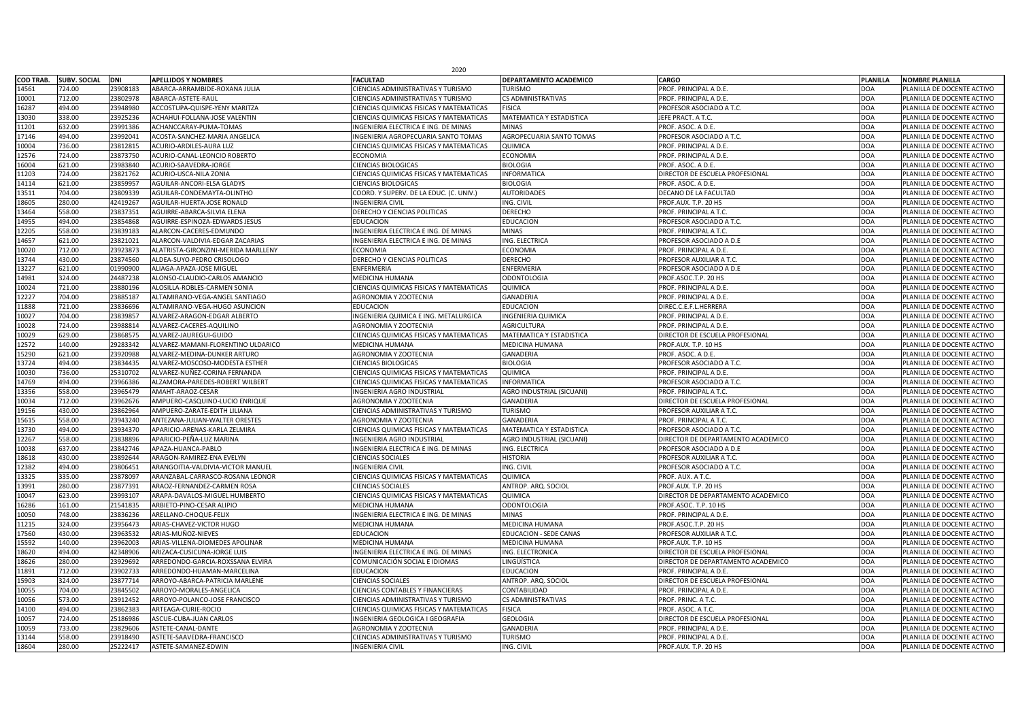| <b>COD TRAB.</b><br>DNI<br><b>SUBV. SOCIAL</b><br><b>APELLIDOS Y NOMBRES</b><br><b>CARGO</b><br><b>NOMBRE PLANILLA</b><br><b>FACULTAD</b><br><b>DEPARTAMENTO ACADEMICO</b><br><b>PLANILLA</b><br>14561<br>724.00<br>23908183<br>ABARCA-ARRAMBIDE-ROXANA JULIA<br><b>PROF. PRINCIPAL A D.E.</b><br><b>DOA</b><br>PLANILLA DE DOCENTE ACTIVO<br><b>CIENCIAS ADMINISTRATIVAS Y TURISMO</b><br><b>TURISMO</b><br>712.00<br>23802978<br>ABARCA-ASTETE-RAUL<br><b>CIENCIAS ADMINISTRATIVAS Y TURISMO</b><br>PROF. PRINCIPAL A D.E.<br><b>DOA</b><br>PLANILLA DE DOCENTE ACTIVO<br>10001<br><b>CS ADMINISTRATIVAS</b><br>16287<br>494.00<br>23948980<br>ACCOSTUPA-QUISPE-YENY MARITZA<br><b>DOA</b><br><b>CIENCIAS QUIMICAS FISICAS Y MATEMATICAS</b><br><b>FISICA</b><br><b>PROFESOR ASOCIADO A T.C.</b><br>PLANILLA DE DOCENTE ACTIVO<br>338.00<br><b>DOA</b><br>13030<br>23925236<br><b>MATEMATICA Y ESTADISTICA</b><br>ACHAHUI-FOLLANA-JOSE VALENTIN<br><b>CIENCIAS QUIMICAS FISICAS Y MATEMATICAS</b><br>JEFE PRACT. A T.C<br>PLANILLA DE DOCENTE ACTIVO<br>11201<br>632.00<br><b>DOA</b><br>23991386<br>PROF. ASOC. A D.E.<br>ACHANCCARAY-PUMA-TOMAS<br><b>MINAS</b><br>PLANILLA DE DOCENTE ACTIVO<br>INGENIERIA ELECTRICA E ING. DE MINAS<br>17146<br>494.00<br>23992041<br><b>DOA</b><br>ACOSTA-SANCHEZ-MARIA ANGELICA<br><b>INGENIERIA AGROPECUARIA SANTO TOMAS</b><br>AGROPECUARIA SANTO TOMAS<br><b>PROFESOR ASOCIADO A T.C.</b><br>PLANILLA DE DOCENTE ACTIVO<br>736.00<br><b>DOA</b><br>10004<br>23812815<br>ACURIO-ARDILES-AURA LUZ<br><b>QUIMICA</b><br><b>PROF. PRINCIPAL A D.E.</b><br>PLANILLA DE DOCENTE ACTIVO<br><b>CIENCIAS QUIMICAS FISICAS Y MATEMATICAS</b><br><b>DOA</b><br>12576<br>724.00<br>23873750<br><b>ECONOMIA</b><br><b>ECONOMIA</b><br>ACURIO-CANAL-LEONCIO ROBERTO<br>PROF. PRINCIPAL A D.E.<br>PLANILLA DE DOCENTE ACTIVO<br>621.00<br>23983840<br><b>CIENCIAS BIOLOGICAS</b><br>PROF. ASOC. A D.E.<br>16004<br>ACURIO-SAAVEDRA-JORGE<br><b>BIOLOGIA</b><br><b>DOA</b><br>PLANILLA DE DOCENTE ACTIVO<br>724.00<br>23821762<br><b>DOA</b><br>11203<br>DIRECTOR DE ESCUELA PROFESIONAL<br><b>ACURIO-USCA-NILA ZONIA</b><br><b>CIENCIAS QUIMICAS FISICAS Y MATEMATICAS</b><br><b>INFORMATICA</b><br>PLANILLA DE DOCENTE ACTIVO<br>14114<br>621.00<br>2385995<br>AGUILAR-ANCORI-ELSA GLADYS<br><b>BIOLOGIA</b><br>PROF. ASOC. A D.E.<br><b>DOA</b><br>PLANILLA DE DOCENTE ACTIVO<br><b>CIENCIAS BIOLOGICAS</b><br>704.00<br><b>DOA</b><br>13511<br>23809339<br><b>AUTORIDADES</b><br>AGUILAR-CONDEMAYTA-OLINTHO<br>COORD. Y SUPERV. DE LA EDUC. (C. UNIV.)<br>DECANO DE LA FACULTAD<br>PLANILLA DE DOCENTE ACTIVO<br>280.00<br>18605<br>42419267<br><b>DOA</b><br>AGUILAR-HUERTA-JOSE RONALD<br><b>INGENIERIA CIVIL</b><br>ING. CIVIL<br>PROF.AUX. T.P. 20 HS<br>PLANILLA DE DOCENTE ACTIVO<br>13464<br>558.00<br>23837351<br><b>DERECHO Y CIENCIAS POLITICAS</b><br><b>DOA</b><br>AGUIRRE-ABARCA-SILVIA ELENA<br><b>DERECHO</b><br><b>PROF. PRINCIPAL A T.C</b><br>PLANILLA DE DOCENTE ACTIVO<br>23854868<br><b>DOA</b><br>14955<br>494.00<br><b>EDUCACION</b><br><b>EDUCACION</b><br><b>PROFESOR ASOCIADO A T.C.</b><br>AGUIRRE-ESPINOZA-EDWARDS JESUS<br>PLANILLA DE DOCENTE ACTIVO<br>558.00<br>12205<br>INGENIERIA ELECTRICA E ING. DE MINAS<br><b>DOA</b><br>23839183<br>ALARCON-CACERES-EDMUNDO<br><b>MINAS</b><br><b>PROF. PRINCIPAL A T.C</b><br>PLANILLA DE DOCENTE ACTIVO<br>14657<br>621.00<br>23821021<br>ALARCON-VALDIVIA-EDGAR ZACARIAS<br>INGENIERIA ELECTRICA E ING. DE MINAS<br>ING. ELECTRICA<br><b>PROFESOR ASOCIADO A D.E</b><br><b>DOA</b><br>PLANILLA DE DOCENTE ACTIVO<br>712.00<br>10020<br>23923873<br><b>ECONOMIA</b><br><b>ECONOMIA</b><br><b>PROF. PRINCIPAL A D.E.</b><br><b>DOA</b><br>PLANILLA DE DOCENTE ACTIVO<br>ALATRISTA-GIRONZINI-MERIDA MARLLENY<br><b>DOA</b><br>13744<br>430.00<br>23874560<br><b>DERECHO</b><br>DERECHO Y CIENCIAS POLITICAS<br>ALDEA-SUYO-PEDRO CRISOLOGO<br><b>PROFESOR AUXILIAR A T.C.</b><br>PLANILLA DE DOCENTE ACTIVO<br>13227<br>621.00<br>01990900<br>ENFERMERIA<br><b>DOA</b><br>ALIAGA-APAZA-JOSE MIGUEI<br><b>ENFERMERIA</b><br><b>PROFESOR ASOCIADO A D.E</b><br>PLANILLA DE DOCENTE ACTIVO<br>324.00<br><b>DOA</b><br>14981<br>24487238<br>ALONSO-CLAUDIO-CARLOS AMANCIO<br><b>MEDICINA HUMANA</b><br><b>ODONTOLOGIA</b><br>PROF.ASOC.T.P. 20 HS<br>PLANILLA DE DOCENTE ACTIVO<br>721.00<br>10024<br>23880196<br>ALOSILLA-ROBLES-CARMEN SONIA<br><b>CIENCIAS QUIMICAS FISICAS Y MATEMATICAS</b><br>QUIMICA<br><b>DOA</b><br>PLANILLA DE DOCENTE ACTIVO<br>PROF. PRINCIPAL A D.E.<br>704.00<br>12227<br>23885187<br><b>DOA</b><br>ALTAMIRANO-VEGA-ANGEL SANTIAGO<br><b>AGRONOMIA Y ZOOTECNIA</b><br><b>GANADERIA</b><br><b>PROF. PRINCIPAL A D.E.</b><br>PLANILLA DE DOCENTE ACTIVO<br>721.00<br>23836696<br><b>DOA</b><br>11888<br><b>EDUCACION</b><br><b>EDUCACION</b><br>ALTAMIRANO-VEGA-HUGO ASUNCION<br>DIREC.C.E.F.L.HERRERA<br>PLANILLA DE DOCENTE ACTIVO<br>10027<br>704.00<br><b>DOA</b><br>2383985<br>ALVAREZ-ARAGON-EDGAR ALBERTO<br>INGENIERIA QUIMICA E ING. METALURGICA<br><b>INGENIERIA QUIMICA</b><br>PROF. PRINCIPAL A D.E.<br>PLANILLA DE DOCENTE ACTIVO<br>724.00<br><b>DOA</b><br>10028<br>23988814<br>ALVAREZ-CACERES-AQUILINO<br><b>AGRONOMIA Y ZOOTECNIA</b><br><b>AGRICULTURA</b><br><b>PROF. PRINCIPAL A D.E.</b><br>PLANILLA DE DOCENTE ACTIVO<br>629.00<br><b>DOA</b><br>10029<br>23868575<br>ALVAREZ-JAUREGUI-GUIDO<br><b>CIENCIAS QUIMICAS FISICAS Y MATEMATICAS</b><br>MATEMATICA Y ESTADISTICA<br>DIRECTOR DE ESCUELA PROFESIONAL<br>PLANILLA DE DOCENTE ACTIVO<br>29283342<br>12572<br>140.00<br>ALVAREZ-MAMANI-FLORENTINO ULDARICO<br>PROF.AUX. T.P. 10 HS<br><b>DOA</b><br>PLANILLA DE DOCENTE ACTIVO<br><b>MEDICINA HUMANA</b><br>MEDICINA HUMANA<br>621.00<br>15290<br>23920988<br>ALVAREZ-MEDINA-DUNKER ARTURO<br>PROF. ASOC. A D.E.<br><b>DOA</b><br>PLANILLA DE DOCENTE ACTIVO<br><b>AGRONOMIA Y ZOOTECNIA</b><br><b>GANADERIA</b><br>13724<br>494.00<br>23834435<br>ALVAREZ-MOSCOSO-MODESTA ESTHER<br> CIENCIAS BIOLOGICAS<br><b>BIOLOGIA</b><br><b>JPROFESOR ASOCIADO A T.C.</b><br><b>DOA</b><br>PLANILLA DE DOCENTE ACTIVO<br>10030<br>736.00<br>25310702<br>ALVAREZ-NUÑEZ-CORINA FERNANDA<br><b>CIENCIAS QUIMICAS FISICAS Y MATEMATICAS</b><br>QUIMICA<br>PROF. PRINCIPAL A D.E.<br><b>DOA</b><br>PLANILLA DE DOCENTE ACTIVO<br>14769<br>494.00<br><b>DOA</b><br>23966386<br><b>INFORMATICA</b><br>ALZAMORA-PAREDES-ROBERT WILBERT<br><b>CIENCIAS QUIMICAS FISICAS Y MATEMATICAS</b><br><b>PROFESOR ASOCIADO A T.C.</b><br>PLANILLA DE DOCENTE ACTIVO<br>13356<br>558.00<br>23965479<br><b>AGRO INDUSTRIAL (SICUANI)</b><br><b>DOA</b><br>AMAHT-ARAOZ-CESAR<br><b>PROF. PRINCIPAL A T.C.</b><br>PLANILLA DE DOCENTE ACTIVO<br><b>INGENIERIA AGRO INDUSTRIAL</b><br>10034<br><b>DOA</b><br>712.00<br>23962676<br>AMPUERO-CASQUINO-LUCIO ENRIQUE<br><b>GANADERIA</b><br>DIRECTOR DE ESCUELA PROFESIONAL<br>PLANILLA DE DOCENTE ACTIVO<br><b>AGRONOMIA Y ZOOTECNIA</b><br>430.00<br>23862964<br><b>DOA</b><br>19156<br><b>TURISMO</b><br>AMPUERO-ZARATE-EDITH LILIANA<br><b>CIENCIAS ADMINISTRATIVAS Y TURISMO</b><br>PROFESOR AUXILIAR A T.C.<br>PLANILLA DE DOCENTE ACTIVO<br>15615<br>558.00<br>23943240<br><b>DOA</b><br>ANTEZANA-JULIAN-WALTER ORESTES<br><b>AGRONOMIA Y ZOOTECNIA</b><br><b>GANADERIA</b><br>PROF. PRINCIPAL A T.C.<br>PLANILLA DE DOCENTE ACTIVO<br>494.00<br><b>DOA</b><br>13730<br>23934370<br><b>MATEMATICA Y ESTADISTICA</b><br>APARICIO-ARENAS-KARLA ZELMIRA<br><b>CIENCIAS QUIMICAS FISICAS Y MATEMATICAS</b><br><b>PROFESOR ASOCIADO A T.C.</b><br>PLANILLA DE DOCENTE ACTIVO<br>12267<br>558.00<br>23838896<br>APARICIO-PEÑA-LUZ MARINA<br>DIRECTOR DE DEPARTAMENTO ACADEMICO<br><b>DOA</b><br>PLANILLA DE DOCENTE ACTIVO<br>INGENIERIA AGRO INDUSTRIAL<br>AGRO INDUSTRIAL (SICUANI)<br>10038<br>637.00<br>23842746<br><b>DOA</b><br>APAZA-HUANCA-PABLO<br>INGENIERIA ELECTRICA E ING. DE MINAS<br>ING. ELECTRICA<br><b>PROFESOR ASOCIADO A D.E</b><br>PLANILLA DE DOCENTE ACTIVO<br>18618<br>430.00<br>23892644<br><b>HISTORIA</b><br><b>DOA</b><br>ARAGON-RAMIREZ-ENA EVELYN<br><b>PROFESOR AUXILIAR A T.C.</b><br>PLANILLA DE DOCENTE ACTIVO<br><b>CIENCIAS SOCIALES</b><br>12382<br>494.00<br>2380645<br><b>DOA</b><br>ING. CIVIL<br>ARANGOITIA-VALDIVIA-VICTOR MANUEL<br><b>INGENIERIA CIVIL</b><br>PROFESOR ASOCIADO A T.C.<br>PLANILLA DE DOCENTE ACTIVO<br>13325<br>335.00<br>23878097<br><b>DOA</b><br>ARANZABAL-CARRASCO-ROSANA LEONOR<br><b>CIENCIAS QUIMICAS FISICAS Y MATEMATICAS</b><br>QUIMICA<br>PROF. AUX. A T.C.<br>PLANILLA DE DOCENTE ACTIVO<br>280.00<br>13991<br>23877391<br>ANTROP. ARQ. SOCIOL<br><b>DOA</b><br>ARAOZ-FERNANDEZ-CARMEN ROSA<br>PROF.AUX. T.P. 20 HS<br>PLANILLA DE DOCENTE ACTIVO<br><b>CIENCIAS SOCIALES</b><br>10047<br><b>DOA</b><br>623.00<br>23993107<br><b>CIENCIAS QUIMICAS FISICAS Y MATEMATICAS</b><br>DIRECTOR DE DEPARTAMENTO ACADEMICO<br>ARAPA-DAVALOS-MIGUEL HUMBERTO<br>QUIMICA<br>PLANILLA DE DOCENTE ACTIVO<br>16286<br>161.00<br><b>DOA</b><br>21541835<br><b>ODONTOLOGIA</b><br>PROF.ASOC. T.P. 10 HS<br>ARBIETO-PINO-CESAR ALIPIO<br><b>MEDICINA HUMANA</b><br>PLANILLA DE DOCENTE ACTIVO<br>10050<br>748.00<br>23836236<br><b>DOA</b><br>ARELLANO-CHOQUE-FELIX<br>INGENIERIA ELECTRICA E ING. DE MINAS<br><b>MINAS</b><br>PROF. PRINCIPAL A D.E.<br>PLANILLA DE DOCENTE ACTIVO<br>324.00<br>11215<br>23956473<br><b>DOA</b><br>ARIAS-CHAVEZ-VICTOR HUGO<br><b>MEDICINA HUMANA</b><br><b>MEDICINA HUMANA</b><br>PROF.ASOC.T.P. 20 HS<br>PLANILLA DE DOCENTE ACTIVO<br><b>DOA</b><br>430.00<br>23963532<br>ARIAS-MUÑOZ-NIEVES<br>EDUCACION<br>17560<br><b>EDUCACION - SEDE CANAS</b><br><b>PROFESOR AUXILIAR A T.C.</b><br>PLANILLA DE DOCENTE ACTIVO<br>15592<br>140.00<br>23962003<br><b>DOA</b><br>ARIAS-VILLENA-DIOMEDES APOLINAR<br><b>MEDICINA HUMANA</b><br>MEDICINA HUMANA<br>PROF.AUX. T.P. 10 HS<br>PLANILLA DE DOCENTE ACTIVO<br>18620<br>494.00<br>42348906<br>ARIZACA-CUSICUNA-JORGE LUIS<br>INGENIERIA ELECTRICA E ING. DE MINAS<br>ING. ELECTRONICA<br>DIRECTOR DE ESCUELA PROFESIONAL<br><b>DOA</b><br>PLANILLA DE DOCENTE ACTIVO<br>280.00<br>LINGÜÍSTICA<br>18626<br>23929692<br><b>DOA</b><br>ARREDONDO-GARCIA-ROXSSANA ELVIRA<br>COMUNICACIÓN SOCIAL E IDIOMAS<br>DIRECTOR DE DEPARTAMENTO ACADEMICO<br>PLANILLA DE DOCENTE ACTIVO<br>23902733<br><b>DOA</b><br>11891<br>712.00<br>ARREDONDO-HUAMAN-MARCELINA<br><b>EDUCACION</b><br><b>EDUCACION</b><br>PLANILLA DE DOCENTE ACTIVO<br>PROF. PRINCIPAL A D.E.<br>15903<br>324.00<br>23877714<br><b>DOA</b><br>ARROYO-ABARCA-PATRICIA MARLENE<br><b>CIENCIAS SOCIALES</b><br>ANTROP. ARQ. SOCIOL<br>DIRECTOR DE ESCUELA PROFESIONAL<br>PLANILLA DE DOCENTE ACTIVO<br>10055<br>704.00<br>23845502<br><b>DOA</b><br><b>CIENCIAS CONTABLES Y FINANCIERAS</b><br>CONTABILIDAD<br>PROF. PRINCIPAL A D.E.<br>PLANILLA DE DOCENTE ACTIVO<br>ARROYO-MORALES-ANGELICA<br>10056<br><b>DOA</b><br>573.00<br>23912452<br>ARROYO-POLANCO-JOSE FRANCISCO<br><b>CIENCIAS ADMINISTRATIVAS Y TURISMO</b><br><b>CS ADMINISTRATIVAS</b><br>PROF. PRINC. A T.C.<br>PLANILLA DE DOCENTE ACTIVO<br>494.00<br>23862383<br><b>DOA</b><br><b>FISICA</b><br>PROF. ASOC. A T.C.<br>14100<br>ARTEAGA-CURIE-ROCIO<br><b>CIENCIAS QUIMICAS FISICAS Y MATEMATICAS</b><br>PLANILLA DE DOCENTE ACTIVO<br>724.00<br><b>DOA</b><br>10057<br>25186986<br><b>GEOLOGIA</b><br>DIRECTOR DE ESCUELA PROFESIONAL<br><b>ASCUE-CUBA-JUAN CARLOS</b><br>INGENIERIA GEOLOGICA I GEOGRAFIA<br>PLANILLA DE DOCENTE ACTIVO<br>733.00<br>10059<br>23829606<br><b>DOA</b><br>ASTETE-CANAL-DANTE<br><b>AGRONOMIA Y ZOOTECNIA</b><br><b>GANADERIA</b><br>PROF. PRINCIPAL A D.E.<br>PLANILLA DE DOCENTE ACTIVO<br>558.00<br><b>DOA</b><br>13144<br>23918490<br>ASTETE-SAAVEDRA-FRANCISCO<br><b>TURISMO</b><br>PROF. PRINCIPAL A D.E.<br><b>CIENCIAS ADMINISTRATIVAS Y TURISMO</b><br>PLANILLA DE DOCENTE ACTIVO<br>18604<br>280.00<br><b>DOA</b><br>25222417<br>ING. CIVIL<br>PROF.AUX. T.P. 20 HS<br>PLANILLA DE DOCENTE ACTIVO<br>ASTETE-SAMANEZ-EDWIN<br><b>INGENIERIA CIVIL</b> | 2020 |  |  |  |  |  |  |  |  |  |
|---------------------------------------------------------------------------------------------------------------------------------------------------------------------------------------------------------------------------------------------------------------------------------------------------------------------------------------------------------------------------------------------------------------------------------------------------------------------------------------------------------------------------------------------------------------------------------------------------------------------------------------------------------------------------------------------------------------------------------------------------------------------------------------------------------------------------------------------------------------------------------------------------------------------------------------------------------------------------------------------------------------------------------------------------------------------------------------------------------------------------------------------------------------------------------------------------------------------------------------------------------------------------------------------------------------------------------------------------------------------------------------------------------------------------------------------------------------------------------------------------------------------------------------------------------------------------------------------------------------------------------------------------------------------------------------------------------------------------------------------------------------------------------------------------------------------------------------------------------------------------------------------------------------------------------------------------------------------------------------------------------------------------------------------------------------------------------------------------------------------------------------------------------------------------------------------------------------------------------------------------------------------------------------------------------------------------------------------------------------------------------------------------------------------------------------------------------------------------------------------------------------------------------------------------------------------------------------------------------------------------------------------------------------------------------------------------------------------------------------------------------------------------------------------------------------------------------------------------------------------------------------------------------------------------------------------------------------------------------------------------------------------------------------------------------------------------------------------------------------------------------------------------------------------------------------------------------------------------------------------------------------------------------------------------------------------------------------------------------------------------------------------------------------------------------------------------------------------------------------------------------------------------------------------------------------------------------------------------------------------------------------------------------------------------------------------------------------------------------------------------------------------------------------------------------------------------------------------------------------------------------------------------------------------------------------------------------------------------------------------------------------------------------------------------------------------------------------------------------------------------------------------------------------------------------------------------------------------------------------------------------------------------------------------------------------------------------------------------------------------------------------------------------------------------------------------------------------------------------------------------------------------------------------------------------------------------------------------------------------------------------------------------------------------------------------------------------------------------------------------------------------------------------------------------------------------------------------------------------------------------------------------------------------------------------------------------------------------------------------------------------------------------------------------------------------------------------------------------------------------------------------------------------------------------------------------------------------------------------------------------------------------------------------------------------------------------------------------------------------------------------------------------------------------------------------------------------------------------------------------------------------------------------------------------------------------------------------------------------------------------------------------------------------------------------------------------------------------------------------------------------------------------------------------------------------------------------------------------------------------------------------------------------------------------------------------------------------------------------------------------------------------------------------------------------------------------------------------------------------------------------------------------------------------------------------------------------------------------------------------------------------------------------------------------------------------------------------------------------------------------------------------------------------------------------------------------------------------------------------------------------------------------------------------------------------------------------------------------------------------------------------------------------------------------------------------------------------------------------------------------------------------------------------------------------------------------------------------------------------------------------------------------------------------------------------------------------------------------------------------------------------------------------------------------------------------------------------------------------------------------------------------------------------------------------------------------------------------------------------------------------------------------------------------------------------------------------------------------------------------------------------------------------------------------------------------------------------------------------------------------------------------------------------------------------------------------------------------------------------------------------------------------------------------------------------------------------------------------------------------------------------------------------------------------------------------------------------------------------------------------------------------------------------------------------------------------------------------------------------------------------------------------------------------------------------------------------------------------------------------------------------------------------------------------------------------------------------------------------------------------------------------------------------------------------------------------------------------------------------------------------------------------------------------------------------------------------------------------------------------------------------------------------------------------------------------------------------------------------------------------------------------------------------------------------------------------------------------------------------------------------------------------------------------------------------------------------------------------------------------------------------------------------------------------------------------------------------------------------------------------------------------------------------------------------------------------------------------------------------------------------------------------------------------------------------------------------------------------------------------------------------------------------------------------------------------------------------------------------------------------------------------------------------------------------------------------------------------------------------------------------------------------------------------------------------------------------------------------------------------------------------------------------------------------------------------------------------------------------------------------------------------------------------------------------------------------------------------------------------------------------------------------------------------------------------------------------------------------------------------------------------------------------------------------------------------------------------------------------------------------------------------------------------------------------------------------------------------------------------------------------------------------------------------------------------------------------------------------------------------------------------------------------------------------------------------------------------------------------------------------------------------------------------------------------------------------------------------------------------------------------------------------------------------------------------------------------------------------------------------------------------------------------------------------------------------------------------------------------------------------------------------------------------------------------------------------------------------------------------------------------------------------------------------------------------------------------------------------------------------------------------------------------------------------------------------------------------------------------------------------------------------------------------------------------------------------------------------------------------------------------------------------------------------------------------------------------------------------------------------------------------------------------------------------------------------------------------------------------------------------------------------------------------------------------------------------------------------------------------------------------------------------------------------------------------------------------------------------------------------------------------------------------------------------------------------------------------------------------------------------------------------------------------------------------------------------------------------------------------------------------------|------|--|--|--|--|--|--|--|--|--|
|                                                                                                                                                                                                                                                                                                                                                                                                                                                                                                                                                                                                                                                                                                                                                                                                                                                                                                                                                                                                                                                                                                                                                                                                                                                                                                                                                                                                                                                                                                                                                                                                                                                                                                                                                                                                                                                                                                                                                                                                                                                                                                                                                                                                                                                                                                                                                                                                                                                                                                                                                                                                                                                                                                                                                                                                                                                                                                                                                                                                                                                                                                                                                                                                                                                                                                                                                                                                                                                                                                                                                                                                                                                                                                                                                                                                                                                                                                                                                                                                                                                                                                                                                                                                                                                                                                                                                                                                                                                                                                                                                                                                                                                                                                                                                                                                                                                                                                                                                                                                                                                                                                                                                                                                                                                                                                                                                                                                                                                                                                                                                                                                                                                                                                                                                                                                                                                                                                                                                                                                                                                                                                                                                                                                                                                                                                                                                                                                                                                                                                                                                                                                                                                                                                                                                                                                                                                                                                                                                                                                                                                                                                                                                                                                                                                                                                                                                                                                                                                                                                                                                                                                                                                                                                                                                                                                                                                                                                                                                                                                                                                                                                                                                                                                                                                                                                                                                                                                                                                                                                                                                                                                                                                                                                                                                                                                                                                                                                                                                                                                                                                                                                                                                                                                                                                                                                                                                                                                                                                                                                                                                                                                                                                                                                                                                                                                                                                                                                                                                                                                                                                                                                                                                                                                                                                                                                                                                                                                                                                                                                                                                                                                                                                                                                                                                                                                                                                                                                                                                                                                                                                                                                                                                                                                                                                                                                                                                                                                                                                                                                                                                                                                                                                                                                                                                                                                                                                                                                                                                                                                                                                                                                                                       |      |  |  |  |  |  |  |  |  |  |
|                                                                                                                                                                                                                                                                                                                                                                                                                                                                                                                                                                                                                                                                                                                                                                                                                                                                                                                                                                                                                                                                                                                                                                                                                                                                                                                                                                                                                                                                                                                                                                                                                                                                                                                                                                                                                                                                                                                                                                                                                                                                                                                                                                                                                                                                                                                                                                                                                                                                                                                                                                                                                                                                                                                                                                                                                                                                                                                                                                                                                                                                                                                                                                                                                                                                                                                                                                                                                                                                                                                                                                                                                                                                                                                                                                                                                                                                                                                                                                                                                                                                                                                                                                                                                                                                                                                                                                                                                                                                                                                                                                                                                                                                                                                                                                                                                                                                                                                                                                                                                                                                                                                                                                                                                                                                                                                                                                                                                                                                                                                                                                                                                                                                                                                                                                                                                                                                                                                                                                                                                                                                                                                                                                                                                                                                                                                                                                                                                                                                                                                                                                                                                                                                                                                                                                                                                                                                                                                                                                                                                                                                                                                                                                                                                                                                                                                                                                                                                                                                                                                                                                                                                                                                                                                                                                                                                                                                                                                                                                                                                                                                                                                                                                                                                                                                                                                                                                                                                                                                                                                                                                                                                                                                                                                                                                                                                                                                                                                                                                                                                                                                                                                                                                                                                                                                                                                                                                                                                                                                                                                                                                                                                                                                                                                                                                                                                                                                                                                                                                                                                                                                                                                                                                                                                                                                                                                                                                                                                                                                                                                                                                                                                                                                                                                                                                                                                                                                                                                                                                                                                                                                                                                                                                                                                                                                                                                                                                                                                                                                                                                                                                                                                                                                                                                                                                                                                                                                                                                                                                                                                                                                                                                                       |      |  |  |  |  |  |  |  |  |  |
|                                                                                                                                                                                                                                                                                                                                                                                                                                                                                                                                                                                                                                                                                                                                                                                                                                                                                                                                                                                                                                                                                                                                                                                                                                                                                                                                                                                                                                                                                                                                                                                                                                                                                                                                                                                                                                                                                                                                                                                                                                                                                                                                                                                                                                                                                                                                                                                                                                                                                                                                                                                                                                                                                                                                                                                                                                                                                                                                                                                                                                                                                                                                                                                                                                                                                                                                                                                                                                                                                                                                                                                                                                                                                                                                                                                                                                                                                                                                                                                                                                                                                                                                                                                                                                                                                                                                                                                                                                                                                                                                                                                                                                                                                                                                                                                                                                                                                                                                                                                                                                                                                                                                                                                                                                                                                                                                                                                                                                                                                                                                                                                                                                                                                                                                                                                                                                                                                                                                                                                                                                                                                                                                                                                                                                                                                                                                                                                                                                                                                                                                                                                                                                                                                                                                                                                                                                                                                                                                                                                                                                                                                                                                                                                                                                                                                                                                                                                                                                                                                                                                                                                                                                                                                                                                                                                                                                                                                                                                                                                                                                                                                                                                                                                                                                                                                                                                                                                                                                                                                                                                                                                                                                                                                                                                                                                                                                                                                                                                                                                                                                                                                                                                                                                                                                                                                                                                                                                                                                                                                                                                                                                                                                                                                                                                                                                                                                                                                                                                                                                                                                                                                                                                                                                                                                                                                                                                                                                                                                                                                                                                                                                                                                                                                                                                                                                                                                                                                                                                                                                                                                                                                                                                                                                                                                                                                                                                                                                                                                                                                                                                                                                                                                                                                                                                                                                                                                                                                                                                                                                                                                                                                                                                       |      |  |  |  |  |  |  |  |  |  |
|                                                                                                                                                                                                                                                                                                                                                                                                                                                                                                                                                                                                                                                                                                                                                                                                                                                                                                                                                                                                                                                                                                                                                                                                                                                                                                                                                                                                                                                                                                                                                                                                                                                                                                                                                                                                                                                                                                                                                                                                                                                                                                                                                                                                                                                                                                                                                                                                                                                                                                                                                                                                                                                                                                                                                                                                                                                                                                                                                                                                                                                                                                                                                                                                                                                                                                                                                                                                                                                                                                                                                                                                                                                                                                                                                                                                                                                                                                                                                                                                                                                                                                                                                                                                                                                                                                                                                                                                                                                                                                                                                                                                                                                                                                                                                                                                                                                                                                                                                                                                                                                                                                                                                                                                                                                                                                                                                                                                                                                                                                                                                                                                                                                                                                                                                                                                                                                                                                                                                                                                                                                                                                                                                                                                                                                                                                                                                                                                                                                                                                                                                                                                                                                                                                                                                                                                                                                                                                                                                                                                                                                                                                                                                                                                                                                                                                                                                                                                                                                                                                                                                                                                                                                                                                                                                                                                                                                                                                                                                                                                                                                                                                                                                                                                                                                                                                                                                                                                                                                                                                                                                                                                                                                                                                                                                                                                                                                                                                                                                                                                                                                                                                                                                                                                                                                                                                                                                                                                                                                                                                                                                                                                                                                                                                                                                                                                                                                                                                                                                                                                                                                                                                                                                                                                                                                                                                                                                                                                                                                                                                                                                                                                                                                                                                                                                                                                                                                                                                                                                                                                                                                                                                                                                                                                                                                                                                                                                                                                                                                                                                                                                                                                                                                                                                                                                                                                                                                                                                                                                                                                                                                                                                                                       |      |  |  |  |  |  |  |  |  |  |
|                                                                                                                                                                                                                                                                                                                                                                                                                                                                                                                                                                                                                                                                                                                                                                                                                                                                                                                                                                                                                                                                                                                                                                                                                                                                                                                                                                                                                                                                                                                                                                                                                                                                                                                                                                                                                                                                                                                                                                                                                                                                                                                                                                                                                                                                                                                                                                                                                                                                                                                                                                                                                                                                                                                                                                                                                                                                                                                                                                                                                                                                                                                                                                                                                                                                                                                                                                                                                                                                                                                                                                                                                                                                                                                                                                                                                                                                                                                                                                                                                                                                                                                                                                                                                                                                                                                                                                                                                                                                                                                                                                                                                                                                                                                                                                                                                                                                                                                                                                                                                                                                                                                                                                                                                                                                                                                                                                                                                                                                                                                                                                                                                                                                                                                                                                                                                                                                                                                                                                                                                                                                                                                                                                                                                                                                                                                                                                                                                                                                                                                                                                                                                                                                                                                                                                                                                                                                                                                                                                                                                                                                                                                                                                                                                                                                                                                                                                                                                                                                                                                                                                                                                                                                                                                                                                                                                                                                                                                                                                                                                                                                                                                                                                                                                                                                                                                                                                                                                                                                                                                                                                                                                                                                                                                                                                                                                                                                                                                                                                                                                                                                                                                                                                                                                                                                                                                                                                                                                                                                                                                                                                                                                                                                                                                                                                                                                                                                                                                                                                                                                                                                                                                                                                                                                                                                                                                                                                                                                                                                                                                                                                                                                                                                                                                                                                                                                                                                                                                                                                                                                                                                                                                                                                                                                                                                                                                                                                                                                                                                                                                                                                                                                                                                                                                                                                                                                                                                                                                                                                                                                                                                                                                                       |      |  |  |  |  |  |  |  |  |  |
|                                                                                                                                                                                                                                                                                                                                                                                                                                                                                                                                                                                                                                                                                                                                                                                                                                                                                                                                                                                                                                                                                                                                                                                                                                                                                                                                                                                                                                                                                                                                                                                                                                                                                                                                                                                                                                                                                                                                                                                                                                                                                                                                                                                                                                                                                                                                                                                                                                                                                                                                                                                                                                                                                                                                                                                                                                                                                                                                                                                                                                                                                                                                                                                                                                                                                                                                                                                                                                                                                                                                                                                                                                                                                                                                                                                                                                                                                                                                                                                                                                                                                                                                                                                                                                                                                                                                                                                                                                                                                                                                                                                                                                                                                                                                                                                                                                                                                                                                                                                                                                                                                                                                                                                                                                                                                                                                                                                                                                                                                                                                                                                                                                                                                                                                                                                                                                                                                                                                                                                                                                                                                                                                                                                                                                                                                                                                                                                                                                                                                                                                                                                                                                                                                                                                                                                                                                                                                                                                                                                                                                                                                                                                                                                                                                                                                                                                                                                                                                                                                                                                                                                                                                                                                                                                                                                                                                                                                                                                                                                                                                                                                                                                                                                                                                                                                                                                                                                                                                                                                                                                                                                                                                                                                                                                                                                                                                                                                                                                                                                                                                                                                                                                                                                                                                                                                                                                                                                                                                                                                                                                                                                                                                                                                                                                                                                                                                                                                                                                                                                                                                                                                                                                                                                                                                                                                                                                                                                                                                                                                                                                                                                                                                                                                                                                                                                                                                                                                                                                                                                                                                                                                                                                                                                                                                                                                                                                                                                                                                                                                                                                                                                                                                                                                                                                                                                                                                                                                                                                                                                                                                                                                                                                       |      |  |  |  |  |  |  |  |  |  |
|                                                                                                                                                                                                                                                                                                                                                                                                                                                                                                                                                                                                                                                                                                                                                                                                                                                                                                                                                                                                                                                                                                                                                                                                                                                                                                                                                                                                                                                                                                                                                                                                                                                                                                                                                                                                                                                                                                                                                                                                                                                                                                                                                                                                                                                                                                                                                                                                                                                                                                                                                                                                                                                                                                                                                                                                                                                                                                                                                                                                                                                                                                                                                                                                                                                                                                                                                                                                                                                                                                                                                                                                                                                                                                                                                                                                                                                                                                                                                                                                                                                                                                                                                                                                                                                                                                                                                                                                                                                                                                                                                                                                                                                                                                                                                                                                                                                                                                                                                                                                                                                                                                                                                                                                                                                                                                                                                                                                                                                                                                                                                                                                                                                                                                                                                                                                                                                                                                                                                                                                                                                                                                                                                                                                                                                                                                                                                                                                                                                                                                                                                                                                                                                                                                                                                                                                                                                                                                                                                                                                                                                                                                                                                                                                                                                                                                                                                                                                                                                                                                                                                                                                                                                                                                                                                                                                                                                                                                                                                                                                                                                                                                                                                                                                                                                                                                                                                                                                                                                                                                                                                                                                                                                                                                                                                                                                                                                                                                                                                                                                                                                                                                                                                                                                                                                                                                                                                                                                                                                                                                                                                                                                                                                                                                                                                                                                                                                                                                                                                                                                                                                                                                                                                                                                                                                                                                                                                                                                                                                                                                                                                                                                                                                                                                                                                                                                                                                                                                                                                                                                                                                                                                                                                                                                                                                                                                                                                                                                                                                                                                                                                                                                                                                                                                                                                                                                                                                                                                                                                                                                                                                                                                                                       |      |  |  |  |  |  |  |  |  |  |
|                                                                                                                                                                                                                                                                                                                                                                                                                                                                                                                                                                                                                                                                                                                                                                                                                                                                                                                                                                                                                                                                                                                                                                                                                                                                                                                                                                                                                                                                                                                                                                                                                                                                                                                                                                                                                                                                                                                                                                                                                                                                                                                                                                                                                                                                                                                                                                                                                                                                                                                                                                                                                                                                                                                                                                                                                                                                                                                                                                                                                                                                                                                                                                                                                                                                                                                                                                                                                                                                                                                                                                                                                                                                                                                                                                                                                                                                                                                                                                                                                                                                                                                                                                                                                                                                                                                                                                                                                                                                                                                                                                                                                                                                                                                                                                                                                                                                                                                                                                                                                                                                                                                                                                                                                                                                                                                                                                                                                                                                                                                                                                                                                                                                                                                                                                                                                                                                                                                                                                                                                                                                                                                                                                                                                                                                                                                                                                                                                                                                                                                                                                                                                                                                                                                                                                                                                                                                                                                                                                                                                                                                                                                                                                                                                                                                                                                                                                                                                                                                                                                                                                                                                                                                                                                                                                                                                                                                                                                                                                                                                                                                                                                                                                                                                                                                                                                                                                                                                                                                                                                                                                                                                                                                                                                                                                                                                                                                                                                                                                                                                                                                                                                                                                                                                                                                                                                                                                                                                                                                                                                                                                                                                                                                                                                                                                                                                                                                                                                                                                                                                                                                                                                                                                                                                                                                                                                                                                                                                                                                                                                                                                                                                                                                                                                                                                                                                                                                                                                                                                                                                                                                                                                                                                                                                                                                                                                                                                                                                                                                                                                                                                                                                                                                                                                                                                                                                                                                                                                                                                                                                                                                                                                                       |      |  |  |  |  |  |  |  |  |  |
|                                                                                                                                                                                                                                                                                                                                                                                                                                                                                                                                                                                                                                                                                                                                                                                                                                                                                                                                                                                                                                                                                                                                                                                                                                                                                                                                                                                                                                                                                                                                                                                                                                                                                                                                                                                                                                                                                                                                                                                                                                                                                                                                                                                                                                                                                                                                                                                                                                                                                                                                                                                                                                                                                                                                                                                                                                                                                                                                                                                                                                                                                                                                                                                                                                                                                                                                                                                                                                                                                                                                                                                                                                                                                                                                                                                                                                                                                                                                                                                                                                                                                                                                                                                                                                                                                                                                                                                                                                                                                                                                                                                                                                                                                                                                                                                                                                                                                                                                                                                                                                                                                                                                                                                                                                                                                                                                                                                                                                                                                                                                                                                                                                                                                                                                                                                                                                                                                                                                                                                                                                                                                                                                                                                                                                                                                                                                                                                                                                                                                                                                                                                                                                                                                                                                                                                                                                                                                                                                                                                                                                                                                                                                                                                                                                                                                                                                                                                                                                                                                                                                                                                                                                                                                                                                                                                                                                                                                                                                                                                                                                                                                                                                                                                                                                                                                                                                                                                                                                                                                                                                                                                                                                                                                                                                                                                                                                                                                                                                                                                                                                                                                                                                                                                                                                                                                                                                                                                                                                                                                                                                                                                                                                                                                                                                                                                                                                                                                                                                                                                                                                                                                                                                                                                                                                                                                                                                                                                                                                                                                                                                                                                                                                                                                                                                                                                                                                                                                                                                                                                                                                                                                                                                                                                                                                                                                                                                                                                                                                                                                                                                                                                                                                                                                                                                                                                                                                                                                                                                                                                                                                                                                                                                       |      |  |  |  |  |  |  |  |  |  |
|                                                                                                                                                                                                                                                                                                                                                                                                                                                                                                                                                                                                                                                                                                                                                                                                                                                                                                                                                                                                                                                                                                                                                                                                                                                                                                                                                                                                                                                                                                                                                                                                                                                                                                                                                                                                                                                                                                                                                                                                                                                                                                                                                                                                                                                                                                                                                                                                                                                                                                                                                                                                                                                                                                                                                                                                                                                                                                                                                                                                                                                                                                                                                                                                                                                                                                                                                                                                                                                                                                                                                                                                                                                                                                                                                                                                                                                                                                                                                                                                                                                                                                                                                                                                                                                                                                                                                                                                                                                                                                                                                                                                                                                                                                                                                                                                                                                                                                                                                                                                                                                                                                                                                                                                                                                                                                                                                                                                                                                                                                                                                                                                                                                                                                                                                                                                                                                                                                                                                                                                                                                                                                                                                                                                                                                                                                                                                                                                                                                                                                                                                                                                                                                                                                                                                                                                                                                                                                                                                                                                                                                                                                                                                                                                                                                                                                                                                                                                                                                                                                                                                                                                                                                                                                                                                                                                                                                                                                                                                                                                                                                                                                                                                                                                                                                                                                                                                                                                                                                                                                                                                                                                                                                                                                                                                                                                                                                                                                                                                                                                                                                                                                                                                                                                                                                                                                                                                                                                                                                                                                                                                                                                                                                                                                                                                                                                                                                                                                                                                                                                                                                                                                                                                                                                                                                                                                                                                                                                                                                                                                                                                                                                                                                                                                                                                                                                                                                                                                                                                                                                                                                                                                                                                                                                                                                                                                                                                                                                                                                                                                                                                                                                                                                                                                                                                                                                                                                                                                                                                                                                                                                                                                                                       |      |  |  |  |  |  |  |  |  |  |
|                                                                                                                                                                                                                                                                                                                                                                                                                                                                                                                                                                                                                                                                                                                                                                                                                                                                                                                                                                                                                                                                                                                                                                                                                                                                                                                                                                                                                                                                                                                                                                                                                                                                                                                                                                                                                                                                                                                                                                                                                                                                                                                                                                                                                                                                                                                                                                                                                                                                                                                                                                                                                                                                                                                                                                                                                                                                                                                                                                                                                                                                                                                                                                                                                                                                                                                                                                                                                                                                                                                                                                                                                                                                                                                                                                                                                                                                                                                                                                                                                                                                                                                                                                                                                                                                                                                                                                                                                                                                                                                                                                                                                                                                                                                                                                                                                                                                                                                                                                                                                                                                                                                                                                                                                                                                                                                                                                                                                                                                                                                                                                                                                                                                                                                                                                                                                                                                                                                                                                                                                                                                                                                                                                                                                                                                                                                                                                                                                                                                                                                                                                                                                                                                                                                                                                                                                                                                                                                                                                                                                                                                                                                                                                                                                                                                                                                                                                                                                                                                                                                                                                                                                                                                                                                                                                                                                                                                                                                                                                                                                                                                                                                                                                                                                                                                                                                                                                                                                                                                                                                                                                                                                                                                                                                                                                                                                                                                                                                                                                                                                                                                                                                                                                                                                                                                                                                                                                                                                                                                                                                                                                                                                                                                                                                                                                                                                                                                                                                                                                                                                                                                                                                                                                                                                                                                                                                                                                                                                                                                                                                                                                                                                                                                                                                                                                                                                                                                                                                                                                                                                                                                                                                                                                                                                                                                                                                                                                                                                                                                                                                                                                                                                                                                                                                                                                                                                                                                                                                                                                                                                                                                                                                                       |      |  |  |  |  |  |  |  |  |  |
|                                                                                                                                                                                                                                                                                                                                                                                                                                                                                                                                                                                                                                                                                                                                                                                                                                                                                                                                                                                                                                                                                                                                                                                                                                                                                                                                                                                                                                                                                                                                                                                                                                                                                                                                                                                                                                                                                                                                                                                                                                                                                                                                                                                                                                                                                                                                                                                                                                                                                                                                                                                                                                                                                                                                                                                                                                                                                                                                                                                                                                                                                                                                                                                                                                                                                                                                                                                                                                                                                                                                                                                                                                                                                                                                                                                                                                                                                                                                                                                                                                                                                                                                                                                                                                                                                                                                                                                                                                                                                                                                                                                                                                                                                                                                                                                                                                                                                                                                                                                                                                                                                                                                                                                                                                                                                                                                                                                                                                                                                                                                                                                                                                                                                                                                                                                                                                                                                                                                                                                                                                                                                                                                                                                                                                                                                                                                                                                                                                                                                                                                                                                                                                                                                                                                                                                                                                                                                                                                                                                                                                                                                                                                                                                                                                                                                                                                                                                                                                                                                                                                                                                                                                                                                                                                                                                                                                                                                                                                                                                                                                                                                                                                                                                                                                                                                                                                                                                                                                                                                                                                                                                                                                                                                                                                                                                                                                                                                                                                                                                                                                                                                                                                                                                                                                                                                                                                                                                                                                                                                                                                                                                                                                                                                                                                                                                                                                                                                                                                                                                                                                                                                                                                                                                                                                                                                                                                                                                                                                                                                                                                                                                                                                                                                                                                                                                                                                                                                                                                                                                                                                                                                                                                                                                                                                                                                                                                                                                                                                                                                                                                                                                                                                                                                                                                                                                                                                                                                                                                                                                                                                                                                                                                       |      |  |  |  |  |  |  |  |  |  |
|                                                                                                                                                                                                                                                                                                                                                                                                                                                                                                                                                                                                                                                                                                                                                                                                                                                                                                                                                                                                                                                                                                                                                                                                                                                                                                                                                                                                                                                                                                                                                                                                                                                                                                                                                                                                                                                                                                                                                                                                                                                                                                                                                                                                                                                                                                                                                                                                                                                                                                                                                                                                                                                                                                                                                                                                                                                                                                                                                                                                                                                                                                                                                                                                                                                                                                                                                                                                                                                                                                                                                                                                                                                                                                                                                                                                                                                                                                                                                                                                                                                                                                                                                                                                                                                                                                                                                                                                                                                                                                                                                                                                                                                                                                                                                                                                                                                                                                                                                                                                                                                                                                                                                                                                                                                                                                                                                                                                                                                                                                                                                                                                                                                                                                                                                                                                                                                                                                                                                                                                                                                                                                                                                                                                                                                                                                                                                                                                                                                                                                                                                                                                                                                                                                                                                                                                                                                                                                                                                                                                                                                                                                                                                                                                                                                                                                                                                                                                                                                                                                                                                                                                                                                                                                                                                                                                                                                                                                                                                                                                                                                                                                                                                                                                                                                                                                                                                                                                                                                                                                                                                                                                                                                                                                                                                                                                                                                                                                                                                                                                                                                                                                                                                                                                                                                                                                                                                                                                                                                                                                                                                                                                                                                                                                                                                                                                                                                                                                                                                                                                                                                                                                                                                                                                                                                                                                                                                                                                                                                                                                                                                                                                                                                                                                                                                                                                                                                                                                                                                                                                                                                                                                                                                                                                                                                                                                                                                                                                                                                                                                                                                                                                                                                                                                                                                                                                                                                                                                                                                                                                                                                                                                                                       |      |  |  |  |  |  |  |  |  |  |
|                                                                                                                                                                                                                                                                                                                                                                                                                                                                                                                                                                                                                                                                                                                                                                                                                                                                                                                                                                                                                                                                                                                                                                                                                                                                                                                                                                                                                                                                                                                                                                                                                                                                                                                                                                                                                                                                                                                                                                                                                                                                                                                                                                                                                                                                                                                                                                                                                                                                                                                                                                                                                                                                                                                                                                                                                                                                                                                                                                                                                                                                                                                                                                                                                                                                                                                                                                                                                                                                                                                                                                                                                                                                                                                                                                                                                                                                                                                                                                                                                                                                                                                                                                                                                                                                                                                                                                                                                                                                                                                                                                                                                                                                                                                                                                                                                                                                                                                                                                                                                                                                                                                                                                                                                                                                                                                                                                                                                                                                                                                                                                                                                                                                                                                                                                                                                                                                                                                                                                                                                                                                                                                                                                                                                                                                                                                                                                                                                                                                                                                                                                                                                                                                                                                                                                                                                                                                                                                                                                                                                                                                                                                                                                                                                                                                                                                                                                                                                                                                                                                                                                                                                                                                                                                                                                                                                                                                                                                                                                                                                                                                                                                                                                                                                                                                                                                                                                                                                                                                                                                                                                                                                                                                                                                                                                                                                                                                                                                                                                                                                                                                                                                                                                                                                                                                                                                                                                                                                                                                                                                                                                                                                                                                                                                                                                                                                                                                                                                                                                                                                                                                                                                                                                                                                                                                                                                                                                                                                                                                                                                                                                                                                                                                                                                                                                                                                                                                                                                                                                                                                                                                                                                                                                                                                                                                                                                                                                                                                                                                                                                                                                                                                                                                                                                                                                                                                                                                                                                                                                                                                                                                                                                                       |      |  |  |  |  |  |  |  |  |  |
|                                                                                                                                                                                                                                                                                                                                                                                                                                                                                                                                                                                                                                                                                                                                                                                                                                                                                                                                                                                                                                                                                                                                                                                                                                                                                                                                                                                                                                                                                                                                                                                                                                                                                                                                                                                                                                                                                                                                                                                                                                                                                                                                                                                                                                                                                                                                                                                                                                                                                                                                                                                                                                                                                                                                                                                                                                                                                                                                                                                                                                                                                                                                                                                                                                                                                                                                                                                                                                                                                                                                                                                                                                                                                                                                                                                                                                                                                                                                                                                                                                                                                                                                                                                                                                                                                                                                                                                                                                                                                                                                                                                                                                                                                                                                                                                                                                                                                                                                                                                                                                                                                                                                                                                                                                                                                                                                                                                                                                                                                                                                                                                                                                                                                                                                                                                                                                                                                                                                                                                                                                                                                                                                                                                                                                                                                                                                                                                                                                                                                                                                                                                                                                                                                                                                                                                                                                                                                                                                                                                                                                                                                                                                                                                                                                                                                                                                                                                                                                                                                                                                                                                                                                                                                                                                                                                                                                                                                                                                                                                                                                                                                                                                                                                                                                                                                                                                                                                                                                                                                                                                                                                                                                                                                                                                                                                                                                                                                                                                                                                                                                                                                                                                                                                                                                                                                                                                                                                                                                                                                                                                                                                                                                                                                                                                                                                                                                                                                                                                                                                                                                                                                                                                                                                                                                                                                                                                                                                                                                                                                                                                                                                                                                                                                                                                                                                                                                                                                                                                                                                                                                                                                                                                                                                                                                                                                                                                                                                                                                                                                                                                                                                                                                                                                                                                                                                                                                                                                                                                                                                                                                                                                                                                       |      |  |  |  |  |  |  |  |  |  |
|                                                                                                                                                                                                                                                                                                                                                                                                                                                                                                                                                                                                                                                                                                                                                                                                                                                                                                                                                                                                                                                                                                                                                                                                                                                                                                                                                                                                                                                                                                                                                                                                                                                                                                                                                                                                                                                                                                                                                                                                                                                                                                                                                                                                                                                                                                                                                                                                                                                                                                                                                                                                                                                                                                                                                                                                                                                                                                                                                                                                                                                                                                                                                                                                                                                                                                                                                                                                                                                                                                                                                                                                                                                                                                                                                                                                                                                                                                                                                                                                                                                                                                                                                                                                                                                                                                                                                                                                                                                                                                                                                                                                                                                                                                                                                                                                                                                                                                                                                                                                                                                                                                                                                                                                                                                                                                                                                                                                                                                                                                                                                                                                                                                                                                                                                                                                                                                                                                                                                                                                                                                                                                                                                                                                                                                                                                                                                                                                                                                                                                                                                                                                                                                                                                                                                                                                                                                                                                                                                                                                                                                                                                                                                                                                                                                                                                                                                                                                                                                                                                                                                                                                                                                                                                                                                                                                                                                                                                                                                                                                                                                                                                                                                                                                                                                                                                                                                                                                                                                                                                                                                                                                                                                                                                                                                                                                                                                                                                                                                                                                                                                                                                                                                                                                                                                                                                                                                                                                                                                                                                                                                                                                                                                                                                                                                                                                                                                                                                                                                                                                                                                                                                                                                                                                                                                                                                                                                                                                                                                                                                                                                                                                                                                                                                                                                                                                                                                                                                                                                                                                                                                                                                                                                                                                                                                                                                                                                                                                                                                                                                                                                                                                                                                                                                                                                                                                                                                                                                                                                                                                                                                                                                                                       |      |  |  |  |  |  |  |  |  |  |
|                                                                                                                                                                                                                                                                                                                                                                                                                                                                                                                                                                                                                                                                                                                                                                                                                                                                                                                                                                                                                                                                                                                                                                                                                                                                                                                                                                                                                                                                                                                                                                                                                                                                                                                                                                                                                                                                                                                                                                                                                                                                                                                                                                                                                                                                                                                                                                                                                                                                                                                                                                                                                                                                                                                                                                                                                                                                                                                                                                                                                                                                                                                                                                                                                                                                                                                                                                                                                                                                                                                                                                                                                                                                                                                                                                                                                                                                                                                                                                                                                                                                                                                                                                                                                                                                                                                                                                                                                                                                                                                                                                                                                                                                                                                                                                                                                                                                                                                                                                                                                                                                                                                                                                                                                                                                                                                                                                                                                                                                                                                                                                                                                                                                                                                                                                                                                                                                                                                                                                                                                                                                                                                                                                                                                                                                                                                                                                                                                                                                                                                                                                                                                                                                                                                                                                                                                                                                                                                                                                                                                                                                                                                                                                                                                                                                                                                                                                                                                                                                                                                                                                                                                                                                                                                                                                                                                                                                                                                                                                                                                                                                                                                                                                                                                                                                                                                                                                                                                                                                                                                                                                                                                                                                                                                                                                                                                                                                                                                                                                                                                                                                                                                                                                                                                                                                                                                                                                                                                                                                                                                                                                                                                                                                                                                                                                                                                                                                                                                                                                                                                                                                                                                                                                                                                                                                                                                                                                                                                                                                                                                                                                                                                                                                                                                                                                                                                                                                                                                                                                                                                                                                                                                                                                                                                                                                                                                                                                                                                                                                                                                                                                                                                                                                                                                                                                                                                                                                                                                                                                                                                                                                                                                                       |      |  |  |  |  |  |  |  |  |  |
|                                                                                                                                                                                                                                                                                                                                                                                                                                                                                                                                                                                                                                                                                                                                                                                                                                                                                                                                                                                                                                                                                                                                                                                                                                                                                                                                                                                                                                                                                                                                                                                                                                                                                                                                                                                                                                                                                                                                                                                                                                                                                                                                                                                                                                                                                                                                                                                                                                                                                                                                                                                                                                                                                                                                                                                                                                                                                                                                                                                                                                                                                                                                                                                                                                                                                                                                                                                                                                                                                                                                                                                                                                                                                                                                                                                                                                                                                                                                                                                                                                                                                                                                                                                                                                                                                                                                                                                                                                                                                                                                                                                                                                                                                                                                                                                                                                                                                                                                                                                                                                                                                                                                                                                                                                                                                                                                                                                                                                                                                                                                                                                                                                                                                                                                                                                                                                                                                                                                                                                                                                                                                                                                                                                                                                                                                                                                                                                                                                                                                                                                                                                                                                                                                                                                                                                                                                                                                                                                                                                                                                                                                                                                                                                                                                                                                                                                                                                                                                                                                                                                                                                                                                                                                                                                                                                                                                                                                                                                                                                                                                                                                                                                                                                                                                                                                                                                                                                                                                                                                                                                                                                                                                                                                                                                                                                                                                                                                                                                                                                                                                                                                                                                                                                                                                                                                                                                                                                                                                                                                                                                                                                                                                                                                                                                                                                                                                                                                                                                                                                                                                                                                                                                                                                                                                                                                                                                                                                                                                                                                                                                                                                                                                                                                                                                                                                                                                                                                                                                                                                                                                                                                                                                                                                                                                                                                                                                                                                                                                                                                                                                                                                                                                                                                                                                                                                                                                                                                                                                                                                                                                                                                                                                       |      |  |  |  |  |  |  |  |  |  |
|                                                                                                                                                                                                                                                                                                                                                                                                                                                                                                                                                                                                                                                                                                                                                                                                                                                                                                                                                                                                                                                                                                                                                                                                                                                                                                                                                                                                                                                                                                                                                                                                                                                                                                                                                                                                                                                                                                                                                                                                                                                                                                                                                                                                                                                                                                                                                                                                                                                                                                                                                                                                                                                                                                                                                                                                                                                                                                                                                                                                                                                                                                                                                                                                                                                                                                                                                                                                                                                                                                                                                                                                                                                                                                                                                                                                                                                                                                                                                                                                                                                                                                                                                                                                                                                                                                                                                                                                                                                                                                                                                                                                                                                                                                                                                                                                                                                                                                                                                                                                                                                                                                                                                                                                                                                                                                                                                                                                                                                                                                                                                                                                                                                                                                                                                                                                                                                                                                                                                                                                                                                                                                                                                                                                                                                                                                                                                                                                                                                                                                                                                                                                                                                                                                                                                                                                                                                                                                                                                                                                                                                                                                                                                                                                                                                                                                                                                                                                                                                                                                                                                                                                                                                                                                                                                                                                                                                                                                                                                                                                                                                                                                                                                                                                                                                                                                                                                                                                                                                                                                                                                                                                                                                                                                                                                                                                                                                                                                                                                                                                                                                                                                                                                                                                                                                                                                                                                                                                                                                                                                                                                                                                                                                                                                                                                                                                                                                                                                                                                                                                                                                                                                                                                                                                                                                                                                                                                                                                                                                                                                                                                                                                                                                                                                                                                                                                                                                                                                                                                                                                                                                                                                                                                                                                                                                                                                                                                                                                                                                                                                                                                                                                                                                                                                                                                                                                                                                                                                                                                                                                                                                                                                                                       |      |  |  |  |  |  |  |  |  |  |
|                                                                                                                                                                                                                                                                                                                                                                                                                                                                                                                                                                                                                                                                                                                                                                                                                                                                                                                                                                                                                                                                                                                                                                                                                                                                                                                                                                                                                                                                                                                                                                                                                                                                                                                                                                                                                                                                                                                                                                                                                                                                                                                                                                                                                                                                                                                                                                                                                                                                                                                                                                                                                                                                                                                                                                                                                                                                                                                                                                                                                                                                                                                                                                                                                                                                                                                                                                                                                                                                                                                                                                                                                                                                                                                                                                                                                                                                                                                                                                                                                                                                                                                                                                                                                                                                                                                                                                                                                                                                                                                                                                                                                                                                                                                                                                                                                                                                                                                                                                                                                                                                                                                                                                                                                                                                                                                                                                                                                                                                                                                                                                                                                                                                                                                                                                                                                                                                                                                                                                                                                                                                                                                                                                                                                                                                                                                                                                                                                                                                                                                                                                                                                                                                                                                                                                                                                                                                                                                                                                                                                                                                                                                                                                                                                                                                                                                                                                                                                                                                                                                                                                                                                                                                                                                                                                                                                                                                                                                                                                                                                                                                                                                                                                                                                                                                                                                                                                                                                                                                                                                                                                                                                                                                                                                                                                                                                                                                                                                                                                                                                                                                                                                                                                                                                                                                                                                                                                                                                                                                                                                                                                                                                                                                                                                                                                                                                                                                                                                                                                                                                                                                                                                                                                                                                                                                                                                                                                                                                                                                                                                                                                                                                                                                                                                                                                                                                                                                                                                                                                                                                                                                                                                                                                                                                                                                                                                                                                                                                                                                                                                                                                                                                                                                                                                                                                                                                                                                                                                                                                                                                                                                                                                                       |      |  |  |  |  |  |  |  |  |  |
|                                                                                                                                                                                                                                                                                                                                                                                                                                                                                                                                                                                                                                                                                                                                                                                                                                                                                                                                                                                                                                                                                                                                                                                                                                                                                                                                                                                                                                                                                                                                                                                                                                                                                                                                                                                                                                                                                                                                                                                                                                                                                                                                                                                                                                                                                                                                                                                                                                                                                                                                                                                                                                                                                                                                                                                                                                                                                                                                                                                                                                                                                                                                                                                                                                                                                                                                                                                                                                                                                                                                                                                                                                                                                                                                                                                                                                                                                                                                                                                                                                                                                                                                                                                                                                                                                                                                                                                                                                                                                                                                                                                                                                                                                                                                                                                                                                                                                                                                                                                                                                                                                                                                                                                                                                                                                                                                                                                                                                                                                                                                                                                                                                                                                                                                                                                                                                                                                                                                                                                                                                                                                                                                                                                                                                                                                                                                                                                                                                                                                                                                                                                                                                                                                                                                                                                                                                                                                                                                                                                                                                                                                                                                                                                                                                                                                                                                                                                                                                                                                                                                                                                                                                                                                                                                                                                                                                                                                                                                                                                                                                                                                                                                                                                                                                                                                                                                                                                                                                                                                                                                                                                                                                                                                                                                                                                                                                                                                                                                                                                                                                                                                                                                                                                                                                                                                                                                                                                                                                                                                                                                                                                                                                                                                                                                                                                                                                                                                                                                                                                                                                                                                                                                                                                                                                                                                                                                                                                                                                                                                                                                                                                                                                                                                                                                                                                                                                                                                                                                                                                                                                                                                                                                                                                                                                                                                                                                                                                                                                                                                                                                                                                                                                                                                                                                                                                                                                                                                                                                                                                                                                                                                                                                       |      |  |  |  |  |  |  |  |  |  |
|                                                                                                                                                                                                                                                                                                                                                                                                                                                                                                                                                                                                                                                                                                                                                                                                                                                                                                                                                                                                                                                                                                                                                                                                                                                                                                                                                                                                                                                                                                                                                                                                                                                                                                                                                                                                                                                                                                                                                                                                                                                                                                                                                                                                                                                                                                                                                                                                                                                                                                                                                                                                                                                                                                                                                                                                                                                                                                                                                                                                                                                                                                                                                                                                                                                                                                                                                                                                                                                                                                                                                                                                                                                                                                                                                                                                                                                                                                                                                                                                                                                                                                                                                                                                                                                                                                                                                                                                                                                                                                                                                                                                                                                                                                                                                                                                                                                                                                                                                                                                                                                                                                                                                                                                                                                                                                                                                                                                                                                                                                                                                                                                                                                                                                                                                                                                                                                                                                                                                                                                                                                                                                                                                                                                                                                                                                                                                                                                                                                                                                                                                                                                                                                                                                                                                                                                                                                                                                                                                                                                                                                                                                                                                                                                                                                                                                                                                                                                                                                                                                                                                                                                                                                                                                                                                                                                                                                                                                                                                                                                                                                                                                                                                                                                                                                                                                                                                                                                                                                                                                                                                                                                                                                                                                                                                                                                                                                                                                                                                                                                                                                                                                                                                                                                                                                                                                                                                                                                                                                                                                                                                                                                                                                                                                                                                                                                                                                                                                                                                                                                                                                                                                                                                                                                                                                                                                                                                                                                                                                                                                                                                                                                                                                                                                                                                                                                                                                                                                                                                                                                                                                                                                                                                                                                                                                                                                                                                                                                                                                                                                                                                                                                                                                                                                                                                                                                                                                                                                                                                                                                                                                                                                                                       |      |  |  |  |  |  |  |  |  |  |
|                                                                                                                                                                                                                                                                                                                                                                                                                                                                                                                                                                                                                                                                                                                                                                                                                                                                                                                                                                                                                                                                                                                                                                                                                                                                                                                                                                                                                                                                                                                                                                                                                                                                                                                                                                                                                                                                                                                                                                                                                                                                                                                                                                                                                                                                                                                                                                                                                                                                                                                                                                                                                                                                                                                                                                                                                                                                                                                                                                                                                                                                                                                                                                                                                                                                                                                                                                                                                                                                                                                                                                                                                                                                                                                                                                                                                                                                                                                                                                                                                                                                                                                                                                                                                                                                                                                                                                                                                                                                                                                                                                                                                                                                                                                                                                                                                                                                                                                                                                                                                                                                                                                                                                                                                                                                                                                                                                                                                                                                                                                                                                                                                                                                                                                                                                                                                                                                                                                                                                                                                                                                                                                                                                                                                                                                                                                                                                                                                                                                                                                                                                                                                                                                                                                                                                                                                                                                                                                                                                                                                                                                                                                                                                                                                                                                                                                                                                                                                                                                                                                                                                                                                                                                                                                                                                                                                                                                                                                                                                                                                                                                                                                                                                                                                                                                                                                                                                                                                                                                                                                                                                                                                                                                                                                                                                                                                                                                                                                                                                                                                                                                                                                                                                                                                                                                                                                                                                                                                                                                                                                                                                                                                                                                                                                                                                                                                                                                                                                                                                                                                                                                                                                                                                                                                                                                                                                                                                                                                                                                                                                                                                                                                                                                                                                                                                                                                                                                                                                                                                                                                                                                                                                                                                                                                                                                                                                                                                                                                                                                                                                                                                                                                                                                                                                                                                                                                                                                                                                                                                                                                                                                                                                                       |      |  |  |  |  |  |  |  |  |  |
|                                                                                                                                                                                                                                                                                                                                                                                                                                                                                                                                                                                                                                                                                                                                                                                                                                                                                                                                                                                                                                                                                                                                                                                                                                                                                                                                                                                                                                                                                                                                                                                                                                                                                                                                                                                                                                                                                                                                                                                                                                                                                                                                                                                                                                                                                                                                                                                                                                                                                                                                                                                                                                                                                                                                                                                                                                                                                                                                                                                                                                                                                                                                                                                                                                                                                                                                                                                                                                                                                                                                                                                                                                                                                                                                                                                                                                                                                                                                                                                                                                                                                                                                                                                                                                                                                                                                                                                                                                                                                                                                                                                                                                                                                                                                                                                                                                                                                                                                                                                                                                                                                                                                                                                                                                                                                                                                                                                                                                                                                                                                                                                                                                                                                                                                                                                                                                                                                                                                                                                                                                                                                                                                                                                                                                                                                                                                                                                                                                                                                                                                                                                                                                                                                                                                                                                                                                                                                                                                                                                                                                                                                                                                                                                                                                                                                                                                                                                                                                                                                                                                                                                                                                                                                                                                                                                                                                                                                                                                                                                                                                                                                                                                                                                                                                                                                                                                                                                                                                                                                                                                                                                                                                                                                                                                                                                                                                                                                                                                                                                                                                                                                                                                                                                                                                                                                                                                                                                                                                                                                                                                                                                                                                                                                                                                                                                                                                                                                                                                                                                                                                                                                                                                                                                                                                                                                                                                                                                                                                                                                                                                                                                                                                                                                                                                                                                                                                                                                                                                                                                                                                                                                                                                                                                                                                                                                                                                                                                                                                                                                                                                                                                                                                                                                                                                                                                                                                                                                                                                                                                                                                                                                                                                       |      |  |  |  |  |  |  |  |  |  |
|                                                                                                                                                                                                                                                                                                                                                                                                                                                                                                                                                                                                                                                                                                                                                                                                                                                                                                                                                                                                                                                                                                                                                                                                                                                                                                                                                                                                                                                                                                                                                                                                                                                                                                                                                                                                                                                                                                                                                                                                                                                                                                                                                                                                                                                                                                                                                                                                                                                                                                                                                                                                                                                                                                                                                                                                                                                                                                                                                                                                                                                                                                                                                                                                                                                                                                                                                                                                                                                                                                                                                                                                                                                                                                                                                                                                                                                                                                                                                                                                                                                                                                                                                                                                                                                                                                                                                                                                                                                                                                                                                                                                                                                                                                                                                                                                                                                                                                                                                                                                                                                                                                                                                                                                                                                                                                                                                                                                                                                                                                                                                                                                                                                                                                                                                                                                                                                                                                                                                                                                                                                                                                                                                                                                                                                                                                                                                                                                                                                                                                                                                                                                                                                                                                                                                                                                                                                                                                                                                                                                                                                                                                                                                                                                                                                                                                                                                                                                                                                                                                                                                                                                                                                                                                                                                                                                                                                                                                                                                                                                                                                                                                                                                                                                                                                                                                                                                                                                                                                                                                                                                                                                                                                                                                                                                                                                                                                                                                                                                                                                                                                                                                                                                                                                                                                                                                                                                                                                                                                                                                                                                                                                                                                                                                                                                                                                                                                                                                                                                                                                                                                                                                                                                                                                                                                                                                                                                                                                                                                                                                                                                                                                                                                                                                                                                                                                                                                                                                                                                                                                                                                                                                                                                                                                                                                                                                                                                                                                                                                                                                                                                                                                                                                                                                                                                                                                                                                                                                                                                                                                                                                                                                                                       |      |  |  |  |  |  |  |  |  |  |
|                                                                                                                                                                                                                                                                                                                                                                                                                                                                                                                                                                                                                                                                                                                                                                                                                                                                                                                                                                                                                                                                                                                                                                                                                                                                                                                                                                                                                                                                                                                                                                                                                                                                                                                                                                                                                                                                                                                                                                                                                                                                                                                                                                                                                                                                                                                                                                                                                                                                                                                                                                                                                                                                                                                                                                                                                                                                                                                                                                                                                                                                                                                                                                                                                                                                                                                                                                                                                                                                                                                                                                                                                                                                                                                                                                                                                                                                                                                                                                                                                                                                                                                                                                                                                                                                                                                                                                                                                                                                                                                                                                                                                                                                                                                                                                                                                                                                                                                                                                                                                                                                                                                                                                                                                                                                                                                                                                                                                                                                                                                                                                                                                                                                                                                                                                                                                                                                                                                                                                                                                                                                                                                                                                                                                                                                                                                                                                                                                                                                                                                                                                                                                                                                                                                                                                                                                                                                                                                                                                                                                                                                                                                                                                                                                                                                                                                                                                                                                                                                                                                                                                                                                                                                                                                                                                                                                                                                                                                                                                                                                                                                                                                                                                                                                                                                                                                                                                                                                                                                                                                                                                                                                                                                                                                                                                                                                                                                                                                                                                                                                                                                                                                                                                                                                                                                                                                                                                                                                                                                                                                                                                                                                                                                                                                                                                                                                                                                                                                                                                                                                                                                                                                                                                                                                                                                                                                                                                                                                                                                                                                                                                                                                                                                                                                                                                                                                                                                                                                                                                                                                                                                                                                                                                                                                                                                                                                                                                                                                                                                                                                                                                                                                                                                                                                                                                                                                                                                                                                                                                                                                                                                                                                                       |      |  |  |  |  |  |  |  |  |  |
|                                                                                                                                                                                                                                                                                                                                                                                                                                                                                                                                                                                                                                                                                                                                                                                                                                                                                                                                                                                                                                                                                                                                                                                                                                                                                                                                                                                                                                                                                                                                                                                                                                                                                                                                                                                                                                                                                                                                                                                                                                                                                                                                                                                                                                                                                                                                                                                                                                                                                                                                                                                                                                                                                                                                                                                                                                                                                                                                                                                                                                                                                                                                                                                                                                                                                                                                                                                                                                                                                                                                                                                                                                                                                                                                                                                                                                                                                                                                                                                                                                                                                                                                                                                                                                                                                                                                                                                                                                                                                                                                                                                                                                                                                                                                                                                                                                                                                                                                                                                                                                                                                                                                                                                                                                                                                                                                                                                                                                                                                                                                                                                                                                                                                                                                                                                                                                                                                                                                                                                                                                                                                                                                                                                                                                                                                                                                                                                                                                                                                                                                                                                                                                                                                                                                                                                                                                                                                                                                                                                                                                                                                                                                                                                                                                                                                                                                                                                                                                                                                                                                                                                                                                                                                                                                                                                                                                                                                                                                                                                                                                                                                                                                                                                                                                                                                                                                                                                                                                                                                                                                                                                                                                                                                                                                                                                                                                                                                                                                                                                                                                                                                                                                                                                                                                                                                                                                                                                                                                                                                                                                                                                                                                                                                                                                                                                                                                                                                                                                                                                                                                                                                                                                                                                                                                                                                                                                                                                                                                                                                                                                                                                                                                                                                                                                                                                                                                                                                                                                                                                                                                                                                                                                                                                                                                                                                                                                                                                                                                                                                                                                                                                                                                                                                                                                                                                                                                                                                                                                                                                                                                                                                                                                       |      |  |  |  |  |  |  |  |  |  |
|                                                                                                                                                                                                                                                                                                                                                                                                                                                                                                                                                                                                                                                                                                                                                                                                                                                                                                                                                                                                                                                                                                                                                                                                                                                                                                                                                                                                                                                                                                                                                                                                                                                                                                                                                                                                                                                                                                                                                                                                                                                                                                                                                                                                                                                                                                                                                                                                                                                                                                                                                                                                                                                                                                                                                                                                                                                                                                                                                                                                                                                                                                                                                                                                                                                                                                                                                                                                                                                                                                                                                                                                                                                                                                                                                                                                                                                                                                                                                                                                                                                                                                                                                                                                                                                                                                                                                                                                                                                                                                                                                                                                                                                                                                                                                                                                                                                                                                                                                                                                                                                                                                                                                                                                                                                                                                                                                                                                                                                                                                                                                                                                                                                                                                                                                                                                                                                                                                                                                                                                                                                                                                                                                                                                                                                                                                                                                                                                                                                                                                                                                                                                                                                                                                                                                                                                                                                                                                                                                                                                                                                                                                                                                                                                                                                                                                                                                                                                                                                                                                                                                                                                                                                                                                                                                                                                                                                                                                                                                                                                                                                                                                                                                                                                                                                                                                                                                                                                                                                                                                                                                                                                                                                                                                                                                                                                                                                                                                                                                                                                                                                                                                                                                                                                                                                                                                                                                                                                                                                                                                                                                                                                                                                                                                                                                                                                                                                                                                                                                                                                                                                                                                                                                                                                                                                                                                                                                                                                                                                                                                                                                                                                                                                                                                                                                                                                                                                                                                                                                                                                                                                                                                                                                                                                                                                                                                                                                                                                                                                                                                                                                                                                                                                                                                                                                                                                                                                                                                                                                                                                                                                                                                                                       |      |  |  |  |  |  |  |  |  |  |
|                                                                                                                                                                                                                                                                                                                                                                                                                                                                                                                                                                                                                                                                                                                                                                                                                                                                                                                                                                                                                                                                                                                                                                                                                                                                                                                                                                                                                                                                                                                                                                                                                                                                                                                                                                                                                                                                                                                                                                                                                                                                                                                                                                                                                                                                                                                                                                                                                                                                                                                                                                                                                                                                                                                                                                                                                                                                                                                                                                                                                                                                                                                                                                                                                                                                                                                                                                                                                                                                                                                                                                                                                                                                                                                                                                                                                                                                                                                                                                                                                                                                                                                                                                                                                                                                                                                                                                                                                                                                                                                                                                                                                                                                                                                                                                                                                                                                                                                                                                                                                                                                                                                                                                                                                                                                                                                                                                                                                                                                                                                                                                                                                                                                                                                                                                                                                                                                                                                                                                                                                                                                                                                                                                                                                                                                                                                                                                                                                                                                                                                                                                                                                                                                                                                                                                                                                                                                                                                                                                                                                                                                                                                                                                                                                                                                                                                                                                                                                                                                                                                                                                                                                                                                                                                                                                                                                                                                                                                                                                                                                                                                                                                                                                                                                                                                                                                                                                                                                                                                                                                                                                                                                                                                                                                                                                                                                                                                                                                                                                                                                                                                                                                                                                                                                                                                                                                                                                                                                                                                                                                                                                                                                                                                                                                                                                                                                                                                                                                                                                                                                                                                                                                                                                                                                                                                                                                                                                                                                                                                                                                                                                                                                                                                                                                                                                                                                                                                                                                                                                                                                                                                                                                                                                                                                                                                                                                                                                                                                                                                                                                                                                                                                                                                                                                                                                                                                                                                                                                                                                                                                                                                                                                                       |      |  |  |  |  |  |  |  |  |  |
|                                                                                                                                                                                                                                                                                                                                                                                                                                                                                                                                                                                                                                                                                                                                                                                                                                                                                                                                                                                                                                                                                                                                                                                                                                                                                                                                                                                                                                                                                                                                                                                                                                                                                                                                                                                                                                                                                                                                                                                                                                                                                                                                                                                                                                                                                                                                                                                                                                                                                                                                                                                                                                                                                                                                                                                                                                                                                                                                                                                                                                                                                                                                                                                                                                                                                                                                                                                                                                                                                                                                                                                                                                                                                                                                                                                                                                                                                                                                                                                                                                                                                                                                                                                                                                                                                                                                                                                                                                                                                                                                                                                                                                                                                                                                                                                                                                                                                                                                                                                                                                                                                                                                                                                                                                                                                                                                                                                                                                                                                                                                                                                                                                                                                                                                                                                                                                                                                                                                                                                                                                                                                                                                                                                                                                                                                                                                                                                                                                                                                                                                                                                                                                                                                                                                                                                                                                                                                                                                                                                                                                                                                                                                                                                                                                                                                                                                                                                                                                                                                                                                                                                                                                                                                                                                                                                                                                                                                                                                                                                                                                                                                                                                                                                                                                                                                                                                                                                                                                                                                                                                                                                                                                                                                                                                                                                                                                                                                                                                                                                                                                                                                                                                                                                                                                                                                                                                                                                                                                                                                                                                                                                                                                                                                                                                                                                                                                                                                                                                                                                                                                                                                                                                                                                                                                                                                                                                                                                                                                                                                                                                                                                                                                                                                                                                                                                                                                                                                                                                                                                                                                                                                                                                                                                                                                                                                                                                                                                                                                                                                                                                                                                                                                                                                                                                                                                                                                                                                                                                                                                                                                                                                                                                       |      |  |  |  |  |  |  |  |  |  |
|                                                                                                                                                                                                                                                                                                                                                                                                                                                                                                                                                                                                                                                                                                                                                                                                                                                                                                                                                                                                                                                                                                                                                                                                                                                                                                                                                                                                                                                                                                                                                                                                                                                                                                                                                                                                                                                                                                                                                                                                                                                                                                                                                                                                                                                                                                                                                                                                                                                                                                                                                                                                                                                                                                                                                                                                                                                                                                                                                                                                                                                                                                                                                                                                                                                                                                                                                                                                                                                                                                                                                                                                                                                                                                                                                                                                                                                                                                                                                                                                                                                                                                                                                                                                                                                                                                                                                                                                                                                                                                                                                                                                                                                                                                                                                                                                                                                                                                                                                                                                                                                                                                                                                                                                                                                                                                                                                                                                                                                                                                                                                                                                                                                                                                                                                                                                                                                                                                                                                                                                                                                                                                                                                                                                                                                                                                                                                                                                                                                                                                                                                                                                                                                                                                                                                                                                                                                                                                                                                                                                                                                                                                                                                                                                                                                                                                                                                                                                                                                                                                                                                                                                                                                                                                                                                                                                                                                                                                                                                                                                                                                                                                                                                                                                                                                                                                                                                                                                                                                                                                                                                                                                                                                                                                                                                                                                                                                                                                                                                                                                                                                                                                                                                                                                                                                                                                                                                                                                                                                                                                                                                                                                                                                                                                                                                                                                                                                                                                                                                                                                                                                                                                                                                                                                                                                                                                                                                                                                                                                                                                                                                                                                                                                                                                                                                                                                                                                                                                                                                                                                                                                                                                                                                                                                                                                                                                                                                                                                                                                                                                                                                                                                                                                                                                                                                                                                                                                                                                                                                                                                                                                                                                                                       |      |  |  |  |  |  |  |  |  |  |
|                                                                                                                                                                                                                                                                                                                                                                                                                                                                                                                                                                                                                                                                                                                                                                                                                                                                                                                                                                                                                                                                                                                                                                                                                                                                                                                                                                                                                                                                                                                                                                                                                                                                                                                                                                                                                                                                                                                                                                                                                                                                                                                                                                                                                                                                                                                                                                                                                                                                                                                                                                                                                                                                                                                                                                                                                                                                                                                                                                                                                                                                                                                                                                                                                                                                                                                                                                                                                                                                                                                                                                                                                                                                                                                                                                                                                                                                                                                                                                                                                                                                                                                                                                                                                                                                                                                                                                                                                                                                                                                                                                                                                                                                                                                                                                                                                                                                                                                                                                                                                                                                                                                                                                                                                                                                                                                                                                                                                                                                                                                                                                                                                                                                                                                                                                                                                                                                                                                                                                                                                                                                                                                                                                                                                                                                                                                                                                                                                                                                                                                                                                                                                                                                                                                                                                                                                                                                                                                                                                                                                                                                                                                                                                                                                                                                                                                                                                                                                                                                                                                                                                                                                                                                                                                                                                                                                                                                                                                                                                                                                                                                                                                                                                                                                                                                                                                                                                                                                                                                                                                                                                                                                                                                                                                                                                                                                                                                                                                                                                                                                                                                                                                                                                                                                                                                                                                                                                                                                                                                                                                                                                                                                                                                                                                                                                                                                                                                                                                                                                                                                                                                                                                                                                                                                                                                                                                                                                                                                                                                                                                                                                                                                                                                                                                                                                                                                                                                                                                                                                                                                                                                                                                                                                                                                                                                                                                                                                                                                                                                                                                                                                                                                                                                                                                                                                                                                                                                                                                                                                                                                                                                                                                                       |      |  |  |  |  |  |  |  |  |  |
|                                                                                                                                                                                                                                                                                                                                                                                                                                                                                                                                                                                                                                                                                                                                                                                                                                                                                                                                                                                                                                                                                                                                                                                                                                                                                                                                                                                                                                                                                                                                                                                                                                                                                                                                                                                                                                                                                                                                                                                                                                                                                                                                                                                                                                                                                                                                                                                                                                                                                                                                                                                                                                                                                                                                                                                                                                                                                                                                                                                                                                                                                                                                                                                                                                                                                                                                                                                                                                                                                                                                                                                                                                                                                                                                                                                                                                                                                                                                                                                                                                                                                                                                                                                                                                                                                                                                                                                                                                                                                                                                                                                                                                                                                                                                                                                                                                                                                                                                                                                                                                                                                                                                                                                                                                                                                                                                                                                                                                                                                                                                                                                                                                                                                                                                                                                                                                                                                                                                                                                                                                                                                                                                                                                                                                                                                                                                                                                                                                                                                                                                                                                                                                                                                                                                                                                                                                                                                                                                                                                                                                                                                                                                                                                                                                                                                                                                                                                                                                                                                                                                                                                                                                                                                                                                                                                                                                                                                                                                                                                                                                                                                                                                                                                                                                                                                                                                                                                                                                                                                                                                                                                                                                                                                                                                                                                                                                                                                                                                                                                                                                                                                                                                                                                                                                                                                                                                                                                                                                                                                                                                                                                                                                                                                                                                                                                                                                                                                                                                                                                                                                                                                                                                                                                                                                                                                                                                                                                                                                                                                                                                                                                                                                                                                                                                                                                                                                                                                                                                                                                                                                                                                                                                                                                                                                                                                                                                                                                                                                                                                                                                                                                                                                                                                                                                                                                                                                                                                                                                                                                                                                                                                                                                       |      |  |  |  |  |  |  |  |  |  |
|                                                                                                                                                                                                                                                                                                                                                                                                                                                                                                                                                                                                                                                                                                                                                                                                                                                                                                                                                                                                                                                                                                                                                                                                                                                                                                                                                                                                                                                                                                                                                                                                                                                                                                                                                                                                                                                                                                                                                                                                                                                                                                                                                                                                                                                                                                                                                                                                                                                                                                                                                                                                                                                                                                                                                                                                                                                                                                                                                                                                                                                                                                                                                                                                                                                                                                                                                                                                                                                                                                                                                                                                                                                                                                                                                                                                                                                                                                                                                                                                                                                                                                                                                                                                                                                                                                                                                                                                                                                                                                                                                                                                                                                                                                                                                                                                                                                                                                                                                                                                                                                                                                                                                                                                                                                                                                                                                                                                                                                                                                                                                                                                                                                                                                                                                                                                                                                                                                                                                                                                                                                                                                                                                                                                                                                                                                                                                                                                                                                                                                                                                                                                                                                                                                                                                                                                                                                                                                                                                                                                                                                                                                                                                                                                                                                                                                                                                                                                                                                                                                                                                                                                                                                                                                                                                                                                                                                                                                                                                                                                                                                                                                                                                                                                                                                                                                                                                                                                                                                                                                                                                                                                                                                                                                                                                                                                                                                                                                                                                                                                                                                                                                                                                                                                                                                                                                                                                                                                                                                                                                                                                                                                                                                                                                                                                                                                                                                                                                                                                                                                                                                                                                                                                                                                                                                                                                                                                                                                                                                                                                                                                                                                                                                                                                                                                                                                                                                                                                                                                                                                                                                                                                                                                                                                                                                                                                                                                                                                                                                                                                                                                                                                                                                                                                                                                                                                                                                                                                                                                                                                                                                                                                                                       |      |  |  |  |  |  |  |  |  |  |
|                                                                                                                                                                                                                                                                                                                                                                                                                                                                                                                                                                                                                                                                                                                                                                                                                                                                                                                                                                                                                                                                                                                                                                                                                                                                                                                                                                                                                                                                                                                                                                                                                                                                                                                                                                                                                                                                                                                                                                                                                                                                                                                                                                                                                                                                                                                                                                                                                                                                                                                                                                                                                                                                                                                                                                                                                                                                                                                                                                                                                                                                                                                                                                                                                                                                                                                                                                                                                                                                                                                                                                                                                                                                                                                                                                                                                                                                                                                                                                                                                                                                                                                                                                                                                                                                                                                                                                                                                                                                                                                                                                                                                                                                                                                                                                                                                                                                                                                                                                                                                                                                                                                                                                                                                                                                                                                                                                                                                                                                                                                                                                                                                                                                                                                                                                                                                                                                                                                                                                                                                                                                                                                                                                                                                                                                                                                                                                                                                                                                                                                                                                                                                                                                                                                                                                                                                                                                                                                                                                                                                                                                                                                                                                                                                                                                                                                                                                                                                                                                                                                                                                                                                                                                                                                                                                                                                                                                                                                                                                                                                                                                                                                                                                                                                                                                                                                                                                                                                                                                                                                                                                                                                                                                                                                                                                                                                                                                                                                                                                                                                                                                                                                                                                                                                                                                                                                                                                                                                                                                                                                                                                                                                                                                                                                                                                                                                                                                                                                                                                                                                                                                                                                                                                                                                                                                                                                                                                                                                                                                                                                                                                                                                                                                                                                                                                                                                                                                                                                                                                                                                                                                                                                                                                                                                                                                                                                                                                                                                                                                                                                                                                                                                                                                                                                                                                                                                                                                                                                                                                                                                                                                                                                                       |      |  |  |  |  |  |  |  |  |  |
|                                                                                                                                                                                                                                                                                                                                                                                                                                                                                                                                                                                                                                                                                                                                                                                                                                                                                                                                                                                                                                                                                                                                                                                                                                                                                                                                                                                                                                                                                                                                                                                                                                                                                                                                                                                                                                                                                                                                                                                                                                                                                                                                                                                                                                                                                                                                                                                                                                                                                                                                                                                                                                                                                                                                                                                                                                                                                                                                                                                                                                                                                                                                                                                                                                                                                                                                                                                                                                                                                                                                                                                                                                                                                                                                                                                                                                                                                                                                                                                                                                                                                                                                                                                                                                                                                                                                                                                                                                                                                                                                                                                                                                                                                                                                                                                                                                                                                                                                                                                                                                                                                                                                                                                                                                                                                                                                                                                                                                                                                                                                                                                                                                                                                                                                                                                                                                                                                                                                                                                                                                                                                                                                                                                                                                                                                                                                                                                                                                                                                                                                                                                                                                                                                                                                                                                                                                                                                                                                                                                                                                                                                                                                                                                                                                                                                                                                                                                                                                                                                                                                                                                                                                                                                                                                                                                                                                                                                                                                                                                                                                                                                                                                                                                                                                                                                                                                                                                                                                                                                                                                                                                                                                                                                                                                                                                                                                                                                                                                                                                                                                                                                                                                                                                                                                                                                                                                                                                                                                                                                                                                                                                                                                                                                                                                                                                                                                                                                                                                                                                                                                                                                                                                                                                                                                                                                                                                                                                                                                                                                                                                                                                                                                                                                                                                                                                                                                                                                                                                                                                                                                                                                                                                                                                                                                                                                                                                                                                                                                                                                                                                                                                                                                                                                                                                                                                                                                                                                                                                                                                                                                                                                                                                       |      |  |  |  |  |  |  |  |  |  |
|                                                                                                                                                                                                                                                                                                                                                                                                                                                                                                                                                                                                                                                                                                                                                                                                                                                                                                                                                                                                                                                                                                                                                                                                                                                                                                                                                                                                                                                                                                                                                                                                                                                                                                                                                                                                                                                                                                                                                                                                                                                                                                                                                                                                                                                                                                                                                                                                                                                                                                                                                                                                                                                                                                                                                                                                                                                                                                                                                                                                                                                                                                                                                                                                                                                                                                                                                                                                                                                                                                                                                                                                                                                                                                                                                                                                                                                                                                                                                                                                                                                                                                                                                                                                                                                                                                                                                                                                                                                                                                                                                                                                                                                                                                                                                                                                                                                                                                                                                                                                                                                                                                                                                                                                                                                                                                                                                                                                                                                                                                                                                                                                                                                                                                                                                                                                                                                                                                                                                                                                                                                                                                                                                                                                                                                                                                                                                                                                                                                                                                                                                                                                                                                                                                                                                                                                                                                                                                                                                                                                                                                                                                                                                                                                                                                                                                                                                                                                                                                                                                                                                                                                                                                                                                                                                                                                                                                                                                                                                                                                                                                                                                                                                                                                                                                                                                                                                                                                                                                                                                                                                                                                                                                                                                                                                                                                                                                                                                                                                                                                                                                                                                                                                                                                                                                                                                                                                                                                                                                                                                                                                                                                                                                                                                                                                                                                                                                                                                                                                                                                                                                                                                                                                                                                                                                                                                                                                                                                                                                                                                                                                                                                                                                                                                                                                                                                                                                                                                                                                                                                                                                                                                                                                                                                                                                                                                                                                                                                                                                                                                                                                                                                                                                                                                                                                                                                                                                                                                                                                                                                                                                                                                                                       |      |  |  |  |  |  |  |  |  |  |
|                                                                                                                                                                                                                                                                                                                                                                                                                                                                                                                                                                                                                                                                                                                                                                                                                                                                                                                                                                                                                                                                                                                                                                                                                                                                                                                                                                                                                                                                                                                                                                                                                                                                                                                                                                                                                                                                                                                                                                                                                                                                                                                                                                                                                                                                                                                                                                                                                                                                                                                                                                                                                                                                                                                                                                                                                                                                                                                                                                                                                                                                                                                                                                                                                                                                                                                                                                                                                                                                                                                                                                                                                                                                                                                                                                                                                                                                                                                                                                                                                                                                                                                                                                                                                                                                                                                                                                                                                                                                                                                                                                                                                                                                                                                                                                                                                                                                                                                                                                                                                                                                                                                                                                                                                                                                                                                                                                                                                                                                                                                                                                                                                                                                                                                                                                                                                                                                                                                                                                                                                                                                                                                                                                                                                                                                                                                                                                                                                                                                                                                                                                                                                                                                                                                                                                                                                                                                                                                                                                                                                                                                                                                                                                                                                                                                                                                                                                                                                                                                                                                                                                                                                                                                                                                                                                                                                                                                                                                                                                                                                                                                                                                                                                                                                                                                                                                                                                                                                                                                                                                                                                                                                                                                                                                                                                                                                                                                                                                                                                                                                                                                                                                                                                                                                                                                                                                                                                                                                                                                                                                                                                                                                                                                                                                                                                                                                                                                                                                                                                                                                                                                                                                                                                                                                                                                                                                                                                                                                                                                                                                                                                                                                                                                                                                                                                                                                                                                                                                                                                                                                                                                                                                                                                                                                                                                                                                                                                                                                                                                                                                                                                                                                                                                                                                                                                                                                                                                                                                                                                                                                                                                                                                                       |      |  |  |  |  |  |  |  |  |  |
|                                                                                                                                                                                                                                                                                                                                                                                                                                                                                                                                                                                                                                                                                                                                                                                                                                                                                                                                                                                                                                                                                                                                                                                                                                                                                                                                                                                                                                                                                                                                                                                                                                                                                                                                                                                                                                                                                                                                                                                                                                                                                                                                                                                                                                                                                                                                                                                                                                                                                                                                                                                                                                                                                                                                                                                                                                                                                                                                                                                                                                                                                                                                                                                                                                                                                                                                                                                                                                                                                                                                                                                                                                                                                                                                                                                                                                                                                                                                                                                                                                                                                                                                                                                                                                                                                                                                                                                                                                                                                                                                                                                                                                                                                                                                                                                                                                                                                                                                                                                                                                                                                                                                                                                                                                                                                                                                                                                                                                                                                                                                                                                                                                                                                                                                                                                                                                                                                                                                                                                                                                                                                                                                                                                                                                                                                                                                                                                                                                                                                                                                                                                                                                                                                                                                                                                                                                                                                                                                                                                                                                                                                                                                                                                                                                                                                                                                                                                                                                                                                                                                                                                                                                                                                                                                                                                                                                                                                                                                                                                                                                                                                                                                                                                                                                                                                                                                                                                                                                                                                                                                                                                                                                                                                                                                                                                                                                                                                                                                                                                                                                                                                                                                                                                                                                                                                                                                                                                                                                                                                                                                                                                                                                                                                                                                                                                                                                                                                                                                                                                                                                                                                                                                                                                                                                                                                                                                                                                                                                                                                                                                                                                                                                                                                                                                                                                                                                                                                                                                                                                                                                                                                                                                                                                                                                                                                                                                                                                                                                                                                                                                                                                                                                                                                                                                                                                                                                                                                                                                                                                                                                                                                                                                       |      |  |  |  |  |  |  |  |  |  |
|                                                                                                                                                                                                                                                                                                                                                                                                                                                                                                                                                                                                                                                                                                                                                                                                                                                                                                                                                                                                                                                                                                                                                                                                                                                                                                                                                                                                                                                                                                                                                                                                                                                                                                                                                                                                                                                                                                                                                                                                                                                                                                                                                                                                                                                                                                                                                                                                                                                                                                                                                                                                                                                                                                                                                                                                                                                                                                                                                                                                                                                                                                                                                                                                                                                                                                                                                                                                                                                                                                                                                                                                                                                                                                                                                                                                                                                                                                                                                                                                                                                                                                                                                                                                                                                                                                                                                                                                                                                                                                                                                                                                                                                                                                                                                                                                                                                                                                                                                                                                                                                                                                                                                                                                                                                                                                                                                                                                                                                                                                                                                                                                                                                                                                                                                                                                                                                                                                                                                                                                                                                                                                                                                                                                                                                                                                                                                                                                                                                                                                                                                                                                                                                                                                                                                                                                                                                                                                                                                                                                                                                                                                                                                                                                                                                                                                                                                                                                                                                                                                                                                                                                                                                                                                                                                                                                                                                                                                                                                                                                                                                                                                                                                                                                                                                                                                                                                                                                                                                                                                                                                                                                                                                                                                                                                                                                                                                                                                                                                                                                                                                                                                                                                                                                                                                                                                                                                                                                                                                                                                                                                                                                                                                                                                                                                                                                                                                                                                                                                                                                                                                                                                                                                                                                                                                                                                                                                                                                                                                                                                                                                                                                                                                                                                                                                                                                                                                                                                                                                                                                                                                                                                                                                                                                                                                                                                                                                                                                                                                                                                                                                                                                                                                                                                                                                                                                                                                                                                                                                                                                                                                                                                                                       |      |  |  |  |  |  |  |  |  |  |
|                                                                                                                                                                                                                                                                                                                                                                                                                                                                                                                                                                                                                                                                                                                                                                                                                                                                                                                                                                                                                                                                                                                                                                                                                                                                                                                                                                                                                                                                                                                                                                                                                                                                                                                                                                                                                                                                                                                                                                                                                                                                                                                                                                                                                                                                                                                                                                                                                                                                                                                                                                                                                                                                                                                                                                                                                                                                                                                                                                                                                                                                                                                                                                                                                                                                                                                                                                                                                                                                                                                                                                                                                                                                                                                                                                                                                                                                                                                                                                                                                                                                                                                                                                                                                                                                                                                                                                                                                                                                                                                                                                                                                                                                                                                                                                                                                                                                                                                                                                                                                                                                                                                                                                                                                                                                                                                                                                                                                                                                                                                                                                                                                                                                                                                                                                                                                                                                                                                                                                                                                                                                                                                                                                                                                                                                                                                                                                                                                                                                                                                                                                                                                                                                                                                                                                                                                                                                                                                                                                                                                                                                                                                                                                                                                                                                                                                                                                                                                                                                                                                                                                                                                                                                                                                                                                                                                                                                                                                                                                                                                                                                                                                                                                                                                                                                                                                                                                                                                                                                                                                                                                                                                                                                                                                                                                                                                                                                                                                                                                                                                                                                                                                                                                                                                                                                                                                                                                                                                                                                                                                                                                                                                                                                                                                                                                                                                                                                                                                                                                                                                                                                                                                                                                                                                                                                                                                                                                                                                                                                                                                                                                                                                                                                                                                                                                                                                                                                                                                                                                                                                                                                                                                                                                                                                                                                                                                                                                                                                                                                                                                                                                                                                                                                                                                                                                                                                                                                                                                                                                                                                                                                                                                                       |      |  |  |  |  |  |  |  |  |  |
|                                                                                                                                                                                                                                                                                                                                                                                                                                                                                                                                                                                                                                                                                                                                                                                                                                                                                                                                                                                                                                                                                                                                                                                                                                                                                                                                                                                                                                                                                                                                                                                                                                                                                                                                                                                                                                                                                                                                                                                                                                                                                                                                                                                                                                                                                                                                                                                                                                                                                                                                                                                                                                                                                                                                                                                                                                                                                                                                                                                                                                                                                                                                                                                                                                                                                                                                                                                                                                                                                                                                                                                                                                                                                                                                                                                                                                                                                                                                                                                                                                                                                                                                                                                                                                                                                                                                                                                                                                                                                                                                                                                                                                                                                                                                                                                                                                                                                                                                                                                                                                                                                                                                                                                                                                                                                                                                                                                                                                                                                                                                                                                                                                                                                                                                                                                                                                                                                                                                                                                                                                                                                                                                                                                                                                                                                                                                                                                                                                                                                                                                                                                                                                                                                                                                                                                                                                                                                                                                                                                                                                                                                                                                                                                                                                                                                                                                                                                                                                                                                                                                                                                                                                                                                                                                                                                                                                                                                                                                                                                                                                                                                                                                                                                                                                                                                                                                                                                                                                                                                                                                                                                                                                                                                                                                                                                                                                                                                                                                                                                                                                                                                                                                                                                                                                                                                                                                                                                                                                                                                                                                                                                                                                                                                                                                                                                                                                                                                                                                                                                                                                                                                                                                                                                                                                                                                                                                                                                                                                                                                                                                                                                                                                                                                                                                                                                                                                                                                                                                                                                                                                                                                                                                                                                                                                                                                                                                                                                                                                                                                                                                                                                                                                                                                                                                                                                                                                                                                                                                                                                                                                                                                                                                       |      |  |  |  |  |  |  |  |  |  |
|                                                                                                                                                                                                                                                                                                                                                                                                                                                                                                                                                                                                                                                                                                                                                                                                                                                                                                                                                                                                                                                                                                                                                                                                                                                                                                                                                                                                                                                                                                                                                                                                                                                                                                                                                                                                                                                                                                                                                                                                                                                                                                                                                                                                                                                                                                                                                                                                                                                                                                                                                                                                                                                                                                                                                                                                                                                                                                                                                                                                                                                                                                                                                                                                                                                                                                                                                                                                                                                                                                                                                                                                                                                                                                                                                                                                                                                                                                                                                                                                                                                                                                                                                                                                                                                                                                                                                                                                                                                                                                                                                                                                                                                                                                                                                                                                                                                                                                                                                                                                                                                                                                                                                                                                                                                                                                                                                                                                                                                                                                                                                                                                                                                                                                                                                                                                                                                                                                                                                                                                                                                                                                                                                                                                                                                                                                                                                                                                                                                                                                                                                                                                                                                                                                                                                                                                                                                                                                                                                                                                                                                                                                                                                                                                                                                                                                                                                                                                                                                                                                                                                                                                                                                                                                                                                                                                                                                                                                                                                                                                                                                                                                                                                                                                                                                                                                                                                                                                                                                                                                                                                                                                                                                                                                                                                                                                                                                                                                                                                                                                                                                                                                                                                                                                                                                                                                                                                                                                                                                                                                                                                                                                                                                                                                                                                                                                                                                                                                                                                                                                                                                                                                                                                                                                                                                                                                                                                                                                                                                                                                                                                                                                                                                                                                                                                                                                                                                                                                                                                                                                                                                                                                                                                                                                                                                                                                                                                                                                                                                                                                                                                                                                                                                                                                                                                                                                                                                                                                                                                                                                                                                                                                                                       |      |  |  |  |  |  |  |  |  |  |
|                                                                                                                                                                                                                                                                                                                                                                                                                                                                                                                                                                                                                                                                                                                                                                                                                                                                                                                                                                                                                                                                                                                                                                                                                                                                                                                                                                                                                                                                                                                                                                                                                                                                                                                                                                                                                                                                                                                                                                                                                                                                                                                                                                                                                                                                                                                                                                                                                                                                                                                                                                                                                                                                                                                                                                                                                                                                                                                                                                                                                                                                                                                                                                                                                                                                                                                                                                                                                                                                                                                                                                                                                                                                                                                                                                                                                                                                                                                                                                                                                                                                                                                                                                                                                                                                                                                                                                                                                                                                                                                                                                                                                                                                                                                                                                                                                                                                                                                                                                                                                                                                                                                                                                                                                                                                                                                                                                                                                                                                                                                                                                                                                                                                                                                                                                                                                                                                                                                                                                                                                                                                                                                                                                                                                                                                                                                                                                                                                                                                                                                                                                                                                                                                                                                                                                                                                                                                                                                                                                                                                                                                                                                                                                                                                                                                                                                                                                                                                                                                                                                                                                                                                                                                                                                                                                                                                                                                                                                                                                                                                                                                                                                                                                                                                                                                                                                                                                                                                                                                                                                                                                                                                                                                                                                                                                                                                                                                                                                                                                                                                                                                                                                                                                                                                                                                                                                                                                                                                                                                                                                                                                                                                                                                                                                                                                                                                                                                                                                                                                                                                                                                                                                                                                                                                                                                                                                                                                                                                                                                                                                                                                                                                                                                                                                                                                                                                                                                                                                                                                                                                                                                                                                                                                                                                                                                                                                                                                                                                                                                                                                                                                                                                                                                                                                                                                                                                                                                                                                                                                                                                                                                                                                                       |      |  |  |  |  |  |  |  |  |  |
|                                                                                                                                                                                                                                                                                                                                                                                                                                                                                                                                                                                                                                                                                                                                                                                                                                                                                                                                                                                                                                                                                                                                                                                                                                                                                                                                                                                                                                                                                                                                                                                                                                                                                                                                                                                                                                                                                                                                                                                                                                                                                                                                                                                                                                                                                                                                                                                                                                                                                                                                                                                                                                                                                                                                                                                                                                                                                                                                                                                                                                                                                                                                                                                                                                                                                                                                                                                                                                                                                                                                                                                                                                                                                                                                                                                                                                                                                                                                                                                                                                                                                                                                                                                                                                                                                                                                                                                                                                                                                                                                                                                                                                                                                                                                                                                                                                                                                                                                                                                                                                                                                                                                                                                                                                                                                                                                                                                                                                                                                                                                                                                                                                                                                                                                                                                                                                                                                                                                                                                                                                                                                                                                                                                                                                                                                                                                                                                                                                                                                                                                                                                                                                                                                                                                                                                                                                                                                                                                                                                                                                                                                                                                                                                                                                                                                                                                                                                                                                                                                                                                                                                                                                                                                                                                                                                                                                                                                                                                                                                                                                                                                                                                                                                                                                                                                                                                                                                                                                                                                                                                                                                                                                                                                                                                                                                                                                                                                                                                                                                                                                                                                                                                                                                                                                                                                                                                                                                                                                                                                                                                                                                                                                                                                                                                                                                                                                                                                                                                                                                                                                                                                                                                                                                                                                                                                                                                                                                                                                                                                                                                                                                                                                                                                                                                                                                                                                                                                                                                                                                                                                                                                                                                                                                                                                                                                                                                                                                                                                                                                                                                                                                                                                                                                                                                                                                                                                                                                                                                                                                                                                                                                                                                       |      |  |  |  |  |  |  |  |  |  |
|                                                                                                                                                                                                                                                                                                                                                                                                                                                                                                                                                                                                                                                                                                                                                                                                                                                                                                                                                                                                                                                                                                                                                                                                                                                                                                                                                                                                                                                                                                                                                                                                                                                                                                                                                                                                                                                                                                                                                                                                                                                                                                                                                                                                                                                                                                                                                                                                                                                                                                                                                                                                                                                                                                                                                                                                                                                                                                                                                                                                                                                                                                                                                                                                                                                                                                                                                                                                                                                                                                                                                                                                                                                                                                                                                                                                                                                                                                                                                                                                                                                                                                                                                                                                                                                                                                                                                                                                                                                                                                                                                                                                                                                                                                                                                                                                                                                                                                                                                                                                                                                                                                                                                                                                                                                                                                                                                                                                                                                                                                                                                                                                                                                                                                                                                                                                                                                                                                                                                                                                                                                                                                                                                                                                                                                                                                                                                                                                                                                                                                                                                                                                                                                                                                                                                                                                                                                                                                                                                                                                                                                                                                                                                                                                                                                                                                                                                                                                                                                                                                                                                                                                                                                                                                                                                                                                                                                                                                                                                                                                                                                                                                                                                                                                                                                                                                                                                                                                                                                                                                                                                                                                                                                                                                                                                                                                                                                                                                                                                                                                                                                                                                                                                                                                                                                                                                                                                                                                                                                                                                                                                                                                                                                                                                                                                                                                                                                                                                                                                                                                                                                                                                                                                                                                                                                                                                                                                                                                                                                                                                                                                                                                                                                                                                                                                                                                                                                                                                                                                                                                                                                                                                                                                                                                                                                                                                                                                                                                                                                                                                                                                                                                                                                                                                                                                                                                                                                                                                                                                                                                                                                                                                                                       |      |  |  |  |  |  |  |  |  |  |
|                                                                                                                                                                                                                                                                                                                                                                                                                                                                                                                                                                                                                                                                                                                                                                                                                                                                                                                                                                                                                                                                                                                                                                                                                                                                                                                                                                                                                                                                                                                                                                                                                                                                                                                                                                                                                                                                                                                                                                                                                                                                                                                                                                                                                                                                                                                                                                                                                                                                                                                                                                                                                                                                                                                                                                                                                                                                                                                                                                                                                                                                                                                                                                                                                                                                                                                                                                                                                                                                                                                                                                                                                                                                                                                                                                                                                                                                                                                                                                                                                                                                                                                                                                                                                                                                                                                                                                                                                                                                                                                                                                                                                                                                                                                                                                                                                                                                                                                                                                                                                                                                                                                                                                                                                                                                                                                                                                                                                                                                                                                                                                                                                                                                                                                                                                                                                                                                                                                                                                                                                                                                                                                                                                                                                                                                                                                                                                                                                                                                                                                                                                                                                                                                                                                                                                                                                                                                                                                                                                                                                                                                                                                                                                                                                                                                                                                                                                                                                                                                                                                                                                                                                                                                                                                                                                                                                                                                                                                                                                                                                                                                                                                                                                                                                                                                                                                                                                                                                                                                                                                                                                                                                                                                                                                                                                                                                                                                                                                                                                                                                                                                                                                                                                                                                                                                                                                                                                                                                                                                                                                                                                                                                                                                                                                                                                                                                                                                                                                                                                                                                                                                                                                                                                                                                                                                                                                                                                                                                                                                                                                                                                                                                                                                                                                                                                                                                                                                                                                                                                                                                                                                                                                                                                                                                                                                                                                                                                                                                                                                                                                                                                                                                                                                                                                                                                                                                                                                                                                                                                                                                                                                                                                                       |      |  |  |  |  |  |  |  |  |  |
|                                                                                                                                                                                                                                                                                                                                                                                                                                                                                                                                                                                                                                                                                                                                                                                                                                                                                                                                                                                                                                                                                                                                                                                                                                                                                                                                                                                                                                                                                                                                                                                                                                                                                                                                                                                                                                                                                                                                                                                                                                                                                                                                                                                                                                                                                                                                                                                                                                                                                                                                                                                                                                                                                                                                                                                                                                                                                                                                                                                                                                                                                                                                                                                                                                                                                                                                                                                                                                                                                                                                                                                                                                                                                                                                                                                                                                                                                                                                                                                                                                                                                                                                                                                                                                                                                                                                                                                                                                                                                                                                                                                                                                                                                                                                                                                                                                                                                                                                                                                                                                                                                                                                                                                                                                                                                                                                                                                                                                                                                                                                                                                                                                                                                                                                                                                                                                                                                                                                                                                                                                                                                                                                                                                                                                                                                                                                                                                                                                                                                                                                                                                                                                                                                                                                                                                                                                                                                                                                                                                                                                                                                                                                                                                                                                                                                                                                                                                                                                                                                                                                                                                                                                                                                                                                                                                                                                                                                                                                                                                                                                                                                                                                                                                                                                                                                                                                                                                                                                                                                                                                                                                                                                                                                                                                                                                                                                                                                                                                                                                                                                                                                                                                                                                                                                                                                                                                                                                                                                                                                                                                                                                                                                                                                                                                                                                                                                                                                                                                                                                                                                                                                                                                                                                                                                                                                                                                                                                                                                                                                                                                                                                                                                                                                                                                                                                                                                                                                                                                                                                                                                                                                                                                                                                                                                                                                                                                                                                                                                                                                                                                                                                                                                                                                                                                                                                                                                                                                                                                                                                                                                                                                                                                       |      |  |  |  |  |  |  |  |  |  |
|                                                                                                                                                                                                                                                                                                                                                                                                                                                                                                                                                                                                                                                                                                                                                                                                                                                                                                                                                                                                                                                                                                                                                                                                                                                                                                                                                                                                                                                                                                                                                                                                                                                                                                                                                                                                                                                                                                                                                                                                                                                                                                                                                                                                                                                                                                                                                                                                                                                                                                                                                                                                                                                                                                                                                                                                                                                                                                                                                                                                                                                                                                                                                                                                                                                                                                                                                                                                                                                                                                                                                                                                                                                                                                                                                                                                                                                                                                                                                                                                                                                                                                                                                                                                                                                                                                                                                                                                                                                                                                                                                                                                                                                                                                                                                                                                                                                                                                                                                                                                                                                                                                                                                                                                                                                                                                                                                                                                                                                                                                                                                                                                                                                                                                                                                                                                                                                                                                                                                                                                                                                                                                                                                                                                                                                                                                                                                                                                                                                                                                                                                                                                                                                                                                                                                                                                                                                                                                                                                                                                                                                                                                                                                                                                                                                                                                                                                                                                                                                                                                                                                                                                                                                                                                                                                                                                                                                                                                                                                                                                                                                                                                                                                                                                                                                                                                                                                                                                                                                                                                                                                                                                                                                                                                                                                                                                                                                                                                                                                                                                                                                                                                                                                                                                                                                                                                                                                                                                                                                                                                                                                                                                                                                                                                                                                                                                                                                                                                                                                                                                                                                                                                                                                                                                                                                                                                                                                                                                                                                                                                                                                                                                                                                                                                                                                                                                                                                                                                                                                                                                                                                                                                                                                                                                                                                                                                                                                                                                                                                                                                                                                                                                                                                                                                                                                                                                                                                                                                                                                                                                                                                                                                                                       |      |  |  |  |  |  |  |  |  |  |
|                                                                                                                                                                                                                                                                                                                                                                                                                                                                                                                                                                                                                                                                                                                                                                                                                                                                                                                                                                                                                                                                                                                                                                                                                                                                                                                                                                                                                                                                                                                                                                                                                                                                                                                                                                                                                                                                                                                                                                                                                                                                                                                                                                                                                                                                                                                                                                                                                                                                                                                                                                                                                                                                                                                                                                                                                                                                                                                                                                                                                                                                                                                                                                                                                                                                                                                                                                                                                                                                                                                                                                                                                                                                                                                                                                                                                                                                                                                                                                                                                                                                                                                                                                                                                                                                                                                                                                                                                                                                                                                                                                                                                                                                                                                                                                                                                                                                                                                                                                                                                                                                                                                                                                                                                                                                                                                                                                                                                                                                                                                                                                                                                                                                                                                                                                                                                                                                                                                                                                                                                                                                                                                                                                                                                                                                                                                                                                                                                                                                                                                                                                                                                                                                                                                                                                                                                                                                                                                                                                                                                                                                                                                                                                                                                                                                                                                                                                                                                                                                                                                                                                                                                                                                                                                                                                                                                                                                                                                                                                                                                                                                                                                                                                                                                                                                                                                                                                                                                                                                                                                                                                                                                                                                                                                                                                                                                                                                                                                                                                                                                                                                                                                                                                                                                                                                                                                                                                                                                                                                                                                                                                                                                                                                                                                                                                                                                                                                                                                                                                                                                                                                                                                                                                                                                                                                                                                                                                                                                                                                                                                                                                                                                                                                                                                                                                                                                                                                                                                                                                                                                                                                                                                                                                                                                                                                                                                                                                                                                                                                                                                                                                                                                                                                                                                                                                                                                                                                                                                                                                                                                                                                                                                                       |      |  |  |  |  |  |  |  |  |  |
|                                                                                                                                                                                                                                                                                                                                                                                                                                                                                                                                                                                                                                                                                                                                                                                                                                                                                                                                                                                                                                                                                                                                                                                                                                                                                                                                                                                                                                                                                                                                                                                                                                                                                                                                                                                                                                                                                                                                                                                                                                                                                                                                                                                                                                                                                                                                                                                                                                                                                                                                                                                                                                                                                                                                                                                                                                                                                                                                                                                                                                                                                                                                                                                                                                                                                                                                                                                                                                                                                                                                                                                                                                                                                                                                                                                                                                                                                                                                                                                                                                                                                                                                                                                                                                                                                                                                                                                                                                                                                                                                                                                                                                                                                                                                                                                                                                                                                                                                                                                                                                                                                                                                                                                                                                                                                                                                                                                                                                                                                                                                                                                                                                                                                                                                                                                                                                                                                                                                                                                                                                                                                                                                                                                                                                                                                                                                                                                                                                                                                                                                                                                                                                                                                                                                                                                                                                                                                                                                                                                                                                                                                                                                                                                                                                                                                                                                                                                                                                                                                                                                                                                                                                                                                                                                                                                                                                                                                                                                                                                                                                                                                                                                                                                                                                                                                                                                                                                                                                                                                                                                                                                                                                                                                                                                                                                                                                                                                                                                                                                                                                                                                                                                                                                                                                                                                                                                                                                                                                                                                                                                                                                                                                                                                                                                                                                                                                                                                                                                                                                                                                                                                                                                                                                                                                                                                                                                                                                                                                                                                                                                                                                                                                                                                                                                                                                                                                                                                                                                                                                                                                                                                                                                                                                                                                                                                                                                                                                                                                                                                                                                                                                                                                                                                                                                                                                                                                                                                                                                                                                                                                                                                                                                       |      |  |  |  |  |  |  |  |  |  |
|                                                                                                                                                                                                                                                                                                                                                                                                                                                                                                                                                                                                                                                                                                                                                                                                                                                                                                                                                                                                                                                                                                                                                                                                                                                                                                                                                                                                                                                                                                                                                                                                                                                                                                                                                                                                                                                                                                                                                                                                                                                                                                                                                                                                                                                                                                                                                                                                                                                                                                                                                                                                                                                                                                                                                                                                                                                                                                                                                                                                                                                                                                                                                                                                                                                                                                                                                                                                                                                                                                                                                                                                                                                                                                                                                                                                                                                                                                                                                                                                                                                                                                                                                                                                                                                                                                                                                                                                                                                                                                                                                                                                                                                                                                                                                                                                                                                                                                                                                                                                                                                                                                                                                                                                                                                                                                                                                                                                                                                                                                                                                                                                                                                                                                                                                                                                                                                                                                                                                                                                                                                                                                                                                                                                                                                                                                                                                                                                                                                                                                                                                                                                                                                                                                                                                                                                                                                                                                                                                                                                                                                                                                                                                                                                                                                                                                                                                                                                                                                                                                                                                                                                                                                                                                                                                                                                                                                                                                                                                                                                                                                                                                                                                                                                                                                                                                                                                                                                                                                                                                                                                                                                                                                                                                                                                                                                                                                                                                                                                                                                                                                                                                                                                                                                                                                                                                                                                                                                                                                                                                                                                                                                                                                                                                                                                                                                                                                                                                                                                                                                                                                                                                                                                                                                                                                                                                                                                                                                                                                                                                                                                                                                                                                                                                                                                                                                                                                                                                                                                                                                                                                                                                                                                                                                                                                                                                                                                                                                                                                                                                                                                                                                                                                                                                                                                                                                                                                                                                                                                                                                                                                                                                                                       |      |  |  |  |  |  |  |  |  |  |
|                                                                                                                                                                                                                                                                                                                                                                                                                                                                                                                                                                                                                                                                                                                                                                                                                                                                                                                                                                                                                                                                                                                                                                                                                                                                                                                                                                                                                                                                                                                                                                                                                                                                                                                                                                                                                                                                                                                                                                                                                                                                                                                                                                                                                                                                                                                                                                                                                                                                                                                                                                                                                                                                                                                                                                                                                                                                                                                                                                                                                                                                                                                                                                                                                                                                                                                                                                                                                                                                                                                                                                                                                                                                                                                                                                                                                                                                                                                                                                                                                                                                                                                                                                                                                                                                                                                                                                                                                                                                                                                                                                                                                                                                                                                                                                                                                                                                                                                                                                                                                                                                                                                                                                                                                                                                                                                                                                                                                                                                                                                                                                                                                                                                                                                                                                                                                                                                                                                                                                                                                                                                                                                                                                                                                                                                                                                                                                                                                                                                                                                                                                                                                                                                                                                                                                                                                                                                                                                                                                                                                                                                                                                                                                                                                                                                                                                                                                                                                                                                                                                                                                                                                                                                                                                                                                                                                                                                                                                                                                                                                                                                                                                                                                                                                                                                                                                                                                                                                                                                                                                                                                                                                                                                                                                                                                                                                                                                                                                                                                                                                                                                                                                                                                                                                                                                                                                                                                                                                                                                                                                                                                                                                                                                                                                                                                                                                                                                                                                                                                                                                                                                                                                                                                                                                                                                                                                                                                                                                                                                                                                                                                                                                                                                                                                                                                                                                                                                                                                                                                                                                                                                                                                                                                                                                                                                                                                                                                                                                                                                                                                                                                                                                                                                                                                                                                                                                                                                                                                                                                                                                                                                                                                                       |      |  |  |  |  |  |  |  |  |  |
|                                                                                                                                                                                                                                                                                                                                                                                                                                                                                                                                                                                                                                                                                                                                                                                                                                                                                                                                                                                                                                                                                                                                                                                                                                                                                                                                                                                                                                                                                                                                                                                                                                                                                                                                                                                                                                                                                                                                                                                                                                                                                                                                                                                                                                                                                                                                                                                                                                                                                                                                                                                                                                                                                                                                                                                                                                                                                                                                                                                                                                                                                                                                                                                                                                                                                                                                                                                                                                                                                                                                                                                                                                                                                                                                                                                                                                                                                                                                                                                                                                                                                                                                                                                                                                                                                                                                                                                                                                                                                                                                                                                                                                                                                                                                                                                                                                                                                                                                                                                                                                                                                                                                                                                                                                                                                                                                                                                                                                                                                                                                                                                                                                                                                                                                                                                                                                                                                                                                                                                                                                                                                                                                                                                                                                                                                                                                                                                                                                                                                                                                                                                                                                                                                                                                                                                                                                                                                                                                                                                                                                                                                                                                                                                                                                                                                                                                                                                                                                                                                                                                                                                                                                                                                                                                                                                                                                                                                                                                                                                                                                                                                                                                                                                                                                                                                                                                                                                                                                                                                                                                                                                                                                                                                                                                                                                                                                                                                                                                                                                                                                                                                                                                                                                                                                                                                                                                                                                                                                                                                                                                                                                                                                                                                                                                                                                                                                                                                                                                                                                                                                                                                                                                                                                                                                                                                                                                                                                                                                                                                                                                                                                                                                                                                                                                                                                                                                                                                                                                                                                                                                                                                                                                                                                                                                                                                                                                                                                                                                                                                                                                                                                                                                                                                                                                                                                                                                                                                                                                                                                                                                                                                                                                       |      |  |  |  |  |  |  |  |  |  |
|                                                                                                                                                                                                                                                                                                                                                                                                                                                                                                                                                                                                                                                                                                                                                                                                                                                                                                                                                                                                                                                                                                                                                                                                                                                                                                                                                                                                                                                                                                                                                                                                                                                                                                                                                                                                                                                                                                                                                                                                                                                                                                                                                                                                                                                                                                                                                                                                                                                                                                                                                                                                                                                                                                                                                                                                                                                                                                                                                                                                                                                                                                                                                                                                                                                                                                                                                                                                                                                                                                                                                                                                                                                                                                                                                                                                                                                                                                                                                                                                                                                                                                                                                                                                                                                                                                                                                                                                                                                                                                                                                                                                                                                                                                                                                                                                                                                                                                                                                                                                                                                                                                                                                                                                                                                                                                                                                                                                                                                                                                                                                                                                                                                                                                                                                                                                                                                                                                                                                                                                                                                                                                                                                                                                                                                                                                                                                                                                                                                                                                                                                                                                                                                                                                                                                                                                                                                                                                                                                                                                                                                                                                                                                                                                                                                                                                                                                                                                                                                                                                                                                                                                                                                                                                                                                                                                                                                                                                                                                                                                                                                                                                                                                                                                                                                                                                                                                                                                                                                                                                                                                                                                                                                                                                                                                                                                                                                                                                                                                                                                                                                                                                                                                                                                                                                                                                                                                                                                                                                                                                                                                                                                                                                                                                                                                                                                                                                                                                                                                                                                                                                                                                                                                                                                                                                                                                                                                                                                                                                                                                                                                                                                                                                                                                                                                                                                                                                                                                                                                                                                                                                                                                                                                                                                                                                                                                                                                                                                                                                                                                                                                                                                                                                                                                                                                                                                                                                                                                                                                                                                                                                                                                                                       |      |  |  |  |  |  |  |  |  |  |
|                                                                                                                                                                                                                                                                                                                                                                                                                                                                                                                                                                                                                                                                                                                                                                                                                                                                                                                                                                                                                                                                                                                                                                                                                                                                                                                                                                                                                                                                                                                                                                                                                                                                                                                                                                                                                                                                                                                                                                                                                                                                                                                                                                                                                                                                                                                                                                                                                                                                                                                                                                                                                                                                                                                                                                                                                                                                                                                                                                                                                                                                                                                                                                                                                                                                                                                                                                                                                                                                                                                                                                                                                                                                                                                                                                                                                                                                                                                                                                                                                                                                                                                                                                                                                                                                                                                                                                                                                                                                                                                                                                                                                                                                                                                                                                                                                                                                                                                                                                                                                                                                                                                                                                                                                                                                                                                                                                                                                                                                                                                                                                                                                                                                                                                                                                                                                                                                                                                                                                                                                                                                                                                                                                                                                                                                                                                                                                                                                                                                                                                                                                                                                                                                                                                                                                                                                                                                                                                                                                                                                                                                                                                                                                                                                                                                                                                                                                                                                                                                                                                                                                                                                                                                                                                                                                                                                                                                                                                                                                                                                                                                                                                                                                                                                                                                                                                                                                                                                                                                                                                                                                                                                                                                                                                                                                                                                                                                                                                                                                                                                                                                                                                                                                                                                                                                                                                                                                                                                                                                                                                                                                                                                                                                                                                                                                                                                                                                                                                                                                                                                                                                                                                                                                                                                                                                                                                                                                                                                                                                                                                                                                                                                                                                                                                                                                                                                                                                                                                                                                                                                                                                                                                                                                                                                                                                                                                                                                                                                                                                                                                                                                                                                                                                                                                                                                                                                                                                                                                                                                                                                                                                                                                                       |      |  |  |  |  |  |  |  |  |  |
|                                                                                                                                                                                                                                                                                                                                                                                                                                                                                                                                                                                                                                                                                                                                                                                                                                                                                                                                                                                                                                                                                                                                                                                                                                                                                                                                                                                                                                                                                                                                                                                                                                                                                                                                                                                                                                                                                                                                                                                                                                                                                                                                                                                                                                                                                                                                                                                                                                                                                                                                                                                                                                                                                                                                                                                                                                                                                                                                                                                                                                                                                                                                                                                                                                                                                                                                                                                                                                                                                                                                                                                                                                                                                                                                                                                                                                                                                                                                                                                                                                                                                                                                                                                                                                                                                                                                                                                                                                                                                                                                                                                                                                                                                                                                                                                                                                                                                                                                                                                                                                                                                                                                                                                                                                                                                                                                                                                                                                                                                                                                                                                                                                                                                                                                                                                                                                                                                                                                                                                                                                                                                                                                                                                                                                                                                                                                                                                                                                                                                                                                                                                                                                                                                                                                                                                                                                                                                                                                                                                                                                                                                                                                                                                                                                                                                                                                                                                                                                                                                                                                                                                                                                                                                                                                                                                                                                                                                                                                                                                                                                                                                                                                                                                                                                                                                                                                                                                                                                                                                                                                                                                                                                                                                                                                                                                                                                                                                                                                                                                                                                                                                                                                                                                                                                                                                                                                                                                                                                                                                                                                                                                                                                                                                                                                                                                                                                                                                                                                                                                                                                                                                                                                                                                                                                                                                                                                                                                                                                                                                                                                                                                                                                                                                                                                                                                                                                                                                                                                                                                                                                                                                                                                                                                                                                                                                                                                                                                                                                                                                                                                                                                                                                                                                                                                                                                                                                                                                                                                                                                                                                                                                                                                       |      |  |  |  |  |  |  |  |  |  |
|                                                                                                                                                                                                                                                                                                                                                                                                                                                                                                                                                                                                                                                                                                                                                                                                                                                                                                                                                                                                                                                                                                                                                                                                                                                                                                                                                                                                                                                                                                                                                                                                                                                                                                                                                                                                                                                                                                                                                                                                                                                                                                                                                                                                                                                                                                                                                                                                                                                                                                                                                                                                                                                                                                                                                                                                                                                                                                                                                                                                                                                                                                                                                                                                                                                                                                                                                                                                                                                                                                                                                                                                                                                                                                                                                                                                                                                                                                                                                                                                                                                                                                                                                                                                                                                                                                                                                                                                                                                                                                                                                                                                                                                                                                                                                                                                                                                                                                                                                                                                                                                                                                                                                                                                                                                                                                                                                                                                                                                                                                                                                                                                                                                                                                                                                                                                                                                                                                                                                                                                                                                                                                                                                                                                                                                                                                                                                                                                                                                                                                                                                                                                                                                                                                                                                                                                                                                                                                                                                                                                                                                                                                                                                                                                                                                                                                                                                                                                                                                                                                                                                                                                                                                                                                                                                                                                                                                                                                                                                                                                                                                                                                                                                                                                                                                                                                                                                                                                                                                                                                                                                                                                                                                                                                                                                                                                                                                                                                                                                                                                                                                                                                                                                                                                                                                                                                                                                                                                                                                                                                                                                                                                                                                                                                                                                                                                                                                                                                                                                                                                                                                                                                                                                                                                                                                                                                                                                                                                                                                                                                                                                                                                                                                                                                                                                                                                                                                                                                                                                                                                                                                                                                                                                                                                                                                                                                                                                                                                                                                                                                                                                                                                                                                                                                                                                                                                                                                                                                                                                                                                                                                                                                                                       |      |  |  |  |  |  |  |  |  |  |
|                                                                                                                                                                                                                                                                                                                                                                                                                                                                                                                                                                                                                                                                                                                                                                                                                                                                                                                                                                                                                                                                                                                                                                                                                                                                                                                                                                                                                                                                                                                                                                                                                                                                                                                                                                                                                                                                                                                                                                                                                                                                                                                                                                                                                                                                                                                                                                                                                                                                                                                                                                                                                                                                                                                                                                                                                                                                                                                                                                                                                                                                                                                                                                                                                                                                                                                                                                                                                                                                                                                                                                                                                                                                                                                                                                                                                                                                                                                                                                                                                                                                                                                                                                                                                                                                                                                                                                                                                                                                                                                                                                                                                                                                                                                                                                                                                                                                                                                                                                                                                                                                                                                                                                                                                                                                                                                                                                                                                                                                                                                                                                                                                                                                                                                                                                                                                                                                                                                                                                                                                                                                                                                                                                                                                                                                                                                                                                                                                                                                                                                                                                                                                                                                                                                                                                                                                                                                                                                                                                                                                                                                                                                                                                                                                                                                                                                                                                                                                                                                                                                                                                                                                                                                                                                                                                                                                                                                                                                                                                                                                                                                                                                                                                                                                                                                                                                                                                                                                                                                                                                                                                                                                                                                                                                                                                                                                                                                                                                                                                                                                                                                                                                                                                                                                                                                                                                                                                                                                                                                                                                                                                                                                                                                                                                                                                                                                                                                                                                                                                                                                                                                                                                                                                                                                                                                                                                                                                                                                                                                                                                                                                                                                                                                                                                                                                                                                                                                                                                                                                                                                                                                                                                                                                                                                                                                                                                                                                                                                                                                                                                                                                                                                                                                                                                                                                                                                                                                                                                                                                                                                                                                                                                                       |      |  |  |  |  |  |  |  |  |  |
|                                                                                                                                                                                                                                                                                                                                                                                                                                                                                                                                                                                                                                                                                                                                                                                                                                                                                                                                                                                                                                                                                                                                                                                                                                                                                                                                                                                                                                                                                                                                                                                                                                                                                                                                                                                                                                                                                                                                                                                                                                                                                                                                                                                                                                                                                                                                                                                                                                                                                                                                                                                                                                                                                                                                                                                                                                                                                                                                                                                                                                                                                                                                                                                                                                                                                                                                                                                                                                                                                                                                                                                                                                                                                                                                                                                                                                                                                                                                                                                                                                                                                                                                                                                                                                                                                                                                                                                                                                                                                                                                                                                                                                                                                                                                                                                                                                                                                                                                                                                                                                                                                                                                                                                                                                                                                                                                                                                                                                                                                                                                                                                                                                                                                                                                                                                                                                                                                                                                                                                                                                                                                                                                                                                                                                                                                                                                                                                                                                                                                                                                                                                                                                                                                                                                                                                                                                                                                                                                                                                                                                                                                                                                                                                                                                                                                                                                                                                                                                                                                                                                                                                                                                                                                                                                                                                                                                                                                                                                                                                                                                                                                                                                                                                                                                                                                                                                                                                                                                                                                                                                                                                                                                                                                                                                                                                                                                                                                                                                                                                                                                                                                                                                                                                                                                                                                                                                                                                                                                                                                                                                                                                                                                                                                                                                                                                                                                                                                                                                                                                                                                                                                                                                                                                                                                                                                                                                                                                                                                                                                                                                                                                                                                                                                                                                                                                                                                                                                                                                                                                                                                                                                                                                                                                                                                                                                                                                                                                                                                                                                                                                                                                                                                                                                                                                                                                                                                                                                                                                                                                                                                                                                                                                       |      |  |  |  |  |  |  |  |  |  |
|                                                                                                                                                                                                                                                                                                                                                                                                                                                                                                                                                                                                                                                                                                                                                                                                                                                                                                                                                                                                                                                                                                                                                                                                                                                                                                                                                                                                                                                                                                                                                                                                                                                                                                                                                                                                                                                                                                                                                                                                                                                                                                                                                                                                                                                                                                                                                                                                                                                                                                                                                                                                                                                                                                                                                                                                                                                                                                                                                                                                                                                                                                                                                                                                                                                                                                                                                                                                                                                                                                                                                                                                                                                                                                                                                                                                                                                                                                                                                                                                                                                                                                                                                                                                                                                                                                                                                                                                                                                                                                                                                                                                                                                                                                                                                                                                                                                                                                                                                                                                                                                                                                                                                                                                                                                                                                                                                                                                                                                                                                                                                                                                                                                                                                                                                                                                                                                                                                                                                                                                                                                                                                                                                                                                                                                                                                                                                                                                                                                                                                                                                                                                                                                                                                                                                                                                                                                                                                                                                                                                                                                                                                                                                                                                                                                                                                                                                                                                                                                                                                                                                                                                                                                                                                                                                                                                                                                                                                                                                                                                                                                                                                                                                                                                                                                                                                                                                                                                                                                                                                                                                                                                                                                                                                                                                                                                                                                                                                                                                                                                                                                                                                                                                                                                                                                                                                                                                                                                                                                                                                                                                                                                                                                                                                                                                                                                                                                                                                                                                                                                                                                                                                                                                                                                                                                                                                                                                                                                                                                                                                                                                                                                                                                                                                                                                                                                                                                                                                                                                                                                                                                                                                                                                                                                                                                                                                                                                                                                                                                                                                                                                                                                                                                                                                                                                                                                                                                                                                                                                                                                                                                                                                                                       |      |  |  |  |  |  |  |  |  |  |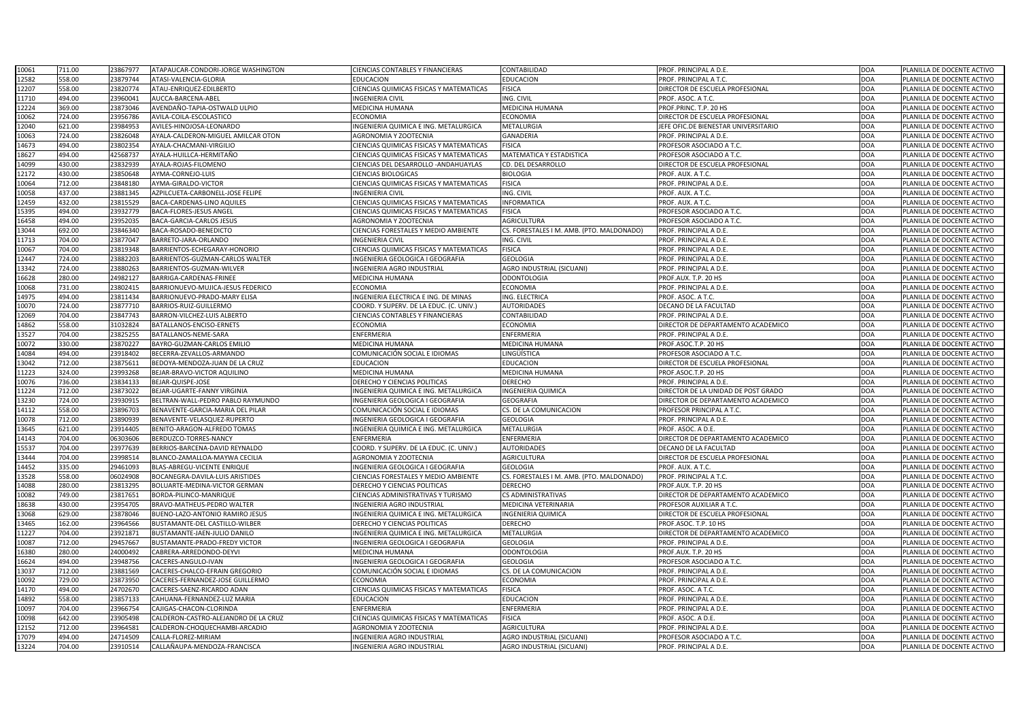| 10061 | 711.00 | 23867977 | ATAPAUCAR-CONDORI-JORGE WASHINGTON   | <b>CIENCIAS CONTABLES Y FINANCIERAS</b>        | CONTABILIDAD                              | PROF. PRINCIPAL A D.E.                 | <b>DOA</b> | PLANILLA DE DOCENTE ACTIVO |
|-------|--------|----------|--------------------------------------|------------------------------------------------|-------------------------------------------|----------------------------------------|------------|----------------------------|
| 12582 | 558.00 | 23879744 | ATASI-VALENCIA-GLORIA                | <b>EDUCACION</b>                               | <b>EDUCACION</b>                          | PROF. PRINCIPAL A T.C.                 | <b>DOA</b> | PLANILLA DE DOCENTE ACTIVO |
| 12207 | 558.00 | 23820774 | ATAU-ENRIQUEZ-EDILBERTO              | <b>CIENCIAS QUIMICAS FISICAS Y MATEMATICAS</b> | <b>FISICA</b>                             | DIRECTOR DE ESCUELA PROFESIONAL        | <b>DOA</b> | PLANILLA DE DOCENTE ACTIVO |
| 11710 | 494.00 | 23960041 | AUCCA-BARCENA-ABEL                   | <b>INGENIERIA CIVIL</b>                        | ING. CIVIL                                | PROF. ASOC. A T.C.                     | <b>DOA</b> | PLANILLA DE DOCENTE ACTIVO |
| 12224 | 369.00 | 23873046 | AVENDAÑO-TAPIA-OSTWALD ULPIO         | MEDICINA HUMANA                                | MEDICINA HUMANA                           | PROF.PRINC. T.P. 20 HS                 | <b>DOA</b> | PLANILLA DE DOCENTE ACTIVO |
| 10062 | 724.00 | 23956786 | AVILA-COILA-ESCOLASTICO              | <b>ECONOMIA</b>                                | ECONOMIA                                  | DIRECTOR DE ESCUELA PROFESIONAL        | <b>DOA</b> | PLANILLA DE DOCENTE ACTIVO |
| 12040 | 621.00 | 23984953 | AVILES-HINOJOSA-LEONARDO             | INGENIERIA QUIMICA E ING. METALURGICA          | METALURGIA                                | EFE OFIC.DE BIENESTAR UNIVERSITARIO    | <b>DOA</b> | PLANILLA DE DOCENTE ACTIVO |
| 10063 | 724.00 | 23826048 | AYALA-CALDERON-MIGUEL AMILCAR OTON   | AGRONOMIA Y ZOOTECNIA                          | <b>GANADERIA</b>                          | PROF. PRINCIPAL A D.E.                 | <b>DOA</b> | PLANILLA DE DOCENTE ACTIVO |
| 14673 | 494.00 | 23802354 | AYALA-CHACMANI-VIRGILIO              | CIENCIAS QUIMICAS FISICAS Y MATEMATICAS        | <b>FISICA</b>                             | PROFESOR ASOCIADO A T.C.               | <b>DOA</b> | PLANILLA DE DOCENTE ACTIVO |
| 18627 | 494.00 | 42568737 | AYALA-HUILLCA-HERMITAÑO              | CIENCIAS QUIMICAS FISICAS Y MATEMATICAS        | MATEMATICA Y ESTADISTICA                  | PROFESOR ASOCIADO A T.C.               | <b>DOA</b> | PLANILLA DE DOCENTE ACTIVO |
| 14099 | 430.00 | 23832939 | AYALA-ROJAS-FILOMENO                 | <b>CIENCIAS DEL DESARROLLO - ANDAHUAYLAS</b>   | <b>CD. DEL DESARROLLO</b>                 | <b>DIRECTOR DE ESCUELA PROFESIONAL</b> | <b>DOA</b> | PLANILLA DE DOCENTE ACTIVO |
| 12172 | 430.00 | 23850648 | AYMA-CORNEJO-LUIS                    | <b>CIENCIAS BIOLOGICAS</b>                     | <b>BIOLOGIA</b>                           | PROF. AUX. A T.C.                      | <b>DOA</b> | PLANILLA DE DOCENTE ACTIVO |
| 10064 | 712.00 | 23848180 | AYMA-GIRALDO-VICTOR                  | CIENCIAS QUIMICAS FISICAS Y MATEMATICAS        | <b>FISICA</b>                             | PROF. PRINCIPAL A D.E.                 | <b>DOA</b> | PLANILLA DE DOCENTE ACTIVO |
| 10058 | 437.00 | 23881345 | AZPILCUETA-CARBONELL-JOSE FELIPE     | <b>INGENIERIA CIVIL</b>                        | ING. CIVIL                                | PROF. AUX. A T.C.                      | <b>DOA</b> | PLANILLA DE DOCENTE ACTIVO |
| 12459 | 432.00 | 23815529 | BACA-CARDENAS-LINO AQUILES           | CIENCIAS QUIMICAS FISICAS Y MATEMATICAS        | INFORMATICA                               | PROF. AUX. A T.C.                      | <b>DOA</b> | PLANILLA DE DOCENTE ACTIVO |
| 15395 | 494.00 | 23932779 | <b>BACA-FLORES-JESUS ANGEL</b>       | <b>CIENCIAS QUIMICAS FISICAS Y MATEMATICAS</b> | <b>FISICA</b>                             | PROFESOR ASOCIADO A T.C.               | <b>DOA</b> | PLANILLA DE DOCENTE ACTIVO |
| 16458 | 494.00 | 23952035 | <b>BACA-GARCIA-CARLOS JESUS</b>      | <b>AGRONOMIA Y ZOOTECNIA</b>                   | <b>AGRICULTURA</b>                        | <b>PROFESOR ASOCIADO A T.C.</b>        | <b>DOA</b> | PLANILLA DE DOCENTE ACTIVO |
| 13044 | 692.00 | 23846340 | BACA-ROSADO-BENEDICTO                | <b>CIENCIAS FORESTALES Y MEDIO AMBIENTE</b>    | CS. FORESTALES I M. AMB. (PTO. MALDONADO) | PROF. PRINCIPAL A D.E.                 | <b>DOA</b> | PLANILLA DE DOCENTE ACTIVO |
| 11713 | 704.00 | 23877047 | BARRETO-JARA-ORLANDO                 | <b>INGENIERIA CIVIL</b>                        | ING. CIVIL                                | PROF. PRINCIPAL A D.E.                 | <b>DOA</b> | PLANILLA DE DOCENTE ACTIVO |
| 10067 | 704.00 | 23819348 | BARRIENTOS-ECHEGARAY-HONORIO         | CIENCIAS QUIMICAS FISICAS Y MATEMATICAS        | <b>FISICA</b>                             | PROF. PRINCIPAL A D.E.                 | <b>DOA</b> | PLANILLA DE DOCENTE ACTIVO |
| 12447 | 724.00 | 23882203 | BARRIENTOS-GUZMAN-CARLOS WALTER      | INGENIERIA GEOLOGICA I GEOGRAFIA               | <b>GEOLOGIA</b>                           | PROF. PRINCIPAL A D.E.                 | <b>DOA</b> | PLANILLA DE DOCENTE ACTIVO |
| 13342 | 724.00 | 23880263 | BARRIENTOS-GUZMAN-WILVER             | <b>INGENIERIA AGRO INDUSTRIAL</b>              | <b>AGRO INDUSTRIAL (SICUANI)</b>          | PROF. PRINCIPAL A D.E.                 | <b>DOA</b> | PLANILLA DE DOCENTE ACTIVO |
| 16628 | 280.00 | 24982127 | BARRIGA-CARDENAS-FRINEE              | <b>MEDICINA HUMANA</b>                         | <b>ODONTOLOGIA</b>                        | PROF.AUX. T.P. 20 HS                   | <b>DOA</b> | PLANILLA DE DOCENTE ACTIVO |
| 10068 | 731.00 | 23802415 | BARRIONUEVO-MUJICA-JESUS FEDERICO    | <b>ECONOMIA</b>                                | <b>ECONOMIA</b>                           | PROF. PRINCIPAL A D.E.                 | <b>DOA</b> | PLANILLA DE DOCENTE ACTIVO |
| 14975 | 494.00 | 23811434 | BARRIONUEVO-PRADO-MARY ELISA         | INGENIERIA ELECTRICA E ING. DE MINAS           | ING. ELECTRICA                            | PROF. ASOC. A T.C.                     | <b>DOA</b> | PLANILLA DE DOCENTE ACTIVO |
| 10070 | 724.00 | 23877710 | BARRIOS-RUIZ-GUILLERMO               | COORD. Y SUPERV. DE LA EDUC. (C. UNIV.)        | <b>AUTORIDADES</b>                        | DECANO DE LA FACULTAD                  | <b>DOA</b> | PLANILLA DE DOCENTE ACTIVO |
| 12069 | 704.00 | 23847743 | BARRON-VILCHEZ-LUIS ALBERTO          | <b>CIENCIAS CONTABLES Y FINANCIERAS</b>        | CONTABILIDAD                              | PROF. PRINCIPAL A D.E.                 | <b>DOA</b> | PLANILLA DE DOCENTE ACTIVO |
| 14862 | 558.00 | 31032824 | BATALLANOS-ENCISO-ERNETS             | <b>ECONOMIA</b>                                | <b>ECONOMIA</b>                           | DIRECTOR DE DEPARTAMENTO ACADEMICO     | <b>DOA</b> | PLANILLA DE DOCENTE ACTIVO |
| 13527 | 704.00 | 23825255 | BATALLANOS-NEME-SARA                 | <b>ENFERMERIA</b>                              | <b>ENFERMERIA</b>                         | PROF. PRINCIPAL A D.E.                 | <b>DOA</b> | PLANILLA DE DOCENTE ACTIVO |
| 10072 | 330.00 | 23870227 | BAYRO-GUZMAN-CARLOS EMILIO           | <b>MEDICINA HUMANA</b>                         | MEDICINA HUMANA                           | PROF.ASOC.T.P. 20 HS                   | <b>DOA</b> | PLANILLA DE DOCENTE ACTIVO |
| 14084 | 494.00 | 23918402 | BECERRA-ZEVALLOS-ARMANDO             | COMUNICACIÓN SOCIAL E IDIOMAS                  | INGÜÍSTICA                                | PROFESOR ASOCIADO A T.C.               | <b>DOA</b> | PLANILLA DE DOCENTE ACTIVO |
| 13042 | 712.00 | 23875611 | BEDOYA-MENDOZA-JUAN DE LA CRUZ       | <b>EDUCACION</b>                               | <b>EDUCACION</b>                          | <b>DIRECTOR DE ESCUELA PROFESIONAL</b> | <b>DOA</b> | PLANILLA DE DOCENTE ACTIVO |
| 11223 | 324.00 | 23993268 | BEJAR-BRAVO-VICTOR AQUILINO          | <b>MEDICINA HUMANA</b>                         | MEDICINA HUMANA                           | PROF.ASOC.T.P. 20 HS                   | <b>DOA</b> | PLANILLA DE DOCENTE ACTIVO |
| 10076 | 736.00 | 23834133 | BEJAR-QUISPE-JOSE                    | DERECHO Y CIENCIAS POLITICAS                   | <b>DERECHO</b>                            | PROF. PRINCIPAL A D.E.                 | <b>DOA</b> | PLANILLA DE DOCENTE ACTIVO |
| 11224 | 712.00 | 23873022 | BEJAR-UGARTE-FANNY VIRGINIA          | INGENIERIA QUIMICA E ING. METALURGICA          | <b>INGENIERIA QUIMICA</b>                 | DIRECTOR DE LA UNIDAD DE POST GRADO    | <b>DOA</b> | PLANILLA DE DOCENTE ACTIVO |
| 13230 | 724.00 | 23930915 | BELTRAN-WALL-PEDRO PABLO RAYMUNDO    | INGENIERIA GEOLOGICA I GEOGRAFIA               | <b>GEOGRAFIA</b>                          | DIRECTOR DE DEPARTAMENTO ACADEMICO     | <b>DOA</b> | PLANILLA DE DOCENTE ACTIVO |
| 14112 | 558.00 | 23896703 | BENAVENTE-GARCIA-MARIA DEL PILAR     | COMUNICACIÓN SOCIAL E IDIOMAS                  | CS. DE LA COMUNICACION                    | PROFESOR PRINCIPAL A T.C.              | <b>DOA</b> | PLANILLA DE DOCENTE ACTIVO |
| 10078 | 712.00 | 23890939 | BENAVENTE-VELASQUEZ-RUPERTO          | INGENIERIA GEOLOGICA I GEOGRAFIA               | <b>GEOLOGIA</b>                           | PROF. PRINCIPAL A D.E.                 | <b>DOA</b> | PLANILLA DE DOCENTE ACTIVO |
| 13645 | 621.00 | 23914405 | BENITO-ARAGON-ALFREDO TOMAS          | INGENIERIA QUIMICA E ING. METALURGICA          | METALURGIA                                | PROF. ASOC. A D.E.                     | <b>DOA</b> | PLANILLA DE DOCENTE ACTIVO |
| 14143 | 704.00 | 06303606 | BERDUZCO-TORRES-NANCY                | <b>ENFERMERIA</b>                              | <b>ENFERMERIA</b>                         | DIRECTOR DE DEPARTAMENTO ACADEMICO     | <b>DOA</b> | PLANILLA DE DOCENTE ACTIVO |
| 15537 | 704.00 | 23977639 | BERRIOS-BARCENA-DAVID REYNALDO       | COORD. Y SUPERV. DE LA EDUC. (C. UNIV.)        | <b>AUTORIDADES</b>                        | DECANO DE LA FACULTAD                  | <b>DOA</b> | PLANILLA DE DOCENTE ACTIVO |
| 13444 | 704.00 | 23998514 | BLANCO-ZAMALLOA-MAYWA CECILIA        | <b>AGRONOMIA Y ZOOTECNIA</b>                   | <b>AGRICULTURA</b>                        | DIRECTOR DE ESCUELA PROFESIONAL        | <b>DOA</b> | PLANILLA DE DOCENTE ACTIVO |
| 14452 | 335.00 | 29461093 | <b>BLAS-ABREGU-VICENTE ENRIQUE</b>   | INGENIERIA GEOLOGICA I GEOGRAFIA               | <b>GEOLOGIA</b>                           | PROF. AUX. A T.C.                      | <b>DOA</b> | PLANILLA DE DOCENTE ACTIVO |
| 13528 | 558.00 | 06024908 | BOCANEGRA-DAVILA-LUIS ARISTIDES      | <b>CIENCIAS FORESTALES Y MEDIO AMBIENTE</b>    | CS. FORESTALES I M. AMB. (PTO. MALDONADO) | <b>PROF. PRINCIPAL A T.C.</b>          | <b>DOA</b> | PLANILLA DE DOCENTE ACTIVO |
| 14088 | 280.00 | 23813295 | BOLUARTE-MEDINA-VICTOR GERMAN        | DERECHO Y CIENCIAS POLITICAS                   | <b>DERECHO</b>                            | PROF.AUX. T.P. 20 HS                   | <b>DOA</b> | PLANILLA DE DOCENTE ACTIVO |
| 10082 | 749.00 | 23817651 | BORDA-PILINCO-MANRIQUE               | <b>CIENCIAS ADMINISTRATIVAS Y TURISMO</b>      | <b>CS ADMINISTRATIVAS</b>                 | DIRECTOR DE DEPARTAMENTO ACADEMICO     | <b>DOA</b> | PLANILLA DE DOCENTE ACTIVO |
| 18638 | 430.00 | 23954705 | <b>BRAVO-MATHEUS-PEDRO WALTER</b>    | <b>INGENIERIA AGRO INDUSTRIAL</b>              | MEDICINA VETERINARIA                      | PROFESOR AUXILIAR A T.C.               | <b>DOA</b> | PLANILLA DE DOCENTE ACTIVO |
| 13068 | 629.00 | 23878046 | BUENO-LAZO-ANTONIO RAMIRO JESUS      | INGENIERIA QUIMICA E ING. METALURGICA          | INGENIERIA QUIMICA                        | DIRECTOR DE ESCUELA PROFESIONAL        | <b>DOA</b> | PLANILLA DE DOCENTE ACTIVO |
| 13465 | 162.00 | 23964566 | BUSTAMANTE-DEL CASTILLO-WILBER       | DERECHO Y CIENCIAS POLITICAS                   | <b>DERECHO</b>                            | PROF.ASOC. T.P. 10 HS                  | <b>DOA</b> | PLANILLA DE DOCENTE ACTIVO |
| 11227 | 704.00 | 23921871 | BUSTAMANTE-JAEN-JULIO DANILO         | INGENIERIA QUIMICA E ING. METALURGICA          | METALURGIA                                | DIRECTOR DE DEPARTAMENTO ACADEMICO     | <b>DOA</b> | PLANILLA DE DOCENTE ACTIVO |
| 10087 | 712.00 | 29457667 | <b>BUSTAMANTE-PRADO-FREDY VICTOR</b> | INGENIERIA GEOLOGICA I GEOGRAFIA               | <b>GEOLOGIA</b>                           | PROF. PRINCIPAL A D.E.                 | <b>DOA</b> | PLANILLA DE DOCENTE ACTIVO |
| 16380 | 280.00 | 24000492 | CABRERA-ARREDONDO-DEYVI              | <b>MEDICINA HUMANA</b>                         | <b>ODONTOLOGIA</b>                        | PROF.AUX. T.P. 20 HS                   | <b>DOA</b> | PLANILLA DE DOCENTE ACTIVO |
| 16624 | 494.00 | 23948756 | CACERES-ANGULO-IVAN                  | INGENIERIA GEOLOGICA I GEOGRAFIA               | <b>GEOLOGIA</b>                           | PROFESOR ASOCIADO A T.C.               | <b>DOA</b> | PLANILLA DE DOCENTE ACTIVO |
| 13037 | 712.00 | 23881569 | ACERES-CHALCO-EFRAIN GREGORIO        | COMUNICACIÓN SOCIAL E IDIOMAS                  | CS. DE LA COMUNICACION                    | PROF. PRINCIPAL A D.E.                 | <b>DOA</b> | PLANILLA DE DOCENTE ACTIVO |
| 10092 | 729.00 | 23873950 | CACERES-FERNANDEZ-JOSE GUILLERMO     | <b>ECONOMIA</b>                                | <b>ECONOMIA</b>                           | PROF. PRINCIPAL A D.E.                 | <b>DOA</b> | PLANILLA DE DOCENTE ACTIVO |
| 14170 | 494.00 | 24702670 | CACERES-SAENZ-RICARDO ADAN           | CIENCIAS QUIMICAS FISICAS Y MATEMATICAS        | <b>FISICA</b>                             | PROF. ASOC. A T.C.                     | <b>DOA</b> | PLANILLA DE DOCENTE ACTIVO |
| 14892 | 558.00 | 23857133 | CAHUANA-FERNANDEZ-LUZ MARIA          | <b>EDUCACION</b>                               | <b>EDUCACION</b>                          | PROF. PRINCIPAL A D.E.                 | <b>DOA</b> | PLANILLA DE DOCENTE ACTIVO |
| 10097 | 704.00 | 23966754 | CAJIGAS-CHACON-CLORINDA              | <b>ENFERMERIA</b>                              | ENFERMERIA                                | PROF. PRINCIPAL A D.E.                 | <b>DOA</b> | PLANILLA DE DOCENTE ACTIVO |
| 10098 | 642.00 | 23905498 | CALDERON-CASTRO-ALEJANDRO DE LA CRUZ | CIENCIAS QUIMICAS FISICAS Y MATEMATICAS        | <b>FISICA</b>                             | PROF. ASOC. A D.E.                     | <b>DOA</b> | PLANILLA DE DOCENTE ACTIVO |
| 12152 | 712.00 | 23964581 | CALDERON-CHOQUECHAMBI-ARCADIO        | AGRONOMIA Y ZOOTECNIA                          | <b>AGRICULTURA</b>                        | PROF. PRINCIPAL A D.E.                 | <b>DOA</b> | PLANILLA DE DOCENTE ACTIVO |
| 17079 | 494.00 | 24714509 | CALLA-FLOREZ-MIRIAM                  | <b>INGENIERIA AGRO INDUSTRIAL</b>              | AGRO INDUSTRIAL (SICUANI)                 | PROFESOR ASOCIADO A T.C.               | <b>DOA</b> | PLANILLA DE DOCENTE ACTIVO |
| 13224 | 704.00 | 23910514 | CALLAÑAUPA-MENDOZA-FRANCISCA         | <b>INGENIERIA AGRO INDUSTRIAL</b>              | <b>AGRO INDUSTRIAL (SICUANI)</b>          | PROF. PRINCIPAL A D.E.                 | <b>DOA</b> | PLANILLA DE DOCENTE ACTIVO |
|       |        |          |                                      |                                                |                                           |                                        |            |                            |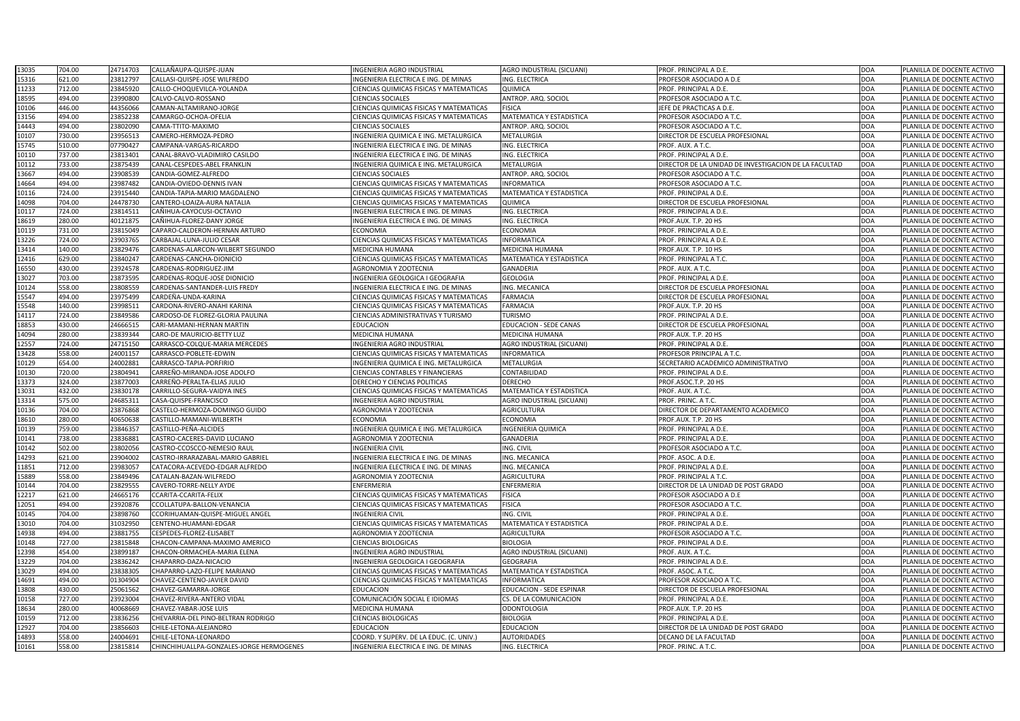| 13035 | 704.00 | 24714703<br>CALLAÑAUPA-QUISPE-JUAN                   | INGENIERIA AGRO INDUSTRIAL              | AGRO INDUSTRIAL (SICUANI)        | PROF. PRINCIPAL A D.E.                                | <b>DOA</b> | PLANILLA DE DOCENTE ACTIVO |
|-------|--------|------------------------------------------------------|-----------------------------------------|----------------------------------|-------------------------------------------------------|------------|----------------------------|
| 15316 | 621.00 | 23812797<br>CALLASI-QUISPE-JOSE WILFREDO             | INGENIERIA ELECTRICA E ING. DE MINAS    | ING. ELECTRICA                   | PROFESOR ASOCIADO A D.E                               | DOA        | PLANILLA DE DOCENTE ACTIVO |
| 11233 | 712.00 | 23845920<br>CALLO-CHOQUEVILCA-YOLANDA                | CIENCIAS QUIMICAS FISICAS Y MATEMATICAS | QUIMICA                          | PROF. PRINCIPAL A D.E.                                | DOA        | PLANILLA DE DOCENTE ACTIVO |
| 18595 | 494.00 | 23990800<br>CALVO-CALVO-ROSSANO                      | <b>CIENCIAS SOCIALES</b>                | ANTROP. ARQ. SOCIOL              | PROFESOR ASOCIADO A T.C.                              | <b>DOA</b> | PLANILLA DE DOCENTE ACTIVO |
| 10106 | 446.00 | 44356066<br>CAMAN-ALTAMIRANO-JORGE                   | CIENCIAS QUIMICAS FISICAS Y MATEMATICAS | <b>FISICA</b>                    | JEFE DE PRACTICAS A D.E.                              | DOA        | PLANILLA DE DOCENTE ACTIVO |
| 13156 | 494.00 | 23852238<br>AMARGO-OCHOA-OFELIA                      | CIENCIAS QUIMICAS FISICAS Y MATEMATICAS | <b>MATEMATICA Y ESTADISTICA</b>  | PROFESOR ASOCIADO A T.C.                              | <b>DOA</b> | PLANILLA DE DOCENTE ACTIVO |
| 14443 | 494.00 | 23802090<br><b>CAMA-TTITO-MAXIMO</b>                 | <b>CIENCIAS SOCIALES</b>                | ANTROP. ARQ. SOCIOL              | PROFESOR ASOCIADO A T.C.                              | DOA        | PLANILLA DE DOCENTE ACTIVO |
| 10107 | 730.00 | 23956513<br>AMERO-HERMOZA-PEDRO                      | INGENIERIA QUIMICA E ING. METALURGICA   | <b>METALURGIA</b>                | DIRECTOR DE ESCUELA PROFESIONAL                       | DOA        | PLANILLA DE DOCENTE ACTIVO |
| 15745 | 510.00 | 07790427<br><b>CAMPANA-VARGAS-RICARDO</b>            | INGENIERIA ELECTRICA E ING. DE MINAS    | ING. ELECTRICA                   | PROF. AUX. A T.C.                                     | DOA        | PLANILLA DE DOCENTE ACTIVO |
| 10110 | 737.00 | 23813401<br>CANAL-BRAVO-VLADIMIRO CASILDO            | INGENIERIA ELECTRICA E ING. DE MINAS    | ING. ELECTRICA                   | PROF. PRINCIPAL A D.E.                                | DOA        | PLANILLA DE DOCENTE ACTIVO |
| 10112 | 733.00 | 23875439<br>CANAL-CESPEDES-ABEL FRANKLIN             | INGENIERIA QUIMICA E ING. METALURGICA   | <b>METALURGIA</b>                | DIRECTOR DE LA UNIDAD DE INVESTIGACION DE LA FACULTAD | <b>DOA</b> | PLANILLA DE DOCENTE ACTIVO |
| 13667 | 494.00 | 23908539<br>CANDIA-GOMEZ-ALFREDO                     | <b>CIENCIAS SOCIALES</b>                | ANTROP. ARQ. SOCIOL              | PROFESOR ASOCIADO A T.C.                              | <b>DOA</b> | PLANILLA DE DOCENTE ACTIVO |
| 14664 | 494.00 | 23987482<br>CANDIA-OVIEDO-DENNIS IVAN                | CIENCIAS QUIMICAS FISICAS Y MATEMATICAS | <b>INFORMATICA</b>               | PROFESOR ASOCIADO A T.C.                              | DOA        | PLANILLA DE DOCENTE ACTIVO |
| 10116 | 724.00 | 23915440<br><b>ANDIA-TAPIA-MARIO MAGDALENO</b>       | CIENCIAS QUIMICAS FISICAS Y MATEMATICAS | MATEMATICA Y ESTADISTICA         | PROF. PRINCIPAL A D.E.                                | DOA        | PLANILLA DE DOCENTE ACTIVO |
| 14098 | 704.00 | 24478730<br>CANTERO-LOAIZA-AURA NATALIA              | CIENCIAS QUIMICAS FISICAS Y MATEMATICAS | QUIMICA                          | DIRECTOR DE ESCUELA PROFESIONAL                       | <b>DOA</b> | PLANILLA DE DOCENTE ACTIVO |
| 10117 | 724.00 | 23814511<br>CAÑIHUA-CAYOCUSI-OCTAVIO                 | INGENIERIA ELECTRICA E ING. DE MINAS    | ING. ELECTRICA                   | PROF. PRINCIPAL A D.E.                                | DOA        | PLANILLA DE DOCENTE ACTIVO |
| 18619 | 280.00 | 40121875<br>CAÑIHUA-FLOREZ-DANY JORGE                | INGENIERIA ELECTRICA E ING. DE MINAS    | ING. ELECTRICA                   | PROF.AUX. T.P. 20 HS                                  | <b>DOA</b> | PLANILLA DE DOCENTE ACTIVO |
| 10119 | 731.00 | 23815049<br>CAPARO-CALDERON-HERNAN ARTURO            | ECONOMIA                                | <b>ECONOMIA</b>                  | PROF. PRINCIPAL A D.E.                                | DOA        | PLANILLA DE DOCENTE ACTIVO |
| 13226 | 724.00 | 23903765<br>CARBAJAL-LUNA-JULIO CESAR                | CIENCIAS QUIMICAS FISICAS Y MATEMATICAS | <b>INFORMATICA</b>               | PROF. PRINCIPAL A D.E.                                | <b>DOA</b> | PLANILLA DE DOCENTE ACTIVO |
| 13414 | 140.00 | 23829476<br>ARDENAS-ALARCON-WILBERT SEGUNDO          | MEDICINA HUMANA                         | MEDICINA HUMANA                  | PROF.AUX. T.P. 10 HS                                  | DOA        | PLANILLA DE DOCENTE ACTIVO |
| 12416 | 629.00 | 23840247<br><b>CARDENAS-CANCHA-DIONICIO</b>          | CIENCIAS QUIMICAS FISICAS Y MATEMATICAS | MATEMATICA Y ESTADISTICA         | PROF. PRINCIPAL A T.C.                                | DOA        | PLANILLA DE DOCENTE ACTIVO |
| 16550 | 430.00 | 23924578<br>CARDENAS-RODRIGUEZ-JIM                   | AGRONOMIA Y ZOOTECNIA                   | <b>GANADERIA</b>                 | PROF. AUX. A T.C.                                     | <b>DOA</b> | PLANILLA DE DOCENTE ACTIVO |
| 13027 | 703.00 | 23873595<br>CARDENAS-ROQUE-JOSE DIONICIO             | INGENIERIA GEOLOGICA I GEOGRAFIA        | <b>GEOLOGIA</b>                  | PROF. PRINCIPAL A D.E.                                | DOA        | PLANILLA DE DOCENTE ACTIVO |
| 10124 | 558.00 | 23808559<br><b>CARDENAS-SANTANDER-LUIS FREDY</b>     | INGENIERIA ELECTRICA E ING. DE MINAS    | ING. MECANICA                    | DIRECTOR DE ESCUELA PROFESIONAL                       | <b>DOA</b> | PLANILLA DE DOCENTE ACTIVO |
| 15547 | 494.00 | 23975499<br>CARDEÑA-UNDA-KARINA                      | CIENCIAS QUIMICAS FISICAS Y MATEMATICAS | <b>FARMACIA</b>                  | DIRECTOR DE ESCUELA PROFESIONAL                       | <b>DOA</b> | PLANILLA DE DOCENTE ACTIVO |
| 15548 | 140.00 | 23998511<br><b>CARDONA-RIVERO-ANAHI KARINA</b>       | CIENCIAS QUIMICAS FISICAS Y MATEMATICAS | <b>FARMACIA</b>                  | PROF.AUX. T.P. 20 HS                                  | <b>DOA</b> | PLANILLA DE DOCENTE ACTIVO |
| 14117 | 724.00 | 23849586<br>CARDOSO-DE FLOREZ-GLORIA PAULINA         | CIENCIAS ADMINISTRATIVAS Y TURISMO      | <b>TURISMO</b>                   | PROF. PRINCIPAL A D.E.                                | <b>DOA</b> | PLANILLA DE DOCENTE ACTIVO |
| 18853 | 430.00 | 24666515<br><b>ARI-MAMANI-HERNAN MARTIN</b>          | EDUCACION                               | <b>EDUCACION - SEDE CANAS</b>    | DIRECTOR DE ESCUELA PROFESIONAL                       | DOA        | PLANILLA DE DOCENTE ACTIVO |
| 14094 | 280.00 | 23839344<br>CARO-DE MAURICIO-BETTY LUZ               | MEDICINA HUMANA                         | MEDICINA HUMANA                  | PROF.AUX. T.P. 20 HS                                  | DOA        | PLANILLA DE DOCENTE ACTIVO |
| 12557 | 724.00 | 24715150<br>CARRASCO-COLQUE-MARIA MERCEDES           | INGENIERIA AGRO INDUSTRIAL              | <b>AGRO INDUSTRIAL (SICUANI)</b> | PROF. PRINCIPAL A D.E.                                | DOA        | PLANILLA DE DOCENTE ACTIVO |
| 13428 | 558.00 | 24001157<br>CARRASCO-POBLETE-EDWIN                   | CIENCIAS QUIMICAS FISICAS Y MATEMATICAS | <b>INFORMATICA</b>               | PROFESOR PRINCIPAL A T.C.                             | DOA        | PLANILLA DE DOCENTE ACTIVO |
| 10129 | 654.00 | 24002881<br>CARRASCO-TAPIA-PORFIRIO                  | INGENIERIA QUIMICA E ING. METALURGICA   | METALURGIA                       | SECRETARIO ACADEMICO ADMINISTRATIVO                   | <b>DOA</b> | PLANILLA DE DOCENTE ACTIVO |
| 10130 | 720.00 | 23804941<br>CARREÑO-MIRANDA-JOSE ADOLFO              | CIENCIAS CONTABLES Y FINANCIERAS        | CONTABILIDAD                     | PROF. PRINCIPAL A D.E.                                | DOA        | PLANILLA DE DOCENTE ACTIVO |
| 13373 | 324.00 | 23877003<br>CARREÑO-PERALTA-ELIAS JULIO              | DERECHO Y CIENCIAS POLITICAS            | <b>DERECHO</b>                   | PROF.ASOC.T.P. 20 HS                                  | <b>DOA</b> | PLANILLA DE DOCENTE ACTIVO |
| 13031 | 432.00 | 23830178<br>CARRILLO-SEGURA-VAIDYA INES              | CIENCIAS QUIMICAS FISICAS Y MATEMATICAS | <b>MATEMATICA Y ESTADISTICA</b>  | PROF. AUX. A T.C.                                     | <b>DOA</b> | PLANILLA DE DOCENTE ACTIVO |
| 13314 | 575.00 | 2468531<br>CASA-QUISPE-FRANCISCO                     | <b>INGENIERIA AGRO INDUSTRIAL</b>       | AGRO INDUSTRIAL (SICUANI)        | PROF. PRINC. A T.C.                                   | <b>DOA</b> | PLANILLA DE DOCENTE ACTIVO |
| 10136 | 704.00 | 23876868<br>CASTELO-HERMOZA-DOMINGO GUIDO            | AGRONOMIA Y ZOOTECNIA                   | AGRICULTURA                      | DIRECTOR DE DEPARTAMENTO ACADEMICO                    | DOA        | PLANILLA DE DOCENTE ACTIVO |
| 18610 | 280.00 | 40650638<br>CASTILLO-MAMANI-WILBERTH                 | ECONOMIA                                | <b>ECONOMIA</b>                  | PROF.AUX. T.P. 20 HS                                  | DOA        | PLANILLA DE DOCENTE ACTIVO |
| 10139 | 759.00 | 23846357<br>ASTILLO-PEÑA-ALCIDES                     | INGENIERIA QUIMICA E ING. METALURGICA   | <b>INGENIERIA QUIMICA</b>        | PROF. PRINCIPAL A D.E.                                | DOA        | PLANILLA DE DOCENTE ACTIVO |
| 10141 | 738.00 | 23836883<br>CASTRO-CACERES-DAVID LUCIANO             | AGRONOMIA Y ZOOTECNIA                   | <b>GANADERIA</b>                 | PROF. PRINCIPAL A D.E.                                | <b>DOA</b> | PLANILLA DE DOCENTE ACTIVO |
| 10142 | 502.00 | 23802056<br>CASTRO-CCOSCCO-NEMESIO RAUL              | <b>INGENIERIA CIVIL</b>                 | ING. CIVIL                       | PROFESOR ASOCIADO A T.C.                              | DOA        | PLANILLA DE DOCENTE ACTIVO |
| 14293 | 621.00 | 23904002<br>CASTRO-IRRARAZABAL-MARIO GABRIEL         | INGENIERIA ELECTRICA E ING. DE MINAS    | ING. MECANICA                    | PROF. ASOC. A D.E.                                    | <b>DOA</b> | PLANILLA DE DOCENTE ACTIVO |
| 11851 | 712.00 | 23983057<br>CATACORA-ACEVEDO-EDGAR ALFREDO           | INGENIERIA ELECTRICA E ING. DE MINAS    | ING. MECANICA                    | PROF. PRINCIPAL A D.E.                                | DOA        | PLANILLA DE DOCENTE ACTIVO |
| 15889 | 558.00 | 23849496<br><b>ATALAN-BAZAN-WILFREDO</b>             | AGRONOMIA Y ZOOTECNIA                   | <b>AGRICULTURA</b>               | PROF. PRINCIPAL A T.C.                                | DOA        | PLANILLA DE DOCENTE ACTIVO |
| 10144 | 704.00 | 23829555<br>CAVERO-TORRE-NELLY AYDE                  | ENFERMERIA                              | ENFERMERIA                       | DIRECTOR DE LA UNIDAD DE POST GRADO                   | DOA        | PLANILLA DE DOCENTE ACTIVO |
| 12217 | 621.00 | 24665176<br>CCARITA-CCARITA-FELIX                    | CIENCIAS QUIMICAS FISICAS Y MATEMATICAS | <b>FISICA</b>                    | PROFESOR ASOCIADO A D.E                               | DOA        | PLANILLA DE DOCENTE ACTIVO |
| 12051 | 494.00 | 23920876<br>COLLATUPA-BALLON-VENANCIA                | CIENCIAS QUIMICAS FISICAS Y MATEMATICAS | <b>FISICA</b>                    | PROFESOR ASOCIADO A T.C.                              | DOA        | PLANILLA DE DOCENTE ACTIVO |
| 10145 | 704.00 | 23898760<br>CCORIHUAMAN-QUISPE-MIGUEL ANGEL          | <b>INGENIERIA CIVIL</b>                 | ING. CIVIL                       | PROF. PRINCIPAL A D.E.                                | DOA        | PLANILLA DE DOCENTE ACTIVO |
| 13010 | 704.00 | 31032950<br>CENTENO-HUAMANI-EDGAR                    | CIENCIAS QUIMICAS FISICAS Y MATEMATICAS | <b>MATEMATICA Y ESTADISTICA</b>  | PROF. PRINCIPAL A D.E.                                | DOA        | PLANILLA DE DOCENTE ACTIVO |
| 14938 | 494.00 | 23881755<br>CESPEDES-FLOREZ-ELISABET                 | AGRONOMIA Y ZOOTECNIA                   | AGRICULTURA                      | PROFESOR ASOCIADO A T.C.                              | DOA        | PLANILLA DE DOCENTE ACTIVO |
| 10148 | 727.00 | 23815848<br>CHACON-CAMPANA-MAXIMO AMERICO            | <b>CIENCIAS BIOLOGICAS</b>              | <b>BIOLOGIA</b>                  | PROF. PRINCIPAL A D.E.                                | <b>DOA</b> | PLANILLA DE DOCENTE ACTIVO |
| 12398 | 454.00 | 23899187<br>CHACON-ORMACHEA-MARIA ELENA              | INGENIERIA AGRO INDUSTRIAL              | <b>AGRO INDUSTRIAL (SICUANI)</b> | PROF. AUX. A T.C.                                     | DOA        | PLANILLA DE DOCENTE ACTIVO |
| 13229 | 704.00 | 23836242<br>CHAPARRO-DAZA-NICACIO                    | INGENIERIA GEOLOGICA I GEOGRAFIA        | <b>GEOGRAFIA</b>                 | PROF. PRINCIPAL A D.E.                                | DOA        | PLANILLA DE DOCENTE ACTIVO |
| 13029 | 494.00 | 23838305<br>CHAPARRO-LAZO-FELIPE MARIANO             | CIENCIAS QUIMICAS FISICAS Y MATEMATICAS | <b>MATEMATICA Y ESTADISTICA</b>  | PROF. ASOC. A T.C.                                    | DOA        | PLANILLA DE DOCENTE ACTIVO |
| 14691 | 494.00 | 01304904<br>CHAVEZ-CENTENO-JAVIER DAVID              | CIENCIAS QUIMICAS FISICAS Y MATEMATICAS | <b>INFORMATICA</b>               | PROFESOR ASOCIADO A T.C.                              | DOA        | PLANILLA DE DOCENTE ACTIVO |
| 13808 | 430.00 | 25061562<br>CHAVEZ-GAMARRA-JORGE                     | EDUCACION                               | <b>EDUCACION - SEDE ESPINAR</b>  | DIRECTOR DE ESCUELA PROFESIONAL                       | DOA        | PLANILLA DE DOCENTE ACTIVO |
| 10158 | 727.00 | 23923004<br>CHAVEZ-RIVERA-ANTERO VIDAL               | COMUNICACIÓN SOCIAL E IDIOMAS           | CS. DE LA COMUNICACION           | PROF. PRINCIPAL A D.E.                                | DOA        | PLANILLA DE DOCENTE ACTIVO |
| 18634 | 280.00 | 40068669<br>CHAVEZ-YABAR-JOSE LUIS                   | MEDICINA HUMANA                         | <b>ODONTOLOGIA</b>               | PROF.AUX. T.P. 20 HS                                  | <b>DOA</b> | PLANILLA DE DOCENTE ACTIVO |
| 10159 | 712.00 | 23836256<br>CHEVARRIA-DEL PINO-BELTRAN RODRIGO       | <b>CIENCIAS BIOLOGICAS</b>              | <b>BIOLOGIA</b>                  | PROF. PRINCIPAL A D.E.                                | DOA        | PLANILLA DE DOCENTE ACTIVO |
| 12927 | 704.00 | 23856603<br>CHILE-LETONA-ALEJANDRO                   | <b>EDUCACION</b>                        | <b>EDUCACION</b>                 | DIRECTOR DE LA UNIDAD DE POST GRADO                   | DOA        | PLANILLA DE DOCENTE ACTIVO |
| 14893 | 558.00 | 24004691<br>CHILE-LETONA-LEONARDO                    | COORD. Y SUPERV. DE LA EDUC. (C. UNIV.) | <b>AUTORIDADES</b>               | DECANO DE LA FACULTAD                                 | DOA        | PLANILLA DE DOCENTE ACTIVO |
|       | 558.00 | 23815814<br>CHINCHIHUALLPA-GONZALES-JORGE HERMOGENES | INGENIERIA ELECTRICA E ING. DE MINAS    | ING. ELECTRICA                   | PROF. PRINC. A T.C.                                   | DOA        | PLANILLA DE DOCENTE ACTIVO |
| 10161 |        |                                                      |                                         |                                  |                                                       |            |                            |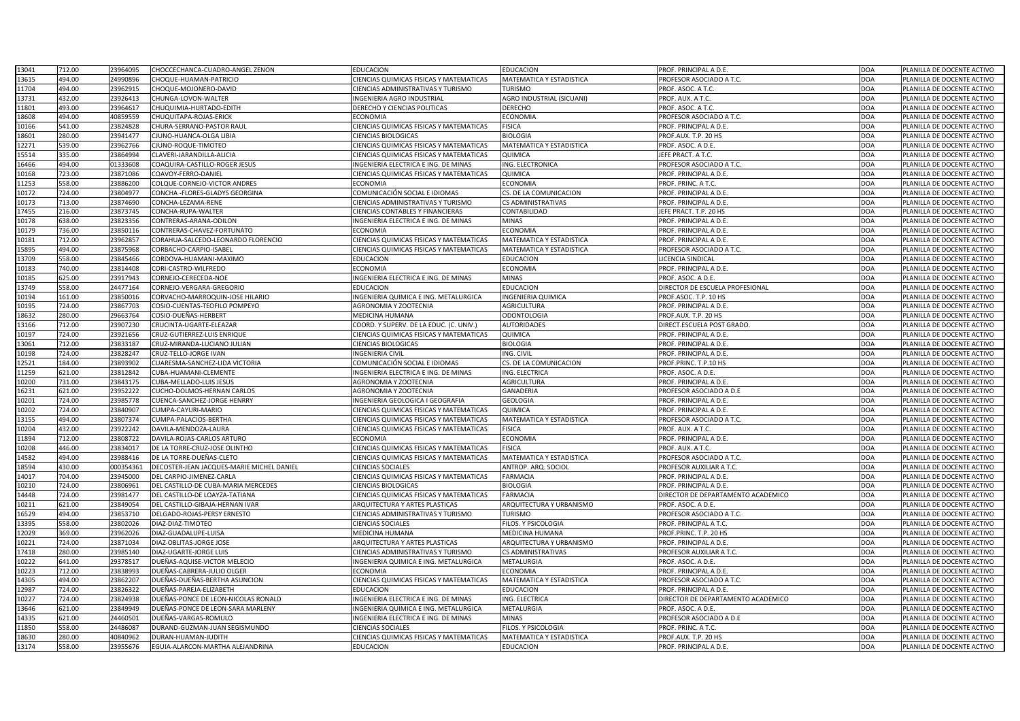| 13041 | 712.00 | 23964095  | CHOCCECHANCA-CUADRO-ANGEL ZENON           | <b>EDUCACION</b>                               | <b>EDUCACION</b>                 | PROF. PRINCIPAL A D.E.             | <b>DOA</b> | PLANILLA DE DOCENTE ACTIVO |
|-------|--------|-----------|-------------------------------------------|------------------------------------------------|----------------------------------|------------------------------------|------------|----------------------------|
| 13615 | 494.00 | 24990896  | CHOQUE-HUAMAN-PATRICIO                    | <b>CIENCIAS QUIMICAS FISICAS Y MATEMATICAS</b> | MATEMATICA Y ESTADISTICA         | PROFESOR ASOCIADO A T.C.           | <b>DOA</b> | PLANILLA DE DOCENTE ACTIVO |
| 11704 | 494.00 | 23962915  | CHOQUE-MOJONERO-DAVID                     | <b>CIENCIAS ADMINISTRATIVAS Y TURISMO</b>      | <b>TURISMO</b>                   | PROF. ASOC. A T.C.                 | <b>DOA</b> | PLANILLA DE DOCENTE ACTIVO |
| 13731 | 432.00 | 23926413  | CHUNGA-LOVON-WALTER                       | <b>INGENIERIA AGRO INDUSTRIAL</b>              | <b>AGRO INDUSTRIAL (SICUANI)</b> | PROF. AUX. A T.C.                  | <b>DOA</b> | PLANILLA DE DOCENTE ACTIVO |
| 11801 | 493.00 | 23964617  | CHUQUIMIA-HURTADO-EDITH                   | DERECHO Y CIENCIAS POLITICAS                   | <b>DERECHO</b>                   | PROF. ASOC. A T.C.                 | <b>DOA</b> | PLANILLA DE DOCENTE ACTIVO |
| 18608 | 494.00 | 40859559  | CHUQUITAPA-ROJAS-ERICK                    | <b>ECONOMIA</b>                                | ECONOMIA                         | PROFESOR ASOCIADO A T.C.           | <b>DOA</b> | PLANILLA DE DOCENTE ACTIVO |
| 10166 | 541.00 | 23824828  | CHURA-SERRANO-PASTOR RAUL                 | <b>CIENCIAS QUIMICAS FISICAS Y MATEMATICAS</b> | <b>FISICA</b>                    | PROF. PRINCIPAL A D.E.             | <b>DOA</b> | PLANILLA DE DOCENTE ACTIVO |
| 18601 | 280.00 | 23941477  | CJUNO-HUANCA-OLGA LIBIA                   | <b>CIENCIAS BIOLOGICAS</b>                     | <b>BIOLOGIA</b>                  | PROF.AUX. T.P. 20 HS               | <b>DOA</b> | PLANILLA DE DOCENTE ACTIVO |
| 12271 | 539.00 | 23962766  | CJUNO-ROQUE-TIMOTEO                       | CIENCIAS QUIMICAS FISICAS Y MATEMATICAS        | <b>MATEMATICA Y ESTADISTICA</b>  | PROF. ASOC. A D.E.                 | <b>DOA</b> | PLANILLA DE DOCENTE ACTIVO |
| 15514 | 335.00 | 23864994  | CLAVERI-JARANDILLA-ALICIA                 | <b>CIENCIAS QUIMICAS FISICAS Y MATEMATICAS</b> | QUIMICA                          | JEFE PRACT. A T.C.                 | <b>DOA</b> | PLANILLA DE DOCENTE ACTIVO |
| 16466 | 494.00 | 01333608  | COAQUIRA-CASTILLO-ROGER JESUS             | INGENIERIA ELECTRICA E ING. DE MINAS           | ING. ELECTRONICA                 | <b>PROFESOR ASOCIADO A T.C.</b>    | <b>DOA</b> | PLANILLA DE DOCENTE ACTIVO |
| 10168 | 723.00 | 23871086  | COAVOY-FERRO-DANIEL                       | <b>CIENCIAS QUIMICAS FISICAS Y MATEMATICAS</b> | QUIMICA                          | PROF. PRINCIPAL A D.E.             | <b>DOA</b> | PLANILLA DE DOCENTE ACTIVO |
| 11253 | 558.00 | 23886200  | COLQUE-CORNEJO-VICTOR ANDRES              | <b>ECONOMIA</b>                                | <b>ECONOMIA</b>                  | PROF. PRINC. A T.C.                | <b>DOA</b> | PLANILLA DE DOCENTE ACTIVO |
| 10172 | 724.00 | 23804977  | CONCHA - FLORES-GLADYS GEORGINA           | COMUNICACIÓN SOCIAL E IDIOMAS                  | CS. DE LA COMUNICACION           | PROF. PRINCIPAL A D.E.             | <b>DOA</b> | PLANILLA DE DOCENTE ACTIVO |
| 10173 | 713.00 | 23874690  | CONCHA-LEZAMA-RENE                        | <b>CIENCIAS ADMINISTRATIVAS Y TURISMO</b>      | <b>CS ADMINISTRATIVAS</b>        | PROF. PRINCIPAL A D.E.             | <b>DOA</b> | PLANILLA DE DOCENTE ACTIVO |
| 17455 | 216.00 | 23873745  | <b>CONCHA-RUPA-WALTER</b>                 | <b>CIENCIAS CONTABLES Y FINANCIERAS</b>        | CONTABILIDAD                     | EFE PRACT. T.P. 20 HS              | <b>DOA</b> | PLANILLA DE DOCENTE ACTIVO |
| 10178 | 638.00 | 23823356  | CONTRERAS-ARANA-ODILON                    | INGENIERIA ELECTRICA E ING. DE MINAS           | <b>MINAS</b>                     | PROF. PRINCIPAL A D.E.             | <b>DOA</b> | PLANILLA DE DOCENTE ACTIVO |
| 10179 | 736.00 | 23850116  | CONTRERAS-CHAVEZ-FORTUNATO                | <b>ECONOMIA</b>                                | <b>ECONOMIA</b>                  | PROF. PRINCIPAL A D.E.             | <b>DOA</b> | PLANILLA DE DOCENTE ACTIVO |
| 10181 | 712.00 | 23962857  | CORAHUA-SALCEDO-LEONARDO FLORENCIO        | <b>CIENCIAS QUIMICAS FISICAS Y MATEMATICAS</b> | MATEMATICA Y ESTADISTICA         | PROF. PRINCIPAL A D.E.             | <b>DOA</b> | PLANILLA DE DOCENTE ACTIVO |
| 15895 | 494.00 | 23875968  | CORBACHO-CARPIO-ISABEL                    | <b>CIENCIAS QUIMICAS FISICAS Y MATEMATICAS</b> | <b>MATEMATICA Y ESTADISTICA</b>  | PROFESOR ASOCIADO A T.C.           | <b>DOA</b> | PLANILLA DE DOCENTE ACTIVO |
| 13709 | 558.00 | 23845466  | CORDOVA-HUAMANI-MAXIMO                    | <b>EDUCACION</b>                               | <b>EDUCACION</b>                 | LICENCIA SINDICAL                  | <b>DOA</b> | PLANILLA DE DOCENTE ACTIVO |
| 10183 | 740.00 | 23814408  | CORI-CASTRO-WILFREDO                      | <b>ECONOMIA</b>                                | <b>ECONOMIA</b>                  | PROF. PRINCIPAL A D.E.             | <b>DOA</b> | PLANILLA DE DOCENTE ACTIVO |
| 10185 | 625.00 | 23917943  | CORNEJO-CERECEDA-NOE                      | INGENIERIA ELECTRICA E ING. DE MINAS           | <b>MINAS</b>                     | PROF. ASOC. A D.E.                 | <b>DOA</b> | PLANILLA DE DOCENTE ACTIVO |
| 13749 | 558.00 | 24477164  | CORNEJO-VERGARA-GREGORIO                  | <b>EDUCACION</b>                               | <b>EDUCACION</b>                 | DIRECTOR DE ESCUELA PROFESIONAL    | <b>DOA</b> | PLANILLA DE DOCENTE ACTIVO |
| 10194 | 161.00 | 23850016  | CORVACHO-MARROQUIN-JOSE HILARIO           | INGENIERIA QUIMICA E ING. METALURGICA          | <b>INGENIERIA QUIMICA</b>        | PROF.ASOC. T.P. 10 HS              | <b>DOA</b> | PLANILLA DE DOCENTE ACTIVO |
| 10195 | 724.00 | 23867703  | COSIO-CUENTAS-TEOFILO POMPEYO             | <b>AGRONOMIA Y ZOOTECNIA</b>                   | <b>AGRICULTURA</b>               | PROF. PRINCIPAL A D.E.             | <b>DOA</b> | PLANILLA DE DOCENTE ACTIVO |
| 18632 | 280.00 | 29663764  | COSIO-DUEÑAS-HERBERT                      | <b>MEDICINA HUMANA</b>                         | <b>ODONTOLOGIA</b>               | PROF.AUX. T.P. 20 HS               | <b>DOA</b> | PLANILLA DE DOCENTE ACTIVO |
| 13166 | 712.00 | 23907230  | CRUCINTA-UGARTE-ELEAZAR                   | COORD. Y SUPERV. DE LA EDUC. (C. UNIV.)        | <b>AUTORIDADES</b>               | DIRECT.ESCUELA POST GRADO.         | <b>DOA</b> | PLANILLA DE DOCENTE ACTIVO |
| 10197 | 724.00 | 23921656  | CRUZ-GUTIERREZ-LUIS ENRIQUE               | <b>CIENCIAS QUIMICAS FISICAS Y MATEMATICAS</b> | <b>QUIMICA</b>                   | PROF. PRINCIPAL A D.E.             | <b>DOA</b> | PLANILLA DE DOCENTE ACTIVO |
| 13061 | 712.00 | 23833187  | CRUZ-MIRANDA-LUCIANO JULIAN               | <b>CIENCIAS BIOLOGICAS</b>                     | <b>BIOLOGIA</b>                  | PROF. PRINCIPAL A D.E.             | <b>DOA</b> | PLANILLA DE DOCENTE ACTIVO |
| 10198 | 724.00 | 23828247  | <b>CRUZ-TELLO-JORGE IVAN</b>              | <b>INGENIERIA CIVIL</b>                        | ING. CIVIL                       | PROF. PRINCIPAL A D.E.             | <b>DOA</b> | PLANILLA DE DOCENTE ACTIVO |
| 12521 | 184.00 | 23893902  | CUARESMA-SANCHEZ-LIDA VICTORIA            | COMUNICACIÓN SOCIAL E IDIOMAS                  | CS. DE LA COMUNICACION           | PROF.PRINC. T.P.10 HS              | <b>DOA</b> | PLANILLA DE DOCENTE ACTIVO |
| 11259 | 621.00 | 23812842  | CUBA-HUAMANI-CLEMENTE                     | INGENIERIA ELECTRICA E ING. DE MINAS           | ING. ELECTRICA                   | PROF. ASOC. A D.E.                 | <b>DOA</b> | PLANILLA DE DOCENTE ACTIVO |
| 10200 | 731.00 | 23843175  | <b>CUBA-MELLADO-LUIS JESUS</b>            | <b>AGRONOMIA Y ZOOTECNIA</b>                   | <b>AGRICULTURA</b>               | PROF. PRINCIPAL A D.E.             | <b>DOA</b> | PLANILLA DE DOCENTE ACTIVO |
| 16231 | 621.00 | 23952222  | <b>CUCHO-DOLMOS-HERNAN CARLOS</b>         | <b>AGRONOMIA Y ZOOTECNIA</b>                   | <b>GANADERIA</b>                 | PROFESOR ASOCIADO A D.E            | <b>DOA</b> | PLANILLA DE DOCENTE ACTIVO |
| 10201 | 724.00 | 23985778  | <b>CUENCA-SANCHEZ-JORGE HENRRY</b>        | INGENIERIA GEOLOGICA I GEOGRAFIA               | <b>GEOLOGIA</b>                  | PROF. PRINCIPAL A D.E.             | <b>DOA</b> | PLANILLA DE DOCENTE ACTIVO |
| 10202 | 724.00 | 23840907  | CUMPA-CAYURI-MARIO                        | <b>CIENCIAS QUIMICAS FISICAS Y MATEMATICAS</b> | QUIMICA                          | PROF. PRINCIPAL A D.E.             | <b>DOA</b> | PLANILLA DE DOCENTE ACTIVO |
| 13155 | 494.00 | 23807374  | CUMPA-PALACIOS-BERTHA                     | <b>CIENCIAS QUIMICAS FISICAS Y MATEMATICAS</b> | MATEMATICA Y ESTADISTICA         | PROFESOR ASOCIADO A T.C.           | <b>DOA</b> | PLANILLA DE DOCENTE ACTIVO |
| 10204 | 432.00 | 23922242  | DAVILA-MENDOZA-LAURA                      | CIENCIAS QUIMICAS FISICAS Y MATEMATICAS        | <b>FISICA</b>                    | PROF. AUX. A T.C.                  | <b>DOA</b> | PLANILLA DE DOCENTE ACTIVO |
| 11894 | 712.00 | 23808722  | DAVILA-ROJAS-CARLOS ARTURO                | <b>ECONOMIA</b>                                | <b>ECONOMIA</b>                  | PROF. PRINCIPAL A D.E.             | <b>DOA</b> | PLANILLA DE DOCENTE ACTIVO |
| 10208 | 446.00 | 23834017  | DE LA TORRE-CRUZ-JOSE OLINTHO             | <b>CIENCIAS QUIMICAS FISICAS Y MATEMATICAS</b> | <b>FISICA</b>                    | PROF. AUX. A T.C.                  | <b>DOA</b> | PLANILLA DE DOCENTE ACTIVO |
| 14582 | 494.00 | 23988416  | DE LA TORRE-DUEÑAS-CLETO                  | <b>CIENCIAS QUIMICAS FISICAS Y MATEMATICAS</b> | MATEMATICA Y ESTADISTICA         | PROFESOR ASOCIADO A T.C.           | <b>DOA</b> | PLANILLA DE DOCENTE ACTIVO |
| 18594 | 430.00 | 000354361 | DECOSTER-JEAN JACQUES-MARIE MICHEL DANIEL | <b>CIENCIAS SOCIALES</b>                       | ANTROP. ARQ. SOCIOL              | <b>PROFESOR AUXILIAR A T.C.</b>    | <b>DOA</b> | PLANILLA DE DOCENTE ACTIVO |
| 14017 | 704.00 | 23945000  | DEL CARPIO-JIMENEZ-CARLA                  | <b>CIENCIAS QUIMICAS FISICAS Y MATEMATICAS</b> | <b>FARMACIA</b>                  | PROF. PRINCIPAL A D.E.             | <b>DOA</b> | PLANILLA DE DOCENTE ACTIVO |
| 10210 | 724.00 | 2380696   | DEL CASTILLO-DE CUBA-MARIA MERCEDES       | <b>CIENCIAS BIOLOGICAS</b>                     | <b>BIOLOGIA</b>                  | PROF. PRINCIPAL A D.E.             | <b>DOA</b> | PLANILLA DE DOCENTE ACTIVO |
| 14448 | 724.00 | 23981477  | DEL CASTILLO-DE LOAYZA-TATIANA            | CIENCIAS QUIMICAS FISICAS Y MATEMATICAS        | <b>FARMACIA</b>                  | DIRECTOR DE DEPARTAMENTO ACADEMICO | <b>DOA</b> | PLANILLA DE DOCENTE ACTIVO |
| 10211 | 621.00 | 23849054  | DEL CASTILLO-GIBAJA-HERNAN IVAR           | <b>ARQUITECTURA Y ARTES PLASTICAS</b>          | ARQUITECTURA Y URBANISMO         | PROF. ASOC. A D.E.                 | <b>DOA</b> | PLANILLA DE DOCENTE ACTIVO |
| 16529 | 494.00 | 23853710  | DELGADO-ROJAS-PERSY ERNESTO               | <b>CIENCIAS ADMINISTRATIVAS Y TURISMO</b>      | <b>TURISMO</b>                   | <b>PROFESOR ASOCIADO A T.C.</b>    | <b>DOA</b> | PLANILLA DE DOCENTE ACTIVO |
| 13395 | 558.00 | 23802026  | DIAZ-DIAZ-TIMOTEO                         | <b>CIENCIAS SOCIALES</b>                       | FILOS. Y PSICOLOGIA              | PROF. PRINCIPAL A T.C              | <b>DOA</b> | PLANILLA DE DOCENTE ACTIVO |
| 12029 | 369.00 | 23962026  | DIAZ-GUADALUPE-LUISA                      | <b>MEDICINA HUMANA</b>                         | MEDICINA HUMANA                  | PROF.PRINC. T.P. 20 HS             | <b>DOA</b> | PLANILLA DE DOCENTE ACTIVO |
| 10221 | 724.00 | 23871034  | DIAZ-OBLITAS-JORGE JOSE                   | <b>ARQUITECTURA Y ARTES PLASTICAS</b>          | ARQUITECTURA Y URBANISMO         | PROF. PRINCIPAL A D.E.             | <b>DOA</b> | PLANILLA DE DOCENTE ACTIVO |
| 17418 | 280.00 | 23985140  | <b>DIAZ-UGARTE-JORGE LUIS</b>             | <b>CIENCIAS ADMINISTRATIVAS Y TURISMO</b>      | <b>CS ADMINISTRATIVAS</b>        | <b>PROFESOR AUXILIAR A T.C.</b>    | <b>DOA</b> | PLANILLA DE DOCENTE ACTIVO |
| 10222 | 641.00 | 29378517  | DUEÑAS-AQUISE-VICTOR MELECIO              | INGENIERIA QUIMICA E ING. METALURGICA          | METALURGIA                       | PROF. ASOC. A D.E.                 | <b>DOA</b> | PLANILLA DE DOCENTE ACTIVO |
| 10223 | 712.00 | 23838993  | DUEÑAS-CABRERA-JULIO OLGER                | <b>ECONOMIA</b>                                | <b>ECONOMIA</b>                  | PROF. PRINCIPAL A D.E.             | <b>DOA</b> | PLANILLA DE DOCENTE ACTIVO |
| 14305 | 494.00 | 23862207  | DUEÑAS-DUEÑAS-BERTHA ASUNCION             | <b>CIENCIAS QUIMICAS FISICAS Y MATEMATICAS</b> | MATEMATICA Y ESTADISTICA         | <b>PROFESOR ASOCIADO A T.C.</b>    | <b>DOA</b> | PLANILLA DE DOCENTE ACTIVO |
| 12987 | 724.00 | 23826322  | DUEÑAS-PAREJA-ELIZABETH                   | <b>EDUCACION</b>                               | EDUCACION                        | PROF. PRINCIPAL A D.E.             | <b>DOA</b> | PLANILLA DE DOCENTE ACTIVO |
| 10227 | 724.00 | 23824938  | DUEÑAS-PONCE DE LEON-NICOLAS RONALD       | INGENIERIA ELECTRICA E ING. DE MINAS           | ING. ELECTRICA                   | DIRECTOR DE DEPARTAMENTO ACADEMICO | <b>DOA</b> | PLANILLA DE DOCENTE ACTIVO |
| 13646 | 621.00 | 23849949  | DUEÑAS-PONCE DE LEON-SARA MARLENY         | INGENIERIA QUIMICA E ING. METALURGICA          | METALURGIA                       | PROF. ASOC. A D.E.                 | <b>DOA</b> | PLANILLA DE DOCENTE ACTIVO |
| 14335 | 621.00 | 24460501  | DUEÑAS-VARGAS-ROMULO                      | INGENIERIA ELECTRICA E ING. DE MINAS           | <b>MINAS</b>                     | PROFESOR ASOCIADO A D.E            | <b>DOA</b> | PLANILLA DE DOCENTE ACTIVO |
| 11850 | 558.00 | 24486087  | DURAND-GUZMAN-JUAN SEGISMUNDO             | <b>CIENCIAS SOCIALES</b>                       | FILOS. Y PSICOLOGIA              | PROF. PRINC. A T.C.                | <b>DOA</b> | PLANILLA DE DOCENTE ACTIVO |
| 18630 | 280.00 | 40840962  | DURAN-HUAMAN-JUDITH                       | <b>CIENCIAS QUIMICAS FISICAS Y MATEMATICAS</b> | <b>MATEMATICA Y ESTADISTICA</b>  | PROF.AUX. T.P. 20 HS               | <b>DOA</b> | PLANILLA DE DOCENTE ACTIVO |
| 13174 | 558.00 | 23955676  | EGUIA-ALARCON-MARTHA ALEJANDRINA          | <b>EDUCACION</b>                               | <b>EDUCACION</b>                 | PROF. PRINCIPAL A D.E.             | <b>DOA</b> | PLANILLA DE DOCENTE ACTIVO |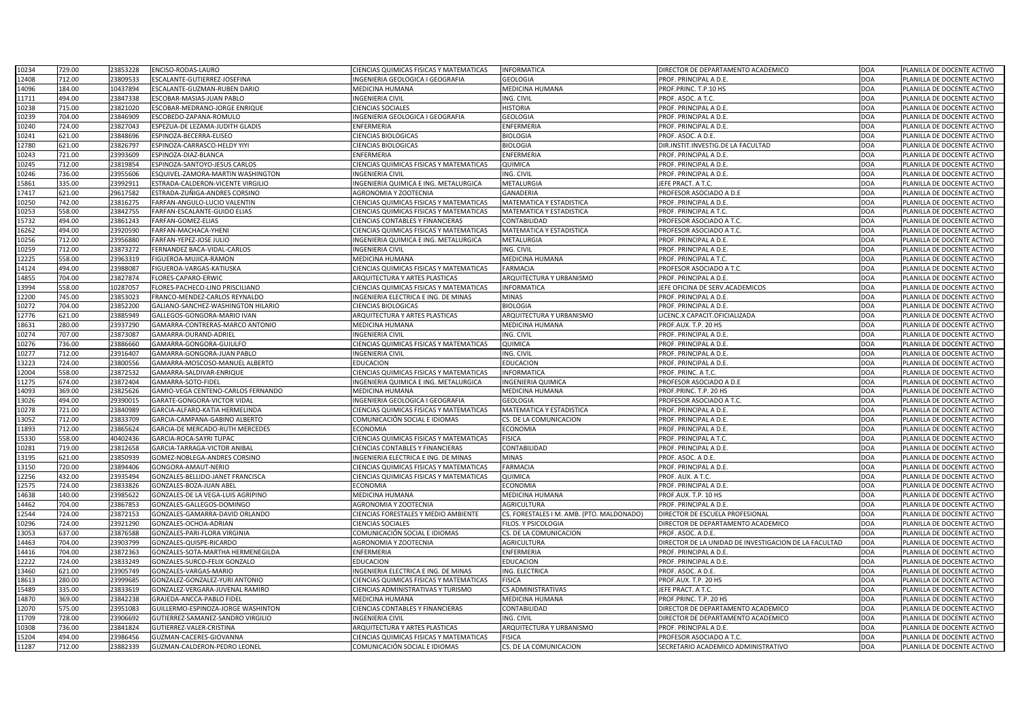| 10234 | 729.00           | 23853228<br><b>ENCISO-RODAS-LAURO</b>                 | CIENCIAS QUIMICAS FISICAS Y MATEMATICAS                    | INFORMATICA                               | DIRECTOR DE DEPARTAMENTO ACADEMICO                    | <b>DOA</b>               | PLANILLA DE DOCENTE ACTIVO                               |
|-------|------------------|-------------------------------------------------------|------------------------------------------------------------|-------------------------------------------|-------------------------------------------------------|--------------------------|----------------------------------------------------------|
| 12408 | 712.00           | 23809533<br>ESCALANTE-GUTIERREZ-JOSEFINA              | INGENIERIA GEOLOGICA I GEOGRAFIA                           | <b>GEOLOGIA</b>                           | PROF. PRINCIPAL A D.E.                                | <b>DOA</b>               | PLANILLA DE DOCENTE ACTIVO                               |
| 14096 | 184.00           | 10437894<br>ESCALANTE-GUZMAN-RUBEN DARIO              | <b>MEDICINA HUMANA</b>                                     | MEDICINA HUMANA                           | PROF.PRINC. T.P.10 HS                                 | <b>DOA</b>               | PLANILLA DE DOCENTE ACTIVO                               |
| 11711 | 494.00           | 23847338<br>ESCOBAR-MASIAS-JUAN PABLO                 | <b>INGENIERIA CIVIL</b>                                    | ING. CIVIL                                | PROF. ASOC. A T.C.                                    | <b>DOA</b>               | PLANILLA DE DOCENTE ACTIVO                               |
| 10238 | 715.00           | 23821020<br>ESCOBAR-MEDRANO-JORGE ENRIQUE             | <b>CIENCIAS SOCIALES</b>                                   | <b>HISTORIA</b>                           | PROF. PRINCIPAL A D.E.                                | <b>DOA</b>               | PLANILLA DE DOCENTE ACTIVO                               |
| 10239 | 704.00           | 23846909<br>ESCOBEDO-ZAPANA-ROMULO                    | INGENIERIA GEOLOGICA I GEOGRAFIA                           | <b>GEOLOGIA</b>                           | PROF. PRINCIPAL A D.E.                                | <b>DOA</b>               | PLANILLA DE DOCENTE ACTIVO                               |
| 10240 | 724.00           | 23827043<br>ESPEZUA-DE LEZAMA-JUDITH GLADIS           | ENFERMERIA                                                 | ENFERMERIA                                | PROF. PRINCIPAL A D.E.                                | <b>DOA</b>               | PLANILLA DE DOCENTE ACTIVO                               |
| 10241 | 621.00           | 23848696<br>ESPINOZA-BECERRA-ELISEO                   | <b>CIENCIAS BIOLOGICAS</b>                                 | <b>BIOLOGIA</b>                           | PROF. ASOC. A D.E.                                    | <b>DOA</b>               | PLANILLA DE DOCENTE ACTIVO                               |
| 12780 | 621.00           | 23826797<br>ESPINOZA-CARRASCO-HELDY YIYI              | <b>CIENCIAS BIOLOGICAS</b>                                 | <b>BIOLOGIA</b>                           | DIR.INSTIT.INVESTIG.DE LA FACULTAD                    | <b>DOA</b>               | PLANILLA DE DOCENTE ACTIVO                               |
| 10243 | 721.00           | 23993609<br>ESPINOZA-DIAZ-BLANCA                      | <b>ENFERMERIA</b>                                          | <b>ENFERMERIA</b>                         | PROF. PRINCIPAL A D.E.                                | <b>DOA</b>               | PLANILLA DE DOCENTE ACTIVO                               |
| 10245 | 712.00           | 23819854<br>ESPINOZA-SANTOYO-JESUS CARLOS             | CIENCIAS QUIMICAS FISICAS Y MATEMATICAS                    | QUIMICA                                   | PROF. PRINCIPAL A D.E.                                | <b>DOA</b>               | PLANILLA DE DOCENTE ACTIVO                               |
| 10246 | 736.00           | 23955606<br>ESQUIVEL-ZAMORA-MARTIN WASHINGTON         | <b>INGENIERIA CIVIL</b>                                    | ING. CIVIL                                | PROF. PRINCIPAL A D.E.                                | <b>DOA</b>               | PLANILLA DE DOCENTE ACTIVO                               |
| 15861 | 335.00           | 23992911<br>ESTRADA-CALDERON-VICENTE VIRGILIO         | INGENIERIA QUIMICA E ING. METALURGICA                      | METALURGIA                                | JEFE PRACT. A T.C.                                    | <b>DOA</b>               | PLANILLA DE DOCENTE ACTIVO                               |
| 17417 | 621.00           | ESTRADA-ZUÑIGA-ANDRES CORSINO<br>29617582             | AGRONOMIA Y ZOOTECNIA                                      | <b>GANADERIA</b>                          | PROFESOR ASOCIADO A D.E                               | <b>DOA</b>               | PLANILLA DE DOCENTE ACTIVO                               |
| 10250 | 742.00           | 23816275<br>FARFAN-ANGULO-LUCIO VALENTIN              | CIENCIAS QUIMICAS FISICAS Y MATEMATICAS                    | MATEMATICA Y ESTADISTICA                  | PROF. PRINCIPAL A D.E.                                | <b>DOA</b>               | PLANILLA DE DOCENTE ACTIVO                               |
| 10253 | 558.00           | 23842755<br>FARFAN-ESCALANTE-GUIDO ELIAS              | CIENCIAS QUIMICAS FISICAS Y MATEMATICAS                    | MATEMATICA Y ESTADISTICA                  | PROF. PRINCIPAL A T.C.                                | <b>DOA</b>               | PLANILLA DE DOCENTE ACTIVO                               |
| 15732 | 494.00           | 23861243<br>FARFAN-GOMEZ-ELIAS                        | CIENCIAS CONTABLES Y FINANCIERAS                           | CONTABILIDAD                              | PROFESOR ASOCIADO A T.C.                              | <b>DOA</b>               | PLANILLA DE DOCENTE ACTIVO                               |
| 16262 | 494.00           | 23920590<br>FARFAN-MACHACA-YHENI                      | CIENCIAS QUIMICAS FISICAS Y MATEMATICAS                    | MATEMATICA Y ESTADISTICA                  | PROFESOR ASOCIADO A T.C.                              | <b>DOA</b>               | PLANILLA DE DOCENTE ACTIVO                               |
| 10256 | 712.00           | 23956880<br>FARFAN-YEPEZ-JOSE JULIO                   | INGENIERIA QUIMICA E ING. METALURGICA                      | METALURGIA                                | PROF. PRINCIPAL A D.E.                                | <b>DOA</b>               | PLANILLA DE DOCENTE ACTIVO                               |
| 10259 | 712.00           | 23873272<br>FERNANDEZ BACA-VIDAL-CARLOS               | <b>INGENIERIA CIVIL</b>                                    | ING. CIVIL                                | PROF. PRINCIPAL A D.E.                                | <b>DOA</b>               | PLANILLA DE DOCENTE ACTIVO                               |
| 12225 | 558.00           | 23963319<br>FIGUEROA-MUJICA-RAMON                     | <b>MEDICINA HUMANA</b>                                     | MEDICINA HUMANA                           | PROF. PRINCIPAL A T.C.                                | <b>DOA</b>               | PLANILLA DE DOCENTE ACTIVO                               |
| 14124 | 494.00           | 23988087<br>FIGUEROA-VARGAS-KATIUSKA                  | CIENCIAS QUIMICAS FISICAS Y MATEMATICAS                    | <b>FARMACIA</b>                           | PROFESOR ASOCIADO A T.C.                              | <b>DOA</b>               | PLANILLA DE DOCENTE ACTIVO                               |
| 14855 | 704.00           | 23827874<br><b>LORES-CAPARO-ERWIC</b>                 | <b>ARQUITECTURA Y ARTES PLASTICAS</b>                      | ARQUITECTURA Y URBANISMO                  | PROF. PRINCIPAL A D.E.                                | <b>DOA</b>               | PLANILLA DE DOCENTE ACTIVO                               |
| 13994 | 558.00           | 10287057<br>LORES-PACHECO-LINO PRISCILIANO            | CIENCIAS QUIMICAS FISICAS Y MATEMATICAS                    | <b>INFORMATICA</b>                        | JEFE OFICINA DE SERV.ACADEMICOS                       | <b>DOA</b>               | PLANILLA DE DOCENTE ACTIVO                               |
| 12200 | 745.00           | 23853023<br>FRANCO-MENDEZ-CARLOS REYNALDO             | INGENIERIA ELECTRICA E ING. DE MINAS                       | <b>MINAS</b>                              | PROF. PRINCIPAL A D.E.                                | <b>DOA</b>               | PLANILLA DE DOCENTE ACTIVO                               |
| 10272 | 704.00           | 23852200<br>GALIANO-SANCHEZ-WASHINGTON HILARIO        | <b>CIENCIAS BIOLOGICAS</b>                                 | <b>BIOLOGIA</b>                           | PROF. PRINCIPAL A D.E.                                | <b>DOA</b>               | PLANILLA DE DOCENTE ACTIVO                               |
| 12776 | 621.00           | 23885949<br>GALLEGOS-GONGORA-MARIO IVAN               | ARQUITECTURA Y ARTES PLASTICAS                             | ARQUITECTURA Y URBANISMO                  | ICENC.X CAPACIT.OFICIALIZADA                          | <b>DOA</b>               | PLANILLA DE DOCENTE ACTIVO                               |
| 18631 | 280.00           | 23937290<br>GAMARRA-CONTRERAS-MARCO ANTONIO           | MEDICINA HUMANA                                            | MEDICINA HUMANA                           | PROF.AUX. T.P. 20 HS                                  | <b>DOA</b>               | PLANILLA DE DOCENTE ACTIVO                               |
| 10274 | 707.00           | 23873087<br>GAMARRA-DURAND-ADRIEL                     | <b>INGENIERIA CIVIL</b>                                    | ING. CIVIL                                | PROF. PRINCIPAL A D.E.                                | <b>DOA</b>               | PLANILLA DE DOCENTE ACTIVO                               |
| 10276 | 736.00           | 23886660<br>GAMARRA-GONGORA-GUIULFO                   | CIENCIAS QUIMICAS FISICAS Y MATEMATICAS                    | QUIMICA                                   | PROF. PRINCIPAL A D.E.                                | <b>DOA</b>               | PLANILLA DE DOCENTE ACTIVO                               |
| 10277 | 712.00           | 23916407<br>GAMARRA-GONGORA-JUAN PABLO                | <b>INGENIERIA CIVIL</b>                                    | ING. CIVIL                                | PROF. PRINCIPAL A D.E.                                | <b>DOA</b>               | PLANILLA DE DOCENTE ACTIVO                               |
| 13223 | 724.00           | 23800556<br>GAMARRA-MOSCOSO-MANUEL ALBERTO            | <b>EDUCACION</b>                                           | <b>EDUCACION</b>                          | PROF. PRINCIPAL A D.E.                                | <b>DOA</b>               | PLANILLA DE DOCENTE ACTIVO                               |
| 12004 | 558.00           | 23872532<br>GAMARRA-SALDIVAR-ENRIQUE                  | CIENCIAS QUIMICAS FISICAS Y MATEMATICAS                    | <b>INFORMATICA</b>                        | PROF. PRINC. A T.C.                                   | <b>DOA</b>               | PLANILLA DE DOCENTE ACTIVO                               |
| 11275 | 674.00           | 23872404<br>GAMARRA-SOTO-FIDEL                        | INGENIERIA QUIMICA E ING. METALURGICA                      | <b>INGENIERIA QUIMICA</b>                 | PROFESOR ASOCIADO A D.E                               | <b>DOA</b>               | PLANILLA DE DOCENTE ACTIVO                               |
| 14093 | 369.00           | 23825626<br>GAMIO-VEGA CENTENO-CARLOS FERNANDO        | <b>MEDICINA HUMANA</b>                                     | <b>MEDICINA HUMANA</b>                    | PROF.PRINC. T.P. 20 HS                                | <b>DOA</b>               | PLANILLA DE DOCENTE ACTIVO                               |
| 13026 | 494.00           | 29390015<br>GARATE-GONGORA-VICTOR VIDAL               | INGENIERIA GEOLOGICA I GEOGRAFIA                           | <b>GEOLOGIA</b>                           | PROFESOR ASOCIADO A T.C.                              | <b>DOA</b>               | PLANILLA DE DOCENTE ACTIVO                               |
| 10278 | 721.00           | 23840989<br>GARCIA-ALFARO-KATIA HERMELINDA            | CIENCIAS QUIMICAS FISICAS Y MATEMATICAS                    | <b>MATEMATICA Y ESTADISTICA</b>           | PROF. PRINCIPAL A D.E.                                | <b>DOA</b>               |                                                          |
|       |                  |                                                       |                                                            |                                           | PROF. PRINCIPAL A D.E.                                |                          | PLANILLA DE DOCENTE ACTIVO                               |
| 13052 | 712.00<br>712.00 | 23833709<br>GARCIA-CAMPANA-GABINO ALBERTO<br>23865624 | COMUNICACIÓN SOCIAL E IDIOMAS                              | CS. DE LA COMUNICACION<br><b>ECONOMIA</b> | PROF. PRINCIPAL A D.E.                                | <b>DOA</b><br><b>DOA</b> | PLANILLA DE DOCENTE ACTIVO<br>PLANILLA DE DOCENTE ACTIVO |
| 11893 | 558.00           | <b>GARCIA-DE MERCADO-RUTH MERCEDES</b>                | <b>ECONOMIA</b><br>CIENCIAS QUIMICAS FISICAS Y MATEMATICAS | <b>FISICA</b>                             | PROF. PRINCIPAL A T.C.                                | <b>DOA</b>               |                                                          |
| 15330 |                  | 40402436<br>GARCIA-ROCA-SAYRI TUPAC                   |                                                            |                                           |                                                       |                          | PLANILLA DE DOCENTE ACTIVO                               |
| 10281 | 719.00           | 23812658<br>GARCIA-TARRAGA-VICTOR ANIBAL              | CIENCIAS CONTABLES Y FINANCIERAS                           | CONTABILIDAD                              | PROF. PRINCIPAL A D.E.                                | <b>DOA</b><br><b>DOA</b> | PLANILLA DE DOCENTE ACTIVO                               |
| 13195 | 621.00           | 23850939<br>GOMEZ-NOBLEGA-ANDRES CORSINO              | INGENIERIA ELECTRICA E ING. DE MINAS                       | <b>MINAS</b>                              | PROF. ASOC. A D.E.                                    |                          | PLANILLA DE DOCENTE ACTIVO                               |
| 13150 | 720.00           | 23894406<br>GONGORA-AMAUT-NERIO                       | CIENCIAS QUIMICAS FISICAS Y MATEMATICAS                    | <b>FARMACIA</b>                           | PROF. PRINCIPAL A D.E.                                | <b>DOA</b>               | PLANILLA DE DOCENTE ACTIVO                               |
| 12256 | 432.00           | 23935494<br>GONZALES-BELLIDO-JANET FRANCISCA          | CIENCIAS QUIMICAS FISICAS Y MATEMATICAS                    | QUIMICA                                   | PROF. AUX. A T.C.                                     | <b>DOA</b>               | PLANILLA DE DOCENTE ACTIVO                               |
| 12575 | 724.00           | 23833826<br>GONZALES-BOZA-JUAN ABEL                   | <b>ECONOMIA</b>                                            | <b>ECONOMIA</b>                           | PROF. PRINCIPAL A D.E.                                | <b>DOA</b>               | PLANILLA DE DOCENTE ACTIVO                               |
| 14638 | 140.00           | 23985622<br>GONZALES-DE LA VEGA-LUIS AGRIPINO         | MEDICINA HUMANA                                            | MEDICINA HUMANA                           | PROF.AUX. T.P. 10 HS                                  | <b>DOA</b>               | PLANILLA DE DOCENTE ACTIVO                               |
| 14462 | 704.00           | 23867853<br>GONZALES-GALLEGOS-DOMINGO                 | <b>AGRONOMIA Y ZOOTECNIA</b>                               | <b>AGRICULTURA</b>                        | PROF. PRINCIPAL A D.E.                                | <b>DOA</b>               | PLANILLA DE DOCENTE ACTIVO                               |
| 12544 | 724.00           | 23872153<br>GONZALES-GAMARRA-DAVID ORLANDO            | CIENCIAS FORESTALES Y MEDIO AMBIENTE                       | CS. FORESTALES I M. AMB. (PTO. MALDONADO) | DIRECTOR DE ESCUELA PROFESIONAL                       | <b>DOA</b>               | PLANILLA DE DOCENTE ACTIVO                               |
| 10296 | 724.00           | 23921290<br>GONZALES-OCHOA-ADRIAN                     | <b>CIENCIAS SOCIALES</b>                                   | FILOS. Y PSICOLOGIA                       | DIRECTOR DE DEPARTAMENTO ACADEMICO                    | <b>DOA</b>               | PLANILLA DE DOCENTE ACTIVO                               |
| 13053 | 637.00           | 23876588<br>GONZALES-PARI-FLORA VIRGINIA              | COMUNICACIÓN SOCIAL E IDIOMAS                              | CS. DE LA COMUNICACION                    | PROF. ASOC. A D.E.                                    | <b>DOA</b>               | PLANILLA DE DOCENTE ACTIVO                               |
| 14463 | 704.00           | 23903799<br>GONZALES-QUISPE-RICARDO                   | AGRONOMIA Y ZOOTECNIA                                      | AGRICULTURA                               | DIRECTOR DE LA UNIDAD DE INVESTIGACION DE LA FACULTAD | <b>DOA</b>               | PLANILLA DE DOCENTE ACTIVO                               |
| 14416 | 704.00           | 23872363<br>GONZALES-SOTA-MARTHA HERMENEGILDA         | <b>ENFERMERIA</b>                                          | <b>ENFERMERIA</b>                         | PROF. PRINCIPAL A D.E.                                | <b>DOA</b>               | PLANILLA DE DOCENTE ACTIVO                               |
| 12222 | 724.00           | 23833249<br>GONZALES-SURCO-FELIX GONZALO              | <b>EDUCACION</b>                                           | <b>EDUCACION</b>                          | PROF. PRINCIPAL A D.E.                                | <b>DOA</b>               | PLANILLA DE DOCENTE ACTIVO                               |
| 13460 | 621.00           | 23905749<br>GONZALES-VARGAS-MARIO                     | INGENIERIA ELECTRICA E ING. DE MINAS                       | ING. ELECTRICA                            | PROF. ASOC. A D.E.                                    | <b>DOA</b>               | PLANILLA DE DOCENTE ACTIVO                               |
| 18613 | 280.00           | 23999685<br>GONZALEZ-GONZALEZ-YURI ANTONIO            | CIENCIAS QUIMICAS FISICAS Y MATEMATICAS                    | <b>FISICA</b>                             | PROF.AUX. T.P. 20 HS                                  | <b>DOA</b>               | PLANILLA DE DOCENTE ACTIVO                               |
| 15489 | 335.00           | 23833619<br>GONZALEZ-VERGARA-JUVENAL RAMIRO           | CIENCIAS ADMINISTRATIVAS Y TURISMO                         | CS ADMINISTRATIVAS                        | JEFE PRACT. A T.C.                                    | <b>DOA</b>               | PLANILLA DE DOCENTE ACTIVO                               |
| 14870 | 369.00           | 23842238<br>GRAJEDA-ANCCA-PABLO FIDEL                 | MEDICINA HUMANA                                            | MEDICINA HUMANA                           | PROF.PRINC. T.P. 20 HS                                | <b>DOA</b>               | PLANILLA DE DOCENTE ACTIVO                               |
| 12070 | 575.00           | 23951083<br>GUILLERMO-ESPINOZA-JORGE WASHINTON        | CIENCIAS CONTABLES Y FINANCIERAS                           | CONTABILIDAD                              | DIRECTOR DE DEPARTAMENTO ACADEMICO                    | <b>DOA</b>               | PLANILLA DE DOCENTE ACTIVO                               |
| 11709 | 728.00           | 23906692<br>GUTIERREZ-SAMANEZ-SANDRO VIRGILIO         | <b>INGENIERIA CIVIL</b>                                    | ING. CIVIL                                | DIRECTOR DE DEPARTAMENTO ACADEMICO                    | <b>DOA</b>               | PLANILLA DE DOCENTE ACTIVO                               |
| 10308 | 736.00           | 23841824<br>GUTIERREZ-VALER-CRISTINA                  | ARQUITECTURA Y ARTES PLASTICAS                             | ARQUITECTURA Y URBANISMO                  | PROF. PRINCIPAL A D.E.                                | <b>DOA</b>               | PLANILLA DE DOCENTE ACTIVO                               |
| 15204 | 494.00           | 23986456<br>GUZMAN-CACERES-GIOVANNA                   | CIENCIAS QUIMICAS FISICAS Y MATEMATICAS                    | <b>FISICA</b>                             | PROFESOR ASOCIADO A T.C.                              | <b>DOA</b>               | PLANILLA DE DOCENTE ACTIVO                               |
| 11287 | 712.00           | 23882339<br>GUZMAN-CALDERON-PEDRO LEONEL              | COMUNICACIÓN SOCIAL E IDIOMAS                              | CS. DE LA COMUNICACION                    | SECRETARIO ACADEMICO ADMINISTRATIVO                   | <b>DOA</b>               | PLANILLA DE DOCENTE ACTIVO                               |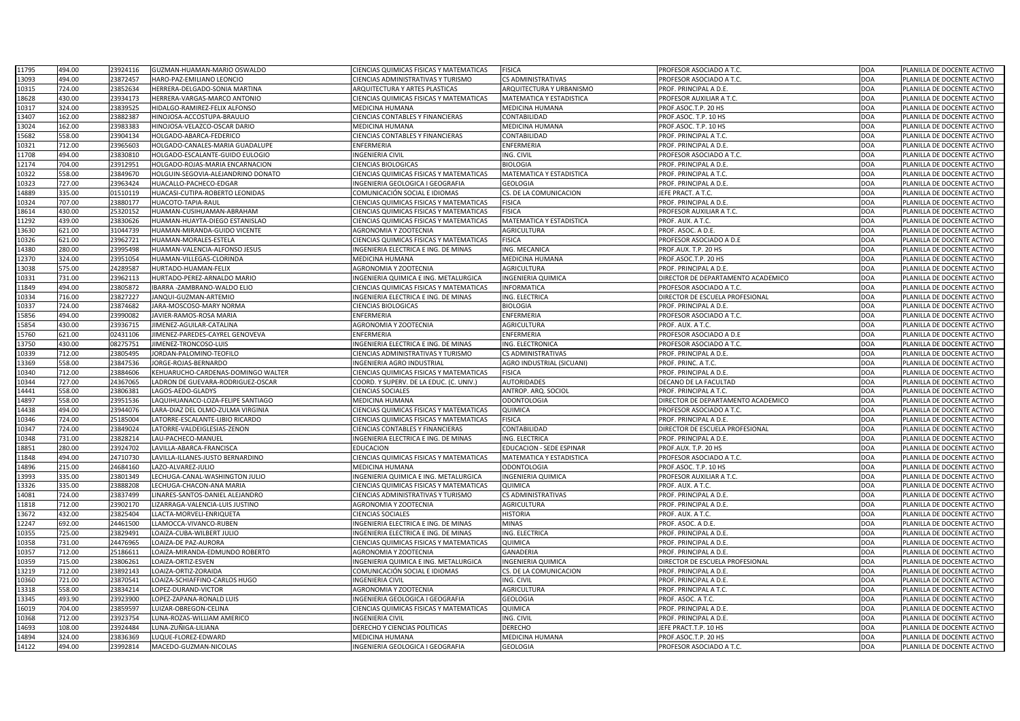| 11795          | 494.00           | 23924116             | GUZMAN-HUAMAN-MARIO OSWALDO                  | CIENCIAS QUIMICAS FISICAS Y MATEMATICAS             | <b>FISICA</b>                             | PROFESOR ASOCIADO A T.C.                         | DOA                      | PLANILLA DE DOCENTE ACTIVO                               |
|----------------|------------------|----------------------|----------------------------------------------|-----------------------------------------------------|-------------------------------------------|--------------------------------------------------|--------------------------|----------------------------------------------------------|
| 13093          | 494.00           | 23872457             | HARO-PAZ-EMILIANO LEONCIO                    | CIENCIAS ADMINISTRATIVAS Y TURISMO                  | <b>CS ADMINISTRATIVAS</b>                 | PROFESOR ASOCIADO A T.C                          | DOA                      | PLANILLA DE DOCENTE ACTIVO                               |
| 10315          | 724.00           | 23852634             | HERRERA-DELGADO-SONIA MARTINA                | ARQUITECTURA Y ARTES PLASTICAS                      | ARQUITECTURA Y URBANISMO                  | PROF. PRINCIPAL A D.E.                           | <b>DOA</b>               | PLANILLA DE DOCENTE ACTIVO                               |
| 18628          | 430.00           | 23934173             | HERRERA-VARGAS-MARCO ANTONIO                 | CIENCIAS QUIMICAS FISICAS Y MATEMATICAS             | MATEMATICA Y ESTADISTICA                  | PROFESOR AUXILIAR A T.C.                         | DOA                      | PLANILLA DE DOCENTE ACTIVO                               |
| 10317          | 324.00           | 23839525             | HIDALGO-RAMIREZ-FELIX ALFONSO                | MEDICINA HUMANA                                     | <b>MEDICINA HUMANA</b>                    | PROF.ASOC.T.P. 20 HS                             | <b>DOA</b>               | PLANILLA DE DOCENTE ACTIVO                               |
| 13407          | 162.00           | 23882387             | HINOJOSA-ACCOSTUPA-BRAULIO                   | CIENCIAS CONTABLES Y FINANCIERAS                    | CONTABILIDAD                              | PROF.ASOC. T.P. 10 HS                            | DOA                      | PLANILLA DE DOCENTE ACTIVO                               |
| 13024          | 162.00           | 23983383             | HINOJOSA-VELAZCO-OSCAR DARIO                 | MEDICINA HUMANA                                     | <b>MEDICINA HUMANA</b>                    | PROF.ASOC. T.P. 10 HS                            | <b>DOA</b>               | PLANILLA DE DOCENTE ACTIVO                               |
| 15682          | 558.00           | 23904134             | HOLGADO-ABARCA-FEDERICO                      | CIENCIAS CONTABLES Y FINANCIERAS                    | CONTABILIDAD                              | PROF. PRINCIPAL A T.C.                           | DOA                      | PLANILLA DE DOCENTE ACTIVO                               |
| 10321          | 712.00           | 23965603             | HOLGADO-CANALES-MARIA GUADALUPE              | ENFERMERIA                                          | ENFERMERIA                                | PROF. PRINCIPAL A D.E.                           | <b>DOA</b>               | PLANILLA DE DOCENTE ACTIVO                               |
| 11708          | 494.00           | 23830810             | HOLGADO-ESCALANTE-GUIDO EULOGIO              | <b>INGENIERIA CIVIL</b>                             | ING. CIVIL                                | PROFESOR ASOCIADO A T.C.                         | <b>DOA</b>               | PLANILLA DE DOCENTE ACTIVO                               |
| 12174          | 704.00           | 23912951             | HOLGADO-ROJAS-MARIA ENCARNACION              | CIENCIAS BIOLOGICAS                                 | <b>BIOLOGIA</b>                           | PROF. PRINCIPAL A D.E.                           | <b>DOA</b>               | PLANILLA DE DOCENTE ACTIVO                               |
| 10322          | 558.00           | 23849670             | HOLGUIN-SEGOVIA-ALEJANDRINO DONATO           | CIENCIAS QUIMICAS FISICAS Y MATEMATICAS             | <b>MATEMATICA Y ESTADISTICA</b>           | PROF. PRINCIPAL A T.C.                           | <b>DOA</b>               | PLANILLA DE DOCENTE ACTIVO                               |
|                | 727.00           | 23963424             | HUACALLO-PACHECO-EDGAR                       | INGENIERIA GEOLOGICA I GEOGRAFIA                    | <b>GEOLOGIA</b>                           | PROF. PRINCIPAL A D.E.                           | <b>DOA</b>               |                                                          |
| 10323<br>14889 | 335.00           | 01510119             | HUACASI-CUTIPA-ROBERTO LEONIDAS              | COMUNICACIÓN SOCIAL E IDIOMAS                       | CS. DE LA COMUNICACION                    | JEFE PRACT. A T.C.                               | <b>DOA</b>               | PLANILLA DE DOCENTE ACTIVO<br>PLANILLA DE DOCENTE ACTIVO |
|                | 707.00           | 23880177             | HUACOTO-TAPIA-RAUL                           | CIENCIAS QUIMICAS FISICAS Y MATEMATICAS             | <b>FISICA</b>                             | PROF. PRINCIPAL A D.E.                           | <b>DOA</b>               | PLANILLA DE DOCENTE ACTIVO                               |
| 10324          |                  |                      |                                              |                                                     |                                           |                                                  |                          |                                                          |
| 18614          | 430.00           | 25320152             | HUAMAN-CUSIHUAMAN-ABRAHAM                    | CIENCIAS QUIMICAS FISICAS Y MATEMATICAS             | <b>FISICA</b>                             | PROFESOR AUXILIAR A T.C.                         | DOA                      | PLANILLA DE DOCENTE ACTIVO                               |
| 11292          | 439.00           | 23830626             | HUAMAN-HUAYTA-DIEGO ESTANISLAO               | CIENCIAS QUIMICAS FISICAS Y MATEMATICAS             | <b>MATEMATICA Y ESTADISTICA</b>           | PROF. AUX. A T.C.                                | <b>DOA</b>               | PLANILLA DE DOCENTE ACTIVO                               |
| 13630          | 621.00           | 31044739             | HUAMAN-MIRANDA-GUIDO VICENTE                 | AGRONOMIA Y ZOOTECNIA                               | <b>AGRICULTURA</b>                        | PROF. ASOC. A D.E.                               | DOA                      | PLANILLA DE DOCENTE ACTIVO                               |
| 10326          | 621.00           | 23962721             | HUAMAN-MORALES-ESTELA                        | CIENCIAS QUIMICAS FISICAS Y MATEMATICAS             | <b>FISICA</b>                             | PROFESOR ASOCIADO A D.E                          | <b>DOA</b>               | PLANILLA DE DOCENTE ACTIVO                               |
| 14380          | 280.00           | 23995498             | HUAMAN-VALENCIA-ALFONSO JESUS                | NGENIERIA ELECTRICA E ING. DE MINAS                 | ING. MECANICA                             | PROF.AUX. T.P. 20 HS                             | DOA                      | PLANILLA DE DOCENTE ACTIVO                               |
| 12370          | 324.00           | 23951054             | HUAMAN-VILLEGAS-CLORINDA                     | MEDICINA HUMANA                                     | <b>MEDICINA HUMANA</b>                    | PROF.ASOC.T.P. 20 HS                             | DOA                      | PLANILLA DE DOCENTE ACTIVO                               |
| 13038          | 575.00           | 24289587             | HURTADO-HUAMAN-FELIX                         | <b>AGRONOMIA Y ZOOTECNIA</b>                        | <b>AGRICULTURA</b>                        | PROF. PRINCIPAL A D.E.                           | <b>DOA</b>               | PLANILLA DE DOCENTE ACTIVO                               |
| 10331          | 731.00           | 23962113             | HURTADO-PEREZ-ARNALDO MARIO                  | NGENIERIA QUIMICA E ING. METALURGICA                | <b>INGENIERIA QUIMICA</b>                 | DIRECTOR DE DEPARTAMENTO ACADEMICO               | DOA                      | PLANILLA DE DOCENTE ACTIVO                               |
| 11849          | 494.00           | 23805872             | IBARRA - ZAMBRANO-WALDO ELIO                 | CIENCIAS QUIMICAS FISICAS Y MATEMATICAS             | <b>INFORMATICA</b>                        | PROFESOR ASOCIADO A T.C.                         | DOA                      | PLANILLA DE DOCENTE ACTIVO                               |
| 10334          | 716.00           | 23827227             | JANQUI-GUZMAN-ARTEMIO                        | NGENIERIA ELECTRICA E ING. DE MINAS                 | ING. ELECTRICA                            | DIRECTOR DE ESCUELA PROFESIONAL                  | DOA                      | PLANILLA DE DOCENTE ACTIVO                               |
| 10337          | 724.00           | 23874682             | JARA-MOSCOSO-MARY NORMA                      | CIENCIAS BIOLOGICAS                                 | <b>BIOLOGIA</b>                           | PROF. PRINCIPAL A D.E.                           | <b>DOA</b>               | PLANILLA DE DOCENTE ACTIVO                               |
| 15856          | 494.00           | 23990082             | JAVIER-RAMOS-ROSA MARIA                      | ENFERMERIA                                          | ENFERMERIA                                | PROFESOR ASOCIADO A T.C.                         | <b>DOA</b>               | PLANILLA DE DOCENTE ACTIVO                               |
| 15854          | 430.00           | 23936715             | JIMENEZ-AGUILAR-CATALINA                     | AGRONOMIA Y ZOOTECNIA                               | AGRICULTURA                               | PROF. AUX. A T.C.                                | DOA                      | PLANILLA DE DOCENTE ACTIVO                               |
| 15760          | 621.00           | 02431106             | JIMENEZ-PAREDES-CAYREL GENOVEVA              | ENFERMERIA                                          | ENFERMERIA                                | PROFESOR ASOCIADO A D.E                          | <b>DOA</b>               | PLANILLA DE DOCENTE ACTIVO                               |
| 13750          | 430.00           | 08275751             | JIMENEZ-TRONCOSO-LUIS                        | INGENIERIA ELECTRICA E ING. DE MINAS                | ING. ELECTRONICA                          | PROFESOR ASOCIADO A T.C.                         | DOA                      | PLANILLA DE DOCENTE ACTIVO                               |
| 10339          | 712.00           | 23805495             | JORDAN-PALOMINO-TEOFILO                      | CIENCIAS ADMINISTRATIVAS Y TURISMO                  | CS ADMINISTRATIVAS                        | PROF. PRINCIPAL A D.E.                           | <b>DOA</b>               | PLANILLA DE DOCENTE ACTIVO                               |
|                |                  |                      |                                              |                                                     |                                           |                                                  |                          |                                                          |
|                | 558.00           | 23847536             | JORGE-ROJAS-BERNARDO                         | INGENIERIA AGRO INDUSTRIAL                          | AGRO INDUSTRIAL (SICUANI)                 | PROF. PRINC. A T.C.                              | <b>DOA</b>               | PLANILLA DE DOCENTE ACTIVO                               |
| 13369<br>10340 | 712.00           | 23884606             | KEHUARUCHO-CARDENAS-DOMINGO WALTER           | CIENCIAS QUIMICAS FISICAS Y MATEMATICAS             | <b>FISICA</b>                             | PROF. PRINCIPAL A D.E.                           | <b>DOA</b>               | PLANILLA DE DOCENTE ACTIVO                               |
| 10344          | 727.00           | 24367065             | LADRON DE GUEVARA-RODRIGUEZ-OSCAR            | COORD. Y SUPERV. DE LA EDUC. (C. UNIV.)             | <b>AUTORIDADES</b>                        | DECANO DE LA FACULTAD                            | <b>DOA</b>               | PLANILLA DE DOCENTE ACTIVO                               |
| 14441          | 558.00           | 23806381             | LAGOS-AEDO-GLADYS                            | <b>CIENCIAS SOCIALES</b>                            | ANTROP. ARQ. SOCIOL                       | PROF. PRINCIPAL A T.C.                           | <b>DOA</b>               | PLANILLA DE DOCENTE ACTIVO                               |
| 14897          | 558.00           | 23951536             | LAQUIHUANACO-LOZA-FELIPE SANTIAGO            | <b>MEDICINA HUMANA</b>                              | <b>ODONTOLOGIA</b>                        | DIRECTOR DE DEPARTAMENTO ACADEMICO               | <b>DOA</b>               | PLANILLA DE DOCENTE ACTIVO                               |
| 14438          | 494.00           | 23944076             | LARA-DIAZ DEL OLMO-ZULMA VIRGINIA            | CIENCIAS QUIMICAS FISICAS Y MATEMATICAS             | QUIMICA                                   | PROFESOR ASOCIADO A T.C.                         | DOA                      | PLANILLA DE DOCENTE ACTIVO                               |
| 10346          | 724.00           | 25185004             | LATORRE-ESCALANTE-LIBIO RICARDO              | CIENCIAS QUIMICAS FISICAS Y MATEMATICAS             | <b>FISICA</b>                             | PROF. PRINCIPAL A D.E.                           | DOA                      | PLANILLA DE DOCENTE ACTIVO                               |
| 10347          | 724.00           | 23849024             | LATORRE-VALDEIGLESIAS-ZENON                  | CIENCIAS CONTABLES Y FINANCIERAS                    | CONTABILIDAD                              | DIRECTOR DE ESCUELA PROFESIONAL                  | <b>DOA</b>               | PLANILLA DE DOCENTE ACTIVO                               |
| 10348          | 731.00           | 23828214             | LAU-PACHECO-MANUEL                           | INGENIERIA ELECTRICA E ING. DE MINAS                | ING. ELECTRICA                            | PROF. PRINCIPAL A D.E.                           | DOA                      | PLANILLA DE DOCENTE ACTIVO                               |
| 18851          | 280.00           | 23924702             | LAVILLA-ABARCA-FRANCISCA                     | EDUCACION                                           | <b>EDUCACION - SEDE ESPINAR</b>           | PROF.AUX. T.P. 20 HS                             | DOA                      | PLANILLA DE DOCENTE ACTIVO                               |
| 11848          | 494.00           | 24710730             | LAVILLA-ILLANES-JUSTO BERNARDINO             | CIENCIAS QUIMICAS FISICAS Y MATEMATICAS             | <b>MATEMATICA Y ESTADISTICA</b>           | PROFESOR ASOCIADO A T.C.                         | DOA                      | PLANILLA DE DOCENTE ACTIVO                               |
| 14896          | 215.00           | 24684160             | LAZO-ALVAREZ-JULIO                           | MEDICINA HUMANA                                     | <b>ODONTOLOGIA</b>                        | PROF.ASOC. T.P. 10 HS                            | DOA                      | PLANILLA DE DOCENTE ACTIVO                               |
| 13993          | 335.00           | 23801349             | LECHUGA-CANAL-WASHINGTON JULIO               | INGENIERIA QUIMICA E ING. METALURGICA               | <b>INGENIERIA QUIMICA</b>                 | PROFESOR AUXILIAR A T.C.                         | <b>DOA</b>               | PLANILLA DE DOCENTE ACTIVO                               |
| 13326          | 335.00           | 23888208             | LECHUGA-CHACON-ANA MARIA                     | CIENCIAS QUIMICAS FISICAS Y MATEMATICAS             | <b>QUIMICA</b>                            | PROF. AUX. A T.C.                                | DOA                      | PLANILLA DE DOCENTE ACTIVO                               |
| 14081          | 724.00           | 23837499             | LINARES-SANTOS-DANIEL ALEJANDRO              | CIENCIAS ADMINISTRATIVAS Y TURISMO                  | <b>CS ADMINISTRATIVAS</b>                 | PROF. PRINCIPAL A D.E.                           | <b>DOA</b>               | PLANILLA DE DOCENTE ACTIVO                               |
|                | 712.00           | 23902170             | LIZARRAGA-VALENCIA-LUIS JUSTINO              | <b>AGRONOMIA Y ZOOTECNIA</b>                        | <b>AGRICULTURA</b>                        | PROF. PRINCIPAL A D.E.                           | DOA                      | PLANILLA DE DOCENTE ACTIVO                               |
| 11818          |                  |                      |                                              |                                                     |                                           |                                                  |                          |                                                          |
| 13672          | 432.00           | 23825404             | LLACTA-MORVELI-ENRIQUETA                     | <b>CIENCIAS SOCIALES</b>                            | <b>HISTORIA</b>                           | PROF. AUX. A T.C.                                | <b>DOA</b>               | PLANILLA DE DOCENTE ACTIVO                               |
| 12247          | 692.00           | 24461500             | LLAMOCCA-VIVANCO-RUBEN                       | INGENIERIA ELECTRICA E ING. DE MINAS                | <b>MINAS</b>                              | PROF. ASOC. A D.E.                               | DOA                      | PLANILLA DE DOCENTE ACTIVO                               |
| 10355          | 725.00           | 23829491             | LOAIZA-CUBA-WILBERT JULIO                    | INGENIERIA ELECTRICA E ING. DE MINAS                | ING. ELECTRICA                            | PROF. PRINCIPAL A D.E.                           | DOA                      | PLANILLA DE DOCENTE ACTIVO                               |
| 10358          | 731.00           | 24476965             | LOAIZA-DE PAZ-AURORA                         | CIENCIAS QUIMICAS FISICAS Y MATEMATICAS             | QUIMICA                                   | PROF. PRINCIPAL A D.E.                           | <b>DOA</b>               | PLANILLA DE DOCENTE ACTIVO                               |
| 10357          | 712.00           | 25186611             | LOAIZA-MIRANDA-EDMUNDO ROBERTO               | <b>AGRONOMIA Y ZOOTECNIA</b>                        | <b>GANADERIA</b>                          | PROF. PRINCIPAL A D.E.                           | DOA                      | PLANILLA DE DOCENTE ACTIVO                               |
| 10359          | 715.00           | 23806261             | LOAIZA-ORTIZ-ESVEN                           | INGENIERIA QUIMICA E ING. METALURGICA               | <b>INGENIERIA QUIMICA</b>                 | DIRECTOR DE ESCUELA PROFESIONAL                  | <b>DOA</b>               | PLANILLA DE DOCENTE ACTIVO                               |
| 13219          | 712.00           | 23892143             | LOAIZA-ORTIZ-ZORAIDA                         | COMUNICACIÓN SOCIAL E IDIOMAS                       | CS. DE LA COMUNICACION                    | PROF. PRINCIPAL A D.E.                           | DOA                      | PLANILLA DE DOCENTE ACTIVO                               |
| 10360          | 721.00           | 2387054              | LOAIZA-SCHIAFFINO-CARLOS HUGO                | <b>INGENIERIA CIVIL</b>                             | ING. CIVIL                                | PROF. PRINCIPAL A D.E.                           | <b>DOA</b>               | PLANILLA DE DOCENTE ACTIVO                               |
| 13318          | 558.00           | 23834214             | LOPEZ-DURAND-VICTOR                          | <b>AGRONOMIA Y ZOOTECNIA</b>                        | <b>AGRICULTURA</b>                        | PROF. PRINCIPAL A T.C.                           | <b>DOA</b>               | PLANILLA DE DOCENTE ACTIVO                               |
| 13345          | 493.90           | 23923900             | LOPEZ-ZAPANA-RONALD LUIS                     | INGENIERIA GEOLOGICA I GEOGRAFIA                    | <b>GEOLOGIA</b>                           | PROF. ASOC. A T.C.                               | <b>DOA</b>               | PLANILLA DE DOCENTE ACTIVO                               |
| 16019          | 704.00           | 2385959              | LUIZAR-OBREGON-CELINA                        | CIENCIAS QUIMICAS FISICAS Y MATEMATICAS             | QUIMICA                                   | PROF. PRINCIPAL A D.E.                           | <b>DOA</b>               | PLANILLA DE DOCENTE ACTIVO                               |
| 10368          | 712.00           | 23923754             | LUNA-ROZAS-WILLIAM AMERICO                   | <b>INGENIERIA CIVIL</b>                             | ING. CIVIL                                | PROF. PRINCIPAL A D.E.                           | DOA                      | PLANILLA DE DOCENTE ACTIVO                               |
| 14693          | 108.00           | 23924484             | LUNA-ZUÑIGA-LILIANA                          | DERECHO Y CIENCIAS POLITICAS                        | <b>DERECHO</b>                            | JEFE PRACT.T.P. 10 HS                            | DOA                      | PLANILLA DE DOCENTE ACTIVO                               |
| 14894<br>14122 | 324.00<br>494.00 | 23836369<br>23992814 | LUQUE-FLOREZ-EDWARD<br>MACEDO-GUZMAN-NICOLAS | MEDICINA HUMANA<br>INGENIERIA GEOLOGICA I GEOGRAFIA | <b>MEDICINA HUMANA</b><br><b>GEOLOGIA</b> | PROF.ASOC.T.P. 20 HS<br>PROFESOR ASOCIADO A T.C. | <b>DOA</b><br><b>DOA</b> | PLANILLA DE DOCENTE ACTIVO<br>PLANILLA DE DOCENTE ACTIVO |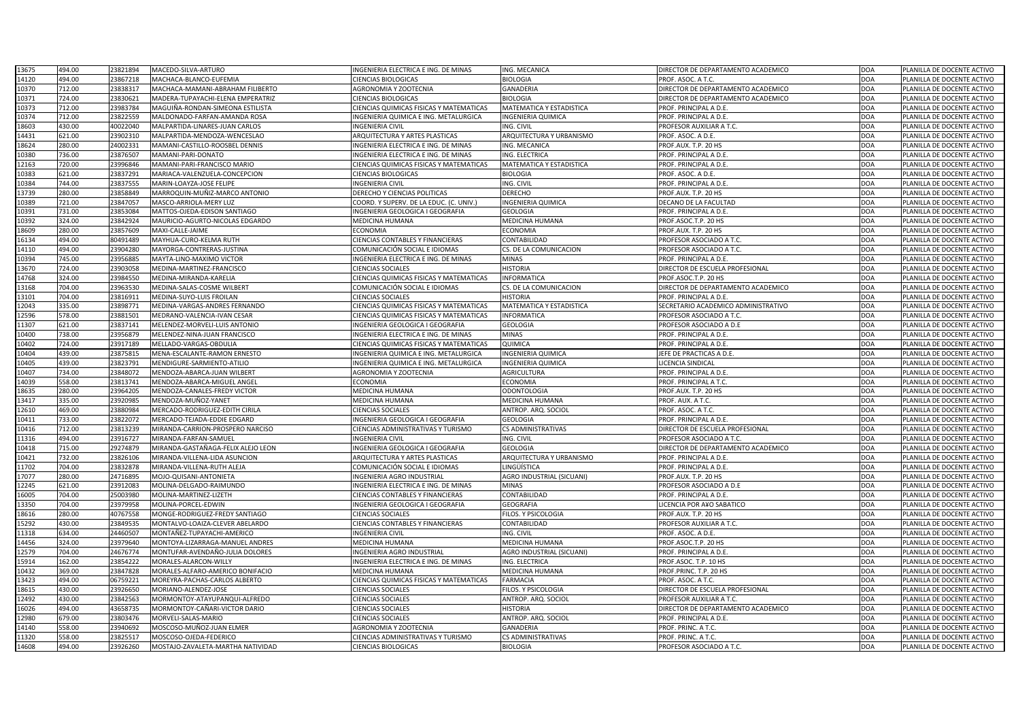| 13675 | 494.00 | 23821894 | MACEDO-SILVA-ARTURO                  | INGENIERIA ELECTRICA E ING. DE MINAS           | ING. MECANICA                    | DIRECTOR DE DEPARTAMENTO ACADEMICO  | <b>DOA</b> | PLANILLA DE DOCENTE ACTIVO |
|-------|--------|----------|--------------------------------------|------------------------------------------------|----------------------------------|-------------------------------------|------------|----------------------------|
| 14120 | 494.00 | 23867218 | MACHACA-BLANCO-EUFEMIA               | <b>CIENCIAS BIOLOGICAS</b>                     | <b>BIOLOGIA</b>                  | PROF. ASOC. A T.C.                  | <b>DOA</b> | PLANILLA DE DOCENTE ACTIVO |
| 10370 | 712.00 | 23838317 | MACHACA-MAMANI-ABRAHAM FILIBERTO     | <b>AGRONOMIA Y ZOOTECNIA</b>                   | <b>GANADERIA</b>                 | DIRECTOR DE DEPARTAMENTO ACADEMICO  | <b>DOA</b> | PLANILLA DE DOCENTE ACTIVO |
| 10371 | 724.00 | 23830621 | MADERA-TUPAYACHI-ELENA EMPERATRIZ    | <b>CIENCIAS BIOLOGICAS</b>                     | <b>BIOLOGIA</b>                  | DIRECTOR DE DEPARTAMENTO ACADEMICO  | <b>DOA</b> | PLANILLA DE DOCENTE ACTIVO |
| 10373 | 712.00 | 23983784 | MAGUIÑA-RONDAN-SIMEONA ESTILISTA     | CIENCIAS QUIMICAS FISICAS Y MATEMATICAS        | <b>MATEMATICA Y ESTADISTICA</b>  | PROF. PRINCIPAL A D.E.              | <b>DOA</b> | PLANILLA DE DOCENTE ACTIVO |
| 10374 | 712.00 | 23822559 | MALDONADO-FARFAN-AMANDA ROSA         | INGENIERIA QUIMICA E ING. METALURGICA          | <b>INGENIERIA QUIMICA</b>        | PROF. PRINCIPAL A D.E.              | <b>DOA</b> | PLANILLA DE DOCENTE ACTIVO |
| 18603 | 430.00 | 40022040 | MALPARTIDA-LINARES-JUAN CARLOS       | <b>INGENIERIA CIVIL</b>                        | ING. CIVIL                       | PROFESOR AUXILIAR A T.C.            | <b>DOA</b> | PLANILLA DE DOCENTE ACTIVO |
| 14431 | 621.00 | 23902310 | MALPARTIDA-MENDOZA-WENCESLAO         | ARQUITECTURA Y ARTES PLASTICAS                 | ARQUITECTURA Y URBANISMO         | PROF. ASOC. A D.E.                  | <b>DOA</b> | PLANILLA DE DOCENTE ACTIVO |
| 18624 | 280.00 | 2400233  | MAMANI-CASTILLO-ROOSBEL DENNIS       | INGENIERIA ELECTRICA E ING. DE MINAS           | ING. MECANICA                    | PROF.AUX. T.P. 20 HS                | <b>DOA</b> | PLANILLA DE DOCENTE ACTIVO |
| 10380 | 736.00 | 23876507 | MAMANI-PARI-DONATO                   | INGENIERIA ELECTRICA E ING. DE MINAS           | ING. ELECTRICA                   | PROF. PRINCIPAL A D.E.              | <b>DOA</b> | PLANILLA DE DOCENTE ACTIVO |
| 12163 | 720.00 | 23996846 | MAMANI-PARI-FRANCISCO MARIO          | CIENCIAS QUIMICAS FISICAS Y MATEMATICAS        | <b>MATEMATICA Y ESTADISTICA</b>  | PROF. PRINCIPAL A D.E.              | <b>DOA</b> | PLANILLA DE DOCENTE ACTIVO |
| 10383 | 621.00 | 23837291 | MARIACA-VALENZUELA-CONCEPCION        | <b>CIENCIAS BIOLOGICAS</b>                     | <b>BIOLOGIA</b>                  | PROF. ASOC. A D.E.                  | <b>DOA</b> | PLANILLA DE DOCENTE ACTIVO |
| 10384 | 744.00 | 23837555 | MARIN-LOAYZA-JOSE FELIPE             | <b>INGENIERIA CIVIL</b>                        | ING. CIVIL                       | PROF. PRINCIPAL A D.E.              | <b>DOA</b> | PLANILLA DE DOCENTE ACTIVO |
| 13739 | 280.00 | 23858849 | MARROQUIN-MUÑIZ-MARCO ANTONIO        | DERECHO Y CIENCIAS POLITICAS                   | <b>DERECHO</b>                   | PROF.AUX. T.P. 20 HS                | <b>DOA</b> | PLANILLA DE DOCENTE ACTIVO |
| 10389 | 721.00 | 23847057 | MASCO-ARRIOLA-MERY LUZ               | COORD. Y SUPERV. DE LA EDUC. (C. UNIV.)        | <b>INGENIERIA QUIMICA</b>        | DECANO DE LA FACULTAD               | <b>DOA</b> | PLANILLA DE DOCENTE ACTIVO |
| 10391 | 731.00 | 23853084 | MATTOS-OJEDA-EDISON SANTIAGO         | INGENIERIA GEOLOGICA I GEOGRAFIA               | <b>GEOLOGIA</b>                  | PROF. PRINCIPAL A D.E.              | <b>DOA</b> | PLANILLA DE DOCENTE ACTIVO |
| 10392 | 324.00 | 23842924 | MAURICIO-AGURTO-NICOLAS EDGARDO      | <b>MEDICINA HUMANA</b>                         | MEDICINA HUMANA                  | PROF.ASOC.T.P. 20 HS                | <b>DOA</b> | PLANILLA DE DOCENTE ACTIVO |
| 18609 | 280.00 | 23857609 | MAXI-CALLE-JAIME                     | <b>ECONOMIA</b>                                | <b>ECONOMIA</b>                  | PROF.AUX. T.P. 20 HS                | <b>DOA</b> | PLANILLA DE DOCENTE ACTIVO |
| 16134 | 494.00 | 80491489 | MAYHUA-CURO-KELMA RUTH               | <b>CIENCIAS CONTABLES Y FINANCIERAS</b>        | CONTABILIDAD                     | PROFESOR ASOCIADO A T.C.            | <b>DOA</b> | PLANILLA DE DOCENTE ACTIVO |
| 14110 | 494.00 | 23904280 | MAYORGA-CONTRERAS-JUSTINA            | COMUNICACIÓN SOCIAL E IDIOMAS                  | CS. DE LA COMUNICACION           | PROFESOR ASOCIADO A T.C.            | <b>DOA</b> | PLANILLA DE DOCENTE ACTIVO |
| 10394 | 745.00 | 23956885 | MAYTA-LINO-MAXIMO VICTOR             | INGENIERIA ELECTRICA E ING. DE MINAS           | <b>MINAS</b>                     | PROF. PRINCIPAL A D.E.              | <b>DOA</b> | PLANILLA DE DOCENTE ACTIVO |
| 13670 | 724.00 | 23903058 | MEDINA-MARTINEZ-FRANCISCO            | <b>CIENCIAS SOCIALES</b>                       | <b>HISTORIA</b>                  | DIRECTOR DE ESCUELA PROFESIONAL     | <b>DOA</b> | PLANILLA DE DOCENTE ACTIVO |
| 14768 | 324.00 | 23984550 | MEDINA-MIRANDA-KARELIA               | CIENCIAS QUIMICAS FISICAS Y MATEMATICAS        | <b>INFORMATICA</b>               | PROF.ASOC.T.P. 20 HS                | <b>DOA</b> | PLANILLA DE DOCENTE ACTIVO |
| 13168 | 704.00 | 23963530 | MEDINA-SALAS-COSME WILBERT           | COMUNICACIÓN SOCIAL E IDIOMAS                  | CS. DE LA COMUNICACION           | DIRECTOR DE DEPARTAMENTO ACADEMICO  | <b>DOA</b> | PLANILLA DE DOCENTE ACTIVO |
| 13101 | 704.00 | 2381691  | MEDINA-SUYO-LUIS FROILAN             | <b>CIENCIAS SOCIALES</b>                       | <b>HISTORIA</b>                  | PROF. PRINCIPAL A D.E.              | <b>DOA</b> | PLANILLA DE DOCENTE ACTIVO |
| 12043 | 335.00 | 2389877  | <b>MEDINA-VARGAS-ANDRES FERNANDO</b> | CIENCIAS QUIMICAS FISICAS Y MATEMATICAS        | MATEMATICA Y ESTADISTICA         | SECRETARIO ACADEMICO ADMINISTRATIVO | <b>DOA</b> | PLANILLA DE DOCENTE ACTIVO |
| 12596 | 578.00 | 23881501 | MEDRANO-VALENCIA-IVAN CESAR          | CIENCIAS QUIMICAS FISICAS Y MATEMATICAS        | <b>INFORMATICA</b>               | PROFESOR ASOCIADO A T.C.            | <b>DOA</b> | PLANILLA DE DOCENTE ACTIVO |
|       | 621.00 | 23837141 |                                      | INGENIERIA GEOLOGICA I GEOGRAFIA               | <b>GEOLOGIA</b>                  |                                     | <b>DOA</b> | PLANILLA DE DOCENTE ACTIVO |
| 11307 |        |          | MELENDEZ-MORVELI-LUIS ANTONIO        |                                                |                                  | PROFESOR ASOCIADO A D.E             |            |                            |
| 10400 | 738.00 | 23956879 | MELENDEZ-NINA-JUAN FRANCISCO         | INGENIERIA ELECTRICA E ING. DE MINAS           | <b>MINAS</b>                     | PROF. PRINCIPAL A D.E.              | <b>DOA</b> | PLANILLA DE DOCENTE ACTIVO |
| 10402 | 724.00 | 23917189 | MELLADO-VARGAS-OBDULIA               | CIENCIAS QUIMICAS FISICAS Y MATEMATICAS        | QUIMICA                          | PROF. PRINCIPAL A D.E.              | <b>DOA</b> | PLANILLA DE DOCENTE ACTIVO |
| 10404 | 439.00 | 23875815 | MENA-ESCALANTE-RAMON ERNESTO         | INGENIERIA QUIMICA E ING. METALURGICA          | <b>INGENIERIA QUIMICA</b>        | JEFE DE PRACTICAS A D.E.            | <b>DOA</b> | PLANILLA DE DOCENTE ACTIVO |
| 10405 | 439.00 | 23823791 | MENDIGURE-SARMIENTO-ATILIO           | INGENIERIA QUIMICA E ING. METALURGICA          | <b>INGENIERIA QUIMICA</b>        | LICENCIA SINDICAL                   | <b>DOA</b> | PLANILLA DE DOCENTE ACTIVO |
| 10407 | 734.00 | 23848072 | MENDOZA-ABARCA-JUAN WILBERT          | <b>AGRONOMIA Y ZOOTECNIA</b>                   | <b>AGRICULTURA</b>               | PROF. PRINCIPAL A D.E.              | <b>DOA</b> | PLANILLA DE DOCENTE ACTIVO |
| 14039 | 558.00 | 23813741 | MENDOZA-ABARCA-MIGUEL ANGEI          | <b>ECONOMIA</b>                                | <b>ECONOMIA</b>                  | PROF. PRINCIPAL A T.C.              | <b>DOA</b> | PLANILLA DE DOCENTE ACTIVO |
| 18635 | 280.00 | 23964205 | MENDOZA-CANALES-FREDY VICTOR         | <b>MEDICINA HUMANA</b>                         | <b>ODONTOLOGIA</b>               | PROF.AUX. T.P. 20 HS                | <b>DOA</b> | PLANILLA DE DOCENTE ACTIVO |
| 13417 | 335.00 | 23920985 | MENDOZA-MUÑOZ-YANET                  | <b>MEDICINA HUMANA</b>                         | MEDICINA HUMANA                  | PROF. AUX. A T.C.                   | <b>DOA</b> | PLANILLA DE DOCENTE ACTIVO |
| 12610 | 469.00 | 23880984 | MERCADO-RODRIGUEZ-EDITH CIRILA       | <b>CIENCIAS SOCIALES</b>                       | ANTROP. ARQ. SOCIOL              | PROF. ASOC. A T.C.                  | <b>DOA</b> | PLANILLA DE DOCENTE ACTIVO |
| 10411 | 733.00 | 23822072 | MERCADO-TEJADA-EDDIE EDGARD          | INGENIERIA GEOLOGICA I GEOGRAFIA               | <b>GEOLOGIA</b>                  | PROF. PRINCIPAL A D.E.              | <b>DOA</b> | PLANILLA DE DOCENTE ACTIVO |
| 10416 | 712.00 | 23813239 | MIRANDA-CARRION-PROSPERO NARCISO     | <b>CIENCIAS ADMINISTRATIVAS Y TURISMO</b>      | <b>CS ADMINISTRATIVAS</b>        | DIRECTOR DE ESCUELA PROFESIONAL     | <b>DOA</b> | PLANILLA DE DOCENTE ACTIVO |
| 11316 | 494.00 | 23916727 | MIRANDA-FARFAN-SAMUEL                | <b>INGENIERIA CIVIL</b>                        | ING. CIVIL                       | PROFESOR ASOCIADO A T.C.            | <b>DOA</b> | PLANILLA DE DOCENTE ACTIVO |
| 10418 | 715.00 | 29274879 | MIRANDA-GASTAÑAGA-FELIX ALEJO LEON   | INGENIERIA GEOLOGICA I GEOGRAFIA               | <b>GEOLOGIA</b>                  | DIRECTOR DE DEPARTAMENTO ACADEMICO  | <b>DOA</b> | PLANILLA DE DOCENTE ACTIVO |
| 10421 | 732.00 | 23826106 | MIRANDA-VILLENA-LIDA ASUNCION        | ARQUITECTURA Y ARTES PLASTICAS                 | ARQUITECTURA Y URBANISMO         | PROF. PRINCIPAL A D.E.              | <b>DOA</b> | PLANILLA DE DOCENTE ACTIVO |
| 11702 | 704.00 | 23832878 | MIRANDA-VILLENA-RUTH ALEJA           | COMUNICACIÓN SOCIAL E IDIOMAS                  | LINGÜÍSTICA                      | PROF. PRINCIPAL A D.E.              | <b>DOA</b> | PLANILLA DE DOCENTE ACTIVO |
| 17077 | 280.00 | 24716895 | MOJO-QUISANI-ANTONIETA               | <b>INGENIERIA AGRO INDUSTRIAL</b>              | <b>AGRO INDUSTRIAL (SICUANI)</b> | PROF.AUX. T.P. 20 HS                | <b>DOA</b> | PLANILLA DE DOCENTE ACTIVO |
| 12245 | 621.00 | 23912083 | MOLINA-DELGADO-RAIMUNDO              | INGENIERIA ELECTRICA E ING. DE MINAS           | <b>MINAS</b>                     | PROFESOR ASOCIADO A D.E             | <b>DOA</b> | PLANILLA DE DOCENTE ACTIVO |
| 16005 | 704.00 | 25003980 | MOLINA-MARTINEZ-LIZETH               | <b>CIENCIAS CONTABLES Y FINANCIERAS</b>        | CONTABILIDAD                     | PROF. PRINCIPAL A D.E.              | <b>DOA</b> | PLANILLA DE DOCENTE ACTIVO |
| 13350 | 704.00 | 23979958 | MOLINA-PORCEL-EDWIN                  | INGENIERIA GEOLOGICA I GEOGRAFIA               | <b>GEOGRAFIA</b>                 | LICENCIA POR A¥O SABATICO           | <b>DOA</b> | PLANILLA DE DOCENTE ACTIVO |
| 18616 | 280.00 | 40767558 | MONGE-RODRIGUEZ-FREDY SANTIAGO       | <b>CIENCIAS SOCIALES</b>                       | FILOS. Y PSICOLOGIA              | PROF.AUX. T.P. 20 HS                | <b>DOA</b> | PLANILLA DE DOCENTE ACTIVO |
| 15292 | 430.00 | 23849535 | MONTALVO-LOAIZA-CLEVER ABELARDO      | <b>CIENCIAS CONTABLES Y FINANCIERAS</b>        | CONTABILIDAD                     | PROFESOR AUXILIAR A T.C.            | <b>DOA</b> | PLANILLA DE DOCENTE ACTIVO |
| 11318 | 634.00 | 24460507 | MONTAÑEZ-TUPAYACHI-AMERICO           | <b>INGENIERIA CIVIL</b>                        | ING. CIVIL                       | PROF. ASOC. A D.E.                  | <b>DOA</b> | PLANILLA DE DOCENTE ACTIVO |
| 14456 | 324.00 | 23979640 | MONTOYA-LIZARRAGA-MANUEL ANDRES      | <b>MEDICINA HUMANA</b>                         | <b>MEDICINA HUMANA</b>           | PROF.ASOC.T.P. 20 HS                | <b>DOA</b> | PLANILLA DE DOCENTE ACTIVO |
| 12579 | 704.00 | 24676774 | MONTUFAR-AVENDAÑO-JULIA DOLORES      | <b>INGENIERIA AGRO INDUSTRIAL</b>              | <b>AGRO INDUSTRIAL (SICUANI)</b> | PROF. PRINCIPAL A D.E.              | <b>DOA</b> | PLANILLA DE DOCENTE ACTIVO |
| 15914 | 162.00 | 23854222 | MORALES-ALARCON-WILLY                | INGENIERIA ELECTRICA E ING. DE MINAS           | ING. ELECTRICA                   | PROF.ASOC. T.P. 10 HS               | <b>DOA</b> | PLANILLA DE DOCENTE ACTIVO |
| 10432 | 369.00 | 23847828 | MORALES-ALFARO-AMERICO BONIFACIO     | <b>MEDICINA HUMANA</b>                         | MEDICINA HUMANA                  | PROF.PRINC. T.P. 20 HS              | <b>DOA</b> | PLANILLA DE DOCENTE ACTIVO |
| 13423 | 494.00 | 06759221 | MOREYRA-PACHAS-CARLOS ALBERTO        | <b>CIENCIAS QUIMICAS FISICAS Y MATEMATICAS</b> | <b>FARMACIA</b>                  | PROF. ASOC. A T.C.                  | <b>DOA</b> | PLANILLA DE DOCENTE ACTIVO |
| 18615 | 430.00 | 23926650 | MORIANO-ALENDEZ-JOSE                 | <b>CIENCIAS SOCIALES</b>                       | FILOS. Y PSICOLOGIA              | DIRECTOR DE ESCUELA PROFESIONAL     | <b>DOA</b> | PLANILLA DE DOCENTE ACTIVO |
| 12492 | 430.00 | 23842563 | MORMONTOY-ATAYUPANQUI-ALFREDO        | <b>CIENCIAS SOCIALES</b>                       | ANTROP. ARQ. SOCIOL              | PROFESOR AUXILIAR A T.C.            | <b>DOA</b> | PLANILLA DE DOCENTE ACTIVO |
| 16026 | 494.00 | 43658735 | MORMONTOY-CAÑARI-VICTOR DARIO        | <b>CIENCIAS SOCIALES</b>                       | <b>HISTORIA</b>                  | DIRECTOR DE DEPARTAMENTO ACADEMICO  | <b>DOA</b> | PLANILLA DE DOCENTE ACTIVO |
| 12980 | 679.00 | 23803476 | MORVELI-SALAS-MARIO                  | <b>CIENCIAS SOCIALES</b>                       | ANTROP. ARQ. SOCIOL              | PROF. PRINCIPAL A D.E.              | <b>DOA</b> | PLANILLA DE DOCENTE ACTIVO |
| 14140 | 558.00 | 23940692 | MOSCOSO-MUÑOZ-JUAN ELMER             | <b>AGRONOMIA Y ZOOTECNIA</b>                   | <b>GANADERIA</b>                 | PROF. PRINC. A T.C.                 | <b>DOA</b> | PLANILLA DE DOCENTE ACTIVO |
| 11320 | 558.00 | 23825517 | MOSCOSO-OJEDA-FEDERICO               | CIENCIAS ADMINISTRATIVAS Y TURISMO             | <b>CS ADMINISTRATIVAS</b>        | PROF. PRINC. A T.C.                 | <b>DOA</b> | PLANILLA DE DOCENTE ACTIVO |
| 14608 | 494.00 | 23926260 | MOSTAJO-ZAVALETA-MARTHA NATIVIDAD    | <b>CIENCIAS BIOLOGICAS</b>                     | <b>BIOLOGIA</b>                  | PROFESOR ASOCIADO A T.C.            | <b>DOA</b> | PLANILLA DE DOCENTE ACTIVO |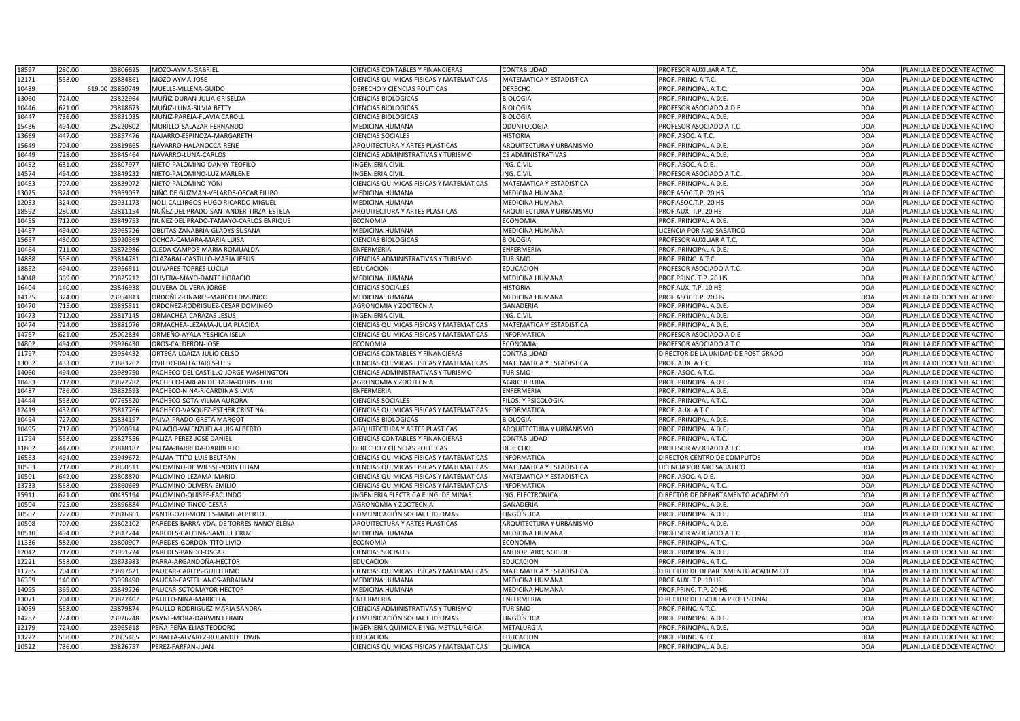| 18597 | 280.00 | 23806625        | MOZO-AYMA-GABRIEL                        | <b>CIENCIAS CONTABLES Y FINANCIERAS</b>        | CONTABILIDAD                    | <b>PROFESOR AUXILIAR A T.C.</b>     | <b>DOA</b> | PLANILLA DE DOCENTE ACTIVO |
|-------|--------|-----------------|------------------------------------------|------------------------------------------------|---------------------------------|-------------------------------------|------------|----------------------------|
| 12171 | 558.00 | 23884861        | MOZO-AYMA-JOSE                           | CIENCIAS QUIMICAS FISICAS Y MATEMATICAS        | MATEMATICA Y ESTADISTICA        | PROF. PRINC. A T.C.                 | <b>DOA</b> | PLANILLA DE DOCENTE ACTIVO |
| 10439 |        | 619.00 23850749 | MUELLE-VILLENA-GUIDO                     | <b>DERECHO Y CIENCIAS POLITICAS</b>            | <b>DERECHO</b>                  | PROF. PRINCIPAL A T.C.              | <b>DOA</b> | PLANILLA DE DOCENTE ACTIVO |
| 13060 | 724.00 | 23822964        | MUÑIZ-DURAN-JULIA GRISELDA               | <b>CIENCIAS BIOLOGICAS</b>                     | <b>BIOLOGIA</b>                 | PROF. PRINCIPAL A D.E.              | <b>DOA</b> | PLANILLA DE DOCENTE ACTIVO |
| 10446 | 621.00 | 23818673        | MUÑIZ-LUNA-SILVIA BETTY                  | <b>CIENCIAS BIOLOGICAS</b>                     | <b>BIOLOGIA</b>                 | PROFESOR ASOCIADO A D.E             | <b>DOA</b> | PLANILLA DE DOCENTE ACTIVO |
| 10447 | 736.00 | 23831035        | MUÑIZ-PAREJA-FLAVIA CAROLI               | <b>CIENCIAS BIOLOGICAS</b>                     | <b>BIOLOGIA</b>                 | PROF. PRINCIPAL A D.E.              | <b>DOA</b> | PLANILLA DE DOCENTE ACTIVO |
| 15436 | 494.00 | 25220802        | MURILLO-SALAZAR-FERNANDO                 | <b>MEDICINA HUMANA</b>                         | <b>ODONTOLOGIA</b>              | <b>PROFESOR ASOCIADO A T.C.</b>     | <b>DOA</b> | PLANILLA DE DOCENTE ACTIVO |
| 13669 | 447.00 | 23857476        | NAJARRO-ESPINOZA-MARGARETH               | <b>CIENCIAS SOCIALES</b>                       | <b>HISTORIA</b>                 | PROF. ASOC. A T.C.                  | <b>DOA</b> | PLANILLA DE DOCENTE ACTIVO |
| 15649 | 704.00 | 23819665        | NAVARRO-HALANOCCA-RENE                   | <b>ARQUITECTURA Y ARTES PLASTICAS</b>          | ARQUITECTURA Y URBANISMO        | PROF. PRINCIPAL A D.E.              | <b>DOA</b> | PLANILLA DE DOCENTE ACTIVO |
| 10449 | 728.00 | 23845464        | NAVARRO-LUNA-CARLOS                      | <b>CIENCIAS ADMINISTRATIVAS Y TURISMO</b>      | <b>CS ADMINISTRATIVAS</b>       | PROF. PRINCIPAL A D.E.              | <b>DOA</b> | PLANILLA DE DOCENTE ACTIVO |
| 10452 | 631.00 | 23807977        | NIETO-PALOMINO-DANNY TEOFILO             | <b>INGENIERIA CIVIL</b>                        | ING. CIVIL                      | PROF. ASOC. A D.E.                  | <b>DOA</b> | PLANILLA DE DOCENTE ACTIVO |
| 14574 | 494.00 | 23849232        | IIETO-PALOMINO-LUZ MARLENE               | <b>INGENIERIA CIVIL</b>                        | ING. CIVIL                      | PROFESOR ASOCIADO A T.C.            | <b>DOA</b> | PLANILLA DE DOCENTE ACTIVO |
| 10453 | 707.00 | 23839072        | <b>NIETO-PALOMINO-YONI</b>               | <b>CIENCIAS QUIMICAS FISICAS Y MATEMATICAS</b> | MATEMATICA Y ESTADISTICA        | PROF. PRINCIPAL A D.E.              | <b>DOA</b> | PLANILLA DE DOCENTE ACTIVO |
| 13025 | 324.00 | 23959057        | NIÑO DE GUZMAN-VELARDE-OSCAR FILIPO      | <b>MEDICINA HUMANA</b>                         | MEDICINA HUMANA                 | PROF.ASOC.T.P. 20 HS                | <b>DOA</b> | PLANILLA DE DOCENTE ACTIVO |
| 12053 | 324.00 | 23931173        | NOLI-CALLIRGOS-HUGO RICARDO MIGUEL       | <b>MEDICINA HUMANA</b>                         | MEDICINA HUMANA                 | PROF.ASOC.T.P. 20 HS                | <b>DOA</b> | PLANILLA DE DOCENTE ACTIVO |
| 18592 | 280.00 | 23811154        | NUÑEZ DEL PRADO-SANTANDER-TIRZA ESTELA   | <b>ARQUITECTURA Y ARTES PLASTICAS</b>          | ARQUITECTURA Y URBANISMO        | PROF.AUX. T.P. 20 HS                | <b>DOA</b> | PLANILLA DE DOCENTE ACTIVO |
|       |        |                 |                                          |                                                |                                 |                                     |            |                            |
| 10455 | 712.00 | 23849753        | NUÑEZ DEL PRADO-TAMAYO-CARLOS ENRIQUE    | <b>ECONOMIA</b>                                | <b>ECONOMIA</b>                 | PROF. PRINCIPAL A D.E.              | <b>DOA</b> | PLANILLA DE DOCENTE ACTIVO |
| 14457 | 494.00 | 23965726        | OBLITAS-ZANABRIA-GLADYS SUSANA           | <b>MEDICINA HUMANA</b>                         | MEDICINA HUMANA                 | LICENCIA POR A¥O SABATICO           | <b>DOA</b> | PLANILLA DE DOCENTE ACTIVO |
| 15657 | 430.00 | 23920369        | OCHOA-CAMARA-MARIA LUISA                 | <b>CIENCIAS BIOLOGICAS</b>                     | <b>BIOLOGIA</b>                 | PROFESOR AUXILIAR A T.C.            | <b>DOA</b> | PLANILLA DE DOCENTE ACTIVO |
| 10464 | 711.00 | 23872986        | OJEDA-CAMPOS-MARIA ROMUALDA              | <b>ENFERMERIA</b>                              | ENFERMERIA                      | PROF. PRINCIPAL A D.E.              | <b>DOA</b> | PLANILLA DE DOCENTE ACTIVO |
| 14888 | 558.00 | 23814781        | OLAZABAL-CASTILLO-MARIA JESUS            | <b>CIENCIAS ADMINISTRATIVAS Y TURISMO</b>      | <b>TURISMO</b>                  | PROF. PRINC. A T.C.                 | <b>DOA</b> | PLANILLA DE DOCENTE ACTIVO |
| 18852 | 494.00 | 23956511        | OLIVARES-TORRES-LUCILA                   | <b>EDUCACION</b>                               | <b>EDUCACION</b>                | PROFESOR ASOCIADO A T.C.            | <b>DOA</b> | PLANILLA DE DOCENTE ACTIVO |
| 14048 | 369.00 | 23825212        | OLIVERA-MAYO-DANTE HORACIO               | <b>MEDICINA HUMANA</b>                         | MEDICINA HUMANA                 | PROF.PRINC. T.P. 20 HS              | <b>DOA</b> | PLANILLA DE DOCENTE ACTIVO |
| 16404 | 140.00 | 23846938        | OLIVERA-OLIVERA-JORGE                    | <b>CIENCIAS SOCIALES</b>                       | <b>HISTORIA</b>                 | PROF.AUX. T.P. 10 HS                | <b>DOA</b> | PLANILLA DE DOCENTE ACTIVO |
| 14135 | 324.00 | 23954813        | ORDOÑEZ-LINARES-MARCO EDMUNDO            | <b>MEDICINA HUMANA</b>                         | MEDICINA HUMANA                 | PROF.ASOC.T.P. 20 HS                | <b>DOA</b> | PLANILLA DE DOCENTE ACTIVO |
| 10470 | 715.00 | 2388531         | ORDOÑEZ-RODRIGUEZ-CESAR DOMINGO          | <b>AGRONOMIA Y ZOOTECNIA</b>                   | <b>GANADERIA</b>                | PROF. PRINCIPAL A D.E.              | <b>DOA</b> | PLANILLA DE DOCENTE ACTIVO |
| 10473 | 712.00 | 23817145        | ORMACHEA-CARAZAS-JESUS                   | <b>INGENIERIA CIVIL</b>                        | ING. CIVIL                      | PROF. PRINCIPAL A D.E.              | <b>DOA</b> | PLANILLA DE DOCENTE ACTIVO |
| 10474 | 724.00 | 23881076        | ORMACHEA-LEZAMA-JULIA PLACIDA            | CIENCIAS QUIMICAS FISICAS Y MATEMATICAS        | MATEMATICA Y ESTADISTICA        | PROF. PRINCIPAL A D.E.              | <b>DOA</b> | PLANILLA DE DOCENTE ACTIVO |
| 14767 | 621.00 | 25002834        | ORMEÑO-AYALA-YESHICA ISELA               | <b>CIENCIAS QUIMICAS FISICAS Y MATEMATICAS</b> | <b>INFORMATICA</b>              | PROFESOR ASOCIADO A D.E             | <b>DOA</b> | PLANILLA DE DOCENTE ACTIVO |
| 14802 | 494.00 | 23926430        | OROS-CALDERON-JOSE                       | <b>ECONOMIA</b>                                | ECONOMIA                        | PROFESOR ASOCIADO A T.C.            | <b>DOA</b> | PLANILLA DE DOCENTE ACTIVO |
| 11797 | 704.00 | 23954432        | ORTEGA-LOAIZA-JULIO CELSO                | <b>CIENCIAS CONTABLES Y FINANCIERAS</b>        | CONTABILIDAD                    | DIRECTOR DE LA UNIDAD DE POST GRADO | <b>DOA</b> | PLANILLA DE DOCENTE ACTIVO |
| 13062 | 433.00 | 23883262        | OVIEDO-BALLADARES-LUIS                   | CIENCIAS QUIMICAS FISICAS Y MATEMATICAS        | MATEMATICA Y ESTADISTICA        | PROF. AUX. A T.C.                   | <b>DOA</b> | PLANILLA DE DOCENTE ACTIVO |
| 14060 | 494.00 | 23989750        | PACHECO-DEL CASTILLO-JORGE WASHINGTON    | <b>CIENCIAS ADMINISTRATIVAS Y TURISMO</b>      | <b>TURISMO</b>                  | PROF. ASOC. A T.C.                  | <b>DOA</b> | PLANILLA DE DOCENTE ACTIVO |
| 10483 | 712.00 | 23872782        | PACHECO-FARFAN DE TAPIA-DORIS FLOR       | AGRONOMIA Y ZOOTECNIA                          | <b>AGRICULTURA</b>              | PROF. PRINCIPAL A D.E.              | <b>DOA</b> | PLANILLA DE DOCENTE ACTIVO |
| 10487 | 736.00 | 23852593        | PACHECO-NINA-RICARDINA SILVIA            | <b>ENFERMERIA</b>                              | ENFERMERIA                      | PROF. PRINCIPAL A D.E.              | <b>DOA</b> | PLANILLA DE DOCENTE ACTIVO |
| 14444 | 558.00 | 07765520        | PACHECO-SOTA-VILMA AURORA                | <b>CIENCIAS SOCIALES</b>                       | FILOS. Y PSICOLOGIA             | PROF. PRINCIPAL A T.C.              | <b>DOA</b> | PLANILLA DE DOCENTE ACTIVO |
| 12419 | 432.00 | 23817766        | PACHECO-VASQUEZ-ESTHER CRISTINA          | <b>CIENCIAS QUIMICAS FISICAS Y MATEMATICAS</b> | <b>INFORMATICA</b>              | PROF. AUX. A T.C.                   | <b>DOA</b> | PLANILLA DE DOCENTE ACTIVO |
| 10494 | 727.00 | 23834197        | PAIVA-PRADO-GRETA MARGOT                 | <b>CIENCIAS BIOLOGICAS</b>                     | <b>BIOLOGIA</b>                 | PROF. PRINCIPAL A D.E.              | <b>DOA</b> | PLANILLA DE DOCENTE ACTIVO |
| 10495 | 712.00 | 23990914        | PALACIO-VALENZUELA-LUIS ALBERTO          | <b>ARQUITECTURA Y ARTES PLASTICAS</b>          | ARQUITECTURA Y URBANISMO        | PROF. PRINCIPAL A D.E.              | <b>DOA</b> | PLANILLA DE DOCENTE ACTIVO |
| 11794 | 558.00 | 23827556        | PALIZA-PEREZ-JOSE DANIEL                 | <b>CIENCIAS CONTABLES Y FINANCIERAS</b>        | CONTABILIDAD                    | PROF. PRINCIPAL A T.C.              | <b>DOA</b> | PLANILLA DE DOCENTE ACTIVO |
| 11802 | 447.00 | 23818187        | PALMA-BARREDA-DARIBERTO                  | <b>DERECHO Y CIENCIAS POLITICAS</b>            | <b>DERECHO</b>                  | PROFESOR ASOCIADO A T.C.            | <b>DOA</b> | PLANILLA DE DOCENTE ACTIVO |
| 16563 | 494.00 | 23949672        | PALMA-TTITO-LUIS BELTRAN                 | CIENCIAS QUIMICAS FISICAS Y MATEMATICAS        | <b>INFORMATICA</b>              | DIRECTOR CENTRO DE COMPUTOS         | <b>DOA</b> | PLANILLA DE DOCENTE ACTIVO |
| 10503 | 712.00 | 23850511        | PALOMINO-DE WIESSE-NORY LILIAM           | <b>CIENCIAS QUIMICAS FISICAS Y MATEMATICAS</b> | MATEMATICA Y ESTADISTICA        | LICENCIA POR A¥O SABATICO           | <b>DOA</b> | PLANILLA DE DOCENTE ACTIVO |
| 10501 | 642.00 | 23808870        | PALOMINO-LEZAMA-MARIO                    | <b>CIENCIAS QUIMICAS FISICAS Y MATEMATICAS</b> | <b>MATEMATICA Y ESTADISTICA</b> | PROF. ASOC. A D.E.                  | <b>DOA</b> | PLANILLA DE DOCENTE ACTIVO |
| 13733 | 558.00 | 23860669        | PALOMINO-OLIVERA-EMILIO                  | <b>CIENCIAS QUIMICAS FISICAS Y MATEMATICAS</b> | <b>INFORMATICA</b>              | PROF. PRINCIPAL A T.C.              | <b>DOA</b> | PLANILLA DE DOCENTE ACTIVO |
| 15911 | 621.00 | 00435194        | PALOMINO-QUISPE-FACUNDO                  | INGENIERIA ELECTRICA E ING. DE MINAS           | ING. ELECTRONICA                | DIRECTOR DE DEPARTAMENTO ACADEMICO  | <b>DOA</b> | PLANILLA DE DOCENTE ACTIVO |
| 10504 | 725.00 | 23896884        | PALOMINO-TINCO-CESAR                     | <b>AGRONOMIA Y ZOOTECNIA</b>                   | <b>GANADERIA</b>                | PROF. PRINCIPAL A D.E.              | <b>DOA</b> | PLANILLA DE DOCENTE ACTIVO |
| 10507 | 727.00 | 23816861        | PANTIGOZO-MONTES-JAIME ALBERTO           | COMUNICACIÓN SOCIAL E IDIOMAS                  | LINGÜÍSTICA                     | PROF. PRINCIPAL A D.E.              | <b>DOA</b> | PLANILLA DE DOCENTE ACTIVO |
| 10508 | 707.00 | 23802102        | PAREDES BARRA-VDA. DE TORRES-NANCY ELENA | <b>ARQUITECTURA Y ARTES PLASTICAS</b>          | ARQUITECTURA Y URBANISMO        | PROF. PRINCIPAL A D.E.              | <b>DOA</b> | PLANILLA DE DOCENTE ACTIVO |
| 10510 | 494.00 | 23817244        | PAREDES-CALCINA-SAMUEL CRUZ              | <b>MEDICINA HUMANA</b>                         | MEDICINA HUMANA                 | PROFESOR ASOCIADO A T.C.            | <b>DOA</b> | PLANILLA DE DOCENTE ACTIVO |
| 11336 | 582.00 | 23800907        | PAREDES-GORDON-TITO LIVIO                | <b>ECONOMIA</b>                                | <b>ECONOMIA</b>                 | PROF. PRINCIPAL A T.C.              | <b>DOA</b> | PLANILLA DE DOCENTE ACTIVO |
| 12042 | 717.00 | 23951724        | PAREDES-PANDO-OSCAR                      | <b>CIENCIAS SOCIALES</b>                       | ANTROP. ARQ. SOCIOL             | PROF. PRINCIPAL A D.E.              | <b>DOA</b> | PLANILLA DE DOCENTE ACTIVO |
|       |        |                 |                                          |                                                |                                 |                                     |            |                            |
| 12221 | 558.00 | 23873983        | PARRA-ARGANDOÑA-HECTOR                   | <b>EDUCACION</b>                               | <b>EDUCACION</b>                | PROF. PRINCIPAL A T.C.              | <b>DOA</b> | PLANILLA DE DOCENTE ACTIVO |
| 11785 | 704.00 | 23897621        | PAUCAR-CARLOS-GUILLERMO                  | <b>CIENCIAS QUIMICAS FISICAS Y MATEMATICAS</b> | MATEMATICA Y ESTADISTICA        | DIRECTOR DE DEPARTAMENTO ACADEMICO  | <b>DOA</b> | PLANILLA DE DOCENTE ACTIVO |
| 16359 | 140.00 | 23958490        | PAUCAR-CASTELLANOS-ABRAHAM               | <b>MEDICINA HUMANA</b>                         | MEDICINA HUMANA                 | PROF.AUX. T.P. 10 HS                | <b>DOA</b> | PLANILLA DE DOCENTE ACTIVO |
| 14095 | 369.00 | 23849726        | PAUCAR-SOTOMAYOR-HECTOR                  | <b>MEDICINA HUMANA</b>                         | MEDICINA HUMANA                 | PROF.PRINC. T.P. 20 HS              | <b>DOA</b> | PLANILLA DE DOCENTE ACTIVO |
| 13071 | 704.00 | 23822407        | PAULLO-NINA-MARICELA                     | <b>ENFERMERIA</b>                              | ENFERMERIA                      | DIRECTOR DE ESCUELA PROFESIONAL     | <b>DOA</b> | PLANILLA DE DOCENTE ACTIVO |
| 14059 | 558.00 | 23879874        | PAULLO-RODRIGUEZ-MARIA SANDRA            | <b>CIENCIAS ADMINISTRATIVAS Y TURISMO</b>      | <b>TURISMO</b>                  | PROF. PRINC. A T.C.                 | <b>DOA</b> | PLANILLA DE DOCENTE ACTIVO |
| 14287 | 724.00 | 23926248        | PAYNE-MORA-DARWIN EFRAIN                 | COMUNICACIÓN SOCIAL E IDIOMAS                  | LINGÜÍSTICA                     | PROF. PRINCIPAL A D.E.              | <b>DOA</b> | PLANILLA DE DOCENTE ACTIVO |
| 12179 | 724.00 | 23965618        | PEÑA-PEÑA-ELIAS TEODORO                  | INGENIERIA QUIMICA E ING. METALURGICA          | METALURGIA                      | PROF. PRINCIPAL A D.E.              | <b>DOA</b> | PLANILLA DE DOCENTE ACTIVO |
| 13222 | 558.00 | 23805465        | PERALTA-ALVAREZ-ROLANDO EDWIN            | <b>EDUCACION</b>                               | <b>EDUCACION</b>                | PROF. PRINC. A T.C.                 | <b>DOA</b> | PLANILLA DE DOCENTE ACTIVO |
| 10522 | 736.00 | 23826757        | PEREZ-FARFAN-JUAN                        | <b>CIENCIAS QUIMICAS FISICAS Y MATEMATICAS</b> | <b>QUIMICA</b>                  | PROF. PRINCIPAL A D.E.              | <b>DOA</b> | PLANILLA DE DOCENTE ACTIVO |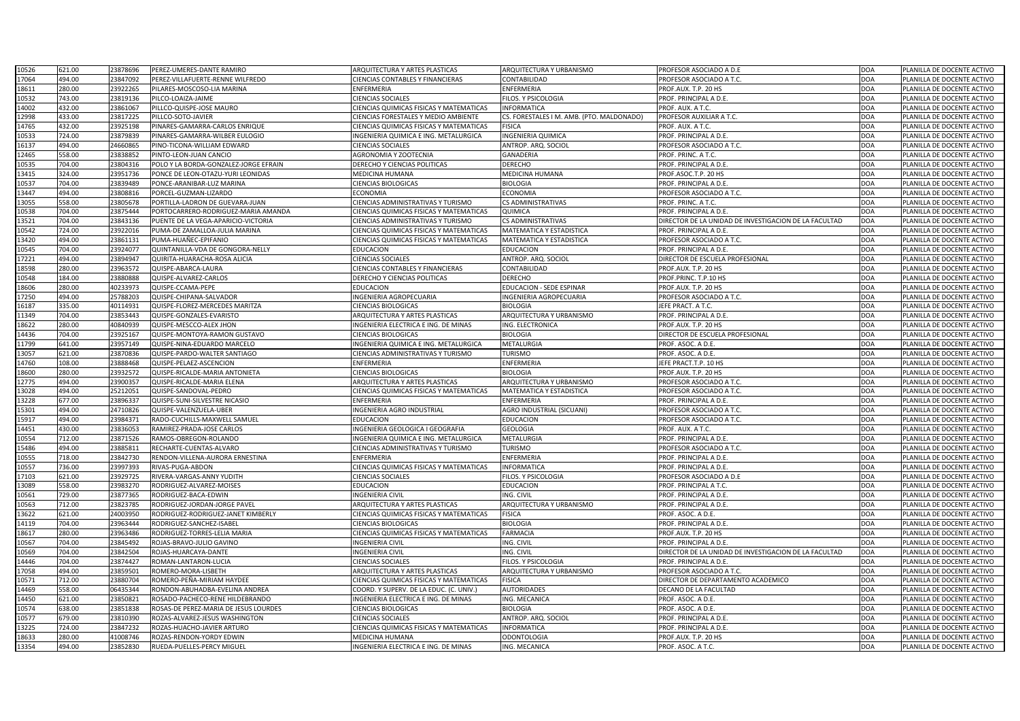| 10526 | 621.00 | 23878696             | PEREZ-UMERES-DANTE RAMIRO             | <b>ARQUITECTURA Y ARTES PLASTICAS</b>          | ARQUITECTURA Y URBANISMO                  | <b>PROFESOR ASOCIADO A D.E</b>                        | <b>DOA</b>          | PLANILLA DE DOCENTE ACTIVO |
|-------|--------|----------------------|---------------------------------------|------------------------------------------------|-------------------------------------------|-------------------------------------------------------|---------------------|----------------------------|
| 17064 | 494.00 | 23847092             | PEREZ-VILLAFUERTE-RENNE WILFREDO      | <b>CIENCIAS CONTABLES Y FINANCIERAS</b>        | CONTABILIDAD                              | PROFESOR ASOCIADO A T.C.                              | <b>DOA</b>          | PLANILLA DE DOCENTE ACTIVO |
| 18611 | 280.00 | 23922265             | PILARES-MOSCOSO-LIA MARINA            | <b>ENFERMERIA</b>                              | ENFERMERIA                                | PROF.AUX. T.P. 20 HS                                  | <b>DOA</b>          | PLANILLA DE DOCENTE ACTIVO |
| 10532 | 743.00 | 23819136             | PILCO-LOAIZA-JAIME                    | <b>CIENCIAS SOCIALES</b>                       | FILOS. Y PSICOLOGIA                       | PROF. PRINCIPAL A D.E.                                | <b>DOA</b>          | PLANILLA DE DOCENTE ACTIVO |
| 14002 | 432.00 | 23861067             | PILLCO-QUISPE-JOSE MAURO              | CIENCIAS QUIMICAS FISICAS Y MATEMATICAS        | <b>INFORMATICA</b>                        | PROF. AUX. A T.C.                                     | <b>DOA</b>          | PLANILLA DE DOCENTE ACTIVO |
| 12998 | 433.00 | 23817225             | PILLCO-SOTO-JAVIER                    | <b>CIENCIAS FORESTALES Y MEDIO AMBIENTE</b>    | CS. FORESTALES I M. AMB. (PTO. MALDONADO) | <b>PROFESOR AUXILIAR A T.C.</b>                       | <b>DOA</b>          | PLANILLA DE DOCENTE ACTIVO |
| 14765 | 432.00 | 23925198             | PINARES-GAMARRA-CARLOS ENRIQUE        | <b>CIENCIAS QUIMICAS FISICAS Y MATEMATICAS</b> | <b>FISICA</b>                             | PROF. AUX. A T.C.                                     | <b>DOA</b>          | PLANILLA DE DOCENTE ACTIVO |
| 10533 | 724.00 | 23879839             | PINARES-GAMARRA-WILBER EULOGIO        | INGENIERIA QUIMICA E ING. METALURGICA          | <b>INGENIERIA QUIMICA</b>                 | PROF. PRINCIPAL A D.E.                                | <b>DOA</b>          | PLANILLA DE DOCENTE ACTIVO |
| 16137 | 494.00 | 24660865             | PINO-TICONA-WILLIAM EDWARD            | <b>CIENCIAS SOCIALES</b>                       | ANTROP. ARQ. SOCIOL                       | PROFESOR ASOCIADO A T.C.                              | <b>DOA</b>          | PLANILLA DE DOCENTE ACTIVO |
| 12465 | 558.00 | 23838852             | PINTO-LEON-JUAN CANCIO                | <b>AGRONOMIA Y ZOOTECNIA</b>                   | <b>GANADERIA</b>                          | PROF. PRINC. A T.C.                                   | <b>DOA</b>          | PLANILLA DE DOCENTE ACTIVO |
| 10535 | 704.00 | 23804316             | POLO Y LA BORDA-GONZALEZ-JORGE EFRAIN | DERECHO Y CIENCIAS POLITICAS                   | <b>DERECHO</b>                            | PROF. PRINCIPAL A D.E.                                | <b>DOA</b>          | PLANILLA DE DOCENTE ACTIVO |
| 13415 | 324.00 | 23951736             | PONCE DE LEON-OTAZU-YURI LEONIDAS     | <b>MEDICINA HUMANA</b>                         | MEDICINA HUMANA                           | PROF.ASOC.T.P. 20 HS                                  | <b>DOA</b>          | PLANILLA DE DOCENTE ACTIVO |
| 10537 | 704.00 | 23839489             | PONCE-ARANIBAR-LUZ MARINA             | <b>CIENCIAS BIOLOGICAS</b>                     | <b>BIOLOGIA</b>                           | PROF. PRINCIPAL A D.E.                                | <b>DOA</b>          | PLANILLA DE DOCENTE ACTIVO |
| 13447 | 494.00 | 23808816             | PORCEL-GUZMAN-LIZARDO                 | <b>ECONOMIA</b>                                | <b>ECONOMIA</b>                           | <b>PROFESOR ASOCIADO A T.C.</b>                       | <b>DOA</b>          | PLANILLA DE DOCENTE ACTIVO |
| 13055 | 558.00 | 23805678             | PORTILLA-LADRON DE GUEVARA-JUAN       | <b>CIENCIAS ADMINISTRATIVAS Y TURISMO</b>      | <b>CS ADMINISTRATIVAS</b>                 | PROF. PRINC. A T.C.                                   | <b>DOA</b>          | PLANILLA DE DOCENTE ACTIVO |
| 10538 | 704.00 | 23875444             | PORTOCARRERO-RODRIGUEZ-MARIA AMANDA   | CIENCIAS QUIMICAS FISICAS Y MATEMATICAS        | QUIMICA                                   | PROF. PRINCIPAL A D.E.                                | <b>DOA</b>          | PLANILLA DE DOCENTE ACTIVO |
| 13521 | 704.00 | 23843136             | PUENTE DE LA VEGA-APARICIO-VICTORIA   | <b>CIENCIAS ADMINISTRATIVAS Y TURISMO</b>      | <b>CS ADMINISTRATIVAS</b>                 | DIRECTOR DE LA UNIDAD DE INVESTIGACION DE LA FACULTAD | <b>DOA</b>          | PLANILLA DE DOCENTE ACTIVO |
| 10542 | 724.00 | 23922016             | PUMA-DE ZAMALLOA-JULIA MARINA         | <b>CIENCIAS QUIMICAS FISICAS Y MATEMATICAS</b> | <b>MATEMATICA Y ESTADISTICA</b>           | PROF. PRINCIPAL A D.E.                                | <b>DOA</b>          | PLANILLA DE DOCENTE ACTIVO |
| 13420 | 494.00 | 23861131             | PUMA-HUAÑEC-EPIFANIO                  | CIENCIAS QUIMICAS FISICAS Y MATEMATICAS        | <b>MATEMATICA Y ESTADISTICA</b>           | PROFESOR ASOCIADO A T.C.                              | <b>DOA</b>          | PLANILLA DE DOCENTE ACTIVO |
| 10545 | 704.00 | 23924077             | QUINTANILLA-VDA DE GONGORA-NELLY      | <b>EDUCACION</b>                               | <b>EDUCACION</b>                          | PROF. PRINCIPAL A D.E.                                | <b>DOA</b>          | PLANILLA DE DOCENTE ACTIVO |
| 17221 | 494.00 | 23894947             | QUIRITA-HUARACHA-ROSA ALICIA          | <b>CIENCIAS SOCIALES</b>                       | ANTROP. ARQ. SOCIOL                       | DIRECTOR DE ESCUELA PROFESIONAL                       | <b>DOA</b>          | PLANILLA DE DOCENTE ACTIVO |
| 18598 | 280.00 | 23963572             | QUISPE-ABARCA-LAURA                   | <b>CIENCIAS CONTABLES Y FINANCIERAS</b>        | CONTABILIDAD                              | PROF.AUX. T.P. 20 HS                                  | <b>DOA</b>          | PLANILLA DE DOCENTE ACTIVO |
| 10548 | 184.00 | 23880888             | QUISPE-ALVAREZ-CARLOS                 | DERECHO Y CIENCIAS POLITICAS                   | <b>DERECHO</b>                            | PROF.PRINC. T.P.10 HS                                 | <b>DOA</b>          | PLANILLA DE DOCENTE ACTIVO |
| 18606 | 280.00 | 40233973             | QUISPE-CCAMA-PEPE                     | <b>EDUCACION</b>                               | <b>EDUCACION - SEDE ESPINAR</b>           | PROF.AUX. T.P. 20 HS                                  | <b>DOA</b>          | PLANILLA DE DOCENTE ACTIVO |
| 17250 | 494.00 | 25788203             | QUISPE-CHIPANA-SALVADOR               | <b>INGENIERIA AGROPECUARIA</b>                 | INGENIERIA AGROPECUARIA                   | <b>PROFESOR ASOCIADO A T.C.</b>                       | <b>DOA</b>          | PLANILLA DE DOCENTE ACTIVO |
| 16187 | 335.00 | 40114931             | QUISPE-FLOREZ-MERCEDES MARITZA        | <b>CIENCIAS BIOLOGICAS</b>                     | <b>BIOLOGIA</b>                           | JEFE PRACT. A T.C.                                    | <b>DOA</b>          | PLANILLA DE DOCENTE ACTIVO |
| 11349 | 704.00 | 23853443             | QUISPE-GONZALES-EVARISTO              | <b>ARQUITECTURA Y ARTES PLASTICAS</b>          | ARQUITECTURA Y URBANISMO                  | PROF. PRINCIPAL A D.E.                                | <b>DOA</b>          | PLANILLA DE DOCENTE ACTIVO |
| 18622 | 280.00 | 40840939             | QUISPE-MESCCO-ALEX JHON               | INGENIERIA ELECTRICA E ING. DE MINAS           | ING. ELECTRONICA                          | PROF.AUX. T.P. 20 HS                                  | <b>DOA</b>          | PLANILLA DE DOCENTE ACTIVO |
| 14436 | 704.00 | 23925167             | QUISPE-MONTOYA-RAMON GUSTAVO          | <b>CIENCIAS BIOLOGICAS</b>                     | <b>BIOLOGIA</b>                           | DIRECTOR DE ESCUELA PROFESIONAL                       | <b>DOA</b>          | PLANILLA DE DOCENTE ACTIVO |
| 11799 | 641.00 | 23957149             | QUISPE-NINA-EDUARDO MARCELO           | INGENIERIA QUIMICA E ING. METALURGICA          | METALURGIA                                | PROF. ASOC. A D.E.                                    | <b>DOA</b>          | PLANILLA DE DOCENTE ACTIVO |
| 13057 | 621.00 | 23870836             | QUISPE-PARDO-WALTER SANTIAGO          | <b>CIENCIAS ADMINISTRATIVAS Y TURISMO</b>      | <b>TURISMO</b>                            | PROF. ASOC. A D.E.                                    | <b>DOA</b>          | PLANILLA DE DOCENTE ACTIVO |
| 14760 | 108.00 | 23888468<br>LJUUUTUU | QUISPE-PELAEZ-ASCENCION               | ENFERMERIA                                     | ENFERMERIA                                | JEFE PRACT.T.P. 10 HS                                 | <b>IDOA</b><br>∣∟∪∩ | PLANILLA DE DOCENTE ACTIVO |
| 18600 | 280.00 | 23932572             | QUISPE-RICALDE-MARIA ANTONIETA        | <b>CIENCIAS BIOLOGICAS</b>                     | <b>BIOLOGIA</b>                           | PROF.AUX. T.P. 20 HS                                  | <b>DOA</b>          | PLANILLA DE DOCENTE ACTIVO |
| 12775 | 494.00 | 23900357             | QUISPE-RICALDE-MARIA ELENA            | ARQUITECTURA Y ARTES PLASTICAS                 | ARQUITECTURA Y URBANISMO                  | PROFESOR ASOCIADO A T.C.                              | <b>DOA</b>          | PLANILLA DE DOCENTE ACTIVO |
| 13028 | 494.00 | 25212051             | QUISPE-SANDOVAL-PEDRO                 | CIENCIAS QUIMICAS FISICAS Y MATEMATICAS        | <b>MATEMATICA Y ESTADISTICA</b>           | PROFESOR ASOCIADO A T.C.                              | <b>DOA</b>          | PLANILLA DE DOCENTE ACTIVO |
| 13228 | 677.00 | 23896337             | QUISPE-SUNI-SILVESTRE NICASIO         | <b>ENFERMERIA</b>                              | ENFERMERIA                                | <b>PROF. PRINCIPAL A D.E.</b>                         | <b>DOA</b>          | PLANILLA DE DOCENTE ACTIVO |
| 15301 | 494.00 | 24710826             | QUISPE-VALENZUELA-UBER                | INGENIERIA AGRO INDUSTRIAL                     | AGRO INDUSTRIAL (SICUANI)                 | <b>PROFESOR ASOCIADO A T.C.</b>                       | <b>DOA</b>          | PLANILLA DE DOCENTE ACTIVO |
| 15917 | 494.00 | 23984371             | RADO-CUCHILLS-MAXWELL SAMUEL          | <b>EDUCACION</b>                               | <b>EDUCACION</b>                          | PROFESOR ASOCIADO A T.C.                              | <b>DOA</b>          | PLANILLA DE DOCENTE ACTIVO |
| 14451 | 430.00 | 23836053             | RAMIREZ-PRADA-JOSE CARLOS             | INGENIERIA GEOLOGICA I GEOGRAFIA               | <b>GEOLOGIA</b>                           | PROF. AUX. A T.C.                                     | <b>DOA</b>          | PLANILLA DE DOCENTE ACTIVO |
| 10554 | 712.00 | 23871526             | RAMOS-OBREGON-ROLANDO                 | INGENIERIA QUIMICA E ING. METALURGICA          | METALURGIA                                | PROF. PRINCIPAL A D.E.                                | <b>DOA</b>          | PLANILLA DE DOCENTE ACTIVO |
| 15486 | 494.00 | 23885811             | RECHARTE-CUENTAS-ALVARO               | <b>CIENCIAS ADMINISTRATIVAS Y TURISMO</b>      | <b>TURISMO</b>                            | <b>PROFESOR ASOCIADO A T.C.</b>                       | <b>DOA</b>          | PLANILLA DE DOCENTE ACTIVO |
| 10555 | 718.00 | 23842730             | RENDON-VILLENA-AURORA ERNESTINA       | ENFERMERIA                                     | ENFERMERIA                                | PROF. PRINCIPAL A D.E.                                | <b>DOA</b>          | PLANILLA DE DOCENTE ACTIVO |
| 10557 | 736.00 | 23997393             | RIVAS-PUGA-ABDON                      | <b>CIENCIAS QUIMICAS FISICAS Y MATEMATICAS</b> | <b>INFORMATICA</b>                        | PROF. PRINCIPAL A D.E.                                | <b>DOA</b>          | PLANILLA DE DOCENTE ACTIVO |
| 17103 | 621.00 | 23929725             | RIVERA-VARGAS-ANNY YUDITH             | <b>CIENCIAS SOCIALES</b>                       | FILOS. Y PSICOLOGIA                       | <b>PROFESOR ASOCIADO A D.E</b>                        | <b>DOA</b>          | PLANILLA DE DOCENTE ACTIVO |
| 13089 | 558.00 | 23983270             | RODRIGUEZ-ALVAREZ-MOISES              | <b>EDUCACION</b>                               | <b>EDUCACION</b>                          | PROF. PRINCIPAL A T.C.                                | <b>DOA</b>          | PLANILLA DE DOCENTE ACTIVO |
| 10561 | 729.00 | 23877365             | RODRIGUEZ-BACA-EDWIN                  | <b>INGENIERIA CIVIL</b>                        | ING. CIVIL                                | PROF. PRINCIPAL A D.E.                                | <b>DOA</b>          | PLANILLA DE DOCENTE ACTIVO |
| 10563 | 712.00 | 23823785             | RODRIGUEZ-JORDAN-JORGE PAVEL          | <b>ARQUITECTURA Y ARTES PLASTICAS</b>          | ARQUITECTURA Y URBANISMO                  | PROF. PRINCIPAL A D.E.                                | <b>DOA</b>          | PLANILLA DE DOCENTE ACTIVO |
| 13622 | 621.00 | 24003950             | RODRIGUEZ-RODRIGUEZ-JANET KIMBERLY    | <b>CIENCIAS QUIMICAS FISICAS Y MATEMATICAS</b> | <b>FISICA</b>                             | PROF. ASOC. A D.E.                                    | <b>DOA</b>          | PLANILLA DE DOCENTE ACTIVO |
| 14119 | 704.00 | 23963444             | RODRIGUEZ-SANCHEZ-ISABEL              | <b>CIENCIAS BIOLOGICAS</b>                     | <b>BIOLOGIA</b>                           | PROF. PRINCIPAL A D.E.                                | <b>DOA</b>          | PLANILLA DE DOCENTE ACTIVO |
| 18617 | 280.00 | 23963486             | RODRIGUEZ-TORRES-LELIA MARIA          | <b>CIENCIAS QUIMICAS FISICAS Y MATEMATICAS</b> | <b>FARMACIA</b>                           | PROF.AUX. T.P. 20 HS                                  | <b>DOA</b>          | PLANILLA DE DOCENTE ACTIVO |
| 10567 | 704.00 | 23845492             | ROJAS-BRAVO-JULIO GAVINO              | <b>INGENIERIA CIVIL</b>                        | ING. CIVIL                                | PROF. PRINCIPAL A D.E.                                | <b>DOA</b>          | PLANILLA DE DOCENTE ACTIVO |
| 10569 | 704.00 | 23842504             | ROJAS-HUARCAYA-DANTE                  | <b>INGENIERIA CIVIL</b>                        | ING. CIVIL                                | DIRECTOR DE LA UNIDAD DE INVESTIGACION DE LA FACULTAD | <b>DOA</b>          | PLANILLA DE DOCENTE ACTIVO |
| 14446 | 704.00 | 23874427             | ROMAN-LANTARON-LUCIA                  | <b>CIENCIAS SOCIALES</b>                       | FILOS. Y PSICOLOGIA                       | PROF. PRINCIPAL A D.E.                                | <b>DOA</b>          | PLANILLA DE DOCENTE ACTIVO |
| 17058 | 494.00 | 23859501             | ROMERO-MORA-LISBETH                   | <b>ARQUITECTURA Y ARTES PLASTICAS</b>          | ARQUITECTURA Y URBANISMO                  | PROFESOR ASOCIADO A T.C.                              | <b>DOA</b>          | PLANILLA DE DOCENTE ACTIVO |
| 10571 | 712.00 | 23880704             | ROMERO-PEÑA-MIRIAM HAYDEE             | <b>CIENCIAS QUIMICAS FISICAS Y MATEMATICAS</b> | <b>FISICA</b>                             | DIRECTOR DE DEPARTAMENTO ACADEMICO                    | <b>DOA</b>          | PLANILLA DE DOCENTE ACTIVO |
| 14469 | 558.00 | 06435344             | RONDON-ABUHADBA-EVELINA ANDREA        | COORD. Y SUPERV. DE LA EDUC. (C. UNIV.)        | <b>AUTORIDADES</b>                        | DECANO DE LA FACULTAD                                 | <b>DOA</b>          | PLANILLA DE DOCENTE ACTIVO |
| 14450 | 621.00 | 23850821             | ROSADO-PACHECO-RENE HILDEBRANDO       | INGENIERIA ELECTRICA E ING. DE MINAS           | ING. MECANICA                             | PROF. ASOC. A D.E.                                    | <b>DOA</b>          | PLANILLA DE DOCENTE ACTIVO |
| 10574 | 638.00 | 23851838             | ROSAS-DE PEREZ-MARIA DE JESUS LOURDES | <b>CIENCIAS BIOLOGICAS</b>                     | <b>BIOLOGIA</b>                           | PROF. ASOC. A D.E.                                    | <b>DOA</b>          | PLANILLA DE DOCENTE ACTIVO |
| 10577 | 679.00 | 23810390             | ROZAS-ALVAREZ-JESUS WASHINGTON        | <b>CIENCIAS SOCIALES</b>                       | ANTROP. ARQ. SOCIOL                       | PROF. PRINCIPAL A D.E.                                | <b>DOA</b>          | PLANILLA DE DOCENTE ACTIVO |
| 13225 | 724.00 | 23847232             | ROZAS-HUACHO-JAVIER ARTURO            | <b>CIENCIAS QUIMICAS FISICAS Y MATEMATICAS</b> | <b>INFORMATICA</b>                        | PROF. PRINCIPAL A D.E.                                | <b>DOA</b>          | PLANILLA DE DOCENTE ACTIVO |
| 18633 | 280.00 | 41008746             | ROZAS-RENDON-YORDY EDWIN              | <b>MEDICINA HUMANA</b>                         | <b>ODONTOLOGIA</b>                        | PROF.AUX. T.P. 20 HS                                  | <b>DOA</b>          | PLANILLA DE DOCENTE ACTIVO |
| 13354 | 494.00 | 23852830             | RUEDA-PUELLES-PERCY MIGUEL            | INGENIERIA ELECTRICA E ING. DE MINAS           | ING. MECANICA                             | PROF. ASOC. A T.C.                                    | <b>DOA</b>          | PLANILLA DE DOCENTE ACTIVO |
|       |        |                      |                                       |                                                |                                           |                                                       |                     |                            |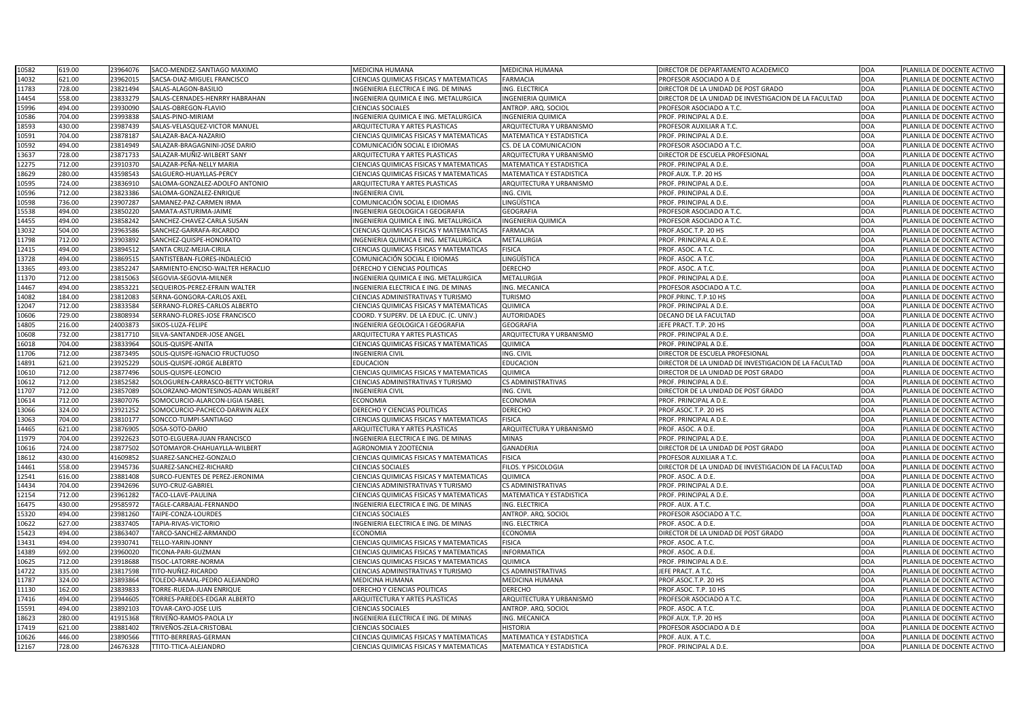| 10582 | 619.00 | 23964076 | SACO-MENDEZ-SANTIAGO MAXIMO       | <b>MEDICINA HUMANA</b>                         | <b>MEDICINA HUMANA</b>    | DIRECTOR DE DEPARTAMENTO ACADEMICO                    | DOA        | PLANILLA DE DOCENTE ACTIVO |
|-------|--------|----------|-----------------------------------|------------------------------------------------|---------------------------|-------------------------------------------------------|------------|----------------------------|
| 14032 | 621.00 | 23962015 | SACSA-DIAZ-MIGUEL FRANCISCO       | CIENCIAS QUIMICAS FISICAS Y MATEMATICAS        | <b>FARMACIA</b>           | PROFESOR ASOCIADO A D.E                               | DOA        | PLANILLA DE DOCENTE ACTIVO |
| 11783 | 728.00 | 23821494 | SALAS-ALAGON-BASILIO              | INGENIERIA ELECTRICA E ING. DE MINAS           | ING. ELECTRICA            | DIRECTOR DE LA UNIDAD DE POST GRADO                   | DOA        | PLANILLA DE DOCENTE ACTIVO |
| 14454 | 558.00 | 23833279 | SALAS-CERNADES-HENRRY HABRAHAN    | INGENIERIA QUIMICA E ING. METALURGICA          | <b>INGENIERIA QUIMICA</b> | DIRECTOR DE LA UNIDAD DE INVESTIGACION DE LA FACULTAD | DOA        | PLANILLA DE DOCENTE ACTIVO |
| 15996 | 494.00 | 23930090 | SALAS-OBREGON-FLAVIO              | <b>CIENCIAS SOCIALES</b>                       | ANTROP. ARQ. SOCIOL       | PROFESOR ASOCIADO A T.C.                              | DOA        | PLANILLA DE DOCENTE ACTIVO |
| 10586 | 704.00 | 23993838 | SALAS-PINO-MIRIAM                 | INGENIERIA QUIMICA E ING. METALURGICA          | <b>INGENIERIA QUIMICA</b> | PROF. PRINCIPAL A D.E.                                | <b>DOA</b> | PLANILLA DE DOCENTE ACTIVO |
| 18593 | 430.00 | 23987439 | SALAS-VELASQUEZ-VICTOR MANUEL     | ARQUITECTURA Y ARTES PLASTICAS                 | ARQUITECTURA Y URBANISMO  | PROFESOR AUXILIAR A T.C.                              | DOA        | PLANILLA DE DOCENTE ACTIVO |
| 10591 | 704.00 | 23878187 | SALAZAR-BACA-NAZARIO              | CIENCIAS QUIMICAS FISICAS Y MATEMATICAS        | MATEMATICA Y ESTADISTICA  | PROF. PRINCIPAL A D.E.                                | DOA        | PLANILLA DE DOCENTE ACTIVO |
| 10592 | 494.00 | 23814949 | SALAZAR-BRAGAGNINI-JOSE DARIO     | COMUNICACIÓN SOCIAL E IDIOMAS                  | CS. DE LA COMUNICACION    | PROFESOR ASOCIADO A T.C.                              | DOA        | PLANILLA DE DOCENTE ACTIVO |
| 13637 | 728.00 | 23871733 | SALAZAR-MUÑIZ-WILBERT SANY        | ARQUITECTURA Y ARTES PLASTICAS                 | ARQUITECTURA Y URBANISMO  | DIRECTOR DE ESCUELA PROFESIONAL                       | DOA        | PLANILLA DE DOCENTE ACTIVO |
| 12275 | 712.00 | 23910370 | SALAZAR-PEÑA-NELLY MARIA          | CIENCIAS QUIMICAS FISICAS Y MATEMATICAS        | MATEMATICA Y ESTADISTICA  | PROF. PRINCIPAL A D.E.                                | DOA        | PLANILLA DE DOCENTE ACTIVO |
| 18629 | 280.00 | 43598543 | SALGUERO-HUAYLLAS-PERCY           | CIENCIAS QUIMICAS FISICAS Y MATEMATICAS        | MATEMATICA Y ESTADISTICA  | PROF.AUX. T.P. 20 HS                                  | <b>DOA</b> | PLANILLA DE DOCENTE ACTIVO |
| 10595 | 724.00 | 23836910 | SALOMA-GONZALEZ-ADOLFO ANTONIO    | ARQUITECTURA Y ARTES PLASTICAS                 | ARQUITECTURA Y URBANISMO  | PROF. PRINCIPAL A D.E.                                | DOA        | PLANILLA DE DOCENTE ACTIVO |
| 10596 | 712.00 | 23823386 | SALOMA-GONZALEZ-ENRIQUE           | <b>INGENIERIA CIVIL</b>                        | ING. CIVIL                | PROF. PRINCIPAL A D.E.                                | <b>DOA</b> | PLANILLA DE DOCENTE ACTIVO |
| 10598 | 736.00 | 23907287 | SAMANEZ-PAZ-CARMEN IRMA           | COMUNICACIÓN SOCIAL E IDIOMAS                  | LINGÜÍSTICA               | PROF. PRINCIPAL A D.E.                                | <b>DOA</b> | PLANILLA DE DOCENTE ACTIVO |
|       |        |          |                                   |                                                |                           |                                                       |            |                            |
| 15538 | 494.00 | 23850220 | SAMATA-ASTURIMA-JAIME             | INGENIERIA GEOLOGICA I GEOGRAFIA               | <b>GEOGRAFIA</b>          | PROFESOR ASOCIADO A T.C.                              | DOA        | PLANILLA DE DOCENTE ACTIVO |
| 14455 | 494.00 | 23858242 | SANCHEZ-CHAVEZ-CARLA SUSAN        | INGENIERIA QUIMICA E ING. METALURGICA          | <b>INGENIERIA QUIMICA</b> | PROFESOR ASOCIADO A T.C.                              | <b>DOA</b> | PLANILLA DE DOCENTE ACTIVO |
| 13032 | 504.00 | 23963586 | SANCHEZ-GARRAFA-RICARDO           | CIENCIAS QUIMICAS FISICAS Y MATEMATICAS        | <b>FARMACIA</b>           | PROF.ASOC.T.P. 20 HS                                  | DOA        | PLANILLA DE DOCENTE ACTIVO |
| 11798 | 712.00 | 23903892 | SANCHEZ-QUISPE-HONORATO           | INGENIERIA QUIMICA E ING. METALURGICA          | METALURGIA                | PROF. PRINCIPAL A D.E.                                | <b>DOA</b> | PLANILLA DE DOCENTE ACTIVO |
| 12415 | 494.00 | 23894512 | SANTA CRUZ-MEJIA-CIRILA           | CIENCIAS QUIMICAS FISICAS Y MATEMATICAS        | <b>FISICA</b>             | PROF. ASOC. A T.C.                                    | DOA        | PLANILLA DE DOCENTE ACTIVO |
| 13728 | 494.00 | 23869515 | SANTISTEBAN-FLORES-INDALECIO      | COMUNICACIÓN SOCIAL E IDIOMAS                  | LINGÜÍSTICA               | PROF. ASOC. A T.C.                                    | DOA        | PLANILLA DE DOCENTE ACTIVO |
| 13365 | 493.00 | 23852247 | SARMIENTO-ENCISO-WALTER HERACLIO  | DERECHO Y CIENCIAS POLITICAS                   | <b>DERECHO</b>            | PROF. ASOC. A T.C.                                    | <b>DOA</b> | PLANILLA DE DOCENTE ACTIVO |
| 11370 | 712.00 | 23815063 | SEGOVIA-SEGOVIA-MILNER            | INGENIERIA QUIMICA E ING. METALURGICA          | METALURGIA                | PROF. PRINCIPAL A D.E.                                | DOA        | PLANILLA DE DOCENTE ACTIVO |
| 14467 | 494.00 | 23853221 | SEQUEIROS-PEREZ-EFRAIN WALTER     | INGENIERIA ELECTRICA E ING. DE MINAS           | ING. MECANICA             | PROFESOR ASOCIADO A T.C.                              | <b>DOA</b> | PLANILLA DE DOCENTE ACTIVO |
| 14082 | 184.00 | 23812083 | SERNA-GONGORA-CARLOS AXEL         | CIENCIAS ADMINISTRATIVAS Y TURISMO             | <b>TURISMO</b>            | PROF.PRINC. T.P.10 HS                                 | DOA        | PLANILLA DE DOCENTE ACTIVO |
| 12047 | 712.00 | 23833584 | SERRANO-FLORES-CARLOS ALBERTO     | <b>CIENCIAS QUIMICAS FISICAS Y MATEMATICAS</b> | <b>QUIMICA</b>            | PROF. PRINCIPAL A D.E.                                | <b>DOA</b> | PLANILLA DE DOCENTE ACTIVO |
| 10606 | 729.00 | 23808934 | SERRANO-FLORES-JOSE FRANCISCO     | COORD. Y SUPERV. DE LA EDUC. (C. UNIV.)        | <b>AUTORIDADES</b>        | DECANO DE LA FACULTAD                                 | <b>DOA</b> | PLANILLA DE DOCENTE ACTIVO |
| 14805 | 216.00 | 24003873 | SIKOS-LUZA-FELIPE                 | INGENIERIA GEOLOGICA I GEOGRAFIA               | <b>GEOGRAFIA</b>          | JEFE PRACT. T.P. 20 HS                                | <b>DOA</b> | PLANILLA DE DOCENTE ACTIVO |
| 10608 | 732.00 | 23817710 | SILVA-SANTANDER-JOSE ANGEL        | ARQUITECTURA Y ARTES PLASTICAS                 | ARQUITECTURA Y URBANISMO  | PROF. PRINCIPAL A D.E.                                | DOA        | PLANILLA DE DOCENTE ACTIVO |
| 16018 | 704.00 | 23833964 | SOLIS-QUISPE-ANITA                | CIENCIAS QUIMICAS FISICAS Y MATEMATICAS        | <b>QUIMICA</b>            | PROF. PRINCIPAL A D.E.                                | DOA        | PLANILLA DE DOCENTE ACTIVO |
| 11706 | 712.00 | 23873495 | SOLIS-QUISPE-IGNACIO FRUCTUOSO    | <b>INGENIERIA CIVIL</b>                        | ING. CIVIL                | DIRECTOR DE ESCUELA PROFESIONAL                       | DOA        | PLANILLA DE DOCENTE ACTIVO |
| 14891 | 621.00 | 23925229 | SOLIS-QUISPE-JORGE ALBERTO        | EDUCACION                                      | <b>EDUCACION</b>          | DIRECTOR DE LA UNIDAD DE INVESTIGACION DE LA FACULTAD | <b>DOA</b> | PLANILLA DE DOCENTE ACTIVO |
| 10610 | 712.00 | 23877496 | SOLIS-QUISPE-LEONCIO              | <b>CIENCIAS QUIMICAS FISICAS Y MATEMATICAS</b> | QUIMICA                   | DIRECTOR DE LA UNIDAD DE POST GRADO                   | DOA        | PLANILLA DE DOCENTE ACTIVO |
| 10612 | 712.00 | 23852582 | SOLOGUREN-CARRASCO-BETTY VICTORIA | CIENCIAS ADMINISTRATIVAS Y TURISMO             | <b>CS ADMINISTRATIVAS</b> | PROF. PRINCIPAL A D.E.                                | <b>DOA</b> | PLANILLA DE DOCENTE ACTIVO |
| 11707 | 712.00 | 23857089 | SOLORZANO-MONTESINOS-ADAN WILBERT | <b>INGENIERIA CIVIL</b>                        | ING. CIVIL                | DIRECTOR DE LA UNIDAD DE POST GRADO                   | <b>DOA</b> | PLANILLA DE DOCENTE ACTIVO |
| 10614 | 712.00 | 23807076 | SOMOCURCIO-ALARCON-LIGIA ISABEL   | <b>ECONOMIA</b>                                | <b>ECONOMIA</b>           | PROF. PRINCIPAL A D.E.                                | DOA        | PLANILLA DE DOCENTE ACTIVO |
| 13066 | 324.00 | 23921252 | SOMOCURCIO-PACHECO-DARWIN ALEX    | <b>DERECHO Y CIENCIAS POLITICAS</b>            | <b>DERECHO</b>            | PROF.ASOC.T.P. 20 HS                                  | <b>DOA</b> | PLANILLA DE DOCENTE ACTIVO |
| 13063 | 704.00 | 23810177 | SONCCO-TUMPI-SANTIAGO             | CIENCIAS QUIMICAS FISICAS Y MATEMATICAS        | <b>FISICA</b>             | PROF. PRINCIPAL A D.E.                                | DOA        | PLANILLA DE DOCENTE ACTIVO |
| 14465 | 621.00 | 23876905 | SOSA-SOTO-DARIO                   | ARQUITECTURA Y ARTES PLASTICAS                 | ARQUITECTURA Y URBANISMO  | PROF. ASOC. A D.E.                                    | DOA        | PLANILLA DE DOCENTE ACTIVO |
| 11979 | 704.00 | 23922623 | SOTO-ELGUERA-JUAN FRANCISCO       | INGENIERIA ELECTRICA E ING. DE MINAS           | <b>MINAS</b>              | PROF. PRINCIPAL A D.E.                                | <b>DOA</b> | PLANILLA DE DOCENTE ACTIVO |
| 10616 | 724.00 | 23877502 | SOTOMAYOR-CHAHUAYLLA-WILBERT      | AGRONOMIA Y ZOOTECNIA                          | <b>GANADERIA</b>          | DIRECTOR DE LA UNIDAD DE POST GRADO                   | DOA        | PLANILLA DE DOCENTE ACTIVO |
| 18612 | 430.00 | 41609852 | SUAREZ-SANCHEZ-GONZALO            | CIENCIAS QUIMICAS FISICAS Y MATEMATICAS        | <b>FISICA</b>             | PROFESOR AUXILIAR A T.C.                              | DOA        | PLANILLA DE DOCENTE ACTIVO |
| 14461 | 558.00 | 23945736 | SUAREZ-SANCHEZ-RICHARD            | <b>CIENCIAS SOCIALES</b>                       | FILOS. Y PSICOLOGIA       | DIRECTOR DE LA UNIDAD DE INVESTIGACION DE LA FACULTAD | <b>DOA</b> | PLANILLA DE DOCENTE ACTIVO |
| 12541 | 616.00 | 23881408 | SURCO-FUENTES DE PEREZ-JERONIMA   | CIENCIAS QUIMICAS FISICAS Y MATEMATICAS        | QUIMICA                   | PROF. ASOC. A D.E.                                    | DOA        | PLANILLA DE DOCENTE ACTIVO |
| 14434 | 704.00 | 23942696 | SUYO-CRUZ-GABRIEL                 | CIENCIAS ADMINISTRATIVAS Y TURISMO             | <b>CS ADMINISTRATIVAS</b> | PROF. PRINCIPAL A D.E.                                | DOA        | PLANILLA DE DOCENTE ACTIVO |
| 12154 | 712.00 | 23961282 | TACO-LLAVE-PAULINA                | <b>CIENCIAS QUIMICAS FISICAS Y MATEMATICAS</b> | MATEMATICA Y ESTADISTICA  | PROF. PRINCIPAL A D.E.                                | <b>DOA</b> | PLANILLA DE DOCENTE ACTIVO |
| 16475 | 430.00 | 29585972 | TAGLE-CARBAJAL-FERNANDO           | INGENIERIA ELECTRICA E ING. DE MINAS           | ING. ELECTRICA            | PROF. AUX. A T.C.                                     | DOA        | PLANILLA DE DOCENTE ACTIVO |
| 15320 | 494.00 | 23981260 | TAIPE-CONZA-LOURDES               | <b>CIENCIAS SOCIALES</b>                       | ANTROP. ARQ. SOCIOL       | PROFESOR ASOCIADO A T.C.                              | <b>DOA</b> | PLANILLA DE DOCENTE ACTIVO |
| 10622 | 627.00 | 23837405 | TAPIA-RIVAS-VICTORIO              | INGENIERIA ELECTRICA E ING. DE MINAS           | ING. ELECTRICA            | PROF. ASOC. A D.E.                                    | DOA        | PLANILLA DE DOCENTE ACTIVO |
| 15423 | 494.00 | 23863407 | TARCO-SANCHEZ-ARMANDO             | <b>ECONOMIA</b>                                | <b>ECONOMIA</b>           | DIRECTOR DE LA UNIDAD DE POST GRADO                   | DOA        | PLANILLA DE DOCENTE ACTIVO |
| 13431 | 494.00 | 23930741 | TELLO-YARIN-JONNY                 | CIENCIAS QUIMICAS FISICAS Y MATEMATICAS        | <b>FISICA</b>             | PROF. ASOC. A T.C.                                    | <b>DOA</b> | PLANILLA DE DOCENTE ACTIVO |
| 14389 | 692.00 | 23960020 | TICONA-PARI-GUZMAN                | CIENCIAS QUIMICAS FISICAS Y MATEMATICAS        | <b>INFORMATICA</b>        | PROF. ASOC. A D.E.                                    | DOA        | PLANILLA DE DOCENTE ACTIVO |
| 10625 | 712.00 | 23918688 | TISOC-LATORRE-NORMA               | CIENCIAS QUIMICAS FISICAS Y MATEMATICAS        | QUIMICA                   | PROF. PRINCIPAL A D.E.                                | DOA        | PLANILLA DE DOCENTE ACTIVO |
| 14722 | 335.00 | 23817598 | TITO-NUÑEZ-RICARDO                | CIENCIAS ADMINISTRATIVAS Y TURISMO             | CS ADMINISTRATIVAS        | JEFE PRACT. A T.C.                                    | DOA        | PLANILLA DE DOCENTE ACTIVO |
| 11787 | 324.00 | 23893864 | TOLEDO-RAMAL-PEDRO ALEJANDRO      | <b>MEDICINA HUMANA</b>                         | MEDICINA HUMANA           | PROF.ASOC.T.P. 20 HS                                  | DOA        | PLANILLA DE DOCENTE ACTIVO |
|       |        |          |                                   | DERECHO Y CIENCIAS POLITICAS                   |                           | PROF.ASOC. T.P. 10 HS                                 |            | PLANILLA DE DOCENTE ACTIVO |
| 11130 | 162.00 | 23839833 | TORRE-RUEDA-JUAN ENRIQUE          |                                                | <b>DERECHO</b>            |                                                       | <b>DOA</b> |                            |
| 17416 | 494.00 | 23944605 | TORRES-PAREDES-EDGAR ALBERTO      | ARQUITECTURA Y ARTES PLASTICAS                 | ARQUITECTURA Y URBANISMO  | PROFESOR ASOCIADO A T.C.                              | DOA        | PLANILLA DE DOCENTE ACTIVO |
| 15591 | 494.00 | 23892103 | TOVAR-CAYO-JOSE LUIS              | <b>CIENCIAS SOCIALES</b>                       | ANTROP. ARQ. SOCIOL       | PROF. ASOC. A T.C.                                    | <b>DOA</b> | PLANILLA DE DOCENTE ACTIVO |
| 18623 | 280.00 | 41915368 | TRIVEÑO-RAMOS-PAOLA LY            | INGENIERIA ELECTRICA E ING. DE MINAS           | ING. MECANICA             | PROF.AUX. T.P. 20 HS                                  | DOA        | PLANILLA DE DOCENTE ACTIVO |
| 17419 | 621.00 | 23881402 | TRIVEÑOS-ZELA-CRISTOBAL           | <b>CIENCIAS SOCIALES</b>                       | <b>HISTORIA</b>           | PROFESOR ASOCIADO A D.E                               | DOA        | PLANILLA DE DOCENTE ACTIVO |
| 10626 | 446.00 | 23890566 | TITO-BERRERAS-GERMAN              | CIENCIAS QUIMICAS FISICAS Y MATEMATICAS        | MATEMATICA Y ESTADISTICA  | PROF. AUX. A T.C.                                     | DOA        | PLANILLA DE DOCENTE ACTIVO |
| 12167 | 728.00 | 24676328 | TTITO-TTICA-ALEJANDRO             | <b>CIENCIAS QUIMICAS FISICAS Y MATEMATICAS</b> | MATEMATICA Y ESTADISTICA  | PROF. PRINCIPAL A D.E.                                | DOA        | PLANILLA DE DOCENTE ACTIVO |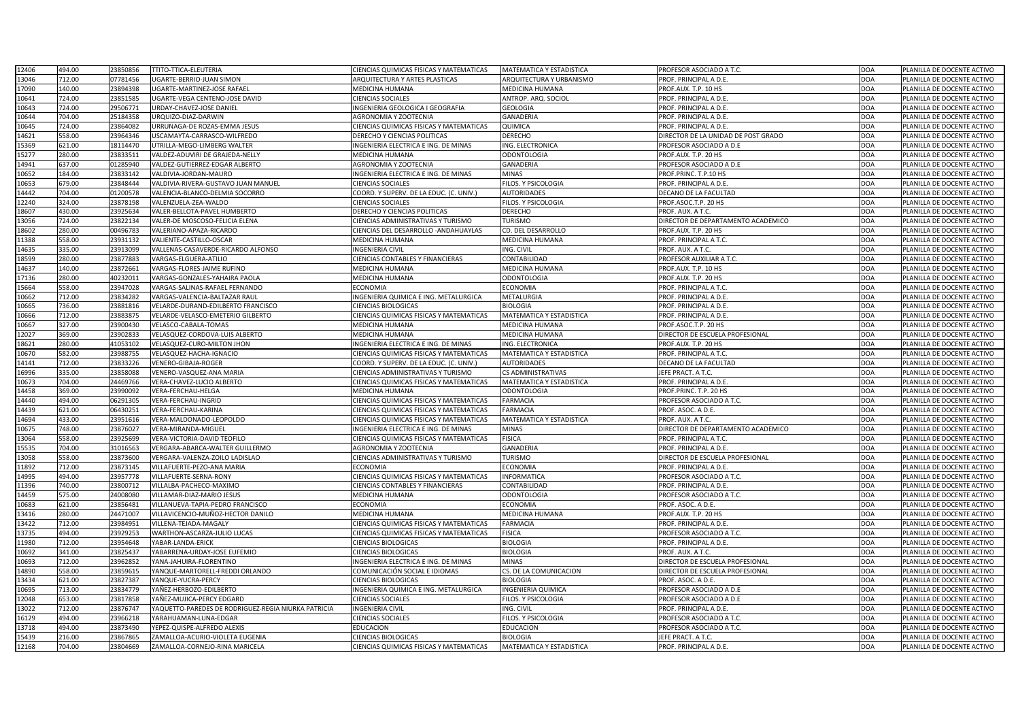| 12406 | 494.00 | 23850856 | <b>TTITO-TTICA-ELEUTERIA</b>                        | <b>CIENCIAS QUIMICAS FISICAS Y MATEMATICAS</b> | MATEMATICA Y ESTADISTICA        | PROFESOR ASOCIADO A T.C.            | <b>DOA</b> | PLANILLA DE DOCENTE ACTIVO |
|-------|--------|----------|-----------------------------------------------------|------------------------------------------------|---------------------------------|-------------------------------------|------------|----------------------------|
| 13046 | 712.00 | 07781456 | UGARTE-BERRIO-JUAN SIMON                            | <b>ARQUITECTURA Y ARTES PLASTICAS</b>          | ARQUITECTURA Y URBANISMO        | PROF. PRINCIPAL A D.E.              | <b>DOA</b> | PLANILLA DE DOCENTE ACTIVO |
| 17090 | 140.00 | 23894398 | UGARTE-MARTINEZ-JOSE RAFAEL                         | <b>MEDICINA HUMANA</b>                         | MEDICINA HUMANA                 | PROF.AUX. T.P. 10 HS                | <b>DOA</b> | PLANILLA DE DOCENTE ACTIVO |
| 10641 | 724.00 | 23851585 | UGARTE-VEGA CENTENO-JOSE DAVID                      | <b>CIENCIAS SOCIALES</b>                       | ANTROP. ARQ. SOCIOL             | PROF. PRINCIPAL A D.E.              | <b>DOA</b> | PLANILLA DE DOCENTE ACTIVO |
| 10643 | 724.00 | 29506771 | URDAY-CHAVEZ-JOSE DANIEL                            | INGENIERIA GEOLOGICA I GEOGRAFIA               | <b>GEOLOGIA</b>                 | PROF. PRINCIPAL A D.E.              | <b>DOA</b> | PLANILLA DE DOCENTE ACTIVO |
| 10644 | 704.00 | 25184358 | URQUIZO-DIAZ-DARWIN                                 | AGRONOMIA Y ZOOTECNIA                          | GANADERIA                       | PROF. PRINCIPAL A D.E.              | <b>DOA</b> | PLANILLA DE DOCENTE ACTIVO |
| 10645 | 724.00 | 23864082 | URRUNAGA-DE ROZAS-EMMA JESUS                        | <b>CIENCIAS QUIMICAS FISICAS Y MATEMATICAS</b> | QUIMICA                         | PROF. PRINCIPAL A D.E.              | <b>DOA</b> | PLANILLA DE DOCENTE ACTIVO |
| 14621 | 558.00 | 23964346 | USCAMAYTA-CARRASCO-WILFREDO                         | <b>DERECHO Y CIENCIAS POLITICAS</b>            | <b>DERECHO</b>                  | DIRECTOR DE LA UNIDAD DE POST GRADO | <b>DOA</b> | PLANILLA DE DOCENTE ACTIVO |
| 15369 | 621.00 | 18114470 | UTRILLA-MEGO-LIMBERG WALTER                         | INGENIERIA ELECTRICA E ING. DE MINAS           | ING. ELECTRONICA                | PROFESOR ASOCIADO A D.E             | <b>DOA</b> | PLANILLA DE DOCENTE ACTIVO |
| 15277 | 280.00 | 23833511 | VALDEZ-ADUVIRI DE GRAJEDA-NELLY                     | <b>MEDICINA HUMANA</b>                         | <b>ODONTOLOGIA</b>              | PROF.AUX. T.P. 20 HS                | <b>DOA</b> | PLANILLA DE DOCENTE ACTIVO |
| 14941 | 637.00 | 01285940 | VALDEZ-GUTIERREZ-EDGAR ALBERTO                      | <b>AGRONOMIA Y ZOOTECNIA</b>                   | <b>GANADERIA</b>                | PROFESOR ASOCIADO A D.E             | <b>DOA</b> | PLANILLA DE DOCENTE ACTIVO |
| 10652 | 184.00 | 23833142 | VALDIVIA-JORDAN-MAURO                               | INGENIERIA ELECTRICA E ING. DE MINAS           | <b>MINAS</b>                    | PROF.PRINC. T.P.10 HS               | <b>DOA</b> | PLANILLA DE DOCENTE ACTIVO |
| 10653 | 679.00 | 23848444 | VALDIVIA-RIVERA-GUSTAVO JUAN MANUEL                 | <b>CIENCIAS SOCIALES</b>                       | FILOS. Y PSICOLOGIA             | PROF. PRINCIPAL A D.E.              | <b>DOA</b> | PLANILLA DE DOCENTE ACTIVO |
| 14442 | 704.00 | 01200578 | VALENCIA-BLANCO-DELMIA SOCORRO                      | COORD. Y SUPERV. DE LA EDUC. (C. UNIV.)        | <b>AUTORIDADES</b>              | DECANO DE LA FACULTAD               | <b>DOA</b> | PLANILLA DE DOCENTE ACTIVO |
| 12240 | 324.00 | 23878198 | VALENZUELA-ZEA-WALDO                                | <b>CIENCIAS SOCIALES</b>                       | FILOS. Y PSICOLOGIA             | PROF.ASOC.T.P. 20 HS                | <b>DOA</b> | PLANILLA DE DOCENTE ACTIVO |
| 18607 | 430.00 | 23925634 | VALER-BELLOTA-PAVEL HUMBERTO                        | <b>DERECHO Y CIENCIAS POLITICAS</b>            | <b>DERECHO</b>                  | PROF. AUX. A T.C.                   | <b>DOA</b> | PLANILLA DE DOCENTE ACTIVO |
| 13056 | 724.00 | 23822134 | VALER-DE MOSCOSO-FELICIA ELENA                      | CIENCIAS ADMINISTRATIVAS Y TURISMO             | <b>TURISMO</b>                  | DIRECTOR DE DEPARTAMENTO ACADEMICO  | <b>DOA</b> | PLANILLA DE DOCENTE ACTIVO |
| 18602 | 280.00 | 00496783 | VALERIANO-APAZA-RICARDO                             | <b>CIENCIAS DEL DESARROLLO - ANDAHUAYLAS</b>   | CD. DEL DESARROLLO              | PROF.AUX. T.P. 20 HS                | <b>DOA</b> | PLANILLA DE DOCENTE ACTIVO |
| 11388 | 558.00 | 23931132 | VALIENTE-CASTILLO-OSCAR                             | <b>MEDICINA HUMANA</b>                         | MEDICINA HUMANA                 | PROF. PRINCIPAL A T.C.              | <b>DOA</b> | PLANILLA DE DOCENTE ACTIVO |
| 14635 | 335.00 | 23913099 | VALLENAS-CASAVERDE-RICARDO ALFONSO                  | <b>INGENIERIA CIVIL</b>                        | ING. CIVIL                      | PROF. AUX. A T.C.                   | <b>DOA</b> | PLANILLA DE DOCENTE ACTIVO |
| 18599 | 280.00 | 23877883 | VARGAS-ELGUERA-ATILIO                               | <b>CIENCIAS CONTABLES Y FINANCIERAS</b>        | CONTABILIDAD                    | PROFESOR AUXILIAR A T.C.            | <b>DOA</b> | PLANILLA DE DOCENTE ACTIVO |
| 14637 | 140.00 | 2387266  | VARGAS-FLORES-JAIME RUFINO                          | <b>MEDICINA HUMANA</b>                         | MEDICINA HUMANA                 | PROF.AUX. T.P. 10 HS                | <b>DOA</b> | PLANILLA DE DOCENTE ACTIVO |
| 17136 | 280.00 | 4023201  | VARGAS-GONZALES-YAHAIRA PAOLA                       | <b>MEDICINA HUMANA</b>                         | <b>ODONTOLOGIA</b>              | PROF.AUX. T.P. 20 HS                | <b>DOA</b> | PLANILLA DE DOCENTE ACTIVO |
| 15664 | 558.00 | 23947028 | VARGAS-SALINAS-RAFAEL FERNANDO                      | <b>ECONOMIA</b>                                | ECONOMIA                        | PROF. PRINCIPAL A T.C.              | <b>DOA</b> | PLANILLA DE DOCENTE ACTIVO |
| 10662 | 712.00 | 23834282 | VARGAS-VALENCIA-BALTAZAR RAUL                       | INGENIERIA QUIMICA E ING. METALURGICA          | METALURGIA                      | PROF. PRINCIPAL A D.E.              | <b>DOA</b> | PLANILLA DE DOCENTE ACTIVO |
| 10665 | 736.00 | 23881816 | VELARDE-DURAND-EDILBERTO FRANCISCO                  | <b>CIENCIAS BIOLOGICAS</b>                     | <b>BIOLOGIA</b>                 | PROF. PRINCIPAL A D.E.              | <b>DOA</b> | PLANILLA DE DOCENTE ACTIVO |
|       | 712.00 | 23883875 | VELARDE-VELASCO-EMETERIO GILBERTO                   | <b>CIENCIAS QUIMICAS FISICAS Y MATEMATICAS</b> | <b>MATEMATICA Y ESTADISTICA</b> | PROF. PRINCIPAL A D.E.              | <b>DOA</b> |                            |
| 10666 | 327.00 |          |                                                     |                                                |                                 |                                     |            | PLANILLA DE DOCENTE ACTIVO |
| 10667 |        | 23900430 | VELASCO-CABALA-TOMAS                                | <b>MEDICINA HUMANA</b>                         | MEDICINA HUMANA                 | PROF.ASOC.T.P. 20 HS                | <b>DOA</b> | PLANILLA DE DOCENTE ACTIVO |
| 12027 | 369.00 | 23902833 | VELASQUEZ-CORDOVA-LUIS ALBERTO                      | <b>MEDICINA HUMANA</b>                         | MEDICINA HUMANA                 | DIRECTOR DE ESCUELA PROFESIONAL     | <b>DOA</b> | PLANILLA DE DOCENTE ACTIVO |
| 18621 | 280.00 | 41053102 | VELASQUEZ-CURO-MILTON JHON                          | INGENIERIA ELECTRICA E ING. DE MINAS           | <b>ING. ELECTRONICA</b>         | PROF.AUX. T.P. 20 HS                | <b>DOA</b> | PLANILLA DE DOCENTE ACTIVO |
| 10670 | 582.00 | 23988755 | VELASQUEZ-HACHA-IGNACIO                             | <b>CIENCIAS QUIMICAS FISICAS Y MATEMATICAS</b> | <b>MATEMATICA Y ESTADISTICA</b> | PROF. PRINCIPAL A T.C.              | <b>DOA</b> | PLANILLA DE DOCENTE ACTIVO |
| 14141 | 712.00 | 23833226 | <b>VENERO-GIBAJA-ROGER</b>                          | COORD. Y SUPERV. DE LA EDUC. (C. UNIV.)        | AUTORIDADES                     | DECANO DE LA FACULTAD               | <b>DOA</b> | PLANILLA DE DOCENTE ACTIVO |
| 16996 | 335.00 | 23858088 | VENERO-VASQUEZ-ANA MARIA                            | <b>CIENCIAS ADMINISTRATIVAS Y TURISMO</b>      | <b>CS ADMINISTRATIVAS</b>       | JEFE PRACT. A T.C.                  | <b>DOA</b> | PLANILLA DE DOCENTE ACTIVO |
| 10673 | 704.00 | 24469766 | VERA-CHAVEZ-LUCIO ALBERTO                           | <b>CIENCIAS QUIMICAS FISICAS Y MATEMATICAS</b> | <b>MATEMATICA Y ESTADISTICA</b> | PROF. PRINCIPAL A D.E.              | <b>DOA</b> | PLANILLA DE DOCENTE ACTIVO |
| 14458 | 369.00 | 23990092 | VERA-FERCHAU-HELGA                                  | <b>MEDICINA HUMANA</b>                         | <b>ODONTOLOGIA</b>              | PROF.PRINC. T.P. 20 HS              | <b>DOA</b> | PLANILLA DE DOCENTE ACTIVO |
| 14440 | 494.00 | 06291305 | <b>VERA-FERCHAU-INGRID</b>                          | CIENCIAS QUIMICAS FISICAS Y MATEMATICAS        | <b>FARMACIA</b>                 | PROFESOR ASOCIADO A T.C.            | <b>DOA</b> | PLANILLA DE DOCENTE ACTIVO |
| 14439 | 621.00 | 06430251 | VERA-FERCHAU-KARINA                                 | <b>CIENCIAS QUIMICAS FISICAS Y MATEMATICAS</b> | <b>FARMACIA</b>                 | PROF. ASOC. A D.E.                  | <b>DOA</b> | PLANILLA DE DOCENTE ACTIVO |
| 14694 | 433.00 | 23951616 | VERA-MALDONADO-LEOPOLDO                             | <b>CIENCIAS QUIMICAS FISICAS Y MATEMATICAS</b> | <b>MATEMATICA Y ESTADISTICA</b> | PROF. AUX. A T.C.                   | <b>DOA</b> | PLANILLA DE DOCENTE ACTIVO |
| 10675 | 748.00 | 23876027 | VERA-MIRANDA-MIGUEL                                 | INGENIERIA ELECTRICA E ING. DE MINAS           | <b>MINAS</b>                    | DIRECTOR DE DEPARTAMENTO ACADEMICO  | <b>DOA</b> | PLANILLA DE DOCENTE ACTIVO |
| 13064 | 558.00 | 23925699 | VERA-VICTORIA-DAVID TEOFILO                         | <b>CIENCIAS QUIMICAS FISICAS Y MATEMATICAS</b> | <b>FISICA</b>                   | PROF. PRINCIPAL A T.C.              | <b>DOA</b> | PLANILLA DE DOCENTE ACTIVO |
| 15535 | 704.00 | 31016563 | VERGARA-ABARCA-WALTER GUILLERMO                     | <b>AGRONOMIA Y ZOOTECNIA</b>                   | <b>GANADERIA</b>                | PROF. PRINCIPAL A D.E.              | <b>DOA</b> | PLANILLA DE DOCENTE ACTIVO |
| 13058 | 558.00 | 23873600 | VERGARA-VALENZA-ZOILO LADISLAO                      | <b>CIENCIAS ADMINISTRATIVAS Y TURISMO</b>      | TURISMO                         | DIRECTOR DE ESCUELA PROFESIONAL     | <b>DOA</b> | PLANILLA DE DOCENTE ACTIVO |
| 11892 | 712.00 | 23873145 | VILLAFUERTE-PEZO-ANA MARIA                          | <b>ECONOMIA</b>                                | <b>ECONOMIA</b>                 | PROF. PRINCIPAL A D.E.              | <b>DOA</b> | PLANILLA DE DOCENTE ACTIVO |
| 14995 | 494.00 | 23957778 | VILLAFUERTE-SERNA-RONY                              | <b>CIENCIAS QUIMICAS FISICAS Y MATEMATICAS</b> | <b>INFORMATICA</b>              | PROFESOR ASOCIADO A T.C.            | <b>DOA</b> | PLANILLA DE DOCENTE ACTIVO |
| 11396 | 740.00 | 23800712 | VILLALBA-PACHECO-MAXIMO                             | <b>CIENCIAS CONTABLES Y FINANCIERAS</b>        | CONTABILIDAD                    | PROF. PRINCIPAL A D.E.              | <b>DOA</b> | PLANILLA DE DOCENTE ACTIVO |
| 14459 | 575.00 | 24008080 | VILLAMAR-DIAZ-MARIO JESUS                           | <b>MEDICINA HUMANA</b>                         | <b>ODONTOLOGIA</b>              | PROFESOR ASOCIADO A T.C.            | <b>DOA</b> | PLANILLA DE DOCENTE ACTIVO |
| 10683 | 621.00 | 2385648  | VILLANUEVA-TAPIA-PEDRO FRANCISCO                    | <b>ECONOMIA</b>                                | ECONOMIA                        | PROF. ASOC. A D.E.                  | <b>DOA</b> | PLANILLA DE DOCENTE ACTIVO |
| 13416 | 280.00 | 24471007 | VILLAVICENCIO-MUÑOZ-HECTOR DANILO                   | <b>MEDICINA HUMANA</b>                         | MEDICINA HUMANA                 | PROF.AUX. T.P. 20 HS                | <b>DOA</b> | PLANILLA DE DOCENTE ACTIVO |
| 13422 | 712.00 | 23984951 | VILLENA-TEJADA-MAGALY                               | <b>CIENCIAS QUIMICAS FISICAS Y MATEMATICAS</b> | <b>FARMACIA</b>                 | PROF. PRINCIPAL A D.E.              | <b>DOA</b> | PLANILLA DE DOCENTE ACTIVO |
| 13735 | 494.00 | 23929253 | WARTHON-ASCARZA-JULIO LUCAS                         | <b>CIENCIAS QUIMICAS FISICAS Y MATEMATICAS</b> | <b>FISICA</b>                   | PROFESOR ASOCIADO A T.C.            | <b>DOA</b> | PLANILLA DE DOCENTE ACTIVO |
| 11980 | 712.00 | 23954648 | YABAR-LANDA-ERICK                                   | <b>CIENCIAS BIOLOGICAS</b>                     | <b>BIOLOGIA</b>                 | PROF. PRINCIPAL A D.E.              | <b>DOA</b> | PLANILLA DE DOCENTE ACTIVO |
| 10692 | 341.00 | 23825437 | YABARRENA-URDAY-JOSE EUFEMIO                        | <b>CIENCIAS BIOLOGICAS</b>                     | <b>BIOLOGIA</b>                 | PROF. AUX. A T.C.                   | <b>DOA</b> | PLANILLA DE DOCENTE ACTIVO |
| 10693 | 712.00 | 23962852 | YANA-JAHUIRA-FLORENTINO                             | INGENIERIA ELECTRICA E ING. DE MINAS           | <b>MINAS</b>                    | DIRECTOR DE ESCUELA PROFESIONAL     | <b>DOA</b> | PLANILLA DE DOCENTE ACTIVO |
| 14890 | 558.00 | 23859615 | YANQUE-MARTORELL-FREDDI ORLANDO                     | COMUNICACIÓN SOCIAL E IDIOMAS                  | CS. DE LA COMUNICACION          | DIRECTOR DE ESCUELA PROFESIONAL     | <b>DOA</b> | PLANILLA DE DOCENTE ACTIVO |
| 13434 | 621.00 | 23827387 | YANQUE-YUCRA-PERCY                                  | <b>CIENCIAS BIOLOGICAS</b>                     | <b>BIOLOGIA</b>                 | PROF. ASOC. A D.E.                  | <b>DOA</b> | PLANILLA DE DOCENTE ACTIVO |
| 10695 | 713.00 | 23834779 | YAÑEZ-HERBOZO-EDILBERTO                             | INGENIERIA QUIMICA E ING. METALURGICA          | <b>INGENIERIA QUIMICA</b>       | PROFESOR ASOCIADO A D.E             | <b>DOA</b> | PLANILLA DE DOCENTE ACTIVO |
| 12048 | 653.00 | 23817858 | YAÑEZ-MUJICA-PERCY EDGARD                           | <b>CIENCIAS SOCIALES</b>                       | FILOS. Y PSICOLOGIA             | PROFESOR ASOCIADO A D.E             | <b>DOA</b> | PLANILLA DE DOCENTE ACTIVO |
| 13022 | 712.00 | 23876747 | YAQUETTO-PAREDES DE RODRIGUEZ-REGIA NIURKA PATRICIA | <b>INGENIERIA CIVIL</b>                        | ING. CIVIL                      | PROF. PRINCIPAL A D.E.              | <b>DOA</b> | PLANILLA DE DOCENTE ACTIVO |
| 16129 | 494.00 | 23966218 | YARAHUAMAN-LUNA-EDGAR                               | <b>CIENCIAS SOCIALES</b>                       | FILOS. Y PSICOLOGIA             | PROFESOR ASOCIADO A T.C.            | <b>DOA</b> | PLANILLA DE DOCENTE ACTIVO |
| 13718 | 494.00 | 23873490 | YEPEZ-QUISPE-ALFREDO ALEXIS                         | <b>EDUCACION</b>                               | <b>EDUCACION</b>                | PROFESOR ASOCIADO A T.C.            | <b>DOA</b> | PLANILLA DE DOCENTE ACTIVO |
| 15439 | 216.00 | 23867865 | ZAMALLOA-ACURIO-VIOLETA EUGENIA                     | <b>CIENCIAS BIOLOGICAS</b>                     | <b>BIOLOGIA</b>                 | <b>JEFE PRACT. A T.C.</b>           | <b>DOA</b> | PLANILLA DE DOCENTE ACTIVO |
| 12168 | 704.00 | 23804669 | ZAMALLOA-CORNEJO-RINA MARICELA                      | <b>CIENCIAS QUIMICAS FISICAS Y MATEMATICAS</b> | <b>MATEMATICA Y ESTADISTICA</b> | PROF. PRINCIPAL A D.E.              | <b>DOA</b> | PLANILLA DE DOCENTE ACTIVO |